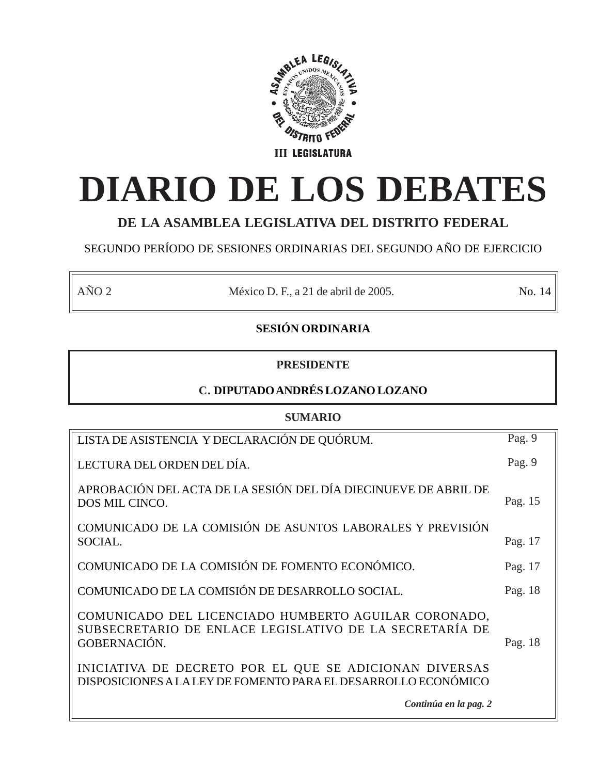

# **DIARIO DE LOS DEBATES**

# **DE LA ASAMBLEA LEGISLATIVA DEL DISTRITO FEDERAL**

# SEGUNDO PERÍODO DE SESIONES ORDINARIAS DEL SEGUNDO AÑO DE EJERCICIO

AÑO 2 México D. F., a 21 de abril de 2005. No. 14

# **SESIÓN ORDINARIA**

# **PRESIDENTE**

# **C. DIPUTADO ANDRÉS LOZANO LOZANO**

# **SUMARIO**

| LISTA DE ASISTENCIA Y DECLARACIÓN DE QUÓRUM.                                                                                    | Pag. 9  |
|---------------------------------------------------------------------------------------------------------------------------------|---------|
| LECTURA DEL ORDEN DEL DÍA.                                                                                                      | Pag. 9  |
| APROBACIÓN DEL ACTA DE LA SESIÓN DEL DÍA DIECINUEVE DE ABRIL DE<br>DOS MIL CINCO.                                               | Pag. 15 |
| COMUNICADO DE LA COMISIÓN DE ASUNTOS LABORALES Y PREVISIÓN<br>SOCIAL.                                                           | Pag. 17 |
| COMUNICADO DE LA COMISIÓN DE FOMENTO ECONÓMICO.                                                                                 | Pag. 17 |
| COMUNICADO DE LA COMISIÓN DE DESARROLLO SOCIAL.                                                                                 | Pag. 18 |
| COMUNICADO DEL LICENCIADO HUMBERTO AGUILAR CORONADO,<br>SUBSECRETARIO DE ENLACE LEGISLATIVO DE LA SECRETARÍA DE<br>GOBERNACIÓN. | Pag. 18 |
| INICIATIVA DE DECRETO POR EL QUE SE ADICIONAN DIVERSAS<br>DISPOSICIONES A LA LEY DE FOMENTO PARA EL DESARROLLO ECONÓMICO        |         |
| Continúa en la pag. 2                                                                                                           |         |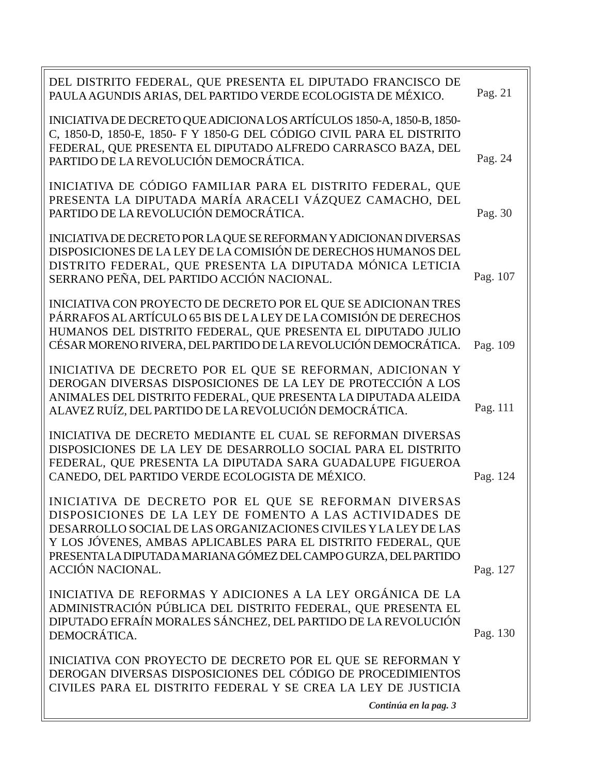| DEL DISTRITO FEDERAL, QUE PRESENTA EL DIPUTADO FRANCISCO DE                                                                                     |          |
|-------------------------------------------------------------------------------------------------------------------------------------------------|----------|
| PAULA AGUNDIS ARIAS, DEL PARTIDO VERDE ECOLOGISTA DE MÉXICO.                                                                                    | Pag. 21  |
| INICIATIVA DE DECRETO QUE ADICIONA LOS ARTÍCULOS 1850-A, 1850-B, 1850-<br>C, 1850-D, 1850-E, 1850- F Y 1850-G DEL CÓDIGO CIVIL PARA EL DISTRITO |          |
| FEDERAL, QUE PRESENTA EL DIPUTADO ALFREDO CARRASCO BAZA, DEL                                                                                    |          |
| PARTIDO DE LA REVOLUCIÓN DEMOCRÁTICA.                                                                                                           | Pag. 24  |
| INICIATIVA DE CÓDIGO FAMILIAR PARA EL DISTRITO FEDERAL, QUE                                                                                     |          |
| PRESENTA LA DIPUTADA MARÍA ARACELI VÁZQUEZ CAMACHO, DEL<br>PARTIDO DE LA REVOLUCIÓN DEMOCRÁTICA.                                                | Pag. 30  |
| INICIATIVA DE DECRETO POR LA QUE SE REFORMAN Y ADICIONAN DIVERSAS                                                                               |          |
| DISPOSICIONES DE LA LEY DE LA COMISIÓN DE DERECHOS HUMANOS DEL                                                                                  |          |
| DISTRITO FEDERAL, QUE PRESENTA LA DIPUTADA MÓNICA LETICIA<br>SERRANO PEÑA, DEL PARTIDO ACCIÓN NACIONAL.                                         | Pag. 107 |
| INICIATIVA CON PROYECTO DE DECRETO POR EL QUE SE ADICIONAN TRES                                                                                 |          |
| PÁRRAFOS AL ARTÍCULO 65 BIS DE LA LEY DE LA COMISIÓN DE DERECHOS                                                                                |          |
| HUMANOS DEL DISTRITO FEDERAL, QUE PRESENTA EL DIPUTADO JULIO<br>CÉSAR MORENO RIVERA, DEL PARTIDO DE LA REVOLUCIÓN DEMOCRÁTICA.                  | Pag. 109 |
| INICIATIVA DE DECRETO POR EL QUE SE REFORMAN, ADICIONAN Y                                                                                       |          |
| DEROGAN DIVERSAS DISPOSICIONES DE LA LEY DE PROTECCIÓN A LOS                                                                                    |          |
| ANIMALES DEL DISTRITO FEDERAL, QUE PRESENTA LA DIPUTADA ALEIDA<br>ALAVEZ RUÍZ, DEL PARTIDO DE LA REVOLUCIÓN DEMOCRÁTICA.                        | Pag. 111 |
| INICIATIVA DE DECRETO MEDIANTE EL CUAL SE REFORMAN DIVERSAS                                                                                     |          |
| DISPOSICIONES DE LA LEY DE DESARROLLO SOCIAL PARA EL DISTRITO<br>FEDERAL, QUE PRESENTA LA DIPUTADA SARA GUADALUPE FIGUEROA                      |          |
| CANEDO, DEL PARTIDO VERDE ECOLOGISTA DE MÉXICO.                                                                                                 | Pag. 124 |
| INICIATIVA DE DECRETO POR EL QUE SE REFORMAN DIVERSAS                                                                                           |          |
| DISPOSICIONES DE LA LEY DE FOMENTO A LAS ACTIVIDADES DE<br>DESARROLLO SOCIAL DE LAS ORGANIZACIONES CIVILES Y LA LEY DE LAS                      |          |
| Y LOS JÓVENES, AMBAS APLICABLES PARA EL DISTRITO FEDERAL, QUE                                                                                   |          |
| PRESENTA LA DIPUTADA MARIANA GÓMEZ DEL CAMPO GURZA, DEL PARTIDO<br>ACCIÓN NACIONAL.                                                             | Pag. 127 |
| INICIATIVA DE REFORMAS Y ADICIONES A LA LEY ORGÁNICA DE LA                                                                                      |          |
| ADMINISTRACIÓN PÚBLICA DEL DISTRITO FEDERAL, QUE PRESENTA EL                                                                                    |          |
| DIPUTADO EFRAÍN MORALES SÁNCHEZ, DEL PARTIDO DE LA REVOLUCIÓN<br>DEMOCRÁTICA.                                                                   | Pag. 130 |
| INICIATIVA CON PROYECTO DE DECRETO POR EL QUE SE REFORMAN Y                                                                                     |          |
| DEROGAN DIVERSAS DISPOSICIONES DEL CÓDIGO DE PROCEDIMIENTOS<br>CIVILES PARA EL DISTRITO FEDERAL Y SE CREA LA LEY DE JUSTICIA                    |          |
| Continúa en la pag. 3                                                                                                                           |          |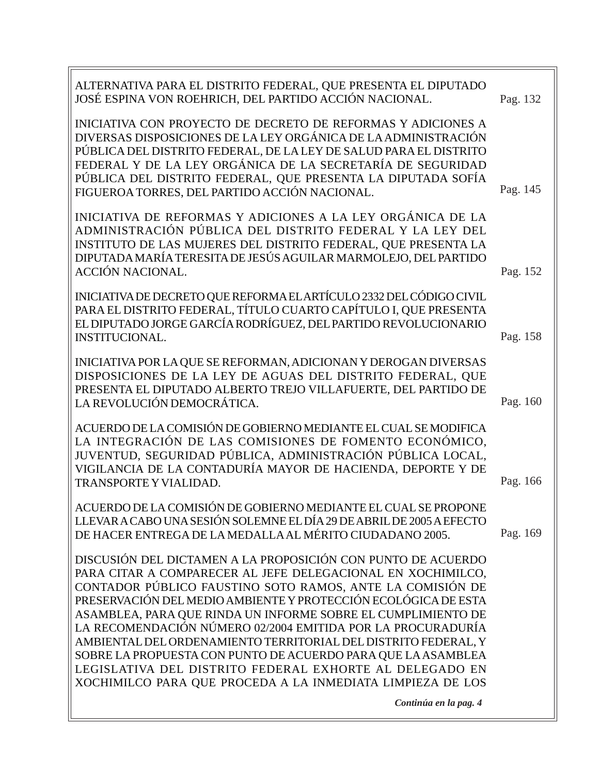| ALTERNATIVA PARA EL DISTRITO FEDERAL, QUE PRESENTA EL DIPUTADO<br>JOSÉ ESPINA VON ROEHRICH, DEL PARTIDO ACCIÓN NACIONAL.                                                                                                                                                                                                                                                                                                                                                                                                                                                                                                                             | Pag. 132 |
|------------------------------------------------------------------------------------------------------------------------------------------------------------------------------------------------------------------------------------------------------------------------------------------------------------------------------------------------------------------------------------------------------------------------------------------------------------------------------------------------------------------------------------------------------------------------------------------------------------------------------------------------------|----------|
| INICIATIVA CON PROYECTO DE DECRETO DE REFORMAS Y ADICIONES A<br>DIVERSAS DISPOSICIONES DE LA LEY ORGÁNICA DE LA ADMINISTRACIÓN<br>PÚBLICA DEL DISTRITO FEDERAL, DE LA LEY DE SALUD PARA EL DISTRITO<br>FEDERAL Y DE LA LEY ORGÁNICA DE LA SECRETARÍA DE SEGURIDAD<br>PÚBLICA DEL DISTRITO FEDERAL, QUE PRESENTA LA DIPUTADA SOFÍA<br>FIGUEROA TORRES, DEL PARTIDO ACCIÓN NACIONAL.                                                                                                                                                                                                                                                                   | Pag. 145 |
| INICIATIVA DE REFORMAS Y ADICIONES A LA LEY ORGÁNICA DE LA<br>ADMINISTRACIÓN PÚBLICA DEL DISTRITO FEDERAL Y LA LEY DEL<br>INSTITUTO DE LAS MUJERES DEL DISTRITO FEDERAL, QUE PRESENTA LA<br>DIPUTADA MARÍA TERESITA DE JESÚS AGUILAR MARMOLEJO, DEL PARTIDO<br>ACCIÓN NACIONAL.                                                                                                                                                                                                                                                                                                                                                                      | Pag. 152 |
| INICIATIVA DE DECRETO QUE REFORMA EL ARTÍCULO 2332 DEL CÓDIGO CIVIL<br>PARA EL DISTRITO FEDERAL, TÍTULO CUARTO CAPÍTULO I, QUE PRESENTA<br>EL DIPUTADO JORGE GARCÍA RODRÍGUEZ, DEL PARTIDO REVOLUCIONARIO<br><b>INSTITUCIONAL.</b>                                                                                                                                                                                                                                                                                                                                                                                                                   | Pag. 158 |
| INICIATIVA POR LA QUE SE REFORMAN, ADICIONAN Y DEROGAN DIVERSAS<br>DISPOSICIONES DE LA LEY DE AGUAS DEL DISTRITO FEDERAL, QUE<br>PRESENTA EL DIPUTADO ALBERTO TREJO VILLAFUERTE, DEL PARTIDO DE<br>LA REVOLUCIÓN DEMOCRÁTICA.                                                                                                                                                                                                                                                                                                                                                                                                                        | Pag. 160 |
| ACUERDO DE LA COMISIÓN DE GOBIERNO MEDIANTE EL CUAL SE MODIFICA<br>LA INTEGRACIÓN DE LAS COMISIONES DE FOMENTO ECONÓMICO,<br>JUVENTUD, SEGURIDAD PÚBLICA, ADMINISTRACIÓN PÚBLICA LOCAL,<br>VIGILANCIA DE LA CONTADURÍA MAYOR DE HACIENDA, DEPORTE Y DE<br><b>TRANSPORTE Y VIALIDAD.</b>                                                                                                                                                                                                                                                                                                                                                              | Pag. 166 |
| ACUERDO DE LA COMISIÓN DE GOBIERNO MEDIANTE EL CUAL SE PROPONE<br>LLEVAR A CABO UNA SESIÓN SOLEMNE EL DÍA 29 DE ABRIL DE 2005 A EFECTO<br>DE HACER ENTREGA DE LA MEDALLA AL MÉRITO CIUDADANO 2005.                                                                                                                                                                                                                                                                                                                                                                                                                                                   | Pag. 169 |
| DISCUSIÓN DEL DICTAMEN A LA PROPOSICIÓN CON PUNTO DE ACUERDO<br>PARA CITAR A COMPARECER AL JEFE DELEGACIONAL EN XOCHIMILCO,<br>CONTADOR PÚBLICO FAUSTINO SOTO RAMOS, ANTE LA COMISIÓN DE<br>PRESERVACIÓN DEL MEDIO AMBIENTE Y PROTECCIÓN ECOLÓGICA DE ESTA<br>ASAMBLEA, PARA QUE RINDA UN INFORME SOBRE EL CUMPLIMIENTO DE<br>LA RECOMENDACIÓN NÚMERO 02/2004 EMITIDA POR LA PROCURADURÍA<br>AMBIENTAL DEL ORDENAMIENTO TERRITORIAL DEL DISTRITO FEDERAL, Y<br>SOBRE LA PROPUESTA CON PUNTO DE ACUERDO PARA QUE LA ASAMBLEA<br>LEGISLATIVA DEL DISTRITO FEDERAL EXHORTE AL DELEGADO EN<br>XOCHIMILCO PARA QUE PROCEDA A LA INMEDIATA LIMPIEZA DE LOS |          |
| Continúa en la pag. 4                                                                                                                                                                                                                                                                                                                                                                                                                                                                                                                                                                                                                                |          |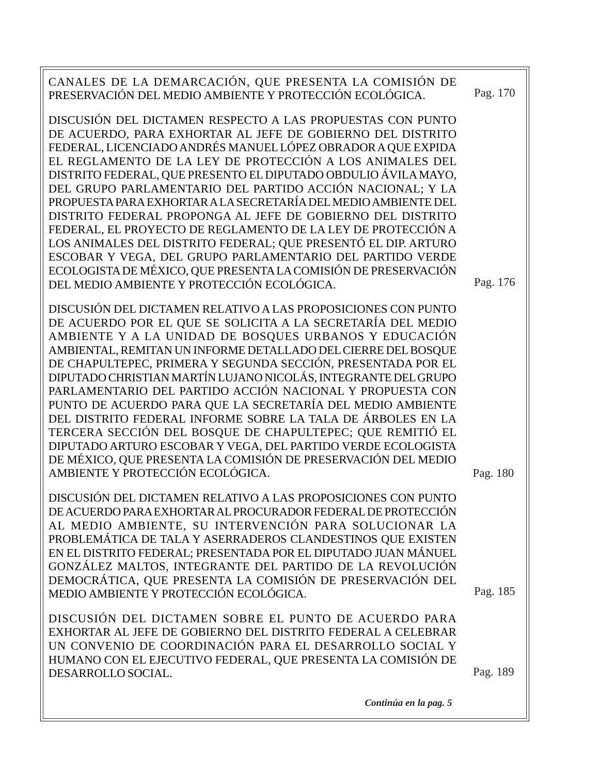| CANALES DE LA DEMARCACIÓN, QUE PRESENTA LA COMISIÓN DE<br>PRESERVACIÓN DEL MEDIO AMBIENTE Y PROTECCIÓN ECOLÓGICA.                                                                                                                                                                                                                                                                                                                                                                                                                                                                                                                                                                                                                                                                                                                  | Pag. 170 |
|------------------------------------------------------------------------------------------------------------------------------------------------------------------------------------------------------------------------------------------------------------------------------------------------------------------------------------------------------------------------------------------------------------------------------------------------------------------------------------------------------------------------------------------------------------------------------------------------------------------------------------------------------------------------------------------------------------------------------------------------------------------------------------------------------------------------------------|----------|
| DISCUSIÓN DEL DICTAMEN RESPECTO A LAS PROPUESTAS CON PUNTO<br>DE ACUERDO, PARA EXHORTAR AL JEFE DE GOBIERNO DEL DISTRITO<br>FEDERAL, LICENCIADO ANDRÉS MANUEL LÓPEZ OBRADOR A QUE EXPIDA<br>EL REGLAMENTO DE LA LEY DE PROTECCIÓN A LOS ANIMALES DEL<br>DISTRITO FEDERAL, QUE PRESENTO EL DIPUTADO OBDULIO ÁVILA MAYO,<br>DEL GRUPO PARLAMENTARIO DEL PARTIDO ACCIÓN NACIONAL; Y LA<br>PROPUESTA PARA EXHORTAR A LA SECRETARÍA DEL MEDIO AMBIENTE DEL<br>DISTRITO FEDERAL PROPONGA AL JEFE DE GOBIERNO DEL DISTRITO<br>FEDERAL, EL PROYECTO DE REGLAMENTO DE LA LEY DE PROTECCIÓN A<br>LOS ANIMALES DEL DISTRITO FEDERAL; QUE PRESENTÓ EL DIP. ARTURO<br>ESCOBAR Y VEGA, DEL GRUPO PARLAMENTARIO DEL PARTIDO VERDE<br>ECOLOGISTA DE MÉXICO, QUE PRESENTA LA COMISIÓN DE PRESERVACIÓN<br>DEL MEDIO AMBIENTE Y PROTECCIÓN ECOLÓGICA. | Pag. 176 |
| DISCUSIÓN DEL DICTAMEN RELATIVO A LAS PROPOSICIONES CON PUNTO<br>DE ACUERDO POR EL QUE SE SOLICITA A LA SECRETARÍA DEL MEDIO<br>AMBIENTE Y A LA UNIDAD DE BOSQUES URBANOS Y EDUCACIÓN<br>AMBIENTAL, REMITAN UN INFORME DETALLADO DEL CIERRE DEL BOSQUE<br>DE CHAPULTEPEC, PRIMERA Y SEGUNDA SECCIÓN, PRESENTADA POR EL<br>DIPUTADO CHRISTIAN MARTÍN LUJANO NICOLÁS, INTEGRANTE DEL GRUPO<br>PARLAMENTARIO DEL PARTIDO ACCIÓN NACIONAL Y PROPUESTA CON<br>PUNTO DE ACUERDO PARA QUE LA SECRETARÍA DEL MEDIO AMBIENTE<br>DEL DISTRITO FEDERAL INFORME SOBRE LA TALA DE ÁRBOLES EN LA<br>TERCERA SECCIÓN DEL BOSQUE DE CHAPULTEPEC; QUE REMITIÓ EL<br>DIPUTADO ARTURO ESCOBAR Y VEGA, DEL PARTIDO VERDE ECOLOGISTA<br>DE MÉXICO, QUE PRESENTA LA COMISIÓN DE PRESERVACIÓN DEL MEDIO<br>AMBIENTE Y PROTECCIÓN ECOLÓGICA.               | Pag. 180 |
| DISCUSIÓN DEL DICTAMEN RELATIVO A LAS PROPOSICIONES CON PUNTO<br>DE ACUERDO PARA EXHORTAR AL PROCURADOR FEDERAL DE PROTECCIÓN<br>AL MEDIO AMBIENTE, SU INTERVENCIÓN PARA SOLUCIONAR LA<br>PROBLEMÁTICA DE TALA Y ASERRADEROS CLANDESTINOS QUE EXISTEN<br>EN EL DISTRITO FEDERAL; PRESENTADA POR EL DIPUTADO JUAN MÁNUEL<br>GONZÁLEZ MALTOS, INTEGRANTE DEL PARTIDO DE LA REVOLUCIÓN<br>DEMOCRÁTICA, QUE PRESENTA LA COMISIÓN DE PRESERVACIÓN DEL<br>MEDIO AMBIENTE Y PROTECCIÓN ECOLÓGICA.                                                                                                                                                                                                                                                                                                                                         | Pag. 185 |
| DISCUSIÓN DEL DICTAMEN SOBRE EL PUNTO DE ACUERDO PARA<br>EXHORTAR AL JEFE DE GOBIERNO DEL DISTRITO FEDERAL A CELEBRAR<br>UN CONVENIO DE COORDINACIÓN PARA EL DESARROLLO SOCIAL Y<br>HUMANO CON EL EJECUTIVO FEDERAL, QUE PRESENTA LA COMISIÓN DE<br>DESARROLLO SOCIAL.                                                                                                                                                                                                                                                                                                                                                                                                                                                                                                                                                             | Pag. 189 |

*Continúa en la pag. 5*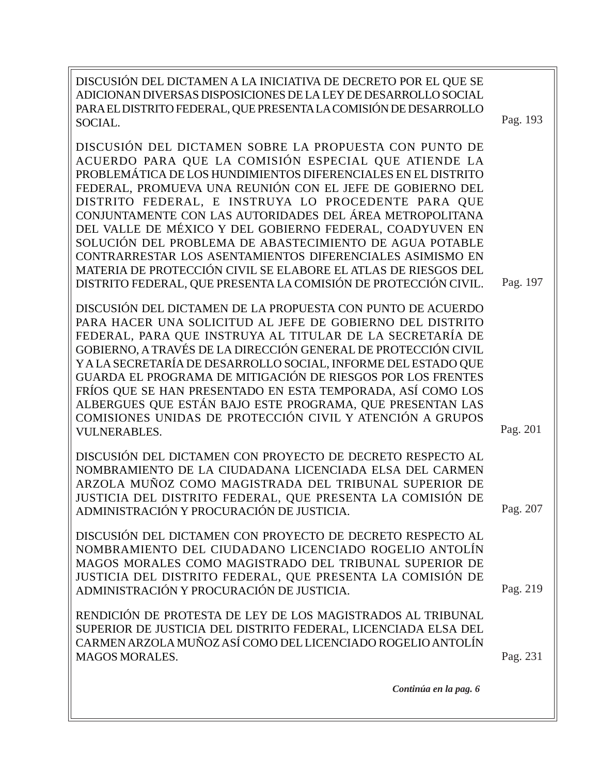DISCUSIÓN DEL DICTAMEN A LA INICIATIVA DE DECRETO POR EL QUE SE ADICIONAN DIVERSAS DISPOSICIONES DE LA LEY DE DESARROLLO SOCIAL PARA EL DISTRITO FEDERAL, QUE PRESENTA LA COMISIÓN DE DESARROLLO SOCIAL.

DISCUSIÓN DEL DICTAMEN SOBRE LA PROPUESTA CON PUNTO DE ACUERDO PARA QUE LA COMISIÓN ESPECIAL QUE ATIENDE LA PROBLEMÁTICA DE LOS HUNDIMIENTOS DIFERENCIALES EN EL DISTRITO FEDERAL, PROMUEVA UNA REUNIÓN CON EL JEFE DE GOBIERNO DEL DISTRITO FEDERAL, E INSTRUYA LO PROCEDENTE PARA QUE CONJUNTAMENTE CON LAS AUTORIDADES DEL ÁREA METROPOLITANA DEL VALLE DE MÉXICO Y DEL GOBIERNO FEDERAL, COADYUVEN EN SOLUCIÓN DEL PROBLEMA DE ABASTECIMIENTO DE AGUA POTABLE CONTRARRESTAR LOS ASENTAMIENTOS DIFERENCIALES ASIMISMO EN MATERIA DE PROTECCIÓN CIVIL SE ELABORE EL ATLAS DE RIESGOS DEL DISTRITO FEDERAL, QUE PRESENTA LA COMISIÓN DE PROTECCIÓN CIVIL.

DISCUSIÓN DEL DICTAMEN DE LA PROPUESTA CON PUNTO DE ACUERDO PARA HACER UNA SOLICITUD AL JEFE DE GOBIERNO DEL DISTRITO FEDERAL, PARA QUE INSTRUYA AL TITULAR DE LA SECRETARÍA DE GOBIERNO, A TRAVÉS DE LA DIRECCIÓN GENERAL DE PROTECCIÓN CIVIL Y A LA SECRETARÍA DE DESARROLLO SOCIAL, INFORME DEL ESTADO QUE GUARDA EL PROGRAMA DE MITIGACIÓN DE RIESGOS POR LOS FRENTES FRÍOS QUE SE HAN PRESENTADO EN ESTA TEMPORADA, ASÍ COMO LOS ALBERGUES QUE ESTÁN BAJO ESTE PROGRAMA, QUE PRESENTAN LAS COMISIONES UNIDAS DE PROTECCIÓN CIVIL Y ATENCIÓN A GRUPOS VULNERABLES.

DISCUSIÓN DEL DICTAMEN CON PROYECTO DE DECRETO RESPECTO AL NOMBRAMIENTO DE LA CIUDADANA LICENCIADA ELSA DEL CARMEN ARZOLA MUÑOZ COMO MAGISTRADA DEL TRIBUNAL SUPERIOR DE JUSTICIA DEL DISTRITO FEDERAL, QUE PRESENTA LA COMISIÓN DE ADMINISTRACIÓN Y PROCURACIÓN DE JUSTICIA.

DISCUSIÓN DEL DICTAMEN CON PROYECTO DE DECRETO RESPECTO AL NOMBRAMIENTO DEL CIUDADANO LICENCIADO ROGELIO ANTOLÍN MAGOS MORALES COMO MAGISTRADO DEL TRIBUNAL SUPERIOR DE JUSTICIA DEL DISTRITO FEDERAL, QUE PRESENTA LA COMISIÓN DE ADMINISTRACIÓN Y PROCURACIÓN DE JUSTICIA.

RENDICIÓN DE PROTESTA DE LEY DE LOS MAGISTRADOS AL TRIBUNAL SUPERIOR DE JUSTICIA DEL DISTRITO FEDERAL, LICENCIADA ELSA DEL CARMEN ARZOLA MUÑOZ ASÍ COMO DEL LICENCIADO ROGELIO ANTOLÍN MAGOS MORALES. Pag. 231

Pag. 219

Pag. 207

Pag. 197

Pag. 201

Pag. 193

*Continúa en la pag. 6*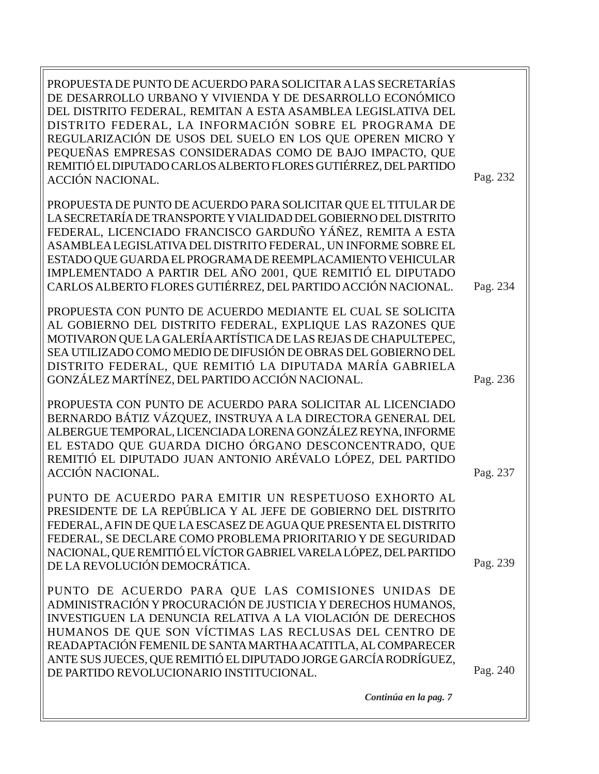| PROPUESTA DE PUNTO DE ACUERDO PARA SOLICITAR A LAS SECRETARÍAS<br>DE DESARROLLO URBANO Y VIVIENDA Y DE DESARROLLO ECONÓMICO<br>DEL DISTRITO FEDERAL, REMITAN A ESTA ASAMBLEA LEGISLATIVA DEL<br>DISTRITO FEDERAL, LA INFORMACIÓN SOBRE EL PROGRAMA DE<br>REGULARIZACIÓN DE USOS DEL SUELO EN LOS QUE OPEREN MICRO Y<br>PEQUEÑAS EMPRESAS CONSIDERADAS COMO DE BAJO IMPACTO, QUE<br>REMITIÓ EL DIPUTADO CARLOS ALBERTO FLORES GUTIÉRREZ, DEL PARTIDO<br>ACCIÓN NACIONAL. | Pag. 232 |
|-------------------------------------------------------------------------------------------------------------------------------------------------------------------------------------------------------------------------------------------------------------------------------------------------------------------------------------------------------------------------------------------------------------------------------------------------------------------------|----------|
| PROPUESTA DE PUNTO DE ACUERDO PARA SOLICITAR QUE EL TITULAR DE<br>LA SECRETARÍA DE TRANSPORTE Y VIALIDAD DEL GOBIERNO DEL DISTRITO<br>FEDERAL, LICENCIADO FRANCISCO GARDUÑO YÁÑEZ, REMITA A ESTA<br>ASAMBLEA LEGISLATIVA DEL DISTRITO FEDERAL, UN INFORME SOBRE EL<br>ESTADO QUE GUARDA EL PROGRAMA DE REEMPLACAMIENTO VEHICULAR<br>IMPLEMENTADO A PARTIR DEL AÑO 2001, QUE REMITIÓ EL DIPUTADO<br>CARLOS ALBERTO FLORES GUTIÉRREZ, DEL PARTIDO ACCIÓN NACIONAL.        | Pag. 234 |
| PROPUESTA CON PUNTO DE ACUERDO MEDIANTE EL CUAL SE SOLICITA<br>AL GOBIERNO DEL DISTRITO FEDERAL, EXPLIQUE LAS RAZONES QUE<br>MOTIVARON QUE LA GALERÍA ARTÍSTICA DE LAS REJAS DE CHAPULTEPEC,<br>SEA UTILIZADO COMO MEDIO DE DIFUSIÓN DE OBRAS DEL GOBIERNO DEL<br>DISTRITO FEDERAL, QUE REMITIÓ LA DIPUTADA MARÍA GABRIELA<br>GONZÁLEZ MARTÍNEZ, DEL PARTIDO ACCIÓN NACIONAL.                                                                                           | Pag. 236 |
| PROPUESTA CON PUNTO DE ACUERDO PARA SOLICITAR AL LICENCIADO<br>BERNARDO BÁTIZ VÁZQUEZ, INSTRUYA A LA DIRECTORA GENERAL DEL<br>ALBERGUE TEMPORAL, LICENCIADA LORENA GONZÁLEZ REYNA, INFORME<br>EL ESTADO QUE GUARDA DICHO ÓRGANO DESCONCENTRADO, QUE<br>REMITIÓ EL DIPUTADO JUAN ANTONIO ARÉVALO LÓPEZ, DEL PARTIDO<br>ACCIÓN NACIONAL.                                                                                                                                  | Pag. 237 |
| PUNTO DE ACUERDO PARA EMITIR UN RESPETUOSO EXHORTO AL<br>PRESIDENTE DE LA REPÚBLICA Y AL JEFE DE GOBIERNO DEL DISTRITO<br>FEDERAL, A FIN DE QUE LA ESCASEZ DE AGUA QUE PRESENTA EL DISTRITO<br>FEDERAL, SE DECLARE COMO PROBLEMA PRIORITARIO Y DE SEGURIDAD<br>NACIONAL, QUE REMITIÓ EL VÍCTOR GABRIEL VARELA LÓPEZ, DEL PARTIDO<br>DE LA REVOLUCIÓN DEMOCRÁTICA.                                                                                                       | Pag. 239 |
| PUNTO DE ACUERDO PARA QUE LAS COMISIONES UNIDAS DE<br>ADMINISTRACIÓN Y PROCURACIÓN DE JUSTICIA Y DERECHOS HUMANOS,<br>INVESTIGUEN LA DENUNCIA RELATIVA A LA VIOLACIÓN DE DERECHOS<br>HUMANOS DE QUE SON VÍCTIMAS LAS RECLUSAS DEL CENTRO DE<br>READAPTACIÓN FEMENIL DE SANTA MARTHA ACATITLA, AL COMPARECER<br>ANTE SUS JUECES, QUE REMITIÓ EL DIPUTADO JORGE GARCÍA RODRÍGUEZ,<br>DE PARTIDO REVOLUCIONARIO INSTITUCIONAL.                                             | Pag. 240 |
| Continúa en la pag. 7                                                                                                                                                                                                                                                                                                                                                                                                                                                   |          |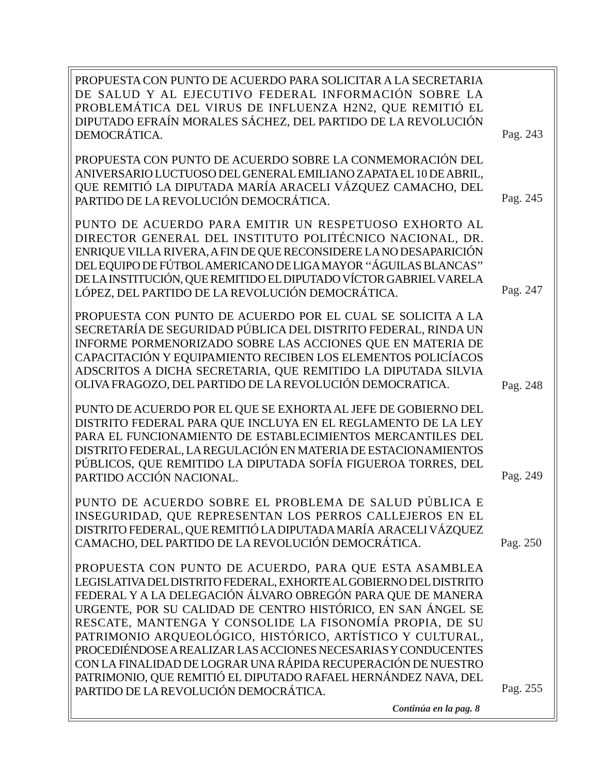| PROBLEMÁTICA DEL VIRUS DE INFLUENZA H2N2, QUE REMITIÓ EL<br>DIPUTADO EFRAÍN MORALES SÁCHEZ, DEL PARTIDO DE LA REVOLUCIÓN                                                                                                                                                                                                                                                                                                                                                                                                                                                                                                           |          |
|------------------------------------------------------------------------------------------------------------------------------------------------------------------------------------------------------------------------------------------------------------------------------------------------------------------------------------------------------------------------------------------------------------------------------------------------------------------------------------------------------------------------------------------------------------------------------------------------------------------------------------|----------|
| DEMOCRÁTICA.                                                                                                                                                                                                                                                                                                                                                                                                                                                                                                                                                                                                                       | Pag. 243 |
| PROPUESTA CON PUNTO DE ACUERDO SOBRE LA CONMEMORACIÓN DEL<br>ANIVERSARIO LUCTUOSO DEL GENERAL EMILIANO ZAPATA EL 10 DE ABRIL,<br>QUE REMITIÓ LA DIPUTADA MARÍA ARACELI VÁZQUEZ CAMACHO, DEL<br>PARTIDO DE LA REVOLUCIÓN DEMOCRÁTICA.                                                                                                                                                                                                                                                                                                                                                                                               | Pag. 245 |
| PUNTO DE ACUERDO PARA EMITIR UN RESPETUOSO EXHORTO AL<br>DIRECTOR GENERAL DEL INSTITUTO POLITÉCNICO NACIONAL, DR.<br>ENRIQUE VILLA RIVERA, A FIN DE QUE RECONSIDERE LA NO DESAPARICIÓN<br>DEL EQUIPO DE FÚTBOL AMERICANO DE LIGAMAYOR "ÁGUILAS BLANCAS"<br>DE LA INSTITUCIÓN, QUE REMITIDO EL DIPUTADO VÍCTOR GABRIEL VARELA<br>LÓPEZ, DEL PARTIDO DE LA REVOLUCIÓN DEMOCRÁTICA.                                                                                                                                                                                                                                                   | Pag. 247 |
| PROPUESTA CON PUNTO DE ACUERDO POR EL CUAL SE SOLICITA A LA<br>SECRETARÍA DE SEGURIDAD PÚBLICA DEL DISTRITO FEDERAL, RINDA UN<br>INFORME PORMENORIZADO SOBRE LAS ACCIONES QUE EN MATERIA DE<br>CAPACITACIÓN Y EQUIPAMIENTO RECIBEN LOS ELEMENTOS POLICÍACOS<br>ADSCRITOS A DICHA SECRETARIA, QUE REMITIDO LA DIPUTADA SILVIA<br>OLIVA FRAGOZO, DEL PARTIDO DE LA REVOLUCIÓN DEMOCRATICA.                                                                                                                                                                                                                                           | Pag. 248 |
| PUNTO DE ACUERDO POR EL QUE SE EXHORTA AL JEFE DE GOBIERNO DEL<br>DISTRITO FEDERAL PARA QUE INCLUYA EN EL REGLAMENTO DE LA LEY<br>PARA EL FUNCIONAMIENTO DE ESTABLECIMIENTOS MERCANTILES DEL<br>DISTRITO FEDERAL, LA REGULACIÓN EN MATERIA DE ESTACIONAMIENTOS<br>PÚBLICOS, QUE REMITIDO LA DIPUTADA SOFÍA FIGUEROA TORRES, DEL<br>PARTIDO ACCIÓN NACIONAL.                                                                                                                                                                                                                                                                        | Pag. 249 |
| PUNTO DE ACUERDO SOBRE EL PROBLEMA DE SALUD PÚBLICA E<br>INSEGURIDAD, QUE REPRESENTAN LOS PERROS CALLEJEROS EN EL<br>DISTRITO FEDERAL, QUE REMITIÓ LA DIPUTADA MARÍA ARACELI VÁZQUEZ<br>CAMACHO, DEL PARTIDO DE LA REVOLUCIÓN DEMOCRÁTICA.                                                                                                                                                                                                                                                                                                                                                                                         | Pag. 250 |
| PROPUESTA CON PUNTO DE ACUERDO, PARA QUE ESTA ASAMBLEA<br>LEGISLATIVA DEL DISTRITO FEDERAL, EXHORTE AL GOBIERNO DEL DISTRITO<br>FEDERAL Y A LA DELEGACIÓN ÁLVARO OBREGÓN PARA QUE DE MANERA<br>URGENTE, POR SU CALIDAD DE CENTRO HISTÓRICO, EN SAN ÁNGEL SE<br>RESCATE, MANTENGA Y CONSOLIDE LA FISONOMÍA PROPIA, DE SU<br>PATRIMONIO ARQUEOLÓGICO, HISTÓRICO, ARTÍSTICO Y CULTURAL,<br>PROCEDIÉNDOSE A REALIZAR LAS ACCIONES NECESARIAS Y CONDUCENTES<br>CON LA FINALIDAD DE LOGRAR UNA RÁPIDA RECUPERACIÓN DE NUESTRO<br>PATRIMONIO, QUE REMITIÓ EL DIPUTADO RAFAEL HERNÁNDEZ NAVA, DEL<br>PARTIDO DE LA REVOLUCIÓN DEMOCRÁTICA. | Pag. 255 |
| Continúa en la pag. 8                                                                                                                                                                                                                                                                                                                                                                                                                                                                                                                                                                                                              |          |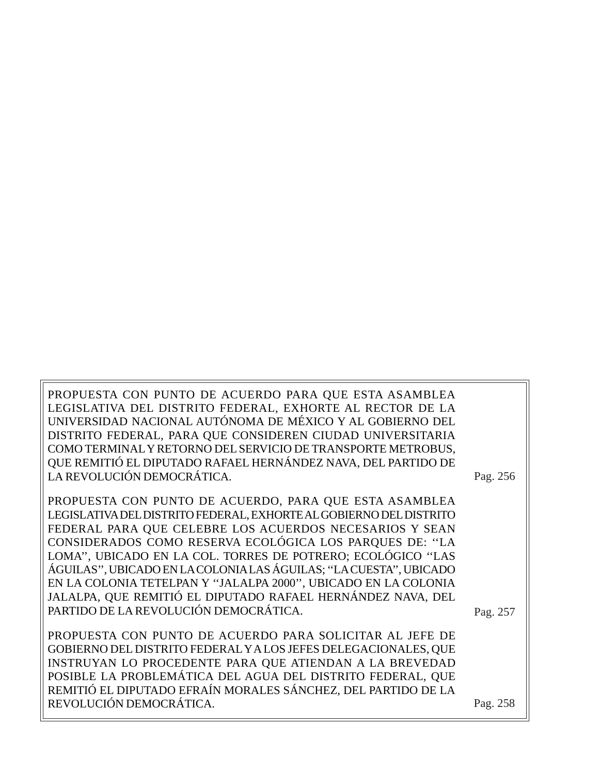PROPUESTA CON PUNTO DE ACUERDO PARA QUE ESTA ASAMBLEA LEGISLATIVA DEL DISTRITO FEDERAL, EXHORTE AL RECTOR DE LA UNIVERSIDAD NACIONAL AUTÓNOMA DE MÉXICO Y AL GOBIERNO DEL DISTRITO FEDERAL, PARA QUE CONSIDEREN CIUDAD UNIVERSITARIA COMO TERMINAL Y RETORNO DEL SERVICIO DE TRANSPORTE METROBUS, QUE REMITIÓ EL DIPUTADO RAFAEL HERNÁNDEZ NAVA, DEL PARTIDO DE LA REVOLUCIÓN DEMOCRÁTICA.

PROPUESTA CON PUNTO DE ACUERDO, PARA QUE ESTA ASAMBLEA LEGISLATIVA DEL DISTRITO FEDERAL, EXHORTE AL GOBIERNO DEL DISTRITO FEDERAL PARA QUE CELEBRE LOS ACUERDOS NECESARIOS Y SEAN CONSIDERADOS COMO RESERVA ECOLÓGICA LOS PARQUES DE: ''LA LOMA'', UBICADO EN LA COL. TORRES DE POTRERO; ECOLÓGICO ''LAS ÁGUILAS'', UBICADO EN LA COLONIA LAS ÁGUILAS; ''LA CUESTA'', UBICADO EN LA COLONIA TETELPAN Y ''JALALPA 2000'', UBICADO EN LA COLONIA JALALPA, QUE REMITIÓ EL DIPUTADO RAFAEL HERNÁNDEZ NAVA, DEL PARTIDO DE LA REVOLUCIÓN DEMOCRÁTICA.

PROPUESTA CON PUNTO DE ACUERDO PARA SOLICITAR AL JEFE DE GOBIERNO DEL DISTRITO FEDERAL Y A LOS JEFES DELEGACIONALES, QUE INSTRUYAN LO PROCEDENTE PARA QUE ATIENDAN A LA BREVEDAD POSIBLE LA PROBLEMÁTICA DEL AGUA DEL DISTRITO FEDERAL, QUE REMITIÓ EL DIPUTADO EFRAÍN MORALES SÁNCHEZ, DEL PARTIDO DE LA REVOLUCIÓN DEMOCRÁTICA.

Pag. 256

Pag. 258

Pag. 257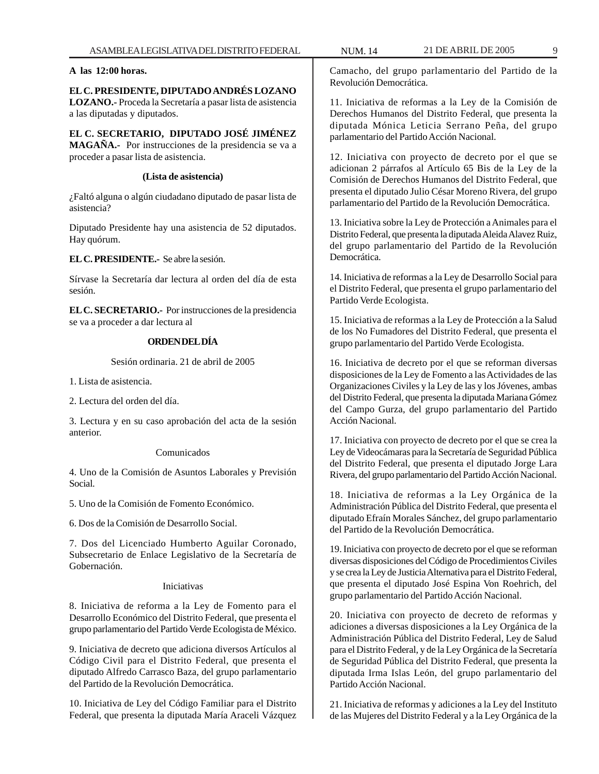# **A las 12:00 horas.**

**EL C. PRESIDENTE, DIPUTADO ANDRÉS LOZANO LOZANO.-** Proceda la Secretaría a pasar lista de asistencia a las diputadas y diputados.

**EL C. SECRETARIO, DIPUTADO JOSÉ JIMÉNEZ MAGAÑA.-** Por instrucciones de la presidencia se va a proceder a pasar lista de asistencia.

# **(Lista de asistencia)**

¿Faltó alguna o algún ciudadano diputado de pasar lista de asistencia?

Diputado Presidente hay una asistencia de 52 diputados. Hay quórum.

**EL C. PRESIDENTE.-** Se abre la sesión.

Sírvase la Secretaría dar lectura al orden del día de esta sesión.

**EL C. SECRETARIO.-** Por instrucciones de la presidencia se va a proceder a dar lectura al

# **ORDEN DEL DÍA**

Sesión ordinaria. 21 de abril de 2005

1. Lista de asistencia.

2. Lectura del orden del día.

3. Lectura y en su caso aprobación del acta de la sesión anterior.

#### Comunicados

4. Uno de la Comisión de Asuntos Laborales y Previsión Social.

5. Uno de la Comisión de Fomento Económico.

6. Dos de la Comisión de Desarrollo Social.

7. Dos del Licenciado Humberto Aguilar Coronado, Subsecretario de Enlace Legislativo de la Secretaría de Gobernación.

# Iniciativas

8. Iniciativa de reforma a la Ley de Fomento para el Desarrollo Económico del Distrito Federal, que presenta el grupo parlamentario del Partido Verde Ecologista de México.

9. Iniciativa de decreto que adiciona diversos Artículos al Código Civil para el Distrito Federal, que presenta el diputado Alfredo Carrasco Baza, del grupo parlamentario del Partido de la Revolución Democrática.

10. Iniciativa de Ley del Código Familiar para el Distrito Federal, que presenta la diputada María Araceli Vázquez Camacho, del grupo parlamentario del Partido de la Revolución Democrática.

11. Iniciativa de reformas a la Ley de la Comisión de Derechos Humanos del Distrito Federal, que presenta la diputada Mónica Leticia Serrano Peña, del grupo parlamentario del Partido Acción Nacional.

12. Iniciativa con proyecto de decreto por el que se adicionan 2 párrafos al Artículo 65 Bis de la Ley de la Comisión de Derechos Humanos del Distrito Federal, que presenta el diputado Julio César Moreno Rivera, del grupo parlamentario del Partido de la Revolución Democrática.

13. Iniciativa sobre la Ley de Protección a Animales para el Distrito Federal, que presenta la diputada Aleida Alavez Ruiz, del grupo parlamentario del Partido de la Revolución Democrática.

14. Iniciativa de reformas a la Ley de Desarrollo Social para el Distrito Federal, que presenta el grupo parlamentario del Partido Verde Ecologista.

15. Iniciativa de reformas a la Ley de Protección a la Salud de los No Fumadores del Distrito Federal, que presenta el grupo parlamentario del Partido Verde Ecologista.

16. Iniciativa de decreto por el que se reforman diversas disposiciones de la Ley de Fomento a las Actividades de las Organizaciones Civiles y la Ley de las y los Jóvenes, ambas del Distrito Federal, que presenta la diputada Mariana Gómez del Campo Gurza, del grupo parlamentario del Partido Acción Nacional.

17. Iniciativa con proyecto de decreto por el que se crea la Ley de Videocámaras para la Secretaría de Seguridad Pública del Distrito Federal, que presenta el diputado Jorge Lara Rivera, del grupo parlamentario del Partido Acción Nacional.

18. Iniciativa de reformas a la Ley Orgánica de la Administración Pública del Distrito Federal, que presenta el diputado Efraín Morales Sánchez, del grupo parlamentario del Partido de la Revolución Democrática.

19. Iniciativa con proyecto de decreto por el que se reforman diversas disposiciones del Código de Procedimientos Civiles y se crea la Ley de Justicia Alternativa para el Distrito Federal, que presenta el diputado José Espina Von Roehrich, del grupo parlamentario del Partido Acción Nacional.

20. Iniciativa con proyecto de decreto de reformas y adiciones a diversas disposiciones a la Ley Orgánica de la Administración Pública del Distrito Federal, Ley de Salud para el Distrito Federal, y de la Ley Orgánica de la Secretaría de Seguridad Pública del Distrito Federal, que presenta la diputada Irma Islas León, del grupo parlamentario del Partido Acción Nacional.

21. Iniciativa de reformas y adiciones a la Ley del Instituto de las Mujeres del Distrito Federal y a la Ley Orgánica de la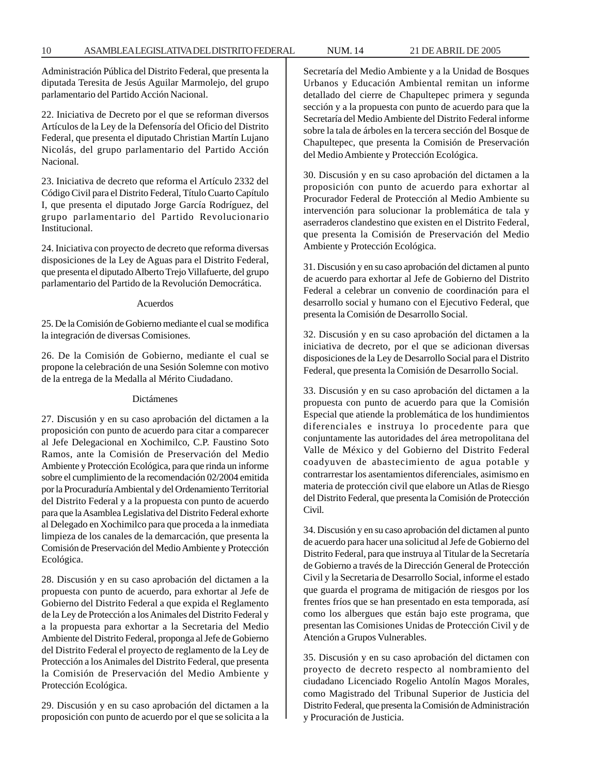Administración Pública del Distrito Federal, que presenta la diputada Teresita de Jesús Aguilar Marmolejo, del grupo parlamentario del Partido Acción Nacional.

22. Iniciativa de Decreto por el que se reforman diversos Artículos de la Ley de la Defensoría del Oficio del Distrito Federal, que presenta el diputado Christian Martín Lujano Nicolás, del grupo parlamentario del Partido Acción Nacional.

23. Iniciativa de decreto que reforma el Artículo 2332 del Código Civil para el Distrito Federal, Título Cuarto Capítulo I, que presenta el diputado Jorge García Rodríguez, del grupo parlamentario del Partido Revolucionario Institucional.

24. Iniciativa con proyecto de decreto que reforma diversas disposiciones de la Ley de Aguas para el Distrito Federal, que presenta el diputado Alberto Trejo Villafuerte, del grupo parlamentario del Partido de la Revolución Democrática.

#### Acuerdos

25. De la Comisión de Gobierno mediante el cual se modifica la integración de diversas Comisiones.

26. De la Comisión de Gobierno, mediante el cual se propone la celebración de una Sesión Solemne con motivo de la entrega de la Medalla al Mérito Ciudadano.

#### Dictámenes

27. Discusión y en su caso aprobación del dictamen a la proposición con punto de acuerdo para citar a comparecer al Jefe Delegacional en Xochimilco, C.P. Faustino Soto Ramos, ante la Comisión de Preservación del Medio Ambiente y Protección Ecológica, para que rinda un informe sobre el cumplimiento de la recomendación 02/2004 emitida por la Procuraduría Ambiental y del Ordenamiento Territorial del Distrito Federal y a la propuesta con punto de acuerdo para que la Asamblea Legislativa del Distrito Federal exhorte al Delegado en Xochimilco para que proceda a la inmediata limpieza de los canales de la demarcación, que presenta la Comisión de Preservación del Medio Ambiente y Protección Ecológica.

28. Discusión y en su caso aprobación del dictamen a la propuesta con punto de acuerdo, para exhortar al Jefe de Gobierno del Distrito Federal a que expida el Reglamento de la Ley de Protección a los Animales del Distrito Federal y a la propuesta para exhortar a la Secretaria del Medio Ambiente del Distrito Federal, proponga al Jefe de Gobierno del Distrito Federal el proyecto de reglamento de la Ley de Protección a los Animales del Distrito Federal, que presenta la Comisión de Preservación del Medio Ambiente y Protección Ecológica.

29. Discusión y en su caso aprobación del dictamen a la proposición con punto de acuerdo por el que se solicita a la Secretaría del Medio Ambiente y a la Unidad de Bosques Urbanos y Educación Ambiental remitan un informe detallado del cierre de Chapultepec primera y segunda sección y a la propuesta con punto de acuerdo para que la Secretaría del Medio Ambiente del Distrito Federal informe sobre la tala de árboles en la tercera sección del Bosque de Chapultepec, que presenta la Comisión de Preservación del Medio Ambiente y Protección Ecológica.

30. Discusión y en su caso aprobación del dictamen a la proposición con punto de acuerdo para exhortar al Procurador Federal de Protección al Medio Ambiente su intervención para solucionar la problemática de tala y aserraderos clandestino que existen en el Distrito Federal, que presenta la Comisión de Preservación del Medio Ambiente y Protección Ecológica.

31. Discusión y en su caso aprobación del dictamen al punto de acuerdo para exhortar al Jefe de Gobierno del Distrito Federal a celebrar un convenio de coordinación para el desarrollo social y humano con el Ejecutivo Federal, que presenta la Comisión de Desarrollo Social.

32. Discusión y en su caso aprobación del dictamen a la iniciativa de decreto, por el que se adicionan diversas disposiciones de la Ley de Desarrollo Social para el Distrito Federal, que presenta la Comisión de Desarrollo Social.

33. Discusión y en su caso aprobación del dictamen a la propuesta con punto de acuerdo para que la Comisión Especial que atiende la problemática de los hundimientos diferenciales e instruya lo procedente para que conjuntamente las autoridades del área metropolitana del Valle de México y del Gobierno del Distrito Federal coadyuven de abastecimiento de agua potable y contrarrestar los asentamientos diferenciales, asimismo en materia de protección civil que elabore un Atlas de Riesgo del Distrito Federal, que presenta la Comisión de Protección Civil.

34. Discusión y en su caso aprobación del dictamen al punto de acuerdo para hacer una solicitud al Jefe de Gobierno del Distrito Federal, para que instruya al Titular de la Secretaría de Gobierno a través de la Dirección General de Protección Civil y la Secretaria de Desarrollo Social, informe el estado que guarda el programa de mitigación de riesgos por los frentes fríos que se han presentado en esta temporada, así como los albergues que están bajo este programa, que presentan las Comisiones Unidas de Protección Civil y de Atención a Grupos Vulnerables.

35. Discusión y en su caso aprobación del dictamen con proyecto de decreto respecto al nombramiento del ciudadano Licenciado Rogelio Antolín Magos Morales, como Magistrado del Tribunal Superior de Justicia del Distrito Federal, que presenta la Comisión de Administración y Procuración de Justicia.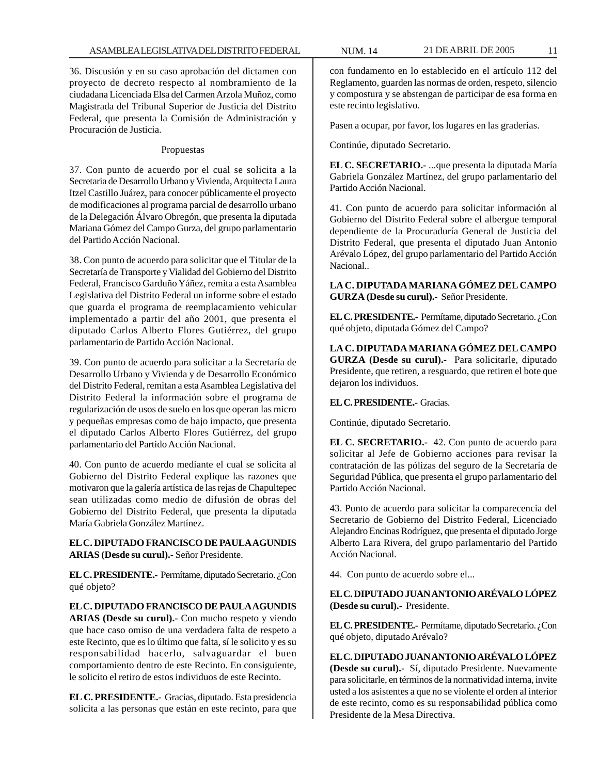36. Discusión y en su caso aprobación del dictamen con proyecto de decreto respecto al nombramiento de la ciudadana Licenciada Elsa del Carmen Arzola Muñoz, como Magistrada del Tribunal Superior de Justicia del Distrito Federal, que presenta la Comisión de Administración y Procuración de Justicia.

#### Propuestas

37. Con punto de acuerdo por el cual se solicita a la Secretaria de Desarrollo Urbano y Vivienda, Arquitecta Laura Itzel Castillo Juárez, para conocer públicamente el proyecto de modificaciones al programa parcial de desarrollo urbano de la Delegación Álvaro Obregón, que presenta la diputada Mariana Gómez del Campo Gurza, del grupo parlamentario del Partido Acción Nacional.

38. Con punto de acuerdo para solicitar que el Titular de la Secretaría de Transporte y Vialidad del Gobierno del Distrito Federal, Francisco Garduño Yáñez, remita a esta Asamblea Legislativa del Distrito Federal un informe sobre el estado que guarda el programa de reemplacamiento vehicular implementado a partir del año 2001, que presenta el diputado Carlos Alberto Flores Gutiérrez, del grupo parlamentario de Partido Acción Nacional.

39. Con punto de acuerdo para solicitar a la Secretaría de Desarrollo Urbano y Vivienda y de Desarrollo Económico del Distrito Federal, remitan a esta Asamblea Legislativa del Distrito Federal la información sobre el programa de regularización de usos de suelo en los que operan las micro y pequeñas empresas como de bajo impacto, que presenta el diputado Carlos Alberto Flores Gutiérrez, del grupo parlamentario del Partido Acción Nacional.

40. Con punto de acuerdo mediante el cual se solicita al Gobierno del Distrito Federal explique las razones que motivaron que la galería artística de las rejas de Chapultepec sean utilizadas como medio de difusión de obras del Gobierno del Distrito Federal, que presenta la diputada María Gabriela González Martínez.

# **EL C. DIPUTADO FRANCISCO DE PAULA AGUNDIS ARIAS (Desde su curul).-** Señor Presidente.

**EL C. PRESIDENTE.-** Permítame, diputado Secretario. ¿Con qué objeto?

**EL C. DIPUTADO FRANCISCO DE PAULA AGUNDIS ARIAS (Desde su curul).-** Con mucho respeto y viendo que hace caso omiso de una verdadera falta de respeto a este Recinto, que es lo último que falta, sí le solicito y es su responsabilidad hacerlo, salvaguardar el buen comportamiento dentro de este Recinto. En consiguiente, le solicito el retiro de estos individuos de este Recinto.

**EL C. PRESIDENTE.-** Gracias, diputado. Esta presidencia solicita a las personas que están en este recinto, para que

con fundamento en lo establecido en el artículo 112 del Reglamento, guarden las normas de orden, respeto, silencio y compostura y se abstengan de participar de esa forma en este recinto legislativo.

Pasen a ocupar, por favor, los lugares en las graderías.

Continúe, diputado Secretario.

**EL C. SECRETARIO.-** ...que presenta la diputada María Gabriela González Martínez, del grupo parlamentario del Partido Acción Nacional.

41. Con punto de acuerdo para solicitar información al Gobierno del Distrito Federal sobre el albergue temporal dependiente de la Procuraduría General de Justicia del Distrito Federal, que presenta el diputado Juan Antonio Arévalo López, del grupo parlamentario del Partido Acción Nacional..

**LA C. DIPUTADA MARIANA GÓMEZ DEL CAMPO GURZA (Desde su curul).-** Señor Presidente.

**EL C. PRESIDENTE.-** Permítame, diputado Secretario. ¿Con qué objeto, diputada Gómez del Campo?

**LA C. DIPUTADA MARIANA GÓMEZ DEL CAMPO GURZA (Desde su curul).-** Para solicitarle, diputado Presidente, que retiren, a resguardo, que retiren el bote que dejaron los individuos.

# **EL C. PRESIDENTE.-** Gracias.

Continúe, diputado Secretario.

**EL C. SECRETARIO.-** 42. Con punto de acuerdo para solicitar al Jefe de Gobierno acciones para revisar la contratación de las pólizas del seguro de la Secretaría de Seguridad Pública, que presenta el grupo parlamentario del Partido Acción Nacional.

43. Punto de acuerdo para solicitar la comparecencia del Secretario de Gobierno del Distrito Federal, Licenciado Alejandro Encinas Rodríguez, que presenta el diputado Jorge Alberto Lara Rivera, del grupo parlamentario del Partido Acción Nacional.

44. Con punto de acuerdo sobre el...

**EL C. DIPUTADO JUAN ANTONIO ARÉVALO LÓPEZ (Desde su curul).-** Presidente.

**EL C. PRESIDENTE.-** Permítame, diputado Secretario. ¿Con qué objeto, diputado Arévalo?

**EL C. DIPUTADO JUAN ANTONIO ARÉVALO LÓPEZ (Desde su curul).-** Sí, diputado Presidente. Nuevamente para solicitarle, en términos de la normatividad interna, invite usted a los asistentes a que no se violente el orden al interior de este recinto, como es su responsabilidad pública como Presidente de la Mesa Directiva.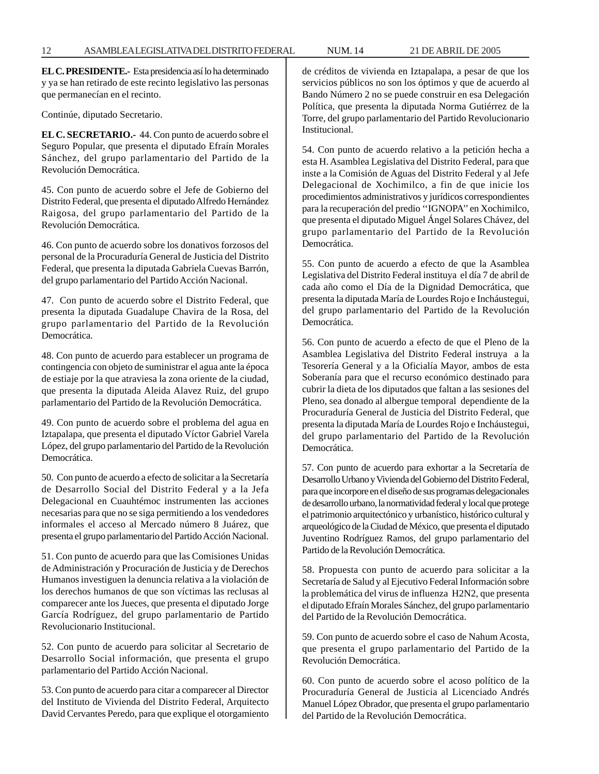**EL C. PRESIDENTE.-** Esta presidencia así lo ha determinado y ya se han retirado de este recinto legislativo las personas que permanecían en el recinto.

Continúe, diputado Secretario.

**EL C. SECRETARIO.-** 44. Con punto de acuerdo sobre el Seguro Popular, que presenta el diputado Efraín Morales Sánchez, del grupo parlamentario del Partido de la Revolución Democrática.

45. Con punto de acuerdo sobre el Jefe de Gobierno del Distrito Federal, que presenta el diputado Alfredo Hernández Raigosa, del grupo parlamentario del Partido de la Revolución Democrática.

46. Con punto de acuerdo sobre los donativos forzosos del personal de la Procuraduría General de Justicia del Distrito Federal, que presenta la diputada Gabriela Cuevas Barrón, del grupo parlamentario del Partido Acción Nacional.

47. Con punto de acuerdo sobre el Distrito Federal, que presenta la diputada Guadalupe Chavira de la Rosa, del grupo parlamentario del Partido de la Revolución Democrática.

48. Con punto de acuerdo para establecer un programa de contingencia con objeto de suministrar el agua ante la época de estiaje por la que atraviesa la zona oriente de la ciudad, que presenta la diputada Aleida Alavez Ruiz, del grupo parlamentario del Partido de la Revolución Democrática.

49. Con punto de acuerdo sobre el problema del agua en Iztapalapa, que presenta el diputado Víctor Gabriel Varela López, del grupo parlamentario del Partido de la Revolución Democrática.

50. Con punto de acuerdo a efecto de solicitar a la Secretaría de Desarrollo Social del Distrito Federal y a la Jefa Delegacional en Cuauhtémoc instrumenten las acciones necesarias para que no se siga permitiendo a los vendedores informales el acceso al Mercado número 8 Juárez, que presenta el grupo parlamentario del Partido Acción Nacional.

51. Con punto de acuerdo para que las Comisiones Unidas de Administración y Procuración de Justicia y de Derechos Humanos investiguen la denuncia relativa a la violación de los derechos humanos de que son víctimas las reclusas al comparecer ante los Jueces, que presenta el diputado Jorge García Rodríguez, del grupo parlamentario de Partido Revolucionario Institucional.

52. Con punto de acuerdo para solicitar al Secretario de Desarrollo Social información, que presenta el grupo parlamentario del Partido Acción Nacional.

53. Con punto de acuerdo para citar a comparecer al Director del Instituto de Vivienda del Distrito Federal, Arquitecto David Cervantes Peredo, para que explique el otorgamiento

de créditos de vivienda en Iztapalapa, a pesar de que los servicios públicos no son los óptimos y que de acuerdo al Bando Número 2 no se puede construir en esa Delegación Política, que presenta la diputada Norma Gutiérrez de la Torre, del grupo parlamentario del Partido Revolucionario Institucional.

54. Con punto de acuerdo relativo a la petición hecha a esta H. Asamblea Legislativa del Distrito Federal, para que inste a la Comisión de Aguas del Distrito Federal y al Jefe Delegacional de Xochimilco, a fin de que inicie los procedimientos administrativos y jurídicos correspondientes para la recuperación del predio ''IGNOPA'' en Xochimilco, que presenta el diputado Miguel Ángel Solares Chávez, del grupo parlamentario del Partido de la Revolución Democrática.

55. Con punto de acuerdo a efecto de que la Asamblea Legislativa del Distrito Federal instituya el día 7 de abril de cada año como el Día de la Dignidad Democrática, que presenta la diputada María de Lourdes Rojo e Incháustegui, del grupo parlamentario del Partido de la Revolución Democrática.

56. Con punto de acuerdo a efecto de que el Pleno de la Asamblea Legislativa del Distrito Federal instruya a la Tesorería General y a la Oficialía Mayor, ambos de esta Soberanía para que el recurso económico destinado para cubrir la dieta de los diputados que faltan a las sesiones del Pleno, sea donado al albergue temporal dependiente de la Procuraduría General de Justicia del Distrito Federal, que presenta la diputada María de Lourdes Rojo e Incháustegui, del grupo parlamentario del Partido de la Revolución Democrática.

57. Con punto de acuerdo para exhortar a la Secretaría de Desarrollo Urbano y Vivienda del Gobierno del Distrito Federal, para que incorpore en el diseño de sus programas delegacionales de desarrollo urbano, la normatividad federal y local que protege el patrimonio arquitectónico y urbanístico, histórico cultural y arqueológico de la Ciudad de México, que presenta el diputado Juventino Rodríguez Ramos, del grupo parlamentario del Partido de la Revolución Democrática.

58. Propuesta con punto de acuerdo para solicitar a la Secretaría de Salud y al Ejecutivo Federal Información sobre la problemática del virus de influenza H2N2, que presenta el diputado Efraín Morales Sánchez, del grupo parlamentario del Partido de la Revolución Democrática.

59. Con punto de acuerdo sobre el caso de Nahum Acosta, que presenta el grupo parlamentario del Partido de la Revolución Democrática.

60. Con punto de acuerdo sobre el acoso político de la Procuraduría General de Justicia al Licenciado Andrés Manuel López Obrador, que presenta el grupo parlamentario del Partido de la Revolución Democrática.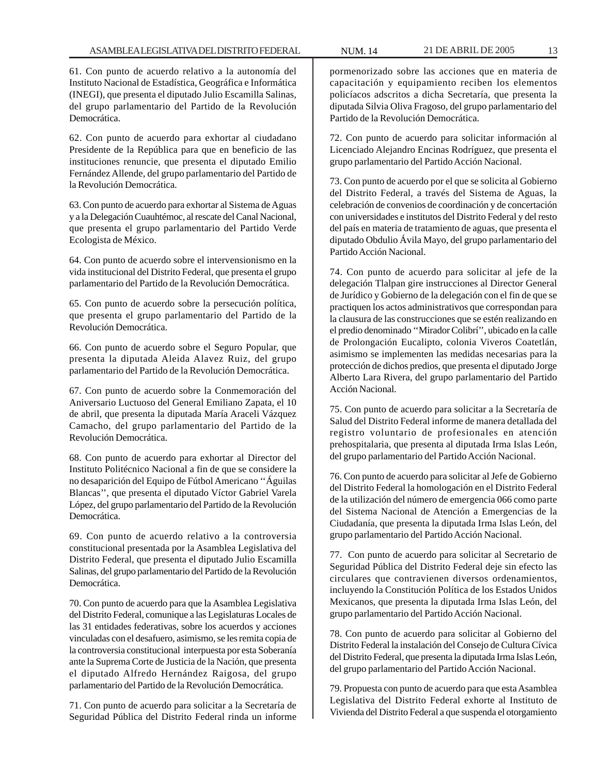61. Con punto de acuerdo relativo a la autonomía del Instituto Nacional de Estadística, Geográfica e Informática (INEGI), que presenta el diputado Julio Escamilla Salinas, del grupo parlamentario del Partido de la Revolución Democrática.

62. Con punto de acuerdo para exhortar al ciudadano Presidente de la República para que en beneficio de las instituciones renuncie, que presenta el diputado Emilio Fernández Allende, del grupo parlamentario del Partido de la Revolución Democrática.

63. Con punto de acuerdo para exhortar al Sistema de Aguas y a la Delegación Cuauhtémoc, al rescate del Canal Nacional, que presenta el grupo parlamentario del Partido Verde Ecologista de México.

64. Con punto de acuerdo sobre el intervensionismo en la vida institucional del Distrito Federal, que presenta el grupo parlamentario del Partido de la Revolución Democrática.

65. Con punto de acuerdo sobre la persecución política, que presenta el grupo parlamentario del Partido de la Revolución Democrática.

66. Con punto de acuerdo sobre el Seguro Popular, que presenta la diputada Aleida Alavez Ruiz, del grupo parlamentario del Partido de la Revolución Democrática.

67. Con punto de acuerdo sobre la Conmemoración del Aniversario Luctuoso del General Emiliano Zapata, el 10 de abril, que presenta la diputada María Araceli Vázquez Camacho, del grupo parlamentario del Partido de la Revolución Democrática.

68. Con punto de acuerdo para exhortar al Director del Instituto Politécnico Nacional a fin de que se considere la no desaparición del Equipo de Fútbol Americano ''Águilas Blancas'', que presenta el diputado Víctor Gabriel Varela López, del grupo parlamentario del Partido de la Revolución Democrática.

69. Con punto de acuerdo relativo a la controversia constitucional presentada por la Asamblea Legislativa del Distrito Federal, que presenta el diputado Julio Escamilla Salinas, del grupo parlamentario del Partido de la Revolución Democrática.

70. Con punto de acuerdo para que la Asamblea Legislativa del Distrito Federal, comunique a las Legislaturas Locales de las 31 entidades federativas, sobre los acuerdos y acciones vinculadas con el desafuero, asimismo, se les remita copia de la controversia constitucional interpuesta por esta Soberanía ante la Suprema Corte de Justicia de la Nación, que presenta el diputado Alfredo Hernández Raigosa, del grupo parlamentario del Partido de la Revolución Democrática.

71. Con punto de acuerdo para solicitar a la Secretaría de Seguridad Pública del Distrito Federal rinda un informe

pormenorizado sobre las acciones que en materia de capacitación y equipamiento reciben los elementos policíacos adscritos a dicha Secretaría, que presenta la diputada Silvia Oliva Fragoso, del grupo parlamentario del Partido de la Revolución Democrática.

72. Con punto de acuerdo para solicitar información al Licenciado Alejandro Encinas Rodríguez, que presenta el grupo parlamentario del Partido Acción Nacional.

73. Con punto de acuerdo por el que se solicita al Gobierno del Distrito Federal, a través del Sistema de Aguas, la celebración de convenios de coordinación y de concertación con universidades e institutos del Distrito Federal y del resto del país en materia de tratamiento de aguas, que presenta el diputado Obdulio Ávila Mayo, del grupo parlamentario del Partido Acción Nacional.

74. Con punto de acuerdo para solicitar al jefe de la delegación Tlalpan gire instrucciones al Director General de Jurídico y Gobierno de la delegación con el fin de que se practiquen los actos administrativos que correspondan para la clausura de las construcciones que se estén realizando en el predio denominado ''Mirador Colibrí'', ubicado en la calle de Prolongación Eucalipto, colonia Viveros Coatetlán, asimismo se implementen las medidas necesarias para la protección de dichos predios, que presenta el diputado Jorge Alberto Lara Rivera, del grupo parlamentario del Partido Acción Nacional.

75. Con punto de acuerdo para solicitar a la Secretaría de Salud del Distrito Federal informe de manera detallada del registro voluntario de profesionales en atención prehospitalaria, que presenta al diputada Irma Islas León, del grupo parlamentario del Partido Acción Nacional.

76. Con punto de acuerdo para solicitar al Jefe de Gobierno del Distrito Federal la homologación en el Distrito Federal de la utilización del número de emergencia 066 como parte del Sistema Nacional de Atención a Emergencias de la Ciudadanía, que presenta la diputada Irma Islas León, del grupo parlamentario del Partido Acción Nacional.

77. Con punto de acuerdo para solicitar al Secretario de Seguridad Pública del Distrito Federal deje sin efecto las circulares que contravienen diversos ordenamientos, incluyendo la Constitución Política de los Estados Unidos Mexicanos, que presenta la diputada Irma Islas León, del grupo parlamentario del Partido Acción Nacional.

78. Con punto de acuerdo para solicitar al Gobierno del Distrito Federal la instalación del Consejo de Cultura Cívica del Distrito Federal, que presenta la diputada Irma Islas León, del grupo parlamentario del Partido Acción Nacional.

79. Propuesta con punto de acuerdo para que esta Asamblea Legislativa del Distrito Federal exhorte al Instituto de Vivienda del Distrito Federal a que suspenda el otorgamiento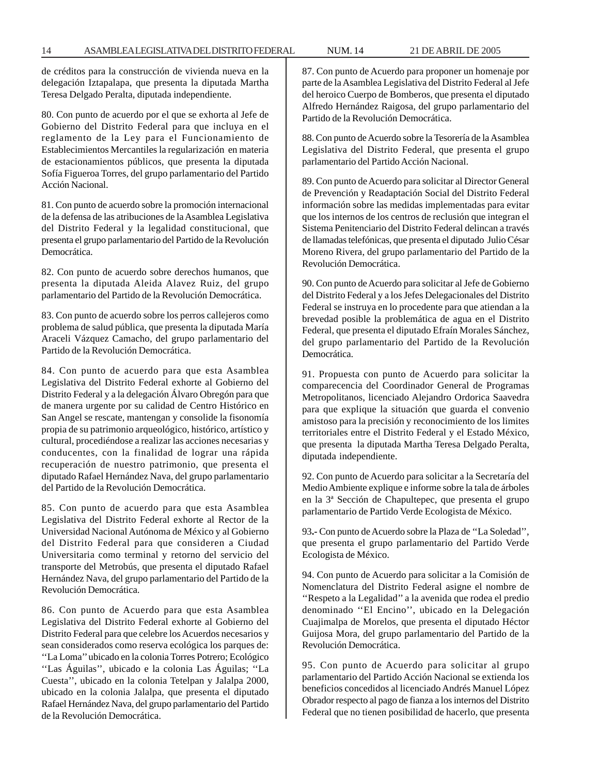de créditos para la construcción de vivienda nueva en la delegación Iztapalapa, que presenta la diputada Martha Teresa Delgado Peralta, diputada independiente.

80. Con punto de acuerdo por el que se exhorta al Jefe de Gobierno del Distrito Federal para que incluya en el reglamento de la Ley para el Funcionamiento de Establecimientos Mercantiles la regularización en materia de estacionamientos públicos, que presenta la diputada Sofía Figueroa Torres, del grupo parlamentario del Partido Acción Nacional.

81. Con punto de acuerdo sobre la promoción internacional de la defensa de las atribuciones de la Asamblea Legislativa del Distrito Federal y la legalidad constitucional, que presenta el grupo parlamentario del Partido de la Revolución Democrática.

82. Con punto de acuerdo sobre derechos humanos, que presenta la diputada Aleida Alavez Ruiz, del grupo parlamentario del Partido de la Revolución Democrática.

83. Con punto de acuerdo sobre los perros callejeros como problema de salud pública, que presenta la diputada María Araceli Vázquez Camacho, del grupo parlamentario del Partido de la Revolución Democrática.

84. Con punto de acuerdo para que esta Asamblea Legislativa del Distrito Federal exhorte al Gobierno del Distrito Federal y a la delegación Álvaro Obregón para que de manera urgente por su calidad de Centro Histórico en San Angel se rescate, mantengan y consolide la fisonomía propia de su patrimonio arqueológico, histórico, artístico y cultural, procediéndose a realizar las acciones necesarias y conducentes, con la finalidad de lograr una rápida recuperación de nuestro patrimonio, que presenta el diputado Rafael Hernández Nava, del grupo parlamentario del Partido de la Revolución Democrática.

85. Con punto de acuerdo para que esta Asamblea Legislativa del Distrito Federal exhorte al Rector de la Universidad Nacional Autónoma de México y al Gobierno del Distrito Federal para que consideren a Ciudad Universitaria como terminal y retorno del servicio del transporte del Metrobús, que presenta el diputado Rafael Hernández Nava, del grupo parlamentario del Partido de la Revolución Democrática.

86. Con punto de Acuerdo para que esta Asamblea Legislativa del Distrito Federal exhorte al Gobierno del Distrito Federal para que celebre los Acuerdos necesarios y sean considerados como reserva ecológica los parques de: ''La Loma'' ubicado en la colonia Torres Potrero; Ecológico ''Las Águilas'', ubicado e la colonia Las Águilas; ''La Cuesta'', ubicado en la colonia Tetelpan y Jalalpa 2000, ubicado en la colonia Jalalpa, que presenta el diputado Rafael Hernández Nava, del grupo parlamentario del Partido de la Revolución Democrática.

87. Con punto de Acuerdo para proponer un homenaje por parte de la Asamblea Legislativa del Distrito Federal al Jefe del heroico Cuerpo de Bomberos, que presenta el diputado Alfredo Hernández Raigosa, del grupo parlamentario del Partido de la Revolución Democrática.

88. Con punto de Acuerdo sobre la Tesorería de la Asamblea Legislativa del Distrito Federal, que presenta el grupo parlamentario del Partido Acción Nacional.

89. Con punto de Acuerdo para solicitar al Director General de Prevención y Readaptación Social del Distrito Federal información sobre las medidas implementadas para evitar que los internos de los centros de reclusión que integran el Sistema Penitenciario del Distrito Federal delincan a través de llamadas telefónicas, que presenta el diputado Julio César Moreno Rivera, del grupo parlamentario del Partido de la Revolución Democrática.

90. Con punto de Acuerdo para solicitar al Jefe de Gobierno del Distrito Federal y a los Jefes Delegacionales del Distrito Federal se instruya en lo procedente para que atiendan a la brevedad posible la problemática de agua en el Distrito Federal, que presenta el diputado Efraín Morales Sánchez, del grupo parlamentario del Partido de la Revolución Democrática.

91. Propuesta con punto de Acuerdo para solicitar la comparecencia del Coordinador General de Programas Metropolitanos, licenciado Alejandro Ordorica Saavedra para que explique la situación que guarda el convenio amistoso para la precisión y reconocimiento de los limites territoriales entre el Distrito Federal y el Estado México, que presenta la diputada Martha Teresa Delgado Peralta, diputada independiente.

92. Con punto de Acuerdo para solicitar a la Secretaría del Medio Ambiente explique e informe sobre la tala de árboles en la 3ª Sección de Chapultepec, que presenta el grupo parlamentario de Partido Verde Ecologista de México.

93**.-** Con punto de Acuerdo sobre la Plaza de ''La Soledad'', que presenta el grupo parlamentario del Partido Verde Ecologista de México.

94. Con punto de Acuerdo para solicitar a la Comisión de Nomenclatura del Distrito Federal asigne el nombre de ''Respeto a la Legalidad'' a la avenida que rodea el predio denominado ''El Encino'', ubicado en la Delegación Cuajimalpa de Morelos, que presenta el diputado Héctor Guijosa Mora, del grupo parlamentario del Partido de la Revolución Democrática.

95. Con punto de Acuerdo para solicitar al grupo parlamentario del Partido Acción Nacional se extienda los beneficios concedidos al licenciado Andrés Manuel López Obrador respecto al pago de fianza a los internos del Distrito Federal que no tienen posibilidad de hacerlo, que presenta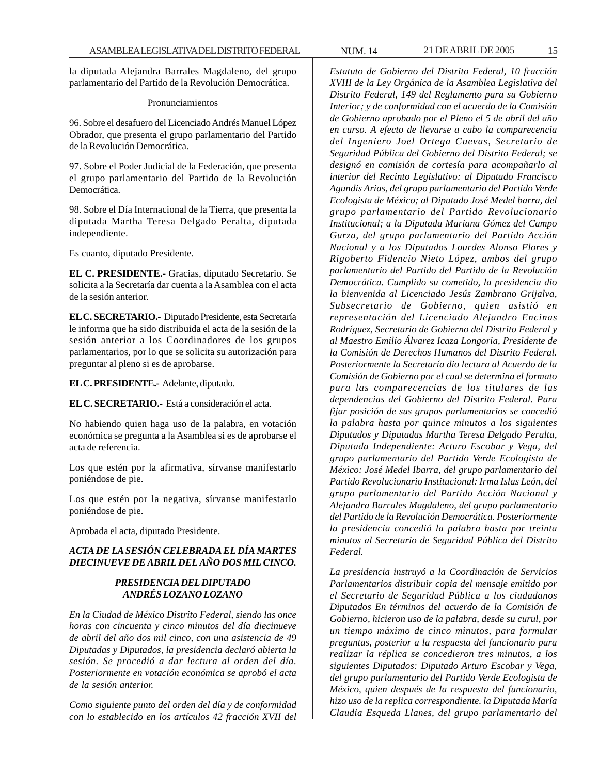la diputada Alejandra Barrales Magdaleno, del grupo parlamentario del Partido de la Revolución Democrática.

#### Pronunciamientos

96. Sobre el desafuero del Licenciado Andrés Manuel López Obrador, que presenta el grupo parlamentario del Partido de la Revolución Democrática.

97. Sobre el Poder Judicial de la Federación, que presenta el grupo parlamentario del Partido de la Revolución Democrática.

98. Sobre el Día Internacional de la Tierra, que presenta la diputada Martha Teresa Delgado Peralta, diputada independiente.

Es cuanto, diputado Presidente.

**EL C. PRESIDENTE.-** Gracias, diputado Secretario. Se solicita a la Secretaría dar cuenta a la Asamblea con el acta de la sesión anterior.

**EL C. SECRETARIO.-** Diputado Presidente, esta Secretaría le informa que ha sido distribuida el acta de la sesión de la sesión anterior a los Coordinadores de los grupos parlamentarios, por lo que se solicita su autorización para preguntar al pleno si es de aprobarse.

**EL C. PRESIDENTE.-** Adelante, diputado.

**EL C. SECRETARIO.-** Está a consideración el acta.

No habiendo quien haga uso de la palabra, en votación económica se pregunta a la Asamblea si es de aprobarse el acta de referencia.

Los que estén por la afirmativa, sírvanse manifestarlo poniéndose de pie.

Los que estén por la negativa, sírvanse manifestarlo poniéndose de pie.

Aprobada el acta, diputado Presidente.

# *ACTA DE LA SESIÓN CELEBRADA EL DÍA MARTES DIECINUEVE DE ABRIL DEL AÑO DOS MIL CINCO.*

# *PRESIDENCIA DEL DIPUTADO ANDRÉS LOZANO LOZANO*

*En la Ciudad de México Distrito Federal, siendo las once horas con cincuenta y cinco minutos del día diecinueve de abril del año dos mil cinco, con una asistencia de 49 Diputadas y Diputados, la presidencia declaró abierta la sesión. Se procedió a dar lectura al orden del día. Posteriormente en votación económica se aprobó el acta de la sesión anterior.*

*Como siguiente punto del orden del día y de conformidad con lo establecido en los artículos 42 fracción XVII del*

*Estatuto de Gobierno del Distrito Federal, 10 fracción XVIII de la Ley Orgánica de la Asamblea Legislativa del Distrito Federal, 149 del Reglamento para su Gobierno Interior; y de conformidad con el acuerdo de la Comisión de Gobierno aprobado por el Pleno el 5 de abril del año en curso. A efecto de llevarse a cabo la comparecencia del Ingeniero Joel Ortega Cuevas, Secretario de Seguridad Pública del Gobierno del Distrito Federal; se designó en comisión de cortesía para acompañarlo al interior del Recinto Legislativo: al Diputado Francisco Agundis Arias, del grupo parlamentario del Partido Verde Ecologista de México; al Diputado José Medel barra, del grupo parlamentario del Partido Revolucionario Institucional; a la Diputada Mariana Gómez del Campo Gurza, del grupo parlamentario del Partido Acción Nacional y a los Diputados Lourdes Alonso Flores y Rigoberto Fidencio Nieto López, ambos del grupo parlamentario del Partido del Partido de la Revolución Democrática. Cumplido su cometido, la presidencia dio la bienvenida al Licenciado Jesús Zambrano Grijalva, Subsecretario de Gobierno, quien asistió en representación del Licenciado Alejandro Encinas Rodríguez, Secretario de Gobierno del Distrito Federal y al Maestro Emilio Álvarez Icaza Longoria, Presidente de la Comisión de Derechos Humanos del Distrito Federal. Posteriormente la Secretaría dio lectura al Acuerdo de la Comisión de Gobierno por el cual se determina el formato para las comparecencias de los titulares de las dependencias del Gobierno del Distrito Federal. Para fijar posición de sus grupos parlamentarios se concedió la palabra hasta por quince minutos a los siguientes Diputados y Diputadas Martha Teresa Delgado Peralta, Diputada Independiente: Arturo Escobar y Vega, del grupo parlamentario del Partido Verde Ecologista de México: José Medel Ibarra, del grupo parlamentario del Partido Revolucionario Institucional: Irma Islas León, del grupo parlamentario del Partido Acción Nacional y Alejandra Barrales Magdaleno, del grupo parlamentario del Partido de la Revolución Democrática. Posteriormente la presidencia concedió la palabra hasta por treinta minutos al Secretario de Seguridad Pública del Distrito Federal.*

*La presidencia instruyó a la Coordinación de Servicios Parlamentarios distribuir copia del mensaje emitido por el Secretario de Seguridad Pública a los ciudadanos Diputados En términos del acuerdo de la Comisión de Gobierno, hicieron uso de la palabra, desde su curul, por un tiempo máximo de cinco minutos, para formular preguntas, posterior a la respuesta del funcionario para realizar la réplica se concedieron tres minutos, a los siguientes Diputados: Diputado Arturo Escobar y Vega, del grupo parlamentario del Partido Verde Ecologista de México, quien después de la respuesta del funcionario, hizo uso de la replica correspondiente. la Diputada María Claudia Esqueda Llanes, del grupo parlamentario del*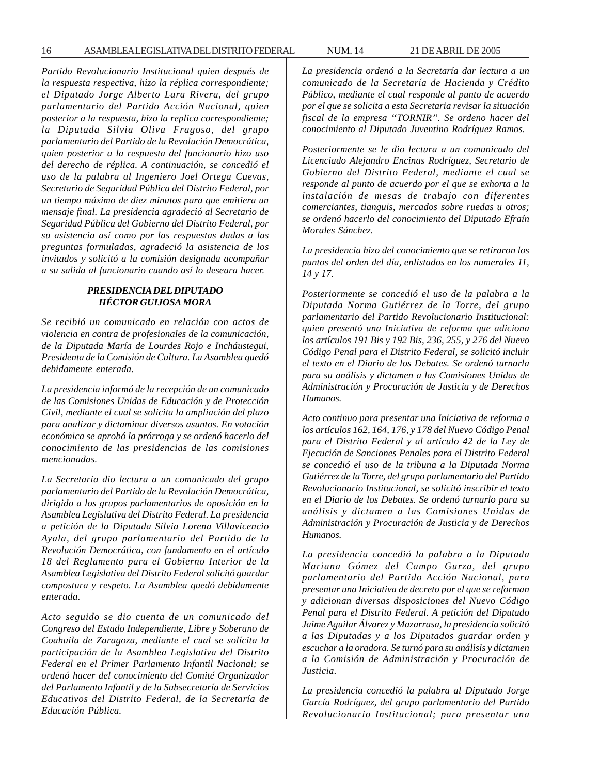*Partido Revolucionario Institucional quien después de la respuesta respectiva, hizo la réplica correspondiente; el Diputado Jorge Alberto Lara Rivera, del grupo parlamentario del Partido Acción Nacional, quien posterior a la respuesta, hizo la replica correspondiente; la Diputada Silvia Oliva Fragoso, del grupo parlamentario del Partido de la Revolución Democrática, quien posterior a la respuesta del funcionario hizo uso del derecho de réplica. A continuación, se concedió el uso de la palabra al Ingeniero Joel Ortega Cuevas, Secretario de Seguridad Pública del Distrito Federal, por un tiempo máximo de diez minutos para que emitiera un mensaje final. La presidencia agradeció al Secretario de Seguridad Pública del Gobierno del Distrito Federal, por su asistencia así como por las respuestas dadas a las preguntas formuladas, agradeció la asistencia de los invitados y solicitó a la comisión designada acompañar a su salida al funcionario cuando así lo deseara hacer.*

# *PRESIDENCIA DEL DIPUTADO HÉCTOR GUIJOSA MORA*

*Se recibió un comunicado en relación con actos de violencia en contra de profesionales de la comunicación, de la Diputada María de Lourdes Rojo e Incháustegui, Presidenta de la Comisión de Cultura. La Asamblea quedó debidamente enterada.*

*La presidencia informó de la recepción de un comunicado de las Comisiones Unidas de Educación y de Protección Civil, mediante el cual se solicita la ampliación del plazo para analizar y dictaminar diversos asuntos. En votación económica se aprobó la prórroga y se ordenó hacerlo del conocimiento de las presidencias de las comisiones mencionadas.*

*La Secretaria dio lectura a un comunicado del grupo parlamentario del Partido de la Revolución Democrática, dirigido a los grupos parlamentarios de oposición en la Asamblea Legislativa del Distrito Federal. La presidencia a petición de la Diputada Silvia Lorena Villavicencio Ayala, del grupo parlamentario del Partido de la Revolución Democrática, con fundamento en el artículo 18 del Reglamento para el Gobierno Interior de la Asamblea Legislativa del Distrito Federal solicitó guardar compostura y respeto. La Asamblea quedó debidamente enterada.*

*Acto seguido se dio cuenta de un comunicado del Congreso del Estado Independiente, Libre y Soberano de Coahuila de Zaragoza, mediante el cual se solícita la participación de la Asamblea Legislativa del Distrito Federal en el Primer Parlamento Infantil Nacional; se ordenó hacer del conocimiento del Comité Organizador del Parlamento Infantil y de la Subsecretaría de Servicios Educativos del Distrito Federal, de la Secretaría de Educación Pública.*

*La presidencia ordenó a la Secretaría dar lectura a un comunicado de la Secretaría de Hacienda y Crédito Público, mediante el cual responde al punto de acuerdo por el que se solicita a esta Secretaria revisar la situación fiscal de la empresa ''TORNIR''. Se ordeno hacer del conocimiento al Diputado Juventino Rodríguez Ramos.*

*Posteriormente se le dio lectura a un comunicado del Licenciado Alejandro Encinas Rodríguez, Secretario de Gobierno del Distrito Federal, mediante el cual se responde al punto de acuerdo por el que se exhorta a la instalación de mesas de trabajo con diferentes comerciantes, tianguis, mercados sobre ruedas u otros; se ordenó hacerlo del conocimiento del Diputado Efraín Morales Sánchez.*

*La presidencia hizo del conocimiento que se retiraron los puntos del orden del día, enlistados en los numerales 11, 14 y 17.*

*Posteriormente se concedió el uso de la palabra a la Diputada Norma Gutiérrez de la Torre, del grupo parlamentario del Partido Revolucionario Institucional: quien presentó una Iniciativa de reforma que adiciona los artículos 191 Bis y 192 Bis, 236, 255, y 276 del Nuevo Código Penal para el Distrito Federal, se solicitó incluir el texto en el Diario de los Debates. Se ordenó turnarla para su análisis y dictamen a las Comisiones Unidas de Administración y Procuración de Justicia y de Derechos Humanos.*

*Acto continuo para presentar una Iniciativa de reforma a los artículos 162, 164, 176, y 178 del Nuevo Código Penal para el Distrito Federal y al artículo 42 de la Ley de Ejecución de Sanciones Penales para el Distrito Federal se concedió el uso de la tribuna a la Diputada Norma Gutiérrez de la Torre, del grupo parlamentario del Partido Revolucionario Institucional, se solicitó inscribir el texto en el Diario de los Debates. Se ordenó turnarlo para su análisis y dictamen a las Comisiones Unidas de Administración y Procuración de Justicia y de Derechos Humanos.*

*La presidencia concedió la palabra a la Diputada Mariana Gómez del Campo Gurza, del grupo parlamentario del Partido Acción Nacional, para presentar una Iniciativa de decreto por el que se reforman y adicionan diversas disposiciones del Nuevo Código Penal para el Distrito Federal. A petición del Diputado Jaime Aguilar Álvarez y Mazarrasa, la presidencia solicitó a las Diputadas y a los Diputados guardar orden y escuchar a la oradora. Se turnó para su análisis y dictamen a la Comisión de Administración y Procuración de Justicia.*

*La presidencia concedió la palabra al Diputado Jorge García Rodríguez, del grupo parlamentario del Partido Revolucionario Institucional; para presentar una*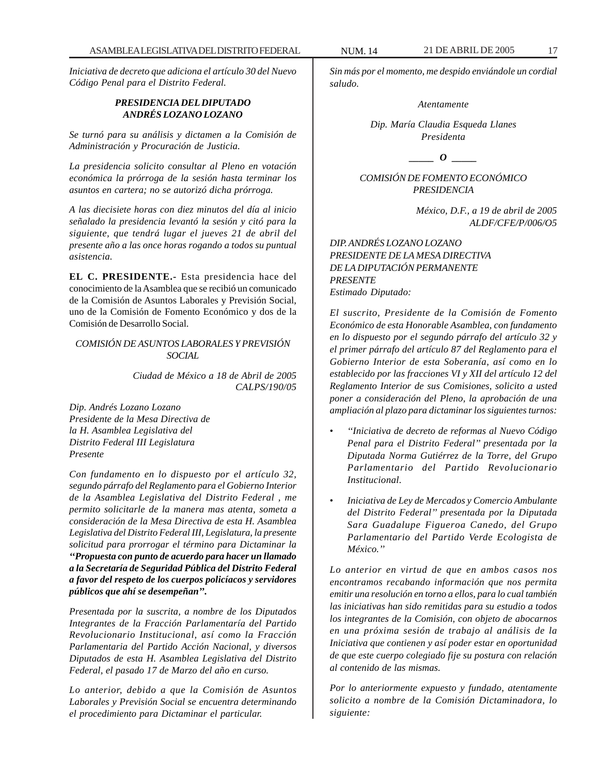*Iniciativa de decreto que adiciona el artículo 30 del Nuevo Código Penal para el Distrito Federal.*

# *PRESIDENCIA DEL DIPUTADO ANDRÉS LOZANO LOZANO*

*Se turnó para su análisis y dictamen a la Comisión de Administración y Procuración de Justicia.*

*La presidencia solicito consultar al Pleno en votación económica la prórroga de la sesión hasta terminar los asuntos en cartera; no se autorizó dicha prórroga.*

*A las diecisiete horas con diez minutos del día al inicio señalado la presidencia levantó la sesión y citó para la siguiente, que tendrá lugar el jueves 21 de abril del presente año a las once horas rogando a todos su puntual asistencia.*

**EL C. PRESIDENTE.-** Esta presidencia hace del conocimiento de la Asamblea que se recibió un comunicado de la Comisión de Asuntos Laborales y Previsión Social, uno de la Comisión de Fomento Económico y dos de la Comisión de Desarrollo Social.

*COMISIÓN DE ASUNTOS LABORALES Y PREVISIÓN SOCIAL*

> *Ciudad de México a 18 de Abril de 2005 CALPS/190/05*

*Dip. Andrés Lozano Lozano Presidente de la Mesa Directiva de la H. Asamblea Legislativa del Distrito Federal III Legislatura Presente*

*Con fundamento en lo dispuesto por el artículo 32, segundo párrafo del Reglamento para el Gobierno Interior de la Asamblea Legislativa del Distrito Federal , me permito solicitarle de la manera mas atenta, someta a consideración de la Mesa Directiva de esta H. Asamblea Legislativa del Distrito Federal III, Legislatura, la presente solicitud para prorrogar el término para Dictaminar la ''Propuesta con punto de acuerdo para hacer un llamado a la Secretaría de Seguridad Pública del Distrito Federal a favor del respeto de los cuerpos policíacos y servidores públicos que ahí se desempeñan''.*

*Presentada por la suscrita, a nombre de los Diputados Integrantes de la Fracción Parlamentaría del Partido Revolucionario Institucional, así como la Fracción Parlamentaria del Partido Acción Nacional, y diversos Diputados de esta H. Asamblea Legislativa del Distrito Federal, el pasado 17 de Marzo del año en curso.*

*Lo anterior, debido a que la Comisión de Asuntos Laborales y Previsión Social se encuentra determinando el procedimiento para Dictaminar el particular.*

*Sin más por el momento, me despido enviándole un cordial saludo.*

*Atentamente*

*Dip. María Claudia Esqueda Llanes Presidenta*

*\_\_\_\_\_ O \_\_\_\_\_*

*COMISIÓN DE FOMENTO ECONÓMICO PRESIDENCIA*

> *México, D.F., a 19 de abril de 2005 ALDF/CFE/P/006/O5*

*DIP. ANDRÉS LOZANO LOZANO PRESIDENTE DE LA MESA DIRECTIVA DE LA DIPUTACIÓN PERMANENTE PRESENTE Estimado Diputado:*

*El suscrito, Presidente de la Comisión de Fomento Económico de esta Honorable Asamblea, con fundamento en lo dispuesto por el segundo párrafo del artículo 32 y el primer párrafo del artículo 87 del Reglamento para el Gobierno Interior de esta Soberanía, así como en lo establecido por las fracciones VI y XII del artículo 12 del Reglamento Interior de sus Comisiones, solicito a usted poner a consideración del Pleno, la aprobación de una ampliación al plazo para dictaminar los siguientes turnos:*

- *''Iniciativa de decreto de reformas al Nuevo Código Penal para el Distrito Federal'' presentada por la Diputada Norma Gutiérrez de la Torre, del Grupo Parlamentario del Partido Revolucionario Institucional.*
- *Iniciativa de Ley de Mercados y Comercio Ambulante del Distrito Federal'' presentada por la Diputada Sara Guadalupe Figueroa Canedo, del Grupo Parlamentario del Partido Verde Ecologista de México.''*

*Lo anterior en virtud de que en ambos casos nos encontramos recabando información que nos permita emitir una resolución en torno a ellos, para lo cual también las iniciativas han sido remitidas para su estudio a todos los integrantes de la Comisión, con objeto de abocarnos en una próxima sesión de trabajo al análisis de la Iniciativa que contienen y así poder estar en oportunidad de que este cuerpo colegiado fije su postura con relación al contenido de las mismas.*

*Por lo anteriormente expuesto y fundado, atentamente solicito a nombre de la Comisión Dictaminadora, lo siguiente:*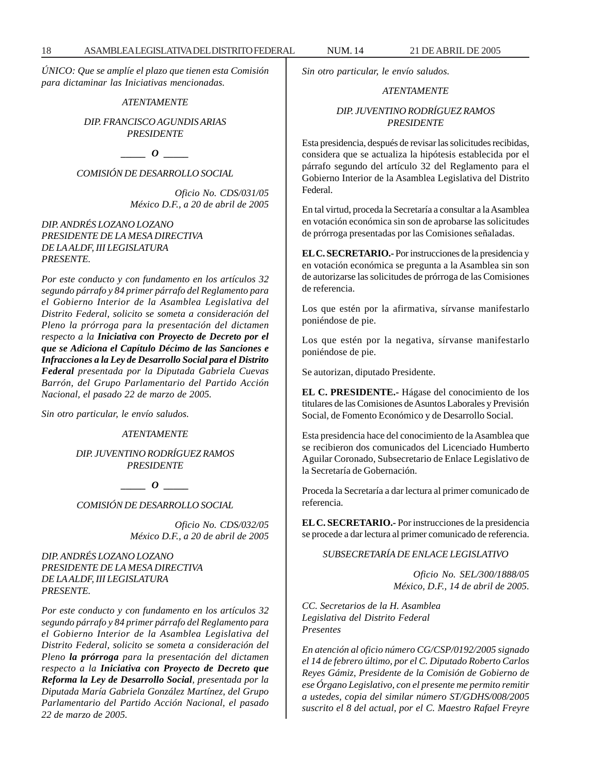*ÚNICO: Que se amplíe el plazo que tienen esta Comisión para dictaminar las Iniciativas mencionadas.*

# *ATENTAMENTE*

*DIP. FRANCISCO AGUNDIS ARIAS PRESIDENTE*

*\_\_\_\_\_ O \_\_\_\_\_*

*COMISIÓN DE DESARROLLO SOCIAL*

*Oficio No. CDS/031/05 México D.F., a 20 de abril de 2005*

*DIP. ANDRÉS LOZANO LOZANO PRESIDENTE DE LA MESA DIRECTIVA DE LA ALDF, III LEGISLATURA PRESENTE.*

*Por este conducto y con fundamento en los artículos 32 segundo párrafo y 84 primer párrafo del Reglamento para el Gobierno Interior de la Asamblea Legislativa del Distrito Federal, solicito se someta a consideración del Pleno la prórroga para la presentación del dictamen respecto a la Iniciativa con Proyecto de Decreto por el que se Adiciona el Capítulo Décimo de las Sanciones e Infracciones a la Ley de Desarrollo Social para el Distrito Federal presentada por la Diputada Gabriela Cuevas Barrón, del Grupo Parlamentario del Partido Acción Nacional, el pasado 22 de marzo de 2005.*

*Sin otro particular, le envío saludos.*

*ATENTAMENTE*

*DIP. JUVENTINO RODRÍGUEZ RAMOS PRESIDENTE*

*\_\_\_\_\_ O \_\_\_\_\_*

*COMISIÓN DE DESARROLLO SOCIAL*

*Oficio No. CDS/032/05 México D.F., a 20 de abril de 2005*

*DIP. ANDRÉS LOZANO LOZANO PRESIDENTE DE LA MESA DIRECTIVA DE LA ALDF, III LEGISLATURA PRESENTE.*

*Por este conducto y con fundamento en los artículos 32 segundo párrafo y 84 primer párrafo del Reglamento para el Gobierno Interior de la Asamblea Legislativa del Distrito Federal, solicito se someta a consideración del Pleno la prórroga para la presentación del dictamen respecto a la Iniciativa con Proyecto de Decreto que Reforma la Ley de Desarrollo Social, presentada por la Diputada María Gabriela González Martínez, del Grupo Parlamentario del Partido Acción Nacional, el pasado 22 de marzo de 2005.*

*Sin otro particular, le envío saludos.*

# *ATENTAMENTE*

# *DIP. JUVENTINO RODRÍGUEZ RAMOS PRESIDENTE*

Esta presidencia, después de revisar las solicitudes recibidas, considera que se actualiza la hipótesis establecida por el párrafo segundo del artículo 32 del Reglamento para el Gobierno Interior de la Asamblea Legislativa del Distrito Federal.

En tal virtud, proceda la Secretaría a consultar a la Asamblea en votación económica sin son de aprobarse las solicitudes de prórroga presentadas por las Comisiones señaladas.

**EL C. SECRETARIO.-** Por instrucciones de la presidencia y en votación económica se pregunta a la Asamblea sin son de autorizarse las solicitudes de prórroga de las Comisiones de referencia.

Los que estén por la afirmativa, sírvanse manifestarlo poniéndose de pie.

Los que estén por la negativa, sírvanse manifestarlo poniéndose de pie.

Se autorizan, diputado Presidente.

**EL C. PRESIDENTE.-** Hágase del conocimiento de los titulares de las Comisiones de Asuntos Laborales y Previsión Social, de Fomento Económico y de Desarrollo Social.

Esta presidencia hace del conocimiento de la Asamblea que se recibieron dos comunicados del Licenciado Humberto Aguilar Coronado, Subsecretario de Enlace Legislativo de la Secretaría de Gobernación.

Proceda la Secretaría a dar lectura al primer comunicado de referencia.

**EL C. SECRETARIO.-** Por instrucciones de la presidencia se procede a dar lectura al primer comunicado de referencia.

*SUBSECRETARÍA DE ENLACE LEGISLATIVO*

*Oficio No. SEL/300/1888/05 México, D.F., 14 de abril de 2005.*

*CC. Secretarios de la H. Asamblea Legislativa del Distrito Federal Presentes*

*En atención al oficio número CG/CSP/0192/2005 signado el 14 de febrero último, por el C. Diputado Roberto Carlos Reyes Gámiz, Presidente de la Comisión de Gobierno de ese Órgano Legislativo, con el presente me permito remitir a ustedes, copia del similar número ST/GDHS/008/2005 suscrito el 8 del actual, por el C. Maestro Rafael Freyre*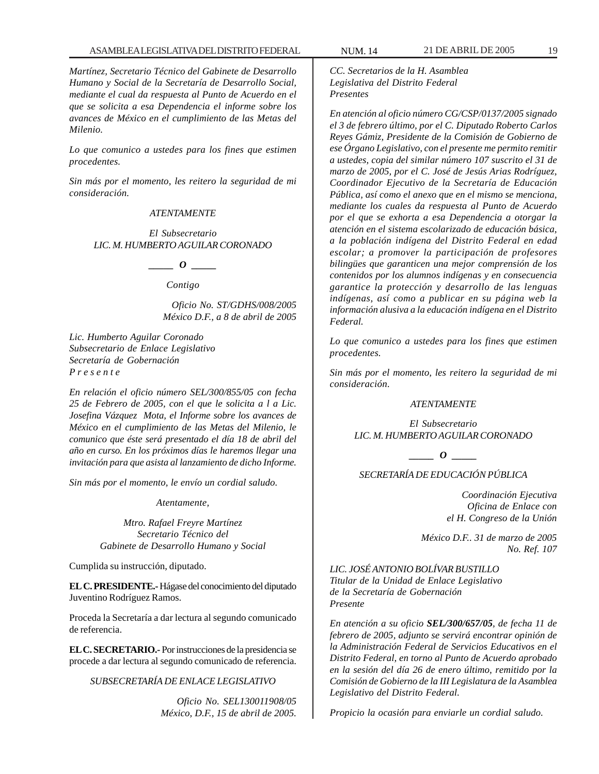*Martínez, Secretario Técnico del Gabinete de Desarrollo Humano y Social de la Secretaría de Desarrollo Social, mediante el cual da respuesta al Punto de Acuerdo en el que se solicita a esa Dependencia el informe sobre los avances de México en el cumplimiento de las Metas del Milenio.*

*Lo que comunico a ustedes para los fines que estimen procedentes.*

*Sin más por el momento, les reitero la seguridad de mi consideración.*

#### *ATENTAMENTE*

*El Subsecretario LIC. M. HUMBERTO AGUILAR CORONADO*

*\_\_\_\_\_ O \_\_\_\_\_*

*Contigo*

*Oficio No. ST/GDHS/008/2005 México D.F., a 8 de abril de 2005*

*Lic. Humberto Aguilar Coronado Subsecretario de Enlace Legislativo Secretaría de Gobernación P r e s e n t e*

*En relación el oficio número SEL/300/855/05 con fecha 25 de Febrero de 2005, con el que le solicita a l a Lic. Josefina Vázquez Mota, el Informe sobre los avances de México en el cumplimiento de las Metas del Milenio, le comunico que éste será presentado el día 18 de abril del año en curso. En los próximos días le haremos llegar una invitación para que asista al lanzamiento de dicho Informe.*

*Sin más por el momento, le envío un cordial saludo.*

*Atentamente,*

*Mtro. Rafael Freyre Martínez Secretario Técnico del Gabinete de Desarrollo Humano y Social*

Cumplida su instrucción, diputado.

**EL C. PRESIDENTE.-** Hágase del conocimiento del diputado Juventino Rodríguez Ramos.

Proceda la Secretaría a dar lectura al segundo comunicado de referencia.

**EL C. SECRETARIO.-** Por instrucciones de la presidencia se procede a dar lectura al segundo comunicado de referencia.

*SUBSECRETARÍA DE ENLACE LEGISLATIVO*

*Oficio No. SEL130011908/05 México, D.F., 15 de abril de 2005.* *CC. Secretarios de la H. Asamblea Legislativa del Distrito Federal Presentes*

*En atención al oficio número CG/CSP/0137/2005 signado el 3 de febrero último, por el C. Diputado Roberto Carlos Reyes Gámiz, Presidente de la Comisión de Gobierno de ese Órgano Legislativo, con el presente me permito remitir a ustedes, copia del similar número 107 suscrito el 31 de marzo de 2005, por el C. José de Jesús Arias Rodríguez, Coordinador Ejecutivo de la Secretaría de Educación Pública, así como el anexo que en el mismo se menciona, mediante los cuales da respuesta al Punto de Acuerdo por el que se exhorta a esa Dependencia a otorgar la atención en el sistema escolarizado de educación básica, a la población indígena del Distrito Federal en edad escolar; a promover la participación de profesores bilingües que garanticen una mejor comprensión de los contenidos por los alumnos indígenas y en consecuencia garantice la protección y desarrollo de las lenguas indígenas, así como a publicar en su página web la información alusiva a la educación indígena en el Distrito Federal.*

*Lo que comunico a ustedes para los fines que estimen procedentes.*

*Sin más por el momento, les reitero la seguridad de mi consideración.*

# *ATENTAMENTE*

*El Subsecretario LIC. M. HUMBERTO AGUILAR CORONADO*

*\_\_\_\_\_ O \_\_\_\_\_*

# *SECRETARÍA DE EDUCACIÓN PÚBLICA*

*Coordinación Ejecutiva Oficina de Enlace con el H. Congreso de la Unión*

*México D.F.. 31 de marzo de 2005 No. Ref. 107*

*LIC. JOSÉ ANTONIO BOLÍVAR BUSTILLO Titular de la Unidad de Enlace Legislativo de la Secretaría de Gobernación Presente*

*En atención a su oficio SEL/300/657/05, de fecha 11 de febrero de 2005, adjunto se servirá encontrar opinión de la Administración Federal de Servicios Educativos en el Distrito Federal, en torno al Punto de Acuerdo aprobado en la sesión del día 26 de enero último, remitido por la Comisión de Gobierno de la III Legislatura de la Asamblea Legislativo del Distrito Federal.*

*Propicio la ocasión para enviarle un cordial saludo.*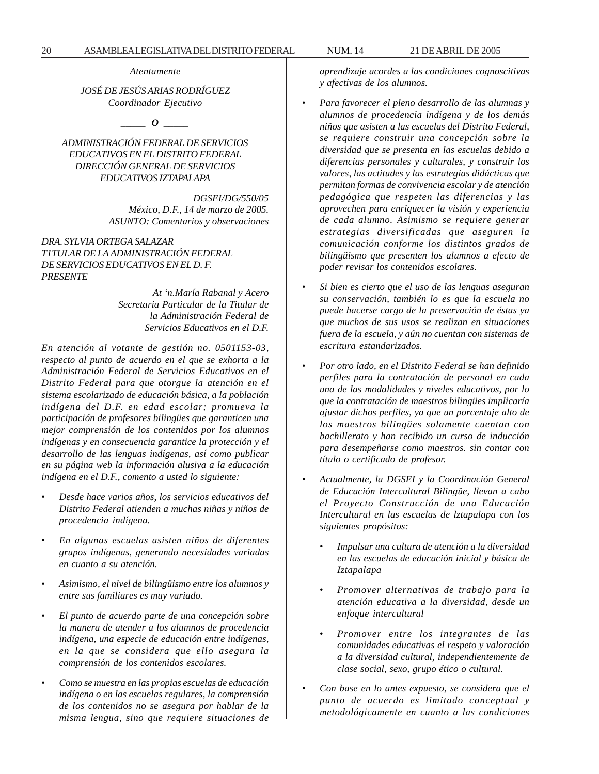*Atentamente*

*JOSÉ DE JESÚS ARIAS RODRÍGUEZ Coordinador Ejecutivo*

*\_\_\_\_\_ O \_\_\_\_\_*

# *ADMINISTRACIÓN FEDERAL DE SERVICIOS EDUCATIVOS EN EL DISTRITO FEDERAL DIRECCIÓN GENERAL DE SERVICIOS EDUCATIVOS IZTAPALAPA*

*DGSEI/DG/550/05 México, D.F., 14 de marzo de 2005. ASUNTO: Comentarios y observaciones*

# *DRA. SYLVIA ORTEGA SALAZAR T1TULAR DE LA ADMINISTRACIÓN FEDERAL DE SERVICIOS EDUCATIVOS EN EL D. F. PRESENTE*

*At 'n.María Rabanal y Acero Secretaria Particular de la Titular de la Administración Federal de Servicios Educativos en el D.F.*

*En atención al votante de gestión no. 0501153-03, respecto al punto de acuerdo en el que se exhorta a la Administración Federal de Servicios Educativos en el Distrito Federal para que otorgue la atención en el sistema escolarizado de educación básica, a la población indígena del D.F. en edad escolar; promueva la participación de profesores bilingües que garanticen una mejor comprensión de los contenidos por los alumnos indígenas y en consecuencia garantice la protección y el desarrollo de las lenguas indígenas, así como publicar en su página web la información alusiva a la educación indígena en el D.F., comento a usted lo siguiente:*

- *Desde hace varios años, los servicios educativos del Distrito Federal atienden a muchas niñas y niños de procedencia indígena.*
- *En algunas escuelas asisten niños de diferentes grupos indígenas, generando necesidades variadas en cuanto a su atención.*
- *Asimismo, el nivel de bilingüismo entre los alumnos y entre sus familiares es muy variado.*
- *El punto de acuerdo parte de una concepción sobre la manera de atender a los alumnos de procedencia indígena, una especie de educación entre indígenas, en la que se considera que ello asegura la comprensión de los contenidos escolares.*
- *Como se muestra en las propias escuelas de educación indígena o en las escuelas regulares, la comprensión de los contenidos no se asegura por hablar de la misma lengua, sino que requiere situaciones de*

*aprendizaje acordes a las condiciones cognoscitivas y afectivas de los alumnos.*

- *Para favorecer el pleno desarrollo de las alumnas y alumnos de procedencia indígena y de los demás niños que asisten a las escuelas del Distrito Federal, se requiere construir una concepción sobre la diversidad que se presenta en las escuelas debido a diferencias personales y culturales, y construir los valores, las actitudes y las estrategias didácticas que permitan formas de convivencia escolar y de atención pedagógica que respeten las diferencias y las aprovechen para enriquecer la visión y experiencia de cada alumno. Asimismo se requiere generar estrategias diversificadas que aseguren la comunicación conforme los distintos grados de bilingüismo que presenten los alumnos a efecto de poder revisar los contenidos escolares.*
- *Si bien es cierto que el uso de las lenguas aseguran su conservación, también lo es que la escuela no puede hacerse cargo de la preservación de éstas ya que muchos de sus usos se realizan en situaciones fuera de la escuela, y aún no cuentan con sistemas de escritura estandarizados.*
- *Por otro lado, en el Distrito Federal se han definido perfiles para la contratación de personal en cada una de las modalidades y niveles educativos, por lo que la contratación de maestros bilingües implicaría ajustar dichos perfiles, ya que un porcentaje alto de los maestros bilingües solamente cuentan con bachillerato y han recibido un curso de inducción para desempeñarse como maestros. sin contar con título o certificado de profesor.*
- *Actualmente, la DGSEI y la Coordinación General de Educación Intercultural Bilingüe, llevan a cabo el Proyecto Construcción de una Educación Intercultural en las escuelas de lztapalapa con los siguientes propósitos:*
	- *Impulsar una cultura de atención a la diversidad en las escuelas de educación inicial y básica de Iztapalapa*
	- *Promover alternativas de trabajo para la atención educativa a la diversidad, desde un enfoque intercultural*
	- *Promover entre los integrantes de las comunidades educativas el respeto y valoración a la diversidad cultural, independientemente de clase social, sexo, grupo ético o cultural.*
- *Con base en lo antes expuesto, se considera que el punto de acuerdo es limitado conceptual y metodológicamente en cuanto a las condiciones*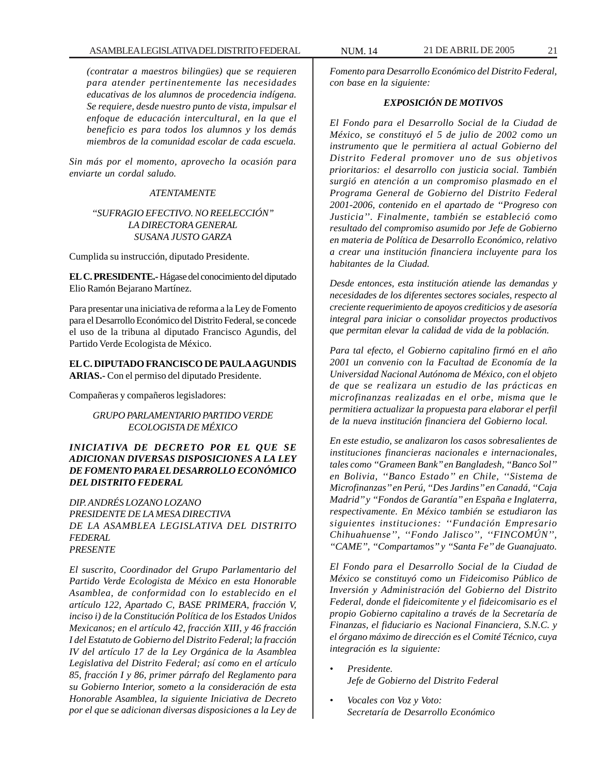*(contratar a maestros bilingües) que se requieren para atender pertinentemente las necesidades educativas de los alumnos de procedencia indígena. Se requiere, desde nuestro punto de vista, impulsar el enfoque de educación intercultural, en la que el beneficio es para todos los alumnos y los demás miembros de la comunidad escolar de cada escuela.*

*Sin más por el momento, aprovecho la ocasión para enviarte un cordal saludo.*

# *ATENTAMENTE*

# *''SUFRAGIO EFECTIVO. NO REELECCIÓN'' LA DIRECTORA GENERAL SUSANA JUSTO GARZA*

Cumplida su instrucción, diputado Presidente.

**EL C. PRESIDENTE.-** Hágase del conocimiento del diputado Elio Ramón Bejarano Martínez.

Para presentar una iniciativa de reforma a la Ley de Fomento para el Desarrollo Económico del Distrito Federal, se concede el uso de la tribuna al diputado Francisco Agundis, del Partido Verde Ecologista de México.

**EL C. DIPUTADO FRANCISCO DE PAULA AGUNDIS ARIAS.-** Con el permiso del diputado Presidente.

Compañeras y compañeros legisladores:

# *GRUPO PARLAMENTARIO PARTIDO VERDE ECOLOGISTA DE MÉXICO*

# *INICIATIVA DE DECRETO POR EL QUE SE ADICIONAN DIVERSAS DISPOSICIONES A LA LEY DE FOMENTO PARA EL DESARROLLO ECONÓMICO DEL DISTRITO FEDERAL*

*DIP. ANDRÉS LOZANO LOZANO PRESIDENTE DE LA MESA DIRECTIVA DE LA ASAMBLEA LEGISLATIVA DEL DISTRITO FEDERAL PRESENTE*

*El suscrito, Coordinador del Grupo Parlamentario del Partido Verde Ecologista de México en esta Honorable Asamblea, de conformidad con lo establecido en el artículo 122, Apartado C, BASE PRIMERA, fracción V, inciso i) de la Constitución Política de los Estados Unidos Mexicanos; en el artículo 42, fracción XIII, y 46 fracción I del Estatuto de Gobierno del Distrito Federal; la fracción IV del artículo 17 de la Ley Orgánica de la Asamblea Legislativa del Distrito Federal; así como en el artículo 85, fracción I y 86, primer párrafo del Reglamento para su Gobierno Interior, someto a la consideración de esta Honorable Asamblea, la siguiente Iniciativa de Decreto por el que se adicionan diversas disposiciones a la Ley de*

*Fomento para Desarrollo Económico del Distrito Federal, con base en la siguiente:*

# *EXPOSICIÓN DE MOTIVOS*

*El Fondo para el Desarrollo Social de la Ciudad de México, se constituyó el 5 de julio de 2002 como un instrumento que le permitiera al actual Gobierno del Distrito Federal promover uno de sus objetivos prioritarios: el desarrollo con justicia social. También surgió en atención a un compromiso plasmado en el Programa General de Gobierno del Distrito Federal 2001-2006, contenido en el apartado de ''Progreso con Justicia''. Finalmente, también se estableció como resultado del compromiso asumido por Jefe de Gobierno en materia de Política de Desarrollo Económico, relativo a crear una institución financiera incluyente para los habitantes de la Ciudad.*

*Desde entonces, esta institución atiende las demandas y necesidades de los diferentes sectores sociales, respecto al creciente requerimiento de apoyos crediticios y de asesoría integral para iniciar o consolidar proyectos productivos que permitan elevar la calidad de vida de la población.*

*Para tal efecto, el Gobierno capitalino firmó en el año 2001 un convenio con la Facultad de Economía de la Universidad Nacional Autónoma de México, con el objeto de que se realizara un estudio de las prácticas en microfinanzas realizadas en el orbe, misma que le permitiera actualizar la propuesta para elaborar el perfil de la nueva institución financiera del Gobierno local.*

*En este estudio, se analizaron los casos sobresalientes de instituciones financieras nacionales e internacionales, tales como ''Grameen Bank'' en Bangladesh, ''Banco Sol'' en Bolivia, ''Banco Estado'' en Chile, ''Sistema de Microfinanzas'' en Perú, ''Des Jardins'' en Canadá, ''Caja Madrid'' y ''Fondos de Garantía'' en España e Inglaterra, respectivamente. En México también se estudiaron las siguientes instituciones: ''Fundación Empresario Chihuahuense'', ''Fondo Jalisco'', ''FINCOMÚN'', ''CAME'', ''Compartamos'' y ''Santa Fe'' de Guanajuato.*

*El Fondo para el Desarrollo Social de la Ciudad de México se constituyó como un Fideicomiso Público de Inversión y Administración del Gobierno del Distrito Federal, donde el fideicomitente y el fideicomisario es el propio Gobierno capitalino a través de la Secretaría de Finanzas, el fiduciario es Nacional Financiera, S.N.C. y el órgano máximo de dirección es el Comité Técnico, cuya integración es la siguiente:*

- *Presidente. Jefe de Gobierno del Distrito Federal*
- *Vocales con Voz y Voto: Secretaría de Desarrollo Económico*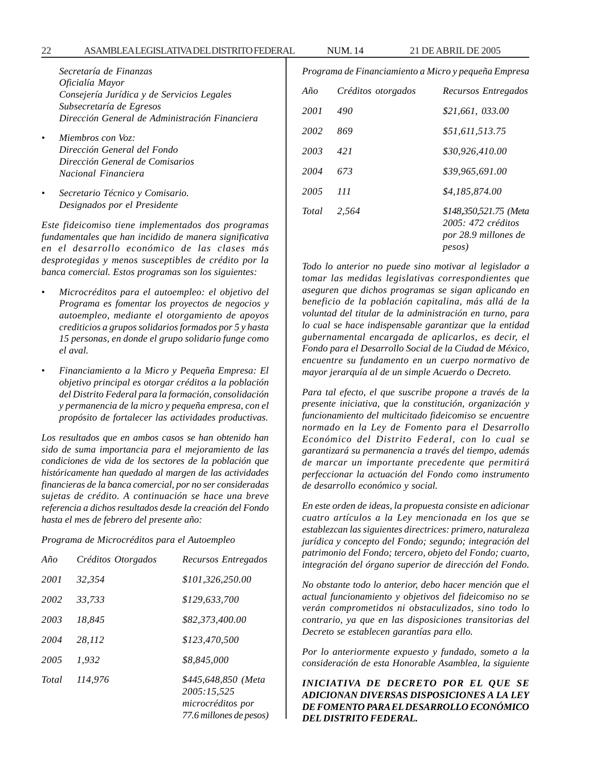*Secretaría de Finanzas Oficialía Mayor Consejería Jurídica y de Servicios Legales Subsecretaría de Egresos Dirección General de Administración Financiera*

- *Miembros con Voz: Dirección General del Fondo Dirección General de Comisarios Nacional Financiera*
- *Secretario Técnico y Comisario. Designados por el Presidente*

*Este fideicomiso tiene implementados dos programas fundamentales que han incidido de manera significativa en el desarrollo económico de las clases más desprotegidas y menos susceptibles de crédito por la banca comercial. Estos programas son los siguientes:*

- *Microcréditos para el autoempleo: el objetivo del Programa es fomentar los proyectos de negocios y autoempleo, mediante el otorgamiento de apoyos crediticios a grupos solidarios formados por 5 y hasta 15 personas, en donde el grupo solidario funge como el aval.*
- *Financiamiento a la Micro y Pequeña Empresa: El objetivo principal es otorgar créditos a la población del Distrito Federal para la formación, consolidación y permanencia de la micro y pequeña empresa, con el propósito de fortalecer las actividades productivas.*

*Los resultados que en ambos casos se han obtenido han sido de suma importancia para el mejoramiento de las condiciones de vida de los sectores de la población que históricamente han quedado al margen de las actividades financieras de la banca comercial, por no ser consideradas sujetas de crédito. A continuación se hace una breve referencia a dichos resultados desde la creación del Fondo hasta el mes de febrero del presente año:*

*Programa de Microcréditos para el Autoempleo*

| Año   | Créditos Otorgados | Recursos Entregados                                                                |
|-------|--------------------|------------------------------------------------------------------------------------|
| 2001  | 32.354             | \$101.326.250.00                                                                   |
| 2002  | 33.733             | \$129,633,700                                                                      |
| 2003  | 18.845             | \$82,373,400.00                                                                    |
| 2004  | 28,112             | \$123,470,500                                                                      |
| 2005  | 1.932              | \$8.845.000                                                                        |
| Total | 114.976            | \$445,648,850 (Meta<br>2005:15,525<br>microcréditos por<br>77.6 millones de pesos) |

| $A\tilde{n}$ | Créditos otorgados | Recursos Entregados                                                            |
|--------------|--------------------|--------------------------------------------------------------------------------|
| 2001         | 490                | \$21,661, 033.00                                                               |
| 2002         | 869                | \$51,611,513.75                                                                |
| 2003         | 421                | \$30,926,410.00                                                                |
| 2004         | 673                | \$39,965,691,00                                                                |
| 2005         | 111                | \$4,185,874.00                                                                 |
| Total        | 2.564              | \$148,350,521.75 (Meta<br>2005: 472 créditos<br>por 28.9 millones de<br>pesos) |

*Programa de Financiamiento a Micro y pequeña Empresa*

*Todo lo anterior no puede sino motivar al legislador a tomar las medidas legislativas correspondientes que aseguren que dichos programas se sigan aplicando en beneficio de la población capitalina, más allá de la voluntad del titular de la administración en turno, para lo cual se hace indispensable garantizar que la entidad gubernamental encargada de aplicarlos, es decir, el Fondo para el Desarrollo Social de la Ciudad de México, encuentre su fundamento en un cuerpo normativo de mayor jerarquía al de un simple Acuerdo o Decreto.*

*Para tal efecto, el que suscribe propone a través de la presente iniciativa, que la constitución, organización y funcionamiento del multicitado fideicomiso se encuentre normado en la Ley de Fomento para el Desarrollo Económico del Distrito Federal, con lo cual se garantizará su permanencia a través del tiempo, además de marcar un importante precedente que permitirá perfeccionar la actuación del Fondo como instrumento de desarrollo económico y social.*

*En este orden de ideas, la propuesta consiste en adicionar cuatro artículos a la Ley mencionada en los que se establezcan las siguientes directrices: primero, naturaleza jurídica y concepto del Fondo; segundo; integración del patrimonio del Fondo; tercero, objeto del Fondo; cuarto, integración del órgano superior de dirección del Fondo.*

*No obstante todo lo anterior, debo hacer mención que el actual funcionamiento y objetivos del fideicomiso no se verán comprometidos ni obstaculizados, sino todo lo contrario, ya que en las disposiciones transitorias del Decreto se establecen garantías para ello.*

*Por lo anteriormente expuesto y fundado, someto a la consideración de esta Honorable Asamblea, la siguiente*

*INICIATIVA DE DECRETO POR EL QUE SE ADICIONAN DIVERSAS DISPOSICIONES A LA LEY DE FOMENTO PARA EL DESARROLLO ECONÓMICO DEL DISTRITO FEDERAL.*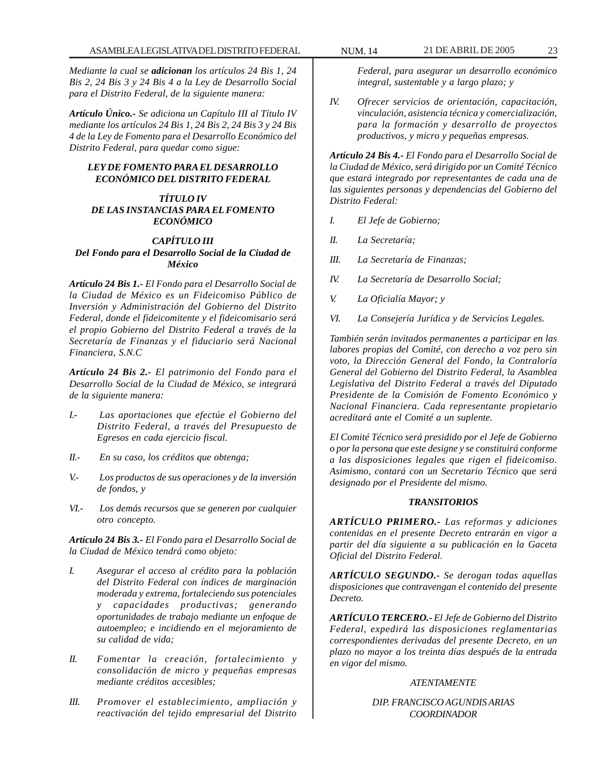*Mediante la cual se adicionan los artículos 24 Bis 1, 24 Bis 2, 24 Bis 3 y 24 Bis 4 a la Ley de Desarrollo Social para el Distrito Federal, de la siguiente manera:*

*Artículo Único.- Se adiciona un Capítulo III al Título IV mediante los artículos 24 Bis 1, 24 Bis 2, 24 Bis 3 y 24 Bis 4 de la Ley de Fomento para el Desarrollo Económico del Distrito Federal, para quedar como sigue:*

# *LEY DE FOMENTO PARA EL DESARROLLO ECONÓMICO DEL DISTRITO FEDERAL*

## *TÍTULO IV DE LAS INSTANCIAS PARA EL FOMENTO ECONÓMICO*

# *CAPÍTULO III Del Fondo para el Desarrollo Social de la Ciudad de México*

*Artículo 24 Bis 1.- El Fondo para el Desarrollo Social de la Ciudad de México es un Fideicomiso Público de Inversión y Administración del Gobierno del Distrito Federal, donde el fideicomitente y el fideicomisario será el propio Gobierno del Distrito Federal a través de la Secretaría de Finanzas y el fiduciario será Nacional Financiera, S.N.C*

*Artículo 24 Bis 2.- El patrimonio del Fondo para el Desarrollo Social de la Ciudad de México, se integrará de la siguiente manera:*

- *I.- Las aportaciones que efectúe el Gobierno del Distrito Federal, a través del Presupuesto de Egresos en cada ejercicio fiscal.*
- *II.- En su caso, los créditos que obtenga;*
- *V.- Los productos de sus operaciones y de la inversión de fondos, y*
- *VI.- Los demás recursos que se generen por cualquier otro concepto.*

*Artículo 24 Bis 3.- El Fondo para el Desarrollo Social de la Ciudad de México tendrá como objeto:*

- *I. Asegurar el acceso al crédito para la población del Distrito Federal con índices de marginación moderada y extrema, fortaleciendo sus potenciales y capacidades productivas; generando oportunidades de trabajo mediante un enfoque de autoempleo; e incidiendo en el mejoramiento de su calidad de vida;*
- *II. Fomentar la creación, fortalecimiento y consolidación de micro y pequeñas empresas mediante créditos accesibles;*
- *III. Promover el establecimiento, ampliación y reactivación del tejido empresarial del Distrito*

*Federal, para asegurar un desarrollo económico integral, sustentable y a largo plazo; y*

*IV. Ofrecer servicios de orientación, capacitación, vinculación, asistencia técnica y comercialización, para la formación y desarrollo de proyectos productivos, y micro y pequeñas empresas.*

*Artículo 24 Bis 4.- El Fondo para el Desarrollo Social de la Ciudad de México, será dirigido por un Comité Técnico que estará integrado por representantes de cada una de las siguientes personas y dependencias del Gobierno del Distrito Federal:*

- *I. El Jefe de Gobierno;*
- *II. La Secretaría;*
- *III. La Secretaría de Finanzas;*
- *IV. La Secretaría de Desarrollo Social;*
- *V. La Oficialía Mayor; y*
- *VI. La Consejería Jurídica y de Servicios Legales.*

*También serán invitados permanentes a participar en las labores propias del Comité, con derecho a voz pero sin voto, la Dirección General del Fondo, la Contraloría General del Gobierno del Distrito Federal, la Asamblea Legislativa del Distrito Federal a través del Diputado Presidente de la Comisión de Fomento Económico y Nacional Financiera. Cada representante propietario acreditará ante el Comité a un suplente.*

*El Comité Técnico será presidido por el Jefe de Gobierno o por la persona que este designe y se constituirá conforme a las disposiciones legales que rigen el fideicomiso. Asimismo, contará con un Secretario Técnico que será designado por el Presidente del mismo.*

#### *TRANSITORIOS*

*ARTÍCULO PRIMERO.- Las reformas y adiciones contenidas en el presente Decreto entrarán en vigor a partir del día siguiente a su publicación en la Gaceta Oficial del Distrito Federal.*

*ARTÍCULO SEGUNDO.- Se derogan todas aquellas disposiciones que contravengan el contenido del presente Decreto.*

*ARTÍCULO TERCERO.- El Jefe de Gobierno del Distrito Federal, expedirá las disposiciones reglamentarias correspondientes derivadas del presente Decreto, en un plazo no mayor a los treinta días después de la entrada en vigor del mismo.*

#### *ATENTAMENTE*

*DIP. FRANCISCO AGUNDIS ARIAS COORDINADOR*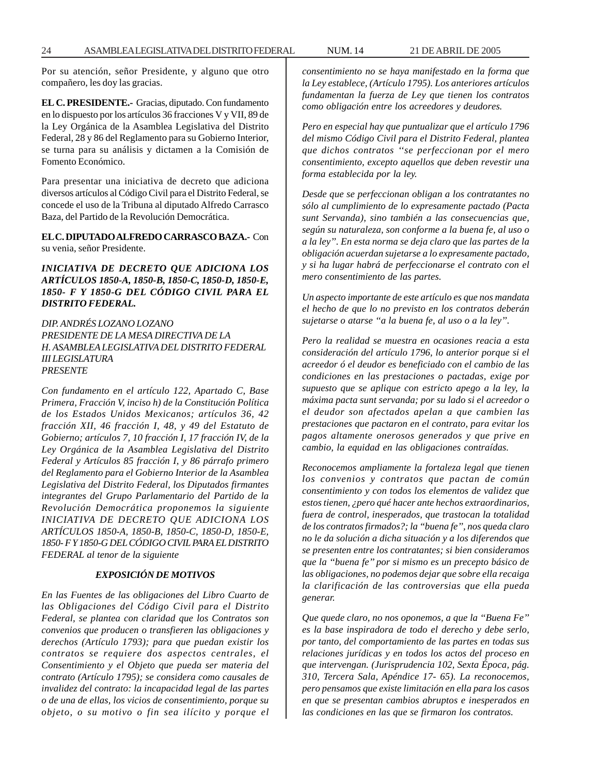Por su atención, señor Presidente, y alguno que otro compañero, les doy las gracias.

**EL C. PRESIDENTE.-** Gracias, diputado. Con fundamento en lo dispuesto por los artículos 36 fracciones V y VII, 89 de la Ley Orgánica de la Asamblea Legislativa del Distrito Federal, 28 y 86 del Reglamento para su Gobierno Interior, se turna para su análisis y dictamen a la Comisión de Fomento Económico.

Para presentar una iniciativa de decreto que adiciona diversos artículos al Código Civil para el Distrito Federal, se concede el uso de la Tribuna al diputado Alfredo Carrasco Baza, del Partido de la Revolución Democrática.

**EL C. DIPUTADO ALFREDO CARRASCO BAZA.-** Con su venia, señor Presidente.

# *INICIATIVA DE DECRETO QUE ADICIONA LOS ARTÍCULOS 1850-A, 1850-B, 1850-C, 1850-D, 1850-E, 1850- F Y 1850-G DEL CÓDIGO CIVIL PARA EL DISTRITO FEDERAL.*

*DIP. ANDRÉS LOZANO LOZANO PRESIDENTE DE LA MESA DIRECTIVA DE LA H. ASAMBLEA LEGISLATIVA DEL DISTRITO FEDERAL III LEGISLATURA PRESENTE*

*Con fundamento en el artículo 122, Apartado C, Base Primera, Fracción V, inciso h) de la Constitución Política de los Estados Unidos Mexicanos; artículos 36, 42 fracción XII, 46 fracción I, 48, y 49 del Estatuto de Gobierno; artículos 7, 10 fracción I, 17 fracción IV, de la Ley Orgánica de la Asamblea Legislativa del Distrito Federal y Artículos 85 fracción I, y 86 párrafo primero del Reglamento para el Gobierno Interior de la Asamblea Legislativa del Distrito Federal, los Diputados firmantes integrantes del Grupo Parlamentario del Partido de la Revolución Democrática proponemos la siguiente INICIATIVA DE DECRETO QUE ADICIONA LOS ARTÍCULOS 1850-A, 1850-B, 1850-C, 1850-D, 1850-E, 1850- F Y 1850-G DEL CÓDIGO CIVIL PARA EL DISTRITO FEDERAL al tenor de la siguiente*

# *EXPOSICIÓN DE MOTIVOS*

*En las Fuentes de las obligaciones del Libro Cuarto de las Obligaciones del Código Civil para el Distrito Federal, se plantea con claridad que los Contratos son convenios que producen o transfieren las obligaciones y derechos (Artículo 1793); para que puedan existir los contratos se requiere dos aspectos centrales, el Consentimiento y el Objeto que pueda ser materia del contrato (Artículo 1795); se considera como causales de invalidez del contrato: la incapacidad legal de las partes o de una de ellas, los vicios de consentimiento, porque su objeto, o su motivo o fin sea ilícito y porque el* *consentimiento no se haya manifestado en la forma que la Ley establece, (Artículo 1795). Los anteriores artículos fundamentan la fuerza de Ley que tienen los contratos como obligación entre los acreedores y deudores.*

*Pero en especial hay que puntualizar que el artículo 1796 del mismo Código Civil para el Distrito Federal, plantea que dichos contratos ''se perfeccionan por el mero consentimiento, excepto aquellos que deben revestir una forma establecida por la ley.*

*Desde que se perfeccionan obligan a los contratantes no sólo al cumplimiento de lo expresamente pactado (Pacta sunt Servanda), sino también a las consecuencias que, según su naturaleza, son conforme a la buena fe, al uso o a la ley''. En esta norma se deja claro que las partes de la obligación acuerdan sujetarse a lo expresamente pactado, y si ha lugar habrá de perfeccionarse el contrato con el mero consentimiento de las partes.*

*Un aspecto importante de este artículo es que nos mandata el hecho de que lo no previsto en los contratos deberán sujetarse o atarse ''a la buena fe, al uso o a la ley''.*

*Pero la realidad se muestra en ocasiones reacia a esta consideración del artículo 1796, lo anterior porque si el acreedor ó el deudor es beneficiado con el cambio de las condiciones en las prestaciones o pactadas, exige por supuesto que se aplique con estricto apego a la ley, la máxima pacta sunt servanda; por su lado si el acreedor o el deudor son afectados apelan a que cambien las prestaciones que pactaron en el contrato, para evitar los pagos altamente onerosos generados y que prive en cambio, la equidad en las obligaciones contraídas.*

*Reconocemos ampliamente la fortaleza legal que tienen los convenios y contratos que pactan de común consentimiento y con todos los elementos de validez que estos tienen, ¿pero qué hacer ante hechos extraordinarios, fuera de control, inesperados, que trastocan la totalidad de los contratos firmados?; la ''buena fe'', nos queda claro no le da solución a dicha situación y a los diferendos que se presenten entre los contratantes; si bien consideramos que la ''buena fe'' por si mismo es un precepto básico de las obligaciones, no podemos dejar que sobre ella recaiga la clarificación de las controversias que ella pueda generar.*

*Que quede claro, no nos oponemos, a que la ''Buena Fe'' es la base inspiradora de todo el derecho y debe serlo, por tanto, del comportamiento de las partes en todas sus relaciones jurídicas y en todos los actos del proceso en que intervengan. (Jurisprudencia 102, Sexta Época, pág. 310, Tercera Sala, Apéndice 17- 65). La reconocemos, pero pensamos que existe limitación en ella para los casos en que se presentan cambios abruptos e inesperados en las condiciones en las que se firmaron los contratos.*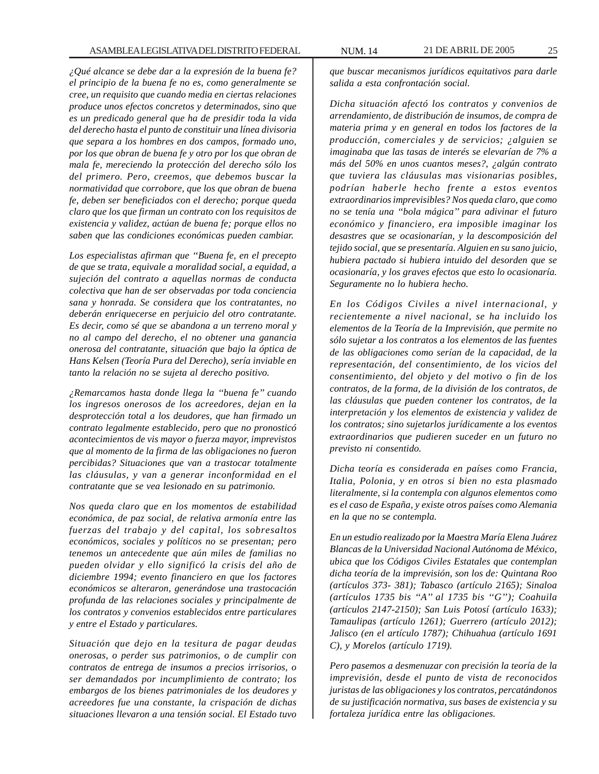*¿Qué alcance se debe dar a la expresión de la buena fe? el principio de la buena fe no es, como generalmente se cree, un requisito que cuando media en ciertas relaciones produce unos efectos concretos y determinados, sino que es un predicado general que ha de presidir toda la vida del derecho hasta el punto de constituir una línea divisoria que separa a los hombres en dos campos, formado uno, por los que obran de buena fe y otro por los que obran de mala fe, mereciendo la protección del derecho sólo los del primero. Pero, creemos, que debemos buscar la normatividad que corrobore, que los que obran de buena fe, deben ser beneficiados con el derecho; porque queda claro que los que firman un contrato con los requisitos de existencia y validez, actúan de buena fe; porque ellos no saben que las condiciones económicas pueden cambiar.*

*Los especialistas afirman que ''Buena fe, en el precepto de que se trata, equivale a moralidad social, a equidad, a sujeción del contrato a aquellas normas de conducta colectiva que han de ser observadas por toda conciencia sana y honrada. Se considera que los contratantes, no deberán enriquecerse en perjuicio del otro contratante. Es decir, como sé que se abandona a un terreno moral y no al campo del derecho, el no obtener una ganancia onerosa del contratante, situación que bajo la óptica de Hans Kelsen (Teoría Pura del Derecho), sería inviable en tanto la relación no se sujeta al derecho positivo.*

*¿Remarcamos hasta donde llega la ''buena fe'' cuando los ingresos onerosos de los acreedores, dejan en la desprotección total a los deudores, que han firmado un contrato legalmente establecido, pero que no pronosticó acontecimientos de vis mayor o fuerza mayor, imprevistos que al momento de la firma de las obligaciones no fueron percibidas? Situaciones que van a trastocar totalmente las cláusulas, y van a generar inconformidad en el contratante que se vea lesionado en su patrimonio.*

*Nos queda claro que en los momentos de estabilidad económica, de paz social, de relativa armonía entre las fuerzas del trabajo y del capital, los sobresaltos económicos, sociales y políticos no se presentan; pero tenemos un antecedente que aún miles de familias no pueden olvidar y ello significó la crisis del año de diciembre 1994; evento financiero en que los factores económicos se alteraron, generándose una trastocación profunda de las relaciones sociales y principalmente de los contratos y convenios establecidos entre particulares y entre el Estado y particulares.*

*Situación que dejo en la tesitura de pagar deudas onerosas, o perder sus patrimonios, o de cumplir con contratos de entrega de insumos a precios irrisorios, o ser demandados por incumplimiento de contrato; los embargos de los bienes patrimoniales de los deudores y acreedores fue una constante, la crispación de dichas situaciones llevaron a una tensión social. El Estado tuvo*

*que buscar mecanismos jurídicos equitativos para darle salida a esta confrontación social.*

*Dicha situación afectó los contratos y convenios de arrendamiento, de distribución de insumos, de compra de materia prima y en general en todos los factores de la producción, comerciales y de servicios; ¿alguien se imaginaba que las tasas de interés se elevarían de 7% a más del 50% en unos cuantos meses?, ¿algún contrato que tuviera las cláusulas mas visionarias posibles, podrían haberle hecho frente a estos eventos extraordinarios imprevisibles? Nos queda claro, que como no se tenía una ''bola mágica'' para adivinar el futuro económico y financiero, era imposible imaginar los desastres que se ocasionarían, y la descomposición del tejido social, que se presentaría. Alguien en su sano juicio, hubiera pactado si hubiera intuido del desorden que se ocasionaría, y los graves efectos que esto lo ocasionaría. Seguramente no lo hubiera hecho.*

*En los Códigos Civiles a nivel internacional, y recientemente a nivel nacional, se ha incluido los elementos de la Teoría de la Imprevisión, que permite no sólo sujetar a los contratos a los elementos de las fuentes de las obligaciones como serían de la capacidad, de la representación, del consentimiento, de los vicios del consentimiento, del objeto y del motivo o fin de los contratos, de la forma, de la división de los contratos, de las cláusulas que pueden contener los contratos, de la interpretación y los elementos de existencia y validez de los contratos; sino sujetarlos jurídicamente a los eventos extraordinarios que pudieren suceder en un futuro no previsto ni consentido.*

*Dicha teoría es considerada en países como Francia, Italia, Polonia, y en otros si bien no esta plasmado literalmente, si la contempla con algunos elementos como es el caso de España, y existe otros países como Alemania en la que no se contempla.*

*En un estudio realizado por la Maestra María Elena Juárez Blancas de la Universidad Nacional Autónoma de México, ubica que los Códigos Civiles Estatales que contemplan dicha teoría de la imprevisión, son los de: Quintana Roo (artículos 373- 381); Tabasco (artículo 2165); Sinaloa (artículos 1735 bis ''A'' al 1735 bis ''G''); Coahuila (artículos 2147-2150); San Luis Potosí (artículo 1633); Tamaulipas (artículo 1261); Guerrero (artículo 2012); Jalisco (en el artículo 1787); Chihuahua (artículo 1691 C), y Morelos (artículo 1719).*

*Pero pasemos a desmenuzar con precisión la teoría de la imprevisión, desde el punto de vista de reconocidos juristas de las obligaciones y los contratos, percatándonos de su justificación normativa, sus bases de existencia y su fortaleza jurídica entre las obligaciones.*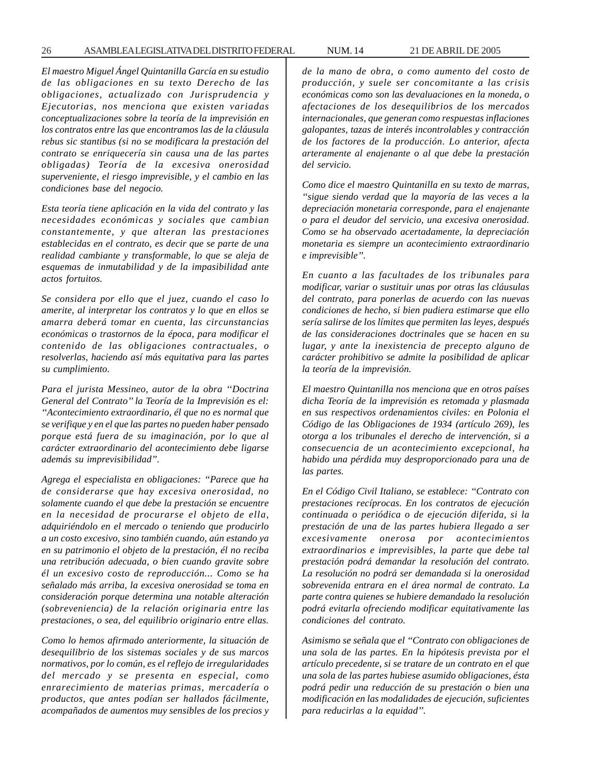*El maestro Miguel Ángel Quintanilla García en su estudio de las obligaciones en su texto Derecho de las obligaciones, actualizado con Jurisprudencia y Ejecutorias, nos menciona que existen variadas conceptualizaciones sobre la teoría de la imprevisión en los contratos entre las que encontramos las de la cláusula rebus sic stantibus (si no se modificara la prestación del contrato se enriquecería sin causa una de las partes obligadas) Teoría de la excesiva onerosidad superveniente, el riesgo imprevisible, y el cambio en las condiciones base del negocio.*

*Esta teoría tiene aplicación en la vida del contrato y las necesidades económicas y sociales que cambian constantemente, y que alteran las prestaciones establecidas en el contrato, es decir que se parte de una realidad cambiante y transformable, lo que se aleja de esquemas de inmutabilidad y de la impasibilidad ante actos fortuitos.*

*Se considera por ello que el juez, cuando el caso lo amerite, al interpretar los contratos y lo que en ellos se amarra deberá tomar en cuenta, las circunstancias económicas o trastornos de la época, para modificar el contenido de las obligaciones contractuales, o resolverlas, haciendo así más equitativa para las partes su cumplimiento.*

*Para el jurista Messineo, autor de la obra ''Doctrina General del Contrato'' la Teoría de la Imprevisión es el: ''Acontecimiento extraordinario, él que no es normal que se verifique y en el que las partes no pueden haber pensado porque está fuera de su imaginación, por lo que al carácter extraordinario del acontecimiento debe ligarse además su imprevisibilidad''.*

*Agrega el especialista en obligaciones: ''Parece que ha de considerarse que hay excesiva onerosidad, no solamente cuando el que debe la prestación se encuentre en la necesidad de procurarse el objeto de ella, adquiriéndolo en el mercado o teniendo que producirlo a un costo excesivo, sino también cuando, aún estando ya en su patrimonio el objeto de la prestación, él no reciba una retribución adecuada, o bien cuando gravite sobre él un excesivo costo de reproducción... Como se ha señalado más arriba, la excesiva onerosidad se toma en consideración porque determina una notable alteración (sobreveniencia) de la relación originaria entre las prestaciones, o sea, del equilibrio originario entre ellas.*

*Como lo hemos afirmado anteriormente, la situación de desequilibrio de los sistemas sociales y de sus marcos normativos, por lo común, es el reflejo de irregularidades del mercado y se presenta en especial, como enrarecimiento de materias primas, mercadería o productos, que antes podían ser hallados fácilmente, acompañados de aumentos muy sensibles de los precios y* *de la mano de obra, o como aumento del costo de producción, y suele ser concomitante a las crisis económicas como son las devaluaciones en la moneda, o afectaciones de los desequilibrios de los mercados internacionales, que generan como respuestas inflaciones galopantes, tazas de interés incontrolables y contracción de los factores de la producción. Lo anterior, afecta arteramente al enajenante o al que debe la prestación del servicio.*

*Como dice el maestro Quintanilla en su texto de marras, ''sigue siendo verdad que la mayoría de las veces a la depreciación monetaria corresponde, para el enajenante o para el deudor del servicio, una excesiva onerosidad. Como se ha observado acertadamente, la depreciación monetaria es siempre un acontecimiento extraordinario e imprevisible''.*

*En cuanto a las facultades de los tribunales para modificar, variar o sustituir unas por otras las cláusulas del contrato, para ponerlas de acuerdo con las nuevas condiciones de hecho, si bien pudiera estimarse que ello sería salirse de los límites que permiten las leyes, después de las consideraciones doctrinales que se hacen en su lugar, y ante la inexistencia de precepto alguno de carácter prohibitivo se admite la posibilidad de aplicar la teoría de la imprevisión.*

*El maestro Quintanilla nos menciona que en otros países dicha Teoría de la imprevisión es retomada y plasmada en sus respectivos ordenamientos civiles: en Polonia el Código de las Obligaciones de 1934 (artículo 269), les otorga a los tribunales el derecho de intervención, si a consecuencia de un acontecimiento excepcional, ha habido una pérdida muy desproporcionado para una de las partes.*

*En el Código Civil Italiano, se establece: ''Contrato con prestaciones recíprocas. En los contratos de ejecución continuada o periódica o de ejecución diferida, si la prestación de una de las partes hubiera llegado a ser excesivamente onerosa por acontecimientos extraordinarios e imprevisibles, la parte que debe tal prestación podrá demandar la resolución del contrato. La resolución no podrá ser demandada si la onerosidad sobrevenida entrara en el área normal de contrato. La parte contra quienes se hubiere demandado la resolución podrá evitarla ofreciendo modificar equitativamente las condiciones del contrato.*

*Asimismo se señala que el ''Contrato con obligaciones de una sola de las partes. En la hipótesis prevista por el artículo precedente, si se tratare de un contrato en el que una sola de las partes hubiese asumido obligaciones, ésta podrá pedir una reducción de su prestación o bien una modificación en las modalidades de ejecución, suficientes para reducirlas a la equidad''.*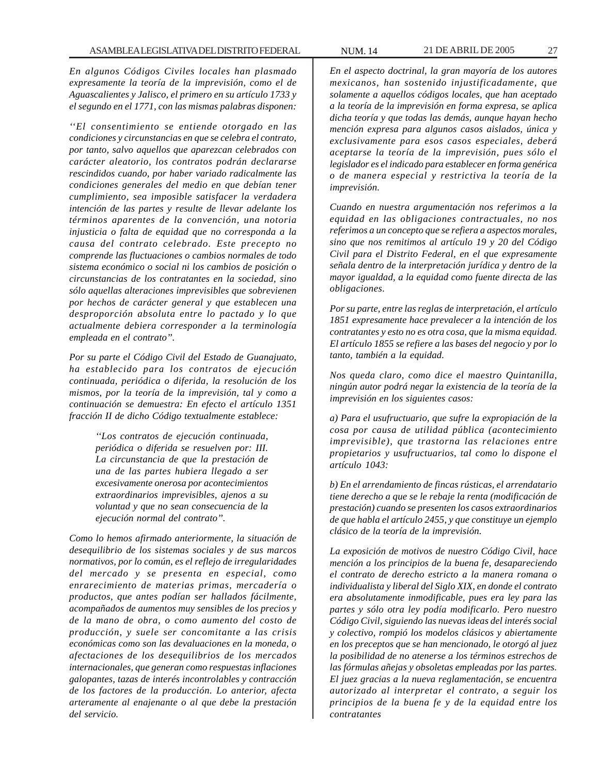*En algunos Códigos Civiles locales han plasmado expresamente la teoría de la imprevisión, como el de Aguascalientes y Jalisco, el primero en su artículo 1733 y el segundo en el 1771, con las mismas palabras disponen:*

*''El consentimiento se entiende otorgado en las condiciones y circunstancias en que se celebra el contrato, por tanto, salvo aquellos que aparezcan celebrados con carácter aleatorio, los contratos podrán declararse rescindidos cuando, por haber variado radicalmente las condiciones generales del medio en que debían tener cumplimiento, sea imposible satisfacer la verdadera intención de las partes y resulte de llevar adelante los términos aparentes de la convención, una notoria injusticia o falta de equidad que no corresponda a la causa del contrato celebrado. Este precepto no comprende las fluctuaciones o cambios normales de todo sistema económico o social ni los cambios de posición o circunstancias de los contratantes en la sociedad, sino sólo aquellas alteraciones imprevisibles que sobrevienen por hechos de carácter general y que establecen una desproporción absoluta entre lo pactado y lo que actualmente debiera corresponder a la terminología empleada en el contrato''.*

*Por su parte el Código Civil del Estado de Guanajuato, ha establecido para los contratos de ejecución continuada, periódica o diferida, la resolución de los mismos, por la teoría de la imprevisión, tal y como a continuación se demuestra: En efecto el artículo 1351 fracción II de dicho Código textualmente establece:*

> *''Los contratos de ejecución continuada, periódica o diferida se resuelven por: III. La circunstancia de que la prestación de una de las partes hubiera llegado a ser excesivamente onerosa por acontecimientos extraordinarios imprevisibles, ajenos a su voluntad y que no sean consecuencia de la ejecución normal del contrato''.*

*Como lo hemos afirmado anteriormente, la situación de desequilibrio de los sistemas sociales y de sus marcos normativos, por lo común, es el reflejo de irregularidades del mercado y se presenta en especial, como enrarecimiento de materias primas, mercadería o productos, que antes podían ser hallados fácilmente, acompañados de aumentos muy sensibles de los precios y de la mano de obra, o como aumento del costo de producción, y suele ser concomitante a las crisis económicas como son las devaluaciones en la moneda, o afectaciones de los desequilibrios de los mercados internacionales, que generan como respuestas inflaciones galopantes, tazas de interés incontrolables y contracción de los factores de la producción. Lo anterior, afecta arteramente al enajenante o al que debe la prestación del servicio.*

*En el aspecto doctrinal, la gran mayoría de los autores mexicanos, han sostenido injustificadamente, que solamente a aquellos códigos locales, que han aceptado a la teoría de la imprevisión en forma expresa, se aplica dicha teoría y que todas las demás, aunque hayan hecho mención expresa para algunos casos aislados, única y exclusivamente para esos casos especiales, deberá aceptarse la teoría de la imprevisión, pues sólo el legislador es el indicado para establecer en forma genérica o de manera especial y restrictiva la teoría de la imprevisión.*

*Cuando en nuestra argumentación nos referimos a la equidad en las obligaciones contractuales, no nos referimos a un concepto que se refiera a aspectos morales, sino que nos remitimos al artículo 19 y 20 del Código Civil para el Distrito Federal, en el que expresamente señala dentro de la interpretación jurídica y dentro de la mayor igualdad, a la equidad como fuente directa de las obligaciones.*

*Por su parte, entre las reglas de interpretación, el artículo 1851 expresamente hace prevalecer a la intención de los contratantes y esto no es otra cosa, que la misma equidad. El artículo 1855 se refiere a las bases del negocio y por lo tanto, también a la equidad.*

*Nos queda claro, como dice el maestro Quintanilla, ningún autor podrá negar la existencia de la teoría de la imprevisión en los siguientes casos:*

*a) Para el usufructuario, que sufre la expropiación de la cosa por causa de utilidad pública (acontecimiento imprevisible), que trastorna las relaciones entre propietarios y usufructuarios, tal como lo dispone el artículo 1043:*

*b) En el arrendamiento de fincas rústicas, el arrendatario tiene derecho a que se le rebaje la renta (modificación de prestación) cuando se presenten los casos extraordinarios de que habla el artículo 2455, y que constituye un ejemplo clásico de la teoría de la imprevisión.*

*La exposición de motivos de nuestro Código Civil, hace mención a los principios de la buena fe, desapareciendo el contrato de derecho estricto a la manera romana o individualista y liberal del Siglo XIX, en donde el contrato era absolutamente inmodificable, pues era ley para las partes y sólo otra ley podía modificarlo. Pero nuestro Código Civil, siguiendo las nuevas ideas del interés social y colectivo, rompió los modelos clásicos y abiertamente en los preceptos que se han mencionado, le otorgó al juez la posibilidad de no atenerse a los términos estrechos de las fórmulas añejas y obsoletas empleadas por las partes. El juez gracias a la nueva reglamentación, se encuentra autorizado al interpretar el contrato, a seguir los principios de la buena fe y de la equidad entre los contratantes*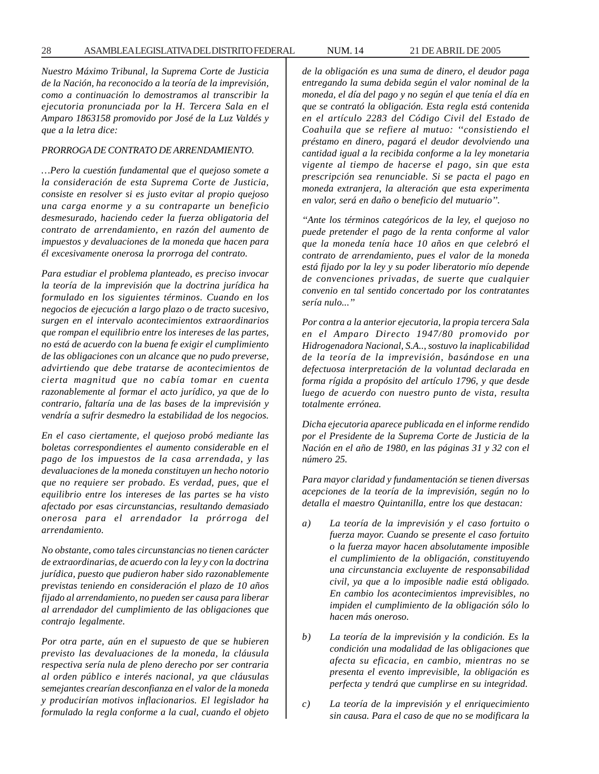*Nuestro Máximo Tribunal, la Suprema Corte de Justicia de la Nación, ha reconocido a la teoría de la imprevisión, como a continuación lo demostramos al transcribir la ejecutoria pronunciada por la H. Tercera Sala en el Amparo 1863158 promovido por José de la Luz Valdés y que a la letra dice:*

# *PRORROGA DE CONTRATO DE ARRENDAMIENTO.*

*…Pero la cuestión fundamental que el quejoso somete a la consideración de esta Suprema Corte de Justicia, consiste en resolver si es justo evitar al propio quejoso una carga enorme y a su contraparte un beneficio desmesurado, haciendo ceder la fuerza obligatoria del contrato de arrendamiento, en razón del aumento de impuestos y devaluaciones de la moneda que hacen para él excesivamente onerosa la prorroga del contrato.*

*Para estudiar el problema planteado, es preciso invocar la teoría de la imprevisión que la doctrina jurídica ha formulado en los siguientes términos. Cuando en los negocios de ejecución a largo plazo o de tracto sucesivo, surgen en el intervalo acontecimientos extraordinarios que rompan el equilibrio entre los intereses de las partes, no está de acuerdo con la buena fe exigir el cumplimiento de las obligaciones con un alcance que no pudo preverse, advirtiendo que debe tratarse de acontecimientos de cierta magnitud que no cabía tomar en cuenta razonablemente al formar el acto jurídico, ya que de lo contrario, faltaría una de las bases de la imprevisión y vendría a sufrir desmedro la estabilidad de los negocios.*

*En el caso ciertamente, el quejoso probó mediante las boletas correspondientes el aumento considerable en el pago de los impuestos de la casa arrendada, y las devaluaciones de la moneda constituyen un hecho notorio que no requiere ser probado. Es verdad, pues, que el equilibrio entre los intereses de las partes se ha visto afectado por esas circunstancias, resultando demasiado onerosa para el arrendador la prórroga del arrendamiento.*

*No obstante, como tales circunstancias no tienen carácter de extraordinarias, de acuerdo con la ley y con la doctrina jurídica, puesto que pudieron haber sido razonablemente previstas teniendo en consideración el plazo de 10 años fijado al arrendamiento, no pueden ser causa para liberar al arrendador del cumplimiento de las obligaciones que contrajo legalmente.*

*Por otra parte, aún en el supuesto de que se hubieren previsto las devaluaciones de la moneda, la cláusula respectiva sería nula de pleno derecho por ser contraria al orden público e interés nacional, ya que cláusulas semejantes crearían desconfianza en el valor de la moneda y producirían motivos inflacionarios. El legislador ha formulado la regla conforme a la cual, cuando el objeto* *de la obligación es una suma de dinero, el deudor paga entregando la suma debida según el valor nominal de la moneda, el día del pago y no según el que tenía el día en que se contrató la obligación. Esta regla está contenida en el artículo 2283 del Código Civil del Estado de Coahuila que se refiere al mutuo: ''consistiendo el préstamo en dinero, pagará el deudor devolviendo una cantidad igual a la recibida conforme a la ley monetaria vigente al tiempo de hacerse el pago, sin que esta prescripción sea renunciable. Si se pacta el pago en moneda extranjera, la alteración que esta experimenta en valor, será en daño o beneficio del mutuario''.*

*''Ante los términos categóricos de la ley, el quejoso no puede pretender el pago de la renta conforme al valor que la moneda tenía hace 10 años en que celebró el contrato de arrendamiento, pues el valor de la moneda está fijado por la ley y su poder liberatorio mío depende de convenciones privadas, de suerte que cualquier convenio en tal sentido concertado por los contratantes sería nulo...''*

*Por contra a la anterior ejecutoria, la propia tercera Sala en el Amparo Directo 1947/80 promovido por Hidrogenadora Nacional, S.A.., sostuvo la inaplicabilidad de la teoría de la imprevisión, basándose en una defectuosa interpretación de la voluntad declarada en forma rígida a propósito del artículo 1796, y que desde luego de acuerdo con nuestro punto de vista, resulta totalmente errónea.*

*Dicha ejecutoria aparece publicada en el informe rendido por el Presidente de la Suprema Corte de Justicia de la Nación en el año de 1980, en las páginas 31 y 32 con el número 25.*

*Para mayor claridad y fundamentación se tienen diversas acepciones de la teoría de la imprevisión, según no lo detalla el maestro Quintanilla, entre los que destacan:*

- *a) La teoría de la imprevisión y el caso fortuito o fuerza mayor. Cuando se presente el caso fortuito o la fuerza mayor hacen absolutamente imposible el cumplimiento de la obligación, constituyendo una circunstancia excluyente de responsabilidad civil, ya que a lo imposible nadie está obligado. En cambio los acontecimientos imprevisibles, no impiden el cumplimiento de la obligación sólo lo hacen más oneroso.*
- *b) La teoría de la imprevisión y la condición. Es la condición una modalidad de las obligaciones que afecta su eficacia, en cambio, mientras no se presenta el evento imprevisible, la obligación es perfecta y tendrá que cumplirse en su integridad.*
- *c) La teoría de la imprevisión y el enriquecimiento sin causa. Para el caso de que no se modificara la*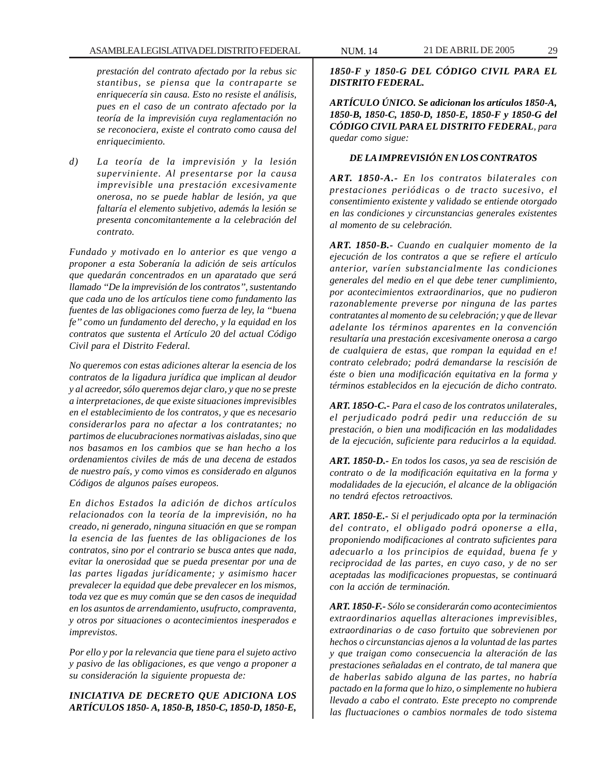*prestación del contrato afectado por la rebus sic stantibus, se piensa que la contraparte se enriquecería sin causa. Esto no resiste el análisis, pues en el caso de un contrato afectado por la teoría de la imprevisión cuya reglamentación no se reconociera, existe el contrato como causa del enriquecimiento.*

*d) La teoría de la imprevisión y la lesión superviniente. Al presentarse por la causa imprevisible una prestación excesivamente onerosa, no se puede hablar de lesión, ya que faltaría el elemento subjetivo, además la lesión se presenta concomitantemente a la celebración del contrato.*

*Fundado y motivado en lo anterior es que vengo a proponer a esta Soberanía la adición de seis artículos que quedarán concentrados en un aparatado que será llamado ''De la imprevisión de los contratos'', sustentando que cada uno de los artículos tiene como fundamento las fuentes de las obligaciones como fuerza de ley, la ''buena fe'' como un fundamento del derecho, y la equidad en los contratos que sustenta el Artículo 20 del actual Código Civil para el Distrito Federal.*

*No queremos con estas adiciones alterar la esencia de los contratos de la ligadura jurídica que implican al deudor y al acreedor, sólo queremos dejar claro, y que no se preste a interpretaciones, de que existe situaciones imprevisibles en el establecimiento de los contratos, y que es necesario considerarlos para no afectar a los contratantes; no partimos de elucubraciones normativas aisladas, sino que nos basamos en los cambios que se han hecho a los ordenamientos civiles de más de una decena de estados de nuestro país, y como vimos es considerado en algunos Códigos de algunos países europeos.*

*En dichos Estados la adición de dichos artículos relacionados con la teoría de la imprevisión, no ha creado, ni generado, ninguna situación en que se rompan la esencia de las fuentes de las obligaciones de los contratos, sino por el contrario se busca antes que nada, evitar la onerosidad que se pueda presentar por una de las partes ligadas jurídicamente; y asimismo hacer prevalecer la equidad que debe prevalecer en los mismos, toda vez que es muy común que se den casos de inequidad en los asuntos de arrendamiento, usufructo, compraventa, y otros por situaciones o acontecimientos inesperados e imprevistos.*

*Por ello y por la relevancia que tiene para el sujeto activo y pasivo de las obligaciones, es que vengo a proponer a su consideración la siguiente propuesta de:*

*INICIATIVA DE DECRETO QUE ADICIONA LOS ARTÍCULOS 1850- A, 1850-B, 1850-C, 1850-D, 1850-E,*

*ARTÍCULO ÚNICO. Se adicionan los artículos 1850-A, 1850-B, 1850-C, 1850-D, 1850-E, 1850-F y 1850-G del CÓDIGO CIVIL PARA EL DISTRITO FEDERAL, para quedar como sigue:*

## *DE LA IMPREVISIÓN EN LOS CONTRATOS*

*ART. 1850-A.- En los contratos bilaterales con prestaciones periódicas o de tracto sucesivo, el consentimiento existente y validado se entiende otorgado en las condiciones y circunstancias generales existentes al momento de su celebración.*

*ART. 1850-B.- Cuando en cualquier momento de la ejecución de los contratos a que se refiere el artículo anterior, varíen substancialmente las condiciones generales del medio en el que debe tener cumplimiento, por acontecimientos extraordinarios, que no pudieron razonablemente preverse por ninguna de las partes contratantes al momento de su celebración; y que de llevar adelante los términos aparentes en la convención resultaría una prestación excesivamente onerosa a cargo de cualquiera de estas, que rompan la equidad en e! contrato celebrado; podrá demandarse la rescisión de éste o bien una modificación equitativa en la forma y términos establecidos en la ejecución de dicho contrato.*

*ART. 185O-C.- Para el caso de los contratos unilaterales, el perjudicado podrá pedir una reducción de su prestación, o bien una modificación en las modalidades de la ejecución, suficiente para reducirlos a la equidad.*

*ART. 1850-D.- En todos los casos, ya sea de rescisión de contrato o de la modificación equitativa en la forma y modalidades de la ejecución, el alcance de la obligación no tendrá efectos retroactivos.*

*ART. 1850-E.- Si el perjudicado opta por la terminación del contrato, el obligado podrá oponerse a ella, proponiendo modificaciones al contrato suficientes para adecuarlo a los principios de equidad, buena fe y reciprocidad de las partes, en cuyo caso, y de no ser aceptadas las modificaciones propuestas, se continuará con la acción de terminación.*

*ART. 1850-F.- Sólo se considerarán como acontecimientos extraordinarios aquellas alteraciones imprevisibles, extraordinarias o de caso fortuito que sobrevienen por hechos o circunstancias ajenos a la voluntad de las partes y que traigan como consecuencia la alteración de las prestaciones señaladas en el contrato, de tal manera que de haberlas sabido alguna de las partes, no habría pactado en la forma que lo hizo, o simplemente no hubiera llevado a cabo el contrato. Este precepto no comprende las fluctuaciones o cambios normales de todo sistema*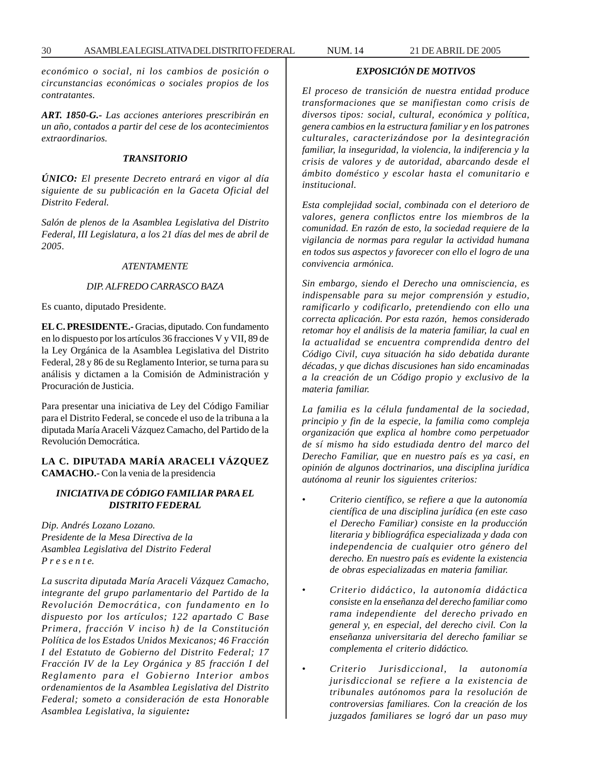*económico o social, ni los cambios de posición o circunstancias económicas o sociales propios de los contratantes.*

*ART. 1850-G.- Las acciones anteriores prescribirán en un año, contados a partir del cese de los acontecimientos extraordinarios.*

#### *TRANSITORIO*

*ÚNICO: El presente Decreto entrará en vigor al día siguiente de su publicación en la Gaceta Oficial del Distrito Federal.*

*Salón de plenos de la Asamblea Legislativa del Distrito Federal, III Legislatura, a los 21 días del mes de abril de 2005.*

#### *ATENTAMENTE*

#### *DIP. ALFREDO CARRASCO BAZA*

Es cuanto, diputado Presidente.

**EL C. PRESIDENTE.-** Gracias, diputado. Con fundamento en lo dispuesto por los artículos 36 fracciones V y VII, 89 de la Ley Orgánica de la Asamblea Legislativa del Distrito Federal, 28 y 86 de su Reglamento Interior, se turna para su análisis y dictamen a la Comisión de Administración y Procuración de Justicia.

Para presentar una iniciativa de Ley del Código Familiar para el Distrito Federal, se concede el uso de la tribuna a la diputada María Araceli Vázquez Camacho, del Partido de la Revolución Democrática.

**LA C. DIPUTADA MARÍA ARACELI VÁZQUEZ CAMACHO.-** Con la venia de la presidencia

# *INICIATIVA DE CÓDIGO FAMILIAR PARA EL DISTRITO FEDERAL*

*Dip. Andrés Lozano Lozano. Presidente de la Mesa Directiva de la Asamblea Legislativa del Distrito Federal P r e s e n t e.*

*La suscrita diputada María Araceli Vázquez Camacho, integrante del grupo parlamentario del Partido de la Revolución Democrática, con fundamento en lo dispuesto por los artículos; 122 apartado C Base Primera, fracción V inciso h) de la Constitución Política de los Estados Unidos Mexicanos; 46 Fracción I del Estatuto de Gobierno del Distrito Federal; 17 Fracción IV de la Ley Orgánica y 85 fracción I del Reglamento para el Gobierno Interior ambos ordenamientos de la Asamblea Legislativa del Distrito Federal; someto a consideración de esta Honorable Asamblea Legislativa, la siguiente:*

# *EXPOSICIÓN DE MOTIVOS*

*El proceso de transición de nuestra entidad produce transformaciones que se manifiestan como crisis de diversos tipos: social, cultural, económica y política, genera cambios en la estructura familiar y en los patrones culturales, caracterizándose por la desintegración familiar, la inseguridad, la violencia, la indiferencia y la crisis de valores y de autoridad, abarcando desde el ámbito doméstico y escolar hasta el comunitario e institucional.*

*Esta complejidad social, combinada con el deterioro de valores, genera conflictos entre los miembros de la comunidad. En razón de esto, la sociedad requiere de la vigilancia de normas para regular la actividad humana en todos sus aspectos y favorecer con ello el logro de una convivencia armónica.*

*Sin embargo, siendo el Derecho una omnisciencia, es indispensable para su mejor comprensión y estudio, ramificarlo y codificarlo, pretendiendo con ello una correcta aplicación. Por esta razón, hemos considerado retomar hoy el análisis de la materia familiar, la cual en la actualidad se encuentra comprendida dentro del Código Civil, cuya situación ha sido debatida durante décadas, y que dichas discusiones han sido encaminadas a la creación de un Código propio y exclusivo de la materia familiar.*

*La familia es la célula fundamental de la sociedad, principio y fin de la especie, la familia como compleja organización que explica al hombre como perpetuador de sí mismo ha sido estudiada dentro del marco del Derecho Familiar, que en nuestro país es ya casi, en opinión de algunos doctrinarios, una disciplina jurídica autónoma al reunir los siguientes criterios:*

- *Criterio científico, se refiere a que la autonomía científica de una disciplina jurídica (en este caso el Derecho Familiar) consiste en la producción literaria y bibliográfica especializada y dada con independencia de cualquier otro género del derecho. En nuestro país es evidente la existencia de obras especializadas en materia familiar.*
- *Criterio didáctico, la autonomía didáctica consiste en la enseñanza del derecho familiar como rama independiente del derecho privado en general y, en especial, del derecho civil. Con la enseñanza universitaria del derecho familiar se complementa el criterio didáctico.*
- *Criterio Jurisdiccional, la autonomía jurisdiccional se refiere a la existencia de tribunales autónomos para la resolución de controversias familiares. Con la creación de los juzgados familiares se logró dar un paso muy*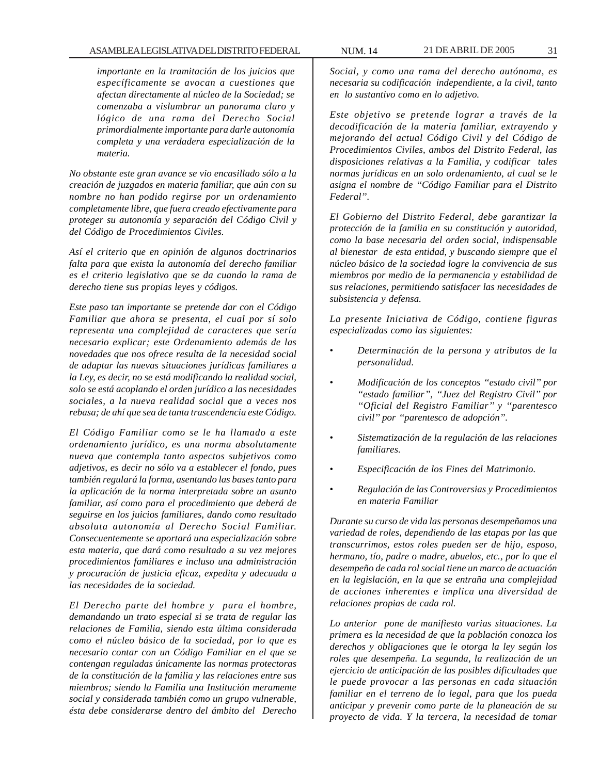*importante en la tramitación de los juicios que específicamente se avocan a cuestiones que afectan directamente al núcleo de la Sociedad; se comenzaba a vislumbrar un panorama claro y lógico de una rama del Derecho Social primordialmente importante para darle autonomía completa y una verdadera especialización de la materia.*

*No obstante este gran avance se vio encasillado sólo a la creación de juzgados en materia familiar, que aún con su nombre no han podido regirse por un ordenamiento completamente libre, que fuera creado efectivamente para proteger su autonomía y separación del Código Civil y del Código de Procedimientos Civiles.*

*Así el criterio que en opinión de algunos doctrinarios falta para que exista la autonomía del derecho familiar es el criterio legislativo que se da cuando la rama de derecho tiene sus propias leyes y códigos.*

*Este paso tan importante se pretende dar con el Código Familiar que ahora se presenta, el cual por sí solo representa una complejidad de caracteres que sería necesario explicar; este Ordenamiento además de las novedades que nos ofrece resulta de la necesidad social de adaptar las nuevas situaciones jurídicas familiares a la Ley, es decir, no se está modificando la realidad social, solo se está acoplando el orden jurídico a las necesidades sociales, a la nueva realidad social que a veces nos rebasa; de ahí que sea de tanta trascendencia este Código.*

*El Código Familiar como se le ha llamado a este ordenamiento jurídico, es una norma absolutamente nueva que contempla tanto aspectos subjetivos como adjetivos, es decir no sólo va a establecer el fondo, pues también regulará la forma, asentando las bases tanto para la aplicación de la norma interpretada sobre un asunto familiar, así como para el procedimiento que deberá de seguirse en los juicios familiares, dando como resultado absoluta autonomía al Derecho Social Familiar. Consecuentemente se aportará una especialización sobre esta materia, que dará como resultado a su vez mejores procedimientos familiares e incluso una administración y procuración de justicia eficaz, expedita y adecuada a las necesidades de la sociedad.*

*El Derecho parte del hombre y para el hombre, demandando un trato especial si se trata de regular las relaciones de Familia, siendo esta última considerada como el núcleo básico de la sociedad, por lo que es necesario contar con un Código Familiar en el que se contengan reguladas únicamente las normas protectoras de la constitución de la familia y las relaciones entre sus miembros; siendo la Familia una Institución meramente social y considerada también como un grupo vulnerable, ésta debe considerarse dentro del ámbito del Derecho* *Social, y como una rama del derecho autónoma, es necesaria su codificación independiente, a la civil, tanto en lo sustantivo como en lo adjetivo.*

*Este objetivo se pretende lograr a través de la decodificación de la materia familiar, extrayendo y mejorando del actual Código Civil y del Código de Procedimientos Civiles, ambos del Distrito Federal, las disposiciones relativas a la Familia, y codificar tales normas jurídicas en un solo ordenamiento, al cual se le asigna el nombre de ''Código Familiar para el Distrito Federal''.*

*El Gobierno del Distrito Federal, debe garantizar la protección de la familia en su constitución y autoridad, como la base necesaria del orden social, indispensable al bienestar de esta entidad, y buscando siempre que el núcleo básico de la sociedad logre la convivencia de sus miembros por medio de la permanencia y estabilidad de sus relaciones, permitiendo satisfacer las necesidades de subsistencia y defensa.*

*La presente Iniciativa de Código, contiene figuras especializadas como las siguientes:*

- *Determinación de la persona y atributos de la personalidad.*
- *Modificación de los conceptos ''estado civil'' por ''estado familiar'', ''Juez del Registro Civil'' por ''Oficial del Registro Familiar'' y ''parentesco civil'' por ''parentesco de adopción''.*
- *Sistematización de la regulación de las relaciones familiares.*
- *Especificación de los Fines del Matrimonio.*
- *Regulación de las Controversias y Procedimientos en materia Familiar*

*Durante su curso de vida las personas desempeñamos una variedad de roles, dependiendo de las etapas por las que transcurrimos, estos roles pueden ser de hijo, esposo, hermano, tío, padre o madre, abuelos, etc., por lo que el desempeño de cada rol social tiene un marco de actuación en la legislación, en la que se entraña una complejidad de acciones inherentes e implica una diversidad de relaciones propias de cada rol.*

*Lo anterior pone de manifiesto varias situaciones. La primera es la necesidad de que la población conozca los derechos y obligaciones que le otorga la ley según los roles que desempeña. La segunda, la realización de un ejercicio de anticipación de las posibles dificultades que le puede provocar a las personas en cada situación familiar en el terreno de lo legal, para que los pueda anticipar y prevenir como parte de la planeación de su proyecto de vida. Y la tercera, la necesidad de tomar*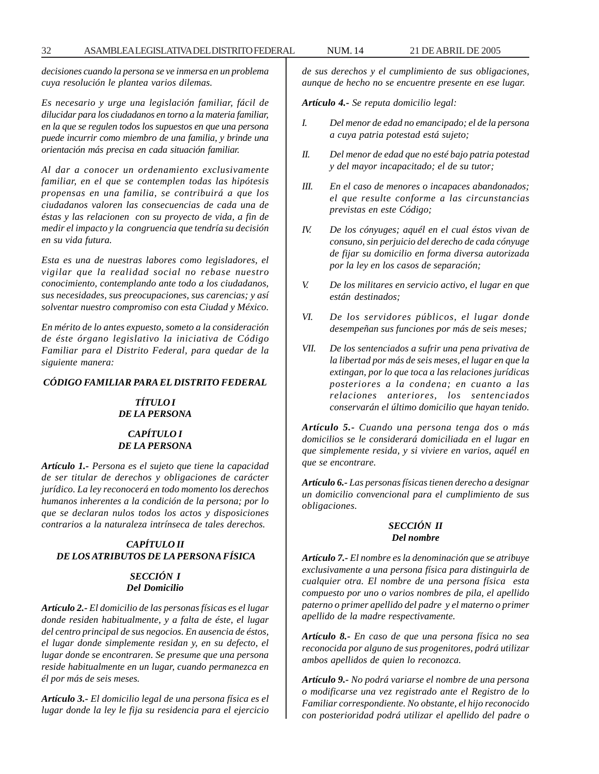*decisiones cuando la persona se ve inmersa en un problema cuya resolución le plantea varios dilemas.*

*Es necesario y urge una legislación familiar, fácil de dilucidar para los ciudadanos en torno a la materia familiar, en la que se regulen todos los supuestos en que una persona puede incurrir como miembro de una familia, y brinde una orientación más precisa en cada situación familiar.*

*Al dar a conocer un ordenamiento exclusivamente familiar, en el que se contemplen todas las hipótesis propensas en una familia, se contribuirá a que los ciudadanos valoren las consecuencias de cada una de éstas y las relacionen con su proyecto de vida, a fin de medir el impacto y la congruencia que tendría su decisión en su vida futura.*

*Esta es una de nuestras labores como legisladores, el vigilar que la realidad social no rebase nuestro conocimiento, contemplando ante todo a los ciudadanos, sus necesidades, sus preocupaciones, sus carencias; y así solventar nuestro compromiso con esta Ciudad y México.*

*En mérito de lo antes expuesto, someto a la consideración de éste órgano legislativo la iniciativa de Código Familiar para el Distrito Federal, para quedar de la siguiente manera:*

# *CÓDIGO FAMILIAR PARA EL DISTRITO FEDERAL*

# *TÍTULO I DE LA PERSONA*

# *CAPÍTULO I DE LA PERSONA*

*Artículo 1.- Persona es el sujeto que tiene la capacidad de ser titular de derechos y obligaciones de carácter jurídico. La ley reconocerá en todo momento los derechos humanos inherentes a la condición de la persona; por lo que se declaran nulos todos los actos y disposiciones contrarios a la naturaleza intrínseca de tales derechos.*

# *CAPÍTULO II DE LOS ATRIBUTOS DE LA PERSONA FÍSICA*

# *SECCIÓN I Del Domicilio*

*Artículo 2.- El domicilio de las personas físicas es el lugar donde residen habitualmente, y a falta de éste, el lugar del centro principal de sus negocios. En ausencia de éstos, el lugar donde simplemente residan y, en su defecto, el lugar donde se encontraren. Se presume que una persona reside habitualmente en un lugar, cuando permanezca en él por más de seis meses.*

*Artículo 3.- El domicilio legal de una persona física es el lugar donde la ley le fija su residencia para el ejercicio* *de sus derechos y el cumplimiento de sus obligaciones, aunque de hecho no se encuentre presente en ese lugar.*

*Artículo 4.- Se reputa domicilio legal:*

- *I. Del menor de edad no emancipado; el de la persona a cuya patria potestad está sujeto;*
- *II. Del menor de edad que no esté bajo patria potestad y del mayor incapacitado; el de su tutor;*
- *III. En el caso de menores o incapaces abandonados; el que resulte conforme a las circunstancias previstas en este Código;*
- *IV. De los cónyuges; aquél en el cual éstos vivan de consuno, sin perjuicio del derecho de cada cónyuge de fijar su domicilio en forma diversa autorizada por la ley en los casos de separación;*
- *V. De los militares en servicio activo, el lugar en que están destinados;*
- *VI. De los servidores públicos, el lugar donde desempeñan sus funciones por más de seis meses;*
- *VII. De los sentenciados a sufrir una pena privativa de la libertad por más de seis meses, el lugar en que la extingan, por lo que toca a las relaciones jurídicas posteriores a la condena; en cuanto a las relaciones anteriores, los sentenciados conservarán el último domicilio que hayan tenido.*

*Artículo 5.- Cuando una persona tenga dos o más domicilios se le considerará domiciliada en el lugar en que simplemente resida, y si viviere en varios, aquél en que se encontrare.*

*Artículo 6.- Las personas físicas tienen derecho a designar un domicilio convencional para el cumplimiento de sus obligaciones.*

# *SECCIÓN II Del nombre*

*Artículo 7.- El nombre es la denominación que se atribuye exclusivamente a una persona física para distinguirla de cualquier otra. El nombre de una persona física esta compuesto por uno o varios nombres de pila, el apellido paterno o primer apellido del padre y el materno o primer apellido de la madre respectivamente.*

*Artículo 8.- En caso de que una persona física no sea reconocida por alguno de sus progenitores, podrá utilizar ambos apellidos de quien lo reconozca.*

*Artículo 9.- No podrá variarse el nombre de una persona o modificarse una vez registrado ante el Registro de lo Familiar correspondiente. No obstante, el hijo reconocido con posterioridad podrá utilizar el apellido del padre o*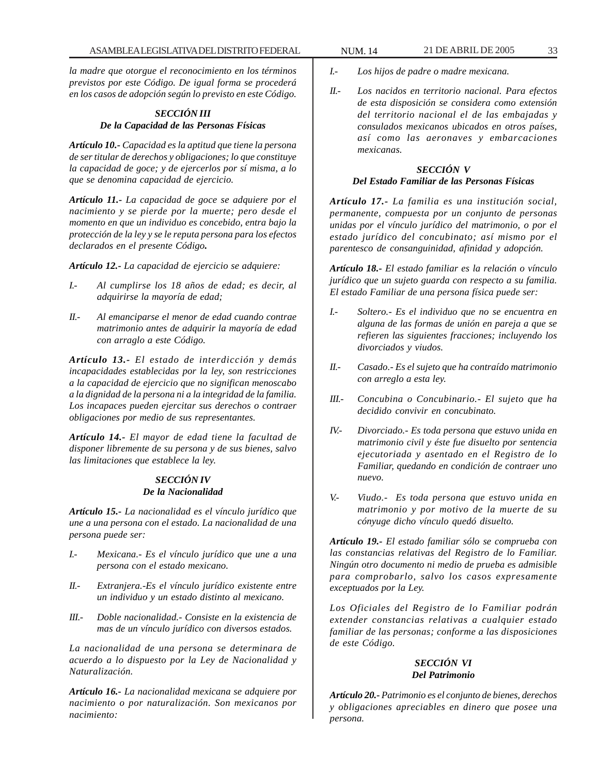*la madre que otorgue el reconocimiento en los términos previstos por este Código. De igual forma se procederá en los casos de adopción según lo previsto en este Código.*

# *SECCIÓN III De la Capacidad de las Personas Físicas*

*Artículo 10.- Capacidad es la aptitud que tiene la persona de ser titular de derechos y obligaciones; lo que constituye la capacidad de goce; y de ejercerlos por sí misma, a lo que se denomina capacidad de ejercicio.*

*Artículo 11.- La capacidad de goce se adquiere por el nacimiento y se pierde por la muerte; pero desde el momento en que un individuo es concebido, entra bajo la protección de la ley y se le reputa persona para los efectos declarados en el presente Código.*

*Artículo 12.- La capacidad de ejercicio se adquiere:*

- *I.- Al cumplirse los 18 años de edad; es decir, al adquirirse la mayoría de edad;*
- *II.- Al emanciparse el menor de edad cuando contrae matrimonio antes de adquirir la mayoría de edad con arraglo a este Código.*

*Artículo 13.- El estado de interdicción y demás incapacidades establecidas por la ley, son restricciones a la capacidad de ejercicio que no significan menoscabo a la dignidad de la persona ni a la integridad de la familia. Los incapaces pueden ejercitar sus derechos o contraer obligaciones por medio de sus representantes.*

*Artículo 14.- El mayor de edad tiene la facultad de disponer libremente de su persona y de sus bienes, salvo las limitaciones que establece la ley.*

## *SECCIÓN IV De la Nacionalidad*

*Artículo 15.- La nacionalidad es el vínculo jurídico que une a una persona con el estado. La nacionalidad de una persona puede ser:*

- *I.- Mexicana.- Es el vínculo jurídico que une a una persona con el estado mexicano.*
- *II.- Extranjera.-Es el vínculo jurídico existente entre un individuo y un estado distinto al mexicano.*
- *III.- Doble nacionalidad.- Consiste en la existencia de mas de un vínculo jurídico con diversos estados.*

*La nacionalidad de una persona se determinara de acuerdo a lo dispuesto por la Ley de Nacionalidad y Naturalización.*

*Artículo 16.- La nacionalidad mexicana se adquiere por nacimiento o por naturalización. Son mexicanos por nacimiento:*

- *I.- Los hijos de padre o madre mexicana.*
- *II.- Los nacidos en territorio nacional. Para efectos de esta disposición se considera como extensión del territorio nacional el de las embajadas y consulados mexicanos ubicados en otros países, así como las aeronaves y embarcaciones mexicanas.*

# *SECCIÓN V Del Estado Familiar de las Personas Físicas*

*Artículo 17.- La familia es una institución social, permanente, compuesta por un conjunto de personas unidas por el vínculo jurídico del matrimonio, o por el estado jurídico del concubinato; así mismo por el parentesco de consanguinidad, afinidad y adopción.*

*Artículo 18.- El estado familiar es la relación o vínculo jurídico que un sujeto guarda con respecto a su familia. El estado Familiar de una persona física puede ser:*

- *I.- Soltero.- Es el individuo que no se encuentra en alguna de las formas de unión en pareja a que se refieren las siguientes fracciones; incluyendo los divorciados y viudos.*
- *II.- Casado.- Es el sujeto que ha contraído matrimonio con arreglo a esta ley.*
- *III.- Concubina o Concubinario.- El sujeto que ha decidido convivir en concubinato.*
- *IV.- Divorciado.- Es toda persona que estuvo unida en matrimonio civil y éste fue disuelto por sentencia ejecutoriada y asentado en el Registro de lo Familiar, quedando en condición de contraer uno nuevo.*
- *V.- Viudo.- Es toda persona que estuvo unida en matrimonio y por motivo de la muerte de su cónyuge dicho vínculo quedó disuelto.*

*Artículo 19.- El estado familiar sólo se comprueba con las constancias relativas del Registro de lo Familiar. Ningún otro documento ni medio de prueba es admisible para comprobarlo, salvo los casos expresamente exceptuados por la Ley.*

*Los Oficiales del Registro de lo Familiar podrán extender constancias relativas a cualquier estado familiar de las personas; conforme a las disposiciones de este Código.*

# *SECCIÓN VI Del Patrimonio*

*Artículo 20.- Patrimonio es el conjunto de bienes, derechos y obligaciones apreciables en dinero que posee una persona.*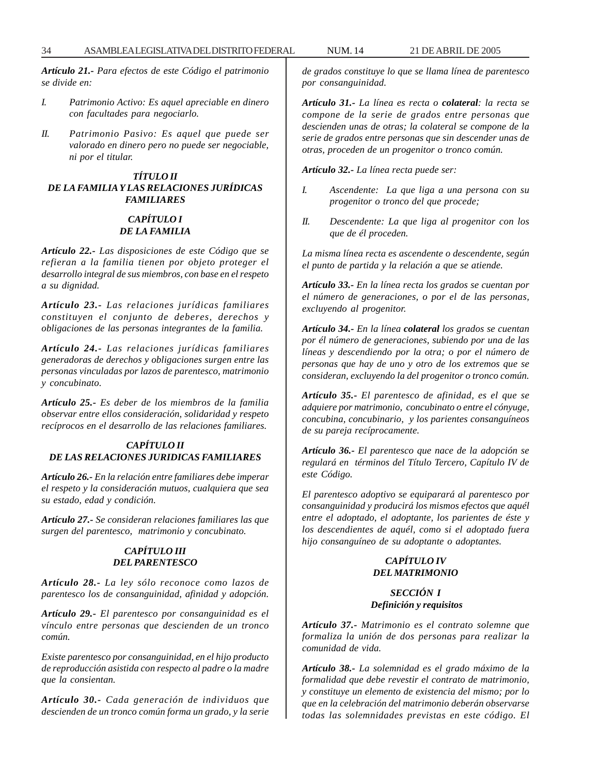*Artículo 21.- Para efectos de este Código el patrimonio se divide en:*

- *I. Patrimonio Activo: Es aquel apreciable en dinero con facultades para negociarlo.*
- *II. Patrimonio Pasivo: Es aquel que puede ser valorado en dinero pero no puede ser negociable, ni por el titular.*

# *TÍTULO II DE LA FAMILIA Y LAS RELACIONES JURÍDICAS FAMILIARES*

# *CAPÍTULO I DE LA FAMILIA*

*Artículo 22.- Las disposiciones de este Código que se refieran a la familia tienen por objeto proteger el desarrollo integral de sus miembros, con base en el respeto a su dignidad.*

*Artículo 23.- Las relaciones jurídicas familiares constituyen el conjunto de deberes, derechos y obligaciones de las personas integrantes de la familia.*

*Artículo 24.- Las relaciones jurídicas familiares generadoras de derechos y obligaciones surgen entre las personas vinculadas por lazos de parentesco, matrimonio y concubinato.*

*Artículo 25.- Es deber de los miembros de la familia observar entre ellos consideración, solidaridad y respeto recíprocos en el desarrollo de las relaciones familiares.*

# *CAPÍTULO II DE LAS RELACIONES JURIDICAS FAMILIARES*

*Artículo 26.- En la relación entre familiares debe imperar el respeto y la consideración mutuos, cualquiera que sea su estado, edad y condición.*

*Artículo 27.- Se consideran relaciones familiares las que surgen del parentesco, matrimonio y concubinato.*

# *CAPÍTULO III DEL PARENTESCO*

*Artículo 28.- La ley sólo reconoce como lazos de parentesco los de consanguinidad, afinidad y adopción.*

*Artículo 29.- El parentesco por consanguinidad es el vínculo entre personas que descienden de un tronco común.*

*Existe parentesco por consanguinidad, en el hijo producto de reproducción asistida con respecto al padre o la madre que la consientan.*

*Artículo 30.- Cada generación de individuos que descienden de un tronco común forma un grado, y la serie* *de grados constituye lo que se llama línea de parentesco por consanguinidad.*

*Artículo 31.- La línea es recta o colateral: la recta se compone de la serie de grados entre personas que descienden unas de otras; la colateral se compone de la serie de grados entre personas que sin descender unas de otras, proceden de un progenitor o tronco común.*

*Artículo 32.- La línea recta puede ser:*

- *I. Ascendente: La que liga a una persona con su progenitor o tronco del que procede;*
- *II. Descendente: La que liga al progenitor con los que de él proceden.*

*La misma línea recta es ascendente o descendente, según el punto de partida y la relación a que se atiende.*

*Artículo 33.- En la línea recta los grados se cuentan por el número de generaciones, o por el de las personas, excluyendo al progenitor.*

*Artículo 34.- En la línea colateral los grados se cuentan por él número de generaciones, subiendo por una de las líneas y descendiendo por la otra; o por el número de personas que hay de uno y otro de los extremos que se consideran, excluyendo la del progenitor o tronco común.*

*Artículo 35.- El parentesco de afinidad, es el que se adquiere por matrimonio, concubinato o entre el cónyuge, concubina, concubinario, y los parientes consanguíneos de su pareja recíprocamente.*

*Artículo 36.- El parentesco que nace de la adopción se regulará en términos del Título Tercero, Capítulo IV de este Código.*

*El parentesco adoptivo se equiparará al parentesco por consanguinidad y producirá los mismos efectos que aquél entre el adoptado, el adoptante, los parientes de éste y los descendientes de aquél, como si el adoptado fuera hijo consanguíneo de su adoptante o adoptantes.*

# *CAPÍTULO IV DEL MATRIMONIO*

## *SECCIÓN I Definición y requisitos*

*Artículo 37.- Matrimonio es el contrato solemne que formaliza la unión de dos personas para realizar la comunidad de vida.*

*Artículo 38.- La solemnidad es el grado máximo de la formalidad que debe revestir el contrato de matrimonio, y constituye un elemento de existencia del mismo; por lo que en la celebración del matrimonio deberán observarse todas las solemnidades previstas en este código. El*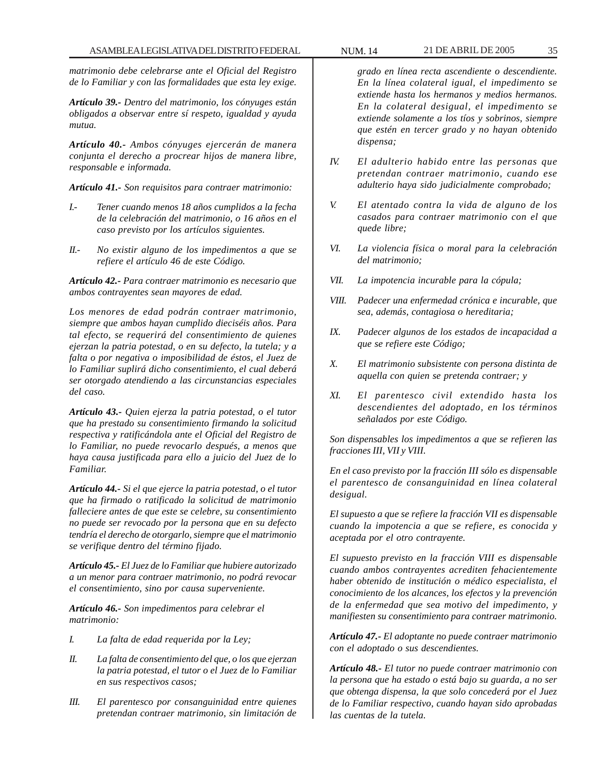*matrimonio debe celebrarse ante el Oficial del Registro de lo Familiar y con las formalidades que esta ley exige.*

*Artículo 39.- Dentro del matrimonio, los cónyuges están obligados a observar entre sí respeto, igualdad y ayuda mutua.*

*Artículo 40.- Ambos cónyuges ejercerán de manera conjunta el derecho a procrear hijos de manera libre, responsable e informada.*

*Artículo 41.- Son requisitos para contraer matrimonio:*

- *I.- Tener cuando menos 18 años cumplidos a la fecha de la celebración del matrimonio, o 16 años en el caso previsto por los artículos siguientes.*
- *II.- No existir alguno de los impedimentos a que se refiere el artículo 46 de este Código.*

*Artículo 42.- Para contraer matrimonio es necesario que ambos contrayentes sean mayores de edad.*

*Los menores de edad podrán contraer matrimonio, siempre que ambos hayan cumplido dieciséis años. Para tal efecto, se requerirá del consentimiento de quienes ejerzan la patria potestad, o en su defecto, la tutela; y a falta o por negativa o imposibilidad de éstos, el Juez de lo Familiar suplirá dicho consentimiento, el cual deberá ser otorgado atendiendo a las circunstancias especiales del caso.*

*Artículo 43.- Quien ejerza la patria potestad, o el tutor que ha prestado su consentimiento firmando la solicitud respectiva y ratificándola ante el Oficial del Registro de lo Familiar, no puede revocarlo después, a menos que haya causa justificada para ello a juicio del Juez de lo Familiar.*

*Artículo 44.- Si el que ejerce la patria potestad, o el tutor que ha firmado o ratificado la solicitud de matrimonio falleciere antes de que este se celebre, su consentimiento no puede ser revocado por la persona que en su defecto tendría el derecho de otorgarlo, siempre que el matrimonio se verifique dentro del término fijado.*

*Artículo 45.- El Juez de lo Familiar que hubiere autorizado a un menor para contraer matrimonio, no podrá revocar el consentimiento, sino por causa superveniente.*

*Artículo 46.- Son impedimentos para celebrar el matrimonio:*

- *I. La falta de edad requerida por la Ley;*
- *II. La falta de consentimiento del que, o los que ejerzan la patria potestad, el tutor o el Juez de lo Familiar en sus respectivos casos;*
- *III. El parentesco por consanguinidad entre quienes pretendan contraer matrimonio, sin limitación de*

*grado en línea recta ascendiente o descendiente. En la línea colateral igual, el impedimento se extiende hasta los hermanos y medios hermanos. En la colateral desigual, el impedimento se extiende solamente a los tíos y sobrinos, siempre que estén en tercer grado y no hayan obtenido dispensa;*

- *IV. El adulterio habido entre las personas que pretendan contraer matrimonio, cuando ese adulterio haya sido judicialmente comprobado;*
- *V. El atentado contra la vida de alguno de los casados para contraer matrimonio con el que quede libre;*
- *VI. La violencia física o moral para la celebración del matrimonio;*
- *VII. La impotencia incurable para la cópula;*
- *VIII. Padecer una enfermedad crónica e incurable, que sea, además, contagiosa o hereditaria;*
- *IX. Padecer algunos de los estados de incapacidad a que se refiere este Código;*
- *X. El matrimonio subsistente con persona distinta de aquella con quien se pretenda contraer; y*
- *XI. El parentesco civil extendido hasta los descendientes del adoptado, en los términos señalados por este Código.*

*Son dispensables los impedimentos a que se refieren las fracciones III, VII y VIII.*

*En el caso previsto por la fracción III sólo es dispensable el parentesco de consanguinidad en línea colateral desigual.*

*El supuesto a que se refiere la fracción VII es dispensable cuando la impotencia a que se refiere, es conocida y aceptada por el otro contrayente.*

*El supuesto previsto en la fracción VIII es dispensable cuando ambos contrayentes acrediten fehacientemente haber obtenido de institución o médico especialista, el conocimiento de los alcances, los efectos y la prevención de la enfermedad que sea motivo del impedimento, y manifiesten su consentimiento para contraer matrimonio.*

*Artículo 47.- El adoptante no puede contraer matrimonio con el adoptado o sus descendientes.*

*Artículo 48.- El tutor no puede contraer matrimonio con la persona que ha estado o está bajo su guarda, a no ser que obtenga dispensa, la que solo concederá por el Juez de lo Familiar respectivo, cuando hayan sido aprobadas las cuentas de la tutela.*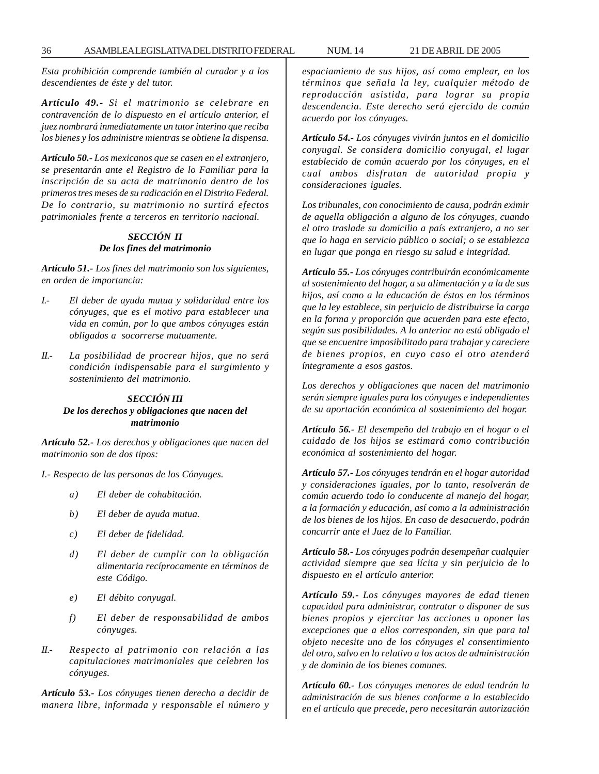*Esta prohibición comprende también al curador y a los descendientes de éste y del tutor.*

*Artículo 49.- Si el matrimonio se celebrare en contravención de lo dispuesto en el artículo anterior, el juez nombrará inmediatamente un tutor interino que reciba los bienes y los administre mientras se obtiene la dispensa.*

*Artículo 50.- Los mexicanos que se casen en el extranjero, se presentarán ante el Registro de lo Familiar para la inscripción de su acta de matrimonio dentro de los primeros tres meses de su radicación en el Distrito Federal. De lo contrario, su matrimonio no surtirá efectos patrimoniales frente a terceros en territorio nacional.*

# *SECCIÓN II De los fines del matrimonio*

*Artículo 51.- Los fines del matrimonio son los siguientes, en orden de importancia:*

- *I.- El deber de ayuda mutua y solidaridad entre los cónyuges, que es el motivo para establecer una vida en común, por lo que ambos cónyuges están obligados a socorrerse mutuamente.*
- *II.- La posibilidad de procrear hijos, que no será condición indispensable para el surgimiento y sostenimiento del matrimonio.*

# *SECCIÓN III De los derechos y obligaciones que nacen del matrimonio*

*Artículo 52.- Los derechos y obligaciones que nacen del matrimonio son de dos tipos:*

*I.- Respecto de las personas de los Cónyuges.*

- *a) El deber de cohabitación.*
- *b) El deber de ayuda mutua.*
- *c) El deber de fidelidad.*
- *d) El deber de cumplir con la obligación alimentaria recíprocamente en términos de este Código.*
- *e) El débito conyugal.*
- *f) El deber de responsabilidad de ambos cónyuges.*
- *II.- Respecto al patrimonio con relación a las capitulaciones matrimoniales que celebren los cónyuges.*

*Artículo 53.- Los cónyuges tienen derecho a decidir de manera libre, informada y responsable el número y* *espaciamiento de sus hijos, así como emplear, en los términos que señala la ley, cualquier método de reproducción asistida, para lograr su propia descendencia. Este derecho será ejercido de común acuerdo por los cónyuges.*

*Artículo 54.- Los cónyuges vivirán juntos en el domicilio conyugal. Se considera domicilio conyugal, el lugar establecido de común acuerdo por los cónyuges, en el cual ambos disfrutan de autoridad propia y consideraciones iguales.*

*Los tribunales, con conocimiento de causa, podrán eximir de aquella obligación a alguno de los cónyuges, cuando el otro traslade su domicilio a país extranjero, a no ser que lo haga en servicio público o social; o se establezca en lugar que ponga en riesgo su salud e integridad.*

*Artículo 55.- Los cónyuges contribuirán económicamente al sostenimiento del hogar, a su alimentación y a la de sus hijos, así como a la educación de éstos en los términos que la ley establece, sin perjuicio de distribuirse la carga en la forma y proporción que acuerden para este efecto, según sus posibilidades. A lo anterior no está obligado el que se encuentre imposibilitado para trabajar y careciere de bienes propios, en cuyo caso el otro atenderá íntegramente a esos gastos.*

*Los derechos y obligaciones que nacen del matrimonio serán siempre iguales para los cónyuges e independientes de su aportación económica al sostenimiento del hogar.*

*Artículo 56.- El desempeño del trabajo en el hogar o el cuidado de los hijos se estimará como contribución económica al sostenimiento del hogar.*

*Artículo 57.- Los cónyuges tendrán en el hogar autoridad y consideraciones iguales, por lo tanto, resolverán de común acuerdo todo lo conducente al manejo del hogar, a la formación y educación, así como a la administración de los bienes de los hijos. En caso de desacuerdo, podrán concurrir ante el Juez de lo Familiar.*

*Artículo 58.- Los cónyuges podrán desempeñar cualquier actividad siempre que sea lícita y sin perjuicio de lo dispuesto en el artículo anterior.*

*Artículo 59.- Los cónyuges mayores de edad tienen capacidad para administrar, contratar o disponer de sus bienes propios y ejercitar las acciones u oponer las excepciones que a ellos corresponden, sin que para tal objeto necesite uno de los cónyuges el consentimiento del otro, salvo en lo relativo a los actos de administración y de dominio de los bienes comunes.*

*Artículo 60.- Los cónyuges menores de edad tendrán la administración de sus bienes conforme a lo establecido en el artículo que precede, pero necesitarán autorización*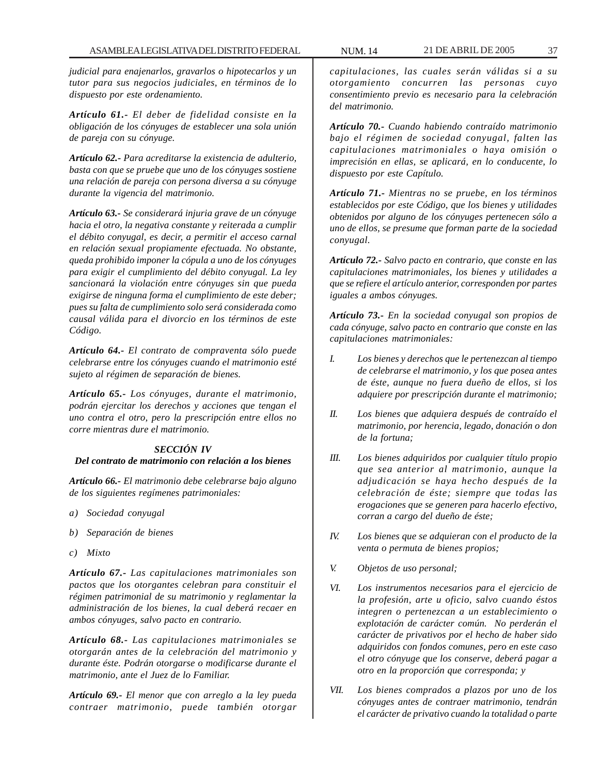*judicial para enajenarlos, gravarlos o hipotecarlos y un tutor para sus negocios judiciales, en términos de lo dispuesto por este ordenamiento.*

*Artículo 61.- El deber de fidelidad consiste en la obligación de los cónyuges de establecer una sola unión de pareja con su cónyuge.*

*Artículo 62.- Para acreditarse la existencia de adulterio, basta con que se pruebe que uno de los cónyuges sostiene una relación de pareja con persona diversa a su cónyuge durante la vigencia del matrimonio.*

*Artículo 63.- Se considerará injuria grave de un cónyuge hacia el otro, la negativa constante y reiterada a cumplir el débito conyugal, es decir, a permitir el acceso carnal en relación sexual propiamente efectuada. No obstante, queda prohibido imponer la cópula a uno de los cónyuges para exigir el cumplimiento del débito conyugal. La ley sancionará la violación entre cónyuges sin que pueda exigirse de ninguna forma el cumplimiento de este deber; pues su falta de cumplimiento solo será considerada como causal válida para el divorcio en los términos de este Código.*

*Artículo 64.- El contrato de compraventa sólo puede celebrarse entre los cónyuges cuando el matrimonio esté sujeto al régimen de separación de bienes.*

*Artículo 65.- Los cónyuges, durante el matrimonio, podrán ejercitar los derechos y acciones que tengan el uno contra el otro, pero la prescripción entre ellos no corre mientras dure el matrimonio.*

#### *SECCIÓN IV*

#### *Del contrato de matrimonio con relación a los bienes*

*Artículo 66.- El matrimonio debe celebrarse bajo alguno de los siguientes regímenes patrimoniales:*

- *a) Sociedad conyugal*
- *b) Separación de bienes*
- *c) Mixto*

*Artículo 67.- Las capitulaciones matrimoniales son pactos que los otorgantes celebran para constituir el régimen patrimonial de su matrimonio y reglamentar la administración de los bienes, la cual deberá recaer en ambos cónyuges, salvo pacto en contrario.*

*Artículo 68.- Las capitulaciones matrimoniales se otorgarán antes de la celebración del matrimonio y durante éste. Podrán otorgarse o modificarse durante el matrimonio, ante el Juez de lo Familiar.*

*Artículo 69.- El menor que con arreglo a la ley pueda contraer matrimonio, puede también otorgar* *capitulaciones, las cuales serán válidas si a su otorgamiento concurren las personas cuyo consentimiento previo es necesario para la celebración del matrimonio.*

*Artículo 70.- Cuando habiendo contraído matrimonio bajo el régimen de sociedad conyugal, falten las capitulaciones matrimoniales o haya omisión o imprecisión en ellas, se aplicará, en lo conducente, lo dispuesto por este Capítulo.*

*Artículo 71.- Mientras no se pruebe, en los términos establecidos por este Código, que los bienes y utilidades obtenidos por alguno de los cónyuges pertenecen sólo a uno de ellos, se presume que forman parte de la sociedad conyugal.*

*Artículo 72.- Salvo pacto en contrario, que conste en las capitulaciones matrimoniales, los bienes y utilidades a que se refiere el artículo anterior, corresponden por partes iguales a ambos cónyuges.*

*Artículo 73.- En la sociedad conyugal son propios de cada cónyuge, salvo pacto en contrario que conste en las capitulaciones matrimoniales:*

- *I. Los bienes y derechos que le pertenezcan al tiempo de celebrarse el matrimonio, y los que posea antes de éste, aunque no fuera dueño de ellos, si los adquiere por prescripción durante el matrimonio;*
- *II. Los bienes que adquiera después de contraído el matrimonio, por herencia, legado, donación o don de la fortuna;*
- *III. Los bienes adquiridos por cualquier título propio que sea anterior al matrimonio, aunque la adjudicación se haya hecho después de la celebración de éste; siempre que todas las erogaciones que se generen para hacerlo efectivo, corran a cargo del dueño de éste;*
- *IV. Los bienes que se adquieran con el producto de la venta o permuta de bienes propios;*
- *V. Objetos de uso personal;*
- *VI. Los instrumentos necesarios para el ejercicio de la profesión, arte u oficio, salvo cuando éstos integren o pertenezcan a un establecimiento o explotación de carácter común. No perderán el carácter de privativos por el hecho de haber sido adquiridos con fondos comunes, pero en este caso el otro cónyuge que los conserve, deberá pagar a otro en la proporción que corresponda; y*
- *VII. Los bienes comprados a plazos por uno de los cónyuges antes de contraer matrimonio, tendrán el carácter de privativo cuando la totalidad o parte*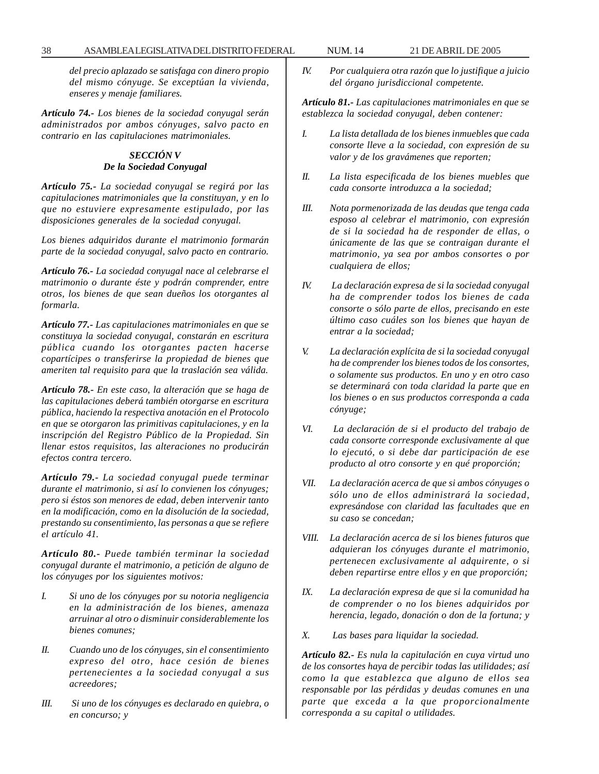*del precio aplazado se satisfaga con dinero propio del mismo cónyuge. Se exceptúan la vivienda, enseres y menaje familiares.*

*Artículo 74.- Los bienes de la sociedad conyugal serán administrados por ambos cónyuges, salvo pacto en contrario en las capitulaciones matrimoniales.*

# *SECCIÓN V De la Sociedad Conyugal*

*Artículo 75.- La sociedad conyugal se regirá por las capitulaciones matrimoniales que la constituyan, y en lo que no estuviere expresamente estipulado, por las disposiciones generales de la sociedad conyugal.*

*Los bienes adquiridos durante el matrimonio formarán parte de la sociedad conyugal, salvo pacto en contrario.*

*Artículo 76.- La sociedad conyugal nace al celebrarse el matrimonio o durante éste y podrán comprender, entre otros, los bienes de que sean dueños los otorgantes al formarla.*

*Artículo 77.- Las capitulaciones matrimoniales en que se constituya la sociedad conyugal, constarán en escritura pública cuando los otorgantes pacten hacerse copartícipes o transferirse la propiedad de bienes que ameriten tal requisito para que la traslación sea válida.*

*Artículo 78.- En este caso, la alteración que se haga de las capitulaciones deberá también otorgarse en escritura pública, haciendo la respectiva anotación en el Protocolo en que se otorgaron las primitivas capitulaciones, y en la inscripción del Registro Público de la Propiedad. Sin llenar estos requisitos, las alteraciones no producirán efectos contra tercero.*

*Artículo 79.- La sociedad conyugal puede terminar durante el matrimonio, si así lo convienen los cónyuges; pero si éstos son menores de edad, deben intervenir tanto en la modificación, como en la disolución de la sociedad, prestando su consentimiento, las personas a que se refiere el artículo 41.*

*Artículo 80.- Puede también terminar la sociedad conyugal durante el matrimonio, a petición de alguno de los cónyuges por los siguientes motivos:*

- *I. Si uno de los cónyuges por su notoria negligencia en la administración de los bienes, amenaza arruinar al otro o disminuir considerablemente los bienes comunes;*
- *II. Cuando uno de los cónyuges, sin el consentimiento expreso del otro, hace cesión de bienes pertenecientes a la sociedad conyugal a sus acreedores;*
- *III. Si uno de los cónyuges es declarado en quiebra, o en concurso; y*

*IV. Por cualquiera otra razón que lo justifique a juicio del órgano jurisdiccional competente.*

*Artículo 81.- Las capitulaciones matrimoniales en que se establezca la sociedad conyugal, deben contener:*

- *I. La lista detallada de los bienes inmuebles que cada consorte lleve a la sociedad, con expresión de su valor y de los gravámenes que reporten;*
- *II. La lista especificada de los bienes muebles que cada consorte introduzca a la sociedad;*
- *III. Nota pormenorizada de las deudas que tenga cada esposo al celebrar el matrimonio, con expresión de si la sociedad ha de responder de ellas, o únicamente de las que se contraigan durante el matrimonio, ya sea por ambos consortes o por cualquiera de ellos;*
- *IV. La declaración expresa de si la sociedad conyugal ha de comprender todos los bienes de cada consorte o sólo parte de ellos, precisando en este último caso cuáles son los bienes que hayan de entrar a la sociedad;*
- *V. La declaración explícita de si la sociedad conyugal ha de comprender los bienes todos de los consortes, o solamente sus productos. En uno y en otro caso se determinará con toda claridad la parte que en los bienes o en sus productos corresponda a cada cónyuge;*
- *VI. La declaración de si el producto del trabajo de cada consorte corresponde exclusivamente al que lo ejecutó, o si debe dar participación de ese producto al otro consorte y en qué proporción;*
- *VII. La declaración acerca de que si ambos cónyuges o sólo uno de ellos administrará la sociedad, expresándose con claridad las facultades que en su caso se concedan;*
- *VIII. La declaración acerca de si los bienes futuros que adquieran los cónyuges durante el matrimonio, pertenecen exclusivamente al adquirente, o si deben repartirse entre ellos y en que proporción;*
- *IX. La declaración expresa de que si la comunidad ha de comprender o no los bienes adquiridos por herencia, legado, donación o don de la fortuna; y*
- *X. Las bases para liquidar la sociedad.*

*Artículo 82.- Es nula la capitulación en cuya virtud uno de los consortes haya de percibir todas las utilidades; así como la que establezca que alguno de ellos sea responsable por las pérdidas y deudas comunes en una parte que exceda a la que proporcionalmente corresponda a su capital o utilidades.*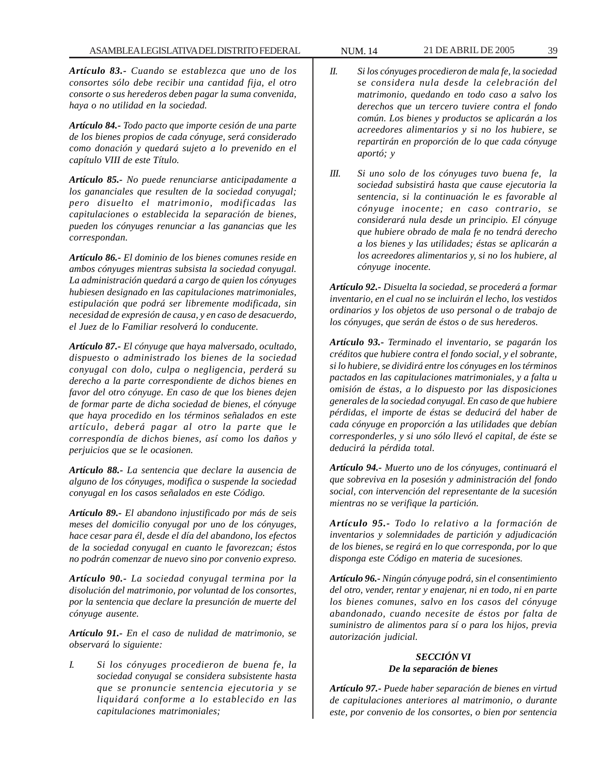*Artículo 83.- Cuando se establezca que uno de los consortes sólo debe recibir una cantidad fija, el otro consorte o sus herederos deben pagar la suma convenida, haya o no utilidad en la sociedad.*

*Artículo 84.- Todo pacto que importe cesión de una parte de los bienes propios de cada cónyuge, será considerado como donación y quedará sujeto a lo prevenido en el capítulo VIII de este Título.*

*Artículo 85.- No puede renunciarse anticipadamente a los gananciales que resulten de la sociedad conyugal; pero disuelto el matrimonio, modificadas las capitulaciones o establecida la separación de bienes, pueden los cónyuges renunciar a las ganancias que les correspondan.*

*Artículo 86.- El dominio de los bienes comunes reside en ambos cónyuges mientras subsista la sociedad conyugal. La administración quedará a cargo de quien los cónyuges hubiesen designado en las capitulaciones matrimoniales, estipulación que podrá ser libremente modificada, sin necesidad de expresión de causa, y en caso de desacuerdo, el Juez de lo Familiar resolverá lo conducente.*

*Artículo 87.- El cónyuge que haya malversado, ocultado, dispuesto o administrado los bienes de la sociedad conyugal con dolo, culpa o negligencia, perderá su derecho a la parte correspondiente de dichos bienes en favor del otro cónyuge. En caso de que los bienes dejen de formar parte de dicha sociedad de bienes, el cónyuge que haya procedido en los términos señalados en este artículo, deberá pagar al otro la parte que le correspondía de dichos bienes, así como los daños y perjuicios que se le ocasionen.*

*Artículo 88.- La sentencia que declare la ausencia de alguno de los cónyuges, modifica o suspende la sociedad conyugal en los casos señalados en este Código.*

*Artículo 89.- El abandono injustificado por más de seis meses del domicilio conyugal por uno de los cónyuges, hace cesar para él, desde el día del abandono, los efectos de la sociedad conyugal en cuanto le favorezcan; éstos no podrán comenzar de nuevo sino por convenio expreso.*

*Artículo 90.- La sociedad conyugal termina por la disolución del matrimonio, por voluntad de los consortes, por la sentencia que declare la presunción de muerte del cónyuge ausente.*

*Artículo 91.- En el caso de nulidad de matrimonio, se observará lo siguiente:*

*I. Si los cónyuges procedieron de buena fe, la sociedad conyugal se considera subsistente hasta que se pronuncie sentencia ejecutoria y se liquidará conforme a lo establecido en las capitulaciones matrimoniales;*

- *II. Si los cónyuges procedieron de mala fe, la sociedad se considera nula desde la celebración del matrimonio, quedando en todo caso a salvo los derechos que un tercero tuviere contra el fondo común. Los bienes y productos se aplicarán a los acreedores alimentarios y si no los hubiere, se repartirán en proporción de lo que cada cónyuge aportó; y*
- *III. Si uno solo de los cónyuges tuvo buena fe, la sociedad subsistirá hasta que cause ejecutoria la sentencia, si la continuación le es favorable al cónyuge inocente; en caso contrario, se considerará nula desde un principio. El cónyuge que hubiere obrado de mala fe no tendrá derecho a los bienes y las utilidades; éstas se aplicarán a los acreedores alimentarios y, si no los hubiere, al cónyuge inocente.*

*Artículo 92.- Disuelta la sociedad, se procederá a formar inventario, en el cual no se incluirán el lecho, los vestidos ordinarios y los objetos de uso personal o de trabajo de los cónyuges, que serán de éstos o de sus herederos.*

*Artículo 93.- Terminado el inventario, se pagarán los créditos que hubiere contra el fondo social, y el sobrante, si lo hubiere, se dividirá entre los cónyuges en los términos pactados en las capitulaciones matrimoniales, y a falta u omisión de éstas, a lo dispuesto por las disposiciones generales de la sociedad conyugal. En caso de que hubiere pérdidas, el importe de éstas se deducirá del haber de cada cónyuge en proporción a las utilidades que debían corresponderles, y si uno sólo llevó el capital, de éste se deducirá la pérdida total.*

*Artículo 94.- Muerto uno de los cónyuges, continuará el que sobreviva en la posesión y administración del fondo social, con intervención del representante de la sucesión mientras no se verifique la partición.*

*Artículo 95.- Todo lo relativo a la formación de inventarios y solemnidades de partición y adjudicación de los bienes, se regirá en lo que corresponda, por lo que disponga este Código en materia de sucesiones.*

*Artículo 96.- Ningún cónyuge podrá, sin el consentimiento del otro, vender, rentar y enajenar, ni en todo, ni en parte los bienes comunes, salvo en los casos del cónyuge abandonado, cuando necesite de éstos por falta de suministro de alimentos para sí o para los hijos, previa autorización judicial.*

# *SECCIÓN VI De la separación de bienes*

*Artículo 97.- Puede haber separación de bienes en virtud de capitulaciones anteriores al matrimonio, o durante este, por convenio de los consortes, o bien por sentencia*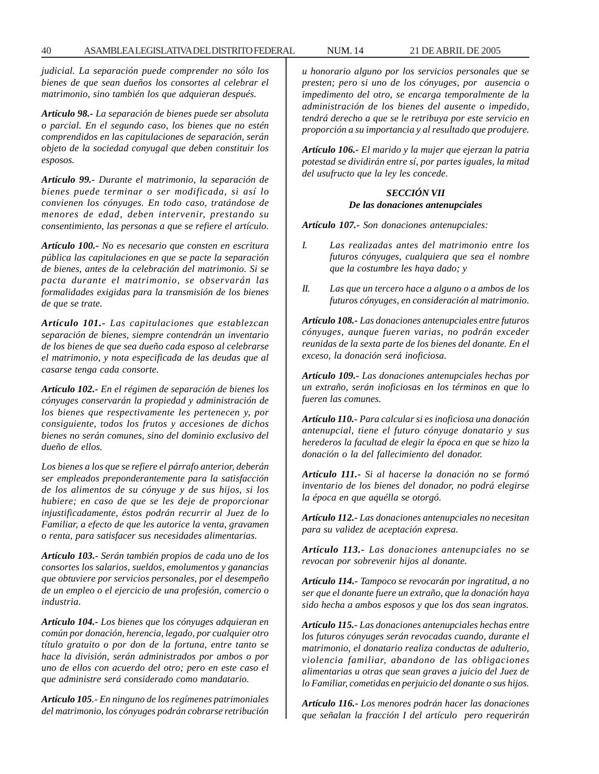*judicial. La separación puede comprender no sólo los bienes de que sean dueños los consortes al celebrar el matrimonio, sino también los que adquieran después.*

*Artículo 98.- La separación de bienes puede ser absoluta o parcial. En el segundo caso, los bienes que no estén comprendidos en las capitulaciones de separación, serán objeto de la sociedad conyugal que deben constituir los esposos.*

*Artículo 99.- Durante el matrimonio, la separación de bienes puede terminar o ser modificada, si así lo convienen los cónyuges. En todo caso, tratándose de menores de edad, deben intervenir, prestando su consentimiento, las personas a que se refiere el artículo.*

*Artículo 100.- No es necesario que consten en escritura pública las capitulaciones en que se pacte la separación de bienes, antes de la celebración del matrimonio. Si se pacta durante el matrimonio, se observarán las formalidades exigidas para la transmisión de los bienes de que se trate.*

*Artículo 101.- Las capitulaciones que establezcan separación de bienes, siempre contendrán un inventario de los bienes de que sea dueño cada esposo al celebrarse el matrimonio, y nota especificada de las deudas que al casarse tenga cada consorte.*

*Artículo 102.- En el régimen de separación de bienes los cónyuges conservarán la propiedad y administración de los bienes que respectivamente les pertenecen y, por consiguiente, todos los frutos y accesiones de dichos bienes no serán comunes, sino del dominio exclusivo del dueño de ellos.*

*Los bienes a los que se refiere el párrafo anterior, deberán ser empleados preponderantemente para la satisfacción de los alimentos de su cónyuge y de sus hijos, si los hubiere; en caso de que se les deje de proporcionar injustificadamente, éstos podrán recurrir al Juez de lo Familiar, a efecto de que les autorice la venta, gravamen o renta, para satisfacer sus necesidades alimentarias.*

*Artículo 103.- Serán también propios de cada uno de los consortes los salarios, sueldos, emolumentos y ganancias que obtuviere por servicios personales, por el desempeño de un empleo o el ejercicio de una profesión, comercio o industria.*

*Artículo 104.- Los bienes que los cónyuges adquieran en común por donación, herencia, legado, por cualquier otro título gratuito o por don de la fortuna, entre tanto se hace la división, serán administrados por ambos o por uno de ellos con acuerdo del otro; pero en este caso el que administre será considerado como mandatario.*

*Artículo 105.- En ninguno de los regímenes patrimoniales del matrimonio, los cónyuges podrán cobrarse retribución* *u honorario alguno por los servicios personales que se presten; pero si uno de los cónyuges, por ausencia o impedimento del otro, se encarga temporalmente de la administración de los bienes del ausente o impedido, tendrá derecho a que se le retribuya por este servicio en proporción a su importancia y al resultado que produjere.*

*Artículo 106.- El marido y la mujer que ejerzan la patria potestad se dividirán entre sí, por partes iguales, la mitad del usufructo que la ley les concede.*

# *SECCIÓN VII De las donaciones antenupciales*

*Artículo 107.- Son donaciones antenupciales:*

- *I. Las realizadas antes del matrimonio entre los futuros cónyuges, cualquiera que sea el nombre que la costumbre les haya dado; y*
- *II. Las que un tercero hace a alguno o a ambos de los futuros cónyuges, en consideración al matrimonio.*

*Artículo 108.- Las donaciones antenupciales entre futuros cónyuges, aunque fueren varias, no podrán exceder reunidas de la sexta parte de los bienes del donante. En el exceso, la donación será inoficiosa.*

*Artículo 109.- Las donaciones antenupciales hechas por un extraño, serán inoficiosas en los términos en que lo fueren las comunes.*

*Artículo 110.- Para calcular si es inoficiosa una donación antenupcial, tiene el futuro cónyuge donatario y sus herederos la facultad de elegir la época en que se hizo la donación o la del fallecimiento del donador.*

*Artículo 111.- Si al hacerse la donación no se formó inventario de los bienes del donador, no podrá elegirse la época en que aquélla se otorgó.*

*Artículo 112.- Las donaciones antenupciales no necesitan para su validez de aceptación expresa.*

*Artículo 113.- Las donaciones antenupciales no se revocan por sobrevenir hijos al donante.*

*Artículo 114.- Tampoco se revocarán por ingratitud, a no ser que el donante fuere un extraño, que la donación haya sido hecha a ambos esposos y que los dos sean ingratos.*

*Artículo 115.- Las donaciones antenupciales hechas entre los futuros cónyuges serán revocadas cuando, durante el matrimonio, el donatario realiza conductas de adulterio, violencia familiar, abandono de las obligaciones alimentarias u otras que sean graves a juicio del Juez de lo Familiar, cometidas en perjuicio del donante o sus hijos.*

*Artículo 116.- Los menores podrán hacer las donaciones que señalan la fracción I del artículo pero requerirán*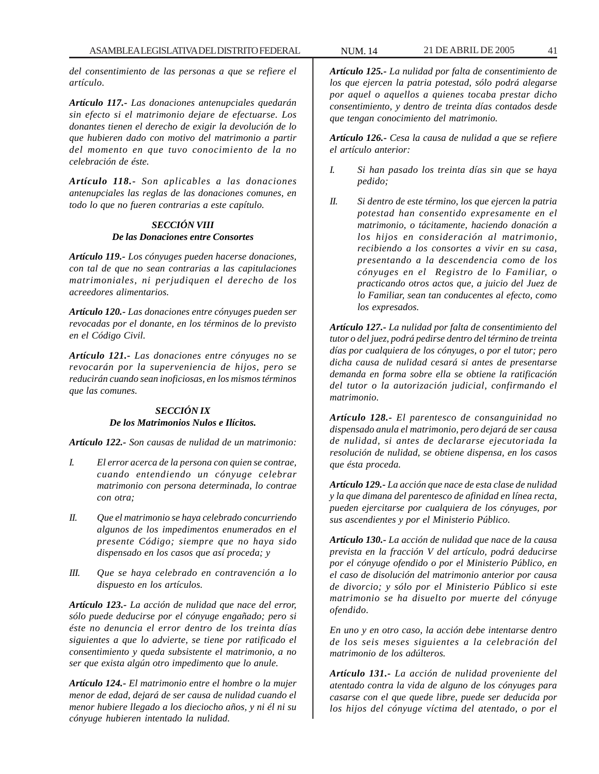*del consentimiento de las personas a que se refiere el artículo.*

*Artículo 117.- Las donaciones antenupciales quedarán sin efecto si el matrimonio dejare de efectuarse. Los donantes tienen el derecho de exigir la devolución de lo que hubieren dado con motivo del matrimonio a partir del momento en que tuvo conocimiento de la no celebración de éste.*

*Artículo 118.- Son aplicables a las donaciones antenupciales las reglas de las donaciones comunes, en todo lo que no fueren contrarias a este capítulo.*

#### *SECCIÓN VIII De las Donaciones entre Consortes*

*Artículo 119.- Los cónyuges pueden hacerse donaciones, con tal de que no sean contrarias a las capitulaciones matrimoniales, ni perjudiquen el derecho de los acreedores alimentarios.*

*Artículo 120.- Las donaciones entre cónyuges pueden ser revocadas por el donante, en los términos de lo previsto en el Código Civil.*

*Artículo 121.- Las donaciones entre cónyuges no se revocarán por la superveniencia de hijos, pero se reducirán cuando sean inoficiosas, en los mismos términos que las comunes.*

### *SECCIÓN IX De los Matrimonios Nulos e Ilícitos.*

*Artículo 122.- Son causas de nulidad de un matrimonio:*

- *I. El error acerca de la persona con quien se contrae, cuando entendiendo un cónyuge celebrar matrimonio con persona determinada, lo contrae con otra;*
- *II. Que el matrimonio se haya celebrado concurriendo algunos de los impedimentos enumerados en el presente Código; siempre que no haya sido dispensado en los casos que así proceda; y*
- *III. Que se haya celebrado en contravención a lo dispuesto en los artículos.*

*Artículo 123.- La acción de nulidad que nace del error, sólo puede deducirse por el cónyuge engañado; pero si éste no denuncia el error dentro de los treinta días siguientes a que lo advierte, se tiene por ratificado el consentimiento y queda subsistente el matrimonio, a no ser que exista algún otro impedimento que lo anule.*

*Artículo 124.- El matrimonio entre el hombre o la mujer menor de edad, dejará de ser causa de nulidad cuando el menor hubiere llegado a los dieciocho años, y ni él ni su cónyuge hubieren intentado la nulidad.*

*Artículo 125.- La nulidad por falta de consentimiento de los que ejercen la patria potestad, sólo podrá alegarse por aquel o aquellos a quienes tocaba prestar dicho consentimiento, y dentro de treinta días contados desde que tengan conocimiento del matrimonio.*

*Artículo 126.- Cesa la causa de nulidad a que se refiere el artículo anterior:*

- *I. Si han pasado los treinta días sin que se haya pedido;*
- *II. Si dentro de este término, los que ejercen la patria potestad han consentido expresamente en el matrimonio, o tácitamente, haciendo donación a los hijos en consideración al matrimonio, recibiendo a los consortes a vivir en su casa, presentando a la descendencia como de los cónyuges en el Registro de lo Familiar, o practicando otros actos que, a juicio del Juez de lo Familiar, sean tan conducentes al efecto, como los expresados.*

*Artículo 127.- La nulidad por falta de consentimiento del tutor o del juez, podrá pedirse dentro del término de treinta días por cualquiera de los cónyuges, o por el tutor; pero dicha causa de nulidad cesará si antes de presentarse demanda en forma sobre ella se obtiene la ratificación del tutor o la autorización judicial, confirmando el matrimonio.*

*Artículo 128.- El parentesco de consanguinidad no dispensado anula el matrimonio, pero dejará de ser causa de nulidad, si antes de declararse ejecutoriada la resolución de nulidad, se obtiene dispensa, en los casos que ésta proceda.*

*Artículo 129.- La acción que nace de esta clase de nulidad y la que dimana del parentesco de afinidad en línea recta, pueden ejercitarse por cualquiera de los cónyuges, por sus ascendientes y por el Ministerio Público.*

*Artículo 130.- La acción de nulidad que nace de la causa prevista en la fracción V del artículo, podrá deducirse por el cónyuge ofendido o por el Ministerio Público, en el caso de disolución del matrimonio anterior por causa de divorcio; y sólo por el Ministerio Público si este matrimonio se ha disuelto por muerte del cónyuge ofendido.*

*En uno y en otro caso, la acción debe intentarse dentro de los seis meses siguientes a la celebración del matrimonio de los adúlteros.*

*Artículo 131.- La acción de nulidad proveniente del atentado contra la vida de alguno de los cónyuges para casarse con el que quede libre, puede ser deducida por los hijos del cónyuge víctima del atentado, o por el*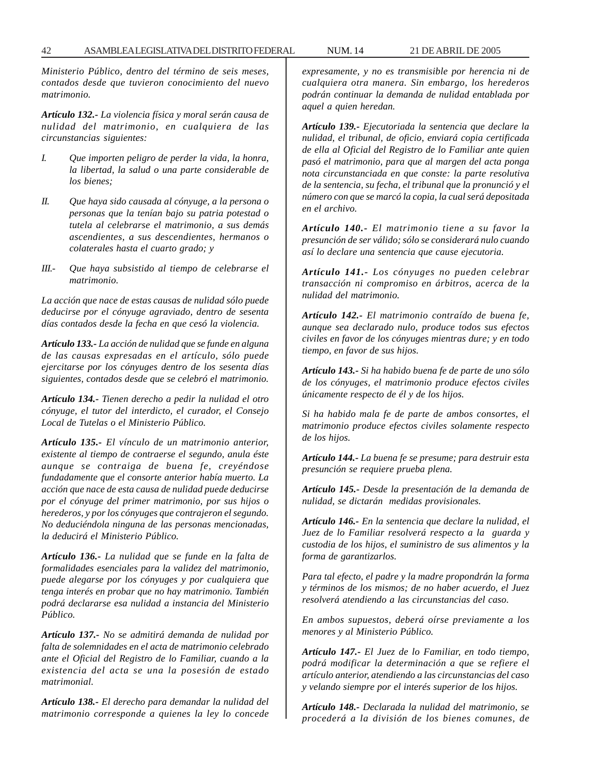*Ministerio Público, dentro del término de seis meses, contados desde que tuvieron conocimiento del nuevo matrimonio.*

*Artículo 132.- La violencia física y moral serán causa de nulidad del matrimonio, en cualquiera de las circunstancias siguientes:*

- *I. Que importen peligro de perder la vida, la honra, la libertad, la salud o una parte considerable de los bienes;*
- *II. Que haya sido causada al cónyuge, a la persona o personas que la tenían bajo su patria potestad o tutela al celebrarse el matrimonio, a sus demás ascendientes, a sus descendientes, hermanos o colaterales hasta el cuarto grado; y*
- *III.- Que haya subsistido al tiempo de celebrarse el matrimonio.*

*La acción que nace de estas causas de nulidad sólo puede deducirse por el cónyuge agraviado, dentro de sesenta días contados desde la fecha en que cesó la violencia.*

*Artículo 133.- La acción de nulidad que se funde en alguna de las causas expresadas en el artículo, sólo puede ejercitarse por los cónyuges dentro de los sesenta días siguientes, contados desde que se celebró el matrimonio.*

*Artículo 134.- Tienen derecho a pedir la nulidad el otro cónyuge, el tutor del interdicto, el curador, el Consejo Local de Tutelas o el Ministerio Público.*

*Artículo 135.- El vínculo de un matrimonio anterior, existente al tiempo de contraerse el segundo, anula éste aunque se contraiga de buena fe, creyéndose fundadamente que el consorte anterior había muerto. La acción que nace de esta causa de nulidad puede deducirse por el cónyuge del primer matrimonio, por sus hijos o herederos, y por los cónyuges que contrajeron el segundo. No deduciéndola ninguna de las personas mencionadas, la deducirá el Ministerio Público.*

*Artículo 136.- La nulidad que se funde en la falta de formalidades esenciales para la validez del matrimonio, puede alegarse por los cónyuges y por cualquiera que tenga interés en probar que no hay matrimonio. También podrá declararse esa nulidad a instancia del Ministerio Público.*

*Artículo 137.- No se admitirá demanda de nulidad por falta de solemnidades en el acta de matrimonio celebrado ante el Oficial del Registro de lo Familiar, cuando a la existencia del acta se una la posesión de estado matrimonial.*

*Artículo 138.- El derecho para demandar la nulidad del matrimonio corresponde a quienes la ley lo concede* *expresamente, y no es transmisible por herencia ni de cualquiera otra manera. Sin embargo, los herederos podrán continuar la demanda de nulidad entablada por aquel a quien heredan.*

*Artículo 139.- Ejecutoriada la sentencia que declare la nulidad, el tribunal, de oficio, enviará copia certificada de ella al Oficial del Registro de lo Familiar ante quien pasó el matrimonio, para que al margen del acta ponga nota circunstanciada en que conste: la parte resolutiva de la sentencia, su fecha, el tribunal que la pronunció y el número con que se marcó la copia, la cual será depositada en el archivo.*

*Artículo 140.- El matrimonio tiene a su favor la presunción de ser válido; sólo se considerará nulo cuando así lo declare una sentencia que cause ejecutoria.*

*Artículo 141.- Los cónyuges no pueden celebrar transacción ni compromiso en árbitros, acerca de la nulidad del matrimonio.*

*Artículo 142.- El matrimonio contraído de buena fe, aunque sea declarado nulo, produce todos sus efectos civiles en favor de los cónyuges mientras dure; y en todo tiempo, en favor de sus hijos.*

*Artículo 143.- Si ha habido buena fe de parte de uno sólo de los cónyuges, el matrimonio produce efectos civiles únicamente respecto de él y de los hijos.*

*Si ha habido mala fe de parte de ambos consortes, el matrimonio produce efectos civiles solamente respecto de los hijos.*

*Artículo 144.- La buena fe se presume; para destruir esta presunción se requiere prueba plena.*

*Artículo 145.- Desde la presentación de la demanda de nulidad, se dictarán medidas provisionales.*

*Artículo 146.- En la sentencia que declare la nulidad, el Juez de lo Familiar resolverá respecto a la guarda y custodia de los hijos, el suministro de sus alimentos y la forma de garantizarlos.*

*Para tal efecto, el padre y la madre propondrán la forma y términos de los mismos; de no haber acuerdo, el Juez resolverá atendiendo a las circunstancias del caso.*

*En ambos supuestos, deberá oírse previamente a los menores y al Ministerio Público.*

*Artículo 147.- El Juez de lo Familiar, en todo tiempo, podrá modificar la determinación a que se refiere el artículo anterior, atendiendo a las circunstancias del caso y velando siempre por el interés superior de los hijos.*

*Artículo 148.- Declarada la nulidad del matrimonio, se procederá a la división de los bienes comunes, de*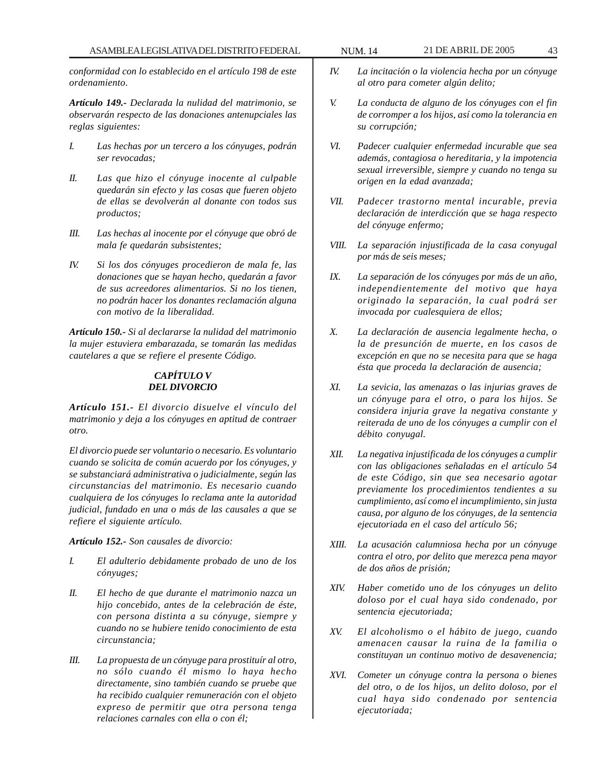*conformidad con lo establecido en el artículo 198 de este ordenamiento.*

*Artículo 149.- Declarada la nulidad del matrimonio, se observarán respecto de las donaciones antenupciales las reglas siguientes:*

- *I. Las hechas por un tercero a los cónyuges, podrán ser revocadas;*
- *II. Las que hizo el cónyuge inocente al culpable quedarán sin efecto y las cosas que fueren objeto de ellas se devolverán al donante con todos sus productos;*
- *III. Las hechas al inocente por el cónyuge que obró de mala fe quedarán subsistentes;*
- *IV. Si los dos cónyuges procedieron de mala fe, las donaciones que se hayan hecho, quedarán a favor de sus acreedores alimentarios. Si no los tienen, no podrán hacer los donantes reclamación alguna con motivo de la liberalidad.*

*Artículo 150.- Si al declararse la nulidad del matrimonio la mujer estuviera embarazada, se tomarán las medidas cautelares a que se refiere el presente Código.*

#### *CAPÍTULO V DEL DIVORCIO*

*Artículo 151.- El divorcio disuelve el vínculo del matrimonio y deja a los cónyuges en aptitud de contraer otro.*

*El divorcio puede ser voluntario o necesario. Es voluntario cuando se solicita de común acuerdo por los cónyuges, y se substanciará administrativa o judicialmente, según las circunstancias del matrimonio. Es necesario cuando cualquiera de los cónyuges lo reclama ante la autoridad judicial, fundado en una o más de las causales a que se refiere el siguiente artículo.*

*Artículo 152.- Son causales de divorcio:*

- *I. El adulterio debidamente probado de uno de los cónyuges;*
- *II. El hecho de que durante el matrimonio nazca un hijo concebido, antes de la celebración de éste, con persona distinta a su cónyuge, siempre y cuando no se hubiere tenido conocimiento de esta circunstancia;*
- *III. La propuesta de un cónyuge para prostituír al otro, no sólo cuando él mismo lo haya hecho directamente, sino también cuando se pruebe que ha recibido cualquier remuneración con el objeto expreso de permitir que otra persona tenga relaciones carnales con ella o con él;*
- *IV. La incitación o la violencia hecha por un cónyuge al otro para cometer algún delito;*
- *V. La conducta de alguno de los cónyuges con el fin de corromper a los hijos, así como la tolerancia en su corrupción;*
- *VI. Padecer cualquier enfermedad incurable que sea además, contagiosa o hereditaria, y la impotencia sexual irreversible, siempre y cuando no tenga su origen en la edad avanzada;*
- *VII. Padecer trastorno mental incurable, previa declaración de interdicción que se haga respecto del cónyuge enfermo;*
- *VIII. La separación injustificada de la casa conyugal por más de seis meses;*
- *IX. La separación de los cónyuges por más de un año, independientemente del motivo que haya originado la separación, la cual podrá ser invocada por cualesquiera de ellos;*
- *X. La declaración de ausencia legalmente hecha, o la de presunción de muerte, en los casos de excepción en que no se necesita para que se haga ésta que proceda la declaración de ausencia;*
- *XI. La sevicia, las amenazas o las injurias graves de un cónyuge para el otro, o para los hijos. Se considera injuria grave la negativa constante y reiterada de uno de los cónyuges a cumplir con el débito conyugal.*
- *XII. La negativa injustificada de los cónyuges a cumplir con las obligaciones señaladas en el artículo 54 de este Código, sin que sea necesario agotar previamente los procedimientos tendientes a su cumplimiento, así como el incumplimiento, sin justa causa, por alguno de los cónyuges, de la sentencia ejecutoriada en el caso del artículo 56;*
- *XIII. La acusación calumniosa hecha por un cónyuge contra el otro, por delito que merezca pena mayor de dos años de prisión;*
- *XIV. Haber cometido uno de los cónyuges un delito doloso por el cual haya sido condenado, por sentencia ejecutoriada;*
- *XV. El alcoholismo o el hábito de juego, cuando amenacen causar la ruina de la familia o constituyan un continuo motivo de desavenencia;*
- *XVI. Cometer un cónyuge contra la persona o bienes del otro, o de los hijos, un delito doloso, por el cual haya sido condenado por sentencia ejecutoriada;*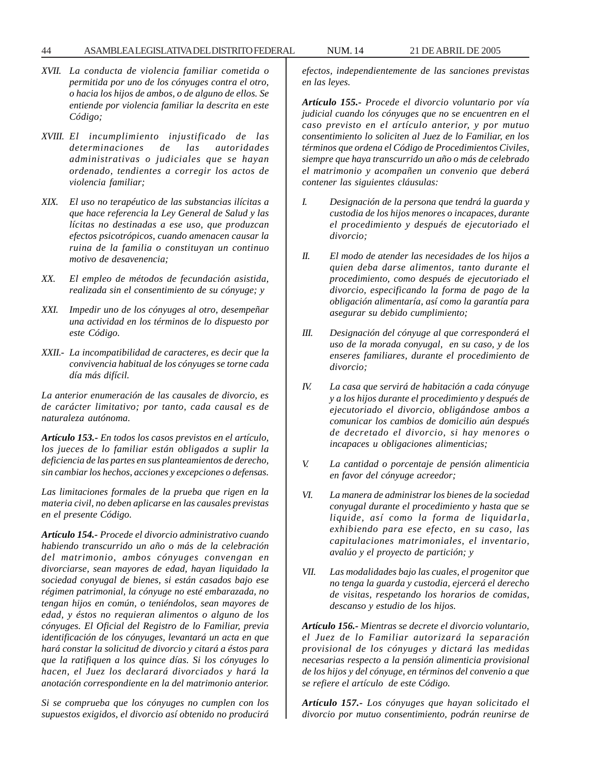#### 44 ASAMBLEA LEGISLATIVA DEL DISTRITO FEDERAL NUM. 14 21 DE ABRIL DE 2005

- *XVII. La conducta de violencia familiar cometida o permitida por uno de los cónyuges contra el otro, o hacia los hijos de ambos, o de alguno de ellos. Se entiende por violencia familiar la descrita en este Código;*
- *XVIII. El incumplimiento injustificado de las determinaciones de las autoridades administrativas o judiciales que se hayan ordenado, tendientes a corregir los actos de violencia familiar;*
- *XIX. El uso no terapéutico de las substancias ilícitas a que hace referencia la Ley General de Salud y las lícitas no destinadas a ese uso, que produzcan efectos psicotrópicos, cuando amenacen causar la ruina de la familia o constituyan un continuo motivo de desavenencia;*
- *XX. El empleo de métodos de fecundación asistida, realizada sin el consentimiento de su cónyuge; y*
- *XXI. Impedir uno de los cónyuges al otro, desempeñar una actividad en los términos de lo dispuesto por este Código.*
- *XXII.- La incompatibilidad de caracteres, es decir que la convivencia habitual de los cónyuges se torne cada día más difícil.*

*La anterior enumeración de las causales de divorcio, es de carácter limitativo; por tanto, cada causal es de naturaleza autónoma.*

*Artículo 153.- En todos los casos previstos en el artículo, los jueces de lo familiar están obligados a suplir la deficiencia de las partes en sus planteamientos de derecho, sin cambiar los hechos, acciones y excepciones o defensas.*

*Las limitaciones formales de la prueba que rigen en la materia civil, no deben aplicarse en las causales previstas en el presente Código.*

*Artículo 154.- Procede el divorcio administrativo cuando habiendo transcurrido un año o más de la celebración del matrimonio, ambos cónyuges convengan en divorciarse, sean mayores de edad, hayan liquidado la sociedad conyugal de bienes, si están casados bajo ese régimen patrimonial, la cónyuge no esté embarazada, no tengan hijos en común, o teniéndolos, sean mayores de edad, y éstos no requieran alimentos o alguno de los cónyuges. El Oficial del Registro de lo Familiar, previa identificación de los cónyuges, levantará un acta en que hará constar la solicitud de divorcio y citará a éstos para que la ratifiquen a los quince días. Si los cónyuges lo hacen, el Juez los declarará divorciados y hará la anotación correspondiente en la del matrimonio anterior.*

*Si se comprueba que los cónyuges no cumplen con los supuestos exigidos, el divorcio así obtenido no producirá* *efectos, independientemente de las sanciones previstas en las leyes.*

*Artículo 155.- Procede el divorcio voluntario por vía judicial cuando los cónyuges que no se encuentren en el caso previsto en el artículo anterior, y por mutuo consentimiento lo soliciten al Juez de lo Familiar, en los términos que ordena el Código de Procedimientos Civiles, siempre que haya transcurrido un año o más de celebrado el matrimonio y acompañen un convenio que deberá contener las siguientes cláusulas:*

- *I. Designación de la persona que tendrá la guarda y custodia de los hijos menores o incapaces, durante el procedimiento y después de ejecutoriado el divorcio;*
- *II. El modo de atender las necesidades de los hijos a quien deba darse alimentos, tanto durante el procedimiento, como después de ejecutoriado el divorcio, especificando la forma de pago de la obligación alimentaría, así como la garantía para asegurar su debido cumplimiento;*
- *III. Designación del cónyuge al que corresponderá el uso de la morada conyugal, en su caso, y de los enseres familiares, durante el procedimiento de divorcio;*
- *IV. La casa que servirá de habitación a cada cónyuge y a los hijos durante el procedimiento y después de ejecutoriado el divorcio, obligándose ambos a comunicar los cambios de domicilio aún después de decretado el divorcio, si hay menores o incapaces u obligaciones alimenticias;*
- *V. La cantidad o porcentaje de pensión alimenticia en favor del cónyuge acreedor;*
- *VI. La manera de administrar los bienes de la sociedad conyugal durante el procedimiento y hasta que se liquide, así como la forma de liquidarla, exhibiendo para ese efecto, en su caso, las capitulaciones matrimoniales, el inventario, avalúo y el proyecto de partición; y*
- *VII. Las modalidades bajo las cuales, el progenitor que no tenga la guarda y custodia, ejercerá el derecho de visitas, respetando los horarios de comidas, descanso y estudio de los hijos.*

*Artículo 156.- Mientras se decrete el divorcio voluntario, el Juez de lo Familiar autorizará la separación provisional de los cónyuges y dictará las medidas necesarias respecto a la pensión alimenticia provisional de los hijos y del cónyuge, en términos del convenio a que se refiere el artículo de este Código.*

*Artículo 157.- Los cónyuges que hayan solicitado el divorcio por mutuo consentimiento, podrán reunirse de*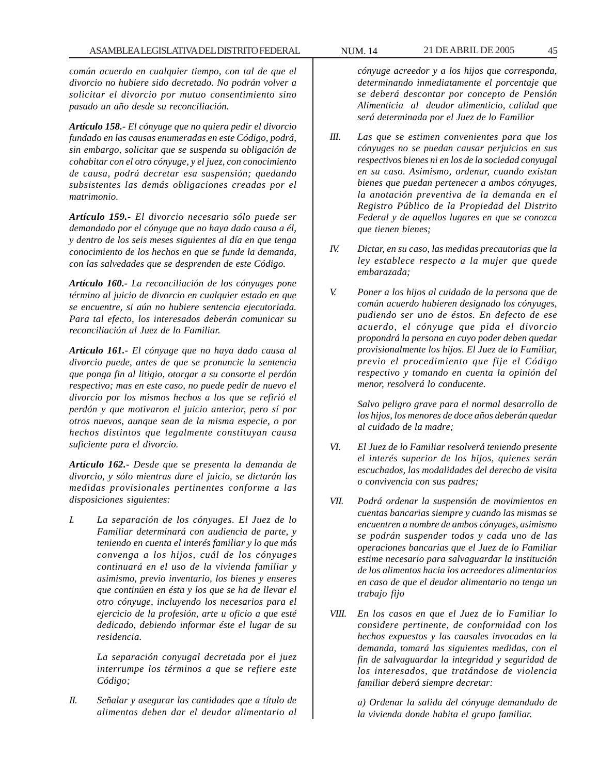*común acuerdo en cualquier tiempo, con tal de que el divorcio no hubiere sido decretado. No podrán volver a solicitar el divorcio por mutuo consentimiento sino pasado un año desde su reconciliación.*

*Artículo 158.- El cónyuge que no quiera pedir el divorcio fundado en las causas enumeradas en este Código, podrá, sin embargo, solicitar que se suspenda su obligación de cohabitar con el otro cónyuge, y el juez, con conocimiento de causa, podrá decretar esa suspensión; quedando subsistentes las demás obligaciones creadas por el matrimonio.*

*Artículo 159.- El divorcio necesario sólo puede ser demandado por el cónyuge que no haya dado causa a él, y dentro de los seis meses siguientes al día en que tenga conocimiento de los hechos en que se funde la demanda, con las salvedades que se desprenden de este Código.*

*Artículo 160.- La reconciliación de los cónyuges pone término al juicio de divorcio en cualquier estado en que se encuentre, si aún no hubiere sentencia ejecutoriada. Para tal efecto, los interesados deberán comunicar su reconciliación al Juez de lo Familiar.*

*Artículo 161.- El cónyuge que no haya dado causa al divorcio puede, antes de que se pronuncie la sentencia que ponga fin al litigio, otorgar a su consorte el perdón respectivo; mas en este caso, no puede pedir de nuevo el divorcio por los mismos hechos a los que se refirió el perdón y que motivaron el juicio anterior, pero sí por otros nuevos, aunque sean de la misma especie, o por hechos distintos que legalmente constituyan causa suficiente para el divorcio.*

*Artículo 162.- Desde que se presenta la demanda de divorcio, y sólo mientras dure el juicio, se dictarán las medidas provisionales pertinentes conforme a las disposiciones siguientes:*

*I. La separación de los cónyuges. El Juez de lo Familiar determinará con audiencia de parte, y teniendo en cuenta el interés familiar y lo que más convenga a los hijos, cuál de los cónyuges continuará en el uso de la vivienda familiar y asimismo, previo inventario, los bienes y enseres que continúen en ésta y los que se ha de llevar el otro cónyuge, incluyendo los necesarios para el ejercicio de la profesión, arte u oficio a que esté dedicado, debiendo informar éste el lugar de su residencia.*

> *La separación conyugal decretada por el juez interrumpe los términos a que se refiere este Código;*

*II. Señalar y asegurar las cantidades que a título de alimentos deben dar el deudor alimentario al* *cónyuge acreedor y a los hijos que corresponda, determinando inmediatamente el porcentaje que se deberá descontar por concepto de Pensión Alimenticia al deudor alimenticio, calidad que será determinada por el Juez de lo Familiar*

- *III. Las que se estimen convenientes para que los cónyuges no se puedan causar perjuicios en sus respectivos bienes ni en los de la sociedad conyugal en su caso. Asimismo, ordenar, cuando existan bienes que puedan pertenecer a ambos cónyuges, la anotación preventiva de la demanda en el Registro Público de la Propiedad del Distrito Federal y de aquellos lugares en que se conozca que tienen bienes;*
- *IV. Dictar, en su caso, las medidas precautorias que la ley establece respecto a la mujer que quede embarazada;*
- *V. Poner a los hijos al cuidado de la persona que de común acuerdo hubieren designado los cónyuges, pudiendo ser uno de éstos. En defecto de ese acuerdo, el cónyuge que pida el divorcio propondrá la persona en cuyo poder deben quedar provisionalmente los hijos. El Juez de lo Familiar, previo el procedimiento que fije el Código respectivo y tomando en cuenta la opinión del menor, resolverá lo conducente.*

*Salvo peligro grave para el normal desarrollo de los hijos, los menores de doce años deberán quedar al cuidado de la madre;*

- *VI. El Juez de lo Familiar resolverá teniendo presente el interés superior de los hijos, quienes serán escuchados, las modalidades del derecho de visita o convivencia con sus padres;*
- *VII. Podrá ordenar la suspensión de movimientos en cuentas bancarias siempre y cuando las mismas se encuentren a nombre de ambos cónyuges, asimismo se podrán suspender todos y cada uno de las operaciones bancarias que el Juez de lo Familiar estime necesario para salvaguardar la institución de los alimentos hacia los acreedores alimentarios en caso de que el deudor alimentario no tenga un trabajo fijo*
- *VIII. En los casos en que el Juez de lo Familiar lo considere pertinente, de conformidad con los hechos expuestos y las causales invocadas en la demanda, tomará las siguientes medidas, con el fin de salvaguardar la integridad y seguridad de los interesados, que tratándose de violencia familiar deberá siempre decretar:*

*a) Ordenar la salida del cónyuge demandado de la vivienda donde habita el grupo familiar.*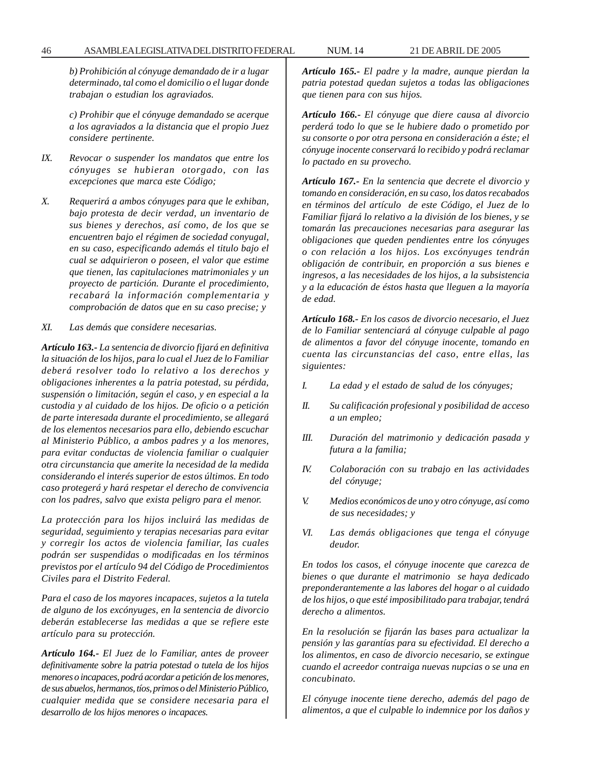#### 46 ASAMBLEA LEGISLATIVA DEL DISTRITO FEDERAL NUM. 14 21 DE ABRIL DE 2005

*b) Prohibición al cónyuge demandado de ir a lugar determinado, tal como el domicilio o el lugar donde trabajan o estudian los agraviados.*

*c) Prohibir que el cónyuge demandado se acerque a los agraviados a la distancia que el propio Juez considere pertinente.*

- *IX. Revocar o suspender los mandatos que entre los cónyuges se hubieran otorgado, con las excepciones que marca este Código;*
- *X. Requerirá a ambos cónyuges para que le exhiban, bajo protesta de decir verdad, un inventario de sus bienes y derechos, así como, de los que se encuentren bajo el régimen de sociedad conyugal, en su caso, especificando además el titulo bajo el cual se adquirieron o poseen, el valor que estime que tienen, las capitulaciones matrimoniales y un proyecto de partición. Durante el procedimiento, recabará la información complementaria y comprobación de datos que en su caso precise; y*
- *XI. Las demás que considere necesarias.*

*Artículo 163.- La sentencia de divorcio fijará en definitiva la situación de los hijos, para lo cual el Juez de lo Familiar deberá resolver todo lo relativo a los derechos y obligaciones inherentes a la patria potestad, su pérdida, suspensión o limitación, según el caso, y en especial a la custodia y al cuidado de los hijos. De oficio o a petición de parte interesada durante el procedimiento, se allegará de los elementos necesarios para ello, debiendo escuchar al Ministerio Público, a ambos padres y a los menores, para evitar conductas de violencia familiar o cualquier otra circunstancia que amerite la necesidad de la medida considerando el interés superior de estos últimos. En todo caso protegerá y hará respetar el derecho de convivencia con los padres, salvo que exista peligro para el menor.*

*La protección para los hijos incluirá las medidas de seguridad, seguimiento y terapias necesarias para evitar y corregir los actos de violencia familiar, las cuales podrán ser suspendidas o modificadas en los términos previstos por el artículo 94 del Código de Procedimientos Civiles para el Distrito Federal.*

*Para el caso de los mayores incapaces, sujetos a la tutela de alguno de los excónyuges, en la sentencia de divorcio deberán establecerse las medidas a que se refiere este artículo para su protección.*

*Artículo 164.- El Juez de lo Familiar, antes de proveer definitivamente sobre la patria potestad o tutela de los hijos menores o incapaces, podrá acordar a petición de los menores, de sus abuelos, hermanos, tíos, primos o del Ministerio Público, cualquier medida que se considere necesaria para el desarrollo de los hijos menores o incapaces.*

*Artículo 165.- El padre y la madre, aunque pierdan la patria potestad quedan sujetos a todas las obligaciones que tienen para con sus hijos.*

*Artículo 166.- El cónyuge que diere causa al divorcio perderá todo lo que se le hubiere dado o prometido por su consorte o por otra persona en consideración a éste; el cónyuge inocente conservará lo recibido y podrá reclamar lo pactado en su provecho.*

*Artículo 167.- En la sentencia que decrete el divorcio y tomando en consideración, en su caso, los datos recabados en términos del artículo de este Código, el Juez de lo Familiar fijará lo relativo a la división de los bienes, y se tomarán las precauciones necesarias para asegurar las obligaciones que queden pendientes entre los cónyuges o con relación a los hijos. Los excónyuges tendrán obligación de contribuir, en proporción a sus bienes e ingresos, a las necesidades de los hijos, a la subsistencia y a la educación de éstos hasta que lleguen a la mayoría de edad.*

*Artículo 168.- En los casos de divorcio necesario, el Juez de lo Familiar sentenciará al cónyuge culpable al pago de alimentos a favor del cónyuge inocente, tomando en cuenta las circunstancias del caso, entre ellas, las siguientes:*

- *I. La edad y el estado de salud de los cónyuges;*
- *II. Su calificación profesional y posibilidad de acceso a un empleo;*
- *III. Duración del matrimonio y dedicación pasada y futura a la familia;*
- *IV. Colaboración con su trabajo en las actividades del cónyuge;*
- *V. Medios económicos de uno y otro cónyuge, así como de sus necesidades; y*
- *VI. Las demás obligaciones que tenga el cónyuge deudor.*

*En todos los casos, el cónyuge inocente que carezca de bienes o que durante el matrimonio se haya dedicado preponderantemente a las labores del hogar o al cuidado de los hijos, o que esté imposibilitado para trabajar, tendrá derecho a alimentos.*

*En la resolución se fijarán las bases para actualizar la pensión y las garantías para su efectividad. El derecho a los alimentos, en caso de divorcio necesario, se extingue cuando el acreedor contraiga nuevas nupcias o se una en concubinato.*

*El cónyuge inocente tiene derecho, además del pago de alimentos, a que el culpable lo indemnice por los daños y*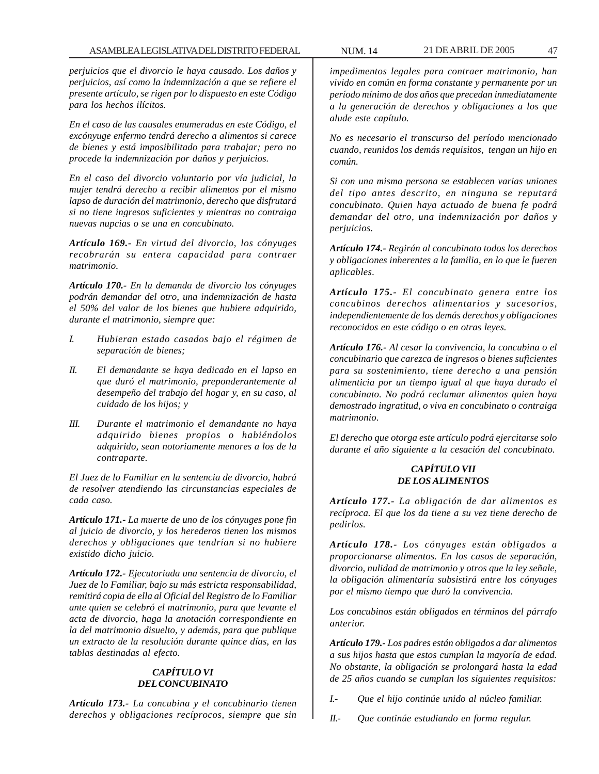*perjuicios que el divorcio le haya causado. Los daños y perjuicios, así como la indemnización a que se refiere el presente artículo, se rigen por lo dispuesto en este Código para los hechos ilícitos.*

*En el caso de las causales enumeradas en este Código, el excónyuge enfermo tendrá derecho a alimentos si carece de bienes y está imposibilitado para trabajar; pero no procede la indemnización por daños y perjuicios.*

*En el caso del divorcio voluntario por vía judicial, la mujer tendrá derecho a recibir alimentos por el mismo lapso de duración del matrimonio, derecho que disfrutará si no tiene ingresos suficientes y mientras no contraiga nuevas nupcias o se una en concubinato.*

*Artículo 169.- En virtud del divorcio, los cónyuges recobrarán su entera capacidad para contraer matrimonio.*

*Artículo 170.- En la demanda de divorcio los cónyuges podrán demandar del otro, una indemnización de hasta el 50% del valor de los bienes que hubiere adquirido, durante el matrimonio, siempre que:*

- *I. Hubieran estado casados bajo el régimen de separación de bienes;*
- *II. El demandante se haya dedicado en el lapso en que duró el matrimonio, preponderantemente al desempeño del trabajo del hogar y, en su caso, al cuidado de los hijos; y*
- *III. Durante el matrimonio el demandante no haya adquirido bienes propios o habiéndolos adquirido, sean notoriamente menores a los de la contraparte.*

*El Juez de lo Familiar en la sentencia de divorcio, habrá de resolver atendiendo las circunstancias especiales de cada caso.*

*Artículo 171.- La muerte de uno de los cónyuges pone fin al juicio de divorcio, y los herederos tienen los mismos derechos y obligaciones que tendrían si no hubiere existido dicho juicio.*

*Artículo 172.- Ejecutoriada una sentencia de divorcio, el Juez de lo Familiar, bajo su más estricta responsabilidad, remitirá copia de ella al Oficial del Registro de lo Familiar ante quien se celebró el matrimonio, para que levante el acta de divorcio, haga la anotación correspondiente en la del matrimonio disuelto, y además, para que publique un extracto de la resolución durante quince días, en las tablas destinadas al efecto.*

# *CAPÍTULO VI DEL CONCUBINATO*

*Artículo 173.- La concubina y el concubinario tienen derechos y obligaciones recíprocos, siempre que sin*

*impedimentos legales para contraer matrimonio, han vivido en común en forma constante y permanente por un período mínimo de dos años que precedan inmediatamente a la generación de derechos y obligaciones a los que alude este capítulo.*

*No es necesario el transcurso del período mencionado cuando, reunidos los demás requisitos, tengan un hijo en común.*

*Si con una misma persona se establecen varias uniones del tipo antes descrito, en ninguna se reputará concubinato. Quien haya actuado de buena fe podrá demandar del otro, una indemnización por daños y perjuicios.*

*Artículo 174.- Regirán al concubinato todos los derechos y obligaciones inherentes a la familia, en lo que le fueren aplicables.*

*Artículo 175.- El concubinato genera entre los concubinos derechos alimentarios y sucesorios, independientemente de los demás derechos y obligaciones reconocidos en este código o en otras leyes.*

*Artículo 176.- Al cesar la convivencia, la concubina o el concubinario que carezca de ingresos o bienes suficientes para su sostenimiento, tiene derecho a una pensión alimenticia por un tiempo igual al que haya durado el concubinato. No podrá reclamar alimentos quien haya demostrado ingratitud, o viva en concubinato o contraiga matrimonio.*

*El derecho que otorga este artículo podrá ejercitarse solo durante el año siguiente a la cesación del concubinato.*

# *CAPÍTULO VII DE LOS ALIMENTOS*

*Artículo 177.- La obligación de dar alimentos es recíproca. El que los da tiene a su vez tiene derecho de pedirlos.*

*Artículo 178.- Los cónyuges están obligados a proporcionarse alimentos. En los casos de separación, divorcio, nulidad de matrimonio y otros que la ley señale, la obligación alimentaría subsistirá entre los cónyuges por el mismo tiempo que duró la convivencia.*

*Los concubinos están obligados en términos del párrafo anterior.*

*Artículo 179.- Los padres están obligados a dar alimentos a sus hijos hasta que estos cumplan la mayoría de edad. No obstante, la obligación se prolongará hasta la edad de 25 años cuando se cumplan los siguientes requisitos:*

*I.- Que el hijo continúe unido al núcleo familiar.*

*II.- Que continúe estudiando en forma regular.*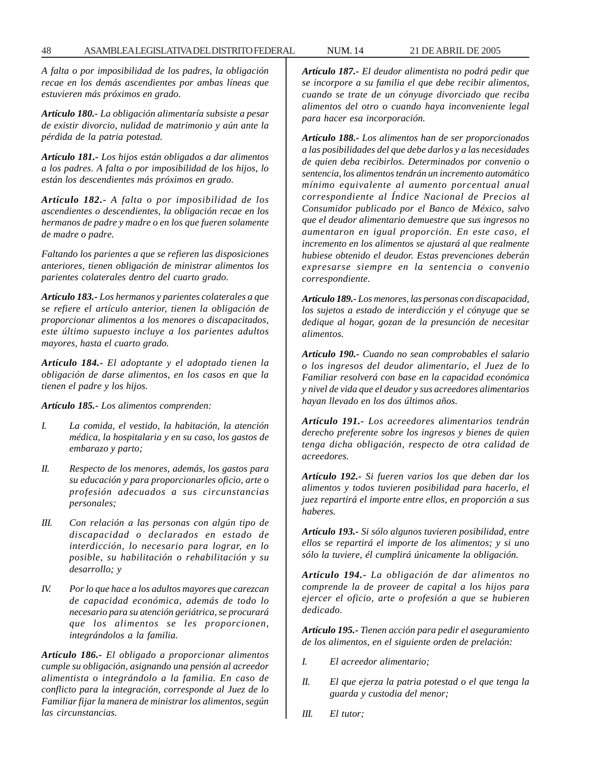*A falta o por imposibilidad de los padres, la obligación recae en los demás ascendientes por ambas líneas que estuvieren más próximos en grado.*

*Artículo 180.- La obligación alimentaría subsiste a pesar de existir divorcio, nulidad de matrimonio y aún ante la pérdida de la patria potestad.*

*Artículo 181.- Los hijos están obligados a dar alimentos a los padres. A falta o por imposibilidad de los hijos, lo están los descendientes más próximos en grado.*

*Artículo 182.- A falta o por imposibilidad de los ascendientes o descendientes, la obligación recae en los hermanos de padre y madre o en los que fueren solamente de madre o padre.*

*Faltando los parientes a que se refieren las disposiciones anteriores, tienen obligación de ministrar alimentos los parientes colaterales dentro del cuarto grado.*

*Artículo 183.- Los hermanos y parientes colaterales a que se refiere el artículo anterior, tienen la obligación de proporcionar alimentos a los menores o discapacitados, este último supuesto incluye a los parientes adultos mayores, hasta el cuarto grado.*

*Artículo 184.- El adoptante y el adoptado tienen la obligación de darse alimentos, en los casos en que la tienen el padre y los hijos.*

*Artículo 185.- Los alimentos comprenden:*

- *I. La comida, el vestido, la habitación, la atención médica, la hospitalaria y en su caso, los gastos de embarazo y parto;*
- *II. Respecto de los menores, además, los gastos para su educación y para proporcionarles oficio, arte o profesión adecuados a sus circunstancias personales;*
- *III. Con relación a las personas con algún tipo de discapacidad o declarados en estado de interdicción, lo necesario para lograr, en lo posible, su habilitación o rehabilitación y su desarrollo; y*
- *IV. Por lo que hace a los adultos mayores que carezcan de capacidad económica, además de todo lo necesario para su atención geriátrica, se procurará que los alimentos se les proporcionen, integrándolos a la familia.*

*Artículo 186.- El obligado a proporcionar alimentos cumple su obligación, asignando una pensión al acreedor alimentista o integrándolo a la familia. En caso de conflicto para la integración, corresponde al Juez de lo Familiar fijar la manera de ministrar los alimentos, según las circunstancias.*

*Artículo 187.- El deudor alimentista no podrá pedir que se incorpore a su familia el que debe recibir alimentos, cuando se trate de un cónyuge divorciado que reciba alimentos del otro o cuando haya inconveniente legal para hacer esa incorporación.*

*Artículo 188.- Los alimentos han de ser proporcionados a las posibilidades del que debe darlos y a las necesidades de quien deba recibirlos. Determinados por convenio o sentencia, los alimentos tendrán un incremento automático mínimo equivalente al aumento porcentual anual correspondiente al Índice Nacional de Precios al Consumidor publicado por el Banco de México, salvo que el deudor alimentario demuestre que sus ingresos no aumentaron en igual proporción. En este caso, el incremento en los alimentos se ajustará al que realmente hubiese obtenido el deudor. Estas prevenciones deberán expresarse siempre en la sentencia o convenio correspondiente.*

*Artículo 189.- Los menores, las personas con discapacidad, los sujetos a estado de interdicción y el cónyuge que se dedique al hogar, gozan de la presunción de necesitar alimentos.*

*Artículo 190.- Cuando no sean comprobables el salario o los ingresos del deudor alimentario, el Juez de lo Familiar resolverá con base en la capacidad económica y nivel de vida que el deudor y sus acreedores alimentarios hayan llevado en los dos últimos años.*

*Artículo 191.- Los acreedores alimentarios tendrán derecho preferente sobre los ingresos y bienes de quien tenga dicha obligación, respecto de otra calidad de acreedores.*

*Artículo 192.- Si fueren varios los que deben dar los alimentos y todos tuvieren posibilidad para hacerlo, el juez repartirá el importe entre ellos, en proporción a sus haberes.*

*Artículo 193.- Si sólo algunos tuvieren posibilidad, entre ellos se repartirá el importe de los alimentos; y si uno sólo la tuviere, él cumplirá únicamente la obligación.*

*Artículo 194.- La obligación de dar alimentos no comprende la de proveer de capital a los hijos para ejercer el oficio, arte o profesión a que se hubieren dedicado.*

*Artículo 195.- Tienen acción para pedir el aseguramiento de los alimentos, en el siguiente orden de prelación:*

- *I. El acreedor alimentario;*
- *II. El que ejerza la patria potestad o el que tenga la guarda y custodia del menor;*
- *III. El tutor;*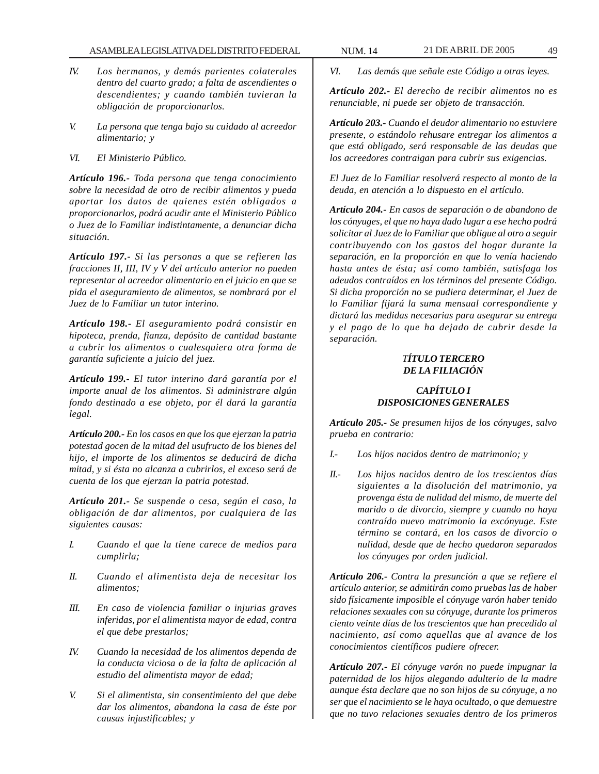- *IV. Los hermanos, y demás parientes colaterales dentro del cuarto grado; a falta de ascendientes o descendientes; y cuando también tuvieran la obligación de proporcionarlos.*
- *V. La persona que tenga bajo su cuidado al acreedor alimentario; y*
- *VI. El Ministerio Público.*

*Artículo 196.- Toda persona que tenga conocimiento sobre la necesidad de otro de recibir alimentos y pueda aportar los datos de quienes estén obligados a proporcionarlos, podrá acudir ante el Ministerio Público o Juez de lo Familiar indistintamente, a denunciar dicha situación.*

*Artículo 197.- Si las personas a que se refieren las fracciones II, III, IV y V del artículo anterior no pueden representar al acreedor alimentario en el juicio en que se pida el aseguramiento de alimentos, se nombrará por el Juez de lo Familiar un tutor interino.*

*Artículo 198.- El aseguramiento podrá consistir en hipoteca, prenda, fianza, depósito de cantidad bastante a cubrir los alimentos o cualesquiera otra forma de garantía suficiente a juicio del juez.*

*Artículo 199.- El tutor interino dará garantía por el importe anual de los alimentos. Si administrare algún fondo destinado a ese objeto, por él dará la garantía legal.*

*Artículo 200.- En los casos en que los que ejerzan la patria potestad gocen de la mitad del usufructo de los bienes del hijo, el importe de los alimentos se deducirá de dicha mitad, y si ésta no alcanza a cubrirlos, el exceso será de cuenta de los que ejerzan la patria potestad.*

*Artículo 201.- Se suspende o cesa, según el caso, la obligación de dar alimentos, por cualquiera de las siguientes causas:*

- *I. Cuando el que la tiene carece de medios para cumplirla;*
- *II. Cuando el alimentista deja de necesitar los alimentos;*
- *III. En caso de violencia familiar o injurias graves inferidas, por el alimentista mayor de edad, contra el que debe prestarlos;*
- *IV. Cuando la necesidad de los alimentos dependa de la conducta viciosa o de la falta de aplicación al estudio del alimentista mayor de edad;*
- *V. Si el alimentista, sin consentimiento del que debe dar los alimentos, abandona la casa de éste por causas injustificables; y*

*VI. Las demás que señale este Código u otras leyes.*

*Artículo 202.- El derecho de recibir alimentos no es renunciable, ni puede ser objeto de transacción.*

*Artículo 203.- Cuando el deudor alimentario no estuviere presente, o estándolo rehusare entregar los alimentos a que está obligado, será responsable de las deudas que los acreedores contraigan para cubrir sus exigencias.*

*El Juez de lo Familiar resolverá respecto al monto de la deuda, en atención a lo dispuesto en el artículo.*

*Artículo 204.- En casos de separación o de abandono de los cónyuges, el que no haya dado lugar a ese hecho podrá solicitar al Juez de lo Familiar que obligue al otro a seguir contribuyendo con los gastos del hogar durante la separación, en la proporción en que lo venía haciendo hasta antes de ésta; así como también, satisfaga los adeudos contraídos en los términos del presente Código. Si dicha proporción no se pudiera determinar, el Juez de lo Familiar fijará la suma mensual correspondiente y dictará las medidas necesarias para asegurar su entrega y el pago de lo que ha dejado de cubrir desde la separación.*

# *TÍTULO TERCERO DE LA FILIACIÓN*

#### *CAPÍTULO I DISPOSICIONES GENERALES*

*Artículo 205.- Se presumen hijos de los cónyuges, salvo prueba en contrario:*

- *I.- Los hijos nacidos dentro de matrimonio; y*
- *II.- Los hijos nacidos dentro de los trescientos días siguientes a la disolución del matrimonio, ya provenga ésta de nulidad del mismo, de muerte del marido o de divorcio, siempre y cuando no haya contraído nuevo matrimonio la excónyuge. Este término se contará, en los casos de divorcio o nulidad, desde que de hecho quedaron separados los cónyuges por orden judicial.*

*Artículo 206.- Contra la presunción a que se refiere el artículo anterior, se admitirán como pruebas las de haber sido físicamente imposible el cónyuge varón haber tenido relaciones sexuales con su cónyuge, durante los primeros ciento veinte días de los trescientos que han precedido al nacimiento, así como aquellas que al avance de los conocimientos científicos pudiere ofrecer.*

*Artículo 207.- El cónyuge varón no puede impugnar la paternidad de los hijos alegando adulterio de la madre aunque ésta declare que no son hijos de su cónyuge, a no ser que el nacimiento se le haya ocultado, o que demuestre que no tuvo relaciones sexuales dentro de los primeros*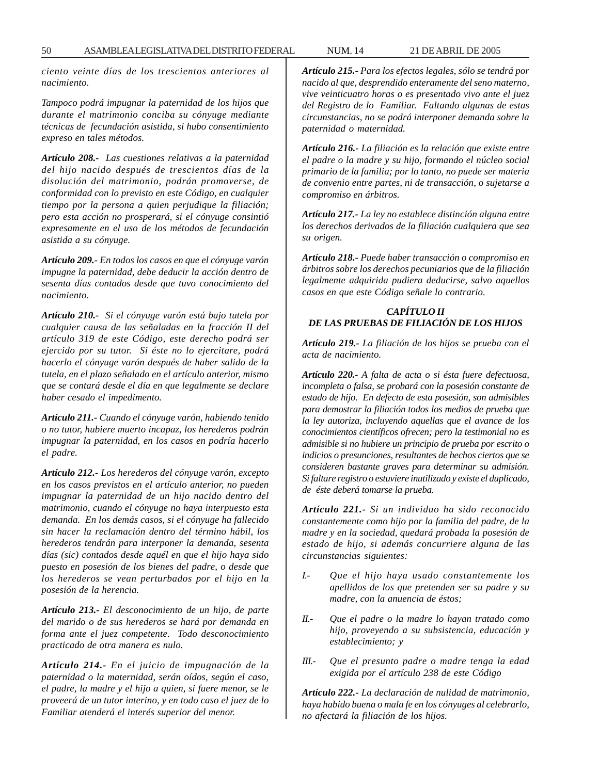*ciento veinte días de los trescientos anteriores al nacimiento.*

*Tampoco podrá impugnar la paternidad de los hijos que durante el matrimonio conciba su cónyuge mediante técnicas de fecundación asistida, si hubo consentimiento expreso en tales métodos.*

*Artículo 208.- Las cuestiones relativas a la paternidad del hijo nacido después de trescientos días de la disolución del matrimonio, podrán promoverse, de conformidad con lo previsto en este Código, en cualquier tiempo por la persona a quien perjudique la filiación; pero esta acción no prosperará, si el cónyuge consintió expresamente en el uso de los métodos de fecundación asistida a su cónyuge.*

*Artículo 209.- En todos los casos en que el cónyuge varón impugne la paternidad, debe deducir la acción dentro de sesenta días contados desde que tuvo conocimiento del nacimiento.*

*Artículo 210.- Si el cónyuge varón está bajo tutela por cualquier causa de las señaladas en la fracción II del artículo 319 de este Código, este derecho podrá ser ejercido por su tutor. Si éste no lo ejercitare, podrá hacerlo el cónyuge varón después de haber salido de la tutela, en el plazo señalado en el artículo anterior, mismo que se contará desde el día en que legalmente se declare haber cesado el impedimento.*

*Artículo 211.- Cuando el cónyuge varón, habiendo tenido o no tutor, hubiere muerto incapaz, los herederos podrán impugnar la paternidad, en los casos en podría hacerlo el padre.*

*Artículo 212.- Los herederos del cónyuge varón, excepto en los casos previstos en el artículo anterior, no pueden impugnar la paternidad de un hijo nacido dentro del matrimonio, cuando el cónyuge no haya interpuesto esta demanda. En los demás casos, si el cónyuge ha fallecido sin hacer la reclamación dentro del término hábil, los herederos tendrán para interponer la demanda, sesenta días (sic) contados desde aquél en que el hijo haya sido puesto en posesión de los bienes del padre, o desde que los herederos se vean perturbados por el hijo en la posesión de la herencia.*

*Artículo 213.- El desconocimiento de un hijo, de parte del marido o de sus herederos se hará por demanda en forma ante el juez competente. Todo desconocimiento practicado de otra manera es nulo.*

*Artículo 214.- En el juicio de impugnación de la paternidad o la maternidad, serán oídos, según el caso, el padre, la madre y el hijo a quien, si fuere menor, se le proveerá de un tutor interino, y en todo caso el juez de lo Familiar atenderá el interés superior del menor.*

*Artículo 215.- Para los efectos legales, sólo se tendrá por nacido al que, desprendido enteramente del seno materno, vive veinticuatro horas o es presentado vivo ante el juez del Registro de lo Familiar. Faltando algunas de estas circunstancias, no se podrá interponer demanda sobre la paternidad o maternidad.*

*Artículo 216.- La filiación es la relación que existe entre el padre o la madre y su hijo, formando el núcleo social primario de la familia; por lo tanto, no puede ser materia de convenio entre partes, ni de transacción, o sujetarse a compromiso en árbitros.*

*Artículo 217.- La ley no establece distinción alguna entre los derechos derivados de la filiación cualquiera que sea su origen.*

*Artículo 218.- Puede haber transacción o compromiso en árbitros sobre los derechos pecuniarios que de la filiación legalmente adquirida pudiera deducirse, salvo aquellos casos en que este Código señale lo contrario.*

### *CAPÍTULO II DE LAS PRUEBAS DE FILIACIÓN DE LOS HIJOS*

*Artículo 219.- La filiación de los hijos se prueba con el acta de nacimiento.*

*Artículo 220.- A falta de acta o si ésta fuere defectuosa, incompleta o falsa, se probará con la posesión constante de estado de hijo. En defecto de esta posesión, son admisibles para demostrar la filiación todos los medios de prueba que la ley autoriza, incluyendo aquellas que el avance de los conocimientos científicos ofrecen; pero la testimonial no es admisible si no hubiere un principio de prueba por escrito o indicios o presunciones, resultantes de hechos ciertos que se consideren bastante graves para determinar su admisión. Si faltare registro o estuviere inutilizado y existe el duplicado, de éste deberá tomarse la prueba.*

*Artículo 221.- Si un individuo ha sido reconocido constantemente como hijo por la familia del padre, de la madre y en la sociedad, quedará probada la posesión de estado de hijo, si además concurriere alguna de las circunstancias siguientes:*

- *I.- Que el hijo haya usado constantemente los apellidos de los que pretenden ser su padre y su madre, con la anuencia de éstos;*
- *II.- Que el padre o la madre lo hayan tratado como hijo, proveyendo a su subsistencia, educación y establecimiento; y*
- *III.- Que el presunto padre o madre tenga la edad exigida por el artículo 238 de este Código*

*Artículo 222.- La declaración de nulidad de matrimonio, haya habido buena o mala fe en los cónyuges al celebrarlo, no afectará la filiación de los hijos.*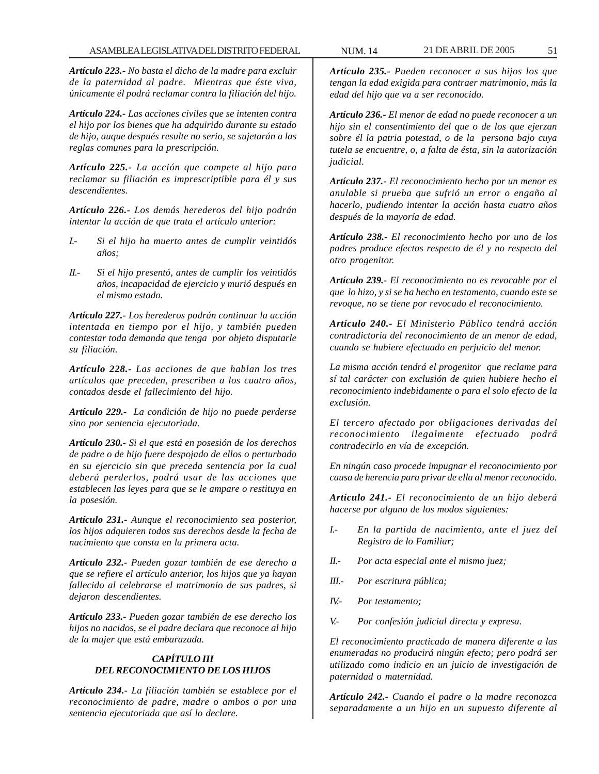*Artículo 223.- No basta el dicho de la madre para excluir de la paternidad al padre. Mientras que éste viva, únicamente él podrá reclamar contra la filiación del hijo.*

*Artículo 224.- Las acciones civiles que se intenten contra el hijo por los bienes que ha adquirido durante su estado de hijo, auque después resulte no serio, se sujetarán a las reglas comunes para la prescripción.*

*Artículo 225.- La acción que compete al hijo para reclamar su filiación es imprescriptible para él y sus descendientes.*

*Artículo 226.- Los demás herederos del hijo podrán intentar la acción de que trata el artículo anterior:*

- *I.- Si el hijo ha muerto antes de cumplir veintidós años;*
- *II.- Si el hijo presentó, antes de cumplir los veintidós años, incapacidad de ejercicio y murió después en el mismo estado.*

*Artículo 227.- Los herederos podrán continuar la acción intentada en tiempo por el hijo, y también pueden contestar toda demanda que tenga por objeto disputarle su filiación.*

*Artículo 228.- Las acciones de que hablan los tres artículos que preceden, prescriben a los cuatro años, contados desde el fallecimiento del hijo.*

*Artículo 229.- La condición de hijo no puede perderse sino por sentencia ejecutoriada.*

*Artículo 230.- Si el que está en posesión de los derechos de padre o de hijo fuere despojado de ellos o perturbado en su ejercicio sin que preceda sentencia por la cual deberá perderlos, podrá usar de las acciones que establecen las leyes para que se le ampare o restituya en la posesión.*

*Artículo 231.- Aunque el reconocimiento sea posterior, los hijos adquieren todos sus derechos desde la fecha de nacimiento que consta en la primera acta.*

*Artículo 232.- Pueden gozar también de ese derecho a que se refiere el artículo anterior, los hijos que ya hayan fallecido al celebrarse el matrimonio de sus padres, si dejaron descendientes.*

*Artículo 233.- Pueden gozar también de ese derecho los hijos no nacidos, se el padre declara que reconoce al hijo de la mujer que está embarazada.*

#### *CAPÍTULO III DEL RECONOCIMIENTO DE LOS HIJOS*

*Artículo 234.- La filiación también se establece por el reconocimiento de padre, madre o ambos o por una sentencia ejecutoriada que así lo declare.*

*Artículo 235.- Pueden reconocer a sus hijos los que tengan la edad exigida para contraer matrimonio, más la edad del hijo que va a ser reconocido.*

*Artículo 236.- El menor de edad no puede reconocer a un hijo sin el consentimiento del que o de los que ejerzan sobre él la patria potestad, o de la persona bajo cuya tutela se encuentre, o, a falta de ésta, sin la autorización judicial.*

*Artículo 237.- El reconocimiento hecho por un menor es anulable si prueba que sufrió un error o engaño al hacerlo, pudiendo intentar la acción hasta cuatro años después de la mayoría de edad.*

*Artículo 238.- El reconocimiento hecho por uno de los padres produce efectos respecto de él y no respecto del otro progenitor.*

*Artículo 239.- El reconocimiento no es revocable por el que lo hizo, y si se ha hecho en testamento, cuando este se revoque, no se tiene por revocado el reconocimiento.*

*Artículo 240.- El Ministerio Público tendrá acción contradictoria del reconocimiento de un menor de edad, cuando se hubiere efectuado en perjuicio del menor.*

*La misma acción tendrá el progenitor que reclame para sí tal carácter con exclusión de quien hubiere hecho el reconocimiento indebidamente o para el solo efecto de la exclusión.*

*El tercero afectado por obligaciones derivadas del reconocimiento ilegalmente efectuado podrá contradecirlo en vía de excepción.*

*En ningún caso procede impugnar el reconocimiento por causa de herencia para privar de ella al menor reconocido.*

*Artículo 241.- El reconocimiento de un hijo deberá hacerse por alguno de los modos siguientes:*

- *I.- En la partida de nacimiento, ante el juez del Registro de lo Familiar;*
- *II.- Por acta especial ante el mismo juez;*
- *III.- Por escritura pública;*
- *IV.- Por testamento;*
- *V.- Por confesión judicial directa y expresa.*

*El reconocimiento practicado de manera diferente a las enumeradas no producirá ningún efecto; pero podrá ser utilizado como indicio en un juicio de investigación de paternidad o maternidad.*

*Artículo 242.- Cuando el padre o la madre reconozca separadamente a un hijo en un supuesto diferente al*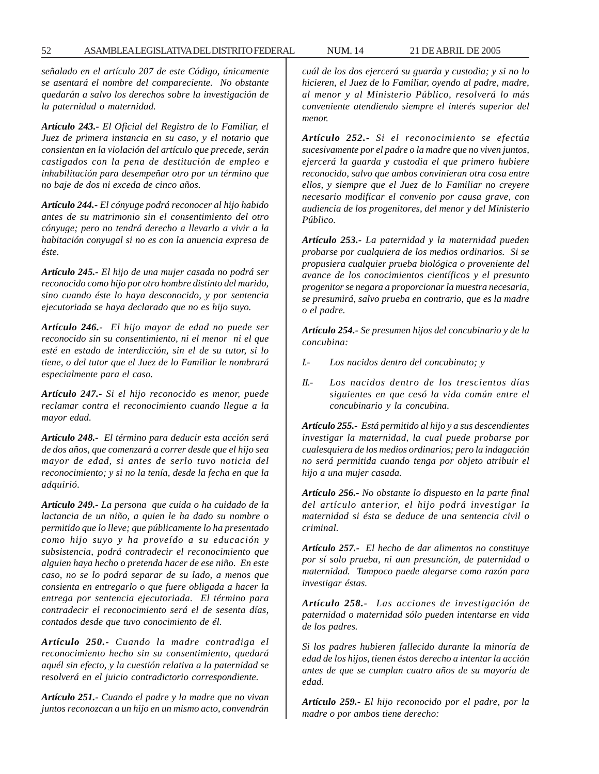*señalado en el artículo 207 de este Código, únicamente se asentará el nombre del compareciente. No obstante quedarán a salvo los derechos sobre la investigación de la paternidad o maternidad.*

*Artículo 243.- El Oficial del Registro de lo Familiar, el Juez de primera instancia en su caso, y el notario que consientan en la violación del artículo que precede, serán castigados con la pena de destitución de empleo e inhabilitación para desempeñar otro por un término que no baje de dos ni exceda de cinco años.*

*Artículo 244.- El cónyuge podrá reconocer al hijo habido antes de su matrimonio sin el consentimiento del otro cónyuge; pero no tendrá derecho a llevarlo a vivir a la habitación conyugal si no es con la anuencia expresa de éste.*

*Artículo 245.- El hijo de una mujer casada no podrá ser reconocido como hijo por otro hombre distinto del marido, sino cuando éste lo haya desconocido, y por sentencia ejecutoriada se haya declarado que no es hijo suyo.*

*Artículo 246.- El hijo mayor de edad no puede ser reconocido sin su consentimiento, ni el menor ni el que esté en estado de interdicción, sin el de su tutor, si lo tiene, o del tutor que el Juez de lo Familiar le nombrará especialmente para el caso.*

*Artículo 247.- Si el hijo reconocido es menor, puede reclamar contra el reconocimiento cuando llegue a la mayor edad.*

*Artículo 248.- El término para deducir esta acción será de dos años, que comenzará a correr desde que el hijo sea mayor de edad, si antes de serlo tuvo noticia del reconocimiento; y si no la tenía, desde la fecha en que la adquirió.*

*Artículo 249.- La persona que cuida o ha cuidado de la lactancia de un niño, a quien le ha dado su nombre o permitido que lo lleve; que públicamente lo ha presentado como hijo suyo y ha proveído a su educación y subsistencia, podrá contradecir el reconocimiento que alguien haya hecho o pretenda hacer de ese niño. En este caso, no se lo podrá separar de su lado, a menos que consienta en entregarlo o que fuere obligada a hacer la entrega por sentencia ejecutoriada. El término para contradecir el reconocimiento será el de sesenta días, contados desde que tuvo conocimiento de él.*

*Artículo 250.- Cuando la madre contradiga el reconocimiento hecho sin su consentimiento, quedará aquél sin efecto, y la cuestión relativa a la paternidad se resolverá en el juicio contradictorio correspondiente.*

*Artículo 251.- Cuando el padre y la madre que no vivan juntos reconozcan a un hijo en un mismo acto, convendrán*

*cuál de los dos ejercerá su guarda y custodia; y si no lo hicieren, el Juez de lo Familiar, oyendo al padre, madre, al menor y al Ministerio Público, resolverá lo más conveniente atendiendo siempre el interés superior del menor.*

*Artículo 252.- Si el reconocimiento se efectúa sucesivamente por el padre o la madre que no viven juntos, ejercerá la guarda y custodia el que primero hubiere reconocido, salvo que ambos convinieran otra cosa entre ellos, y siempre que el Juez de lo Familiar no creyere necesario modificar el convenio por causa grave, con audiencia de los progenitores, del menor y del Ministerio Público.*

*Artículo 253.- La paternidad y la maternidad pueden probarse por cualquiera de los medios ordinarios. Si se propusiera cualquier prueba biológica o proveniente del avance de los conocimientos científicos y el presunto progenitor se negara a proporcionar la muestra necesaria, se presumirá, salvo prueba en contrario, que es la madre o el padre.*

*Artículo 254.- Se presumen hijos del concubinario y de la concubina:*

- *I.- Los nacidos dentro del concubinato; y*
- *II.- Los nacidos dentro de los trescientos días siguientes en que cesó la vida común entre el concubinario y la concubina.*

*Artículo 255.- Está permitido al hijo y a sus descendientes investigar la maternidad, la cual puede probarse por cualesquiera de los medios ordinarios; pero la indagación no será permitida cuando tenga por objeto atribuir el hijo a una mujer casada.*

*Artículo 256.- No obstante lo dispuesto en la parte final del artículo anterior, el hijo podrá investigar la maternidad si ésta se deduce de una sentencia civil o criminal.*

*Artículo 257.- El hecho de dar alimentos no constituye por sí solo prueba, ni aun presunción, de paternidad o maternidad. Tampoco puede alegarse como razón para investigar éstas.*

*Artículo 258.- Las acciones de investigación de paternidad o maternidad sólo pueden intentarse en vida de los padres.*

*Si los padres hubieren fallecido durante la minoría de edad de los hijos, tienen éstos derecho a intentar la acción antes de que se cumplan cuatro años de su mayoría de edad.*

*Artículo 259.- El hijo reconocido por el padre, por la madre o por ambos tiene derecho:*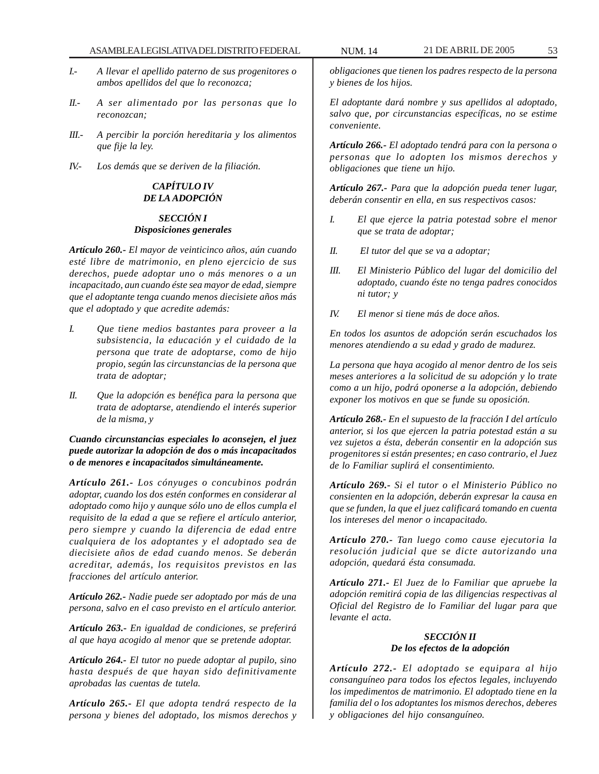- *I.- A llevar el apellido paterno de sus progenitores o ambos apellidos del que lo reconozca;*
- *II.- A ser alimentado por las personas que lo reconozcan;*
- *III.- A percibir la porción hereditaria y los alimentos que fije la ley.*
- *IV.- Los demás que se deriven de la filiación.*

# *CAPÍTULO IV DE LA ADOPCIÓN*

## *SECCIÓN I Disposiciones generales*

*Artículo 260.- El mayor de veinticinco años, aún cuando esté libre de matrimonio, en pleno ejercicio de sus derechos, puede adoptar uno o más menores o a un incapacitado, aun cuando éste sea mayor de edad, siempre que el adoptante tenga cuando menos diecisiete años más que el adoptado y que acredite además:*

- *I. Que tiene medios bastantes para proveer a la subsistencia, la educación y el cuidado de la persona que trate de adoptarse, como de hijo propio, según las circunstancias de la persona que trata de adoptar;*
- *II. Que la adopción es benéfica para la persona que trata de adoptarse, atendiendo el interés superior de la misma, y*

*Cuando circunstancias especiales lo aconsejen, el juez puede autorizar la adopción de dos o más incapacitados o de menores e incapacitados simultáneamente.*

*Artículo 261.- Los cónyuges o concubinos podrán adoptar, cuando los dos estén conformes en considerar al adoptado como hijo y aunque sólo uno de ellos cumpla el requisito de la edad a que se refiere el artículo anterior, pero siempre y cuando la diferencia de edad entre cualquiera de los adoptantes y el adoptado sea de diecisiete años de edad cuando menos. Se deberán acreditar, además, los requisitos previstos en las fracciones del artículo anterior.*

*Artículo 262.- Nadie puede ser adoptado por más de una persona, salvo en el caso previsto en el artículo anterior.*

*Artículo 263.- En igualdad de condiciones, se preferirá al que haya acogido al menor que se pretende adoptar.*

*Artículo 264.- El tutor no puede adoptar al pupilo, sino hasta después de que hayan sido definitivamente aprobadas las cuentas de tutela.*

*Artículo 265.- El que adopta tendrá respecto de la persona y bienes del adoptado, los mismos derechos y* *obligaciones que tienen los padres respecto de la persona y bienes de los hijos.*

*El adoptante dará nombre y sus apellidos al adoptado, salvo que, por circunstancias específicas, no se estime conveniente.*

*Artículo 266.- El adoptado tendrá para con la persona o personas que lo adopten los mismos derechos y obligaciones que tiene un hijo.*

*Artículo 267.- Para que la adopción pueda tener lugar, deberán consentir en ella, en sus respectivos casos:*

- *I. El que ejerce la patria potestad sobre el menor que se trata de adoptar;*
- *II. El tutor del que se va a adoptar;*
- *III. El Ministerio Público del lugar del domicilio del adoptado, cuando éste no tenga padres conocidos ni tutor; y*
- *IV. El menor si tiene más de doce años.*

*En todos los asuntos de adopción serán escuchados los menores atendiendo a su edad y grado de madurez.*

*La persona que haya acogido al menor dentro de los seis meses anteriores a la solicitud de su adopción y lo trate como a un hijo, podrá oponerse a la adopción, debiendo exponer los motivos en que se funde su oposición.*

*Artículo 268.- En el supuesto de la fracción I del artículo anterior, si los que ejercen la patria potestad están a su vez sujetos a ésta, deberán consentir en la adopción sus progenitores si están presentes; en caso contrario, el Juez de lo Familiar suplirá el consentimiento.*

*Artículo 269.- Si el tutor o el Ministerio Público no consienten en la adopción, deberán expresar la causa en que se funden, la que el juez calificará tomando en cuenta los intereses del menor o incapacitado.*

*Artículo 270.- Tan luego como cause ejecutoria la resolución judicial que se dicte autorizando una adopción, quedará ésta consumada.*

*Artículo 271.- El Juez de lo Familiar que apruebe la adopción remitirá copia de las diligencias respectivas al Oficial del Registro de lo Familiar del lugar para que levante el acta.*

# *SECCIÓN II De los efectos de la adopción*

*Artículo 272.- El adoptado se equipara al hijo consanguíneo para todos los efectos legales, incluyendo los impedimentos de matrimonio. El adoptado tiene en la familia del o los adoptantes los mismos derechos, deberes y obligaciones del hijo consanguíneo.*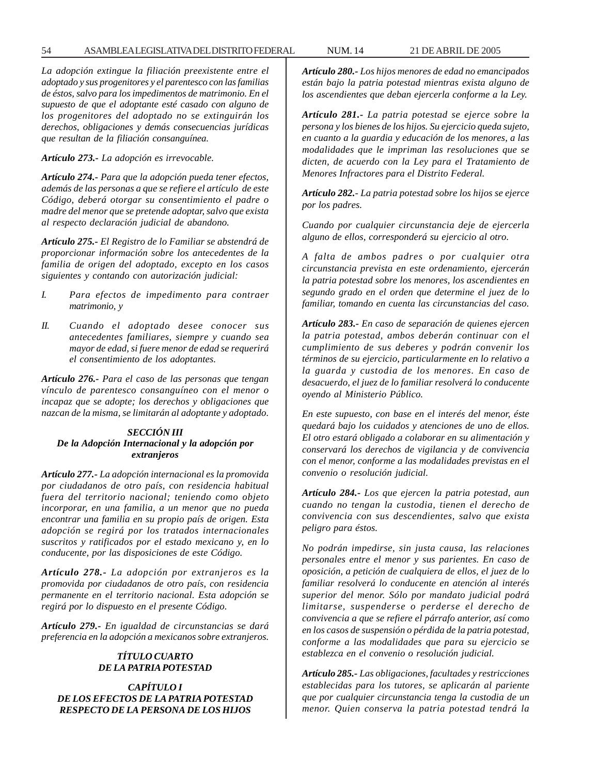*La adopción extingue la filiación preexistente entre el adoptado y sus progenitores y el parentesco con las familias de éstos, salvo para los impedimentos de matrimonio. En el supuesto de que el adoptante esté casado con alguno de los progenitores del adoptado no se extinguirán los derechos, obligaciones y demás consecuencias jurídicas que resultan de la filiación consanguínea.*

*Artículo 273.- La adopción es irrevocable.*

*Artículo 274.- Para que la adopción pueda tener efectos, además de las personas a que se refiere el artículo de este Código, deberá otorgar su consentimiento el padre o madre del menor que se pretende adoptar, salvo que exista al respecto declaración judicial de abandono.*

*Artículo 275.- El Registro de lo Familiar se abstendrá de proporcionar información sobre los antecedentes de la familia de origen del adoptado, excepto en los casos siguientes y contando con autorización judicial:*

- *I. Para efectos de impedimento para contraer matrimonio, y*
- *II. Cuando el adoptado desee conocer sus antecedentes familiares, siempre y cuando sea mayor de edad, si fuere menor de edad se requerirá el consentimiento de los adoptantes.*

*Artículo 276.- Para el caso de las personas que tengan vínculo de parentesco consanguíneo con el menor o incapaz que se adopte; los derechos y obligaciones que nazcan de la misma, se limitarán al adoptante y adoptado.*

#### *SECCIÓN III De la Adopción Internacional y la adopción por extranjeros*

*Artículo 277.- La adopción internacional es la promovida por ciudadanos de otro país, con residencia habitual fuera del territorio nacional; teniendo como objeto incorporar, en una familia, a un menor que no pueda encontrar una familia en su propio país de origen. Esta adopción se regirá por los tratados internacionales suscritos y ratificados por el estado mexicano y, en lo conducente, por las disposiciones de este Código.*

*Artículo 278.- La adopción por extranjeros es la promovida por ciudadanos de otro país, con residencia permanente en el territorio nacional. Esta adopción se regirá por lo dispuesto en el presente Código.*

*Artículo 279.- En igualdad de circunstancias se dará preferencia en la adopción a mexicanos sobre extranjeros.*

# *TÍTULO CUARTO DE LA PATRIA POTESTAD*

*CAPÍTULO I DE LOS EFECTOS DE LA PATRIA POTESTAD RESPECTO DE LA PERSONA DE LOS HIJOS*

*Artículo 280.- Los hijos menores de edad no emancipados están bajo la patria potestad mientras exista alguno de los ascendientes que deban ejercerla conforme a la Ley.*

*Artículo 281.- La patria potestad se ejerce sobre la persona y los bienes de los hijos. Su ejercicio queda sujeto, en cuanto a la guardia y educación de los menores, a las modalidades que le impriman las resoluciones que se dicten, de acuerdo con la Ley para el Tratamiento de Menores Infractores para el Distrito Federal.*

*Artículo 282.- La patria potestad sobre los hijos se ejerce por los padres.*

*Cuando por cualquier circunstancia deje de ejercerla alguno de ellos, corresponderá su ejercicio al otro.*

*A falta de ambos padres o por cualquier otra circunstancia prevista en este ordenamiento, ejercerán la patria potestad sobre los menores, los ascendientes en segundo grado en el orden que determine el juez de lo familiar, tomando en cuenta las circunstancias del caso.*

*Artículo 283.- En caso de separación de quienes ejercen la patria potestad, ambos deberán continuar con el cumplimiento de sus deberes y podrán convenir los términos de su ejercicio, particularmente en lo relativo a la guarda y custodia de los menores. En caso de desacuerdo, el juez de lo familiar resolverá lo conducente oyendo al Ministerio Público.*

*En este supuesto, con base en el interés del menor, éste quedará bajo los cuidados y atenciones de uno de ellos. El otro estará obligado a colaborar en su alimentación y conservará los derechos de vigilancia y de convivencia con el menor, conforme a las modalidades previstas en el convenio o resolución judicial.*

*Artículo 284.- Los que ejercen la patria potestad, aun cuando no tengan la custodia, tienen el derecho de convivencia con sus descendientes, salvo que exista peligro para éstos.*

*No podrán impedirse, sin justa causa, las relaciones personales entre el menor y sus parientes. En caso de oposición, a petición de cualquiera de ellos, el juez de lo familiar resolverá lo conducente en atención al interés superior del menor. Sólo por mandato judicial podrá limitarse, suspenderse o perderse el derecho de convivencia a que se refiere el párrafo anterior, así como en los casos de suspensión o pérdida de la patria potestad, conforme a las modalidades que para su ejercicio se establezca en el convenio o resolución judicial.*

*Artículo 285.- Las obligaciones, facultades y restricciones establecidas para los tutores, se aplicarán al pariente que por cualquier circunstancia tenga la custodia de un menor. Quien conserva la patria potestad tendrá la*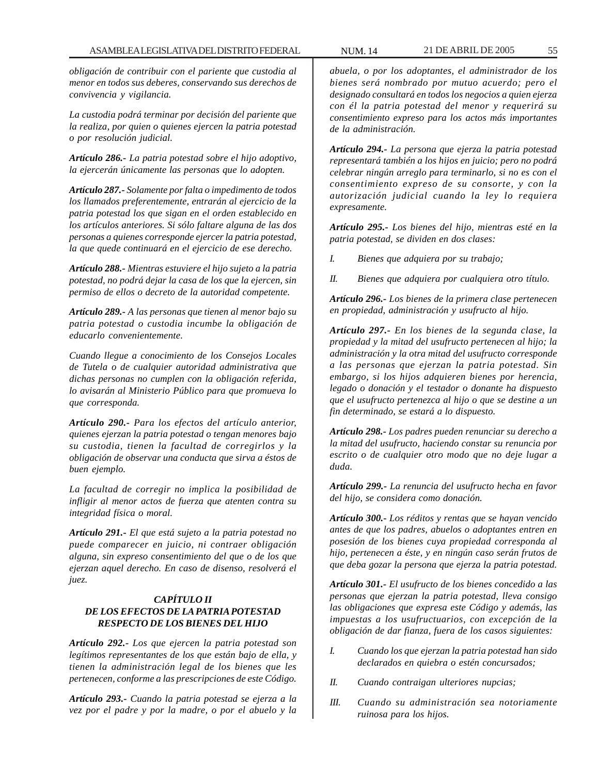*obligación de contribuir con el pariente que custodia al menor en todos sus deberes, conservando sus derechos de convivencia y vigilancia.*

*La custodia podrá terminar por decisión del pariente que la realiza, por quien o quienes ejercen la patria potestad o por resolución judicial.*

*Artículo 286.- La patria potestad sobre el hijo adoptivo, la ejercerán únicamente las personas que lo adopten.*

*Artículo 287.- Solamente por falta o impedimento de todos los llamados preferentemente, entrarán al ejercicio de la patria potestad los que sigan en el orden establecido en los artículos anteriores. Si sólo faltare alguna de las dos personas a quienes corresponde ejercer la patria potestad, la que quede continuará en el ejercicio de ese derecho.*

*Artículo 288.- Mientras estuviere el hijo sujeto a la patria potestad, no podrá dejar la casa de los que la ejercen, sin permiso de ellos o decreto de la autoridad competente.*

*Artículo 289.- A las personas que tienen al menor bajo su patria potestad o custodia incumbe la obligación de educarlo convenientemente.*

*Cuando llegue a conocimiento de los Consejos Locales de Tutela o de cualquier autoridad administrativa que dichas personas no cumplen con la obligación referida, lo avisarán al Ministerio Público para que promueva lo que corresponda.*

*Artículo 290.- Para los efectos del artículo anterior, quienes ejerzan la patria potestad o tengan menores bajo su custodia, tienen la facultad de corregirlos y la obligación de observar una conducta que sirva a éstos de buen ejemplo.*

*La facultad de corregir no implica la posibilidad de infligir al menor actos de fuerza que atenten contra su integridad física o moral.*

*Artículo 291.- El que está sujeto a la patria potestad no puede comparecer en juicio, ni contraer obligación alguna, sin expreso consentimiento del que o de los que ejerzan aquel derecho. En caso de disenso, resolverá el juez.*

# *CAPÍTULO II DE LOS EFECTOS DE LA PATRIA POTESTAD RESPECTO DE LOS BIENES DEL HIJO*

*Artículo 292.- Los que ejercen la patria potestad son legítimos representantes de los que están bajo de ella, y tienen la administración legal de los bienes que les pertenecen, conforme a las prescripciones de este Código.*

*Artículo 293.- Cuando la patria potestad se ejerza a la vez por el padre y por la madre, o por el abuelo y la*

*abuela, o por los adoptantes, el administrador de los bienes será nombrado por mutuo acuerdo; pero el designado consultará en todos los negocios a quien ejerza con él la patria potestad del menor y requerirá su consentimiento expreso para los actos más importantes de la administración.*

*Artículo 294.- La persona que ejerza la patria potestad representará también a los hijos en juicio; pero no podrá celebrar ningún arreglo para terminarlo, si no es con el consentimiento expreso de su consorte, y con la autorización judicial cuando la ley lo requiera expresamente.*

*Artículo 295.- Los bienes del hijo, mientras esté en la patria potestad, se dividen en dos clases:*

*I. Bienes que adquiera por su trabajo;*

*II. Bienes que adquiera por cualquiera otro título.*

*Artículo 296.- Los bienes de la primera clase pertenecen en propiedad, administración y usufructo al hijo.*

*Artículo 297.- En los bienes de la segunda clase, la propiedad y la mitad del usufructo pertenecen al hijo; la administración y la otra mitad del usufructo corresponde a las personas que ejerzan la patria potestad. Sin embargo, si los hijos adquieren bienes por herencia, legado o donación y el testador o donante ha dispuesto que el usufructo pertenezca al hijo o que se destine a un fin determinado, se estará a lo dispuesto.*

*Artículo 298.- Los padres pueden renunciar su derecho a la mitad del usufructo, haciendo constar su renuncia por escrito o de cualquier otro modo que no deje lugar a duda.*

*Artículo 299.- La renuncia del usufructo hecha en favor del hijo, se considera como donación.*

*Artículo 300.- Los réditos y rentas que se hayan vencido antes de que los padres, abuelos o adoptantes entren en posesión de los bienes cuya propiedad corresponda al hijo, pertenecen a éste, y en ningún caso serán frutos de que deba gozar la persona que ejerza la patria potestad.*

*Artículo 301.- El usufructo de los bienes concedido a las personas que ejerzan la patria potestad, lleva consigo las obligaciones que expresa este Código y además, las impuestas a los usufructuarios, con excepción de la obligación de dar fianza, fuera de los casos siguientes:*

- *I. Cuando los que ejerzan la patria potestad han sido declarados en quiebra o estén concursados;*
- *II. Cuando contraigan ulteriores nupcias;*
- *III. Cuando su administración sea notoriamente ruinosa para los hijos.*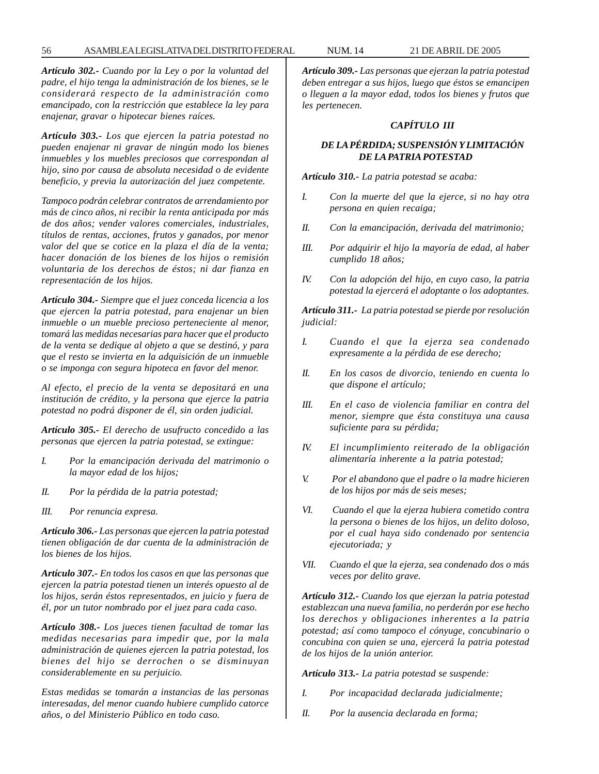#### 56 ASAMBLEA LEGISLATIVA DEL DISTRITO FEDERAL NUM. 14 21 DE ABRIL DE 2005

*Artículo 302.- Cuando por la Ley o por la voluntad del padre, el hijo tenga la administración de los bienes, se le considerará respecto de la administración como emancipado, con la restricción que establece la ley para enajenar, gravar o hipotecar bienes raíces.*

*Artículo 303.- Los que ejercen la patria potestad no pueden enajenar ni gravar de ningún modo los bienes inmuebles y los muebles preciosos que correspondan al hijo, sino por causa de absoluta necesidad o de evidente beneficio, y previa la autorización del juez competente.*

*Tampoco podrán celebrar contratos de arrendamiento por más de cinco años, ni recibir la renta anticipada por más de dos años; vender valores comerciales, industriales, títulos de rentas, acciones, frutos y ganados, por menor valor del que se cotice en la plaza el día de la venta; hacer donación de los bienes de los hijos o remisión voluntaria de los derechos de éstos; ni dar fianza en representación de los hijos.*

*Artículo 304.- Siempre que el juez conceda licencia a los que ejercen la patria potestad, para enajenar un bien inmueble o un mueble precioso perteneciente al menor, tomará las medidas necesarias para hacer que el producto de la venta se dedique al objeto a que se destinó, y para que el resto se invierta en la adquisición de un inmueble o se imponga con segura hipoteca en favor del menor.*

*Al efecto, el precio de la venta se depositará en una institución de crédito, y la persona que ejerce la patria potestad no podrá disponer de él, sin orden judicial.*

*Artículo 305.- El derecho de usufructo concedido a las personas que ejercen la patria potestad, se extingue:*

- *I. Por la emancipación derivada del matrimonio o la mayor edad de los hijos;*
- *II. Por la pérdida de la patria potestad;*
- *III. Por renuncia expresa.*

*Artículo 306.- Las personas que ejercen la patria potestad tienen obligación de dar cuenta de la administración de los bienes de los hijos.*

*Artículo 307.- En todos los casos en que las personas que ejercen la patria potestad tienen un interés opuesto al de los hijos, serán éstos representados, en juicio y fuera de él, por un tutor nombrado por el juez para cada caso.*

*Artículo 308.- Los jueces tienen facultad de tomar las medidas necesarias para impedir que, por la mala administración de quienes ejercen la patria potestad, los bienes del hijo se derrochen o se disminuyan considerablemente en su perjuicio.*

*Estas medidas se tomarán a instancias de las personas interesadas, del menor cuando hubiere cumplido catorce años, o del Ministerio Público en todo caso.*

*Artículo 309.- Las personas que ejerzan la patria potestad deben entregar a sus hijos, luego que éstos se emancipen o lleguen a la mayor edad, todos los bienes y frutos que les pertenecen.*

# *CAPÍTULO III*

# *DE LA PÉRDIDA; SUSPENSIÓN Y LIMITACIÓN DE LA PATRIA POTESTAD*

*Artículo 310.- La patria potestad se acaba:*

- *I. Con la muerte del que la ejerce, si no hay otra persona en quien recaiga;*
- *II. Con la emancipación, derivada del matrimonio;*
- *III. Por adquirir el hijo la mayoría de edad, al haber cumplido 18 años;*
- *IV. Con la adopción del hijo, en cuyo caso, la patria potestad la ejercerá el adoptante o los adoptantes.*

*Artículo 311.- La patria potestad se pierde por resolución judicial:*

- *I. Cuando el que la ejerza sea condenado expresamente a la pérdida de ese derecho;*
- *II. En los casos de divorcio, teniendo en cuenta lo que dispone el artículo;*
- *III. En el caso de violencia familiar en contra del menor, siempre que ésta constituya una causa suficiente para su pérdida;*
- *IV. El incumplimiento reiterado de la obligación alimentaría inherente a la patria potestad;*
- *V. Por el abandono que el padre o la madre hicieren de los hijos por más de seis meses;*
- *VI. Cuando el que la ejerza hubiera cometido contra la persona o bienes de los hijos, un delito doloso, por el cual haya sido condenado por sentencia ejecutoriada; y*
- *VII. Cuando el que la ejerza, sea condenado dos o más veces por delito grave.*

*Artículo 312.- Cuando los que ejerzan la patria potestad establezcan una nueva familia, no perderán por ese hecho los derechos y obligaciones inherentes a la patria potestad; así como tampoco el cónyuge, concubinario o concubina con quien se una, ejercerá la patria potestad de los hijos de la unión anterior.*

*Artículo 313.- La patria potestad se suspende:*

- *I. Por incapacidad declarada judicialmente;*
- *II. Por la ausencia declarada en forma;*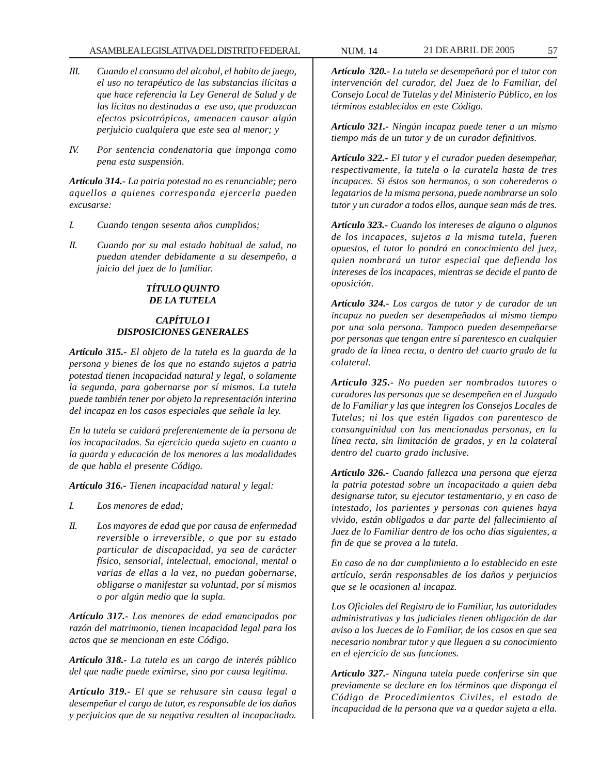#### ASAMBLEA LEGISLATIVA DEL DISTRITO FEDERAL NUM. 14 21 DE ABRIL DE 2005 57

- *III. Cuando el consumo del alcohol, el habito de juego, el uso no terapéutico de las substancias ilícitas a que hace referencia la Ley General de Salud y de las lícitas no destinadas a ese uso, que produzcan efectos psicotrópicos, amenacen causar algún perjuicio cualquiera que este sea al menor; y*
- *IV. Por sentencia condenatoria que imponga como pena esta suspensión.*

*Artículo 314.- La patria potestad no es renunciable; pero aquellos a quienes corresponda ejercerla pueden excusarse:*

- *I. Cuando tengan sesenta años cumplidos;*
- *II. Cuando por su mal estado habitual de salud, no puedan atender debidamente a su desempeño, a juicio del juez de lo familiar.*

# *TÍTULO QUINTO DE LA TUTELA*

# *CAPÍTULO I DISPOSICIONES GENERALES*

*Artículo 315.- El objeto de la tutela es la guarda de la persona y bienes de los que no estando sujetos a patria potestad tienen incapacidad natural y legal, o solamente la segunda, para gobernarse por sí mismos. La tutela puede también tener por objeto la representación interina del incapaz en los casos especiales que señale la ley.*

*En la tutela se cuidará preferentemente de la persona de los incapacitados. Su ejercicio queda sujeto en cuanto a la guarda y educación de los menores a las modalidades de que habla el presente Código.*

*Artículo 316.- Tienen incapacidad natural y legal:*

- *I. Los menores de edad;*
- *II. Los mayores de edad que por causa de enfermedad reversible o irreversible, o que por su estado particular de discapacidad, ya sea de carácter físico, sensorial, intelectual, emocional, mental o varias de ellas a la vez, no puedan gobernarse, obligarse o manifestar su voluntad, por sí mismos o por algún medio que la supla.*

*Artículo 317.- Los menores de edad emancipados por razón del matrimonio, tienen incapacidad legal para los actos que se mencionan en este Código.*

*Artículo 318.- La tutela es un cargo de interés público del que nadie puede eximirse, sino por causa legítima.*

*Artículo 319.- El que se rehusare sin causa legal a desempeñar el cargo de tutor, es responsable de los daños y perjuicios que de su negativa resulten al incapacitado.*

*Artículo 320.- La tutela se desempeñará por el tutor con intervención del curador, del Juez de lo Familiar, del Consejo Local de Tutelas y del Ministerio Público, en los términos establecidos en este Código.*

*Artículo 321.- Ningún incapaz puede tener a un mismo tiempo más de un tutor y de un curador definitivos.*

*Artículo 322.- El tutor y el curador pueden desempeñar, respectivamente, la tutela o la curatela hasta de tres incapaces. Si éstos son hermanos, o son coherederos o legatarios de la misma persona, puede nombrarse un solo tutor y un curador a todos ellos, aunque sean más de tres.*

*Artículo 323.- Cuando los intereses de alguno o algunos de los incapaces, sujetos a la misma tutela, fueren opuestos, el tutor lo pondrá en conocimiento del juez, quien nombrará un tutor especial que defienda los intereses de los incapaces, mientras se decide el punto de oposición.*

*Artículo 324.- Los cargos de tutor y de curador de un incapaz no pueden ser desempeñados al mismo tiempo por una sola persona. Tampoco pueden desempeñarse por personas que tengan entre sí parentesco en cualquier grado de la línea recta, o dentro del cuarto grado de la colateral.*

*Artículo 325.- No pueden ser nombrados tutores o curadores las personas que se desempeñen en el Juzgado de lo Familiar y las que integren los Consejos Locales de Tutelas; ni los que estén ligados con parentesco de consanguinidad con las mencionadas personas, en la línea recta, sin limitación de grados, y en la colateral dentro del cuarto grado inclusive.*

*Artículo 326.- Cuando fallezca una persona que ejerza la patria potestad sobre un incapacitado a quien deba designarse tutor, su ejecutor testamentario, y en caso de intestado, los parientes y personas con quienes haya vivido, están obligados a dar parte del fallecimiento al Juez de lo Familiar dentro de los ocho días siguientes, a fin de que se provea a la tutela.*

*En caso de no dar cumplimiento a lo establecido en este artículo, serán responsables de los daños y perjuicios que se le ocasionen al incapaz.*

*Los Oficiales del Registro de lo Familiar, las autoridades administrativas y las judiciales tienen obligación de dar aviso a los Jueces de lo Familiar, de los casos en que sea necesario nombrar tutor y que lleguen a su conocimiento en el ejercicio de sus funciones.*

*Artículo 327.- Ninguna tutela puede conferirse sin que previamente se declare en los términos que disponga el Código de Procedimientos Civiles, el estado de incapacidad de la persona que va a quedar sujeta a ella.*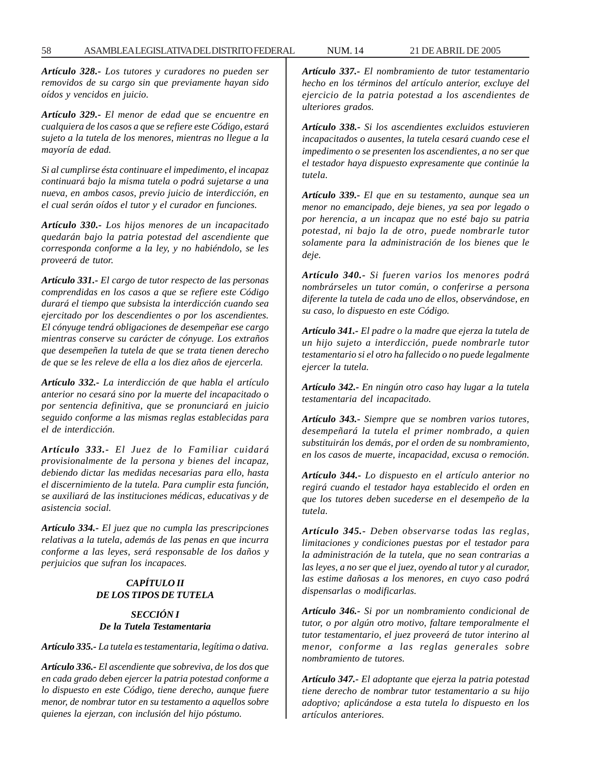*Artículo 328.- Los tutores y curadores no pueden ser removidos de su cargo sin que previamente hayan sido oídos y vencidos en juicio.*

*Artículo 329.- El menor de edad que se encuentre en cualquiera de los casos a que se refiere este Código, estará sujeto a la tutela de los menores, mientras no llegue a la mayoría de edad.*

*Si al cumplirse ésta continuare el impedimento, el incapaz continuará bajo la misma tutela o podrá sujetarse a una nueva, en ambos casos, previo juicio de interdicción, en el cual serán oídos el tutor y el curador en funciones.*

*Artículo 330.- Los hijos menores de un incapacitado quedarán bajo la patria potestad del ascendiente que corresponda conforme a la ley, y no habiéndolo, se les proveerá de tutor.*

*Artículo 331.- El cargo de tutor respecto de las personas comprendidas en los casos a que se refiere este Código durará el tiempo que subsista la interdicción cuando sea ejercitado por los descendientes o por los ascendientes. El cónyuge tendrá obligaciones de desempeñar ese cargo mientras conserve su carácter de cónyuge. Los extraños que desempeñen la tutela de que se trata tienen derecho de que se les releve de ella a los diez años de ejercerla.*

*Artículo 332.- La interdicción de que habla el artículo anterior no cesará sino por la muerte del incapacitado o por sentencia definitiva, que se pronunciará en juicio seguido conforme a las mismas reglas establecidas para el de interdicción.*

*Artículo 333.- El Juez de lo Familiar cuidará provisionalmente de la persona y bienes del incapaz, debiendo dictar las medidas necesarias para ello, hasta el discernimiento de la tutela. Para cumplir esta función, se auxiliará de las instituciones médicas, educativas y de asistencia social.*

*Artículo 334.- El juez que no cumpla las prescripciones relativas a la tutela, además de las penas en que incurra conforme a las leyes, será responsable de los daños y perjuicios que sufran los incapaces.*

# *CAPÍTULO II DE LOS TIPOS DE TUTELA*

#### *SECCIÓN I De la Tutela Testamentaria*

*Artículo 335.- La tutela es testamentaria, legítima o dativa.*

*Artículo 336.- El ascendiente que sobreviva, de los dos que en cada grado deben ejercer la patria potestad conforme a lo dispuesto en este Código, tiene derecho, aunque fuere menor, de nombrar tutor en su testamento a aquellos sobre quienes la ejerzan, con inclusión del hijo póstumo.*

*Artículo 337.- El nombramiento de tutor testamentario hecho en los términos del artículo anterior, excluye del ejercicio de la patria potestad a los ascendientes de ulteriores grados.*

*Artículo 338.- Si los ascendientes excluidos estuvieren incapacitados o ausentes, la tutela cesará cuando cese el impedimento o se presenten los ascendientes, a no ser que el testador haya dispuesto expresamente que continúe la tutela.*

*Artículo 339.- El que en su testamento, aunque sea un menor no emancipado, deje bienes, ya sea por legado o por herencia, a un incapaz que no esté bajo su patria potestad, ni bajo la de otro, puede nombrarle tutor solamente para la administración de los bienes que le deje.*

*Artículo 340.- Si fueren varios los menores podrá nombrárseles un tutor común, o conferirse a persona diferente la tutela de cada uno de ellos, observándose, en su caso, lo dispuesto en este Código.*

*Artículo 341.- El padre o la madre que ejerza la tutela de un hijo sujeto a interdicción, puede nombrarle tutor testamentario si el otro ha fallecido o no puede legalmente ejercer la tutela.*

*Artículo 342.- En ningún otro caso hay lugar a la tutela testamentaria del incapacitado.*

*Artículo 343.- Siempre que se nombren varios tutores, desempeñará la tutela el primer nombrado, a quien substituirán los demás, por el orden de su nombramiento, en los casos de muerte, incapacidad, excusa o remoción.*

*Artículo 344.- Lo dispuesto en el artículo anterior no regirá cuando el testador haya establecido el orden en que los tutores deben sucederse en el desempeño de la tutela.*

*Artículo 345.- Deben observarse todas las reglas, limitaciones y condiciones puestas por el testador para la administración de la tutela, que no sean contrarias a las leyes, a no ser que el juez, oyendo al tutor y al curador, las estime dañosas a los menores, en cuyo caso podrá dispensarlas o modificarlas.*

*Artículo 346.- Si por un nombramiento condicional de tutor, o por algún otro motivo, faltare temporalmente el tutor testamentario, el juez proveerá de tutor interino al menor, conforme a las reglas generales sobre nombramiento de tutores.*

*Artículo 347.- El adoptante que ejerza la patria potestad tiene derecho de nombrar tutor testamentario a su hijo adoptivo; aplicándose a esta tutela lo dispuesto en los artículos anteriores.*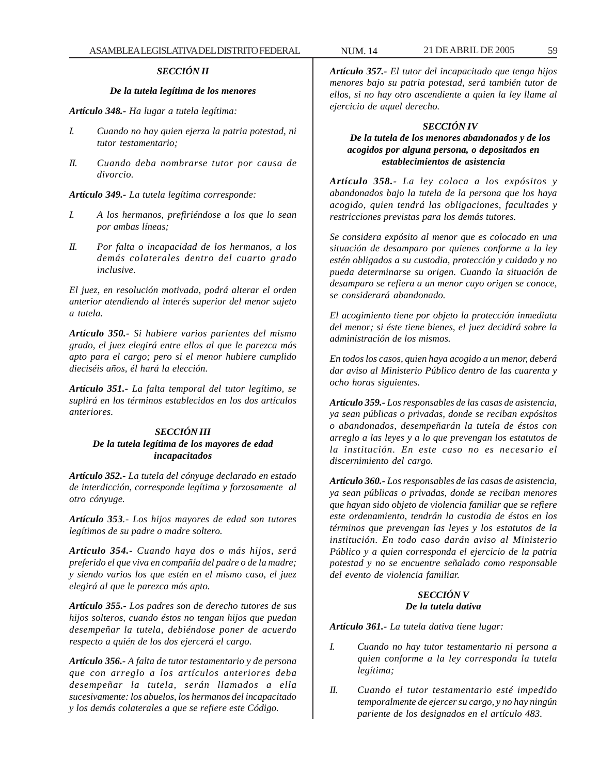# *SECCIÓN II*

# *De la tutela legítima de los menores*

*Artículo 348.- Ha lugar a tutela legítima:*

- *I. Cuando no hay quien ejerza la patria potestad, ni tutor testamentario;*
- *II. Cuando deba nombrarse tutor por causa de divorcio.*

*Artículo 349.- La tutela legítima corresponde:*

- *I. A los hermanos, prefiriéndose a los que lo sean por ambas líneas;*
- *II. Por falta o incapacidad de los hermanos, a los demás colaterales dentro del cuarto grado inclusive.*

*El juez, en resolución motivada, podrá alterar el orden anterior atendiendo al interés superior del menor sujeto a tutela.*

*Artículo 350.- Si hubiere varios parientes del mismo grado, el juez elegirá entre ellos al que le parezca más apto para el cargo; pero si el menor hubiere cumplido dieciséis años, él hará la elección.*

*Artículo 351.- La falta temporal del tutor legítimo, se suplirá en los términos establecidos en los dos artículos anteriores.*

# *SECCIÓN III De la tutela legítima de los mayores de edad incapacitados*

*Artículo 352.- La tutela del cónyuge declarado en estado de interdicción, corresponde legítima y forzosamente al otro cónyuge.*

*Artículo 353.- Los hijos mayores de edad son tutores legítimos de su padre o madre soltero.*

*Artículo 354.- Cuando haya dos o más hijos, será preferido el que viva en compañía del padre o de la madre; y siendo varios los que estén en el mismo caso, el juez elegirá al que le parezca más apto.*

*Artículo 355.- Los padres son de derecho tutores de sus hijos solteros, cuando éstos no tengan hijos que puedan desempeñar la tutela, debiéndose poner de acuerdo respecto a quién de los dos ejercerá el cargo.*

*Artículo 356.- A falta de tutor testamentario y de persona que con arreglo a los artículos anteriores deba desempeñar la tutela, serán llamados a ella sucesivamente: los abuelos, los hermanos del incapacitado y los demás colaterales a que se refiere este Código.*

*Artículo 357.- El tutor del incapacitado que tenga hijos menores bajo su patria potestad, será también tutor de ellos, si no hay otro ascendiente a quien la ley llame al ejercicio de aquel derecho.*

#### *SECCIÓN IV*

# *De la tutela de los menores abandonados y de los acogidos por alguna persona, o depositados en establecimientos de asistencia*

*Artículo 358.- La ley coloca a los expósitos y abandonados bajo la tutela de la persona que los haya acogido, quien tendrá las obligaciones, facultades y restricciones previstas para los demás tutores.*

*Se considera expósito al menor que es colocado en una situación de desamparo por quienes conforme a la ley estén obligados a su custodia, protección y cuidado y no pueda determinarse su origen. Cuando la situación de desamparo se refiera a un menor cuyo origen se conoce, se considerará abandonado.*

*El acogimiento tiene por objeto la protección inmediata del menor; si éste tiene bienes, el juez decidirá sobre la administración de los mismos.*

*En todos los casos, quien haya acogido a un menor, deberá dar aviso al Ministerio Público dentro de las cuarenta y ocho horas siguientes.*

*Artículo 359.- Los responsables de las casas de asistencia, ya sean públicas o privadas, donde se reciban expósitos o abandonados, desempeñarán la tutela de éstos con arreglo a las leyes y a lo que prevengan los estatutos de la institución. En este caso no es necesario el discernimiento del cargo.*

*Artículo 360.- Los responsables de las casas de asistencia, ya sean públicas o privadas, donde se reciban menores que hayan sido objeto de violencia familiar que se refiere este ordenamiento, tendrán la custodia de éstos en los términos que prevengan las leyes y los estatutos de la institución. En todo caso darán aviso al Ministerio Público y a quien corresponda el ejercicio de la patria potestad y no se encuentre señalado como responsable del evento de violencia familiar.*

# *SECCIÓN V De la tutela dativa*

*Artículo 361.- La tutela dativa tiene lugar:*

- *I. Cuando no hay tutor testamentario ni persona a quien conforme a la ley corresponda la tutela legítima;*
- *II. Cuando el tutor testamentario esté impedido temporalmente de ejercer su cargo, y no hay ningún pariente de los designados en el artículo 483.*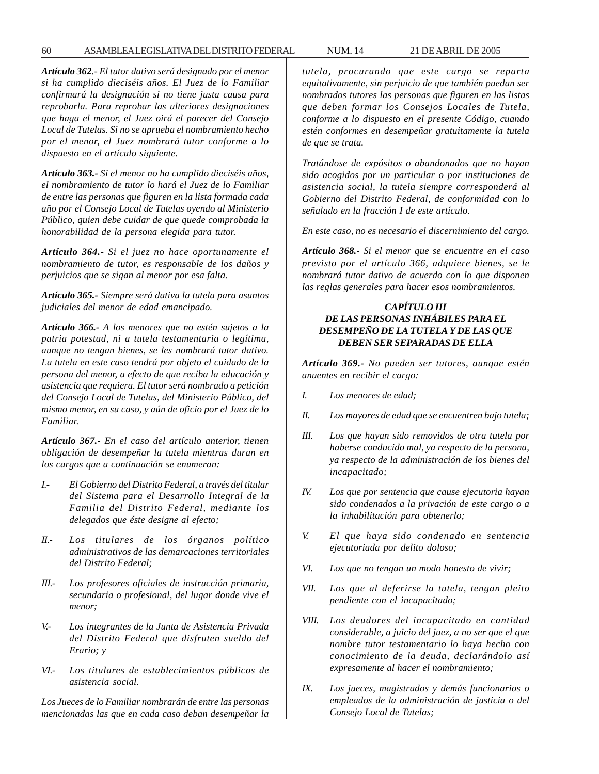#### 60 ASAMBLEA LEGISLATIVA DEL DISTRITO FEDERAL NUM. 14 21 DE ABRIL DE 2005

*Artículo 362.- El tutor dativo será designado por el menor si ha cumplido dieciséis años. El Juez de lo Familiar confirmará la designación si no tiene justa causa para reprobarla. Para reprobar las ulteriores designaciones que haga el menor, el Juez oirá el parecer del Consejo Local de Tutelas. Si no se aprueba el nombramiento hecho por el menor, el Juez nombrará tutor conforme a lo dispuesto en el artículo siguiente.*

*Artículo 363.- Si el menor no ha cumplido dieciséis años, el nombramiento de tutor lo hará el Juez de lo Familiar de entre las personas que figuren en la lista formada cada año por el Consejo Local de Tutelas oyendo al Ministerio Público, quien debe cuidar de que quede comprobada la honorabilidad de la persona elegida para tutor.*

*Artículo 364.- Si el juez no hace oportunamente el nombramiento de tutor, es responsable de los daños y perjuicios que se sigan al menor por esa falta.*

*Artículo 365.- Siempre será dativa la tutela para asuntos judiciales del menor de edad emancipado.*

*Artículo 366.- A los menores que no estén sujetos a la patria potestad, ni a tutela testamentaria o legítima, aunque no tengan bienes, se les nombrará tutor dativo. La tutela en este caso tendrá por objeto el cuidado de la persona del menor, a efecto de que reciba la educación y asistencia que requiera. El tutor será nombrado a petición del Consejo Local de Tutelas, del Ministerio Público, del mismo menor, en su caso, y aún de oficio por el Juez de lo Familiar.*

*Artículo 367.- En el caso del artículo anterior, tienen obligación de desempeñar la tutela mientras duran en los cargos que a continuación se enumeran:*

- *I.- El Gobierno del Distrito Federal, a través del titular del Sistema para el Desarrollo Integral de la Familia del Distrito Federal, mediante los delegados que éste designe al efecto;*
- *II.- Los titulares de los órganos político administrativos de las demarcaciones territoriales del Distrito Federal;*
- *III.- Los profesores oficiales de instrucción primaria, secundaria o profesional, del lugar donde vive el menor;*
- *V.- Los integrantes de la Junta de Asistencia Privada del Distrito Federal que disfruten sueldo del Erario; y*
- *VI.- Los titulares de establecimientos públicos de asistencia social.*

*Los Jueces de lo Familiar nombrarán de entre las personas mencionadas las que en cada caso deban desempeñar la* *tutela, procurando que este cargo se reparta equitativamente, sin perjuicio de que también puedan ser nombrados tutores las personas que figuren en las listas que deben formar los Consejos Locales de Tutela, conforme a lo dispuesto en el presente Código, cuando estén conformes en desempeñar gratuitamente la tutela de que se trata.*

*Tratándose de expósitos o abandonados que no hayan sido acogidos por un particular o por instituciones de asistencia social, la tutela siempre corresponderá al Gobierno del Distrito Federal, de conformidad con lo señalado en la fracción I de este artículo.*

*En este caso, no es necesario el discernimiento del cargo.*

*Artículo 368.- Si el menor que se encuentre en el caso previsto por el artículo 366, adquiere bienes, se le nombrará tutor dativo de acuerdo con lo que disponen las reglas generales para hacer esos nombramientos.*

# *CAPÍTULO III DE LAS PERSONAS INHÁBILES PARA EL DESEMPEÑO DE LA TUTELA Y DE LAS QUE DEBEN SER SEPARADAS DE ELLA*

*Artículo 369.- No pueden ser tutores, aunque estén anuentes en recibir el cargo:*

- *I. Los menores de edad;*
- *II. Los mayores de edad que se encuentren bajo tutela;*
- *III. Los que hayan sido removidos de otra tutela por haberse conducido mal, ya respecto de la persona, ya respecto de la administración de los bienes del incapacitado;*
- *IV. Los que por sentencia que cause ejecutoria hayan sido condenados a la privación de este cargo o a la inhabilitación para obtenerlo;*
- *V. El que haya sido condenado en sentencia ejecutoriada por delito doloso;*
- *VI. Los que no tengan un modo honesto de vivir;*
- *VII. Los que al deferirse la tutela, tengan pleito pendiente con el incapacitado;*
- *VIII. Los deudores del incapacitado en cantidad considerable, a juicio del juez, a no ser que el que nombre tutor testamentario lo haya hecho con conocimiento de la deuda, declarándolo así expresamente al hacer el nombramiento;*
- *IX. Los jueces, magistrados y demás funcionarios o empleados de la administración de justicia o del Consejo Local de Tutelas;*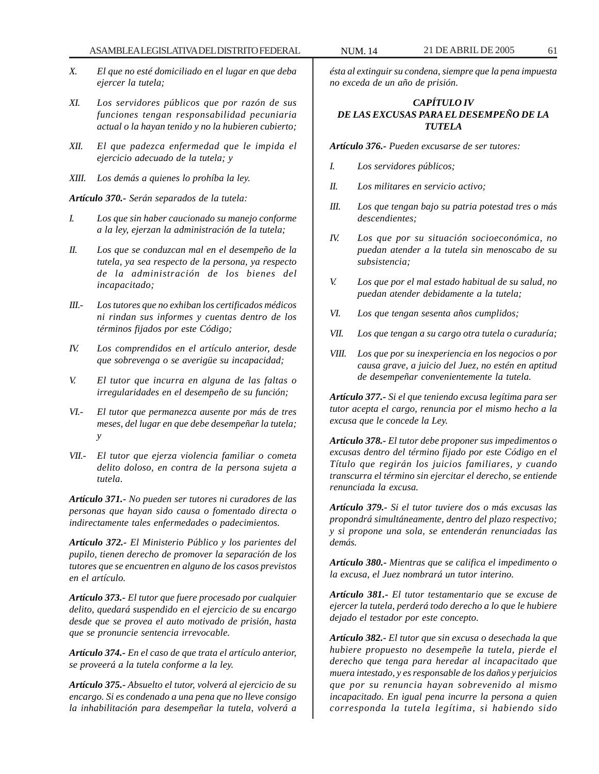- *X. El que no esté domiciliado en el lugar en que deba ejercer la tutela;*
- *XI. Los servidores públicos que por razón de sus funciones tengan responsabilidad pecuniaria actual o la hayan tenido y no la hubieren cubierto;*
- *XII. El que padezca enfermedad que le impida el ejercicio adecuado de la tutela; y*
- *XIII. Los demás a quienes lo prohíba la ley.*

*Artículo 370.- Serán separados de la tutela:*

- *I. Los que sin haber caucionado su manejo conforme a la ley, ejerzan la administración de la tutela;*
- *II. Los que se conduzcan mal en el desempeño de la tutela, ya sea respecto de la persona, ya respecto de la administración de los bienes del incapacitado;*
- *III.- Los tutores que no exhiban los certificados médicos ni rindan sus informes y cuentas dentro de los términos fijados por este Código;*
- *IV. Los comprendidos en el artículo anterior, desde que sobrevenga o se averigüe su incapacidad;*
- *V. El tutor que incurra en alguna de las faltas o irregularidades en el desempeño de su función;*
- *VI.- El tutor que permanezca ausente por más de tres meses, del lugar en que debe desempeñar la tutela; y*
- *VII.- El tutor que ejerza violencia familiar o cometa delito doloso, en contra de la persona sujeta a tutela.*

*Artículo 371.- No pueden ser tutores ni curadores de las personas que hayan sido causa o fomentado directa o indirectamente tales enfermedades o padecimientos.*

*Artículo 372.- El Ministerio Público y los parientes del pupilo, tienen derecho de promover la separación de los tutores que se encuentren en alguno de los casos previstos en el artículo.*

*Artículo 373.- El tutor que fuere procesado por cualquier delito, quedará suspendido en el ejercicio de su encargo desde que se provea el auto motivado de prisión, hasta que se pronuncie sentencia irrevocable.*

*Artículo 374.- En el caso de que trata el artículo anterior, se proveerá a la tutela conforme a la ley.*

*Artículo 375.- Absuelto el tutor, volverá al ejercicio de su encargo. Si es condenado a una pena que no lleve consigo la inhabilitación para desempeñar la tutela, volverá a*

*ésta al extinguir su condena, siempre que la pena impuesta no exceda de un año de prisión.*

# *CAPÍTULO IV DE LAS EXCUSAS PARA EL DESEMPEÑO DE LA TUTELA*

*Artículo 376.- Pueden excusarse de ser tutores:*

- *I. Los servidores públicos;*
- *II. Los militares en servicio activo;*
- *III. Los que tengan bajo su patria potestad tres o más descendientes;*
- *IV. Los que por su situación socioeconómica, no puedan atender a la tutela sin menoscabo de su subsistencia;*
- *V. Los que por el mal estado habitual de su salud, no puedan atender debidamente a la tutela;*
- *VI. Los que tengan sesenta años cumplidos;*
- *VII. Los que tengan a su cargo otra tutela o curaduría;*
- *VIII. Los que por su inexperiencia en los negocios o por causa grave, a juicio del Juez, no estén en aptitud de desempeñar convenientemente la tutela.*

*Artículo 377.- Si el que teniendo excusa legítima para ser tutor acepta el cargo, renuncia por el mismo hecho a la excusa que le concede la Ley.*

*Artículo 378.- El tutor debe proponer sus impedimentos o excusas dentro del término fijado por este Código en el Título que regirán los juicios familiares, y cuando transcurra el término sin ejercitar el derecho, se entiende renunciada la excusa.*

*Artículo 379.- Si el tutor tuviere dos o más excusas las propondrá simultáneamente, dentro del plazo respectivo; y si propone una sola, se entenderán renunciadas las demás.*

*Artículo 380.- Mientras que se califica el impedimento o la excusa, el Juez nombrará un tutor interino.*

*Artículo 381.- El tutor testamentario que se excuse de ejercer la tutela, perderá todo derecho a lo que le hubiere dejado el testador por este concepto.*

*Artículo 382.- El tutor que sin excusa o desechada la que hubiere propuesto no desempeñe la tutela, pierde el derecho que tenga para heredar al incapacitado que muera intestado, y es responsable de los daños y perjuicios que por su renuncia hayan sobrevenido al mismo incapacitado. En igual pena incurre la persona a quien corresponda la tutela legítima, si habiendo sido*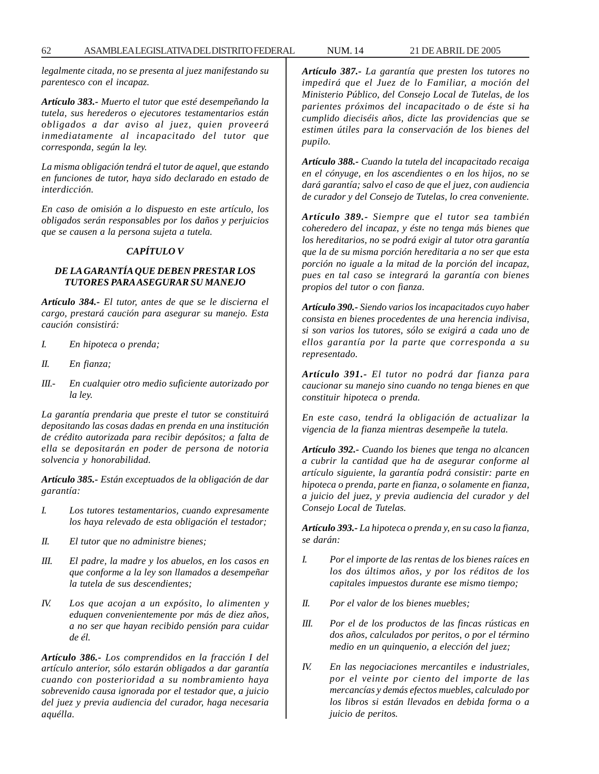*legalmente citada, no se presenta al juez manifestando su parentesco con el incapaz.*

*Artículo 383.- Muerto el tutor que esté desempeñando la tutela, sus herederos o ejecutores testamentarios están obligados a dar aviso al juez, quien proveerá inmediatamente al incapacitado del tutor que corresponda, según la ley.*

*La misma obligación tendrá el tutor de aquel, que estando en funciones de tutor, haya sido declarado en estado de interdicción.*

*En caso de omisión a lo dispuesto en este artículo, los obligados serán responsables por los daños y perjuicios que se causen a la persona sujeta a tutela.*

## *CAPÍTULO V*

# *DE LA GARANTÍA QUE DEBEN PRESTAR LOS TUTORES PARA ASEGURAR SU MANEJO*

*Artículo 384.- El tutor, antes de que se le discierna el cargo, prestará caución para asegurar su manejo. Esta caución consistirá:*

- *I. En hipoteca o prenda;*
- *II. En fianza;*
- *III.- En cualquier otro medio suficiente autorizado por la ley.*

*La garantía prendaria que preste el tutor se constituirá depositando las cosas dadas en prenda en una institución de crédito autorizada para recibir depósitos; a falta de ella se depositarán en poder de persona de notoria solvencia y honorabilidad.*

*Artículo 385.- Están exceptuados de la obligación de dar garantía:*

- *I. Los tutores testamentarios, cuando expresamente los haya relevado de esta obligación el testador;*
- *II. El tutor que no administre bienes;*
- *III. El padre, la madre y los abuelos, en los casos en que conforme a la ley son llamados a desempeñar la tutela de sus descendientes;*
- *IV. Los que acojan a un expósito, lo alimenten y eduquen convenientemente por más de diez años, a no ser que hayan recibido pensión para cuidar de él.*

*Artículo 386.- Los comprendidos en la fracción I del artículo anterior, sólo estarán obligados a dar garantía cuando con posterioridad a su nombramiento haya sobrevenido causa ignorada por el testador que, a juicio del juez y previa audiencia del curador, haga necesaria aquélla.*

*Artículo 387.- La garantía que presten los tutores no impedirá que el Juez de lo Familiar, a moción del Ministerio Público, del Consejo Local de Tutelas, de los parientes próximos del incapacitado o de éste si ha cumplido dieciséis años, dicte las providencias que se estimen útiles para la conservación de los bienes del pupilo.*

*Artículo 388.- Cuando la tutela del incapacitado recaiga en el cónyuge, en los ascendientes o en los hijos, no se dará garantía; salvo el caso de que el juez, con audiencia de curador y del Consejo de Tutelas, lo crea conveniente.*

*Artículo 389.- Siempre que el tutor sea también coheredero del incapaz, y éste no tenga más bienes que los hereditarios, no se podrá exigir al tutor otra garantía que la de su misma porción hereditaria a no ser que esta porción no iguale a la mitad de la porción del incapaz, pues en tal caso se integrará la garantía con bienes propios del tutor o con fianza.*

*Artículo 390.- Siendo varios los incapacitados cuyo haber consista en bienes procedentes de una herencia indivisa, si son varios los tutores, sólo se exigirá a cada uno de ellos garantía por la parte que corresponda a su representado.*

*Artículo 391.- El tutor no podrá dar fianza para caucionar su manejo sino cuando no tenga bienes en que constituir hipoteca o prenda.*

*En este caso, tendrá la obligación de actualizar la vigencia de la fianza mientras desempeñe la tutela.*

*Artículo 392.- Cuando los bienes que tenga no alcancen a cubrir la cantidad que ha de asegurar conforme al artículo siguiente, la garantía podrá consistir: parte en hipoteca o prenda, parte en fianza, o solamente en fianza, a juicio del juez, y previa audiencia del curador y del Consejo Local de Tutelas.*

*Artículo 393.- La hipoteca o prenda y, en su caso la fianza, se darán:*

- *I. Por el importe de las rentas de los bienes raíces en los dos últimos años, y por los réditos de los capitales impuestos durante ese mismo tiempo;*
- *II. Por el valor de los bienes muebles;*
- *III. Por el de los productos de las fincas rústicas en dos años, calculados por peritos, o por el término medio en un quinquenio, a elección del juez;*
- *IV. En las negociaciones mercantiles e industriales, por el veinte por ciento del importe de las mercancías y demás efectos muebles, calculado por los libros si están llevados en debida forma o a juicio de peritos.*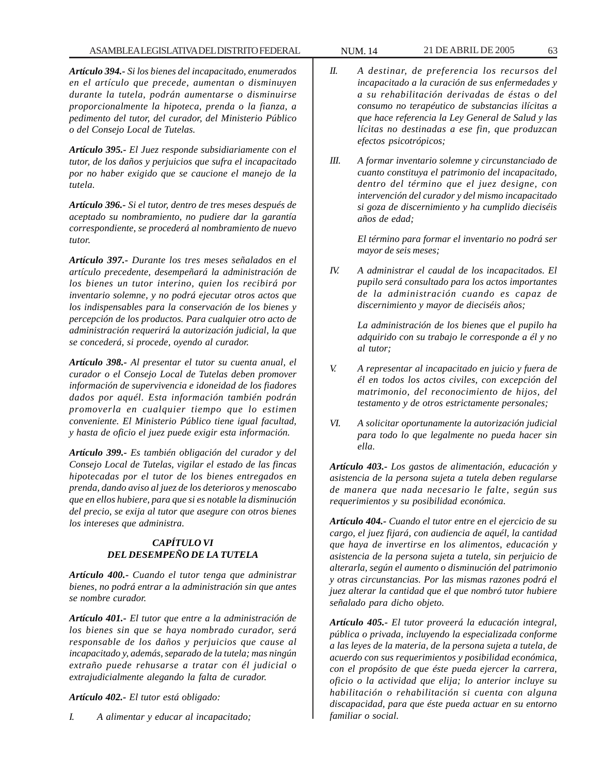*Artículo 394.- Si los bienes del incapacitado, enumerados en el artículo que precede, aumentan o disminuyen durante la tutela, podrán aumentarse o disminuirse proporcionalmente la hipoteca, prenda o la fianza, a pedimento del tutor, del curador, del Ministerio Público o del Consejo Local de Tutelas.*

*Artículo 395.- El Juez responde subsidiariamente con el tutor, de los daños y perjuicios que sufra el incapacitado por no haber exigido que se caucione el manejo de la tutela.*

*Artículo 396.- Si el tutor, dentro de tres meses después de aceptado su nombramiento, no pudiere dar la garantía correspondiente, se procederá al nombramiento de nuevo tutor.*

*Artículo 397.- Durante los tres meses señalados en el artículo precedente, desempeñará la administración de los bienes un tutor interino, quien los recibirá por inventario solemne, y no podrá ejecutar otros actos que los indispensables para la conservación de los bienes y percepción de los productos. Para cualquier otro acto de administración requerirá la autorización judicial, la que se concederá, si procede, oyendo al curador.*

*Artículo 398.- Al presentar el tutor su cuenta anual, el curador o el Consejo Local de Tutelas deben promover información de supervivencia e idoneidad de los fiadores dados por aquél. Esta información también podrán promoverla en cualquier tiempo que lo estimen conveniente. El Ministerio Público tiene igual facultad, y hasta de oficio el juez puede exigir esta información.*

*Artículo 399.- Es también obligación del curador y del Consejo Local de Tutelas, vigilar el estado de las fincas hipotecadas por el tutor de los bienes entregados en prenda, dando aviso al juez de los deterioros y menoscabo que en ellos hubiere, para que si es notable la disminución del precio, se exija al tutor que asegure con otros bienes los intereses que administra.*

# *CAPÍTULO VI DEL DESEMPEÑO DE LA TUTELA*

*Artículo 400.- Cuando el tutor tenga que administrar bienes, no podrá entrar a la administración sin que antes se nombre curador.*

*Artículo 401.- El tutor que entre a la administración de los bienes sin que se haya nombrado curador, será responsable de los daños y perjuicios que cause al incapacitado y, además, separado de la tutela; mas ningún extraño puede rehusarse a tratar con él judicial o extrajudicialmente alegando la falta de curador.*

*Artículo 402.- El tutor está obligado:*

*I. A alimentar y educar al incapacitado;*

- 
- *II. A destinar, de preferencia los recursos del incapacitado a la curación de sus enfermedades y a su rehabilitación derivadas de éstas o del consumo no terapéutico de substancias ilícitas a que hace referencia la Ley General de Salud y las lícitas no destinadas a ese fin, que produzcan efectos psicotrópicos;*
- *III. A formar inventario solemne y circunstanciado de cuanto constituya el patrimonio del incapacitado, dentro del término que el juez designe, con intervención del curador y del mismo incapacitado si goza de discernimiento y ha cumplido dieciséis años de edad;*

*El término para formar el inventario no podrá ser mayor de seis meses;*

*IV. A administrar el caudal de los incapacitados. El pupilo será consultado para los actos importantes de la administración cuando es capaz de discernimiento y mayor de dieciséis años;*

> *La administración de los bienes que el pupilo ha adquirido con su trabajo le corresponde a él y no al tutor;*

- *V. A representar al incapacitado en juicio y fuera de él en todos los actos civiles, con excepción del matrimonio, del reconocimiento de hijos, del testamento y de otros estrictamente personales;*
- *VI. A solicitar oportunamente la autorización judicial para todo lo que legalmente no pueda hacer sin ella.*

*Artículo 403.- Los gastos de alimentación, educación y asistencia de la persona sujeta a tutela deben regularse de manera que nada necesario le falte, según sus requerimientos y su posibilidad económica.*

*Artículo 404.- Cuando el tutor entre en el ejercicio de su cargo, el juez fijará, con audiencia de aquél, la cantidad que haya de invertirse en los alimentos, educación y asistencia de la persona sujeta a tutela, sin perjuicio de alterarla, según el aumento o disminución del patrimonio y otras circunstancias. Por las mismas razones podrá el juez alterar la cantidad que el que nombró tutor hubiere señalado para dicho objeto.*

*Artículo 405.- El tutor proveerá la educación integral, pública o privada, incluyendo la especializada conforme a las leyes de la materia, de la persona sujeta a tutela, de acuerdo con sus requerimientos y posibilidad económica, con el propósito de que éste pueda ejercer la carrera, oficio o la actividad que elija; lo anterior incluye su habilitación o rehabilitación si cuenta con alguna discapacidad, para que éste pueda actuar en su entorno familiar o social.*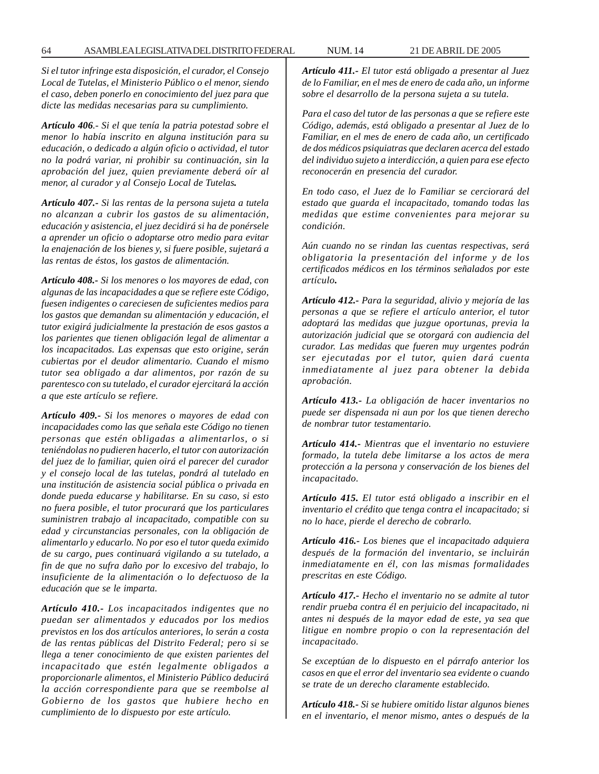*Si el tutor infringe esta disposición, el curador, el Consejo Local de Tutelas, el Ministerio Público o el menor, siendo el caso, deben ponerlo en conocimiento del juez para que dicte las medidas necesarias para su cumplimiento.*

*Artículo 406.- Si el que tenía la patria potestad sobre el menor lo había inscrito en alguna institución para su educación, o dedicado a algún oficio o actividad, el tutor no la podrá variar, ni prohibir su continuación, sin la aprobación del juez, quien previamente deberá oír al menor, al curador y al Consejo Local de Tutelas.*

*Artículo 407.- Si las rentas de la persona sujeta a tutela no alcanzan a cubrir los gastos de su alimentación, educación y asistencia, el juez decidirá si ha de ponérsele a aprender un oficio o adoptarse otro medio para evitar la enajenación de los bienes y, si fuere posible, sujetará a las rentas de éstos, los gastos de alimentación.*

*Artículo 408.- Si los menores o los mayores de edad, con algunas de las incapacidades a que se refiere este Código, fuesen indigentes o careciesen de suficientes medios para los gastos que demandan su alimentación y educación, el tutor exigirá judicialmente la prestación de esos gastos a los parientes que tienen obligación legal de alimentar a los incapacitados. Las expensas que esto origine, serán cubiertas por el deudor alimentario. Cuando el mismo tutor sea obligado a dar alimentos, por razón de su parentesco con su tutelado, el curador ejercitará la acción a que este artículo se refiere.*

*Artículo 409.- Si los menores o mayores de edad con incapacidades como las que señala este Código no tienen personas que estén obligadas a alimentarlos, o si teniéndolas no pudieren hacerlo, el tutor con autorización del juez de lo familiar, quien oirá el parecer del curador y el consejo local de las tutelas, pondrá al tutelado en una institución de asistencia social pública o privada en donde pueda educarse y habilitarse. En su caso, si esto no fuera posible, el tutor procurará que los particulares suministren trabajo al incapacitado, compatible con su edad y circunstancias personales, con la obligación de alimentarlo y educarlo. No por eso el tutor queda eximido de su cargo, pues continuará vigilando a su tutelado, a fin de que no sufra daño por lo excesivo del trabajo, lo insuficiente de la alimentación o lo defectuoso de la educación que se le imparta.*

*Artículo 410.- Los incapacitados indigentes que no puedan ser alimentados y educados por los medios previstos en los dos artículos anteriores, lo serán a costa de las rentas públicas del Distrito Federal; pero si se llega a tener conocimiento de que existen parientes del incapacitado que estén legalmente obligados a proporcionarle alimentos, el Ministerio Público deducirá la acción correspondiente para que se reembolse al Gobierno de los gastos que hubiere hecho en cumplimiento de lo dispuesto por este artículo.*

*Artículo 411.- El tutor está obligado a presentar al Juez de lo Familiar, en el mes de enero de cada año, un informe sobre el desarrollo de la persona sujeta a su tutela.*

*Para el caso del tutor de las personas a que se refiere este Código, además, está obligado a presentar al Juez de lo Familiar, en el mes de enero de cada año, un certificado de dos médicos psiquiatras que declaren acerca del estado del individuo sujeto a interdicción, a quien para ese efecto reconocerán en presencia del curador.*

*En todo caso, el Juez de lo Familiar se cerciorará del estado que guarda el incapacitado, tomando todas las medidas que estime convenientes para mejorar su condición.*

*Aún cuando no se rindan las cuentas respectivas, será obligatoria la presentación del informe y de los certificados médicos en los términos señalados por este artículo.*

*Artículo 412.- Para la seguridad, alivio y mejoría de las personas a que se refiere el artículo anterior, el tutor adoptará las medidas que juzgue oportunas, previa la autorización judicial que se otorgará con audiencia del curador. Las medidas que fueren muy urgentes podrán ser ejecutadas por el tutor, quien dará cuenta inmediatamente al juez para obtener la debida aprobación.*

*Artículo 413.- La obligación de hacer inventarios no puede ser dispensada ni aun por los que tienen derecho de nombrar tutor testamentario.*

*Artículo 414.- Mientras que el inventario no estuviere formado, la tutela debe limitarse a los actos de mera protección a la persona y conservación de los bienes del incapacitado.*

*Artículo 415. El tutor está obligado a inscribir en el inventario el crédito que tenga contra el incapacitado; si no lo hace, pierde el derecho de cobrarlo.*

*Artículo 416.- Los bienes que el incapacitado adquiera después de la formación del inventario, se incluirán inmediatamente en él, con las mismas formalidades prescritas en este Código.*

*Artículo 417.- Hecho el inventario no se admite al tutor rendir prueba contra él en perjuicio del incapacitado, ni antes ni después de la mayor edad de este, ya sea que litigue en nombre propio o con la representación del incapacitado.*

*Se exceptúan de lo dispuesto en el párrafo anterior los casos en que el error del inventario sea evidente o cuando se trate de un derecho claramente establecido.*

*Artículo 418.- Si se hubiere omitido listar algunos bienes en el inventario, el menor mismo, antes o después de la*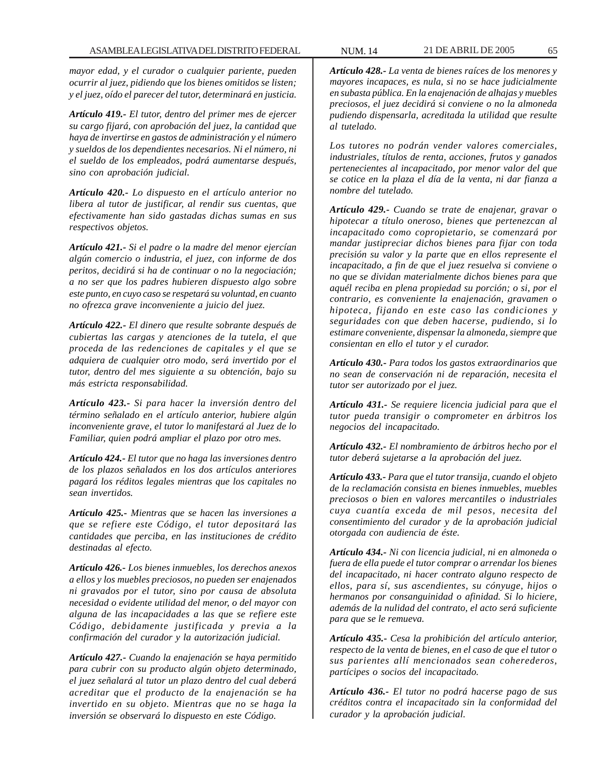*mayor edad, y el curador o cualquier pariente, pueden ocurrir al juez, pidiendo que los bienes omitidos se listen; y el juez, oído el parecer del tutor, determinará en justicia.*

*Artículo 419.- El tutor, dentro del primer mes de ejercer su cargo fijará, con aprobación del juez, la cantidad que haya de invertirse en gastos de administración y el número y sueldos de los dependientes necesarios. Ni el número, ni el sueldo de los empleados, podrá aumentarse después, sino con aprobación judicial.*

*Artículo 420.- Lo dispuesto en el artículo anterior no libera al tutor de justificar, al rendir sus cuentas, que efectivamente han sido gastadas dichas sumas en sus respectivos objetos.*

*Artículo 421.- Si el padre o la madre del menor ejercían algún comercio o industria, el juez, con informe de dos peritos, decidirá si ha de continuar o no la negociación; a no ser que los padres hubieren dispuesto algo sobre este punto, en cuyo caso se respetará su voluntad, en cuanto no ofrezca grave inconveniente a juicio del juez.*

*Artículo 422.- El dinero que resulte sobrante después de cubiertas las cargas y atenciones de la tutela, el que proceda de las redenciones de capitales y el que se adquiera de cualquier otro modo, será invertido por el tutor, dentro del mes siguiente a su obtención, bajo su más estricta responsabilidad.*

*Artículo 423.- Si para hacer la inversión dentro del término señalado en el artículo anterior, hubiere algún inconveniente grave, el tutor lo manifestará al Juez de lo Familiar, quien podrá ampliar el plazo por otro mes.*

*Artículo 424.- El tutor que no haga las inversiones dentro de los plazos señalados en los dos artículos anteriores pagará los réditos legales mientras que los capitales no sean invertidos.*

*Artículo 425.- Mientras que se hacen las inversiones a que se refiere este Código, el tutor depositará las cantidades que perciba, en las instituciones de crédito destinadas al efecto.*

*Artículo 426.- Los bienes inmuebles, los derechos anexos a ellos y los muebles preciosos, no pueden ser enajenados ni gravados por el tutor, sino por causa de absoluta necesidad o evidente utilidad del menor, o del mayor con alguna de las incapacidades a las que se refiere este Código, debidamente justificada y previa a la confirmación del curador y la autorización judicial.*

*Artículo 427.- Cuando la enajenación se haya permitido para cubrir con su producto algún objeto determinado, el juez señalará al tutor un plazo dentro del cual deberá acreditar que el producto de la enajenación se ha invertido en su objeto. Mientras que no se haga la inversión se observará lo dispuesto en este Código.*

*Artículo 428.- La venta de bienes raíces de los menores y mayores incapaces, es nula, si no se hace judicialmente en subasta pública. En la enajenación de alhajas y muebles preciosos, el juez decidirá si conviene o no la almoneda pudiendo dispensarla, acreditada la utilidad que resulte al tutelado.*

*Los tutores no podrán vender valores comerciales, industriales, títulos de renta, acciones, frutos y ganados pertenecientes al incapacitado, por menor valor del que se cotice en la plaza el día de la venta, ni dar fianza a nombre del tutelado.*

*Artículo 429.- Cuando se trate de enajenar, gravar o hipotecar a título oneroso, bienes que pertenezcan al incapacitado como copropietario, se comenzará por mandar justipreciar dichos bienes para fijar con toda precisión su valor y la parte que en ellos represente el incapacitado, a fin de que el juez resuelva si conviene o no que se dividan materialmente dichos bienes para que aquél reciba en plena propiedad su porción; o si, por el contrario, es conveniente la enajenación, gravamen o hipoteca, fijando en este caso las condiciones y seguridades con que deben hacerse, pudiendo, si lo estimare conveniente, dispensar la almoneda, siempre que consientan en ello el tutor y el curador.*

*Artículo 430.- Para todos los gastos extraordinarios que no sean de conservación ni de reparación, necesita el tutor ser autorizado por el juez.*

*Artículo 431.- Se requiere licencia judicial para que el tutor pueda transigir o comprometer en árbitros los negocios del incapacitado.*

*Artículo 432.- El nombramiento de árbitros hecho por el tutor deberá sujetarse a la aprobación del juez.*

*Artículo 433.- Para que el tutor transija, cuando el objeto de la reclamación consista en bienes inmuebles, muebles preciosos o bien en valores mercantiles o industriales cuya cuantía exceda de mil pesos, necesita del consentimiento del curador y de la aprobación judicial otorgada con audiencia de éste.*

*Artículo 434.- Ni con licencia judicial, ni en almoneda o fuera de ella puede el tutor comprar o arrendar los bienes del incapacitado, ni hacer contrato alguno respecto de ellos, para sí, sus ascendientes, su cónyuge, hijos o hermanos por consanguinidad o afinidad. Si lo hiciere, además de la nulidad del contrato, el acto será suficiente para que se le remueva.*

*Artículo 435.- Cesa la prohibición del artículo anterior, respecto de la venta de bienes, en el caso de que el tutor o sus parientes allí mencionados sean coherederos, partícipes o socios del incapacitado.*

*Artículo 436.- El tutor no podrá hacerse pago de sus créditos contra el incapacitado sin la conformidad del curador y la aprobación judicial.*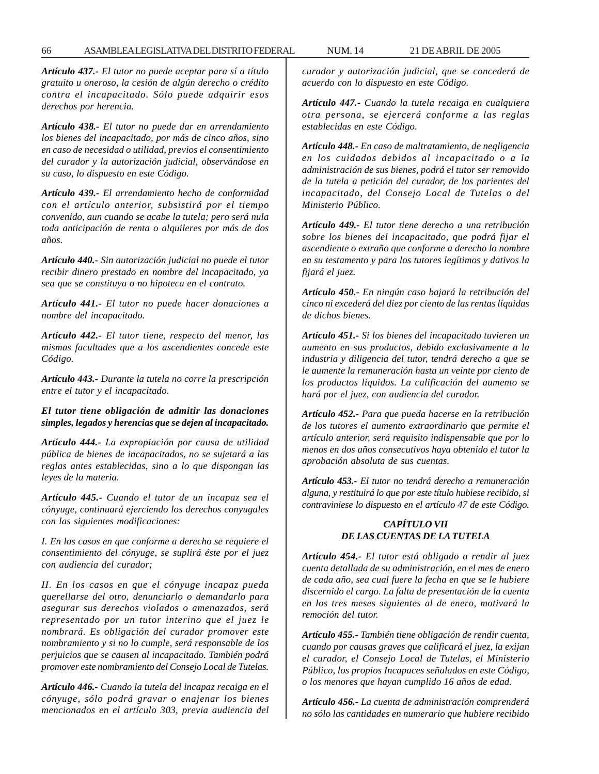*Artículo 437.- El tutor no puede aceptar para sí a título gratuito u oneroso, la cesión de algún derecho o crédito contra el incapacitado. Sólo puede adquirir esos derechos por herencia.*

*Artículo 438.- El tutor no puede dar en arrendamiento los bienes del incapacitado, por más de cinco años, sino en caso de necesidad o utilidad, previos el consentimiento del curador y la autorización judicial, observándose en su caso, lo dispuesto en este Código.*

*Artículo 439.- El arrendamiento hecho de conformidad con el artículo anterior, subsistirá por el tiempo convenido, aun cuando se acabe la tutela; pero será nula toda anticipación de renta o alquileres por más de dos años.*

*Artículo 440.- Sin autorización judicial no puede el tutor recibir dinero prestado en nombre del incapacitado, ya sea que se constituya o no hipoteca en el contrato.*

*Artículo 441.- El tutor no puede hacer donaciones a nombre del incapacitado.*

*Artículo 442.- El tutor tiene, respecto del menor, las mismas facultades que a los ascendientes concede este Código.*

*Artículo 443.- Durante la tutela no corre la prescripción entre el tutor y el incapacitado.*

#### *El tutor tiene obligación de admitir las donaciones simples, legados y herencias que se dejen al incapacitado.*

*Artículo 444.- La expropiación por causa de utilidad pública de bienes de incapacitados, no se sujetará a las reglas antes establecidas, sino a lo que dispongan las leyes de la materia.*

*Artículo 445.- Cuando el tutor de un incapaz sea el cónyuge, continuará ejerciendo los derechos conyugales con las siguientes modificaciones:*

*I. En los casos en que conforme a derecho se requiere el consentimiento del cónyuge, se suplirá éste por el juez con audiencia del curador;*

*II. En los casos en que el cónyuge incapaz pueda querellarse del otro, denunciarlo o demandarlo para asegurar sus derechos violados o amenazados, será representado por un tutor interino que el juez le nombrará. Es obligación del curador promover este nombramiento y si no lo cumple, será responsable de los perjuicios que se causen al incapacitado. También podrá promover este nombramiento del Consejo Local de Tutelas.*

*Artículo 446.- Cuando la tutela del incapaz recaiga en el cónyuge, sólo podrá gravar o enajenar los bienes mencionados en el artículo 303, previa audiencia del* *curador y autorización judicial, que se concederá de acuerdo con lo dispuesto en este Código.*

*Artículo 447.- Cuando la tutela recaiga en cualquiera otra persona, se ejercerá conforme a las reglas establecidas en este Código.*

*Artículo 448.- En caso de maltratamiento, de negligencia en los cuidados debidos al incapacitado o a la administración de sus bienes, podrá el tutor ser removido de la tutela a petición del curador, de los parientes del incapacitado, del Consejo Local de Tutelas o del Ministerio Público.*

*Artículo 449.- El tutor tiene derecho a una retribución sobre los bienes del incapacitado, que podrá fijar el ascendiente o extraño que conforme a derecho lo nombre en su testamento y para los tutores legítimos y dativos la fijará el juez.*

*Artículo 450.- En ningún caso bajará la retribución del cinco ni excederá del diez por ciento de las rentas líquidas de dichos bienes.*

*Artículo 451.- Si los bienes del incapacitado tuvieren un aumento en sus productos, debido exclusivamente a la industria y diligencia del tutor, tendrá derecho a que se le aumente la remuneración hasta un veinte por ciento de los productos líquidos. La calificación del aumento se hará por el juez, con audiencia del curador.*

*Artículo 452.- Para que pueda hacerse en la retribución de los tutores el aumento extraordinario que permite el artículo anterior, será requisito indispensable que por lo menos en dos años consecutivos haya obtenido el tutor la aprobación absoluta de sus cuentas.*

*Artículo 453.- El tutor no tendrá derecho a remuneración alguna, y restituirá lo que por este título hubiese recibido, si contraviniese lo dispuesto en el artículo 47 de este Código.*

# *CAPÍTULO VII DE LAS CUENTAS DE LA TUTELA*

*Artículo 454.- El tutor está obligado a rendir al juez cuenta detallada de su administración, en el mes de enero de cada año, sea cual fuere la fecha en que se le hubiere discernido el cargo. La falta de presentación de la cuenta en los tres meses siguientes al de enero, motivará la remoción del tutor.*

*Artículo 455.- También tiene obligación de rendir cuenta, cuando por causas graves que calificará el juez, la exijan el curador, el Consejo Local de Tutelas, el Ministerio Público, los propios Incapaces señalados en este Código, o los menores que hayan cumplido 16 años de edad.*

*Artículo 456.- La cuenta de administración comprenderá no sólo las cantidades en numerario que hubiere recibido*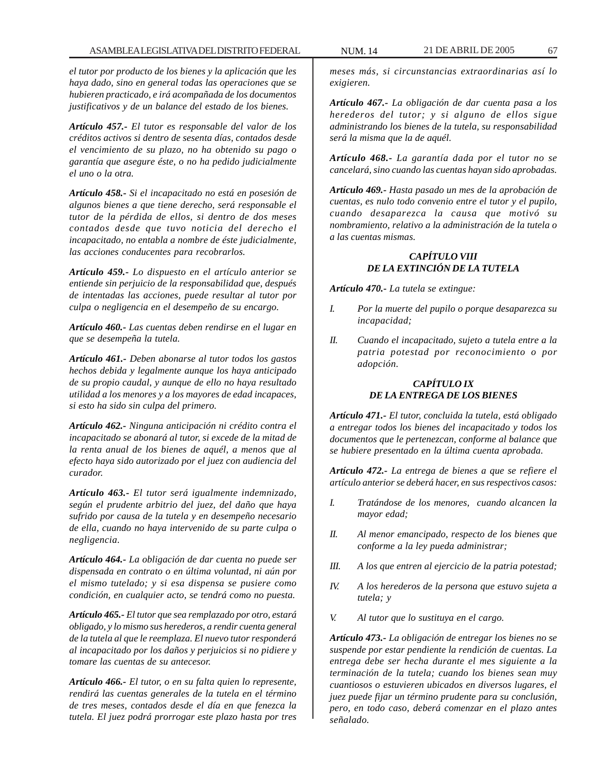*el tutor por producto de los bienes y la aplicación que les haya dado, sino en general todas las operaciones que se hubieren practicado, e irá acompañada de los documentos justificativos y de un balance del estado de los bienes.*

*Artículo 457.- El tutor es responsable del valor de los créditos activos si dentro de sesenta días, contados desde el vencimiento de su plazo, no ha obtenido su pago o garantía que asegure éste, o no ha pedido judicialmente el uno o la otra.*

*Artículo 458.- Si el incapacitado no está en posesión de algunos bienes a que tiene derecho, será responsable el tutor de la pérdida de ellos, si dentro de dos meses contados desde que tuvo noticia del derecho el incapacitado, no entabla a nombre de éste judicialmente, las acciones conducentes para recobrarlos.*

*Artículo 459.- Lo dispuesto en el artículo anterior se entiende sin perjuicio de la responsabilidad que, después de intentadas las acciones, puede resultar al tutor por culpa o negligencia en el desempeño de su encargo.*

*Artículo 460.- Las cuentas deben rendirse en el lugar en que se desempeña la tutela.*

*Artículo 461.- Deben abonarse al tutor todos los gastos hechos debida y legalmente aunque los haya anticipado de su propio caudal, y aunque de ello no haya resultado utilidad a los menores y a los mayores de edad incapaces, si esto ha sido sin culpa del primero.*

*Artículo 462.- Ninguna anticipación ni crédito contra el incapacitado se abonará al tutor, si excede de la mitad de la renta anual de los bienes de aquél, a menos que al efecto haya sido autorizado por el juez con audiencia del curador.*

*Artículo 463.- El tutor será igualmente indemnizado, según el prudente arbitrio del juez, del daño que haya sufrido por causa de la tutela y en desempeño necesario de ella, cuando no haya intervenido de su parte culpa o negligencia.*

*Artículo 464.- La obligación de dar cuenta no puede ser dispensada en contrato o en última voluntad, ni aún por el mismo tutelado; y si esa dispensa se pusiere como condición, en cualquier acto, se tendrá como no puesta.*

*Artículo 465.- El tutor que sea remplazado por otro, estará obligado, y lo mismo sus herederos, a rendir cuenta general de la tutela al que le reemplaza. El nuevo tutor responderá al incapacitado por los daños y perjuicios si no pidiere y tomare las cuentas de su antecesor.*

*Artículo 466.- El tutor, o en su falta quien lo represente, rendirá las cuentas generales de la tutela en el término de tres meses, contados desde el día en que fenezca la tutela. El juez podrá prorrogar este plazo hasta por tres*

*meses más, si circunstancias extraordinarias así lo exigieren.*

*Artículo 467.- La obligación de dar cuenta pasa a los herederos del tutor; y si alguno de ellos sigue administrando los bienes de la tutela, su responsabilidad será la misma que la de aquél.*

*Artículo 468.- La garantía dada por el tutor no se cancelará, sino cuando las cuentas hayan sido aprobadas.*

*Artículo 469.- Hasta pasado un mes de la aprobación de cuentas, es nulo todo convenio entre el tutor y el pupilo, cuando desaparezca la causa que motivó su nombramiento, relativo a la administración de la tutela o a las cuentas mismas.*

# *CAPÍTULO VIII DE LA EXTINCIÓN DE LA TUTELA*

*Artículo 470.- La tutela se extingue:*

- *I. Por la muerte del pupilo o porque desaparezca su incapacidad;*
- *II. Cuando el incapacitado, sujeto a tutela entre a la patria potestad por reconocimiento o por adopción.*

# *CAPÍTULO IX DE LA ENTREGA DE LOS BIENES*

*Artículo 471.- El tutor, concluida la tutela, está obligado a entregar todos los bienes del incapacitado y todos los documentos que le pertenezcan, conforme al balance que se hubiere presentado en la última cuenta aprobada.*

*Artículo 472.- La entrega de bienes a que se refiere el artículo anterior se deberá hacer, en sus respectivos casos:*

- *I. Tratándose de los menores, cuando alcancen la mayor edad;*
- *II. Al menor emancipado, respecto de los bienes que conforme a la ley pueda administrar;*
- *III. A los que entren al ejercicio de la patria potestad;*
- *IV. A los herederos de la persona que estuvo sujeta a tutela; y*
- *V. Al tutor que lo sustituya en el cargo.*

*Artículo 473.- La obligación de entregar los bienes no se suspende por estar pendiente la rendición de cuentas. La entrega debe ser hecha durante el mes siguiente a la terminación de la tutela; cuando los bienes sean muy cuantiosos o estuvieren ubicados en diversos lugares, el juez puede fijar un término prudente para su conclusión, pero, en todo caso, deberá comenzar en el plazo antes señalado.*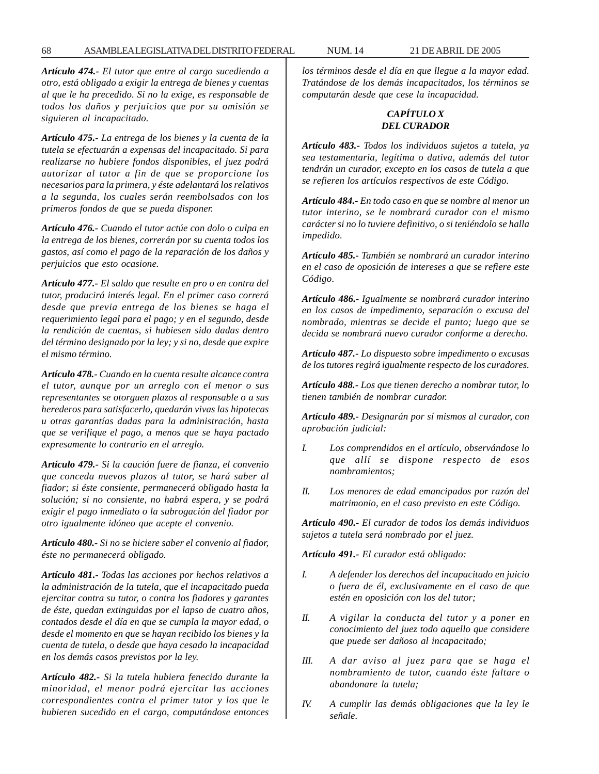*Artículo 474.- El tutor que entre al cargo sucediendo a otro, está obligado a exigir la entrega de bienes y cuentas al que le ha precedido. Si no la exige, es responsable de todos los daños y perjuicios que por su omisión se siguieren al incapacitado.*

*Artículo 475.- La entrega de los bienes y la cuenta de la tutela se efectuarán a expensas del incapacitado. Si para realizarse no hubiere fondos disponibles, el juez podrá autorizar al tutor a fin de que se proporcione los necesarios para la primera, y éste adelantará los relativos a la segunda, los cuales serán reembolsados con los primeros fondos de que se pueda disponer.*

*Artículo 476.- Cuando el tutor actúe con dolo o culpa en la entrega de los bienes, correrán por su cuenta todos los gastos, así como el pago de la reparación de los daños y perjuicios que esto ocasione.*

*Artículo 477.- El saldo que resulte en pro o en contra del tutor, producirá interés legal. En el primer caso correrá desde que previa entrega de los bienes se haga el requerimiento legal para el pago; y en el segundo, desde la rendición de cuentas, si hubiesen sido dadas dentro del término designado por la ley; y si no, desde que expire el mismo término.*

*Artículo 478.- Cuando en la cuenta resulte alcance contra el tutor, aunque por un arreglo con el menor o sus representantes se otorguen plazos al responsable o a sus herederos para satisfacerlo, quedarán vivas las hipotecas u otras garantías dadas para la administración, hasta que se verifique el pago, a menos que se haya pactado expresamente lo contrario en el arreglo.*

*Artículo 479.- Si la caución fuere de fianza, el convenio que conceda nuevos plazos al tutor, se hará saber al fiador; si éste consiente, permanecerá obligado hasta la solución; si no consiente, no habrá espera, y se podrá exigir el pago inmediato o la subrogación del fiador por otro igualmente idóneo que acepte el convenio.*

*Artículo 480.- Si no se hiciere saber el convenio al fiador, éste no permanecerá obligado.*

*Artículo 481.- Todas las acciones por hechos relativos a la administración de la tutela, que el incapacitado pueda ejercitar contra su tutor, o contra los fiadores y garantes de éste, quedan extinguidas por el lapso de cuatro años, contados desde el día en que se cumpla la mayor edad, o desde el momento en que se hayan recibido los bienes y la cuenta de tutela, o desde que haya cesado la incapacidad en los demás casos previstos por la ley.*

*Artículo 482.- Si la tutela hubiera fenecido durante la minoridad, el menor podrá ejercitar las acciones correspondientes contra el primer tutor y los que le hubieren sucedido en el cargo, computándose entonces* *los términos desde el día en que llegue a la mayor edad. Tratándose de los demás incapacitados, los términos se computarán desde que cese la incapacidad.*

#### *CAPÍTULO X DEL CURADOR*

*Artículo 483.- Todos los individuos sujetos a tutela, ya sea testamentaria, legítima o dativa, además del tutor tendrán un curador, excepto en los casos de tutela a que se refieren los artículos respectivos de este Código.*

*Artículo 484.- En todo caso en que se nombre al menor un tutor interino, se le nombrará curador con el mismo carácter si no lo tuviere definitivo, o si teniéndolo se halla impedido.*

*Artículo 485.- También se nombrará un curador interino en el caso de oposición de intereses a que se refiere este Código.*

*Artículo 486.- Igualmente se nombrará curador interino en los casos de impedimento, separación o excusa del nombrado, mientras se decide el punto; luego que se decida se nombrará nuevo curador conforme a derecho.*

*Artículo 487.- Lo dispuesto sobre impedimento o excusas de los tutores regirá igualmente respecto de los curadores.*

*Artículo 488.- Los que tienen derecho a nombrar tutor, lo tienen también de nombrar curador.*

*Artículo 489.- Designarán por sí mismos al curador, con aprobación judicial:*

- *I. Los comprendidos en el artículo, observándose lo que allí se dispone respecto de esos nombramientos;*
- *II. Los menores de edad emancipados por razón del matrimonio, en el caso previsto en este Código.*

*Artículo 490.- El curador de todos los demás individuos sujetos a tutela será nombrado por el juez.*

*Artículo 491.- El curador está obligado:*

- *I. A defender los derechos del incapacitado en juicio o fuera de él, exclusivamente en el caso de que estén en oposición con los del tutor;*
- *II. A vigilar la conducta del tutor y a poner en conocimiento del juez todo aquello que considere que puede ser dañoso al incapacitado;*
- *III. A dar aviso al juez para que se haga el nombramiento de tutor, cuando éste faltare o abandonare la tutela;*
- *IV. A cumplir las demás obligaciones que la ley le señale.*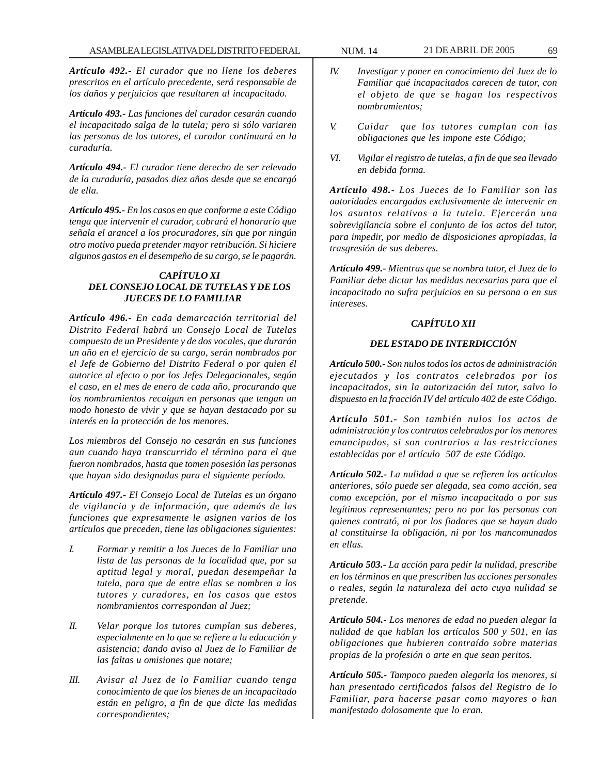*Artículo 492.- El curador que no llene los deberes prescritos en el artículo precedente, será responsable de los daños y perjuicios que resultaren al incapacitado.*

*Artículo 493.- Las funciones del curador cesarán cuando el incapacitado salga de la tutela; pero si sólo variaren las personas de los tutores, el curador continuará en la curaduría.*

*Artículo 494.- El curador tiene derecho de ser relevado de la curaduría, pasados diez años desde que se encargó de ella.*

*Artículo 495.- En los casos en que conforme a este Código tenga que intervenir el curador, cobrará el honorario que señala el arancel a los procuradores, sin que por ningún otro motivo pueda pretender mayor retribución. Si hiciere algunos gastos en el desempeño de su cargo, se le pagarán.*

# *CAPÍTULO XI DEL CONSEJO LOCAL DE TUTELAS Y DE LOS JUECES DE LO FAMILIAR*

*Artículo 496.- En cada demarcación territorial del Distrito Federal habrá un Consejo Local de Tutelas compuesto de un Presidente y de dos vocales, que durarán un año en el ejercicio de su cargo, serán nombrados por el Jefe de Gobierno del Distrito Federal o por quien él autorice al efecto o por los Jefes Delegacionales, según el caso, en el mes de enero de cada año, procurando que los nombramientos recaigan en personas que tengan un modo honesto de vivir y que se hayan destacado por su interés en la protección de los menores.*

*Los miembros del Consejo no cesarán en sus funciones aun cuando haya transcurrido el término para el que fueron nombrados, hasta que tomen posesión las personas que hayan sido designadas para el siguiente período.*

*Artículo 497.- El Consejo Local de Tutelas es un órgano de vigilancia y de información, que además de las funciones que expresamente le asignen varios de los artículos que preceden, tiene las obligaciones siguientes:*

- *I. Formar y remitir a los Jueces de lo Familiar una lista de las personas de la localidad que, por su aptitud legal y moral, puedan desempeñar la tutela, para que de entre ellas se nombren a los tutores y curadores, en los casos que estos nombramientos correspondan al Juez;*
- *II. Velar porque los tutores cumplan sus deberes, especialmente en lo que se refiere a la educación y asistencia; dando aviso al Juez de lo Familiar de las faltas u omisiones que notare;*
- *III. Avisar al Juez de lo Familiar cuando tenga conocimiento de que los bienes de un incapacitado están en peligro, a fin de que dicte las medidas correspondientes;*
- *IV. Investigar y poner en conocimiento del Juez de lo Familiar qué incapacitados carecen de tutor, con el objeto de que se hagan los respectivos nombramientos;*
- *V. Cuidar que los tutores cumplan con las obligaciones que les impone este Código;*
- *VI. Vigilar el registro de tutelas, a fin de que sea llevado en debida forma.*

*Artículo 498.- Los Jueces de lo Familiar son las autoridades encargadas exclusivamente de intervenir en los asuntos relativos a la tutela. Ejercerán una sobrevigilancia sobre el conjunto de los actos del tutor, para impedir, por medio de disposiciones apropiadas, la trasgresión de sus deberes.*

*Artículo 499.- Mientras que se nombra tutor, el Juez de lo Familiar debe dictar las medidas necesarias para que el incapacitado no sufra perjuicios en su persona o en sus intereses.*

# *CAPÍTULO XII*

## *DEL ESTADO DE INTERDICCIÓN*

*Artículo 500.- Son nulos todos los actos de administración ejecutados y los contratos celebrados por los incapacitados, sin la autorización del tutor, salvo lo dispuesto en la fracción IV del artículo 402 de este Código.*

*Artículo 501.- Son también nulos los actos de administración y los contratos celebrados por los menores emancipados, si son contrarios a las restricciones establecidas por el artículo 507 de este Código.*

*Artículo 502.- La nulidad a que se refieren los artículos anteriores, sólo puede ser alegada, sea como acción, sea como excepción, por el mismo incapacitado o por sus legítimos representantes; pero no por las personas con quienes contrató, ni por los fiadores que se hayan dado al constituirse la obligación, ni por los mancomunados en ellas.*

*Artículo 503.- La acción para pedir la nulidad, prescribe en los términos en que prescriben las acciones personales o reales, según la naturaleza del acto cuya nulidad se pretende.*

*Artículo 504.- Los menores de edad no pueden alegar la nulidad de que hablan los artículos 500 y 501, en las obligaciones que hubieren contraído sobre materias propias de la profesión o arte en que sean peritos.*

*Artículo 505.- Tampoco pueden alegarla los menores, si han presentado certificados falsos del Registro de lo Familiar, para hacerse pasar como mayores o han manifestado dolosamente que lo eran.*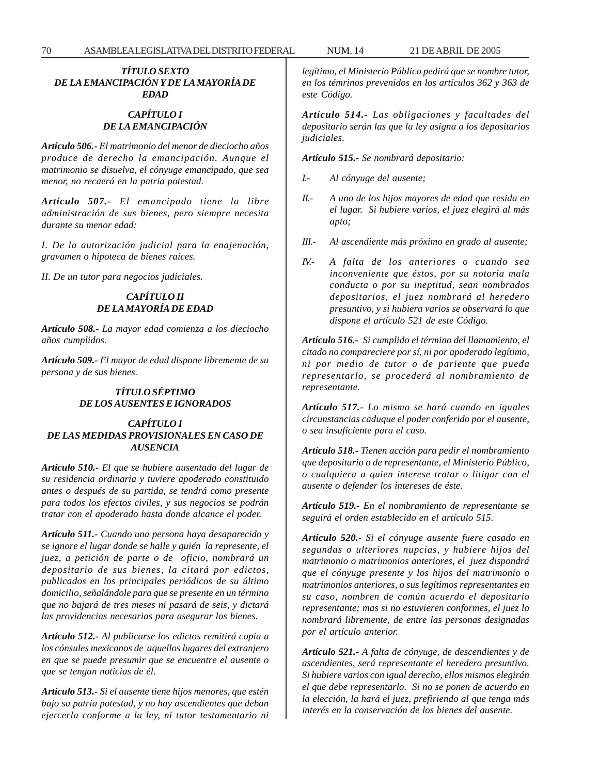#### *TÍTULO SEXTO DE LA EMANCIPACIÓN Y DE LA MAYORÍA DE EDAD*

# *CAPÍTULO I DE LA EMANCIPACIÓN*

*Artículo 506.- El matrimonio del menor de dieciocho años produce de derecho la emancipación. Aunque el matrimonio se disuelva, el cónyuge emancipado, que sea menor, no recaerá en la patria potestad.*

*Artículo 507.- El emancipado tiene la libre administración de sus bienes, pero siempre necesita durante su menor edad:*

*I. De la autorización judicial para la enajenación, gravamen o hipoteca de bienes raíces.*

*II. De un tutor para negocios judiciales.*

# *CAPÍTULO II DE LA MAYORÍA DE EDAD*

*Artículo 508.- La mayor edad comienza a los dieciocho años cumplidos.*

*Artículo 509.- El mayor de edad dispone libremente de su persona y de sus bienes.*

#### *TÍTULO SÉPTIMO DE LOS AUSENTES E IGNORADOS*

#### *CAPÍTULO I DE LAS MEDIDAS PROVISIONALES EN CASO DE AUSENCIA*

*Artículo 510.- El que se hubiere ausentado del lugar de su residencia ordinaria y tuviere apoderado constituido antes o después de su partida, se tendrá como presente para todos los efectos civiles, y sus negocios se podrán tratar con el apoderado hasta donde alcance el poder.*

*Artículo 511.- Cuando una persona haya desaparecido y se ignore el lugar donde se halle y quién la represente, el juez, a petición de parte o de oficio, nombrará un depositario de sus bienes, la citará por edictos, publicados en los principales periódicos de su último domicilio, señalándole para que se presente en un término que no bajará de tres meses ni pasará de seis, y dictará las providencias necesarias para asegurar los bienes.*

*Artículo 512.- Al publicarse los edictos remitirá copia a los cónsules mexicanos de aquellos lugares del extranjero en que se puede presumir que se encuentre el ausente o que se tengan noticias de él.*

*Artículo 513.- Si el ausente tiene hijos menores, que estén bajo su patria potestad, y no hay ascendientes que deban ejercerla conforme a la ley, ni tutor testamentario ni* *legítimo, el Ministerio Público pedirá que se nombre tutor, en los témrinos prevenidos en los artículos 362 y 363 de este Código.*

*Artículo 514.- Las obligaciones y facultades del depositario serán las que la ley asigna a los depositarios judiciales.*

*Artículo 515.- Se nombrará depositario:*

- *I.- Al cónyuge del ausente;*
- *II.- A uno de los hijos mayores de edad que resida en el lugar. Si hubiere varios, el juez elegirá al más apto;*
- *III.- Al ascendiente más próximo en grado al ausente;*
- *IV.- A falta de los anteriores o cuando sea inconveniente que éstos, por su notoria mala conducta o por su ineptitud, sean nombrados depositarios, el juez nombrará al heredero presuntivo, y si hubiera varios se observará lo que dispone el artículo 521 de este Código.*

*Artículo 516.- Si cumplido el término del llamamiento, el citado no compareciere por sí, ni por apoderado legítimo, ni por medio de tutor o de pariente que pueda representarlo, se procederá al nombramiento de representante.*

*Artículo 517.- Lo mismo se hará cuando en iguales circunstancias caduque el poder conferido por el ausente, o sea insuficiente para el caso.*

*Artículo 518.- Tienen acción para pedir el nombramiento que depositario o de representante, el Ministerio Público, o cualquiera a quien interese tratar o litigar con el ausente o defender los intereses de éste.*

*Artículo 519.- En el nombramiento de representante se seguirá el orden establecido en el artículo 515.*

*Artículo 520.- Si el cónyuge ausente fuere casado en segundas o ulteriores nupcias, y hubiere hijos del matrimonio o matrimonios anteriores, el juez dispondrá que el cónyuge presente y los hijos del matrimonio o matrimonios anteriores, o sus legítimos representantes en su caso, nombren de común acuerdo el depositario representante; mas si no estuvieren conformes, el juez lo nombrará libremente, de entre las personas designadas por el artículo anterior.*

*Artículo 521.- A falta de cónyuge, de descendientes y de ascendientes, será representante el heredero presuntivo. Si hubiere varios con igual derecho, ellos mismos elegirán el que debe representarlo. Si no se ponen de acuerdo en la elección, la hará el juez, prefiriendo al que tenga más interés en la conservación de los bienes del ausente.*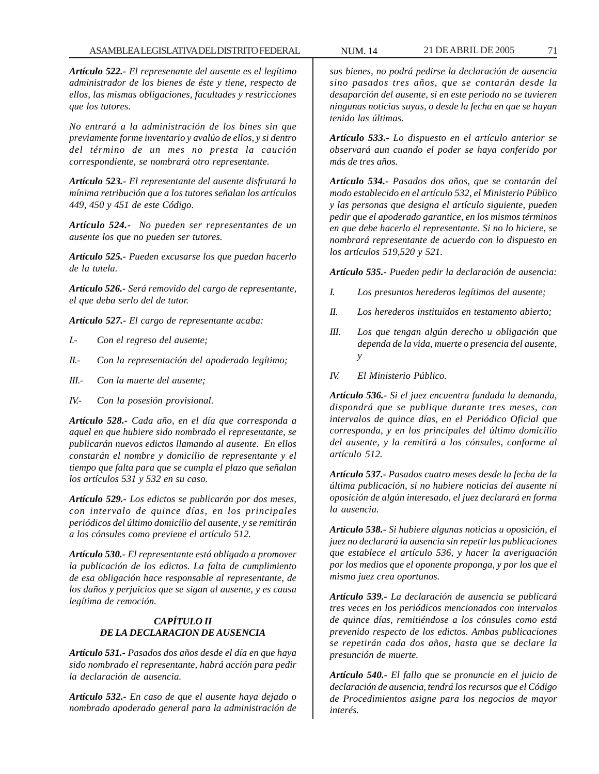*Artículo 522.- El represenante del ausente es el legítimo administrador de los bienes de éste y tiene, respecto de ellos, las mismas obligaciones, facultades y restricciones que los tutores.*

*No entrará a la administración de los bines sin que previamente forme inventario y avalúo de ellos, y si dentro del término de un mes no presta la caución correspondiente, se nombrará otro representante.*

*Artículo 523.- El representante del ausente disfrutará la mínima retribución que a los tutores señalan los artículos 449, 450 y 451 de este Código.*

*Artículo 524.- No pueden ser representantes de un ausente los que no pueden ser tutores.*

*Artículo 525.- Pueden excusarse los que puedan hacerlo de la tutela.*

*Artículo 526.- Será removido del cargo de representante, el que deba serlo del de tutor.*

*Artículo 527.- El cargo de representante acaba:*

- *I.- Con el regreso del ausente;*
- *II.- Con la representación del apoderado legítimo;*
- *III.- Con la muerte del ausente;*
- *IV.- Con la posesión provisional.*

*Artículo 528.- Cada año, en el día que corresponda a aquel en que hubiere sido nombrado el representante, se publicarán nuevos edictos llamando al ausente. En ellos constarán el nombre y domicilio de representante y el tiempo que falta para que se cumpla el plazo que señalan los artículos 531 y 532 en su caso.*

*Artículo 529.- Los edictos se publicarán por dos meses, con intervalo de quince días, en los principales periódicos del último domicilio del ausente, y se remitirán a los cónsules como previene el artículo 512.*

*Artículo 530.- El representante está obligado a promover la publicación de los edictos. La falta de cumplimiento de esa obligación hace responsable al representante, de los daños y perjuicios que se sigan al ausente, y es causa legítima de remoción.*

# *CAPÍTULO II DE LA DECLARACION DE AUSENCIA*

*Artículo 531.- Pasados dos años desde el día en que haya sido nombrado el representante, habrá acción para pedir la declaración de ausencia.*

*Artículo 532.- En caso de que el ausente haya dejado o nombrado apoderado general para la administración de*

*sus bienes, no podrá pedirse la declaración de ausencia sino pasados tres años, que se contarán desde la desaparción del ausente, si en este periodo no se tuvieren ningunas noticias suyas, o desde la fecha en que se hayan tenido las últimas.*

*Artículo 533.- Lo dispuesto en el artículo anterior se observará aun cuando el poder se haya conferido por más de tres años.*

*Artículo 534.- Pasados dos años, que se contarán del modo establecido en el artículo 532, el Ministerio Público y las personas que designa el artículo siguiente, pueden pedir que el apoderado garantice, en los mismos términos en que debe hacerlo el representante. Si no lo hiciere, se nombrará representante de acuerdo con lo dispuesto en los artículos 519,520 y 521.*

*Artículo 535.- Pueden pedir la declaración de ausencia:*

- *I. Los presuntos herederos legítimos del ausente;*
- *II. Los herederos instituidos en testamento abierto;*
- *III. Los que tengan algún derecho u obligación que dependa de la vida, muerte o presencia del ausente, y*
- *IV. El Ministerio Público.*

*Artículo 536.- Si el juez encuentra fundada la demanda, dispondrá que se publique durante tres meses, con intervalos de quince días, en el Periódico Oficial que corresponda, y en los principales del último domicilio del ausente, y la remitirá a los cónsules, conforme al artículo 512.*

*Artículo 537.- Pasados cuatro meses desde la fecha de la última publicación, si no hubiere noticias del ausente ni oposición de algún interesado, el juez declarará en forma la ausencia.*

*Artículo 538.- Si hubiere algunas noticias u oposición, el juez no declarará la ausencia sin repetir las publicaciones que establece el artículo 536, y hacer la averiguación por los medios que el oponente proponga, y por los que el mismo juez crea oportunos.*

*Artículo 539.- La declaración de ausencia se publicará tres veces en los periódicos mencionados con intervalos de quince días, remitiéndose a los cónsules como está prevenido respecto de los edictos. Ambas publicaciones se repetirán cada dos años, hasta que se declare la presunción de muerte.*

*Artículo 540.- El fallo que se pronuncie en el juicio de declaración de ausencia, tendrá los recursos que el Código de Procedimientos asigne para los negocios de mayor interés.*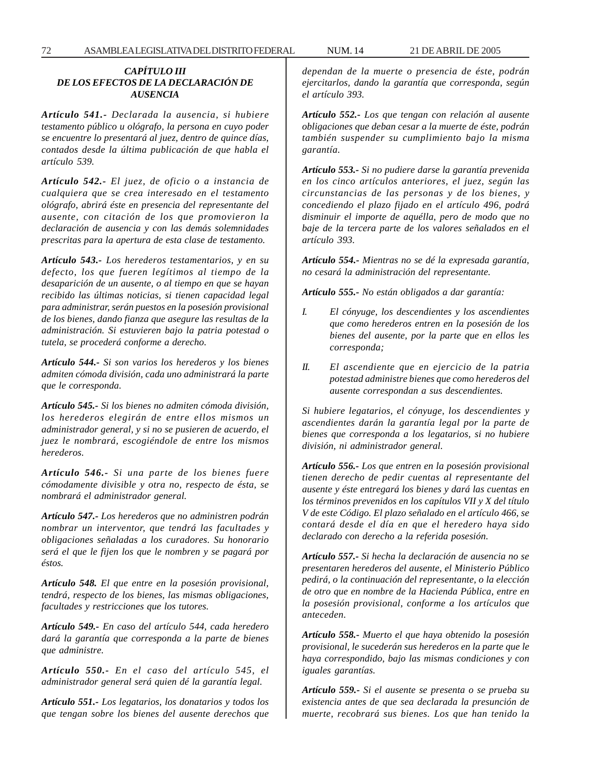### *CAPÍTULO III DE LOS EFECTOS DE LA DECLARACIÓN DE AUSENCIA*

*Artículo 541.- Declarada la ausencia, si hubiere testamento público u ológrafo, la persona en cuyo poder se encuentre lo presentará al juez, dentro de quince días, contados desde la última publicación de que habla el artículo 539.*

*Artículo 542.- El juez, de oficio o a instancia de cualquiera que se crea interesado en el testamento ológrafo, abrirá éste en presencia del representante del ausente, con citación de los que promovieron la declaración de ausencia y con las demás solemnidades prescritas para la apertura de esta clase de testamento.*

*Artículo 543.- Los herederos testamentarios, y en su defecto, los que fueren legítimos al tiempo de la desaparición de un ausente, o al tiempo en que se hayan recibido las últimas noticias, si tienen capacidad legal para administrar, serán puestos en la posesión provisional de los bienes, dando fianza que asegure las resultas de la administración. Si estuvieren bajo la patria potestad o tutela, se procederá conforme a derecho.*

*Artículo 544.- Si son varios los herederos y los bienes admiten cómoda división, cada uno administrará la parte que le corresponda.*

*Artículo 545.- Si los bienes no admiten cómoda división, los herederos elegirán de entre ellos mismos un administrador general, y si no se pusieren de acuerdo, el juez le nombrará, escogiéndole de entre los mismos herederos.*

*Artículo 546.- Si una parte de los bienes fuere cómodamente divisible y otra no, respecto de ésta, se nombrará el administrador general.*

*Artículo 547.- Los herederos que no administren podrán nombrar un interventor, que tendrá las facultades y obligaciones señaladas a los curadores. Su honorario será el que le fijen los que le nombren y se pagará por éstos.*

*Artículo 548. El que entre en la posesión provisional, tendrá, respecto de los bienes, las mismas obligaciones, facultades y restricciones que los tutores.*

*Artículo 549.- En caso del artículo 544, cada heredero dará la garantía que corresponda a la parte de bienes que administre.*

*Artículo 550.- En el caso del artículo 545, el administrador general será quien dé la garantía legal.*

*Artículo 551.- Los legatarios, los donatarios y todos los que tengan sobre los bienes del ausente derechos que* *dependan de la muerte o presencia de éste, podrán ejercitarlos, dando la garantía que corresponda, según el artículo 393.*

*Artículo 552.- Los que tengan con relación al ausente obligaciones que deban cesar a la muerte de éste, podrán también suspender su cumplimiento bajo la misma garantía.*

*Artículo 553.- Si no pudiere darse la garantía prevenida en los cinco artículos anteriores, el juez, según las circunstancias de las personas y de los bienes, y concediendo el plazo fijado en el artículo 496, podrá disminuir el importe de aquélla, pero de modo que no baje de la tercera parte de los valores señalados en el artículo 393.*

*Artículo 554.- Mientras no se dé la expresada garantía, no cesará la administración del representante.*

*Artículo 555.- No están obligados a dar garantía:*

- *I. El cónyuge, los descendientes y los ascendientes que como herederos entren en la posesión de los bienes del ausente, por la parte que en ellos les corresponda;*
- *II. El ascendiente que en ejercicio de la patria potestad administre bienes que como herederos del ausente correspondan a sus descendientes.*

*Si hubiere legatarios, el cónyuge, los descendientes y ascendientes darán la garantía legal por la parte de bienes que corresponda a los legatarios, si no hubiere división, ni administrador general.*

*Artículo 556.- Los que entren en la posesión provisional tienen derecho de pedir cuentas al representante del ausente y éste entregará los bienes y dará las cuentas en los términos prevenidos en los capítulos VII y X del título V de este Código. El plazo señalado en el artículo 466, se contará desde el día en que el heredero haya sido declarado con derecho a la referida posesión.*

*Artículo 557.- Si hecha la declaración de ausencia no se presentaren herederos del ausente, el Ministerio Público pedirá, o la continuación del representante, o la elección de otro que en nombre de la Hacienda Pública, entre en la posesión provisional, conforme a los artículos que anteceden.*

*Artículo 558.- Muerto el que haya obtenido la posesión provisional, le sucederán sus herederos en la parte que le haya correspondido, bajo las mismas condiciones y con iguales garantías.*

*Artículo 559.- Si el ausente se presenta o se prueba su existencia antes de que sea declarada la presunción de muerte, recobrará sus bienes. Los que han tenido la*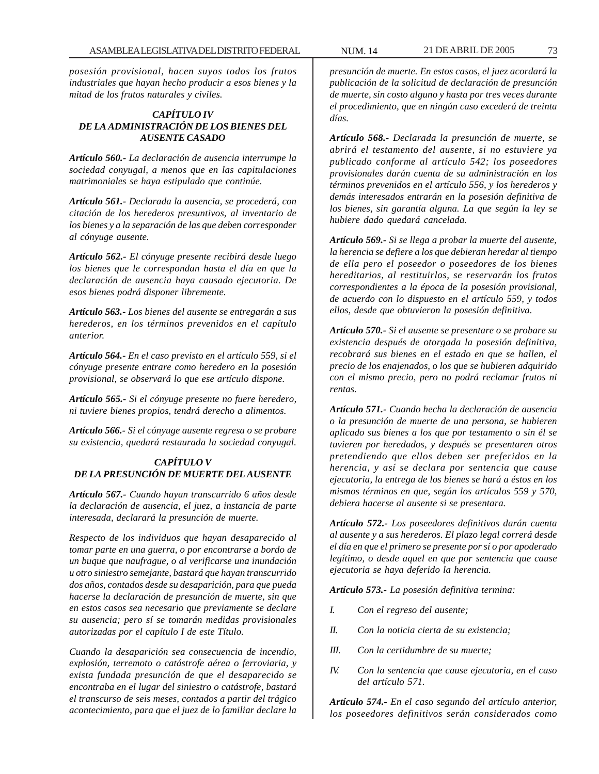*posesión provisional, hacen suyos todos los frutos industriales que hayan hecho producir a esos bienes y la mitad de los frutos naturales y civiles.*

# *CAPÍTULO IV DE LA ADMINISTRACIÓN DE LOS BIENES DEL AUSENTE CASADO*

*Artículo 560.- La declaración de ausencia interrumpe la sociedad conyugal, a menos que en las capitulaciones matrimoniales se haya estipulado que continúe.*

*Artículo 561.- Declarada la ausencia, se procederá, con citación de los herederos presuntivos, al inventario de los bienes y a la separación de las que deben corresponder al cónyuge ausente.*

*Artículo 562.- El cónyuge presente recibirá desde luego los bienes que le correspondan hasta el día en que la declaración de ausencia haya causado ejecutoria. De esos bienes podrá disponer libremente.*

*Artículo 563.- Los bienes del ausente se entregarán a sus herederos, en los términos prevenidos en el capítulo anterior.*

*Artículo 564.- En el caso previsto en el artículo 559, si el cónyuge presente entrare como heredero en la posesión provisional, se observará lo que ese artículo dispone.*

*Artículo 565.- Si el cónyuge presente no fuere heredero, ni tuviere bienes propios, tendrá derecho a alimentos.*

*Artículo 566.- Si el cónyuge ausente regresa o se probare su existencia, quedará restaurada la sociedad conyugal.*

### *CAPÍTULO V DE LA PRESUNCIÓN DE MUERTE DEL AUSENTE*

*Artículo 567.- Cuando hayan transcurrido 6 años desde la declaración de ausencia, el juez, a instancia de parte interesada, declarará la presunción de muerte.*

*Respecto de los individuos que hayan desaparecido al tomar parte en una guerra, o por encontrarse a bordo de un buque que naufrague, o al verificarse una inundación u otro siniestro semejante, bastará que hayan transcurrido dos años, contados desde su desaparición, para que pueda hacerse la declaración de presunción de muerte, sin que en estos casos sea necesario que previamente se declare su ausencia; pero sí se tomarán medidas provisionales autorizadas por el capítulo I de este Título.*

*Cuando la desaparición sea consecuencia de incendio, explosión, terremoto o catástrofe aérea o ferroviaria, y exista fundada presunción de que el desaparecido se encontraba en el lugar del siniestro o catástrofe, bastará el transcurso de seis meses, contados a partir del trágico acontecimiento, para que el juez de lo familiar declare la*

*presunción de muerte. En estos casos, el juez acordará la publicación de la solicitud de declaración de presunción de muerte, sin costo alguno y hasta por tres veces durante el procedimiento, que en ningún caso excederá de treinta días.*

*Artículo 568.- Declarada la presunción de muerte, se abrirá el testamento del ausente, si no estuviere ya publicado conforme al artículo 542; los poseedores provisionales darán cuenta de su administración en los términos prevenidos en el artículo 556, y los herederos y demás interesados entrarán en la posesión definitiva de los bienes, sin garantía alguna. La que según la ley se hubiere dado quedará cancelada.*

*Artículo 569.- Si se llega a probar la muerte del ausente, la herencia se defiere a los que debieran heredar al tiempo de ella pero el poseedor o poseedores de los bienes hereditarios, al restituirlos, se reservarán los frutos correspondientes a la época de la posesión provisional, de acuerdo con lo dispuesto en el artículo 559, y todos ellos, desde que obtuvieron la posesión definitiva.*

*Artículo 570.- Si el ausente se presentare o se probare su existencia después de otorgada la posesión definitiva, recobrará sus bienes en el estado en que se hallen, el precio de los enajenados, o los que se hubieren adquirido con el mismo precio, pero no podrá reclamar frutos ni rentas.*

*Artículo 571.- Cuando hecha la declaración de ausencia o la presunción de muerte de una persona, se hubieren aplicado sus bienes a los que por testamento o sin él se tuvieren por heredados, y después se presentaren otros pretendiendo que ellos deben ser preferidos en la herencia, y así se declara por sentencia que cause ejecutoria, la entrega de los bienes se hará a éstos en los mismos términos en que, según los artículos 559 y 570, debiera hacerse al ausente si se presentara.*

*Artículo 572.- Los poseedores definitivos darán cuenta al ausente y a sus herederos. El plazo legal correrá desde el día en que el primero se presente por sí o por apoderado legítimo, o desde aquel en que por sentencia que cause ejecutoria se haya deferido la herencia.*

*Artículo 573.- La posesión definitiva termina:*

- *I. Con el regreso del ausente;*
- *II. Con la noticia cierta de su existencia;*
- *III. Con la certidumbre de su muerte;*
- *IV. Con la sentencia que cause ejecutoria, en el caso del artículo 571.*

*Artículo 574.- En el caso segundo del artículo anterior, los poseedores definitivos serán considerados como*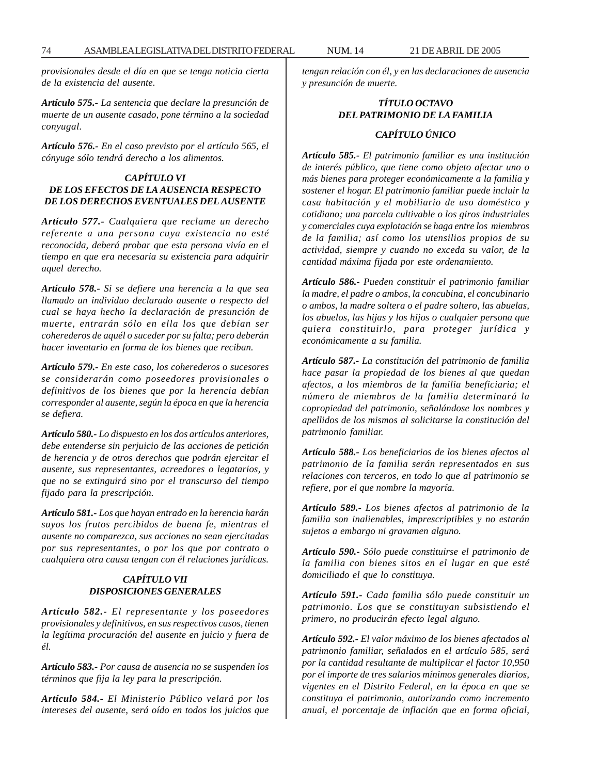*provisionales desde el día en que se tenga noticia cierta de la existencia del ausente.*

*Artículo 575.- La sentencia que declare la presunción de muerte de un ausente casado, pone término a la sociedad conyugal.*

*Artículo 576.- En el caso previsto por el artículo 565, el cónyuge sólo tendrá derecho a los alimentos.*

### *CAPÍTULO VI DE LOS EFECTOS DE LA AUSENCIA RESPECTO DE LOS DERECHOS EVENTUALES DEL AUSENTE*

*Artículo 577.- Cualquiera que reclame un derecho referente a una persona cuya existencia no esté reconocida, deberá probar que esta persona vivía en el tiempo en que era necesaria su existencia para adquirir aquel derecho.*

*Artículo 578.- Si se defiere una herencia a la que sea llamado un individuo declarado ausente o respecto del cual se haya hecho la declaración de presunción de muerte, entrarán sólo en ella los que debían ser coherederos de aquél o suceder por su falta; pero deberán hacer inventario en forma de los bienes que reciban.*

*Artículo 579.- En este caso, los coherederos o sucesores se considerarán como poseedores provisionales o definitivos de los bienes que por la herencia debían corresponder al ausente, según la época en que la herencia se defiera.*

*Artículo 580.- Lo dispuesto en los dos artículos anteriores, debe entenderse sin perjuicio de las acciones de petición de herencia y de otros derechos que podrán ejercitar el ausente, sus representantes, acreedores o legatarios, y que no se extinguirá sino por el transcurso del tiempo fijado para la prescripción.*

*Artículo 581.- Los que hayan entrado en la herencia harán suyos los frutos percibidos de buena fe, mientras el ausente no comparezca, sus acciones no sean ejercitadas por sus representantes, o por los que por contrato o cualquiera otra causa tengan con él relaciones jurídicas.*

# *CAPÍTULO VII DISPOSICIONES GENERALES*

*Artículo 582.- El representante y los poseedores provisionales y definitivos, en sus respectivos casos, tienen la legítima procuración del ausente en juicio y fuera de él.*

*Artículo 583.- Por causa de ausencia no se suspenden los términos que fija la ley para la prescripción.*

*Artículo 584.- El Ministerio Público velará por los intereses del ausente, será oído en todos los juicios que* *tengan relación con él, y en las declaraciones de ausencia y presunción de muerte.*

# *TÍTULO OCTAVO DEL PATRIMONIO DE LA FAMILIA*

## *CAPÍTULO ÚNICO*

*Artículo 585.- El patrimonio familiar es una institución de interés público, que tiene como objeto afectar uno o más bienes para proteger económicamente a la familia y sostener el hogar. El patrimonio familiar puede incluir la casa habitación y el mobiliario de uso doméstico y cotidiano; una parcela cultivable o los giros industriales y comerciales cuya explotación se haga entre los miembros de la familia; así como los utensilios propios de su actividad, siempre y cuando no exceda su valor, de la cantidad máxima fijada por este ordenamiento.*

*Artículo 586.- Pueden constituir el patrimonio familiar la madre, el padre o ambos, la concubina, el concubinario o ambos, la madre soltera o el padre soltero, las abuelas, los abuelos, las hijas y los hijos o cualquier persona que quiera constituirlo, para proteger jurídica y económicamente a su familia.*

*Artículo 587.- La constitución del patrimonio de familia hace pasar la propiedad de los bienes al que quedan afectos, a los miembros de la familia beneficiaria; el número de miembros de la familia determinará la copropiedad del patrimonio, señalándose los nombres y apellidos de los mismos al solicitarse la constitución del patrimonio familiar.*

*Artículo 588.- Los beneficiarios de los bienes afectos al patrimonio de la familia serán representados en sus relaciones con terceros, en todo lo que al patrimonio se refiere, por el que nombre la mayoría.*

*Artículo 589.- Los bienes afectos al patrimonio de la familia son inalienables, imprescriptibles y no estarán sujetos a embargo ni gravamen alguno.*

*Artículo 590.- Sólo puede constituirse el patrimonio de la familia con bienes sitos en el lugar en que esté domiciliado el que lo constituya.*

*Artículo 591.- Cada familia sólo puede constituir un patrimonio. Los que se constituyan subsistiendo el primero, no producirán efecto legal alguno.*

*Artículo 592.- El valor máximo de los bienes afectados al patrimonio familiar, señalados en el artículo 585, será por la cantidad resultante de multiplicar el factor 10,950 por el importe de tres salarios mínimos generales diarios, vigentes en el Distrito Federal, en la época en que se constituya el patrimonio, autorizando como incremento anual, el porcentaje de inflación que en forma oficial,*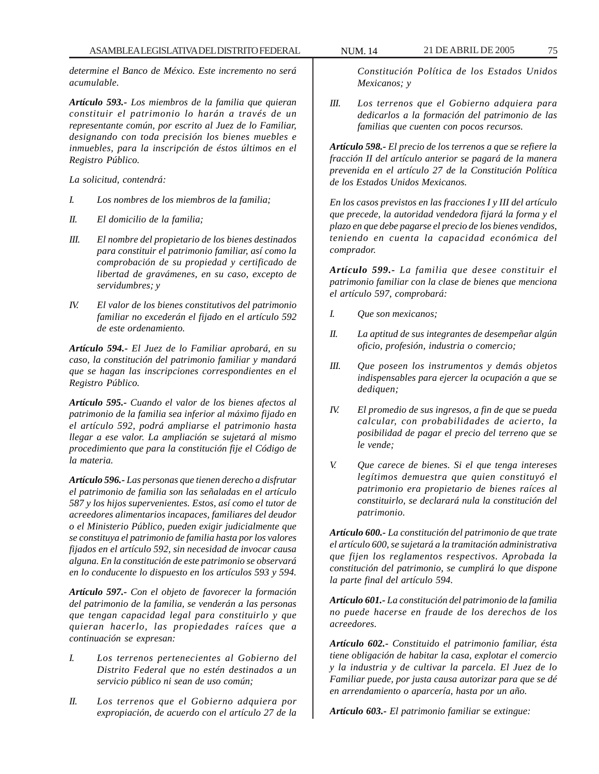*determine el Banco de México. Este incremento no será acumulable.*

*Artículo 593.- Los miembros de la familia que quieran constituir el patrimonio lo harán a través de un representante común, por escrito al Juez de lo Familiar, designando con toda precisión los bienes muebles e inmuebles, para la inscripción de éstos últimos en el Registro Público.*

*La solicitud, contendrá:*

- *I. Los nombres de los miembros de la familia;*
- *II. El domicilio de la familia;*
- *III. El nombre del propietario de los bienes destinados para constituir el patrimonio familiar, así como la comprobación de su propiedad y certificado de libertad de gravámenes, en su caso, excepto de servidumbres; y*
- *IV. El valor de los bienes constitutivos del patrimonio familiar no excederán el fijado en el artículo 592 de este ordenamiento.*

*Artículo 594.- El Juez de lo Familiar aprobará, en su caso, la constitución del patrimonio familiar y mandará que se hagan las inscripciones correspondientes en el Registro Público.*

*Artículo 595.- Cuando el valor de los bienes afectos al patrimonio de la familia sea inferior al máximo fijado en el artículo 592, podrá ampliarse el patrimonio hasta llegar a ese valor. La ampliación se sujetará al mismo procedimiento que para la constitución fije el Código de la materia.*

*Artículo 596.- Las personas que tienen derecho a disfrutar el patrimonio de familia son las señaladas en el artículo 587 y los hijos supervenientes. Estos, así como el tutor de acreedores alimentarios incapaces, familiares del deudor o el Ministerio Público, pueden exigir judicialmente que se constituya el patrimonio de familia hasta por los valores fijados en el artículo 592, sin necesidad de invocar causa alguna. En la constitución de este patrimonio se observará en lo conducente lo dispuesto en los artículos 593 y 594.*

*Artículo 597.- Con el objeto de favorecer la formación del patrimonio de la familia, se venderán a las personas que tengan capacidad legal para constituirlo y que quieran hacerlo, las propiedades raíces que a continuación se expresan:*

- *I. Los terrenos pertenecientes al Gobierno del Distrito Federal que no estén destinados a un servicio público ni sean de uso común;*
- *II. Los terrenos que el Gobierno adquiera por expropiación, de acuerdo con el artículo 27 de la*

*Constitución Política de los Estados Unidos Mexicanos; y*

*III. Los terrenos que el Gobierno adquiera para dedicarlos a la formación del patrimonio de las familias que cuenten con pocos recursos.*

*Artículo 598.- El precio de los terrenos a que se refiere la fracción II del artículo anterior se pagará de la manera prevenida en el artículo 27 de la Constitución Política de los Estados Unidos Mexicanos.*

*En los casos previstos en las fracciones I y III del artículo que precede, la autoridad vendedora fijará la forma y el plazo en que debe pagarse el precio de los bienes vendidos, teniendo en cuenta la capacidad económica del comprador.*

*Artículo 599.- La familia que desee constituir el patrimonio familiar con la clase de bienes que menciona el artículo 597, comprobará:*

- *I. Que son mexicanos;*
- *II. La aptitud de sus integrantes de desempeñar algún oficio, profesión, industria o comercio;*
- *III. Que poseen los instrumentos y demás objetos indispensables para ejercer la ocupación a que se dediquen;*
- *IV. El promedio de sus ingresos, a fin de que se pueda calcular, con probabilidades de acierto, la posibilidad de pagar el precio del terreno que se le vende;*
- *V. Que carece de bienes. Si el que tenga intereses legítimos demuestra que quien constituyó el patrimonio era propietario de bienes raíces al constituirlo, se declarará nula la constitución del patrimonio.*

*Artículo 600.- La constitución del patrimonio de que trate el artículo 600, se sujetará a la tramitación administrativa que fijen los reglamentos respectivos. Aprobada la constitución del patrimonio, se cumplirá lo que dispone la parte final del artículo 594.*

*Artículo 601.- La constitución del patrimonio de la familia no puede hacerse en fraude de los derechos de los acreedores.*

*Artículo 602.- Constituido el patrimonio familiar, ésta tiene obligación de habitar la casa, explotar el comercio y la industria y de cultivar la parcela. El Juez de lo Familiar puede, por justa causa autorizar para que se dé en arrendamiento o aparcería, hasta por un año.*

*Artículo 603.- El patrimonio familiar se extingue:*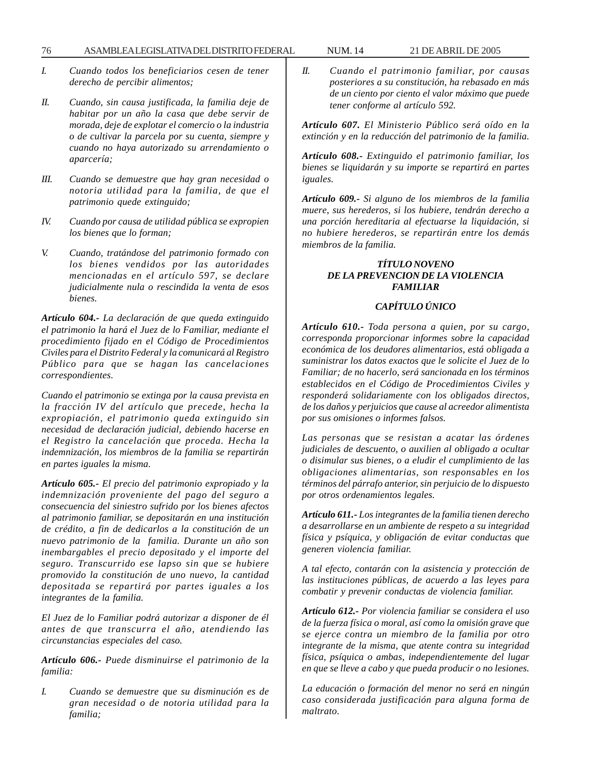- *I. Cuando todos los beneficiarios cesen de tener derecho de percibir alimentos;*
- *II. Cuando, sin causa justificada, la familia deje de habitar por un año la casa que debe servir de morada, deje de explotar el comercio o la industria o de cultivar la parcela por su cuenta, siempre y cuando no haya autorizado su arrendamiento o aparcería;*
- *III. Cuando se demuestre que hay gran necesidad o notoria utilidad para la familia, de que el patrimonio quede extinguido;*
- *IV. Cuando por causa de utilidad pública se expropien los bienes que lo forman;*
- *V. Cuando, tratándose del patrimonio formado con los bienes vendidos por las autoridades mencionadas en el artículo 597, se declare judicialmente nula o rescindida la venta de esos bienes.*

*Artículo 604.- La declaración de que queda extinguido el patrimonio la hará el Juez de lo Familiar, mediante el procedimiento fijado en el Código de Procedimientos Civiles para el Distrito Federal y la comunicará al Registro Público para que se hagan las cancelaciones correspondientes.*

*Cuando el patrimonio se extinga por la causa prevista en la fracción IV del artículo que precede, hecha la expropiación, el patrimonio queda extinguido sin necesidad de declaración judicial, debiendo hacerse en el Registro la cancelación que proceda. Hecha la indemnización, los miembros de la familia se repartirán en partes iguales la misma.*

*Artículo 605.- El precio del patrimonio expropiado y la indemnización proveniente del pago del seguro a consecuencia del siniestro sufrido por los bienes afectos al patrimonio familiar, se depositarán en una institución de crédito, a fin de dedicarlos a la constitución de un nuevo patrimonio de la familia. Durante un año son inembargables el precio depositado y el importe del seguro. Transcurrido ese lapso sin que se hubiere promovido la constitución de uno nuevo, la cantidad depositada se repartirá por partes iguales a los integrantes de la familia.*

*El Juez de lo Familiar podrá autorizar a disponer de él antes de que transcurra el año, atendiendo las circunstancias especiales del caso.*

*Artículo 606.- Puede disminuirse el patrimonio de la familia:*

*I. Cuando se demuestre que su disminución es de gran necesidad o de notoria utilidad para la familia;*

*II. Cuando el patrimonio familiar, por causas posteriores a su constitución, ha rebasado en más de un ciento por ciento el valor máximo que puede tener conforme al artículo 592.*

*Artículo 607. El Ministerio Público será oído en la extinción y en la reducción del patrimonio de la familia.*

*Artículo 608.- Extinguido el patrimonio familiar, los bienes se liquidarán y su importe se repartirá en partes iguales.*

*Artículo 609.- Si alguno de los miembros de la familia muere, sus herederos, si los hubiere, tendrán derecho a una porción hereditaria al efectuarse la liquidación, si no hubiere herederos, se repartirán entre los demás miembros de la familia.*

### *TÍTULO NOVENO DE LA PREVENCION DE LA VIOLENCIA FAMILIAR*

# *CAPÍTULO ÚNICO*

*Artículo 610.- Toda persona a quien, por su cargo, corresponda proporcionar informes sobre la capacidad económica de los deudores alimentarios, está obligada a suministrar los datos exactos que le solicite el Juez de lo Familiar; de no hacerlo, será sancionada en los términos establecidos en el Código de Procedimientos Civiles y responderá solidariamente con los obligados directos, de los daños y perjuicios que cause al acreedor alimentista por sus omisiones o informes falsos.*

*Las personas que se resistan a acatar las órdenes judiciales de descuento, o auxilien al obligado a ocultar o disimular sus bienes, o a eludir el cumplimiento de las obligaciones alimentarias, son responsables en los términos del párrafo anterior, sin perjuicio de lo dispuesto por otros ordenamientos legales.*

*Artículo 611.- Los integrantes de la familia tienen derecho a desarrollarse en un ambiente de respeto a su integridad física y psíquica, y obligación de evitar conductas que generen violencia familiar.*

*A tal efecto, contarán con la asistencia y protección de las instituciones públicas, de acuerdo a las leyes para combatir y prevenir conductas de violencia familiar.*

*Artículo 612.- Por violencia familiar se considera el uso de la fuerza física o moral, así como la omisión grave que se ejerce contra un miembro de la familia por otro integrante de la misma, que atente contra su integridad física, psíquica o ambas, independientemente del lugar en que se lleve a cabo y que pueda producir o no lesiones.*

*La educación o formación del menor no será en ningún caso considerada justificación para alguna forma de maltrato.*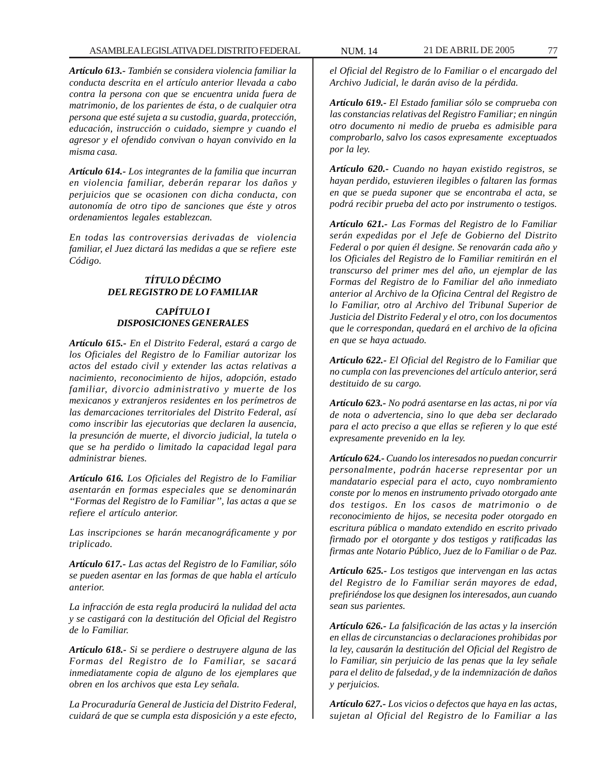*Artículo 613.- También se considera violencia familiar la conducta descrita en el artículo anterior llevada a cabo contra la persona con que se encuentra unida fuera de matrimonio, de los parientes de ésta, o de cualquier otra persona que esté sujeta a su custodia, guarda, protección, educación, instrucción o cuidado, siempre y cuando el agresor y el ofendido convivan o hayan convivido en la misma casa.*

*Artículo 614.- Los integrantes de la familia que incurran en violencia familiar, deberán reparar los daños y perjuicios que se ocasionen con dicha conducta, con autonomía de otro tipo de sanciones que éste y otros ordenamientos legales establezcan.*

*En todas las controversias derivadas de violencia familiar, el Juez dictará las medidas a que se refiere este Código.*

## *TÍTULO DÉCIMO DEL REGISTRO DE LO FAMILIAR*

# *CAPÍTULO I DISPOSICIONES GENERALES*

*Artículo 615.- En el Distrito Federal, estará a cargo de los Oficiales del Registro de lo Familiar autorizar los actos del estado civil y extender las actas relativas a nacimiento, reconocimiento de hijos, adopción, estado familiar, divorcio administrativo y muerte de los mexicanos y extranjeros residentes en los perímetros de las demarcaciones territoriales del Distrito Federal, así como inscribir las ejecutorias que declaren la ausencia, la presunción de muerte, el divorcio judicial, la tutela o que se ha perdido o limitado la capacidad legal para administrar bienes.*

*Artículo 616. Los Oficiales del Registro de lo Familiar asentarán en formas especiales que se denominarán ''Formas del Registro de lo Familiar'', las actas a que se refiere el artículo anterior.*

*Las inscripciones se harán mecanográficamente y por triplicado.*

*Artículo 617.- Las actas del Registro de lo Familiar, sólo se pueden asentar en las formas de que habla el artículo anterior.*

*La infracción de esta regla producirá la nulidad del acta y se castigará con la destitución del Oficial del Registro de lo Familiar.*

*Artículo 618.- Si se perdiere o destruyere alguna de las Formas del Registro de lo Familiar, se sacará inmediatamente copia de alguno de los ejemplares que obren en los archivos que esta Ley señala.*

*La Procuraduría General de Justicia del Distrito Federal, cuidará de que se cumpla esta disposición y a este efecto,* *el Oficial del Registro de lo Familiar o el encargado del Archivo Judicial, le darán aviso de la pérdida.*

*Artículo 619.- El Estado familiar sólo se comprueba con las constancias relativas del Registro Familiar; en ningún otro documento ni medio de prueba es admisible para comprobarlo, salvo los casos expresamente exceptuados por la ley.*

*Artículo 620.- Cuando no hayan existido registros, se hayan perdido, estuvieren ilegibles o faltaren las formas en que se pueda suponer que se encontraba el acta, se podrá recibir prueba del acto por instrumento o testigos.*

*Artículo 621.- Las Formas del Registro de lo Familiar serán expedidas por el Jefe de Gobierno del Distrito Federal o por quien él designe. Se renovarán cada año y los Oficiales del Registro de lo Familiar remitirán en el transcurso del primer mes del año, un ejemplar de las Formas del Registro de lo Familiar del año inmediato anterior al Archivo de la Oficina Central del Registro de lo Familiar, otro al Archivo del Tribunal Superior de Justicia del Distrito Federal y el otro, con los documentos que le correspondan, quedará en el archivo de la oficina en que se haya actuado.*

*Artículo 622.- El Oficial del Registro de lo Familiar que no cumpla con las prevenciones del artículo anterior, será destituido de su cargo.*

*Artículo 623.- No podrá asentarse en las actas, ni por vía de nota o advertencia, sino lo que deba ser declarado para el acto preciso a que ellas se refieren y lo que esté expresamente prevenido en la ley.*

*Artículo 624.- Cuando los interesados no puedan concurrir personalmente, podrán hacerse representar por un mandatario especial para el acto, cuyo nombramiento conste por lo menos en instrumento privado otorgado ante dos testigos. En los casos de matrimonio o de reconocimiento de hijos, se necesita poder otorgado en escritura pública o mandato extendido en escrito privado firmado por el otorgante y dos testigos y ratificadas las firmas ante Notario Público, Juez de lo Familiar o de Paz.*

*Artículo 625.- Los testigos que intervengan en las actas del Registro de lo Familiar serán mayores de edad, prefiriéndose los que designen los interesados, aun cuando sean sus parientes.*

*Artículo 626.- La falsificación de las actas y la inserción en ellas de circunstancias o declaraciones prohibidas por la ley, causarán la destitución del Oficial del Registro de lo Familiar, sin perjuicio de las penas que la ley señale para el delito de falsedad, y de la indemnización de daños y perjuicios.*

*Artículo 627.- Los vicios o defectos que haya en las actas, sujetan al Oficial del Registro de lo Familiar a las*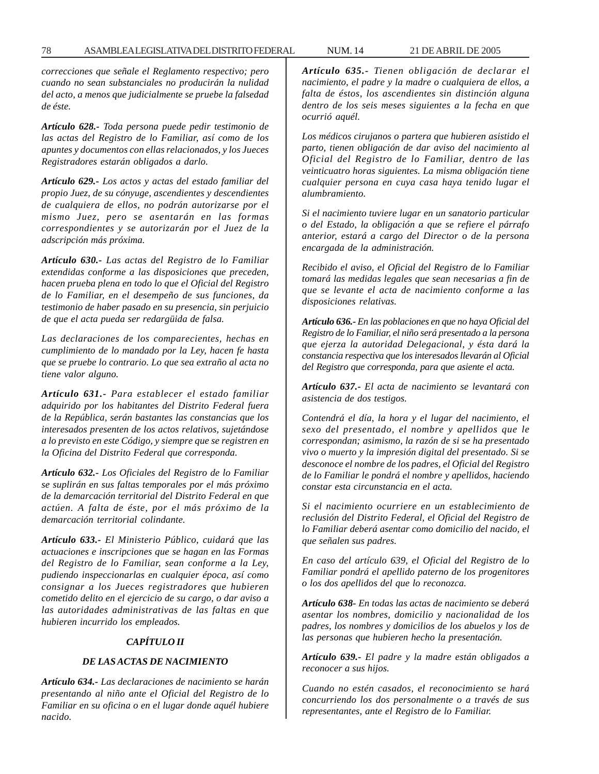*correcciones que señale el Reglamento respectivo; pero cuando no sean substanciales no producirán la nulidad del acto, a menos que judicialmente se pruebe la falsedad de éste.*

*Artículo 628.- Toda persona puede pedir testimonio de las actas del Registro de lo Familiar, así como de los apuntes y documentos con ellas relacionados, y los Jueces Registradores estarán obligados a darlo.*

*Artículo 629.- Los actos y actas del estado familiar del propio Juez, de su cónyuge, ascendientes y descendientes de cualquiera de ellos, no podrán autorizarse por el mismo Juez, pero se asentarán en las formas correspondientes y se autorizarán por el Juez de la adscripción más próxima.*

*Artículo 630.- Las actas del Registro de lo Familiar extendidas conforme a las disposiciones que preceden, hacen prueba plena en todo lo que el Oficial del Registro de lo Familiar, en el desempeño de sus funciones, da testimonio de haber pasado en su presencia, sin perjuicio de que el acta pueda ser redargüida de falsa.*

*Las declaraciones de los comparecientes, hechas en cumplimiento de lo mandado por la Ley, hacen fe hasta que se pruebe lo contrario. Lo que sea extraño al acta no tiene valor alguno.*

*Artículo 631.- Para establecer el estado familiar adquirido por los habitantes del Distrito Federal fuera de la República, serán bastantes las constancias que los interesados presenten de los actos relativos, sujetándose a lo previsto en este Código, y siempre que se registren en la Oficina del Distrito Federal que corresponda.*

*Artículo 632.- Los Oficiales del Registro de lo Familiar se suplirán en sus faltas temporales por el más próximo de la demarcación territorial del Distrito Federal en que actúen. A falta de éste, por el más próximo de la demarcación territorial colindante.*

*Artículo 633.- El Ministerio Público, cuidará que las actuaciones e inscripciones que se hagan en las Formas del Registro de lo Familiar, sean conforme a la Ley, pudiendo inspeccionarlas en cualquier época, así como consignar a los Jueces registradores que hubieren cometido delito en el ejercicio de su cargo, o dar aviso a las autoridades administrativas de las faltas en que hubieren incurrido los empleados.*

#### *CAPÍTULO II*

#### *DE LAS ACTAS DE NACIMIENTO*

*Artículo 634.- Las declaraciones de nacimiento se harán presentando al niño ante el Oficial del Registro de lo Familiar en su oficina o en el lugar donde aquél hubiere nacido.*

*Artículo 635.- Tienen obligación de declarar el nacimiento, el padre y la madre o cualquiera de ellos, a falta de éstos, los ascendientes sin distinción alguna dentro de los seis meses siguientes a la fecha en que ocurrió aquél.*

*Los médicos cirujanos o partera que hubieren asistido el parto, tienen obligación de dar aviso del nacimiento al Oficial del Registro de lo Familiar, dentro de las veinticuatro horas siguientes. La misma obligación tiene cualquier persona en cuya casa haya tenido lugar el alumbramiento.*

*Si el nacimiento tuviere lugar en un sanatorio particular o del Estado, la obligación a que se refiere el párrafo anterior, estará a cargo del Director o de la persona encargada de la administración.*

*Recibido el aviso, el Oficial del Registro de lo Familiar tomará las medidas legales que sean necesarias a fin de que se levante el acta de nacimiento conforme a las disposiciones relativas.*

*Artículo 636.- En las poblaciones en que no haya Oficial del Registro de lo Familiar, el niño será presentado a la persona que ejerza la autoridad Delegacional, y ésta dará la constancia respectiva que los interesados llevarán al Oficial del Registro que corresponda, para que asiente el acta.*

*Artículo 637.- El acta de nacimiento se levantará con asistencia de dos testigos.*

*Contendrá el día, la hora y el lugar del nacimiento, el sexo del presentado, el nombre y apellidos que le correspondan; asimismo, la razón de si se ha presentado vivo o muerto y la impresión digital del presentado. Si se desconoce el nombre de los padres, el Oficial del Registro de lo Familiar le pondrá el nombre y apellidos, haciendo constar esta circunstancia en el acta.*

*Si el nacimiento ocurriere en un establecimiento de reclusión del Distrito Federal, el Oficial del Registro de lo Familiar deberá asentar como domicilio del nacido, el que señalen sus padres.*

*En caso del artículo 639, el Oficial del Registro de lo Familiar pondrá el apellido paterno de los progenitores o los dos apellidos del que lo reconozca.*

*Artículo 638- En todas las actas de nacimiento se deberá asentar los nombres, domicilio y nacionalidad de los padres, los nombres y domicilios de los abuelos y los de las personas que hubieren hecho la presentación.*

*Artículo 639.- El padre y la madre están obligados a reconocer a sus hijos.*

*Cuando no estén casados, el reconocimiento se hará concurriendo los dos personalmente o a través de sus representantes, ante el Registro de lo Familiar.*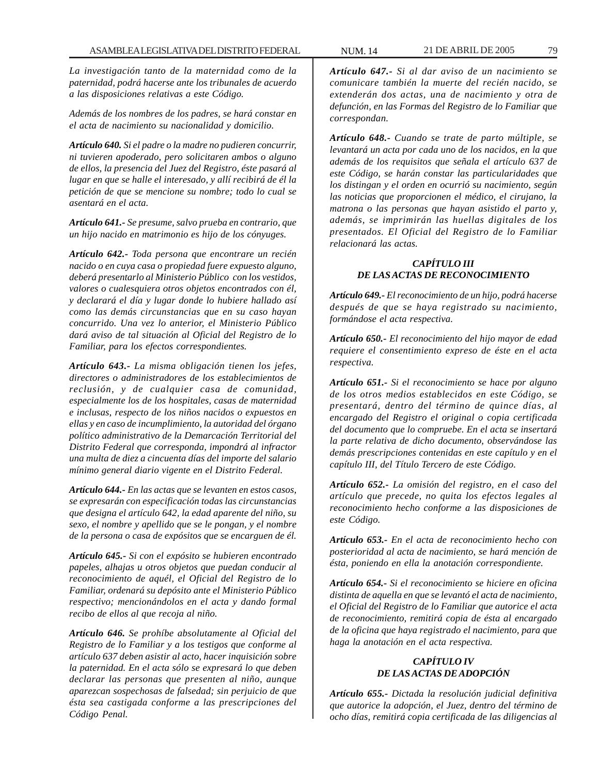*La investigación tanto de la maternidad como de la paternidad, podrá hacerse ante los tribunales de acuerdo a las disposiciones relativas a este Código.*

*Además de los nombres de los padres, se hará constar en el acta de nacimiento su nacionalidad y domicilio.*

*Artículo 640. Si el padre o la madre no pudieren concurrir, ni tuvieren apoderado, pero solicitaren ambos o alguno de ellos, la presencia del Juez del Registro, éste pasará al lugar en que se halle el interesado, y allí recibirá de él la petición de que se mencione su nombre; todo lo cual se asentará en el acta.*

*Artículo 641.- Se presume, salvo prueba en contrario, que un hijo nacido en matrimonio es hijo de los cónyuges.*

*Artículo 642.- Toda persona que encontrare un recién nacido o en cuya casa o propiedad fuere expuesto alguno, deberá presentarlo al Ministerio Público con los vestidos, valores o cualesquiera otros objetos encontrados con él, y declarará el día y lugar donde lo hubiere hallado así como las demás circunstancias que en su caso hayan concurrido. Una vez lo anterior, el Ministerio Público dará aviso de tal situación al Oficial del Registro de lo Familiar, para los efectos correspondientes.*

*Artículo 643.- La misma obligación tienen los jefes, directores o administradores de los establecimientos de reclusión, y de cualquier casa de comunidad, especialmente los de los hospitales, casas de maternidad e inclusas, respecto de los niños nacidos o expuestos en ellas y en caso de incumplimiento, la autoridad del órgano político administrativo de la Demarcación Territorial del Distrito Federal que corresponda, impondrá al infractor una multa de diez a cincuenta días del importe del salario mínimo general diario vigente en el Distrito Federal.*

*Artículo 644.- En las actas que se levanten en estos casos, se expresarán con especificación todas las circunstancias que designa el artículo 642, la edad aparente del niño, su sexo, el nombre y apellido que se le pongan, y el nombre de la persona o casa de expósitos que se encarguen de él.*

*Artículo 645.- Si con el expósito se hubieren encontrado papeles, alhajas u otros objetos que puedan conducir al reconocimiento de aquél, el Oficial del Registro de lo Familiar, ordenará su depósito ante el Ministerio Público respectivo; mencionándolos en el acta y dando formal recibo de ellos al que recoja al niño.*

*Artículo 646. Se prohíbe absolutamente al Oficial del Registro de lo Familiar y a los testigos que conforme al artículo 637 deben asistir al acto, hacer inquisición sobre la paternidad. En el acta sólo se expresará lo que deben declarar las personas que presenten al niño, aunque aparezcan sospechosas de falsedad; sin perjuicio de que ésta sea castigada conforme a las prescripciones del Código Penal.*

*Artículo 647.- Si al dar aviso de un nacimiento se comunicare también la muerte del recién nacido, se extenderán dos actas, una de nacimiento y otra de defunción, en las Formas del Registro de lo Familiar que correspondan.*

*Artículo 648.- Cuando se trate de parto múltiple, se levantará un acta por cada uno de los nacidos, en la que además de los requisitos que señala el artículo 637 de este Código, se harán constar las particularidades que los distingan y el orden en ocurrió su nacimiento, según las noticias que proporcionen el médico, el cirujano, la matrona o las personas que hayan asistido el parto y, además, se imprimirán las huellas digitales de los presentados. El Oficial del Registro de lo Familiar relacionará las actas.*

### *CAPÍTULO III DE LAS ACTAS DE RECONOCIMIENTO*

*Artículo 649.- El reconocimiento de un hijo, podrá hacerse después de que se haya registrado su nacimiento, formándose el acta respectiva.*

*Artículo 650.- El reconocimiento del hijo mayor de edad requiere el consentimiento expreso de éste en el acta respectiva.*

*Artículo 651.- Si el reconocimiento se hace por alguno de los otros medios establecidos en este Código, se presentará, dentro del término de quince días, al encargado del Registro el original o copia certificada del documento que lo compruebe. En el acta se insertará la parte relativa de dicho documento, observándose las demás prescripciones contenidas en este capítulo y en el capítulo III, del Título Tercero de este Código.*

*Artículo 652.- La omisión del registro, en el caso del artículo que precede, no quita los efectos legales al reconocimiento hecho conforme a las disposiciones de este Código.*

*Artículo 653.- En el acta de reconocimiento hecho con posterioridad al acta de nacimiento, se hará mención de ésta, poniendo en ella la anotación correspondiente.*

*Artículo 654.- Si el reconocimiento se hiciere en oficina distinta de aquella en que se levantó el acta de nacimiento, el Oficial del Registro de lo Familiar que autorice el acta de reconocimiento, remitirá copia de ésta al encargado de la oficina que haya registrado el nacimiento, para que haga la anotación en el acta respectiva.*

# *CAPÍTULO IV DE LAS ACTAS DE ADOPCIÓN*

*Artículo 655.- Dictada la resolución judicial definitiva que autorice la adopción, el Juez, dentro del término de ocho días, remitirá copia certificada de las diligencias al*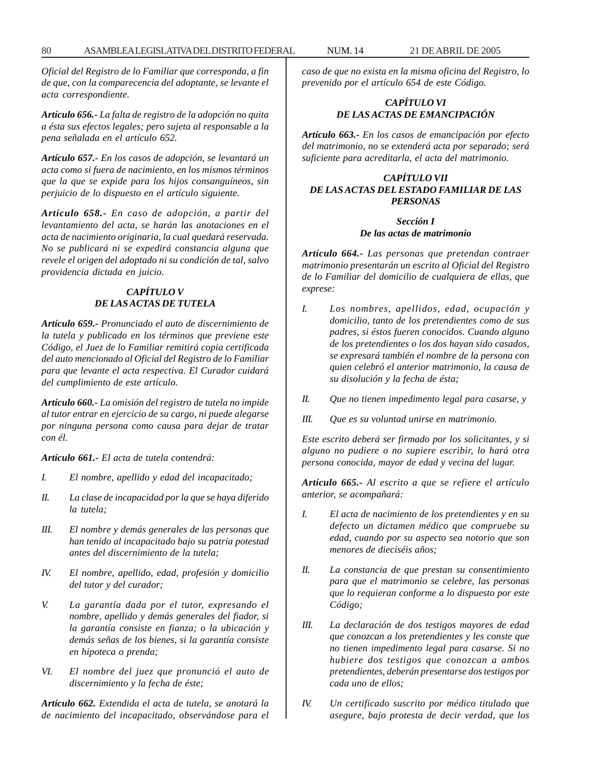*Oficial del Registro de lo Familiar que corresponda, a fin de que, con la comparecencia del adoptante, se levante el acta correspondiente.*

*Artículo 656.- La falta de registro de la adopción no quita a ésta sus efectos legales; pero sujeta al responsable a la pena señalada en el artículo 652.*

*Artículo 657.- En los casos de adopción, se levantará un acta como si fuera de nacimiento, en los mismos términos que la que se expide para los hijos consanguíneos, sin perjuicio de lo dispuesto en el artículo siguiente.*

*Artículo 658.- En caso de adopción, a partir del levantamiento del acta, se harán las anotaciones en el acta de nacimiento originaria, la cual quedará reservada. No se publicará ni se expedirá constancia alguna que revele el origen del adoptado ni su condición de tal, salvo providencia dictada en juicio.*

# *CAPÍTULO V DE LAS ACTAS DE TUTELA*

*Artículo 659.- Pronunciado el auto de discernimiento de la tutela y publicado en los términos que previene este Código, el Juez de lo Familiar remitirá copia certificada del auto mencionado al Oficial del Registro de lo Familiar para que levante el acta respectiva. El Curador cuidará del cumplimiento de este artículo.*

*Artículo 660.- La omisión del registro de tutela no impide al tutor entrar en ejercicio de su cargo, ni puede alegarse por ninguna persona como causa para dejar de tratar con él.*

*Artículo 661.- El acta de tutela contendrá:*

- *I. El nombre, apellido y edad del incapacitado;*
- *II. La clase de incapacidad por la que se haya diferido la tutela;*
- *III. El nombre y demás generales de las personas que han tenido al incapacitado bajo su patria potestad antes del discernimiento de la tutela;*
- *IV. El nombre, apellido, edad, profesión y domicilio del tutor y del curador;*
- *V. La garantía dada por el tutor, expresando el nombre, apellido y demás generales del fiador, si la garantía consiste en fianza; o la ubicación y demás señas de los bienes, si la garantía consiste en hipoteca o prenda;*
- *VI. El nombre del juez que pronunció el auto de discernimiento y la fecha de éste;*

*Artículo 662. Extendida el acta de tutela, se anotará la de nacimiento del incapacitado, observándose para el* *caso de que no exista en la misma oficina del Registro, lo prevenido por el artículo 654 de este Código.*

# *CAPÍTULO VI DE LAS ACTAS DE EMANCIPACIÓN*

*Artículo 663.- En los casos de emancipación por efecto del matrimonio, no se extenderá acta por separado; será suficiente para acreditarla, el acta del matrimonio.*

# *CAPÍTULO VII DE LAS ACTAS DEL ESTADO FAMILIAR DE LAS PERSONAS*

#### *Sección I De las actas de matrimonio*

*Artículo 664.- Las personas que pretendan contraer matrimonio presentarán un escrito al Oficial del Registro de lo Familiar del domicilio de cualquiera de ellas, que exprese:*

- *I. Los nombres, apellidos, edad, ocupación y domicilio, tanto de los pretendientes como de sus padres, si éstos fueren conocidos. Cuando alguno de los pretendientes o los dos hayan sido casados, se expresará también el nombre de la persona con quien celebró el anterior matrimonio, la causa de su disolución y la fecha de ésta;*
- *II. Que no tienen impedimento legal para casarse, y*
- *III. Que es su voluntad unirse en matrimonio.*

*Este escrito deberá ser firmado por los solicitantes, y si alguno no pudiere o no supiere escribir, lo hará otra persona conocida, mayor de edad y vecina del lugar.*

*Artículo 665.- Al escrito a que se refiere el artículo anterior, se acompañará:*

- *I. El acta de nacimiento de los pretendientes y en su defecto un dictamen médico que compruebe su edad, cuando por su aspecto sea notorio que son menores de dieciséis años;*
- *II. La constancia de que prestan su consentimiento para que el matrimonio se celebre, las personas que lo requieran conforme a lo dispuesto por este Código;*
- *III. La declaración de dos testigos mayores de edad que conozcan a los pretendientes y les conste que no tienen impedimento legal para casarse. Si no hubiere dos testigos que conozcan a ambos pretendientes, deberán presentarse dos testigos por cada uno de ellos;*
- *IV. Un certificado suscrito por médico titulado que asegure, bajo protesta de decir verdad, que los*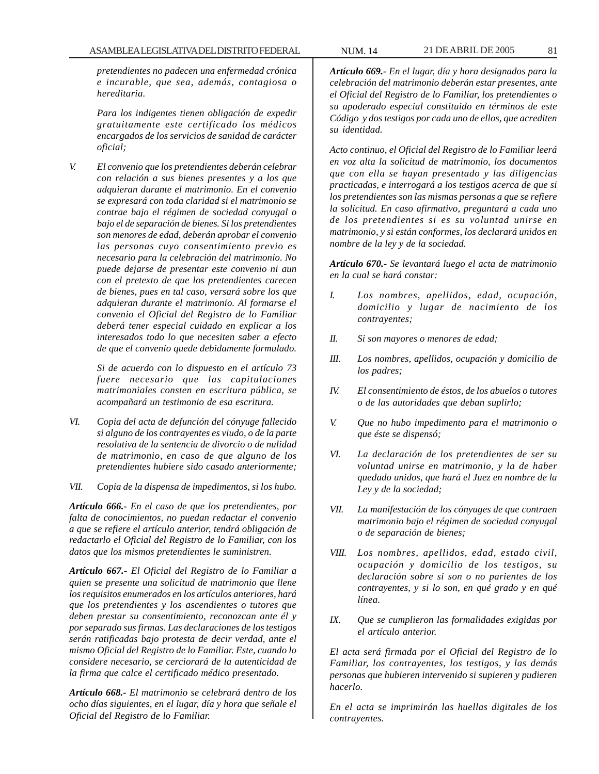*pretendientes no padecen una enfermedad crónica e incurable, que sea, además, contagiosa o hereditaria.*

*Para los indigentes tienen obligación de expedir gratuitamente este certificado los médicos encargados de los servicios de sanidad de carácter oficial;*

*V. El convenio que los pretendientes deberán celebrar con relación a sus bienes presentes y a los que adquieran durante el matrimonio. En el convenio se expresará con toda claridad si el matrimonio se contrae bajo el régimen de sociedad conyugal o bajo el de separación de bienes. Si los pretendientes son menores de edad, deberán aprobar el convenio las personas cuyo consentimiento previo es necesario para la celebración del matrimonio. No puede dejarse de presentar este convenio ni aun con el pretexto de que los pretendientes carecen de bienes, pues en tal caso, versará sobre los que adquieran durante el matrimonio. Al formarse el convenio el Oficial del Registro de lo Familiar deberá tener especial cuidado en explicar a los interesados todo lo que necesiten saber a efecto de que el convenio quede debidamente formulado.*

> *Si de acuerdo con lo dispuesto en el artículo 73 fuere necesario que las capitulaciones matrimoniales consten en escritura pública, se acompañará un testimonio de esa escritura.*

*VI. Copia del acta de defunción del cónyuge fallecido si alguno de los contrayentes es viudo, o de la parte resolutiva de la sentencia de divorcio o de nulidad de matrimonio, en caso de que alguno de los pretendientes hubiere sido casado anteriormente;*

*VII. Copia de la dispensa de impedimentos, si los hubo.*

*Artículo 666.- En el caso de que los pretendientes, por falta de conocimientos, no puedan redactar el convenio a que se refiere el artículo anterior, tendrá obligación de redactarlo el Oficial del Registro de lo Familiar, con los datos que los mismos pretendientes le suministren.*

*Artículo 667.- El Oficial del Registro de lo Familiar a quien se presente una solicitud de matrimonio que llene los requisitos enumerados en los artículos anteriores, hará que los pretendientes y los ascendientes o tutores que deben prestar su consentimiento, reconozcan ante él y por separado sus firmas. Las declaraciones de los testigos serán ratificadas bajo protesta de decir verdad, ante el mismo Oficial del Registro de lo Familiar. Este, cuando lo considere necesario, se cerciorará de la autenticidad de la firma que calce el certificado médico presentado.*

*Artículo 668.- El matrimonio se celebrará dentro de los ocho días siguientes, en el lugar, día y hora que señale el Oficial del Registro de lo Familiar.*

*Artículo 669.- En el lugar, día y hora designados para la celebración del matrimonio deberán estar presentes, ante el Oficial del Registro de lo Familiar, los pretendientes o su apoderado especial constituido en términos de este Código y dos testigos por cada uno de ellos, que acrediten su identidad.*

*Acto continuo, el Oficial del Registro de lo Familiar leerá en voz alta la solicitud de matrimonio, los documentos que con ella se hayan presentado y las diligencias practicadas, e interrogará a los testigos acerca de que si los pretendientes son las mismas personas a que se refiere la solicitud. En caso afirmativo, preguntará a cada uno de los pretendientes si es su voluntad unirse en matrimonio, y si están conformes, los declarará unidos en nombre de la ley y de la sociedad.*

*Artículo 670.- Se levantará luego el acta de matrimonio en la cual se hará constar:*

- *I. Los nombres, apellidos, edad, ocupación, domicilio y lugar de nacimiento de los contrayentes;*
- *II. Si son mayores o menores de edad;*
- *III. Los nombres, apellidos, ocupación y domicilio de los padres;*
- *IV. El consentimiento de éstos, de los abuelos o tutores o de las autoridades que deban suplirlo;*
- *V. Que no hubo impedimento para el matrimonio o que éste se dispensó;*
- *VI. La declaración de los pretendientes de ser su voluntad unirse en matrimonio, y la de haber quedado unidos, que hará el Juez en nombre de la Ley y de la sociedad;*
- *VII. La manifestación de los cónyuges de que contraen matrimonio bajo el régimen de sociedad conyugal o de separación de bienes;*
- *VIII. Los nombres, apellidos, edad, estado civil, ocupación y domicilio de los testigos, su declaración sobre si son o no parientes de los contrayentes, y si lo son, en qué grado y en qué línea.*
- *IX. Que se cumplieron las formalidades exigidas por el artículo anterior.*

*El acta será firmada por el Oficial del Registro de lo Familiar, los contrayentes, los testigos, y las demás personas que hubieren intervenido si supieren y pudieren hacerlo.*

*En el acta se imprimirán las huellas digitales de los contrayentes.*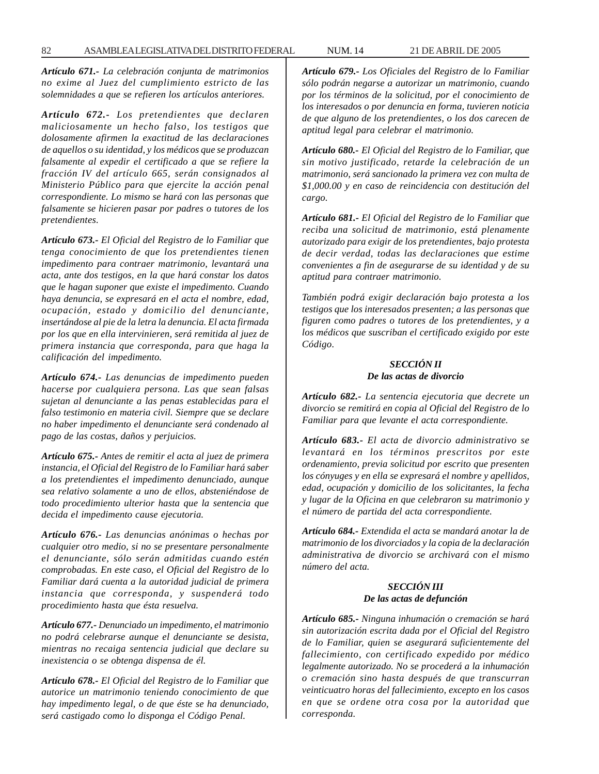*Artículo 671.- La celebración conjunta de matrimonios no exime al Juez del cumplimiento estricto de las solemnidades a que se refieren los artículos anteriores.*

*Artículo 672.- Los pretendientes que declaren maliciosamente un hecho falso, los testigos que dolosamente afirmen la exactitud de las declaraciones de aquellos o su identidad, y los médicos que se produzcan falsamente al expedir el certificado a que se refiere la fracción IV del artículo 665, serán consignados al Ministerio Público para que ejercite la acción penal correspondiente. Lo mismo se hará con las personas que falsamente se hicieren pasar por padres o tutores de los pretendientes.*

*Artículo 673.- El Oficial del Registro de lo Familiar que tenga conocimiento de que los pretendientes tienen impedimento para contraer matrimonio, levantará una acta, ante dos testigos, en la que hará constar los datos que le hagan suponer que existe el impedimento. Cuando haya denuncia, se expresará en el acta el nombre, edad, ocupación, estado y domicilio del denunciante, insertándose al pie de la letra la denuncia. El acta firmada por los que en ella intervinieren, será remitida al juez de primera instancia que corresponda, para que haga la calificación del impedimento.*

*Artículo 674.- Las denuncias de impedimento pueden hacerse por cualquiera persona. Las que sean falsas sujetan al denunciante a las penas establecidas para el falso testimonio en materia civil. Siempre que se declare no haber impedimento el denunciante será condenado al pago de las costas, daños y perjuicios.*

*Artículo 675.- Antes de remitir el acta al juez de primera instancia, el Oficial del Registro de lo Familiar hará saber a los pretendientes el impedimento denunciado, aunque sea relativo solamente a uno de ellos, absteniéndose de todo procedimiento ulterior hasta que la sentencia que decida el impedimento cause ejecutoria.*

*Artículo 676.- Las denuncias anónimas o hechas por cualquier otro medio, si no se presentare personalmente el denunciante, sólo serán admitidas cuando estén comprobadas. En este caso, el Oficial del Registro de lo Familiar dará cuenta a la autoridad judicial de primera instancia que corresponda, y suspenderá todo procedimiento hasta que ésta resuelva.*

*Artículo 677.- Denunciado un impedimento, el matrimonio no podrá celebrarse aunque el denunciante se desista, mientras no recaiga sentencia judicial que declare su inexistencia o se obtenga dispensa de él.*

*Artículo 678.- El Oficial del Registro de lo Familiar que autorice un matrimonio teniendo conocimiento de que hay impedimento legal, o de que éste se ha denunciado, será castigado como lo disponga el Código Penal.*

*Artículo 679.- Los Oficiales del Registro de lo Familiar sólo podrán negarse a autorizar un matrimonio, cuando por los términos de la solicitud, por el conocimiento de los interesados o por denuncia en forma, tuvieren noticia de que alguno de los pretendientes, o los dos carecen de aptitud legal para celebrar el matrimonio.*

*Artículo 680.- El Oficial del Registro de lo Familiar, que sin motivo justificado, retarde la celebración de un matrimonio, será sancionado la primera vez con multa de \$1,000.00 y en caso de reincidencia con destitución del cargo.*

*Artículo 681.- El Oficial del Registro de lo Familiar que reciba una solicitud de matrimonio, está plenamente autorizado para exigir de los pretendientes, bajo protesta de decir verdad, todas las declaraciones que estime convenientes a fin de asegurarse de su identidad y de su aptitud para contraer matrimonio.*

*También podrá exigir declaración bajo protesta a los testigos que los interesados presenten; a las personas que figuren como padres o tutores de los pretendientes, y a los médicos que suscriban el certificado exigido por este Código.*

#### *SECCIÓN II De las actas de divorcio*

*Artículo 682.- La sentencia ejecutoria que decrete un divorcio se remitirá en copia al Oficial del Registro de lo Familiar para que levante el acta correspondiente.*

*Artículo 683.- El acta de divorcio administrativo se levantará en los términos prescritos por este ordenamiento, previa solicitud por escrito que presenten los cónyuges y en ella se expresará el nombre y apellidos, edad, ocupación y domicilio de los solicitantes, la fecha y lugar de la Oficina en que celebraron su matrimonio y el número de partida del acta correspondiente.*

*Artículo 684.- Extendida el acta se mandará anotar la de matrimonio de los divorciados y la copia de la declaración administrativa de divorcio se archivará con el mismo número del acta.*

### *SECCIÓN III De las actas de defunción*

*Artículo 685.- Ninguna inhumación o cremación se hará sin autorización escrita dada por el Oficial del Registro de lo Familiar, quien se asegurará suficientemente del fallecimiento, con certificado expedido por médico legalmente autorizado. No se procederá a la inhumación o cremación sino hasta después de que transcurran veinticuatro horas del fallecimiento, excepto en los casos en que se ordene otra cosa por la autoridad que corresponda.*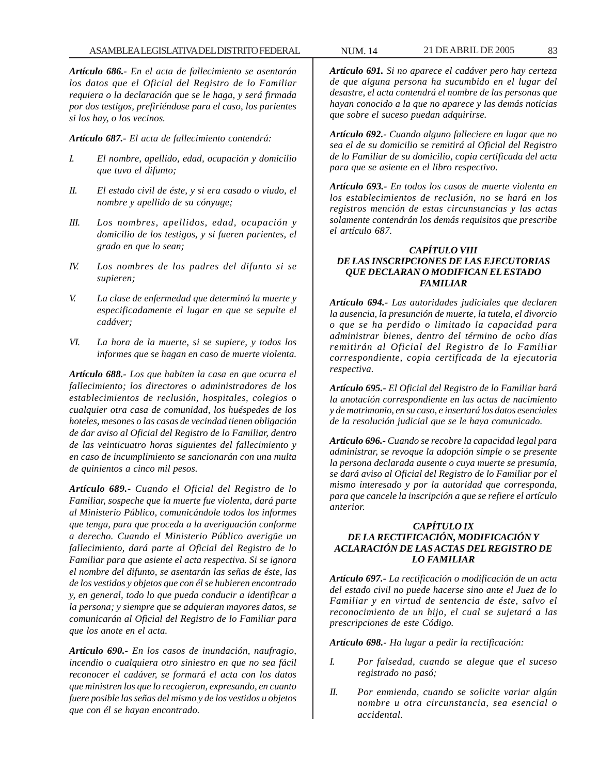*Artículo 686.- En el acta de fallecimiento se asentarán los datos que el Oficial del Registro de lo Familiar requiera o la declaración que se le haga, y será firmada por dos testigos, prefiriéndose para el caso, los parientes si los hay, o los vecinos.*

*Artículo 687.- El acta de fallecimiento contendrá:*

- *I. El nombre, apellido, edad, ocupación y domicilio que tuvo el difunto;*
- *II. El estado civil de éste, y si era casado o viudo, el nombre y apellido de su cónyuge;*
- *III. Los nombres, apellidos, edad, ocupación y domicilio de los testigos, y si fueren parientes, el grado en que lo sean;*
- *IV. Los nombres de los padres del difunto si se supieren;*
- *V. La clase de enfermedad que determinó la muerte y especificadamente el lugar en que se sepulte el cadáver;*
- *VI. La hora de la muerte, si se supiere, y todos los informes que se hagan en caso de muerte violenta.*

*Artículo 688.- Los que habiten la casa en que ocurra el fallecimiento; los directores o administradores de los establecimientos de reclusión, hospitales, colegios o cualquier otra casa de comunidad, los huéspedes de los hoteles, mesones o las casas de vecindad tienen obligación de dar aviso al Oficial del Registro de lo Familiar, dentro de las veinticuatro horas siguientes del fallecimiento y en caso de incumplimiento se sancionarán con una multa de quinientos a cinco mil pesos.*

*Artículo 689.- Cuando el Oficial del Registro de lo Familiar, sospeche que la muerte fue violenta, dará parte al Ministerio Público, comunicándole todos los informes que tenga, para que proceda a la averiguación conforme a derecho. Cuando el Ministerio Público averigüe un fallecimiento, dará parte al Oficial del Registro de lo Familiar para que asiente el acta respectiva. Si se ignora el nombre del difunto, se asentarán las señas de éste, las de los vestidos y objetos que con él se hubieren encontrado y, en general, todo lo que pueda conducir a identificar a la persona; y siempre que se adquieran mayores datos, se comunicarán al Oficial del Registro de lo Familiar para que los anote en el acta.*

*Artículo 690.- En los casos de inundación, naufragio, incendio o cualquiera otro siniestro en que no sea fácil reconocer el cadáver, se formará el acta con los datos que ministren los que lo recogieron, expresando, en cuanto fuere posible las señas del mismo y de los vestidos u objetos que con él se hayan encontrado.*

*Artículo 691. Si no aparece el cadáver pero hay certeza de que alguna persona ha sucumbido en el lugar del desastre, el acta contendrá el nombre de las personas que hayan conocido a la que no aparece y las demás noticias que sobre el suceso puedan adquirirse.*

*Artículo 692.- Cuando alguno falleciere en lugar que no sea el de su domicilio se remitirá al Oficial del Registro de lo Familiar de su domicilio, copia certificada del acta para que se asiente en el libro respectivo.*

*Artículo 693.- En todos los casos de muerte violenta en los establecimientos de reclusión, no se hará en los registros mención de estas circunstancias y las actas solamente contendrán los demás requisitos que prescribe el artículo 687.*

### *CAPÍTULO VIII DE LAS INSCRIPCIONES DE LAS EJECUTORIAS QUE DECLARAN O MODIFICAN EL ESTADO FAMILIAR*

*Artículo 694.- Las autoridades judiciales que declaren la ausencia, la presunción de muerte, la tutela, el divorcio o que se ha perdido o limitado la capacidad para administrar bienes, dentro del término de ocho días remitirán al Oficial del Registro de lo Familiar correspondiente, copia certificada de la ejecutoria respectiva.*

*Artículo 695.- El Oficial del Registro de lo Familiar hará la anotación correspondiente en las actas de nacimiento y de matrimonio, en su caso, e insertará los datos esenciales de la resolución judicial que se le haya comunicado.*

*Artículo 696.- Cuando se recobre la capacidad legal para administrar, se revoque la adopción simple o se presente la persona declarada ausente o cuya muerte se presumía, se dará aviso al Oficial del Registro de lo Familiar por el mismo interesado y por la autoridad que corresponda, para que cancele la inscripción a que se refiere el artículo anterior.*

# *CAPÍTULO IX DE LA RECTIFICACIÓN, MODIFICACIÓN Y ACLARACIÓN DE LAS ACTAS DEL REGISTRO DE LO FAMILIAR*

*Artículo 697.- La rectificación o modificación de un acta del estado civil no puede hacerse sino ante el Juez de lo Familiar y en virtud de sentencia de éste, salvo el reconocimiento de un hijo, el cual se sujetará a las prescripciones de este Código.*

*Artículo 698.- Ha lugar a pedir la rectificación:*

- *I. Por falsedad, cuando se alegue que el suceso registrado no pasó;*
- *II. Por enmienda, cuando se solicite variar algún nombre u otra circunstancia, sea esencial o accidental.*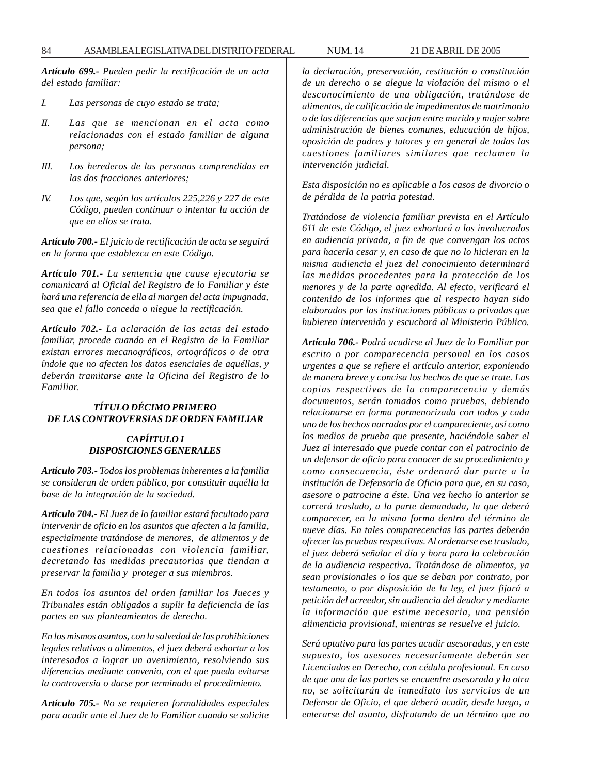*Artículo 699.- Pueden pedir la rectificación de un acta del estado familiar:*

- *I. Las personas de cuyo estado se trata;*
- *II. Las que se mencionan en el acta como relacionadas con el estado familiar de alguna persona;*
- *III. Los herederos de las personas comprendidas en las dos fracciones anteriores;*
- *IV. Los que, según los artículos 225,226 y 227 de este Código, pueden continuar o intentar la acción de que en ellos se trata.*

*Artículo 700.- El juicio de rectificación de acta se seguirá en la forma que establezca en este Código.*

*Artículo 701.- La sentencia que cause ejecutoria se comunicará al Oficial del Registro de lo Familiar y éste hará una referencia de ella al margen del acta impugnada, sea que el fallo conceda o niegue la rectificación.*

*Artículo 702.- La aclaración de las actas del estado familiar, procede cuando en el Registro de lo Familiar existan errores mecanográficos, ortográficos o de otra índole que no afecten los datos esenciales de aquéllas, y deberán tramitarse ante la Oficina del Registro de lo Familiar.*

#### *TÍTULO DÉCIMO PRIMERO DE LAS CONTROVERSIAS DE ORDEN FAMILIAR*

#### *CAPÍITULO I DISPOSICIONES GENERALES*

*Artículo 703.- Todos los problemas inherentes a la familia se consideran de orden público, por constituir aquélla la base de la integración de la sociedad.*

*Artículo 704.- El Juez de lo familiar estará facultado para intervenir de oficio en los asuntos que afecten a la familia, especialmente tratándose de menores, de alimentos y de cuestiones relacionadas con violencia familiar, decretando las medidas precautorias que tiendan a preservar la familia y proteger a sus miembros.*

*En todos los asuntos del orden familiar los Jueces y Tribunales están obligados a suplir la deficiencia de las partes en sus planteamientos de derecho.*

*En los mismos asuntos, con la salvedad de las prohibiciones legales relativas a alimentos, el juez deberá exhortar a los interesados a lograr un avenimiento, resolviendo sus diferencias mediante convenio, con el que pueda evitarse la controversia o darse por terminado el procedimiento.*

*Artículo 705.- No se requieren formalidades especiales para acudir ante el Juez de lo Familiar cuando se solicite* *la declaración, preservación, restitución o constitución de un derecho o se alegue la violación del mismo o el desconocimiento de una obligación, tratándose de alimentos, de calificación de impedimentos de matrimonio o de las diferencias que surjan entre marido y mujer sobre administración de bienes comunes, educación de hijos, oposición de padres y tutores y en general de todas las cuestiones familiares similares que reclamen la intervención judicial.*

*Esta disposición no es aplicable a los casos de divorcio o de pérdida de la patria potestad.*

*Tratándose de violencia familiar prevista en el Artículo 611 de este Código, el juez exhortará a los involucrados en audiencia privada, a fin de que convengan los actos para hacerla cesar y, en caso de que no lo hicieran en la misma audiencia el juez del conocimiento determinará las medidas procedentes para la protección de los menores y de la parte agredida. Al efecto, verificará el contenido de los informes que al respecto hayan sido elaborados por las instituciones públicas o privadas que hubieren intervenido y escuchará al Ministerio Público.*

*Artículo 706.- Podrá acudirse al Juez de lo Familiar por escrito o por comparecencia personal en los casos urgentes a que se refiere el artículo anterior, exponiendo de manera breve y concisa los hechos de que se trate. Las copias respectivas de la comparecencia y demás documentos, serán tomados como pruebas, debiendo relacionarse en forma pormenorizada con todos y cada uno de los hechos narrados por el compareciente, así como los medios de prueba que presente, haciéndole saber el Juez al interesado que puede contar con el patrocinio de un defensor de oficio para conocer de su procedimiento y como consecuencia, éste ordenará dar parte a la institución de Defensoría de Oficio para que, en su caso, asesore o patrocine a éste. Una vez hecho lo anterior se correrá traslado, a la parte demandada, la que deberá comparecer, en la misma forma dentro del término de nueve días. En tales comparecencias las partes deberán ofrecer las pruebas respectivas. Al ordenarse ese traslado, el juez deberá señalar el día y hora para la celebración de la audiencia respectiva. Tratándose de alimentos, ya sean provisionales o los que se deban por contrato, por testamento, o por disposición de la ley, el juez fijará a petición del acreedor, sin audiencia del deudor y mediante la información que estime necesaria, una pensión alimenticia provisional, mientras se resuelve el juicio.*

*Será optativo para las partes acudir asesoradas, y en este supuesto, los asesores necesariamente deberán ser Licenciados en Derecho, con cédula profesional. En caso de que una de las partes se encuentre asesorada y la otra no, se solicitarán de inmediato los servicios de un Defensor de Oficio, el que deberá acudir, desde luego, a enterarse del asunto, disfrutando de un término que no*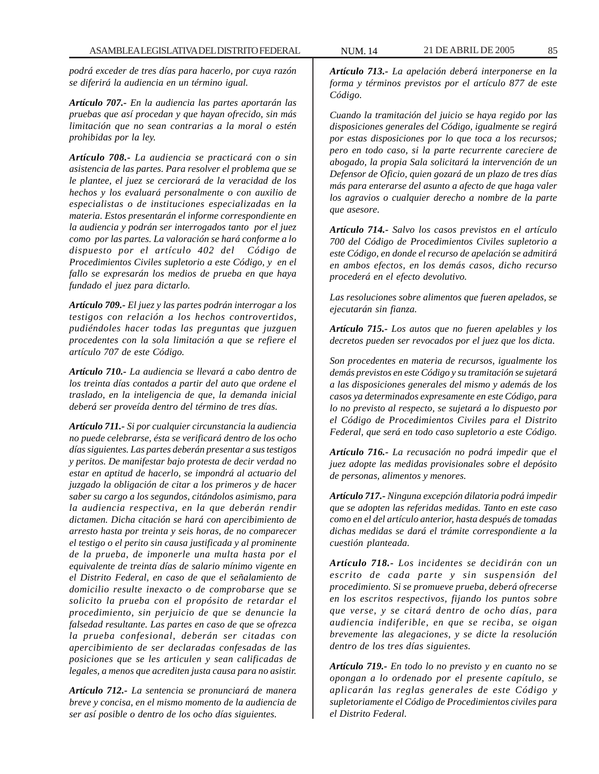*podrá exceder de tres días para hacerlo, por cuya razón se diferirá la audiencia en un término igual.*

*Artículo 707.- En la audiencia las partes aportarán las pruebas que así procedan y que hayan ofrecido, sin más limitación que no sean contrarias a la moral o estén prohibidas por la ley.*

*Artículo 708.- La audiencia se practicará con o sin asistencia de las partes. Para resolver el problema que se le plantee, el juez se cerciorará de la veracidad de los hechos y los evaluará personalmente o con auxilio de especialistas o de instituciones especializadas en la materia. Estos presentarán el informe correspondiente en la audiencia y podrán ser interrogados tanto por el juez como por las partes. La valoración se hará conforme a lo dispuesto por el artículo 402 del Código de Procedimientos Civiles supletorio a este Código, y en el fallo se expresarán los medios de prueba en que haya fundado el juez para dictarlo.*

*Artículo 709.- El juez y las partes podrán interrogar a los testigos con relación a los hechos controvertidos, pudiéndoles hacer todas las preguntas que juzguen procedentes con la sola limitación a que se refiere el artículo 707 de este Código.*

*Artículo 710.- La audiencia se llevará a cabo dentro de los treinta días contados a partir del auto que ordene el traslado, en la inteligencia de que, la demanda inicial deberá ser proveída dentro del término de tres días.*

*Artículo 711.- Si por cualquier circunstancia la audiencia no puede celebrarse, ésta se verificará dentro de los ocho días siguientes. Las partes deberán presentar a sus testigos y peritos. De manifestar bajo protesta de decir verdad no estar en aptitud de hacerlo, se impondrá al actuario del juzgado la obligación de citar a los primeros y de hacer saber su cargo a los segundos, citándolos asimismo, para la audiencia respectiva, en la que deberán rendir dictamen. Dicha citación se hará con apercibimiento de arresto hasta por treinta y seis horas, de no comparecer el testigo o el perito sin causa justificada y al prominente de la prueba, de imponerle una multa hasta por el equivalente de treinta días de salario mínimo vigente en el Distrito Federal, en caso de que el señalamiento de domicilio resulte inexacto o de comprobarse que se solicito la prueba con el propósito de retardar el procedimiento, sin perjuicio de que se denuncie la falsedad resultante. Las partes en caso de que se ofrezca la prueba confesional, deberán ser citadas con apercibimiento de ser declaradas confesadas de las posiciones que se les articulen y sean calificadas de legales, a menos que acrediten justa causa para no asistir.*

*Artículo 712.- La sentencia se pronunciará de manera breve y concisa, en el mismo momento de la audiencia de ser así posible o dentro de los ocho días siguientes.*

*Artículo 713.- La apelación deberá interponerse en la forma y términos previstos por el artículo 877 de este Código.*

*Cuando la tramitación del juicio se haya regido por las disposiciones generales del Código, igualmente se regirá por estas disposiciones por lo que toca a los recursos; pero en todo caso, si la parte recurrente careciere de abogado, la propia Sala solicitará la intervención de un Defensor de Oficio, quien gozará de un plazo de tres días más para enterarse del asunto a afecto de que haga valer los agravios o cualquier derecho a nombre de la parte que asesore.*

*Artículo 714.- Salvo los casos previstos en el artículo 700 del Código de Procedimientos Civiles supletorio a este Código, en donde el recurso de apelación se admitirá en ambos efectos, en los demás casos, dicho recurso procederá en el efecto devolutivo.*

*Las resoluciones sobre alimentos que fueren apelados, se ejecutarán sin fianza.*

*Artículo 715.- Los autos que no fueren apelables y los decretos pueden ser revocados por el juez que los dicta.*

*Son procedentes en materia de recursos, igualmente los demás previstos en este Código y su tramitación se sujetará a las disposiciones generales del mismo y además de los casos ya determinados expresamente en este Código, para lo no previsto al respecto, se sujetará a lo dispuesto por el Código de Procedimientos Civiles para el Distrito Federal, que será en todo caso supletorio a este Código.*

*Artículo 716.- La recusación no podrá impedir que el juez adopte las medidas provisionales sobre el depósito de personas, alimentos y menores.*

*Artículo 717.- Ninguna excepción dilatoria podrá impedir que se adopten las referidas medidas. Tanto en este caso como en el del artículo anterior, hasta después de tomadas dichas medidas se dará el trámite correspondiente a la cuestión planteada.*

*Artículo 718.- Los incidentes se decidirán con un escrito de cada parte y sin suspensión del procedimiento. Si se promueve prueba, deberá ofrecerse en los escritos respectivos, fijando los puntos sobre que verse, y se citará dentro de ocho días, para audiencia indiferible, en que se reciba, se oigan brevemente las alegaciones, y se dicte la resolución dentro de los tres días siguientes.*

*Artículo 719.- En todo lo no previsto y en cuanto no se opongan a lo ordenado por el presente capítulo, se aplicarán las reglas generales de este Código y supletoriamente el Código de Procedimientos civiles para el Distrito Federal.*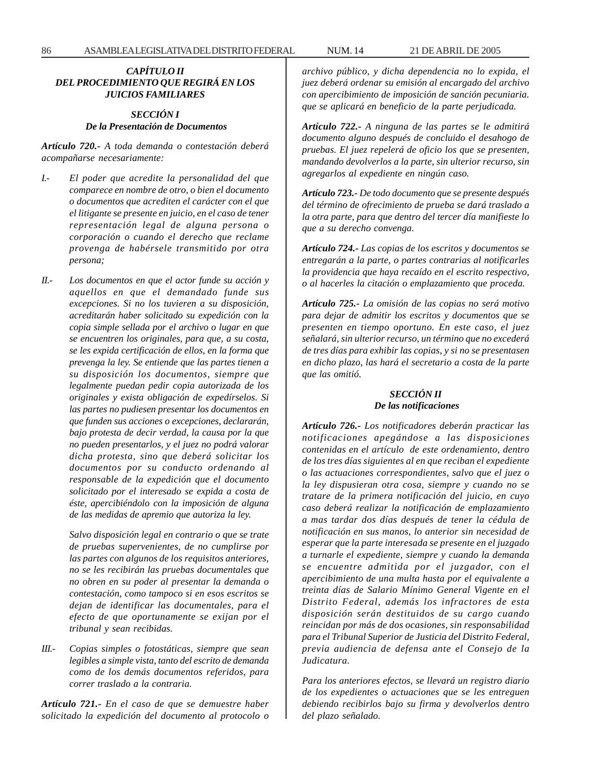# *CAPÍTULO II DEL PROCEDIMIENTO QUE REGIRÁ EN LOS JUICIOS FAMILIARES*

# *SECCIÓN I De la Presentación de Documentos*

*Artículo 720.- A toda demanda o contestación deberá acompañarse necesariamente:*

- *I.- El poder que acredite la personalidad del que comparece en nombre de otro, o bien el documento o documentos que acrediten el carácter con el que el litigante se presente en juicio, en el caso de tener representación legal de alguna persona o corporación o cuando el derecho que reclame provenga de habérsele transmitido por otra persona;*
- *II.- Los documentos en que el actor funde su acción y aquellos en que el demandado funde sus excepciones. Si no los tuvieren a su disposición, acreditarán haber solicitado su expedición con la copia simple sellada por el archivo o lugar en que se encuentren los originales, para que, a su costa, se les expida certificación de ellos, en la forma que prevenga la ley. Se entiende que las partes tienen a su disposición los documentos, siempre que legalmente puedan pedir copia autorizada de los originales y exista obligación de expedírselos. Si las partes no pudiesen presentar los documentos en que funden sus acciones o excepciones, declararán, bajo protesta de decir verdad, la causa por la que no pueden presentarlos, y el juez no podrá valorar dicha protesta, sino que deberá solicitar los documentos por su conducto ordenando al responsable de la expedición que el documento solicitado por el interesado se expida a costa de éste, apercibiéndolo con la imposición de alguna de las medidas de apremio que autoriza la ley.*

*Salvo disposición legal en contrario o que se trate de pruebas supervenientes, de no cumplirse por las partes con algunos de los requisitos anteriores, no se les recibirán las pruebas documentales que no obren en su poder al presentar la demanda o contestación, como tampoco si en esos escritos se dejan de identificar las documentales, para el efecto de que oportunamente se exijan por el tribunal y sean recibidas.*

*III.- Copias simples o fotostáticas, siempre que sean legibles a simple vista, tanto del escrito de demanda como de los demás documentos referidos, para correr traslado a la contraria.*

*Artículo 721.- En el caso de que se demuestre haber solicitado la expedición del documento al protocolo o* *archivo público, y dicha dependencia no lo expida, el juez deberá ordenar su emisión al encargado del archivo con apercibimiento de imposición de sanción pecuniaria. que se aplicará en beneficio de la parte perjudicada.*

*Artículo 722.- A ninguna de las partes se le admitirá documento alguno después de concluido el desahogo de pruebas. El juez repelerá de oficio los que se presenten, mandando devolverlos a la parte, sin ulterior recurso, sin agregarlos al expediente en ningún caso.*

*Artículo 723.- De todo documento que se presente después del término de ofrecimiento de prueba se dará traslado a la otra parte, para que dentro del tercer día manifieste lo que a su derecho convenga.*

*Artículo 724.- Las copias de los escritos y documentos se entregarán a la parte, o partes contrarias al notificarles la providencia que haya recaído en el escrito respectivo, o al hacerles la citación o emplazamiento que proceda.*

*Artículo 725.- La omisión de las copias no será motivo para dejar de admitir los escritos y documentos que se presenten en tiempo oportuno. En este caso, el juez señalará, sin ulterior recurso, un término que no excederá de tres días para exhibir las copias, y si no se presentasen en dicho plazo, las hará el secretario a costa de la parte que las omitió.*

# *SECCIÓN II De las notificaciones*

*Artículo 726.- Los notificadores deberán practicar las notificaciones apegándose a las disposiciones contenidas en el artículo de este ordenamiento, dentro de los tres días siguientes al en que reciban el expediente o las actuaciones correspondientes, salvo que el juez o la ley dispusieran otra cosa, siempre y cuando no se tratare de la primera notificación del juicio, en cuyo caso deberá realizar la notificación de emplazamiento a mas tardar dos días después de tener la cédula de notificación en sus manos, lo anterior sin necesidad de esperar que la parte interesada se presente en el juzgado a turnarle el expediente, siempre y cuando la demanda se encuentre admitida por el juzgador, con el apercibimiento de una multa hasta por el equivalente a treinta días de Salario Mínimo General Vigente en el Distrito Federal, además los infractores de esta disposición serán destituidos de su cargo cuando reincidan por más de dos ocasiones, sin responsabilidad para el Tribunal Superior de Justicia del Distrito Federal, previa audiencia de defensa ante el Consejo de la Judicatura.*

*Para los anteriores efectos, se llevará un registro diario de los expedientes o actuaciones que se les entreguen debiendo recibirlos bajo su firma y devolverlos dentro del plazo señalado.*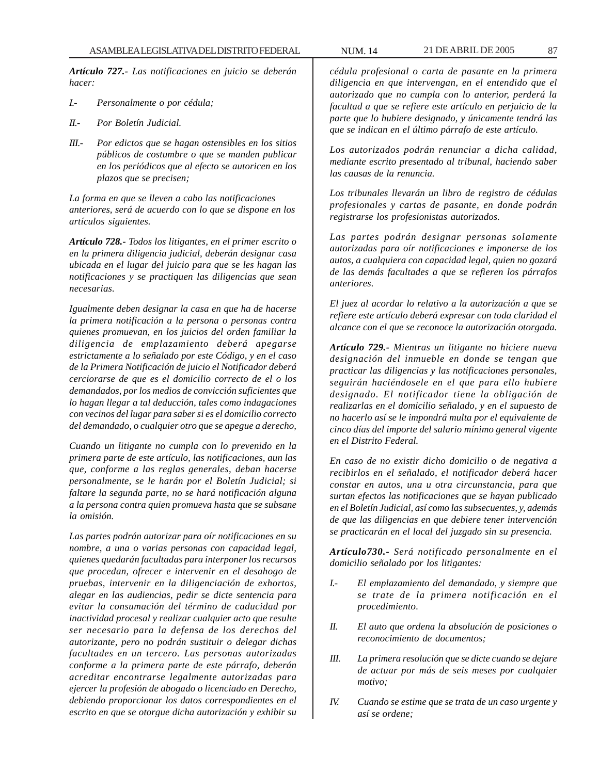*Artículo 727.- Las notificaciones en juicio se deberán hacer:*

- *I.- Personalmente o por cédula;*
- *II.- Por Boletín Judicial.*
- *III.- Por edictos que se hagan ostensibles en los sitios públicos de costumbre o que se manden publicar en los periódicos que al efecto se autoricen en los plazos que se precisen;*

*La forma en que se lleven a cabo las notificaciones anteriores, será de acuerdo con lo que se dispone en los artículos siguientes.*

*Artículo 728.- Todos los litigantes, en el primer escrito o en la primera diligencia judicial, deberán designar casa ubicada en el lugar del juicio para que se les hagan las notificaciones y se practiquen las diligencias que sean necesarias.*

*Igualmente deben designar la casa en que ha de hacerse la primera notificación a la persona o personas contra quienes promuevan, en los juicios del orden familiar la diligencia de emplazamiento deberá apegarse estrictamente a lo señalado por este Código, y en el caso de la Primera Notificación de juicio el Notificador deberá cerciorarse de que es el domicilio correcto de el o los demandados, por los medios de convicción suficientes que lo hagan llegar a tal deducción, tales como indagaciones con vecinos del lugar para saber si es el domicilio correcto del demandado, o cualquier otro que se apegue a derecho,*

*Cuando un litigante no cumpla con lo prevenido en la primera parte de este artículo, las notificaciones, aun las que, conforme a las reglas generales, deban hacerse personalmente, se le harán por el Boletín Judicial; si faltare la segunda parte, no se hará notificación alguna a la persona contra quien promueva hasta que se subsane la omisión.*

*Las partes podrán autorizar para oír notificaciones en su nombre, a una o varias personas con capacidad legal, quienes quedarán facultadas para interponer los recursos que procedan, ofrecer e intervenir en el desahogo de pruebas, intervenir en la diligenciación de exhortos, alegar en las audiencias, pedir se dicte sentencia para evitar la consumación del término de caducidad por inactividad procesal y realizar cualquier acto que resulte ser necesario para la defensa de los derechos del autorizante, pero no podrán sustituir o delegar dichas facultades en un tercero. Las personas autorizadas conforme a la primera parte de este párrafo, deberán acreditar encontrarse legalmente autorizadas para ejercer la profesión de abogado o licenciado en Derecho, debiendo proporcionar los datos correspondientes en el escrito en que se otorgue dicha autorización y exhibir su*

*cédula profesional o carta de pasante en la primera diligencia en que intervengan, en el entendido que el autorizado que no cumpla con lo anterior, perderá la facultad a que se refiere este artículo en perjuicio de la parte que lo hubiere designado, y únicamente tendrá las que se indican en el último párrafo de este artículo.*

*Los autorizados podrán renunciar a dicha calidad, mediante escrito presentado al tribunal, haciendo saber las causas de la renuncia.*

*Los tribunales llevarán un libro de registro de cédulas profesionales y cartas de pasante, en donde podrán registrarse los profesionistas autorizados.*

*Las partes podrán designar personas solamente autorizadas para oír notificaciones e imponerse de los autos, a cualquiera con capacidad legal, quien no gozará de las demás facultades a que se refieren los párrafos anteriores.*

*El juez al acordar lo relativo a la autorización a que se refiere este artículo deberá expresar con toda claridad el alcance con el que se reconoce la autorización otorgada.*

*Artículo 729.- Mientras un litigante no hiciere nueva designación del inmueble en donde se tengan que practicar las diligencias y las notificaciones personales, seguirán haciéndosele en el que para ello hubiere designado. El notificador tiene la obligación de realizarlas en el domicilio señalado, y en el supuesto de no hacerlo así se le impondrá multa por el equivalente de cinco días del importe del salario mínimo general vigente en el Distrito Federal.*

*En caso de no existir dicho domicilio o de negativa a recibirlos en el señalado, el notificador deberá hacer constar en autos, una u otra circunstancia, para que surtan efectos las notificaciones que se hayan publicado en el Boletín Judicial, así como las subsecuentes, y, además de que las diligencias en que debiere tener intervención se practicarán en el local del juzgado sin su presencia.*

*Artículo730.- Será notificado personalmente en el domicilio señalado por los litigantes:*

- *I.- El emplazamiento del demandado, y siempre que se trate de la primera notificación en el procedimiento.*
- *II. El auto que ordena la absolución de posiciones o reconocimiento de documentos;*
- *III. La primera resolución que se dicte cuando se dejare de actuar por más de seis meses por cualquier motivo;*
- *IV. Cuando se estime que se trata de un caso urgente y así se ordene;*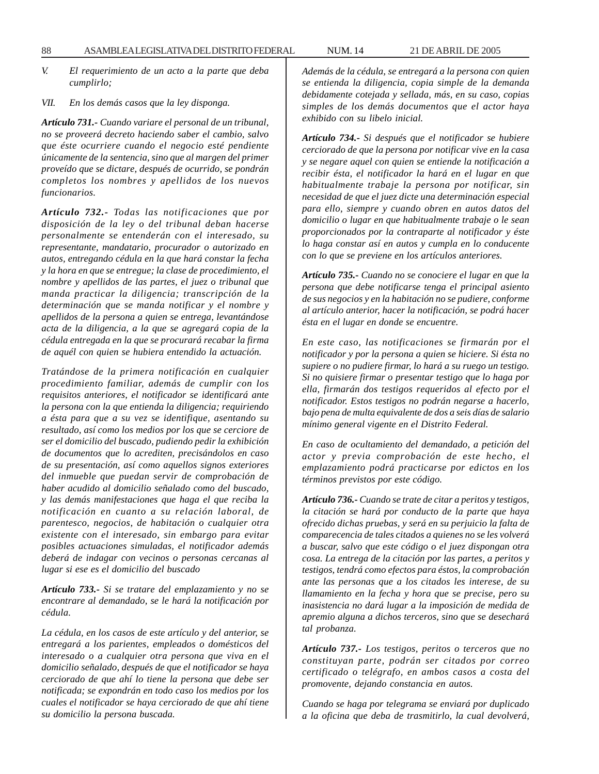*V. El requerimiento de un acto a la parte que deba cumplirlo;*

*VII. En los demás casos que la ley disponga.*

*Artículo 731.- Cuando variare el personal de un tribunal, no se proveerá decreto haciendo saber el cambio, salvo que éste ocurriere cuando el negocio esté pendiente únicamente de la sentencia, sino que al margen del primer proveído que se dictare, después de ocurrido, se pondrán completos los nombres y apellidos de los nuevos funcionarios.*

*Artículo 732.- Todas las notificaciones que por disposición de la ley o del tribunal deban hacerse personalmente se entenderán con el interesado, su representante, mandatario, procurador o autorizado en autos, entregando cédula en la que hará constar la fecha y la hora en que se entregue; la clase de procedimiento, el nombre y apellidos de las partes, el juez o tribunal que manda practicar la diligencia; transcripción de la determinación que se manda notificar y el nombre y apellidos de la persona a quien se entrega, levantándose acta de la diligencia, a la que se agregará copia de la cédula entregada en la que se procurará recabar la firma de aquél con quien se hubiera entendido la actuación.*

*Tratándose de la primera notificación en cualquier procedimiento familiar, además de cumplir con los requisitos anteriores, el notificador se identificará ante la persona con la que entienda la diligencia; requiriendo a ésta para que a su vez se identifique, asentando su resultado, así como los medios por los que se cerciore de ser el domicilio del buscado, pudiendo pedir la exhibición de documentos que lo acrediten, precisándolos en caso de su presentación, así como aquellos signos exteriores del inmueble que puedan servir de comprobación de haber acudido al domicilio señalado como del buscado, y las demás manifestaciones que haga el que reciba la notificación en cuanto a su relación laboral, de parentesco, negocios, de habitación o cualquier otra existente con el interesado, sin embargo para evitar posibles actuaciones simuladas, el notificador además deberá de indagar con vecinos o personas cercanas al lugar si ese es el domicilio del buscado*

*Artículo 733.- Si se tratare del emplazamiento y no se encontrare al demandado, se le hará la notificación por cédula.*

*La cédula, en los casos de este artículo y del anterior, se entregará a los parientes, empleados o domésticos del interesado o a cualquier otra persona que viva en el domicilio señalado, después de que el notificador se haya cerciorado de que ahí lo tiene la persona que debe ser notificada; se expondrán en todo caso los medios por los cuales el notificador se haya cerciorado de que ahí tiene su domicilio la persona buscada.*

*Además de la cédula, se entregará a la persona con quien se entienda la diligencia, copia simple de la demanda debidamente cotejada y sellada, más, en su caso, copias simples de los demás documentos que el actor haya exhibido con su libelo inicial.*

*Artículo 734.- Si después que el notificador se hubiere cerciorado de que la persona por notificar vive en la casa y se negare aquel con quien se entiende la notificación a recibir ésta, el notificador la hará en el lugar en que habitualmente trabaje la persona por notificar, sin necesidad de que el juez dicte una determinación especial para ello, siempre y cuando obren en autos datos del domicilio o lugar en que habitualmente trabaje o le sean proporcionados por la contraparte al notificador y éste lo haga constar así en autos y cumpla en lo conducente con lo que se previene en los artículos anteriores.*

*Artículo 735.- Cuando no se conociere el lugar en que la persona que debe notificarse tenga el principal asiento de sus negocios y en la habitación no se pudiere, conforme al artículo anterior, hacer la notificación, se podrá hacer ésta en el lugar en donde se encuentre.*

*En este caso, las notificaciones se firmarán por el notificador y por la persona a quien se hiciere. Si ésta no supiere o no pudiere firmar, lo hará a su ruego un testigo. Si no quisiere firmar o presentar testigo que lo haga por ella, firmarán dos testigos requeridos al efecto por el notificador. Estos testigos no podrán negarse a hacerlo, bajo pena de multa equivalente de dos a seis días de salario mínimo general vigente en el Distrito Federal.*

*En caso de ocultamiento del demandado, a petición del actor y previa comprobación de este hecho, el emplazamiento podrá practicarse por edictos en los términos previstos por este código.*

*Artículo 736.- Cuando se trate de citar a peritos y testigos, la citación se hará por conducto de la parte que haya ofrecido dichas pruebas, y será en su perjuicio la falta de comparecencia de tales citados a quienes no se les volverá a buscar, salvo que este código o el juez dispongan otra cosa. La entrega de la citación por las partes, a peritos y testigos, tendrá como efectos para éstos, la comprobación ante las personas que a los citados les interese, de su llamamiento en la fecha y hora que se precise, pero su inasistencia no dará lugar a la imposición de medida de apremio alguna a dichos terceros, sino que se desechará tal probanza.*

*Artículo 737.- Los testigos, peritos o terceros que no constituyan parte, podrán ser citados por correo certificado o telégrafo, en ambos casos a costa del promovente, dejando constancia en autos.*

*Cuando se haga por telegrama se enviará por duplicado a la oficina que deba de trasmitirlo, la cual devolverá,*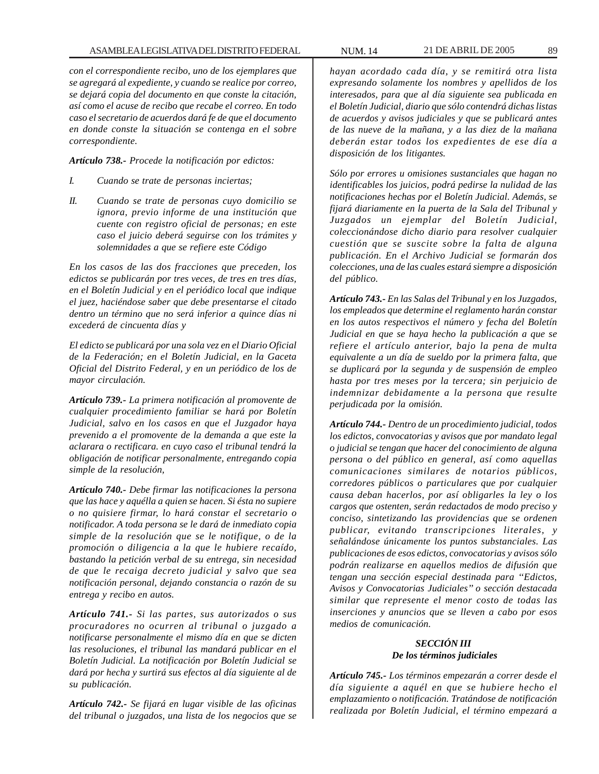*con el correspondiente recibo, uno de los ejemplares que se agregará al expediente, y cuando se realice por correo, se dejará copia del documento en que conste la citación, así como el acuse de recibo que recabe el correo. En todo caso el secretario de acuerdos dará fe de que el documento en donde conste la situación se contenga en el sobre correspondiente.*

*Artículo 738.- Procede la notificación por edictos:*

- *I. Cuando se trate de personas inciertas;*
- *II. Cuando se trate de personas cuyo domicilio se ignora, previo informe de una institución que cuente con registro oficial de personas; en este caso el juicio deberá seguirse con los trámites y solemnidades a que se refiere este Código*

*En los casos de las dos fracciones que preceden, los edictos se publicarán por tres veces, de tres en tres días, en el Boletín Judicial y en el periódico local que indique el juez, haciéndose saber que debe presentarse el citado dentro un término que no será inferior a quince días ni excederá de cincuenta días y*

*El edicto se publicará por una sola vez en el Diario Oficial de la Federación; en el Boletín Judicial, en la Gaceta Oficial del Distrito Federal, y en un periódico de los de mayor circulación.*

*Artículo 739.- La primera notificación al promovente de cualquier procedimiento familiar se hará por Boletín Judicial, salvo en los casos en que el Juzgador haya prevenido a el promovente de la demanda a que este la aclarara o rectificara. en cuyo caso el tribunal tendrá la obligación de notificar personalmente, entregando copia simple de la resolución,*

*Artículo 740.- Debe firmar las notificaciones la persona que las hace y aquélla a quien se hacen. Si ésta no supiere o no quisiere firmar, lo hará constar el secretario o notificador. A toda persona se le dará de inmediato copia simple de la resolución que se le notifique, o de la promoción o diligencia a la que le hubiere recaído, bastando la petición verbal de su entrega, sin necesidad de que le recaiga decreto judicial y salvo que sea notificación personal, dejando constancia o razón de su entrega y recibo en autos.*

*Artículo 741.- Si las partes, sus autorizados o sus procuradores no ocurren al tribunal o juzgado a notificarse personalmente el mismo día en que se dicten las resoluciones, el tribunal las mandará publicar en el Boletín Judicial. La notificación por Boletín Judicial se dará por hecha y surtirá sus efectos al día siguiente al de su publicación.*

*Artículo 742.- Se fijará en lugar visible de las oficinas del tribunal o juzgados, una lista de los negocios que se* *hayan acordado cada día, y se remitirá otra lista expresando solamente los nombres y apellidos de los interesados, para que al día siguiente sea publicada en el Boletín Judicial, diario que sólo contendrá dichas listas de acuerdos y avisos judiciales y que se publicará antes de las nueve de la mañana, y a las diez de la mañana deberán estar todos los expedientes de ese día a disposición de los litigantes.*

*Sólo por errores u omisiones sustanciales que hagan no identificables los juicios, podrá pedirse la nulidad de las notificaciones hechas por el Boletín Judicial. Además, se fijará diariamente en la puerta de la Sala del Tribunal y Juzgados un ejemplar del Boletín Judicial, coleccionándose dicho diario para resolver cualquier cuestión que se suscite sobre la falta de alguna publicación. En el Archivo Judicial se formarán dos colecciones, una de las cuales estará siempre a disposición del público.*

*Artículo 743.- En las Salas del Tribunal y en los Juzgados, los empleados que determine el reglamento harán constar en los autos respectivos el número y fecha del Boletín Judicial en que se haya hecho la publicación a que se refiere el artículo anterior, bajo la pena de multa equivalente a un día de sueldo por la primera falta, que se duplicará por la segunda y de suspensión de empleo hasta por tres meses por la tercera; sin perjuicio de indemnizar debidamente a la persona que resulte perjudicada por la omisión.*

*Artículo 744.- Dentro de un procedimiento judicial, todos los edictos, convocatorias y avisos que por mandato legal o judicial se tengan que hacer del conocimiento de alguna persona o del público en general, así como aquellas comunicaciones similares de notarios públicos, corredores públicos o particulares que por cualquier causa deban hacerlos, por así obligarles la ley o los cargos que ostenten, serán redactados de modo preciso y conciso, sintetizando las providencias que se ordenen publicar, evitando transcripciones literales, y señalándose únicamente los puntos substanciales. Las publicaciones de esos edictos, convocatorias y avisos sólo podrán realizarse en aquellos medios de difusión que tengan una sección especial destinada para ''Edictos, Avisos y Convocatorias Judiciales'' o sección destacada similar que represente el menor costo de todas las inserciones y anuncios que se lleven a cabo por esos medios de comunicación.*

# *SECCIÓN III De los términos judiciales*

*Artículo 745.- Los términos empezarán a correr desde el día siguiente a aquél en que se hubiere hecho el emplazamiento o notificación. Tratándose de notificación realizada por Boletín Judicial, el término empezará a*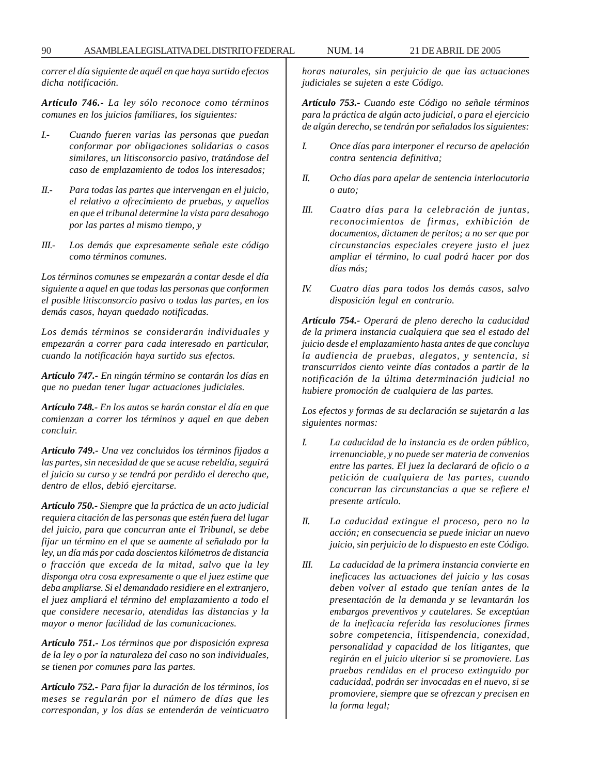*correr el día siguiente de aquél en que haya surtido efectos dicha notificación.*

*Artículo 746.- La ley sólo reconoce como términos comunes en los juicios familiares, los siguientes:*

- *I.- Cuando fueren varias las personas que puedan conformar por obligaciones solidarias o casos similares, un litisconsorcio pasivo, tratándose del caso de emplazamiento de todos los interesados;*
- *II.- Para todas las partes que intervengan en el juicio, el relativo a ofrecimiento de pruebas, y aquellos en que el tribunal determine la vista para desahogo por las partes al mismo tiempo, y*
- *III.- Los demás que expresamente señale este código como términos comunes.*

*Los términos comunes se empezarán a contar desde el día siguiente a aquel en que todas las personas que conformen el posible litisconsorcio pasivo o todas las partes, en los demás casos, hayan quedado notificadas.*

*Los demás términos se considerarán individuales y empezarán a correr para cada interesado en particular, cuando la notificación haya surtido sus efectos.*

*Artículo 747.- En ningún término se contarán los días en que no puedan tener lugar actuaciones judiciales.*

*Artículo 748.- En los autos se harán constar el día en que comienzan a correr los términos y aquel en que deben concluir.*

*Artículo 749.- Una vez concluidos los términos fijados a las partes, sin necesidad de que se acuse rebeldía, seguirá el juicio su curso y se tendrá por perdido el derecho que, dentro de ellos, debió ejercitarse.*

*Artículo 750.- Siempre que la práctica de un acto judicial requiera citación de las personas que estén fuera del lugar del juicio, para que concurran ante el Tribunal, se debe fijar un término en el que se aumente al señalado por la ley, un día más por cada doscientos kilómetros de distancia o fracción que exceda de la mitad, salvo que la ley disponga otra cosa expresamente o que el juez estime que deba ampliarse. Si el demandado residiere en el extranjero, el juez ampliará el término del emplazamiento a todo el que considere necesario, atendidas las distancias y la mayor o menor facilidad de las comunicaciones.*

*Artículo 751.- Los términos que por disposición expresa de la ley o por la naturaleza del caso no son individuales, se tienen por comunes para las partes.*

*Artículo 752.- Para fijar la duración de los términos, los meses se regularán por el número de días que les correspondan, y los días se entenderán de veinticuatro*

*horas naturales, sin perjuicio de que las actuaciones judiciales se sujeten a este Código.*

*Artículo 753.- Cuando este Código no señale términos para la práctica de algún acto judicial, o para el ejercicio de algún derecho, se tendrán por señalados los siguientes:*

- *I. Once días para interponer el recurso de apelación contra sentencia definitiva;*
- *II. Ocho días para apelar de sentencia interlocutoria o auto;*
- *III. Cuatro días para la celebración de juntas, reconocimientos de firmas, exhibición de documentos, dictamen de peritos; a no ser que por circunstancias especiales creyere justo el juez ampliar el término, lo cual podrá hacer por dos días más;*
- *IV. Cuatro días para todos los demás casos, salvo disposición legal en contrario.*

*Artículo 754.- Operará de pleno derecho la caducidad de la primera instancia cualquiera que sea el estado del juicio desde el emplazamiento hasta antes de que concluya la audiencia de pruebas, alegatos, y sentencia, si transcurridos ciento veinte días contados a partir de la notificación de la última determinación judicial no hubiere promoción de cualquiera de las partes.*

*Los efectos y formas de su declaración se sujetarán a las siguientes normas:*

- *I. La caducidad de la instancia es de orden público, irrenunciable, y no puede ser materia de convenios entre las partes. El juez la declarará de oficio o a petición de cualquiera de las partes, cuando concurran las circunstancias a que se refiere el presente artículo.*
- *II. La caducidad extingue el proceso, pero no la acción; en consecuencia se puede iniciar un nuevo juicio, sin perjuicio de lo dispuesto en este Código.*
- *III. La caducidad de la primera instancia convierte en ineficaces las actuaciones del juicio y las cosas deben volver al estado que tenían antes de la presentación de la demanda y se levantarán los embargos preventivos y cautelares. Se exceptúan de la ineficacia referida las resoluciones firmes sobre competencia, litispendencia, conexidad, personalidad y capacidad de los litigantes, que regirán en el juicio ulterior si se promoviere. Las pruebas rendidas en el proceso extinguido por caducidad, podrán ser invocadas en el nuevo, si se promoviere, siempre que se ofrezcan y precisen en la forma legal;*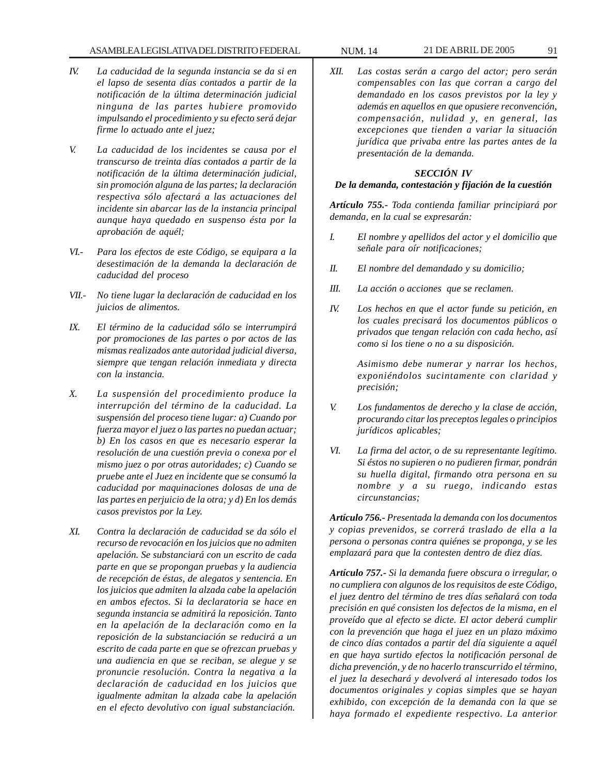### ASAMBLEA LEGISLATIVA DEL DISTRITO FEDERAL NUM. 14 21 DE ABRIL DE 2005 91

- *IV. La caducidad de la segunda instancia se da si en el lapso de sesenta días contados a partir de la notificación de la última determinación judicial ninguna de las partes hubiere promovido impulsando el procedimiento y su efecto será dejar firme lo actuado ante el juez;*
- *V. La caducidad de los incidentes se causa por el transcurso de treinta días contados a partir de la notificación de la última determinación judicial, sin promoción alguna de las partes; la declaración respectiva sólo afectará a las actuaciones del incidente sin abarcar las de la instancia principal aunque haya quedado en suspenso ésta por la aprobación de aquél;*
- *VI.- Para los efectos de este Código, se equipara a la desestimación de la demanda la declaración de caducidad del proceso*
- *VII.- No tiene lugar la declaración de caducidad en los juicios de alimentos.*
- *IX. El término de la caducidad sólo se interrumpirá por promociones de las partes o por actos de las mismas realizados ante autoridad judicial diversa, siempre que tengan relación inmediata y directa con la instancia.*
- *X. La suspensión del procedimiento produce la interrupción del término de la caducidad. La suspensión del proceso tiene lugar: a) Cuando por fuerza mayor el juez o las partes no puedan actuar; b) En los casos en que es necesario esperar la resolución de una cuestión previa o conexa por el mismo juez o por otras autoridades; c) Cuando se pruebe ante el Juez en incidente que se consumó la caducidad por maquinaciones dolosas de una de las partes en perjuicio de la otra; y d) En los demás casos previstos por la Ley.*
- *XI. Contra la declaración de caducidad se da sólo el recurso de revocación en los juicios que no admiten apelación. Se substanciará con un escrito de cada parte en que se propongan pruebas y la audiencia de recepción de éstas, de alegatos y sentencia. En los juicios que admiten la alzada cabe la apelación en ambos efectos. Si la declaratoria se hace en segunda instancia se admitirá la reposición. Tanto en la apelación de la declaración como en la reposición de la substanciación se reducirá a un escrito de cada parte en que se ofrezcan pruebas y una audiencia en que se reciban, se alegue y se pronuncie resolución. Contra la negativa a la declaración de caducidad en los juicios que igualmente admitan la alzada cabe la apelación en el efecto devolutivo con igual substanciación.*
- 
- *XII. Las costas serán a cargo del actor; pero serán compensables con las que corran a cargo del demandado en los casos previstos por la ley y además en aquellos en que opusiere reconvención, compensación, nulidad y, en general, las excepciones que tienden a variar la situación jurídica que privaba entre las partes antes de la presentación de la demanda.*

# *SECCIÓN IV*

#### *De la demanda, contestación y fijación de la cuestión*

*Artículo 755.- Toda contienda familiar principiará por demanda, en la cual se expresarán:*

- *I. El nombre y apellidos del actor y el domicilio que señale para oír notificaciones;*
- *II. El nombre del demandado y su domicilio;*
- *III. La acción o acciones que se reclamen.*
- *IV. Los hechos en que el actor funde su petición, en los cuales precisará los documentos públicos o privados que tengan relación con cada hecho, así como si los tiene o no a su disposición.*

*Asimismo debe numerar y narrar los hechos, exponiéndolos sucintamente con claridad y precisión;*

- *V. Los fundamentos de derecho y la clase de acción, procurando citar los preceptos legales o principios jurídicos aplicables;*
- *VI. La firma del actor, o de su representante legítimo. Si éstos no supieren o no pudieren firmar, pondrán su huella digital, firmando otra persona en su nombre y a su ruego, indicando estas circunstancias;*

*Artículo 756.- Presentada la demanda con los documentos y copias prevenidos, se correrá traslado de ella a la persona o personas contra quiénes se proponga, y se les emplazará para que la contesten dentro de diez días.*

*Artículo 757.- Si la demanda fuere obscura o irregular, o no cumpliera con algunos de los requisitos de este Código, el juez dentro del término de tres días señalará con toda precisión en qué consisten los defectos de la misma, en el proveído que al efecto se dicte. El actor deberá cumplir con la prevención que haga el juez en un plazo máximo de cinco días contados a partir del día siguiente a aquél en que haya surtido efectos la notificación personal de dicha prevención, y de no hacerlo transcurrido el término, el juez la desechará y devolverá al interesado todos los documentos originales y copias simples que se hayan exhibido, con excepción de la demanda con la que se haya formado el expediente respectivo. La anterior*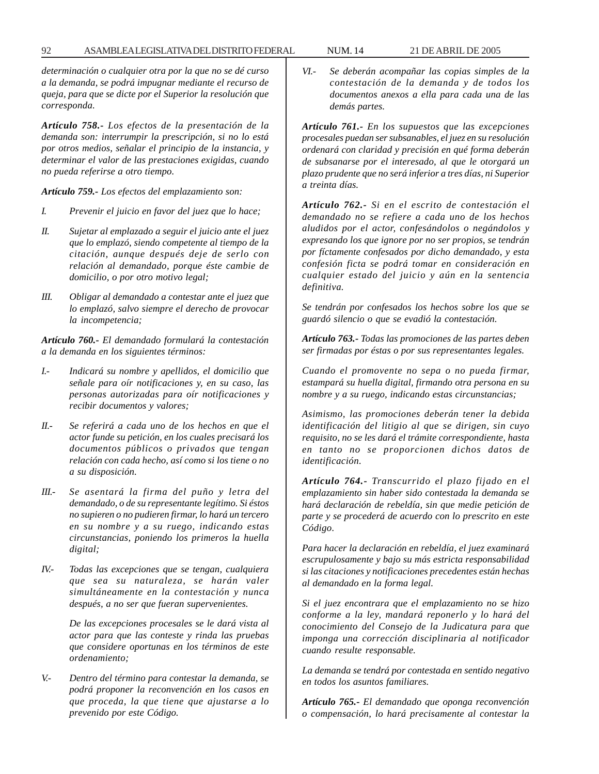*determinación o cualquier otra por la que no se dé curso a la demanda, se podrá impugnar mediante el recurso de queja, para que se dicte por el Superior la resolución que corresponda.*

*Artículo 758.- Los efectos de la presentación de la demanda son: interrumpir la prescripción, si no lo está por otros medios, señalar el principio de la instancia, y determinar el valor de las prestaciones exigidas, cuando no pueda referirse a otro tiempo.*

*Artículo 759.- Los efectos del emplazamiento son:*

- *I. Prevenir el juicio en favor del juez que lo hace;*
- *II. Sujetar al emplazado a seguir el juicio ante el juez que lo emplazó, siendo competente al tiempo de la citación, aunque después deje de serlo con relación al demandado, porque éste cambie de domicilio, o por otro motivo legal;*
- *III. Obligar al demandado a contestar ante el juez que lo emplazó, salvo siempre el derecho de provocar la incompetencia;*

*Artículo 760.- El demandado formulará la contestación a la demanda en los siguientes términos:*

- *I.- Indicará su nombre y apellidos, el domicilio que señale para oír notificaciones y, en su caso, las personas autorizadas para oír notificaciones y recibir documentos y valores;*
- *II.- Se referirá a cada uno de los hechos en que el actor funde su petición, en los cuales precisará los documentos públicos o privados que tengan relación con cada hecho, así como si los tiene o no a su disposición.*
- *III.- Se asentará la firma del puño y letra del demandado, o de su representante legítimo. Si éstos no supieren o no pudieren firmar, lo hará un tercero en su nombre y a su ruego, indicando estas circunstancias, poniendo los primeros la huella digital;*
- *IV.- Todas las excepciones que se tengan, cualquiera que sea su naturaleza, se harán valer simultáneamente en la contestación y nunca después, a no ser que fueran supervenientes.*

*De las excepciones procesales se le dará vista al actor para que las conteste y rinda las pruebas que considere oportunas en los términos de este ordenamiento;*

*V.- Dentro del término para contestar la demanda, se podrá proponer la reconvención en los casos en que proceda, la que tiene que ajustarse a lo prevenido por este Código.*

*VI.- Se deberán acompañar las copias simples de la contestación de la demanda y de todos los documentos anexos a ella para cada una de las demás partes.*

*Artículo 761.- En los supuestos que las excepciones procesales puedan ser subsanables, el juez en su resolución ordenará con claridad y precisión en qué forma deberán de subsanarse por el interesado, al que le otorgará un plazo prudente que no será inferior a tres días, ni Superior a treinta días.*

*Artículo 762.- Si en el escrito de contestación el demandado no se refiere a cada uno de los hechos aludidos por el actor, confesándolos o negándolos y expresando los que ignore por no ser propios, se tendrán por fíctamente confesados por dicho demandado, y esta confesión ficta se podrá tomar en consideración en cualquier estado del juicio y aún en la sentencia definitiva.*

*Se tendrán por confesados los hechos sobre los que se guardó silencio o que se evadió la contestación.*

*Artículo 763.- Todas las promociones de las partes deben ser firmadas por éstas o por sus representantes legales.*

*Cuando el promovente no sepa o no pueda firmar, estampará su huella digital, firmando otra persona en su nombre y a su ruego, indicando estas circunstancias;*

*Asimismo, las promociones deberán tener la debida identificación del litigio al que se dirigen, sin cuyo requisito, no se les dará el trámite correspondiente, hasta en tanto no se proporcionen dichos datos de identificación.*

*Artículo 764.- Transcurrido el plazo fijado en el emplazamiento sin haber sido contestada la demanda se hará declaración de rebeldía, sin que medie petición de parte y se procederá de acuerdo con lo prescrito en este Código.*

*Para hacer la declaración en rebeldía, el juez examinará escrupulosamente y bajo su más estricta responsabilidad si las citaciones y notificaciones precedentes están hechas al demandado en la forma legal.*

*Si el juez encontrara que el emplazamiento no se hizo conforme a la ley, mandará reponerlo y lo hará del conocimiento del Consejo de la Judicatura para que imponga una corrección disciplinaria al notificador cuando resulte responsable.*

*La demanda se tendrá por contestada en sentido negativo en todos los asuntos familiares.*

*Artículo 765.- El demandado que oponga reconvención o compensación, lo hará precisamente al contestar la*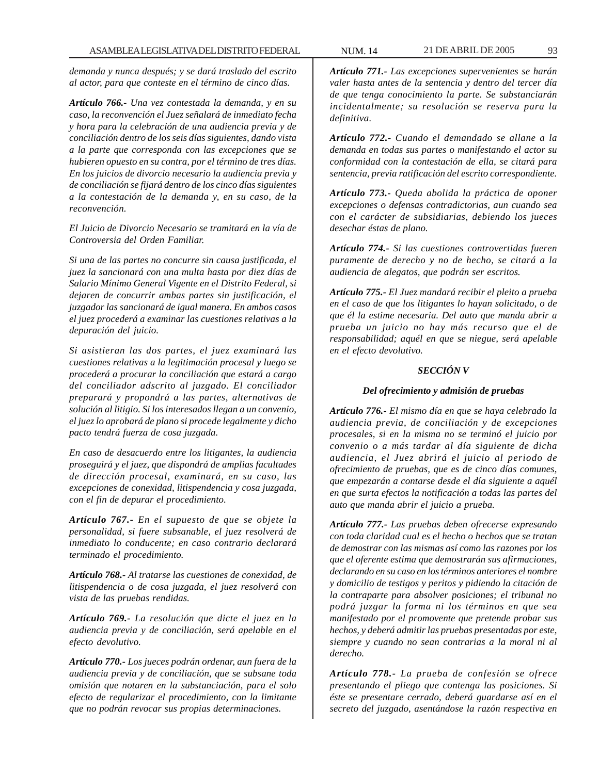*demanda y nunca después; y se dará traslado del escrito al actor, para que conteste en el término de cinco días.*

*Artículo 766.- Una vez contestada la demanda, y en su caso, la reconvención el Juez señalará de inmediato fecha y hora para la celebración de una audiencia previa y de conciliación dentro de los seis días siguientes, dando vista a la parte que corresponda con las excepciones que se hubieren opuesto en su contra, por el término de tres días. En los juicios de divorcio necesario la audiencia previa y de conciliación se fijará dentro de los cinco días siguientes a la contestación de la demanda y, en su caso, de la reconvención.*

*El Juicio de Divorcio Necesario se tramitará en la vía de Controversia del Orden Familiar.*

*Si una de las partes no concurre sin causa justificada, el juez la sancionará con una multa hasta por diez días de Salario Mínimo General Vigente en el Distrito Federal, si dejaren de concurrir ambas partes sin justificación, el juzgador las sancionará de igual manera. En ambos casos el juez procederá a examinar las cuestiones relativas a la depuración del juicio.*

*Si asistieran las dos partes, el juez examinará las cuestiones relativas a la legitimación procesal y luego se procederá a procurar la conciliación que estará a cargo del conciliador adscrito al juzgado. El conciliador preparará y propondrá a las partes, alternativas de solución al litigio. Si los interesados llegan a un convenio, el juez lo aprobará de plano si procede legalmente y dicho pacto tendrá fuerza de cosa juzgada.*

*En caso de desacuerdo entre los litigantes, la audiencia proseguirá y el juez, que dispondrá de amplias facultades de dirección procesal, examinará, en su caso, las excepciones de conexidad, litispendencia y cosa juzgada, con el fin de depurar el procedimiento.*

*Artículo 767.- En el supuesto de que se objete la personalidad, si fuere subsanable, el juez resolverá de inmediato lo conducente; en caso contrario declarará terminado el procedimiento.*

*Artículo 768.- Al tratarse las cuestiones de conexidad, de litispendencia o de cosa juzgada, el juez resolverá con vista de las pruebas rendidas.*

*Artículo 769.- La resolución que dicte el juez en la audiencia previa y de conciliación, será apelable en el efecto devolutivo.*

*Artículo 770.- Los jueces podrán ordenar, aun fuera de la audiencia previa y de conciliación, que se subsane toda omisión que notaren en la substanciación, para el solo efecto de regularizar el procedimiento, con la limitante que no podrán revocar sus propias determinaciones.*

*Artículo 771.- Las excepciones supervenientes se harán valer hasta antes de la sentencia y dentro del tercer día de que tenga conocimiento la parte. Se substanciarán incidentalmente; su resolución se reserva para la definitiva.*

*Artículo 772.- Cuando el demandado se allane a la demanda en todas sus partes o manifestando el actor su conformidad con la contestación de ella, se citará para sentencia, previa ratificación del escrito correspondiente.*

*Artículo 773.- Queda abolida la práctica de oponer excepciones o defensas contradictorias, aun cuando sea con el carácter de subsidiarias, debiendo los jueces desechar éstas de plano.*

*Artículo 774.- Si las cuestiones controvertidas fueren puramente de derecho y no de hecho, se citará a la audiencia de alegatos, que podrán ser escritos.*

*Artículo 775.- El Juez mandará recibir el pleito a prueba en el caso de que los litigantes lo hayan solicitado, o de que él la estime necesaria. Del auto que manda abrir a prueba un juicio no hay más recurso que el de responsabilidad; aquél en que se niegue, será apelable en el efecto devolutivo.*

### *SECCIÓN V*

#### *Del ofrecimiento y admisión de pruebas*

*Artículo 776.- El mismo día en que se haya celebrado la audiencia previa, de conciliación y de excepciones procesales, si en la misma no se terminó el juicio por convenio o a más tardar al día siguiente de dicha audiencia, el Juez abrirá el juicio al periodo de ofrecimiento de pruebas, que es de cinco días comunes, que empezarán a contarse desde el día siguiente a aquél en que surta efectos la notificación a todas las partes del auto que manda abrir el juicio a prueba.*

*Artículo 777.- Las pruebas deben ofrecerse expresando con toda claridad cual es el hecho o hechos que se tratan de demostrar con las mismas así como las razones por los que el oferente estima que demostrarán sus afirmaciones, declarando en su caso en los términos anteriores el nombre y domicilio de testigos y peritos y pidiendo la citación de la contraparte para absolver posiciones; el tribunal no podrá juzgar la forma ni los términos en que sea manifestado por el promovente que pretende probar sus hechos, y deberá admitir las pruebas presentadas por este, siempre y cuando no sean contrarias a la moral ni al derecho.*

*Artículo 778.- La prueba de confesión se ofrece presentando el pliego que contenga las posiciones. Si éste se presentare cerrado, deberá guardarse así en el secreto del juzgado, asentándose la razón respectiva en*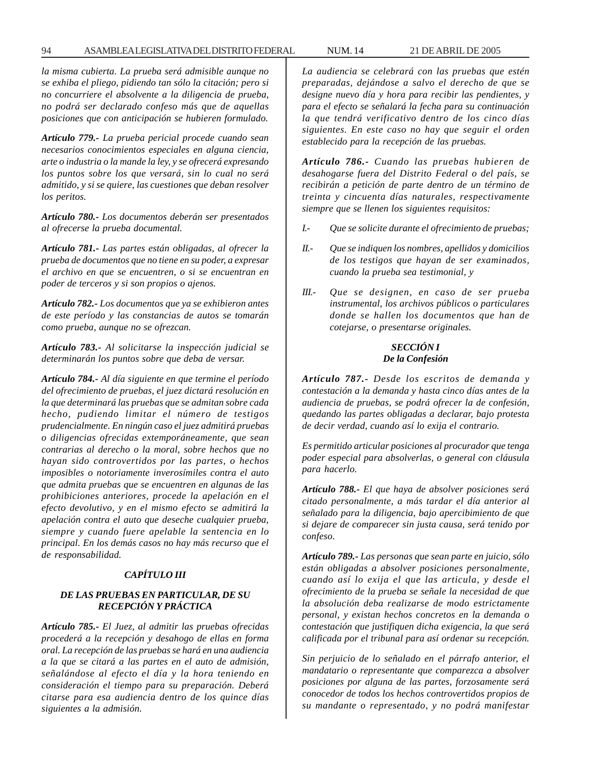*la misma cubierta. La prueba será admisible aunque no se exhiba el pliego, pidiendo tan sólo la citación; pero si no concurriere el absolvente a la diligencia de prueba, no podrá ser declarado confeso más que de aquellas posiciones que con anticipación se hubieren formulado.*

*Artículo 779.- La prueba pericial procede cuando sean necesarios conocimientos especiales en alguna ciencia, arte o industria o la mande la ley, y se ofrecerá expresando los puntos sobre los que versará, sin lo cual no será admitido, y si se quiere, las cuestiones que deban resolver los peritos.*

*Artículo 780.- Los documentos deberán ser presentados al ofrecerse la prueba documental.*

*Artículo 781.- Las partes están obligadas, al ofrecer la prueba de documentos que no tiene en su poder, a expresar el archivo en que se encuentren, o si se encuentran en poder de terceros y si son propios o ajenos.*

*Artículo 782.- Los documentos que ya se exhibieron antes de este período y las constancias de autos se tomarán como prueba, aunque no se ofrezcan.*

*Artículo 783.- Al solicitarse la inspección judicial se determinarán los puntos sobre que deba de versar.*

*Artículo 784.- Al día siguiente en que termine el período del ofrecimiento de pruebas, el juez dictará resolución en la que determinará las pruebas que se admitan sobre cada hecho, pudiendo limitar el número de testigos prudencialmente. En ningún caso el juez admitirá pruebas o diligencias ofrecidas extemporáneamente, que sean contrarias al derecho o la moral, sobre hechos que no hayan sido controvertidos por las partes, o hechos imposibles o notoriamente inverosímiles contra el auto que admita pruebas que se encuentren en algunas de las prohibiciones anteriores, procede la apelación en el efecto devolutivo, y en el mismo efecto se admitirá la apelación contra el auto que deseche cualquier prueba, siempre y cuando fuere apelable la sentencia en lo principal. En los demás casos no hay más recurso que el de responsabilidad.*

#### *CAPÍTULO III*

## *DE LAS PRUEBAS EN PARTICULAR, DE SU RECEPCIÓN Y PRÁCTICA*

*Artículo 785.- El Juez, al admitir las pruebas ofrecidas procederá a la recepción y desahogo de ellas en forma oral. La recepción de las pruebas se hará en una audiencia a la que se citará a las partes en el auto de admisión, señalándose al efecto el día y la hora teniendo en consideración el tiempo para su preparación. Deberá citarse para esa audiencia dentro de los quince días siguientes a la admisión.*

*La audiencia se celebrará con las pruebas que estén preparadas, dejándose a salvo el derecho de que se designe nuevo día y hora para recibir las pendientes, y para el efecto se señalará la fecha para su continuación la que tendrá verificativo dentro de los cinco días siguientes. En este caso no hay que seguir el orden establecido para la recepción de las pruebas.*

*Artículo 786.- Cuando las pruebas hubieren de desahogarse fuera del Distrito Federal o del país, se recibirán a petición de parte dentro de un término de treinta y cincuenta días naturales, respectivamente siempre que se llenen los siguientes requisitos:*

- *I.- Que se solicite durante el ofrecimiento de pruebas;*
- *II.- Que se indiquen los nombres, apellidos y domicilios de los testigos que hayan de ser examinados, cuando la prueba sea testimonial, y*
- *III.- Que se designen, en caso de ser prueba instrumental, los archivos públicos o particulares donde se hallen los documentos que han de cotejarse, o presentarse originales.*

#### *SECCIÓN I De la Confesión*

*Artículo 787.- Desde los escritos de demanda y contestación a la demanda y hasta cinco días antes de la audiencia de pruebas, se podrá ofrecer la de confesión, quedando las partes obligadas a declarar, bajo protesta de decir verdad, cuando así lo exija el contrario.*

*Es permitido articular posiciones al procurador que tenga poder especial para absolverlas, o general con cláusula para hacerlo.*

*Artículo 788.- El que haya de absolver posiciones será citado personalmente, a más tardar el día anterior al señalado para la diligencia, bajo apercibimiento de que si dejare de comparecer sin justa causa, será tenido por confeso.*

*Artículo 789.- Las personas que sean parte en juicio, sólo están obligadas a absolver posiciones personalmente, cuando así lo exija el que las articula, y desde el ofrecimiento de la prueba se señale la necesidad de que la absolución deba realizarse de modo estrictamente personal, y existan hechos concretos en la demanda o contestación que justifiquen dicha exigencia, la que será calificada por el tribunal para así ordenar su recepción.*

*Sin perjuicio de lo señalado en el párrafo anterior, el mandatario o representante que comparezca a absolver posiciones por alguna de las partes, forzosamente será conocedor de todos los hechos controvertidos propios de su mandante o representado, y no podrá manifestar*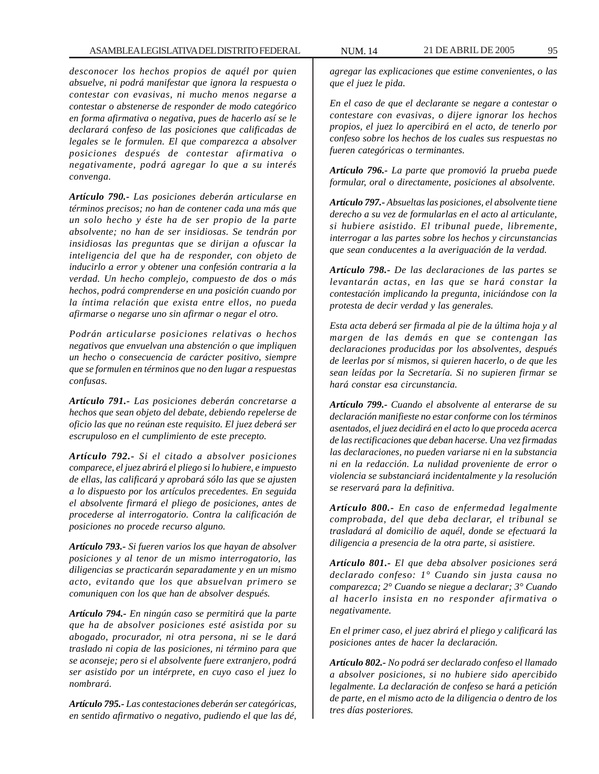*desconocer los hechos propios de aquél por quien absuelve, ni podrá manifestar que ignora la respuesta o contestar con evasivas, ni mucho menos negarse a contestar o abstenerse de responder de modo categórico en forma afirmativa o negativa, pues de hacerlo así se le declarará confeso de las posiciones que calificadas de legales se le formulen. El que comparezca a absolver posiciones después de contestar afirmativa o negativamente, podrá agregar lo que a su interés convenga.*

*Artículo 790.- Las posiciones deberán articularse en términos precisos; no han de contener cada una más que un solo hecho y éste ha de ser propio de la parte absolvente; no han de ser insidiosas. Se tendrán por insidiosas las preguntas que se dirijan a ofuscar la inteligencia del que ha de responder, con objeto de inducirlo a error y obtener una confesión contraria a la verdad. Un hecho complejo, compuesto de dos o más hechos, podrá comprenderse en una posición cuando por la íntima relación que exista entre ellos, no pueda afirmarse o negarse uno sin afirmar o negar el otro.*

*Podrán articularse posiciones relativas o hechos negativos que envuelvan una abstención o que impliquen un hecho o consecuencia de carácter positivo, siempre que se formulen en términos que no den lugar a respuestas confusas.*

*Artículo 791.- Las posiciones deberán concretarse a hechos que sean objeto del debate, debiendo repelerse de oficio las que no reúnan este requisito. El juez deberá ser escrupuloso en el cumplimiento de este precepto.*

*Artículo 792.- Si el citado a absolver posiciones comparece, el juez abrirá el pliego si lo hubiere, e impuesto de ellas, las calificará y aprobará sólo las que se ajusten a lo dispuesto por los artículos precedentes. En seguida el absolvente firmará el pliego de posiciones, antes de procederse al interrogatorio. Contra la calificación de posiciones no procede recurso alguno.*

*Artículo 793.- Si fueren varios los que hayan de absolver posiciones y al tenor de un mismo interrogatorio, las diligencias se practicarán separadamente y en un mismo acto, evitando que los que absuelvan primero se comuniquen con los que han de absolver después.*

*Artículo 794.- En ningún caso se permitirá que la parte que ha de absolver posiciones esté asistida por su abogado, procurador, ni otra persona, ni se le dará traslado ni copia de las posiciones, ni término para que se aconseje; pero si el absolvente fuere extranjero, podrá ser asistido por un intérprete, en cuyo caso el juez lo nombrará.*

*Artículo 795.- Las contestaciones deberán ser categóricas, en sentido afirmativo o negativo, pudiendo el que las dé,* *agregar las explicaciones que estime convenientes, o las que el juez le pida.*

*En el caso de que el declarante se negare a contestar o contestare con evasivas, o dijere ignorar los hechos propios, el juez lo apercibirá en el acto, de tenerlo por confeso sobre los hechos de los cuales sus respuestas no fueren categóricas o terminantes.*

*Artículo 796.- La parte que promovió la prueba puede formular, oral o directamente, posiciones al absolvente.*

*Artículo 797.- Absueltas las posiciones, el absolvente tiene derecho a su vez de formularlas en el acto al articulante, si hubiere asistido. El tribunal puede, libremente, interrogar a las partes sobre los hechos y circunstancias que sean conducentes a la averiguación de la verdad.*

*Artículo 798.- De las declaraciones de las partes se levantarán actas, en las que se hará constar la contestación implicando la pregunta, iniciándose con la protesta de decir verdad y las generales.*

*Esta acta deberá ser firmada al pie de la última hoja y al margen de las demás en que se contengan las declaraciones producidas por los absolventes, después de leerlas por sí mismos, si quieren hacerlo, o de que les sean leídas por la Secretaría. Si no supieren firmar se hará constar esa circunstancia.*

*Artículo 799.- Cuando el absolvente al enterarse de su declaración manifieste no estar conforme con los términos asentados, el juez decidirá en el acto lo que proceda acerca de las rectificaciones que deban hacerse. Una vez firmadas las declaraciones, no pueden variarse ni en la substancia ni en la redacción. La nulidad proveniente de error o violencia se substanciará incidentalmente y la resolución se reservará para la definitiva.*

*Artículo 800.- En caso de enfermedad legalmente comprobada, del que deba declarar, el tribunal se trasladará al domicilio de aquél, donde se efectuará la diligencia a presencia de la otra parte, si asistiere.*

*Artículo 801.- El que deba absolver posiciones será declarado confeso: 1° Cuando sin justa causa no comparezca; 2° Cuando se niegue a declarar; 3° Cuando al hacerlo insista en no responder afirmativa o negativamente.*

*En el primer caso, el juez abrirá el pliego y calificará las posiciones antes de hacer la declaración.*

*Artículo 802.- No podrá ser declarado confeso el llamado a absolver posiciones, si no hubiere sido apercibido legalmente. La declaración de confeso se hará a petición de parte, en el mismo acto de la diligencia o dentro de los tres días posteriores.*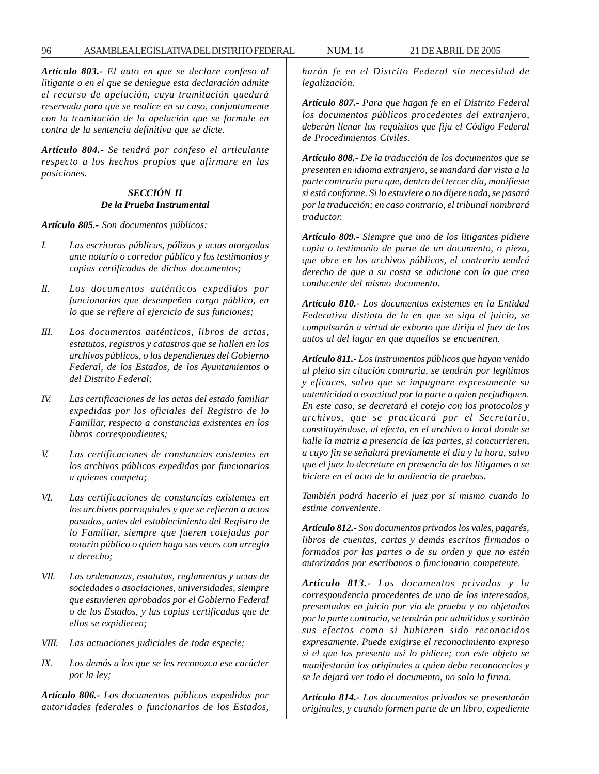*Artículo 803.- El auto en que se declare confeso al litigante o en el que se deniegue esta declaración admite el recurso de apelación, cuya tramitación quedará reservada para que se realice en su caso, conjuntamente con la tramitación de la apelación que se formule en contra de la sentencia definitiva que se dicte.*

*Artículo 804.- Se tendrá por confeso el articulante respecto a los hechos propios que afirmare en las posiciones.*

# *SECCIÓN II De la Prueba Instrumental*

*Artículo 805.- Son documentos públicos:*

- *I. Las escrituras públicas, pólizas y actas otorgadas ante notario o corredor público y los testimonios y copias certificadas de dichos documentos;*
- *II. Los documentos auténticos expedidos por funcionarios que desempeñen cargo público, en lo que se refiere al ejercicio de sus funciones;*
- *III. Los documentos auténticos, libros de actas, estatutos, registros y catastros que se hallen en los archivos públicos, o los dependientes del Gobierno Federal, de los Estados, de los Ayuntamientos o del Distrito Federal;*
- *IV. Las certificaciones de las actas del estado familiar expedidas por los oficiales del Registro de lo Familiar, respecto a constancias existentes en los libros correspondientes;*
- *V. Las certificaciones de constancias existentes en los archivos públicos expedidas por funcionarios a quienes competa;*
- *VI. Las certificaciones de constancias existentes en los archivos parroquiales y que se refieran a actos pasados, antes del establecimiento del Registro de lo Familiar, siempre que fueren cotejadas por notario público o quien haga sus veces con arreglo a derecho;*
- *VII. Las ordenanzas, estatutos, reglamentos y actas de sociedades o asociaciones, universidades, siempre que estuvieren aprobados por el Gobierno Federal o de los Estados, y las copias certificadas que de ellos se expidieren;*
- *VIII. Las actuaciones judiciales de toda especie;*
- *IX. Los demás a los que se les reconozca ese carácter por la ley;*

*Artículo 806.- Los documentos públicos expedidos por autoridades federales o funcionarios de los Estados,*

*harán fe en el Distrito Federal sin necesidad de legalización.*

*Artículo 807.- Para que hagan fe en el Distrito Federal los documentos públicos procedentes del extranjero, deberán llenar los requisitos que fija el Código Federal de Procedimientos Civiles.*

*Artículo 808.- De la traducción de los documentos que se presenten en idioma extranjero, se mandará dar vista a la parte contraria para que, dentro del tercer día, manifieste si está conforme. Si lo estuviere o no dijere nada, se pasará por la traducción; en caso contrario, el tribunal nombrará traductor.*

*Artículo 809.- Siempre que uno de los litigantes pidiere copia o testimonio de parte de un documento, o pieza, que obre en los archivos públicos, el contrario tendrá derecho de que a su costa se adicione con lo que crea conducente del mismo documento.*

*Artículo 810.- Los documentos existentes en la Entidad Federativa distinta de la en que se siga el juicio, se compulsarán a virtud de exhorto que dirija el juez de los autos al del lugar en que aquellos se encuentren.*

*Artículo 811.- Los instrumentos públicos que hayan venido al pleito sin citación contraria, se tendrán por legítimos y eficaces, salvo que se impugnare expresamente su autenticidad o exactitud por la parte a quien perjudiquen. En este caso, se decretará el cotejo con los protocolos y archivos, que se practicará por el Secretario, constituyéndose, al efecto, en el archivo o local donde se halle la matriz a presencia de las partes, si concurrieren, a cuyo fin se señalará previamente el día y la hora, salvo que el juez lo decretare en presencia de los litigantes o se hiciere en el acto de la audiencia de pruebas.*

*También podrá hacerlo el juez por sí mismo cuando lo estime conveniente.*

*Artículo 812.- Son documentos privados los vales, pagarés, libros de cuentas, cartas y demás escritos firmados o formados por las partes o de su orden y que no estén autorizados por escribanos o funcionario competente.*

*Artículo 813.- Los documentos privados y la correspondencia procedentes de uno de los interesados, presentados en juicio por vía de prueba y no objetados por la parte contraria, se tendrán por admitidos y surtirán sus efectos como si hubieren sido reconocidos expresamente. Puede exigirse el reconocimiento expreso si el que los presenta así lo pidiere; con este objeto se manifestarán los originales a quien deba reconocerlos y se le dejará ver todo el documento, no solo la firma.*

*Artículo 814.- Los documentos privados se presentarán originales, y cuando formen parte de un libro, expediente*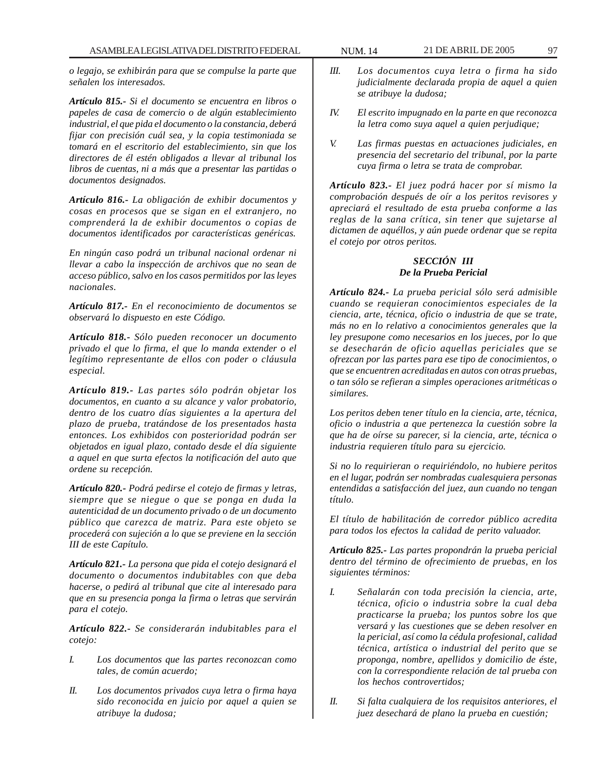*o legajo, se exhibirán para que se compulse la parte que señalen los interesados.*

*Artículo 815.- Si el documento se encuentra en libros o papeles de casa de comercio o de algún establecimiento industrial, el que pida el documento o la constancia, deberá fijar con precisión cuál sea, y la copia testimoniada se tomará en el escritorio del establecimiento, sin que los directores de él estén obligados a llevar al tribunal los libros de cuentas, ni a más que a presentar las partidas o documentos designados.*

*Artículo 816.- La obligación de exhibir documentos y cosas en procesos que se sigan en el extranjero, no comprenderá la de exhibir documentos o copias de documentos identificados por características genéricas.*

*En ningún caso podrá un tribunal nacional ordenar ni llevar a cabo la inspección de archivos que no sean de acceso público, salvo en los casos permitidos por las leyes nacionales.*

*Artículo 817.- En el reconocimiento de documentos se observará lo dispuesto en este Código.*

*Artículo 818.- Sólo pueden reconocer un documento privado el que lo firma, el que lo manda extender o el legítimo representante de ellos con poder o cláusula especial.*

*Artículo 819.- Las partes sólo podrán objetar los documentos, en cuanto a su alcance y valor probatorio, dentro de los cuatro días siguientes a la apertura del plazo de prueba, tratándose de los presentados hasta entonces. Los exhibidos con posterioridad podrán ser objetados en igual plazo, contado desde el día siguiente a aquel en que surta efectos la notificación del auto que ordene su recepción.*

*Artículo 820.- Podrá pedirse el cotejo de firmas y letras, siempre que se niegue o que se ponga en duda la autenticidad de un documento privado o de un documento público que carezca de matriz. Para este objeto se procederá con sujeción a lo que se previene en la sección III de este Capítulo.*

*Artículo 821.- La persona que pida el cotejo designará el documento o documentos indubitables con que deba hacerse, o pedirá al tribunal que cite al interesado para que en su presencia ponga la firma o letras que servirán para el cotejo.*

*Artículo 822.- Se considerarán indubitables para el cotejo:*

- *I. Los documentos que las partes reconozcan como tales, de común acuerdo;*
- *II. Los documentos privados cuya letra o firma haya sido reconocida en juicio por aquel a quien se atribuye la dudosa;*
- *III. Los documentos cuya letra o firma ha sido judicialmente declarada propia de aquel a quien se atribuye la dudosa;*
- *IV. El escrito impugnado en la parte en que reconozca la letra como suya aquel a quien perjudique;*
- *V. Las firmas puestas en actuaciones judiciales, en presencia del secretario del tribunal, por la parte cuya firma o letra se trata de comprobar.*

*Artículo 823.- El juez podrá hacer por sí mismo la comprobación después de oír a los peritos revisores y apreciará el resultado de esta prueba conforme a las reglas de la sana crítica, sin tener que sujetarse al dictamen de aquéllos, y aún puede ordenar que se repita el cotejo por otros peritos.*

#### *SECCIÓN III De la Prueba Pericial*

*Artículo 824.- La prueba pericial sólo será admisible cuando se requieran conocimientos especiales de la ciencia, arte, técnica, oficio o industria de que se trate, más no en lo relativo a conocimientos generales que la ley presupone como necesarios en los jueces, por lo que se desecharán de oficio aquellas periciales que se ofrezcan por las partes para ese tipo de conocimientos, o que se encuentren acreditadas en autos con otras pruebas, o tan sólo se refieran a simples operaciones aritméticas o similares.*

*Los peritos deben tener título en la ciencia, arte, técnica, oficio o industria a que pertenezca la cuestión sobre la que ha de oírse su parecer, si la ciencia, arte, técnica o industria requieren título para su ejercicio.*

*Si no lo requirieran o requiriéndolo, no hubiere peritos en el lugar, podrán ser nombradas cualesquiera personas entendidas a satisfacción del juez, aun cuando no tengan título.*

*El título de habilitación de corredor público acredita para todos los efectos la calidad de perito valuador.*

*Artículo 825.- Las partes propondrán la prueba pericial dentro del término de ofrecimiento de pruebas, en los siguientes términos:*

- *I. Señalarán con toda precisión la ciencia, arte, técnica, oficio o industria sobre la cual deba practicarse la prueba; los puntos sobre los que versará y las cuestiones que se deben resolver en la pericial, así como la cédula profesional, calidad técnica, artística o industrial del perito que se proponga, nombre, apellidos y domicilio de éste, con la correspondiente relación de tal prueba con los hechos controvertidos;*
- *II. Si falta cualquiera de los requisitos anteriores, el juez desechará de plano la prueba en cuestión;*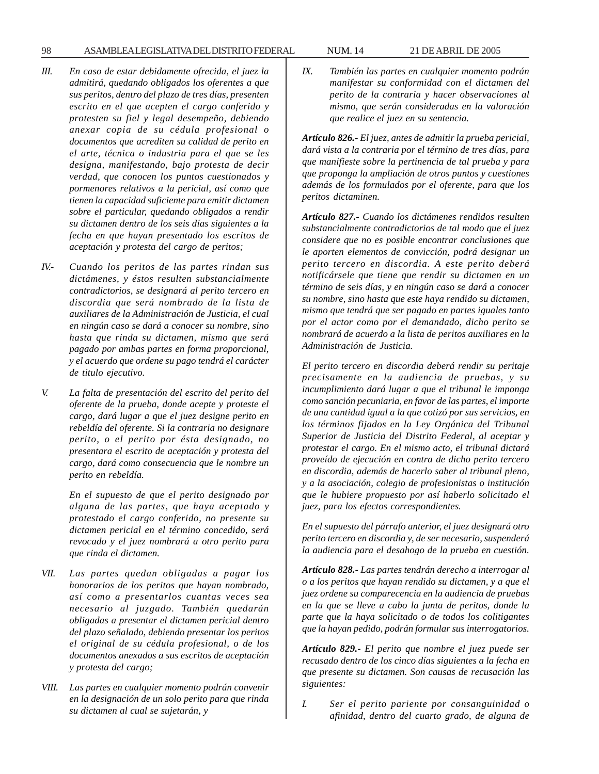98 ASAMBLEA LEGISLATIVA DEL DISTRITO FEDERAL NUM. 14 21 DE ABRIL DE 2005

- *III. En caso de estar debidamente ofrecida, el juez la admitirá, quedando obligados los oferentes a que sus peritos, dentro del plazo de tres días, presenten escrito en el que acepten el cargo conferido y protesten su fiel y legal desempeño, debiendo anexar copia de su cédula profesional o documentos que acrediten su calidad de perito en el arte, técnica o industria para el que se les designa, manifestando, bajo protesta de decir verdad, que conocen los puntos cuestionados y pormenores relativos a la pericial, así como que tienen la capacidad suficiente para emitir dictamen sobre el particular, quedando obligados a rendir su dictamen dentro de los seis días siguientes a la fecha en que hayan presentado los escritos de aceptación y protesta del cargo de peritos;*
- *IV.- Cuando los peritos de las partes rindan sus dictámenes, y éstos resulten substancialmente contradictorios, se designará al perito tercero en discordia que será nombrado de la lista de auxiliares de la Administración de Justicia, el cual en ningún caso se dará a conocer su nombre, sino hasta que rinda su dictamen, mismo que será pagado por ambas partes en forma proporcional, y el acuerdo que ordene su pago tendrá el carácter de titulo ejecutivo.*
- *V. La falta de presentación del escrito del perito del oferente de la prueba, donde acepte y proteste el cargo, dará lugar a que el juez designe perito en rebeldía del oferente. Si la contraria no designare perito, o el perito por ésta designado, no presentara el escrito de aceptación y protesta del cargo, dará como consecuencia que le nombre un perito en rebeldía.*

*En el supuesto de que el perito designado por alguna de las partes, que haya aceptado y protestado el cargo conferido, no presente su dictamen pericial en el término concedido, será revocado y el juez nombrará a otro perito para que rinda el dictamen.*

- *VII. Las partes quedan obligadas a pagar los honorarios de los peritos que hayan nombrado, así como a presentarlos cuantas veces sea necesario al juzgado. También quedarán obligadas a presentar el dictamen pericial dentro del plazo señalado, debiendo presentar los peritos el original de su cédula profesional, o de los documentos anexados a sus escritos de aceptación y protesta del cargo;*
- *VIII. Las partes en cualquier momento podrán convenir en la designación de un solo perito para que rinda su dictamen al cual se sujetarán, y*

*IX. También las partes en cualquier momento podrán manifestar su conformidad con el dictamen del perito de la contraria y hacer observaciones al mismo, que serán consideradas en la valoración que realice el juez en su sentencia.*

*Artículo 826.- El juez, antes de admitir la prueba pericial, dará vista a la contraria por el término de tres días, para que manifieste sobre la pertinencia de tal prueba y para que proponga la ampliación de otros puntos y cuestiones además de los formulados por el oferente, para que los peritos dictaminen.*

*Artículo 827.- Cuando los dictámenes rendidos resulten substancialmente contradictorios de tal modo que el juez considere que no es posible encontrar conclusiones que le aporten elementos de convicción, podrá designar un perito tercero en discordia. A este perito deberá notificársele que tiene que rendir su dictamen en un término de seis días, y en ningún caso se dará a conocer su nombre, sino hasta que este haya rendido su dictamen, mismo que tendrá que ser pagado en partes iguales tanto por el actor como por el demandado, dicho perito se nombrará de acuerdo a la lista de peritos auxiliares en la Administración de Justicia.*

*El perito tercero en discordia deberá rendir su peritaje precisamente en la audiencia de pruebas, y su incumplimiento dará lugar a que el tribunal le imponga como sanción pecuniaria, en favor de las partes, el importe de una cantidad igual a la que cotizó por sus servicios, en los términos fijados en la Ley Orgánica del Tribunal Superior de Justicia del Distrito Federal, al aceptar y protestar el cargo. En el mismo acto, el tribunal dictará proveído de ejecución en contra de dicho perito tercero en discordia, además de hacerlo saber al tribunal pleno, y a la asociación, colegio de profesionistas o institución que le hubiere propuesto por así haberlo solicitado el juez, para los efectos correspondientes.*

*En el supuesto del párrafo anterior, el juez designará otro perito tercero en discordia y, de ser necesario, suspenderá la audiencia para el desahogo de la prueba en cuestión.*

*Artículo 828.- Las partes tendrán derecho a interrogar al o a los peritos que hayan rendido su dictamen, y a que el juez ordene su comparecencia en la audiencia de pruebas en la que se lleve a cabo la junta de peritos, donde la parte que la haya solicitado o de todos los colitigantes que la hayan pedido, podrán formular sus interrogatorios.*

*Artículo 829.- El perito que nombre el juez puede ser recusado dentro de los cinco días siguientes a la fecha en que presente su dictamen. Son causas de recusación las siguientes:*

*I. Ser el perito pariente por consanguinidad o afinidad, dentro del cuarto grado, de alguna de*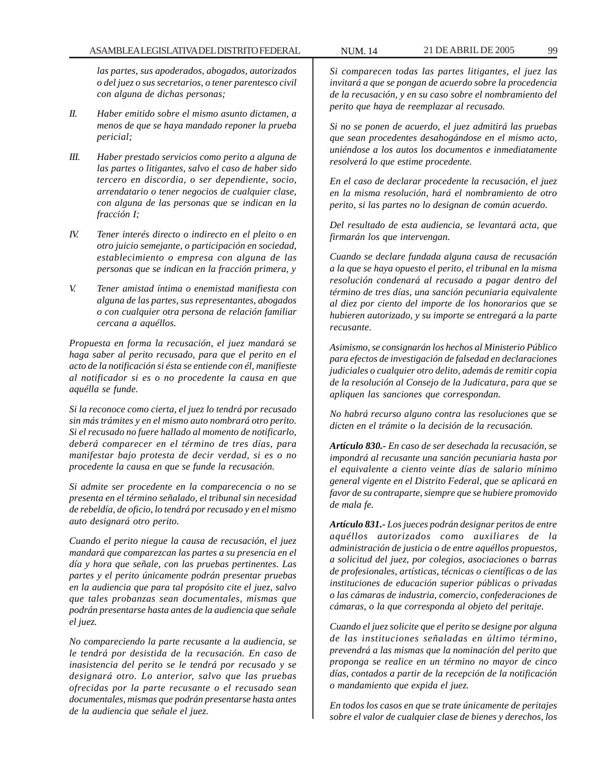#### ASAMBLEA LEGISLATIVA DEL DISTRITO FEDERAL NUM. 14 21 DE ABRIL DE 2005 99

*las partes, sus apoderados, abogados, autorizados o del juez o sus secretarios, o tener parentesco civil con alguna de dichas personas;*

- *II. Haber emitido sobre el mismo asunto dictamen, a menos de que se haya mandado reponer la prueba pericial;*
- *III. Haber prestado servicios como perito a alguna de las partes o litigantes, salvo el caso de haber sido tercero en discordia, o ser dependiente, socio, arrendatario o tener negocios de cualquier clase, con alguna de las personas que se indican en la fracción I;*
- *IV. Tener interés directo o indirecto en el pleito o en otro juicio semejante, o participación en sociedad, establecimiento o empresa con alguna de las personas que se indican en la fracción primera, y*
- *V. Tener amistad íntima o enemistad manifiesta con alguna de las partes, sus representantes, abogados o con cualquier otra persona de relación familiar cercana a aquéllos.*

*Propuesta en forma la recusación, el juez mandará se haga saber al perito recusado, para que el perito en el acto de la notificación si ésta se entiende con él, manifieste al notificador si es o no procedente la causa en que aquélla se funde.*

*Si la reconoce como cierta, el juez lo tendrá por recusado sin más trámites y en el mismo auto nombrará otro perito. Si el recusado no fuere hallado al momento de notificarlo, deberá comparecer en el término de tres días, para manifestar bajo protesta de decir verdad, si es o no procedente la causa en que se funde la recusación.*

*Si admite ser procedente en la comparecencia o no se presenta en el término señalado, el tribunal sin necesidad de rebeldía, de oficio, lo tendrá por recusado y en el mismo auto designará otro perito.*

*Cuando el perito niegue la causa de recusación, el juez mandará que comparezcan las partes a su presencia en el día y hora que señale, con las pruebas pertinentes. Las partes y el perito únicamente podrán presentar pruebas en la audiencia que para tal propósito cite el juez, salvo que tales probanzas sean documentales, mismas que podrán presentarse hasta antes de la audiencia que señale el juez.*

*No compareciendo la parte recusante a la audiencia, se le tendrá por desistida de la recusación. En caso de inasistencia del perito se le tendrá por recusado y se designará otro. Lo anterior, salvo que las pruebas ofrecidas por la parte recusante o el recusado sean documentales, mismas que podrán presentarse hasta antes de la audiencia que señale el juez.*

*Si comparecen todas las partes litigantes, el juez las invitará a que se pongan de acuerdo sobre la procedencia de la recusación, y en su caso sobre el nombramiento del perito que haya de reemplazar al recusado.*

*Si no se ponen de acuerdo, el juez admitirá las pruebas que sean procedentes desahogándose en el mismo acto, uniéndose a los autos los documentos e inmediatamente resolverá lo que estime procedente.*

*En el caso de declarar procedente la recusación, el juez en la misma resolución, hará el nombramiento de otro perito, si las partes no lo designan de común acuerdo.*

*Del resultado de esta audiencia, se levantará acta, que firmarán los que intervengan.*

*Cuando se declare fundada alguna causa de recusación a la que se haya opuesto el perito, el tribunal en la misma resolución condenará al recusado a pagar dentro del término de tres días, una sanción pecuniaria equivalente al diez por ciento del importe de los honorarios que se hubieren autorizado, y su importe se entregará a la parte recusante.*

*Asimismo, se consignarán los hechos al Ministerio Público para efectos de investigación de falsedad en declaraciones judiciales o cualquier otro delito, además de remitir copia de la resolución al Consejo de la Judicatura, para que se apliquen las sanciones que correspondan.*

*No habrá recurso alguno contra las resoluciones que se dicten en el trámite o la decisión de la recusación.*

*Artículo 830.- En caso de ser desechada la recusación, se impondrá al recusante una sanción pecuniaria hasta por el equivalente a ciento veinte días de salario mínimo general vigente en el Distrito Federal, que se aplicará en favor de su contraparte, siempre que se hubiere promovido de mala fe.*

*Artículo 831.- Los jueces podrán designar peritos de entre aquéllos autorizados como auxiliares de la administración de justicia o de entre aquéllos propuestos, a solicitud del juez, por colegios, asociaciones o barras de profesionales, artísticas, técnicas o científicas o de las instituciones de educación superior públicas o privadas o las cámaras de industria, comercio, confederaciones de cámaras, o la que corresponda al objeto del peritaje.*

*Cuando el juez solicite que el perito se designe por alguna de las instituciones señaladas en último término, prevendrá a las mismas que la nominación del perito que proponga se realice en un término no mayor de cinco días, contados a partir de la recepción de la notificación o mandamiento que expida el juez.*

*En todos los casos en que se trate únicamente de peritajes sobre el valor de cualquier clase de bienes y derechos, los*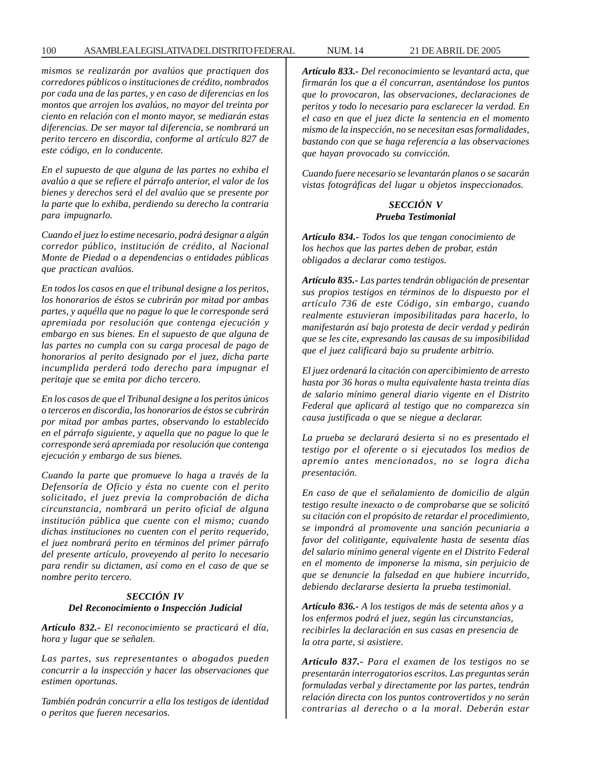#### 100 ASAMBLEA LEGISLATIVA DEL DISTRITO FEDERAL NUM. 14 21 DE ABRIL DE 2005

*mismos se realizarán por avalúos que practiquen dos corredores públicos o instituciones de crédito, nombrados por cada una de las partes, y en caso de diferencias en los montos que arrojen los avalúos, no mayor del treinta por ciento en relación con el monto mayor, se mediarán estas diferencias. De ser mayor tal diferencia, se nombrará un perito tercero en discordia, conforme al artículo 827 de este código, en lo conducente.*

*En el supuesto de que alguna de las partes no exhiba el avalúo a que se refiere el párrafo anterior, el valor de los bienes y derechos será el del avalúo que se presente por la parte que lo exhiba, perdiendo su derecho la contraria para impugnarlo.*

*Cuando el juez lo estime necesario, podrá designar a algún corredor público, institución de crédito, al Nacional Monte de Piedad o a dependencias o entidades públicas que practican avalúos.*

*En todos los casos en que el tribunal designe a los peritos, los honorarios de éstos se cubrirán por mitad por ambas partes, y aquélla que no pague lo que le corresponde será apremiada por resolución que contenga ejecución y embargo en sus bienes. En el supuesto de que alguna de las partes no cumpla con su carga procesal de pago de honorarios al perito designado por el juez, dicha parte incumplida perderá todo derecho para impugnar el peritaje que se emita por dicho tercero.*

*En los casos de que el Tribunal designe a los peritos únicos o terceros en discordia, los honorarios de éstos se cubrirán por mitad por ambas partes, observando lo establecido en el párrafo siguiente, y aquella que no pague lo que le corresponde será apremiada por resolución que contenga ejecución y embargo de sus bienes.*

*Cuando la parte que promueve lo haga a través de la Defensoría de Oficio y ésta no cuente con el perito solicitado, el juez previa la comprobación de dicha circunstancia, nombrará un perito oficial de alguna institución pública que cuente con el mismo; cuando dichas instituciones no cuenten con el perito requerido, el juez nombrará perito en términos del primer párrafo del presente artículo, proveyendo al perito lo necesario para rendir su dictamen, así como en el caso de que se nombre perito tercero.*

# *SECCIÓN IV Del Reconocimiento o Inspección Judicial*

*Artículo 832.- El reconocimiento se practicará el día, hora y lugar que se señalen.*

*Las partes, sus representantes o abogados pueden concurrir a la inspección y hacer las observaciones que estimen oportunas.*

*También podrán concurrir a ella los testigos de identidad o peritos que fueren necesarios.*

*Artículo 833.- Del reconocimiento se levantará acta, que firmarán los que a él concurran, asentándose los puntos que lo provocaron, las observaciones, declaraciones de peritos y todo lo necesario para esclarecer la verdad. En el caso en que el juez dicte la sentencia en el momento mismo de la inspección, no se necesitan esas formalidades, bastando con que se haga referencia a las observaciones que hayan provocado su convicción.*

*Cuando fuere necesario se levantarán planos o se sacarán vistas fotográficas del lugar u objetos inspeccionados.*

# *SECCIÓN V Prueba Testimonial*

*Artículo 834.- Todos los que tengan conocimiento de los hechos que las partes deben de probar, están obligados a declarar como testigos.*

*Artículo 835.- Las partes tendrán obligación de presentar sus propios testigos en términos de lo dispuesto por el artículo 736 de este Código, sin embargo, cuando realmente estuvieran imposibilitadas para hacerlo, lo manifestarán así bajo protesta de decir verdad y pedirán que se les cite, expresando las causas de su imposibilidad que el juez calificará bajo su prudente arbitrio.*

*El juez ordenará la citación con apercibimiento de arresto hasta por 36 horas o multa equivalente hasta treinta días de salario mínimo general diario vigente en el Distrito Federal que aplicará al testigo que no comparezca sin causa justificada o que se niegue a declarar.*

*La prueba se declarará desierta si no es presentado el testigo por el oferente o si ejecutados los medios de apremio antes mencionados, no se logra dicha presentación.*

*En caso de que el señalamiento de domicilio de algún testigo resulte inexacto o de comprobarse que se solicitó su citación con el propósito de retardar el procedimiento, se impondrá al promovente una sanción pecuniaria a favor del colitigante, equivalente hasta de sesenta días del salario mínimo general vigente en el Distrito Federal en el momento de imponerse la misma, sin perjuicio de que se denuncie la falsedad en que hubiere incurrido, debiendo declararse desierta la prueba testimonial.*

*Artículo 836.- A los testigos de más de setenta años y a los enfermos podrá el juez, según las circunstancias, recibirles la declaración en sus casas en presencia de la otra parte, si asistiere.*

*Artículo 837.- Para el examen de los testigos no se presentarán interrogatorios escritos. Las preguntas serán formuladas verbal y directamente por las partes, tendrán relación directa con los puntos controvertidos y no serán contrarias al derecho o a la moral. Deberán estar*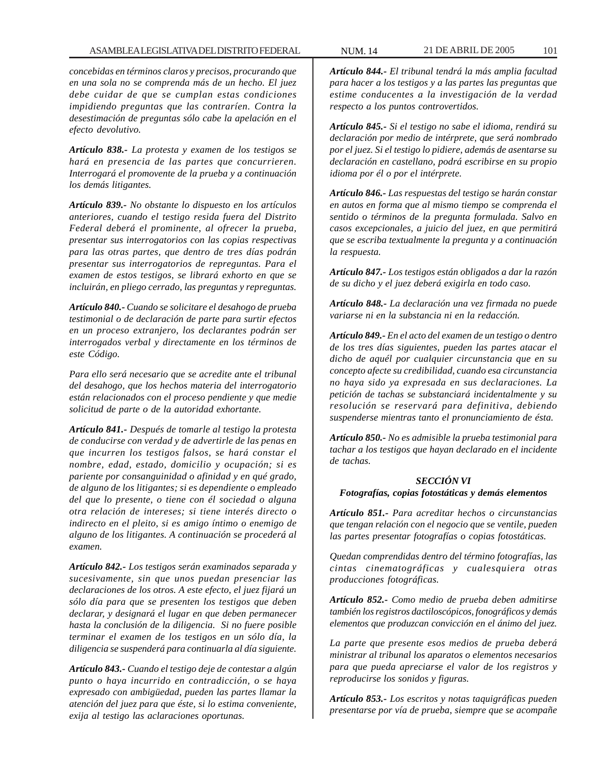*concebidas en términos claros y precisos, procurando que en una sola no se comprenda más de un hecho. El juez debe cuidar de que se cumplan estas condiciones impidiendo preguntas que las contraríen. Contra la desestimación de preguntas sólo cabe la apelación en el efecto devolutivo.*

*Artículo 838.- La protesta y examen de los testigos se hará en presencia de las partes que concurrieren. Interrogará el promovente de la prueba y a continuación los demás litigantes.*

*Artículo 839.- No obstante lo dispuesto en los artículos anteriores, cuando el testigo resida fuera del Distrito Federal deberá el prominente, al ofrecer la prueba, presentar sus interrogatorios con las copias respectivas para las otras partes, que dentro de tres días podrán presentar sus interrogatorios de repreguntas. Para el examen de estos testigos, se librará exhorto en que se incluirán, en pliego cerrado, las preguntas y repreguntas.*

*Artículo 840.- Cuando se solicitare el desahogo de prueba testimonial o de declaración de parte para surtir efectos en un proceso extranjero, los declarantes podrán ser interrogados verbal y directamente en los términos de este Código.*

*Para ello será necesario que se acredite ante el tribunal del desahogo, que los hechos materia del interrogatorio están relacionados con el proceso pendiente y que medie solicitud de parte o de la autoridad exhortante.*

*Artículo 841.- Después de tomarle al testigo la protesta de conducirse con verdad y de advertirle de las penas en que incurren los testigos falsos, se hará constar el nombre, edad, estado, domicilio y ocupación; si es pariente por consanguinidad o afinidad y en qué grado, de alguno de los litigantes; si es dependiente o empleado del que lo presente, o tiene con él sociedad o alguna otra relación de intereses; si tiene interés directo o indirecto en el pleito, si es amigo íntimo o enemigo de alguno de los litigantes. A continuación se procederá al examen.*

*Artículo 842.- Los testigos serán examinados separada y sucesivamente, sin que unos puedan presenciar las declaraciones de los otros. A este efecto, el juez fijará un sólo día para que se presenten los testigos que deben declarar, y designará el lugar en que deben permanecer hasta la conclusión de la diligencia. Si no fuere posible terminar el examen de los testigos en un sólo día, la diligencia se suspenderá para continuarla al día siguiente.*

*Artículo 843.- Cuando el testigo deje de contestar a algún punto o haya incurrido en contradicción, o se haya expresado con ambigüedad, pueden las partes llamar la atención del juez para que éste, si lo estima conveniente, exija al testigo las aclaraciones oportunas.*

*Artículo 844.- El tribunal tendrá la más amplia facultad para hacer a los testigos y a las partes las preguntas que estime conducentes a la investigación de la verdad respecto a los puntos controvertidos.*

*Artículo 845.- Si el testigo no sabe el idioma, rendirá su declaración por medio de intérprete, que será nombrado por el juez. Si el testigo lo pidiere, además de asentarse su declaración en castellano, podrá escribirse en su propio idioma por él o por el intérprete.*

*Artículo 846.- Las respuestas del testigo se harán constar en autos en forma que al mismo tiempo se comprenda el sentido o términos de la pregunta formulada. Salvo en casos excepcionales, a juicio del juez, en que permitirá que se escriba textualmente la pregunta y a continuación la respuesta.*

*Artículo 847.- Los testigos están obligados a dar la razón de su dicho y el juez deberá exigirla en todo caso.*

*Artículo 848.- La declaración una vez firmada no puede variarse ni en la substancia ni en la redacción.*

*Artículo 849.- En el acto del examen de un testigo o dentro de los tres días siguientes, pueden las partes atacar el dicho de aquél por cualquier circunstancia que en su concepto afecte su credibilidad, cuando esa circunstancia no haya sido ya expresada en sus declaraciones. La petición de tachas se substanciará incidentalmente y su resolución se reservará para definitiva, debiendo suspenderse mientras tanto el pronunciamiento de ésta.*

*Artículo 850.- No es admisible la prueba testimonial para tachar a los testigos que hayan declarado en el incidente de tachas.*

# *SECCIÓN VI*

### *Fotografías, copias fotostáticas y demás elementos*

*Artículo 851.- Para acreditar hechos o circunstancias que tengan relación con el negocio que se ventile, pueden las partes presentar fotografías o copias fotostáticas.*

*Quedan comprendidas dentro del término fotografías, las cintas cinematográficas y cualesquiera otras producciones fotográficas.*

*Artículo 852.- Como medio de prueba deben admitirse también los registros dactiloscópicos, fonográficos y demás elementos que produzcan convicción en el ánimo del juez.*

*La parte que presente esos medios de prueba deberá ministrar al tribunal los aparatos o elementos necesarios para que pueda apreciarse el valor de los registros y reproducirse los sonidos y figuras.*

*Artículo 853.- Los escritos y notas taquigráficas pueden presentarse por vía de prueba, siempre que se acompañe*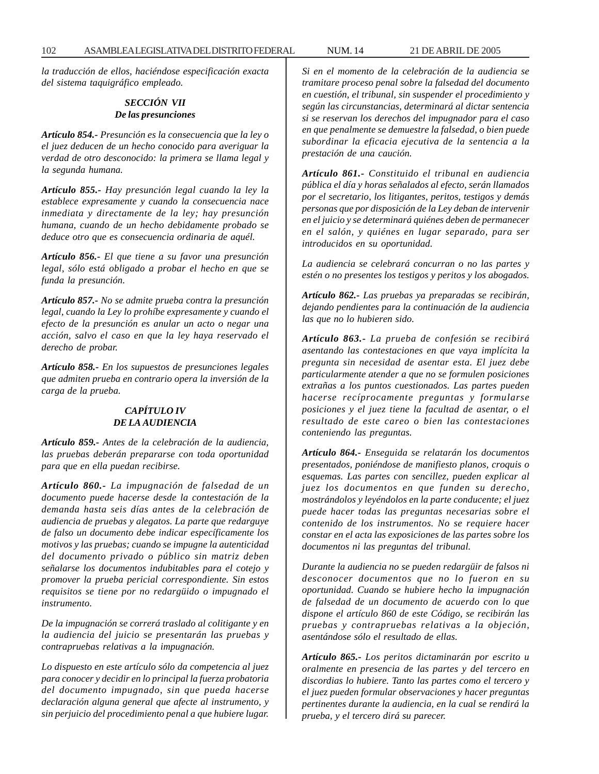102 ASAMBLEA LEGISLATIVA DEL DISTRITO FEDERAL NUM. 14 21 DE ABRIL DE 2005

*la traducción de ellos, haciéndose especificación exacta del sistema taquigráfico empleado.*

# *SECCIÓN VII De las presunciones*

*Artículo 854.- Presunción es la consecuencia que la ley o el juez deducen de un hecho conocido para averiguar la verdad de otro desconocido: la primera se llama legal y la segunda humana.*

*Artículo 855.- Hay presunción legal cuando la ley la establece expresamente y cuando la consecuencia nace inmediata y directamente de la ley; hay presunción humana, cuando de un hecho debidamente probado se deduce otro que es consecuencia ordinaria de aquél.*

*Artículo 856.- El que tiene a su favor una presunción legal, sólo está obligado a probar el hecho en que se funda la presunción.*

*Artículo 857.- No se admite prueba contra la presunción legal, cuando la Ley lo prohíbe expresamente y cuando el efecto de la presunción es anular un acto o negar una acción, salvo el caso en que la ley haya reservado el derecho de probar.*

*Artículo 858.- En los supuestos de presunciones legales que admiten prueba en contrario opera la inversión de la carga de la prueba.*

# *CAPÍTULO IV DE LA AUDIENCIA*

*Artículo 859.- Antes de la celebración de la audiencia, las pruebas deberán prepararse con toda oportunidad para que en ella puedan recibirse.*

*Artículo 860.- La impugnación de falsedad de un documento puede hacerse desde la contestación de la demanda hasta seis días antes de la celebración de audiencia de pruebas y alegatos. La parte que redarguye de falso un documento debe indicar específicamente los motivos y las pruebas; cuando se impugne la autenticidad del documento privado o público sin matriz deben señalarse los documentos indubitables para el cotejo y promover la prueba pericial correspondiente. Sin estos requisitos se tiene por no redargüido o impugnado el instrumento.*

*De la impugnación se correrá traslado al colitigante y en la audiencia del juicio se presentarán las pruebas y contrapruebas relativas a la impugnación.*

*Lo dispuesto en este artículo sólo da competencia al juez para conocer y decidir en lo principal la fuerza probatoria del documento impugnado, sin que pueda hacerse declaración alguna general que afecte al instrumento, y sin perjuicio del procedimiento penal a que hubiere lugar.*

*Si en el momento de la celebración de la audiencia se tramitare proceso penal sobre la falsedad del documento en cuestión, el tribunal, sin suspender el procedimiento y según las circunstancias, determinará al dictar sentencia si se reservan los derechos del impugnador para el caso en que penalmente se demuestre la falsedad, o bien puede subordinar la eficacia ejecutiva de la sentencia a la prestación de una caución.*

*Artículo 861.- Constituido el tribunal en audiencia pública el día y horas señalados al efecto, serán llamados por el secretario, los litigantes, peritos, testigos y demás personas que por disposición de la Ley deban de intervenir en el juicio y se determinará quiénes deben de permanecer en el salón, y quiénes en lugar separado, para ser introducidos en su oportunidad.*

*La audiencia se celebrará concurran o no las partes y estén o no presentes los testigos y peritos y los abogados.*

*Artículo 862.- Las pruebas ya preparadas se recibirán, dejando pendientes para la continuación de la audiencia las que no lo hubieren sido.*

*Artículo 863.- La prueba de confesión se recibirá asentando las contestaciones en que vaya implícita la pregunta sin necesidad de asentar esta. El juez debe particularmente atender a que no se formulen posiciones extrañas a los puntos cuestionados. Las partes pueden hacerse recíprocamente preguntas y formularse posiciones y el juez tiene la facultad de asentar, o el resultado de este careo o bien las contestaciones conteniendo las preguntas.*

*Artículo 864.- Enseguida se relatarán los documentos presentados, poniéndose de manifiesto planos, croquis o esquemas. Las partes con sencillez, pueden explicar al juez los documentos en que funden su derecho, mostrándolos y leyéndolos en la parte conducente; el juez puede hacer todas las preguntas necesarias sobre el contenido de los instrumentos. No se requiere hacer constar en el acta las exposiciones de las partes sobre los documentos ni las preguntas del tribunal.*

*Durante la audiencia no se pueden redargüir de falsos ni desconocer documentos que no lo fueron en su oportunidad. Cuando se hubiere hecho la impugnación de falsedad de un documento de acuerdo con lo que dispone el artículo 860 de este Código, se recibirán las pruebas y contrapruebas relativas a la objeción, asentándose sólo el resultado de ellas.*

*Artículo 865.- Los peritos dictaminarán por escrito u oralmente en presencia de las partes y del tercero en discordias lo hubiere. Tanto las partes como el tercero y el juez pueden formular observaciones y hacer preguntas pertinentes durante la audiencia, en la cual se rendirá la prueba, y el tercero dirá su parecer.*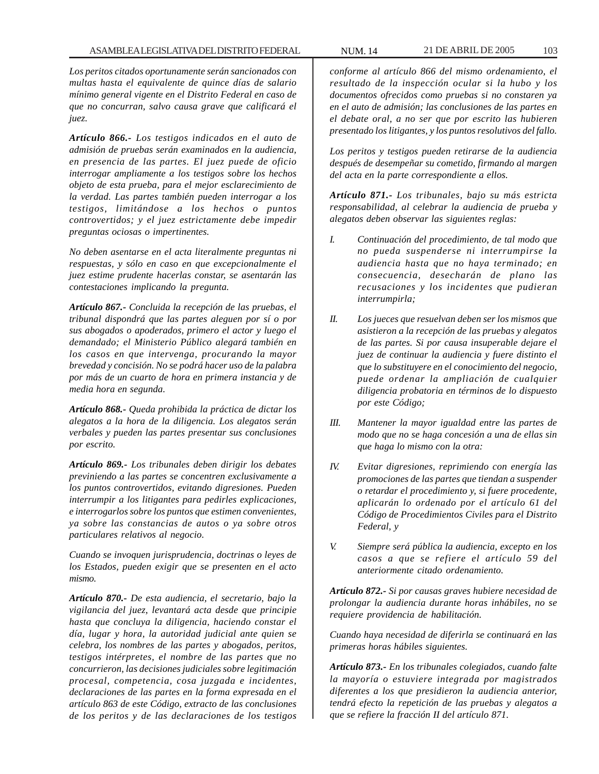*Los peritos citados oportunamente serán sancionados con multas hasta el equivalente de quince días de salario mínimo general vigente en el Distrito Federal en caso de que no concurran, salvo causa grave que calificará el juez.*

*Artículo 866.- Los testigos indicados en el auto de admisión de pruebas serán examinados en la audiencia, en presencia de las partes. El juez puede de oficio interrogar ampliamente a los testigos sobre los hechos objeto de esta prueba, para el mejor esclarecimiento de la verdad. Las partes también pueden interrogar a los testigos, limitándose a los hechos o puntos controvertidos; y el juez estrictamente debe impedir preguntas ociosas o impertinentes.*

*No deben asentarse en el acta literalmente preguntas ni respuestas, y sólo en caso en que excepcionalmente el juez estime prudente hacerlas constar, se asentarán las contestaciones implicando la pregunta.*

*Artículo 867.- Concluida la recepción de las pruebas, el tribunal dispondrá que las partes aleguen por sí o por sus abogados o apoderados, primero el actor y luego el demandado; el Ministerio Público alegará también en los casos en que intervenga, procurando la mayor brevedad y concisión. No se podrá hacer uso de la palabra por más de un cuarto de hora en primera instancia y de media hora en segunda.*

*Artículo 868.- Queda prohibida la práctica de dictar los alegatos a la hora de la diligencia. Los alegatos serán verbales y pueden las partes presentar sus conclusiones por escrito.*

*Artículo 869.- Los tribunales deben dirigir los debates previniendo a las partes se concentren exclusivamente a los puntos controvertidos, evitando digresiones. Pueden interrumpir a los litigantes para pedirles explicaciones, e interrogarlos sobre los puntos que estimen convenientes, ya sobre las constancias de autos o ya sobre otros particulares relativos al negocio.*

*Cuando se invoquen jurisprudencia, doctrinas o leyes de los Estados, pueden exigir que se presenten en el acto mismo.*

*Artículo 870.- De esta audiencia, el secretario, bajo la vigilancia del juez, levantará acta desde que principie hasta que concluya la diligencia, haciendo constar el día, lugar y hora, la autoridad judicial ante quien se celebra, los nombres de las partes y abogados, peritos, testigos intérpretes, el nombre de las partes que no concurrieron, las decisiones judiciales sobre legitimación procesal, competencia, cosa juzgada e incidentes, declaraciones de las partes en la forma expresada en el artículo 863 de este Código, extracto de las conclusiones de los peritos y de las declaraciones de los testigos*

*conforme al artículo 866 del mismo ordenamiento, el resultado de la inspección ocular si la hubo y los documentos ofrecidos como pruebas si no constaren ya en el auto de admisión; las conclusiones de las partes en el debate oral, a no ser que por escrito las hubieren presentado los litigantes, y los puntos resolutivos del fallo.*

*Los peritos y testigos pueden retirarse de la audiencia después de desempeñar su cometido, firmando al margen del acta en la parte correspondiente a ellos.*

*Artículo 871.- Los tribunales, bajo su más estricta responsabilidad, al celebrar la audiencia de prueba y alegatos deben observar las siguientes reglas:*

- *I. Continuación del procedimiento, de tal modo que no pueda suspenderse ni interrumpirse la audiencia hasta que no haya terminado; en consecuencia, desecharán de plano las recusaciones y los incidentes que pudieran interrumpirla;*
- *II. Los jueces que resuelvan deben ser los mismos que asistieron a la recepción de las pruebas y alegatos de las partes. Si por causa insuperable dejare el juez de continuar la audiencia y fuere distinto el que lo substituyere en el conocimiento del negocio, puede ordenar la ampliación de cualquier diligencia probatoria en términos de lo dispuesto por este Código;*
- *III. Mantener la mayor igualdad entre las partes de modo que no se haga concesión a una de ellas sin que haga lo mismo con la otra:*
- *IV. Evitar digresiones, reprimiendo con energía las promociones de las partes que tiendan a suspender o retardar el procedimiento y, si fuere procedente, aplicarán lo ordenado por el artículo 61 del Código de Procedimientos Civiles para el Distrito Federal, y*
- *V. Siempre será pública la audiencia, excepto en los casos a que se refiere el artículo 59 del anteriormente citado ordenamiento.*

*Artículo 872.- Si por causas graves hubiere necesidad de prolongar la audiencia durante horas inhábiles, no se requiere providencia de habilitación.*

*Cuando haya necesidad de diferirla se continuará en las primeras horas hábiles siguientes.*

*Artículo 873.- En los tribunales colegiados, cuando falte la mayoría o estuviere integrada por magistrados diferentes a los que presidieron la audiencia anterior, tendrá efecto la repetición de las pruebas y alegatos a que se refiere la fracción II del artículo 871.*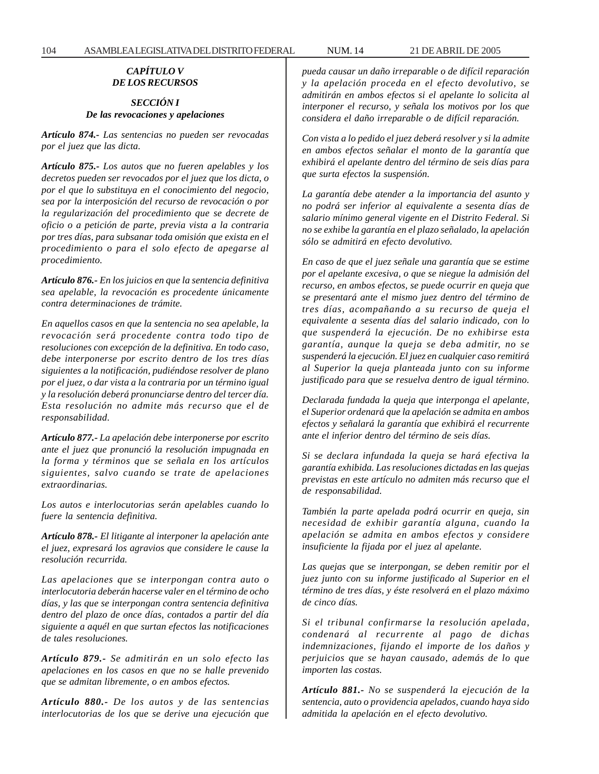# *CAPÍTULO V DE LOS RECURSOS*

#### *SECCIÓN I De las revocaciones y apelaciones*

*Artículo 874.- Las sentencias no pueden ser revocadas por el juez que las dicta.*

*Artículo 875.- Los autos que no fueren apelables y los decretos pueden ser revocados por el juez que los dicta, o por el que lo substituya en el conocimiento del negocio, sea por la interposición del recurso de revocación o por la regularización del procedimiento que se decrete de oficio o a petición de parte, previa vista a la contraria por tres días, para subsanar toda omisión que exista en el procedimiento o para el solo efecto de apegarse al procedimiento.*

*Artículo 876.- En los juicios en que la sentencia definitiva sea apelable, la revocación es procedente únicamente contra determinaciones de trámite.*

*En aquellos casos en que la sentencia no sea apelable, la revocación será procedente contra todo tipo de resoluciones con excepción de la definitiva. En todo caso, debe interponerse por escrito dentro de los tres días siguientes a la notificación, pudiéndose resolver de plano por el juez, o dar vista a la contraria por un término igual y la resolución deberá pronunciarse dentro del tercer día. Esta resolución no admite más recurso que el de responsabilidad.*

*Artículo 877.- La apelación debe interponerse por escrito ante el juez que pronunció la resolución impugnada en la forma y términos que se señala en los artículos siguientes, salvo cuando se trate de apelaciones extraordinarias.*

*Los autos e interlocutorias serán apelables cuando lo fuere la sentencia definitiva.*

*Artículo 878.- El litigante al interponer la apelación ante el juez, expresará los agravios que considere le cause la resolución recurrida.*

*Las apelaciones que se interpongan contra auto o interlocutoria deberán hacerse valer en el término de ocho días, y las que se interpongan contra sentencia definitiva dentro del plazo de once días, contados a partir del día siguiente a aquél en que surtan efectos las notificaciones de tales resoluciones.*

*Artículo 879.- Se admitirán en un solo efecto las apelaciones en los casos en que no se halle prevenido que se admitan libremente, o en ambos efectos.*

*Artículo 880.- De los autos y de las sentencias interlocutorias de los que se derive una ejecución que* *pueda causar un daño irreparable o de difícil reparación y la apelación proceda en el efecto devolutivo, se admitirán en ambos efectos si el apelante lo solicita al interponer el recurso, y señala los motivos por los que considera el daño irreparable o de difícil reparación.*

*Con vista a lo pedido el juez deberá resolver y si la admite en ambos efectos señalar el monto de la garantía que exhibirá el apelante dentro del término de seis días para que surta efectos la suspensión.*

*La garantía debe atender a la importancia del asunto y no podrá ser inferior al equivalente a sesenta días de salario mínimo general vigente en el Distrito Federal. Si no se exhibe la garantía en el plazo señalado, la apelación sólo se admitirá en efecto devolutivo.*

*En caso de que el juez señale una garantía que se estime por el apelante excesiva, o que se niegue la admisión del recurso, en ambos efectos, se puede ocurrir en queja que se presentará ante el mismo juez dentro del término de tres días, acompañando a su recurso de queja el equivalente a sesenta días del salario indicado, con lo que suspenderá la ejecución. De no exhibirse esta garantía, aunque la queja se deba admitir, no se suspenderá la ejecución. El juez en cualquier caso remitirá al Superior la queja planteada junto con su informe justificado para que se resuelva dentro de igual término.*

*Declarada fundada la queja que interponga el apelante, el Superior ordenará que la apelación se admita en ambos efectos y señalará la garantía que exhibirá el recurrente ante el inferior dentro del término de seis días.*

*Si se declara infundada la queja se hará efectiva la garantía exhibida. Las resoluciones dictadas en las quejas previstas en este artículo no admiten más recurso que el de responsabilidad.*

*También la parte apelada podrá ocurrir en queja, sin necesidad de exhibir garantía alguna, cuando la apelación se admita en ambos efectos y considere insuficiente la fijada por el juez al apelante.*

*Las quejas que se interpongan, se deben remitir por el juez junto con su informe justificado al Superior en el término de tres días, y éste resolverá en el plazo máximo de cinco días.*

*Si el tribunal confirmarse la resolución apelada, condenará al recurrente al pago de dichas indemnizaciones, fijando el importe de los daños y perjuicios que se hayan causado, además de lo que importen las costas.*

*Artículo 881.- No se suspenderá la ejecución de la sentencia, auto o providencia apelados, cuando haya sido admitida la apelación en el efecto devolutivo.*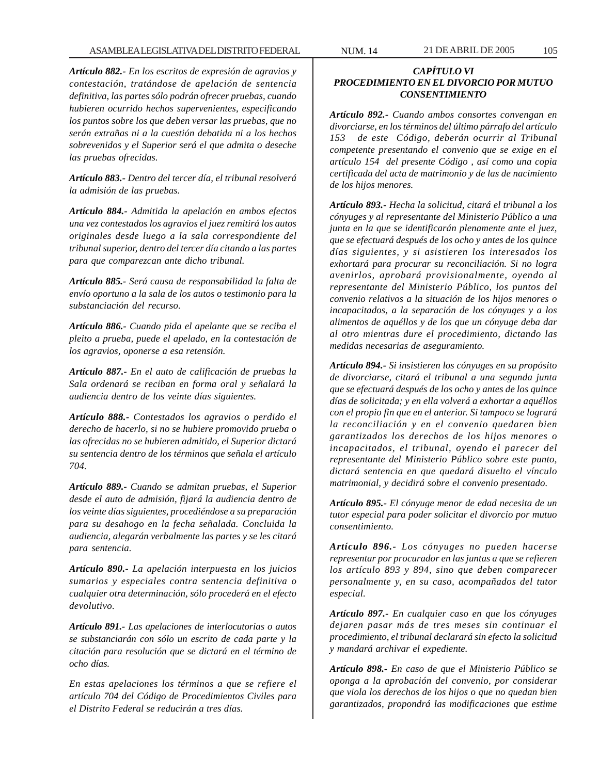*Artículo 882.- En los escritos de expresión de agravios y contestación, tratándose de apelación de sentencia definitiva, las partes sólo podrán ofrecer pruebas, cuando hubieren ocurrido hechos supervenientes, especificando los puntos sobre los que deben versar las pruebas, que no serán extrañas ni a la cuestión debatida ni a los hechos sobrevenidos y el Superior será el que admita o deseche las pruebas ofrecidas.*

*Artículo 883.- Dentro del tercer día, el tribunal resolverá la admisión de las pruebas.*

*Artículo 884.- Admitida la apelación en ambos efectos una vez contestados los agravios el juez remitirá los autos originales desde luego a la sala correspondiente del tribunal superior, dentro del tercer día citando a las partes para que comparezcan ante dicho tribunal.*

*Artículo 885.- Será causa de responsabilidad la falta de envío oportuno a la sala de los autos o testimonio para la substanciación del recurso.*

*Artículo 886.- Cuando pida el apelante que se reciba el pleito a prueba, puede el apelado, en la contestación de los agravios, oponerse a esa retensión.*

*Artículo 887.- En el auto de calificación de pruebas la Sala ordenará se reciban en forma oral y señalará la audiencia dentro de los veinte días siguientes.*

*Artículo 888.- Contestados los agravios o perdido el derecho de hacerlo, si no se hubiere promovido prueba o las ofrecidas no se hubieren admitido, el Superior dictará su sentencia dentro de los términos que señala el artículo 704.*

*Artículo 889.- Cuando se admitan pruebas, el Superior desde el auto de admisión, fijará la audiencia dentro de los veinte días siguientes, procediéndose a su preparación para su desahogo en la fecha señalada. Concluida la audiencia, alegarán verbalmente las partes y se les citará para sentencia.*

*Artículo 890.- La apelación interpuesta en los juicios sumarios y especiales contra sentencia definitiva o cualquier otra determinación, sólo procederá en el efecto devolutivo.*

*Artículo 891.- Las apelaciones de interlocutorias o autos se substanciarán con sólo un escrito de cada parte y la citación para resolución que se dictará en el término de ocho días.*

*En estas apelaciones los términos a que se refiere el artículo 704 del Código de Procedimientos Civiles para el Distrito Federal se reducirán a tres días.*

# *CAPÍTULO VI PROCEDIMIENTO EN EL DIVORCIO POR MUTUO CONSENTIMIENTO*

*Artículo 892.- Cuando ambos consortes convengan en divorciarse, en los términos del último párrafo del artículo 153 de este Código, deberán ocurrir al Tribunal competente presentando el convenio que se exige en el artículo 154 del presente Código , así como una copia certificada del acta de matrimonio y de las de nacimiento de los hijos menores.*

*Artículo 893.- Hecha la solicitud, citará el tribunal a los cónyuges y al representante del Ministerio Público a una junta en la que se identificarán plenamente ante el juez, que se efectuará después de los ocho y antes de los quince días siguientes, y si asistieren los interesados los exhortará para procurar su reconciliación. Si no logra avenirlos, aprobará provisionalmente, oyendo al representante del Ministerio Público, los puntos del convenio relativos a la situación de los hijos menores o incapacitados, a la separación de los cónyuges y a los alimentos de aquéllos y de los que un cónyuge deba dar al otro mientras dure el procedimiento, dictando las medidas necesarias de aseguramiento.*

*Artículo 894.- Si insistieren los cónyuges en su propósito de divorciarse, citará el tribunal a una segunda junta que se efectuará después de los ocho y antes de los quince días de solicitada; y en ella volverá a exhortar a aquéllos con el propio fin que en el anterior. Si tampoco se logrará la reconciliación y en el convenio quedaren bien garantizados los derechos de los hijos menores o incapacitados, el tribunal, oyendo el parecer del representante del Ministerio Público sobre este punto, dictará sentencia en que quedará disuelto el vínculo matrimonial, y decidirá sobre el convenio presentado.*

*Artículo 895.- El cónyuge menor de edad necesita de un tutor especial para poder solicitar el divorcio por mutuo consentimiento.*

*Artículo 896.- Los cónyuges no pueden hacerse representar por procurador en las juntas a que se refieren los artículo 893 y 894, sino que deben comparecer personalmente y, en su caso, acompañados del tutor especial.*

*Artículo 897.- En cualquier caso en que los cónyuges dejaren pasar más de tres meses sin continuar el procedimiento, el tribunal declarará sin efecto la solicitud y mandará archivar el expediente.*

*Artículo 898.- En caso de que el Ministerio Público se oponga a la aprobación del convenio, por considerar que viola los derechos de los hijos o que no quedan bien garantizados, propondrá las modificaciones que estime*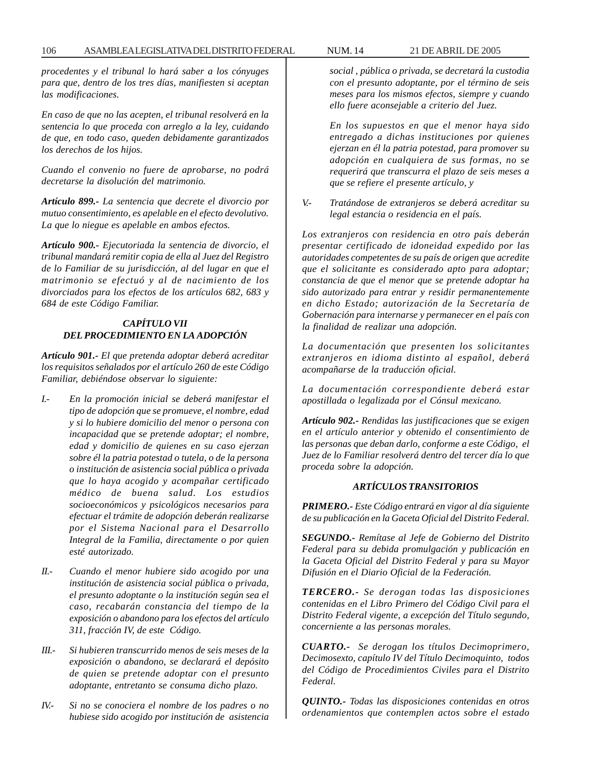*procedentes y el tribunal lo hará saber a los cónyuges para que, dentro de los tres días, manifiesten si aceptan las modificaciones.*

*En caso de que no las acepten, el tribunal resolverá en la sentencia lo que proceda con arreglo a la ley, cuidando de que, en todo caso, queden debidamente garantizados los derechos de los hijos.*

*Cuando el convenio no fuere de aprobarse, no podrá decretarse la disolución del matrimonio.*

*Artículo 899.- La sentencia que decrete el divorcio por mutuo consentimiento, es apelable en el efecto devolutivo. La que lo niegue es apelable en ambos efectos.*

*Artículo 900.- Ejecutoriada la sentencia de divorcio, el tribunal mandará remitir copia de ella al Juez del Registro de lo Familiar de su jurisdicción, al del lugar en que el matrimonio se efectuó y al de nacimiento de los divorciados para los efectos de los artículos 682, 683 y 684 de este Código Familiar.*

# *CAPÍTULO VII DEL PROCEDIMIENTO EN LA ADOPCIÓN*

*Artículo 901.- El que pretenda adoptar deberá acreditar los requisitos señalados por el artículo 260 de este Código Familiar, debiéndose observar lo siguiente:*

- *I.- En la promoción inicial se deberá manifestar el tipo de adopción que se promueve, el nombre, edad y si lo hubiere domicilio del menor o persona con incapacidad que se pretende adoptar; el nombre, edad y domicilio de quienes en su caso ejerzan sobre él la patria potestad o tutela, o de la persona o institución de asistencia social pública o privada que lo haya acogido y acompañar certificado médico de buena salud. Los estudios socioeconómicos y psicológicos necesarios para efectuar el trámite de adopción deberán realizarse por el Sistema Nacional para el Desarrollo Integral de la Familia, directamente o por quien esté autorizado.*
- *II.- Cuando el menor hubiere sido acogido por una institución de asistencia social pública o privada, el presunto adoptante o la institución según sea el caso, recabarán constancia del tiempo de la exposición o abandono para los efectos del artículo 311, fracción IV, de este Código.*
- *III.- Si hubieren transcurrido menos de seis meses de la exposición o abandono, se declarará el depósito de quien se pretende adoptar con el presunto adoptante, entretanto se consuma dicho plazo.*
- *IV.- Si no se conociera el nombre de los padres o no hubiese sido acogido por institución de asistencia*

*social , pública o privada, se decretará la custodia con el presunto adoptante, por el término de seis meses para los mismos efectos, siempre y cuando ello fuere aconsejable a criterio del Juez.*

*En los supuestos en que el menor haya sido entregado a dichas instituciones por quienes ejerzan en él la patria potestad, para promover su adopción en cualquiera de sus formas, no se requerirá que transcurra el plazo de seis meses a que se refiere el presente artículo, y*

*V.- Tratándose de extranjeros se deberá acreditar su legal estancia o residencia en el país.*

*Los extranjeros con residencia en otro país deberán presentar certificado de idoneidad expedido por las autoridades competentes de su país de origen que acredite que el solicitante es considerado apto para adoptar; constancia de que el menor que se pretende adoptar ha sido autorizado para entrar y residir permanentemente en dicho Estado; autorización de la Secretaría de Gobernación para internarse y permanecer en el país con la finalidad de realizar una adopción.*

*La documentación que presenten los solicitantes extranjeros en idioma distinto al español, deberá acompañarse de la traducción oficial.*

*La documentación correspondiente deberá estar apostillada o legalizada por el Cónsul mexicano.*

*Artículo 902.- Rendidas las justificaciones que se exigen en el artículo anterior y obtenido el consentimiento de las personas que deban darlo, conforme a este Código, el Juez de lo Familiar resolverá dentro del tercer día lo que proceda sobre la adopción.*

#### *ARTÍCULOS TRANSITORIOS*

*PRIMERO.- Este Código entrará en vigor al día siguiente de su publicación en la Gaceta Oficial del Distrito Federal.*

*SEGUNDO.- Remítase al Jefe de Gobierno del Distrito Federal para su debida promulgación y publicación en la Gaceta Oficial del Distrito Federal y para su Mayor Difusión en el Diario Oficial de la Federación.*

*TERCERO.- Se derogan todas las disposiciones contenidas en el Libro Primero del Código Civil para el Distrito Federal vigente, a excepción del Título segundo, concerniente a las personas morales.*

*CUARTO.- Se derogan los títulos Decimoprimero, Decimosexto, capítulo IV del Título Decimoquinto, todos del Código de Procedimientos Civiles para el Distrito Federal.*

*QUINTO.- Todas las disposiciones contenidas en otros ordenamientos que contemplen actos sobre el estado*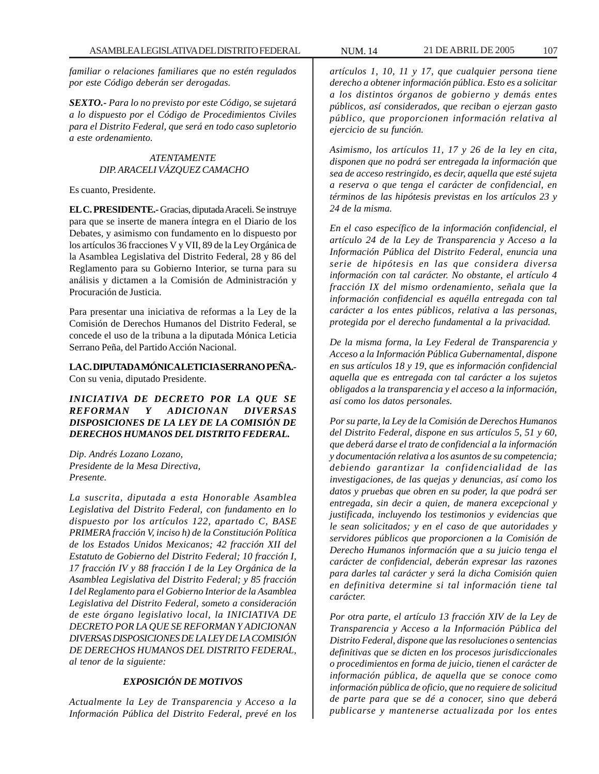*familiar o relaciones familiares que no estén regulados por este Código deberán ser derogadas.*

*SEXTO.- Para lo no previsto por este Código, se sujetará a lo dispuesto por el Código de Procedimientos Civiles para el Distrito Federal, que será en todo caso supletorio a este ordenamiento.*

#### *ATENTAMENTE DIP. ARACELI VÁZQUEZ CAMACHO*

Es cuanto, Presidente.

**EL C. PRESIDENTE.-** Gracias, diputada Araceli. Se instruye para que se inserte de manera íntegra en el Diario de los Debates, y asimismo con fundamento en lo dispuesto por los artículos 36 fracciones V y VII, 89 de la Ley Orgánica de la Asamblea Legislativa del Distrito Federal, 28 y 86 del Reglamento para su Gobierno Interior, se turna para su análisis y dictamen a la Comisión de Administración y Procuración de Justicia.

Para presentar una iniciativa de reformas a la Ley de la Comisión de Derechos Humanos del Distrito Federal, se concede el uso de la tribuna a la diputada Mónica Leticia Serrano Peña, del Partido Acción Nacional.

**LA C. DIPUTADA MÓNICA LETICIA SERRANO PEÑA.-** Con su venia, diputado Presidente.

# *INICIATIVA DE DECRETO POR LA QUE SE REFORMAN Y ADICIONAN DIVERSAS DISPOSICIONES DE LA LEY DE LA COMISIÓN DE DERECHOS HUMANOS DEL DISTRITO FEDERAL.*

*Dip. Andrés Lozano Lozano, Presidente de la Mesa Directiva, Presente.*

*La suscrita, diputada a esta Honorable Asamblea Legislativa del Distrito Federal, con fundamento en lo dispuesto por los artículos 122, apartado C, BASE PRIMERA fracción V, inciso h) de la Constitución Política de los Estados Unidos Mexicanos; 42 fracción XII del Estatuto de Gobierno del Distrito Federal; 10 fracción I, 17 fracción IV y 88 fracción I de la Ley Orgánica de la Asamblea Legislativa del Distrito Federal; y 85 fracción I del Reglamento para el Gobierno Interior de la Asamblea Legislativa del Distrito Federal, someto a consideración de este órgano legislativo local, la INICIATIVA DE DECRETO POR LA QUE SE REFORMAN Y ADICIONAN DIVERSAS DISPOSICIONES DE LA LEY DE LA COMISIÓN DE DERECHOS HUMANOS DEL DISTRITO FEDERAL, al tenor de la siguiente:*

# *EXPOSICIÓN DE MOTIVOS*

*Actualmente la Ley de Transparencia y Acceso a la Información Pública del Distrito Federal, prevé en los*

*artículos 1, 10, 11 y 17, que cualquier persona tiene derecho a obtener información pública. Esto es a solicitar a los distintos órganos de gobierno y demás entes públicos, así considerados, que reciban o ejerzan gasto público, que proporcionen información relativa al ejercicio de su función.*

*Asimismo, los artículos 11, 17 y 26 de la ley en cita, disponen que no podrá ser entregada la información que sea de acceso restringido, es decir, aquella que esté sujeta a reserva o que tenga el carácter de confidencial, en términos de las hipótesis previstas en los artículos 23 y 24 de la misma.*

*En el caso específico de la información confidencial, el artículo 24 de la Ley de Transparencia y Acceso a la Información Pública del Distrito Federal, enuncia una serie de hipótesis en las que considera diversa información con tal carácter. No obstante, el artículo 4 fracción IX del mismo ordenamiento, señala que la información confidencial es aquélla entregada con tal carácter a los entes públicos, relativa a las personas, protegida por el derecho fundamental a la privacidad.*

*De la misma forma, la Ley Federal de Transparencia y Acceso a la Información Pública Gubernamental, dispone en sus artículos 18 y 19, que es información confidencial aquella que es entregada con tal carácter a los sujetos obligados a la transparencia y el acceso a la información, así como los datos personales.*

*Por su parte, la Ley de la Comisión de Derechos Humanos del Distrito Federal, dispone en sus artículos 5, 51 y 60, que deberá darse el trato de confidencial a la información y documentación relativa a los asuntos de su competencia; debiendo garantizar la confidencialidad de las investigaciones, de las quejas y denuncias, así como los datos y pruebas que obren en su poder, la que podrá ser entregada, sin decir a quien, de manera excepcional y justificada, incluyendo los testimonios y evidencias que le sean solicitados; y en el caso de que autoridades y servidores públicos que proporcionen a la Comisión de Derecho Humanos información que a su juicio tenga el carácter de confidencial, deberán expresar las razones para darles tal carácter y será la dicha Comisión quien en definitiva determine si tal información tiene tal carácter.*

*Por otra parte, el artículo 13 fracción XIV de la Ley de Transparencia y Acceso a la Información Pública del Distrito Federal, dispone que las resoluciones o sentencias definitivas que se dicten en los procesos jurisdiccionales o procedimientos en forma de juicio, tienen el carácter de información pública, de aquella que se conoce como información pública de oficio, que no requiere de solicitud de parte para que se dé a conocer, sino que deberá publicarse y mantenerse actualizada por los entes*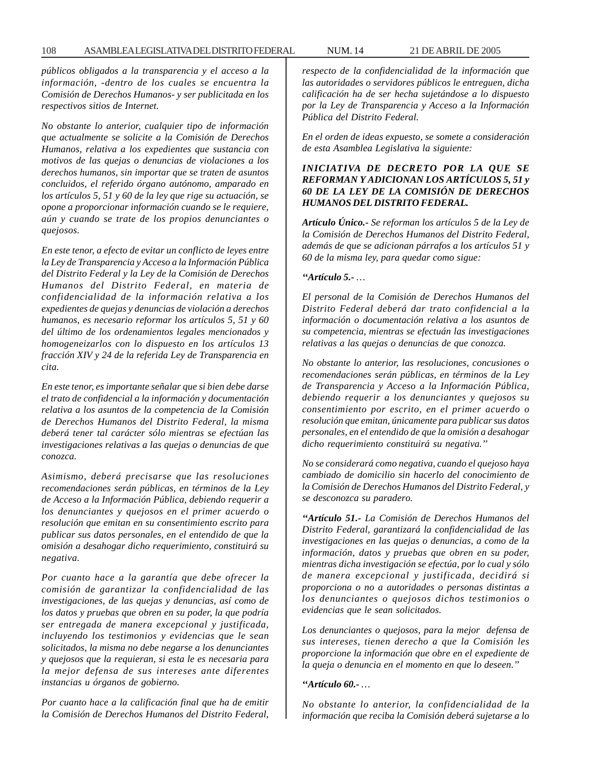*públicos obligados a la transparencia y el acceso a la información, -dentro de los cuales se encuentra la Comisión de Derechos Humanos- y ser publicitada en los respectivos sitios de Internet.*

*No obstante lo anterior, cualquier tipo de información que actualmente se solicite a la Comisión de Derechos Humanos, relativa a los expedientes que sustancia con motivos de las quejas o denuncias de violaciones a los derechos humanos, sin importar que se traten de asuntos concluidos, el referido órgano autónomo, amparado en los artículos 5, 51 y 60 de la ley que rige su actuación, se opone a proporcionar información cuando se le requiere, aún y cuando se trate de los propios denunciantes o quejosos.*

*En este tenor, a efecto de evitar un conflicto de leyes entre la Ley de Transparencia y Acceso a la Información Pública del Distrito Federal y la Ley de la Comisión de Derechos Humanos del Distrito Federal, en materia de confidencialidad de la información relativa a los expedientes de quejas y denuncias de violación a derechos humanos, es necesario reformar los artículos 5, 51 y 60 del último de los ordenamientos legales mencionados y homogeneizarlos con lo dispuesto en los artículos 13 fracción XIV y 24 de la referida Ley de Transparencia en cita.*

*En este tenor, es importante señalar que si bien debe darse el trato de confidencial a la información y documentación relativa a los asuntos de la competencia de la Comisión de Derechos Humanos del Distrito Federal, la misma deberá tener tal carácter sólo mientras se efectúan las investigaciones relativas a las quejas o denuncias de que conozca.*

*Asimismo, deberá precisarse que las resoluciones recomendaciones serán públicas, en términos de la Ley de Acceso a la Información Pública, debiendo requerir a los denunciantes y quejosos en el primer acuerdo o resolución que emitan en su consentimiento escrito para publicar sus datos personales, en el entendido de que la omisión a desahogar dicho requerimiento, constituirá su negativa.*

*Por cuanto hace a la garantía que debe ofrecer la comisión de garantizar la confidencialidad de las investigaciones, de las quejas y denuncias, así como de los datos y pruebas que obren en su poder, la que podría ser entregada de manera excepcional y justificada, incluyendo los testimonios y evidencias que le sean solicitados, la misma no debe negarse a los denunciantes y quejosos que la requieran, si esta le es necesaria para la mejor defensa de sus intereses ante diferentes instancias u órganos de gobierno.*

*Por cuanto hace a la calificación final que ha de emitir la Comisión de Derechos Humanos del Distrito Federal,*

*respecto de la confidencialidad de la información que las autoridades o servidores públicos le entreguen, dicha calificación ha de ser hecha sujetándose a lo dispuesto por la Ley de Transparencia y Acceso a la Información Pública del Distrito Federal.*

*En el orden de ideas expuesto, se somete a consideración de esta Asamblea Legislativa la siguiente:*

## *INICIATIVA DE DECRETO POR LA QUE SE REFORMAN Y ADICIONAN LOS ARTÍCULOS 5, 51 y 60 DE LA LEY DE LA COMISIÓN DE DERECHOS HUMANOS DEL DISTRITO FEDERAL.*

*Artículo Único.- Se reforman los artículos 5 de la Ley de la Comisión de Derechos Humanos del Distrito Federal, además de que se adicionan párrafos a los artículos 51 y 60 de la misma ley, para quedar como sigue:*

#### *''Artículo 5.- …*

*El personal de la Comisión de Derechos Humanos del Distrito Federal deberá dar trato confidencial a la información o documentación relativa a los asuntos de su competencia, mientras se efectuán las investigaciones relativas a las quejas o denuncias de que conozca.*

*No obstante lo anterior, las resoluciones, concusiones o recomendaciones serán públicas, en términos de la Ley de Transparencia y Acceso a la Información Pública, debiendo requerir a los denunciantes y quejosos su consentimiento por escrito, en el primer acuerdo o resolución que emitan, únicamente para publicar sus datos personales, en el entendido de que la omisión a desahogar dicho requerimiento constituirá su negativa.''*

*No se considerará como negativa, cuando el quejoso haya cambiado de domicilio sin hacerlo del conocimiento de la Comisión de Derechos Humanos del Distrito Federal, y se desconozca su paradero.*

*''Artículo 51.- La Comisión de Derechos Humanos del Distrito Federal, garantizará la confidencialidad de las investigaciones en las quejas o denuncias, a como de la información, datos y pruebas que obren en su poder, mientras dicha investigación se efectúa, por lo cual y sólo de manera excepcional y justificada, decidirá si proporciona o no a autoridades o personas distintas a los denunciantes o quejosos dichos testimonios o evidencias que le sean solicitados.*

*Los denunciantes o quejosos, para la mejor defensa de sus intereses, tienen derecho a que la Comisión les proporcione la información que obre en el expediente de la queja o denuncia en el momento en que lo deseen.''*

#### *''Artículo 60.- …*

*No obstante lo anterior, la confidencialidad de la información que reciba la Comisión deberá sujetarse a lo*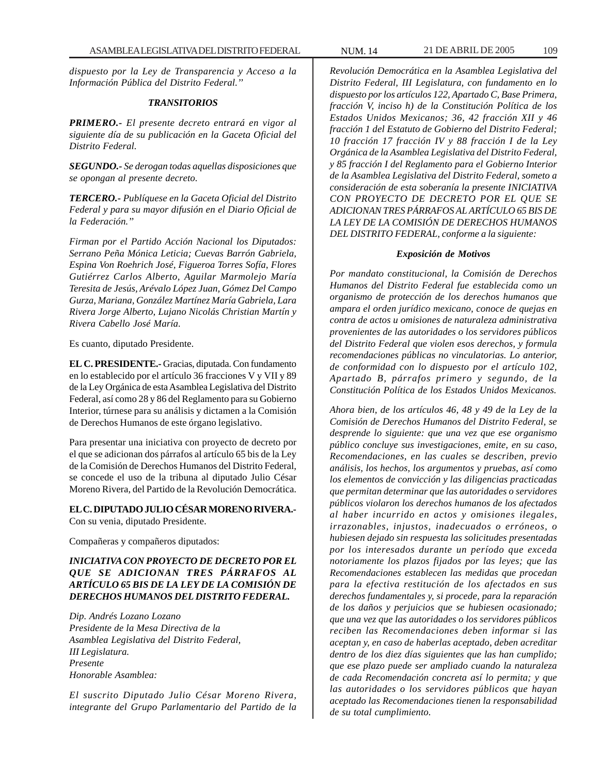*dispuesto por la Ley de Transparencia y Acceso a la Información Pública del Distrito Federal.''*

## *TRANSITORIOS*

*PRIMERO.- El presente decreto entrará en vigor al siguiente día de su publicación en la Gaceta Oficial del Distrito Federal.*

*SEGUNDO.- Se derogan todas aquellas disposiciones que se opongan al presente decreto.*

*TERCERO.- Publíquese en la Gaceta Oficial del Distrito Federal y para su mayor difusión en el Diario Oficial de la Federación.''*

*Firman por el Partido Acción Nacional los Diputados: Serrano Peña Mónica Leticia; Cuevas Barrón Gabriela, Espina Von Roehrich José, Figueroa Torres Sofía, Flores Gutiérrez Carlos Alberto, Aguilar Marmolejo María Teresita de Jesús, Arévalo López Juan, Gómez Del Campo Gurza, Mariana, González Martínez María Gabriela, Lara Rivera Jorge Alberto, Lujano Nicolás Christian Martín y Rivera Cabello José María.*

Es cuanto, diputado Presidente.

**EL C. PRESIDENTE.-** Gracias, diputada. Con fundamento en lo establecido por el artículo 36 fracciones V y VII y 89 de la Ley Orgánica de esta Asamblea Legislativa del Distrito Federal, así como 28 y 86 del Reglamento para su Gobierno Interior, túrnese para su análisis y dictamen a la Comisión de Derechos Humanos de este órgano legislativo.

Para presentar una iniciativa con proyecto de decreto por el que se adicionan dos párrafos al artículo 65 bis de la Ley de la Comisión de Derechos Humanos del Distrito Federal, se concede el uso de la tribuna al diputado Julio César Moreno Rivera, del Partido de la Revolución Democrática.

**EL C. DIPUTADO JULIO CÉSAR MORENO RIVERA.-** Con su venia, diputado Presidente.

Compañeras y compañeros diputados:

*INICIATIVA CON PROYECTO DE DECRETO POR EL QUE SE ADICIONAN TRES PÁRRAFOS AL ARTÍCULO 65 BIS DE LA LEY DE LA COMISIÓN DE DERECHOS HUMANOS DEL DISTRITO FEDERAL.*

*Dip. Andrés Lozano Lozano Presidente de la Mesa Directiva de la Asamblea Legislativa del Distrito Federal, III Legislatura. Presente Honorable Asamblea:*

*El suscrito Diputado Julio César Moreno Rivera, integrante del Grupo Parlamentario del Partido de la*

*Revolución Democrática en la Asamblea Legislativa del Distrito Federal, III Legislatura, con fundamento en lo dispuesto por los artículos 122, Apartado C, Base Primera, fracción V, inciso h) de la Constitución Política de los Estados Unidos Mexicanos; 36, 42 fracción XII y 46 fracción 1 del Estatuto de Gobierno del Distrito Federal; 10 fracción 17 fracción IV y 88 fracción I de la Ley Orgánica de la Asamblea Legislativa del Distrito Federal, y 85 fracción I del Reglamento para el Gobierno Interior de la Asamblea Legislativa del Distrito Federal, someto a consideración de esta soberanía la presente INICIATIVA CON PROYECTO DE DECRETO POR EL QUE SE ADICIONAN TRES PÁRRAFOS AL ARTÍCULO 65 BIS DE LA LEY DE LA COMISIÓN DE DERECHOS HUMANOS DEL DISTRITO FEDERAL, conforme a la siguiente:*

#### *Exposición de Motivos*

*Por mandato constitucional, la Comisión de Derechos Humanos del Distrito Federal fue establecida como un organismo de protección de los derechos humanos que ampara el orden jurídico mexicano, conoce de quejas en contra de actos u omisiones de naturaleza administrativa provenientes de las autoridades o los servidores públicos del Distrito Federal que violen esos derechos, y formula recomendaciones públicas no vinculatorias. Lo anterior, de conformidad con lo dispuesto por el artículo 102, Apartado B, párrafos primero y segundo, de la Constitución Política de los Estados Unidos Mexicanos.*

*Ahora bien, de los artículos 46, 48 y 49 de la Ley de la Comisión de Derechos Humanos del Distrito Federal, se desprende lo siguiente: que una vez que ese organismo público concluye sus investigaciones, emite, en su caso, Recomendaciones, en las cuales se describen, previo análisis, los hechos, los argumentos y pruebas, así como los elementos de convicción y las diligencias practicadas que permitan determinar que las autoridades o servidores públicos violaron los derechos humanos de los afectados al haber incurrido en actos y omisiones ilegales, irrazonables, injustos, inadecuados o erróneos, o hubiesen dejado sin respuesta las solicitudes presentadas por los interesados durante un período que exceda notoriamente los plazos fijados por las leyes; que las Recomendaciones establecen las medidas que procedan para la efectiva restitución de los afectados en sus derechos fundamentales y, si procede, para la reparación de los daños y perjuicios que se hubiesen ocasionado; que una vez que las autoridades o los servidores públicos reciben las Recomendaciones deben informar si las aceptan y, en caso de haberlas aceptado, deben acreditar dentro de los diez días siguientes que las han cumplido; que ese plazo puede ser ampliado cuando la naturaleza de cada Recomendación concreta así lo permita; y que las autoridades o los servidores públicos que hayan aceptado las Recomendaciones tienen la responsabilidad de su total cumplimiento.*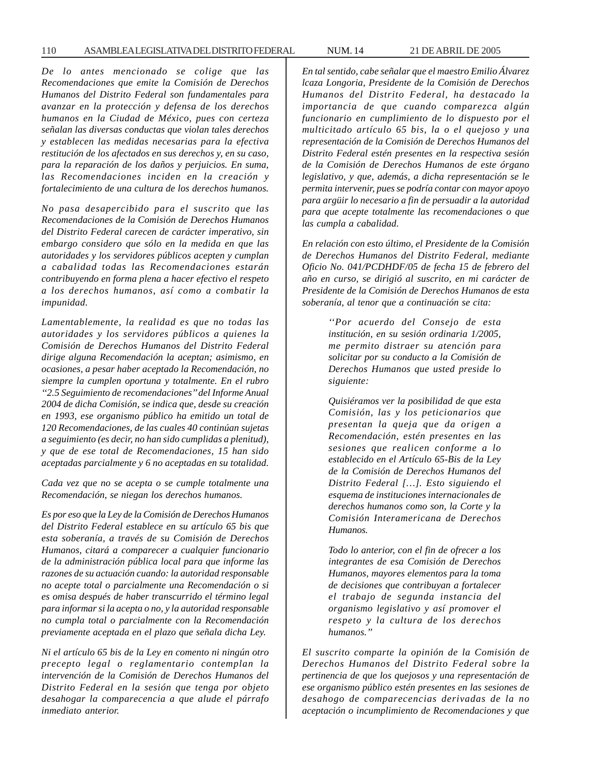*De lo antes mencionado se colige que las Recomendaciones que emite la Comisión de Derechos Humanos del Distrito Federal son fundamentales para avanzar en la protección y defensa de los derechos humanos en la Ciudad de México, pues con certeza señalan las diversas conductas que violan tales derechos y establecen las medidas necesarias para la efectiva restitución de los afectados en sus derechos y, en su caso, para la reparación de los daños y perjuicios. En suma, las Recomendaciones inciden en la creación y fortalecimiento de una cultura de los derechos humanos.*

*No pasa desapercibido para el suscrito que las Recomendaciones de la Comisión de Derechos Humanos del Distrito Federal carecen de carácter imperativo, sin embargo considero que sólo en la medida en que las autoridades y los servidores públicos acepten y cumplan a cabalidad todas las Recomendaciones estarán contribuyendo en forma plena a hacer efectivo el respeto a los derechos humanos, así como a combatir la impunidad.*

*Lamentablemente, la realidad es que no todas las autoridades y los servidores públicos a quienes la Comisión de Derechos Humanos del Distrito Federal dirige alguna Recomendación la aceptan; asimismo, en ocasiones, a pesar haber aceptado la Recomendación, no siempre la cumplen oportuna y totalmente. En el rubro ''2.5 Seguimiento de recomendaciones'' del Informe Anual 2004 de dicha Comisión, se indica que, desde su creación en 1993, ese organismo público ha emitido un total de 120 Recomendaciones, de las cuales 40 continúan sujetas a seguimiento (es decir, no han sido cumplidas a plenitud), y que de ese total de Recomendaciones, 15 han sido aceptadas parcialmente y 6 no aceptadas en su totalidad.*

*Cada vez que no se acepta o se cumple totalmente una Recomendación, se niegan los derechos humanos.*

*Es por eso que la Ley de la Comisión de Derechos Humanos del Distrito Federal establece en su artículo 65 bis que esta soberanía, a través de su Comisión de Derechos Humanos, citará a comparecer a cualquier funcionario de la administración pública local para que informe las razones de su actuación cuando: la autoridad responsable no acepte total o parcialmente una Recomendación o si es omisa después de haber transcurrido el término legal para informar si la acepta o no, y la autoridad responsable no cumpla total o parcialmente con la Recomendación previamente aceptada en el plazo que señala dicha Ley.*

*Ni el artículo 65 bis de la Ley en comento ni ningún otro precepto legal o reglamentario contemplan la intervención de la Comisión de Derechos Humanos del Distrito Federal en la sesión que tenga por objeto desahogar la comparecencia a que alude el párrafo inmediato anterior.*

*En tal sentido, cabe señalar que el maestro Emilio Álvarez lcaza Longoria, Presidente de la Comisión de Derechos Humanos del Distrito Federal, ha destacado la importancia de que cuando comparezca algún funcionario en cumplimiento de lo dispuesto por el multicitado artículo 65 bis, la o el quejoso y una representación de la Comisión de Derechos Humanos del Distrito Federal estén presentes en la respectiva sesión de la Comisión de Derechos Humanos de este órgano legislativo, y que, además, a dicha representación se le permita intervenir, pues se podría contar con mayor apoyo para argüir lo necesario a fin de persuadir a la autoridad para que acepte totalmente las recomendaciones o que las cumpla a cabalidad.*

*En relación con esto último, el Presidente de la Comisión de Derechos Humanos del Distrito Federal, mediante Oficio No. 041/PCDHDF/05 de fecha 15 de febrero del año en curso, se dirigió al suscrito, en mi carácter de Presidente de la Comisión de Derechos Humanos de esta soberanía, al tenor que a continuación se cita:*

> *''Por acuerdo del Consejo de esta institución, en su sesión ordinaria 1/2005, me permito distraer su atención para solicitar por su conducto a la Comisión de Derechos Humanos que usted preside lo siguiente:*

> *Quisiéramos ver la posibilidad de que esta Comisión, las y los peticionarios que presentan la queja que da origen a Recomendación, estén presentes en las sesiones que realicen conforme a lo establecido en el Artículo 65-Bis de la Ley de la Comisión de Derechos Humanos del Distrito Federal […]. Esto siguiendo el esquema de instituciones internacionales de derechos humanos como son, la Corte y la Comisión Interamericana de Derechos Humanos.*

> *Todo lo anterior, con el fin de ofrecer a los integrantes de esa Comisión de Derechos Humanos, mayores elementos para la toma de decisiones que contribuyan a fortalecer el trabajo de segunda instancia del organismo legislativo y así promover el respeto y la cultura de los derechos humanos.''*

*El suscrito comparte la opinión de la Comisión de Derechos Humanos del Distrito Federal sobre la pertinencia de que los quejosos y una representación de ese organismo público estén presentes en las sesiones de desahogo de comparecencias derivadas de la no aceptación o incumplimiento de Recomendaciones y que*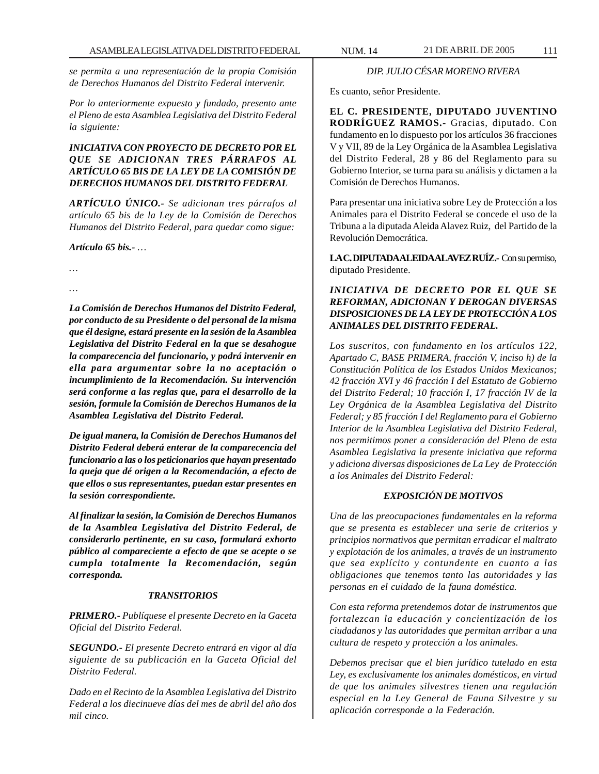*se permita a una representación de la propia Comisión de Derechos Humanos del Distrito Federal intervenir.*

*Por lo anteriormente expuesto y fundado, presento ante el Pleno de esta Asamblea Legislativa del Distrito Federal la siguiente:*

# *INICIATIVA CON PROYECTO DE DECRETO POR EL QUE SE ADICIONAN TRES PÁRRAFOS AL ARTÍCULO 65 BIS DE LA LEY DE LA COMISIÓN DE DERECHOS HUMANOS DEL DISTRITO FEDERAL*

*ARTÍCULO ÚNICO.- Se adicionan tres párrafos al artículo 65 bis de la Ley de la Comisión de Derechos Humanos del Distrito Federal, para quedar como sigue:*

*Artículo 65 bis.- …*

*…*

*…*

*La Comisión de Derechos Humanos del Distrito Federal, por conducto de su Presidente o del personal de la misma que él designe, estará presente en la sesión de la Asamblea Legislativa del Distrito Federal en la que se desahogue la comparecencia del funcionario, y podrá intervenir en ella para argumentar sobre la no aceptación o incumplimiento de la Recomendación. Su intervención será conforme a las reglas que, para el desarrollo de la sesión, formule la Comisión de Derechos Humanos de la Asamblea Legislativa del Distrito Federal.*

*De igual manera, la Comisión de Derechos Humanos del Distrito Federal deberá enterar de la comparecencia del funcionario a las o los peticionarios que hayan presentado la queja que dé origen a la Recomendación, a efecto de que ellos o sus representantes, puedan estar presentes en la sesión correspondiente.*

*Al finalizar la sesión, la Comisión de Derechos Humanos de la Asamblea Legislativa del Distrito Federal, de considerarlo pertinente, en su caso, formulará exhorto público al compareciente a efecto de que se acepte o se cumpla totalmente la Recomendación, según corresponda.*

## *TRANSITORIOS*

*PRIMERO.- Publíquese el presente Decreto en la Gaceta Oficial del Distrito Federal.*

*SEGUNDO.- El presente Decreto entrará en vigor al día siguiente de su publicación en la Gaceta Oficial del Distrito Federal.*

*Dado en el Recinto de la Asamblea Legislativa del Distrito Federal a los diecinueve días del mes de abril del año dos mil cinco.*

# *DIP. JULIO CÉSAR MORENO RIVERA*

Es cuanto, señor Presidente.

**EL C. PRESIDENTE, DIPUTADO JUVENTINO RODRÍGUEZ RAMOS.-** Gracias, diputado. Con fundamento en lo dispuesto por los artículos 36 fracciones V y VII, 89 de la Ley Orgánica de la Asamblea Legislativa del Distrito Federal, 28 y 86 del Reglamento para su Gobierno Interior, se turna para su análisis y dictamen a la Comisión de Derechos Humanos.

Para presentar una iniciativa sobre Ley de Protección a los Animales para el Distrito Federal se concede el uso de la Tribuna a la diputada Aleida Alavez Ruiz, del Partido de la Revolución Democrática.

**LA C. DIPUTADA ALEIDA ALAVEZ RUÍZ.-** Con su permiso, diputado Presidente.

# *INICIATIVA DE DECRETO POR EL QUE SE REFORMAN, ADICIONAN Y DEROGAN DIVERSAS DISPOSICIONES DE LA LEY DE PROTECCIÓN A LOS ANIMALES DEL DISTRITO FEDERAL.*

*Los suscritos, con fundamento en los artículos 122, Apartado C, BASE PRIMERA, fracción V, inciso h) de la Constitución Política de los Estados Unidos Mexicanos; 42 fracción XVI y 46 fracción I del Estatuto de Gobierno del Distrito Federal; 10 fracción I, 17 fracción IV de la Ley Orgánica de la Asamblea Legislativa del Distrito Federal; y 85 fracción I del Reglamento para el Gobierno Interior de la Asamblea Legislativa del Distrito Federal, nos permitimos poner a consideración del Pleno de esta Asamblea Legislativa la presente iniciativa que reforma y adiciona diversas disposiciones de La Ley de Protección a los Animales del Distrito Federal:*

## *EXPOSICIÓN DE MOTIVOS*

*Una de las preocupaciones fundamentales en la reforma que se presenta es establecer una serie de criterios y principios normativos que permitan erradicar el maltrato y explotación de los animales, a través de un instrumento que sea explícito y contundente en cuanto a las obligaciones que tenemos tanto las autoridades y las personas en el cuidado de la fauna doméstica.*

*Con esta reforma pretendemos dotar de instrumentos que fortalezcan la educación y concientización de los ciudadanos y las autoridades que permitan arribar a una cultura de respeto y protección a los animales.*

*Debemos precisar que el bien jurídico tutelado en esta Ley, es exclusivamente los animales domésticos, en virtud de que los animales silvestres tienen una regulación especial en la Ley General de Fauna Silvestre y su aplicación corresponde a la Federación.*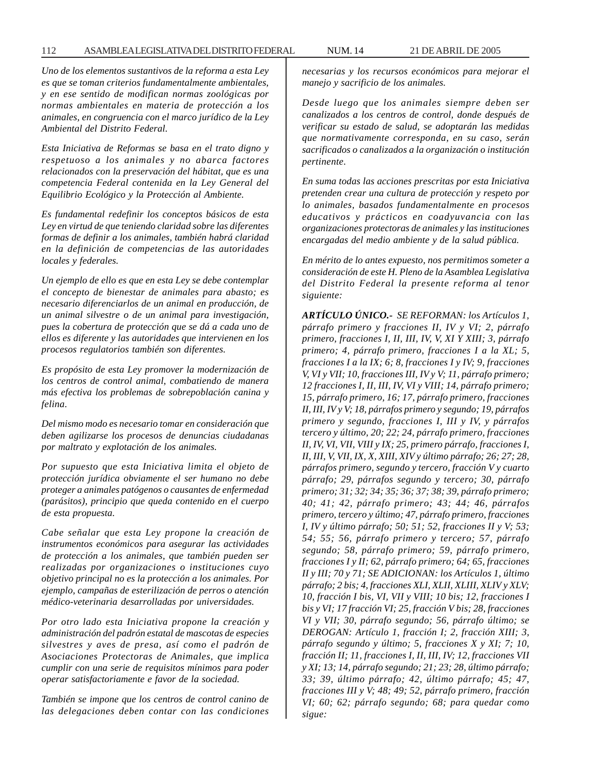*Uno de los elementos sustantivos de la reforma a esta Ley es que se toman criterios fundamentalmente ambientales, y en ese sentido de modifican normas zoológicas por normas ambientales en materia de protección a los animales, en congruencia con el marco jurídico de la Ley Ambiental del Distrito Federal.*

*Esta Iniciativa de Reformas se basa en el trato digno y respetuoso a los animales y no abarca factores relacionados con la preservación del hábitat, que es una competencia Federal contenida en la Ley General del Equilibrio Ecológico y la Protección al Ambiente.*

*Es fundamental redefinir los conceptos básicos de esta Ley en virtud de que teniendo claridad sobre las diferentes formas de definir a los animales, también habrá claridad en la definición de competencias de las autoridades locales y federales.*

*Un ejemplo de ello es que en esta Ley se debe contemplar el concepto de bienestar de animales para abasto; es necesario diferenciarlos de un animal en producción, de un animal silvestre o de un animal para investigación, pues la cobertura de protección que se dá a cada uno de ellos es diferente y las autoridades que intervienen en los procesos regulatorios también son diferentes.*

*Es propósito de esta Ley promover la modernización de los centros de control animal, combatiendo de manera más efectiva los problemas de sobrepoblación canina y felina.*

*Del mismo modo es necesario tomar en consideración que deben agilizarse los procesos de denuncias ciudadanas por maltrato y explotación de los animales.*

*Por supuesto que esta Iniciativa limita el objeto de protección jurídica obviamente el ser humano no debe proteger a animales patógenos o causantes de enfermedad (parásitos), principio que queda contenido en el cuerpo de esta propuesta.*

*Cabe señalar que esta Ley propone la creación de instrumentos económicos para asegurar las actividades de protección a los animales, que también pueden ser realizadas por organizaciones o instituciones cuyo objetivo principal no es la protección a los animales. Por ejemplo, campañas de esterilización de perros o atención médico-veterinaria desarrolladas por universidades.*

*Por otro lado esta Iniciativa propone la creación y administración del padrón estatal de mascotas de especies silvestres y aves de presa, así como el padrón de Asociaciones Protectoras de Animales, que implica cumplir con una serie de requisitos mínimos para poder operar satisfactoriamente e favor de la sociedad.*

*También se impone que los centros de control canino de las delegaciones deben contar con las condiciones* *necesarias y los recursos económicos para mejorar el manejo y sacrificio de los animales.*

*Desde luego que los animales siempre deben ser canalizados a los centros de control, donde después de verificar su estado de salud, se adoptarán las medidas que normativamente corresponda, en su caso, serán sacrificados o canalizados a la organización o institución pertinente.*

*En suma todas las acciones prescritas por esta Iniciativa pretenden crear una cultura de protección y respeto por lo animales, basados fundamentalmente en procesos educativos y prácticos en coadyuvancia con las organizaciones protectoras de animales y las instituciones encargadas del medio ambiente y de la salud pública.*

*En mérito de lo antes expuesto, nos permitimos someter a consideración de este H. Pleno de la Asamblea Legislativa del Distrito Federal la presente reforma al tenor siguiente:*

*ARTÍCULO ÚNICO.- SE REFORMAN: los Artículos 1, párrafo primero y fracciones II, IV y VI; 2, párrafo primero, fracciones I, II, III, IV, V, XI Y XIII; 3, párrafo primero; 4, párrafo primero, fracciones I a la XL; 5, fracciones I a la IX; 6; 8, fracciones I y IV; 9, fracciones V, VI y VII; 10, fracciones III, IV y V; 11, párrafo primero; 12 fracciones I, II, III, IV, VI y VIII; 14, párrafo primero; 15, párrafo primero, 16; 17, párrafo primero, fracciones II, III, IV y V; 18, párrafos primero y segundo; 19, párrafos primero y segundo, fracciones I, III y IV, y párrafos tercero y último, 20; 22; 24, párrafo primero, fracciones II, IV, VI, VII, VIII y IX; 25, primero párrafo, fracciones I, II, III, V, VII, IX, X, XIII, XIV y último párrafo; 26; 27; 28, párrafos primero, segundo y tercero, fracción V y cuarto párrafo; 29, párrafos segundo y tercero; 30, párrafo primero; 31; 32; 34; 35; 36; 37; 38; 39, párrafo primero; 40; 41; 42, párrafo primero; 43; 44; 46, párrafos primero, tercero y último; 47, párrafo primero, fracciones I, IV y último párrafo; 50; 51; 52, fracciones II y V; 53; 54; 55; 56, párrafo primero y tercero; 57, párrafo segundo; 58, párrafo primero; 59, párrafo primero, fracciones I y II; 62, párrafo primero; 64; 65, fracciones II y III; 70 y 71; SE ADICIONAN: los Artículos 1, último párrafo; 2 bis; 4, fracciones XLI, XLII, XLIII, XLIV y XLV; 10, fracción I bis, VI, VII y VIII; 10 bis; 12, fracciones I bis y VI; 17 fracción VI; 25, fracción V bis; 28, fracciones VI y VII; 30, párrafo segundo; 56, párrafo último; se DEROGAN: Artículo 1, fracción I; 2, fracción XIII; 3, párrafo segundo y último; 5, fracciones X y XI; 7; 10, fracción II; 11, fracciones I, II, III, IV; 12, fracciones VII y XI; 13; 14, párrafo segundo; 21; 23; 28, último párrafo; 33; 39, último párrafo; 42, último párrafo; 45; 47, fracciones III y V; 48; 49; 52, párrafo primero, fracción VI; 60; 62; párrafo segundo; 68; para quedar como sigue:*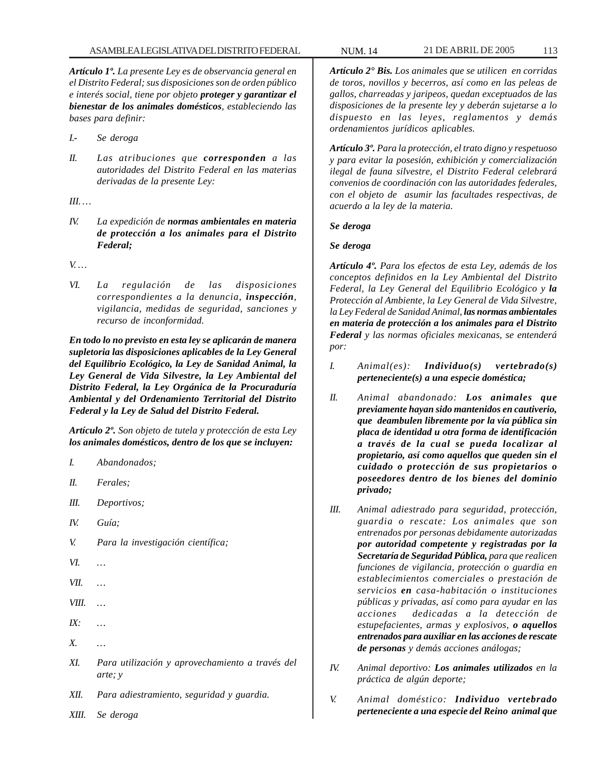*Artículo 1º. La presente Ley es de observancia general en el Distrito Federal; sus disposiciones son de orden público e interés social, tiene por objeto proteger y garantizar el bienestar de los animales domésticos, estableciendo las bases para definir:*

- *I.- Se deroga*
- *II. Las atribuciones que corresponden a las autoridades del Distrito Federal en las materias derivadas de la presente Ley:*

*III. …*

*IV. La expedición de normas ambientales en materia de protección a los animales para el Distrito Federal;*

*V. …*

*VI. La regulación de las disposiciones correspondientes a la denuncia, inspección, vigilancia, medidas de seguridad, sanciones y recurso de inconformidad.*

*En todo lo no previsto en esta ley se aplicarán de manera supletoria las disposiciones aplicables de la Ley General del Equilibrio Ecológico, la Ley de Sanidad Animal, la Ley General de Vida Silvestre, la Ley Ambiental del Distrito Federal, la Ley Orgánica de la Procuraduría Ambiental y del Ordenamiento Territorial del Distrito Federal y la Ley de Salud del Distrito Federal.*

*Artículo 2º. Son objeto de tutela y protección de esta Ley los animales domésticos, dentro de los que se incluyen:*

- *I. Abandonados;*
- *II. Ferales;*
- *III. Deportivos;*
- *IV. Guía;*
- *V. Para la investigación científica;*
- *VI. …*
- *VII. …*
- *VIII. …*
- *IX: …*
- *X. …*
- *XI. Para utilización y aprovechamiento a través del arte; y*
- *XII. Para adiestramiento, seguridad y guardia.*

*XIII. Se deroga*

*Artículo 2° Bis. Los animales que se utilicen en corridas de toros, novillos y becerros, así como en las peleas de gallos, charreadas y jaripeos, quedan exceptuados de las disposiciones de la presente ley y deberán sujetarse a lo dispuesto en las leyes, reglamentos y demás ordenamientos jurídicos aplicables.*

*Artículo 3º. Para la protección, el trato digno y respetuoso y para evitar la posesión, exhibición y comercialización ilegal de fauna silvestre, el Distrito Federal celebrará convenios de coordinación con las autoridades federales, con el objeto de asumir las facultades respectivas, de acuerdo a la ley de la materia.*

### *Se deroga*

### *Se deroga*

*Artículo 4º. Para los efectos de esta Ley, además de los conceptos definidos en la Ley Ambiental del Distrito Federal, la Ley General del Equilibrio Ecológico y la Protección al Ambiente, la Ley General de Vida Silvestre, la Ley Federal de Sanidad Animal, las normas ambientales en materia de protección a los animales para el Distrito Federal y las normas oficiales mexicanas, se entenderá por:*

- *I. Animal(es): Individuo(s) vertebrado(s) perteneciente(s) a una especie doméstica;*
- *II. Animal abandonado: Los animales que previamente hayan sido mantenidos en cautiverio, que deambulen libremente por la vía pública sin placa de identidad u otra forma de identificación a través de la cual se pueda localizar al propietario, así como aquellos que queden sin el cuidado o protección de sus propietarios o poseedores dentro de los bienes del dominio privado;*
- *III. Animal adiestrado para seguridad, protección, guardia o rescate: Los animales que son entrenados por personas debidamente autorizadas por autoridad competente y registradas por la Secretaría de Seguridad Pública, para que realicen funciones de vigilancia, protección o guardia en establecimientos comerciales o prestación de servicios en casa-habitación o instituciones públicas y privadas, así como para ayudar en las acciones dedicadas a la detección de estupefacientes, armas y explosivos, o aquellos entrenados para auxiliar en las acciones de rescate de personas y demás acciones análogas;*
- *IV. Animal deportivo: Los animales utilizados en la práctica de algún deporte;*
- *V. Animal doméstico: Individuo vertebrado perteneciente a una especie del Reino animal que*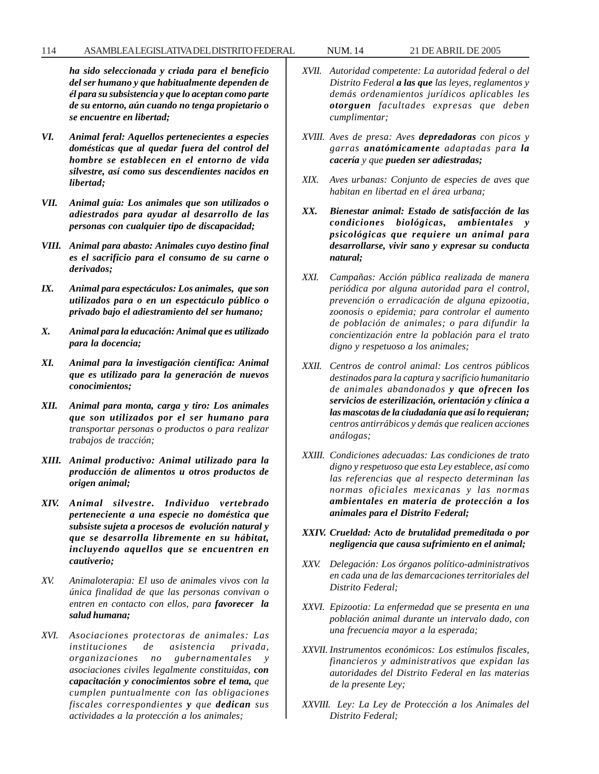*ha sido seleccionada y criada para el beneficio del ser humano y que habitualmente dependen de él para su subsistencia y que lo aceptan como parte de su entorno, aún cuando no tenga propietario o se encuentre en libertad;*

- *VI. Animal feral: Aquellos pertenecientes a especies domésticas que al quedar fuera del control del hombre se establecen en el entorno de vida silvestre, así como sus descendientes nacidos en libertad;*
- *VII. Animal guía: Los animales que son utilizados o adiestrados para ayudar al desarrollo de las personas con cualquier tipo de discapacidad;*
- *VIII. Animal para abasto: Animales cuyo destino final es el sacrificio para el consumo de su carne o derivados;*
- *IX. Animal para espectáculos: Los animales, que son utilizados para o en un espectáculo público o privado bajo el adiestramiento del ser humano;*
- *X. Animal para la educación: Animal que es utilizado para la docencia;*
- *XI. Animal para la investigación científica: Animal que es utilizado para la generación de nuevos conocimientos;*
- *XII. Animal para monta, carga y tiro: Los animales que son utilizados por el ser humano para transportar personas o productos o para realizar trabajos de tracción;*
- *XIII. Animal productivo: Animal utilizado para la producción de alimentos u otros productos de origen animal;*
- *XIV. Animal silvestre. Individuo vertebrado perteneciente a una especie no doméstica que subsiste sujeta a procesos de evolución natural y que se desarrolla libremente en su hábitat, incluyendo aquellos que se encuentren en cautiverio;*
- *XV. Animaloterapia: El uso de animales vivos con la única finalidad de que las personas convivan o entren en contacto con ellos, para favorecer la salud humana;*
- *XVI. Asociaciones protectoras de animales: Las instituciones de asistencia privada, organizaciones no gubernamentales y asociaciones civiles legalmente constituidas, con capacitación y conocimientos sobre el tema, que cumplen puntualmente con las obligaciones fiscales correspondientes y que dedican sus actividades a la protección a los animales;*
- *XVII. Autoridad competente: La autoridad federal o del Distrito Federal a las que las leyes, reglamentos y demás ordenamientos jurídicos aplicables les otorguen facultades expresas que deben cumplimentar;*
- *XVIII. Aves de presa: Aves depredadoras con picos y garras anatómicamente adaptadas para la cacería y que pueden ser adiestradas;*
- *XIX. Aves urbanas: Conjunto de especies de aves que habitan en libertad en el área urbana;*
- *XX. Bienestar animal: Estado de satisfacción de las condiciones biológicas, ambientales y psicológicas que requiere un animal para desarrollarse, vivir sano y expresar su conducta natural;*
- *XXI. Campañas: Acción pública realizada de manera periódica por alguna autoridad para el control, prevención o erradicación de alguna epizootia, zoonosis o epidemia; para controlar el aumento de población de animales; o para difundir la concientización entre la población para el trato digno y respetuoso a los animales;*
- *XXII. Centros de control animal: Los centros públicos destinados para la captura y sacrificio humanitario de animales abandonados y que ofrecen los servicios de esterilización, orientación y clínica a las mascotas de la ciudadanía que así lo requieran; centros antirrábicos y demás que realicen acciones análogas;*
- *XXIII. Condiciones adecuadas: Las condiciones de trato digno y respetuoso que esta Ley establece, así como las referencias que al respecto determinan las normas oficiales mexicanas y las normas ambientales en materia de protección a los animales para el Distrito Federal;*
- *XXIV. Crueldad: Acto de brutalidad premeditada o por negligencia que causa sufrimiento en el animal;*
- *XXV. Delegación: Los órganos político-administrativos en cada una de las demarcaciones territoriales del Distrito Federal;*
- *XXVI. Epizootia: La enfermedad que se presenta en una población animal durante un intervalo dado, con una frecuencia mayor a la esperada;*
- *XXVII. Instrumentos económicos: Los estímulos fiscales, financieros y administrativos que expidan las autoridades del Distrito Federal en las materias de la presente Ley;*
- *XXVIII. Ley: La Ley de Protección a los Animales del Distrito Federal;*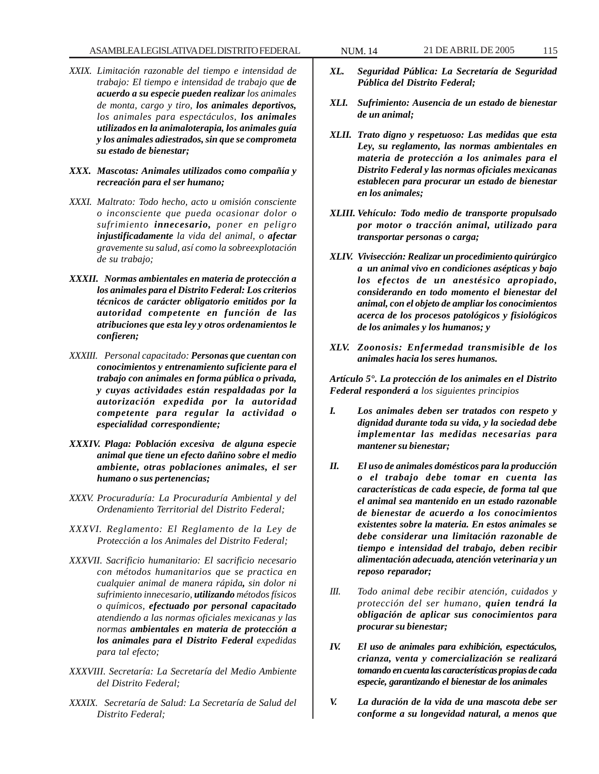- *XXIX. Limitación razonable del tiempo e intensidad de trabajo: El tiempo e intensidad de trabajo que de acuerdo a su especie pueden realizar los animales de monta, cargo y tiro, los animales deportivos, los animales para espectáculos, los animales utilizados en la animaloterapia, los animales guía y los animales adiestrados, sin que se comprometa su estado de bienestar;*
- *XXX. Mascotas: Animales utilizados como compañía y recreación para el ser humano;*
- *XXXI. Maltrato: Todo hecho, acto u omisión consciente o inconsciente que pueda ocasionar dolor o sufrimiento innecesario, poner en peligro injustificadamente la vida del animal, o afectar gravemente su salud, así como la sobreexplotación de su trabajo;*
- *XXXII. Normas ambientales en materia de protección a los animales para el Distrito Federal: Los criterios técnicos de carácter obligatorio emitidos por la autoridad competente en función de las atribuciones que esta ley y otros ordenamientos le confieren;*
- *XXXIII. Personal capacitado: Personas que cuentan con conocimientos y entrenamiento suficiente para el trabajo con animales en forma pública o privada, y cuyas actividades están respaldadas por la autorización expedida por la autoridad competente para regular la actividad o especialidad correspondiente;*
- *XXXIV. Plaga: Población excesiva de alguna especie animal que tiene un efecto dañino sobre el medio ambiente, otras poblaciones animales, el ser humano o sus pertenencias;*
- *XXXV. Procuraduría: La Procuraduría Ambiental y del Ordenamiento Territorial del Distrito Federal;*
- *XXXVI. Reglamento: El Reglamento de la Ley de Protección a los Animales del Distrito Federal;*
- *XXXVII. Sacrificio humanitario: El sacrificio necesario con métodos humanitarios que se practica en cualquier animal de manera rápida, sin dolor ni sufrimiento innecesario, utilizando métodos físicos o químicos, efectuado por personal capacitado atendiendo a las normas oficiales mexicanas y las normas ambientales en materia de protección a los animales para el Distrito Federal expedidas para tal efecto;*
- *XXXVIII. Secretaría: La Secretaría del Medio Ambiente del Distrito Federal;*
- *XXXIX. Secretaría de Salud: La Secretaría de Salud del Distrito Federal;*
- *XL. Seguridad Pública: La Secretaría de Seguridad Pública del Distrito Federal;*
- *XLI. Sufrimiento: Ausencia de un estado de bienestar de un animal;*
- *XLII. Trato digno y respetuoso: Las medidas que esta Ley, su reglamento, las normas ambientales en materia de protección a los animales para el Distrito Federal y las normas oficiales mexicanas establecen para procurar un estado de bienestar en los animales;*
- *XLIII. Vehículo: Todo medio de transporte propulsado por motor o tracción animal, utilizado para transportar personas o carga;*
- *XLIV. Vivisección: Realizar un procedimiento quirúrgico a un animal vivo en condiciones asépticas y bajo los efectos de un anestésico apropiado, considerando en todo momento el bienestar del animal, con el objeto de ampliar los conocimientos acerca de los procesos patológicos y fisiológicos de los animales y los humanos; y*
- *XLV. Zoonosis: Enfermedad transmisible de los animales hacia los seres humanos.*

*Artículo 5°. La protección de los animales en el Distrito Federal responderá a los siguientes principios*

- *I. Los animales deben ser tratados con respeto y dignidad durante toda su vida, y la sociedad debe implementar las medidas necesarias para mantener su bienestar;*
- *II. El uso de animales domésticos para la producción o el trabajo debe tomar en cuenta las características de cada especie, de forma tal que el animal sea mantenido en un estado razonable de bienestar de acuerdo a los conocimientos existentes sobre la materia. En estos animales se debe considerar una limitación razonable de tiempo e intensidad del trabajo, deben recibir alimentación adecuada, atención veterinaria y un reposo reparador;*
- *III. Todo animal debe recibir atención, cuidados y protección del ser humano, quien tendrá la obligación de aplicar sus conocimientos para procurar su bienestar;*
- *IV. El uso de animales para exhibición, espectáculos, crianza, venta y comercialización se realizará tomando en cuenta las características propias de cada especie, garantizando el bienestar de los animales*
- *V. La duración de la vida de una mascota debe ser conforme a su longevidad natural, a menos que*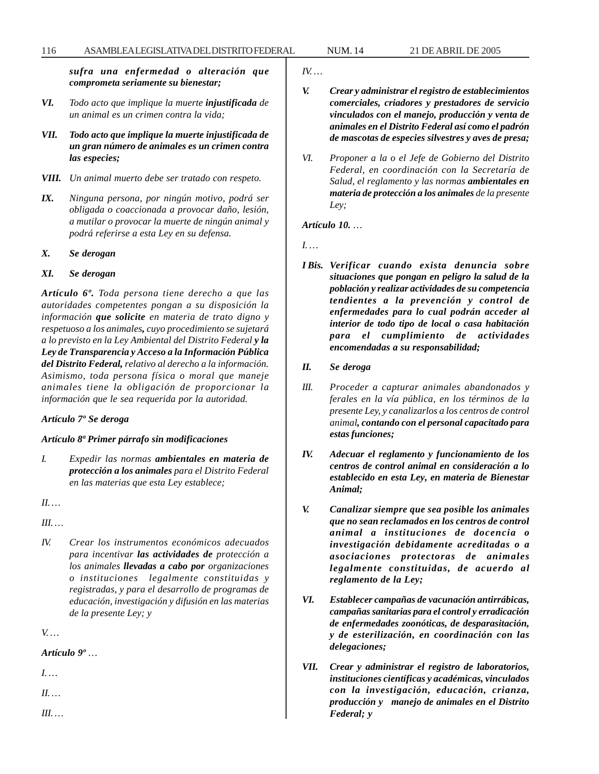*sufra una enfermedad o alteración que comprometa seriamente su bienestar;*

- *VI. Todo acto que implique la muerte injustificada de un animal es un crimen contra la vida;*
- *VII. Todo acto que implique la muerte injustificada de un gran número de animales es un crimen contra las especies;*
- *VIII. Un animal muerto debe ser tratado con respeto.*
- *IX. Ninguna persona, por ningún motivo, podrá ser obligada o coaccionada a provocar daño, lesión, a mutilar o provocar la muerte de ningún animal y podrá referirse a esta Ley en su defensa.*
- *X. Se derogan*

### *XI. Se derogan*

*Artículo 6º. Toda persona tiene derecho a que las autoridades competentes pongan a su disposición la información que solicite en materia de trato digno y respetuoso a los animales, cuyo procedimiento se sujetará a lo previsto en la Ley Ambiental del Distrito Federal y la Ley de Transparencia y Acceso a la Información Pública del Distrito Federal, relativo al derecho a la información. Asimismo, toda persona física o moral que maneje animales tiene la obligación de proporcionar la información que le sea requerida por la autoridad.*

### *Artículo 7º Se deroga*

### *Artículo 8ª Primer párrafo sin modificaciones*

*I. Expedir las normas ambientales en materia de protección a los animales para el Distrito Federal en las materias que esta Ley establece;*

*II. …*

*III. …*

*IV. Crear los instrumentos económicos adecuados para incentivar las actividades de protección a los animales llevadas a cabo por organizaciones o instituciones legalmente constituidas y registradas, y para el desarrollo de programas de educación, investigación y difusión en las materias de la presente Ley; y*

*V. …*

## *Artículo 9º …*

*I. …*

*II. …*

*III. …*

*IV. …*

- *V. Crear y administrar el registro de establecimientos comerciales, criadores y prestadores de servicio vinculados con el manejo, producción y venta de animales en el Distrito Federal así como el padrón de mascotas de especies silvestres y aves de presa;*
- *VI. Proponer a la o el Jefe de Gobierno del Distrito Federal, en coordinación con la Secretaría de Salud, el reglamento y las normas ambientales en materia de protección a los animales de la presente Ley;*

## *Artículo 10. …*

*I. …*

- *I Bis. Verificar cuando exista denuncia sobre situaciones que pongan en peligro la salud de la población y realizar actividades de su competencia tendientes a la prevención y control de enfermedades para lo cual podrán acceder al interior de todo tipo de local o casa habitación para el cumplimiento de actividades encomendadas a su responsabilidad;*
- *II. Se deroga*
- *III. Proceder a capturar animales abandonados y ferales en la vía pública, en los términos de la presente Ley, y canalizarlos a los centros de control animal, contando con el personal capacitado para estas funciones;*
- *IV. Adecuar el reglamento y funcionamiento de los centros de control animal en consideración a lo establecido en esta Ley, en materia de Bienestar Animal;*
- *V. Canalizar siempre que sea posible los animales que no sean reclamados en los centros de control animal a instituciones de docencia o investigación debidamente acreditadas o a asociaciones protectoras de animales legalmente constituidas, de acuerdo al reglamento de la Ley;*
- *VI. Establecer campañas de vacunación antirrábicas, campañas sanitarias para el control y erradicación de enfermedades zoonóticas, de desparasitación, y de esterilización, en coordinación con las delegaciones;*
- *VII. Crear y administrar el registro de laboratorios, instituciones científicas y académicas, vinculados con la investigación, educación, crianza, producción y manejo de animales en el Distrito Federal; y*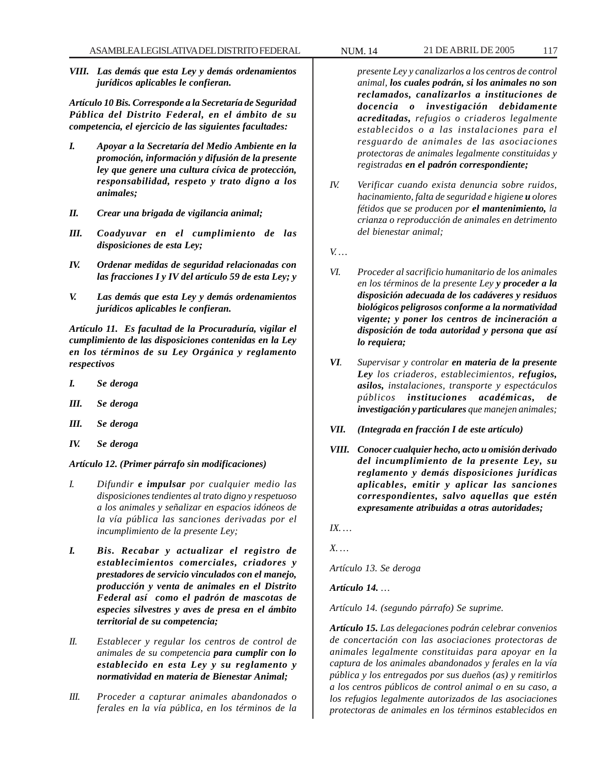*VIII. Las demás que esta Ley y demás ordenamientos jurídicos aplicables le confieran.*

*Artículo 10 Bis. Corresponde a la Secretaría de Seguridad Pública del Distrito Federal, en el ámbito de su competencia, el ejercicio de las siguientes facultades:*

- *I. Apoyar a la Secretaría del Medio Ambiente en la promoción, información y difusión de la presente ley que genere una cultura cívica de protección, responsabilidad, respeto y trato digno a los animales;*
- *II. Crear una brigada de vigilancia animal;*
- *III. Coadyuvar en el cumplimiento de las disposiciones de esta Ley;*
- *IV. Ordenar medidas de seguridad relacionadas con las fracciones I y IV del artículo 59 de esta Ley; y*
- *V. Las demás que esta Ley y demás ordenamientos jurídicos aplicables le confieran.*

*Artículo 11. Es facultad de la Procuraduría, vigilar el cumplimiento de las disposiciones contenidas en la Ley en los términos de su Ley Orgánica y reglamento respectivos*

- *I. Se deroga*
- *III. Se deroga*
- *III. Se deroga*
- *IV. Se deroga*

#### *Artículo 12. (Primer párrafo sin modificaciones)*

- *I. Difundir e impulsar por cualquier medio las disposiciones tendientes al trato digno y respetuoso a los animales y señalizar en espacios idóneos de la vía pública las sanciones derivadas por el incumplimiento de la presente Ley;*
- *I. Bis. Recabar y actualizar el registro de establecimientos comerciales, criadores y prestadores de servicio vinculados con el manejo, producción y venta de animales en el Distrito Federal así como el padrón de mascotas de especies silvestres y aves de presa en el ámbito territorial de su competencia;*
- *II. Establecer y regular los centros de control de animales de su competencia para cumplir con lo establecido en esta Ley y su reglamento y normatividad en materia de Bienestar Animal;*
- *III. Proceder a capturar animales abandonados o ferales en la vía pública, en los términos de la*

*presente Ley y canalizarlos a los centros de control animal, los cuales podrán, si los animales no son reclamados, canalizarlos a instituciones de docencia o investigación debidamente acreditadas, refugios o criaderos legalmente establecidos o a las instalaciones para el resguardo de animales de las asociaciones protectoras de animales legalmente constituidas y registradas en el padrón correspondiente;*

- *IV. Verificar cuando exista denuncia sobre ruidos, hacinamiento, falta de seguridad e higiene u olores fétidos que se producen por el mantenimiento, la crianza o reproducción de animales en detrimento del bienestar animal;*
- *V. …*
- *VI. Proceder al sacrificio humanitario de los animales en los términos de la presente Ley y proceder a la disposición adecuada de los cadáveres y residuos biológicos peligrosos conforme a la normatividad vigente; y poner los centros de incineración a disposición de toda autoridad y persona que así lo requiera;*
- *VI. Supervisar y controlar en materia de la presente Ley los criaderos, establecimientos, refugios, asilos, instalaciones, transporte y espectáculos públicos instituciones académicas, de investigación y particulares que manejen animales;*
- *VII. (Integrada en fracción I de este artículo)*
- *VIII. Conocer cualquier hecho, acto u omisión derivado del incumplimiento de la presente Ley, su reglamento y demás disposiciones jurídicas aplicables, emitir y aplicar las sanciones correspondientes, salvo aquellas que estén expresamente atribuidas a otras autoridades;*

*IX. …*

*X. …*

*Artículo 13. Se deroga*

*Artículo 14. …*

*Artículo 14. (segundo párrafo) Se suprime.*

*Artículo 15. Las delegaciones podrán celebrar convenios de concertación con las asociaciones protectoras de animales legalmente constituidas para apoyar en la captura de los animales abandonados y ferales en la vía pública y los entregados por sus dueños (as) y remitirlos a los centros públicos de control animal o en su caso, a los refugios legalmente autorizados de las asociaciones protectoras de animales en los términos establecidos en*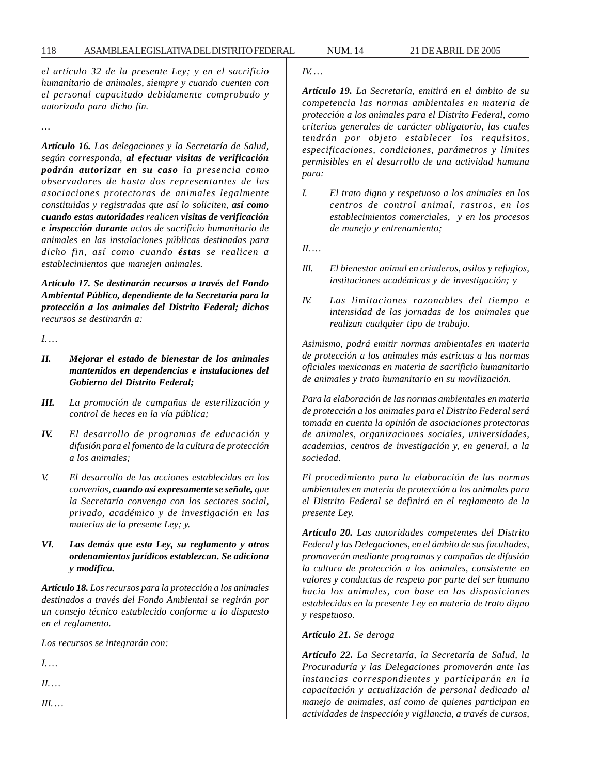*el artículo 32 de la presente Ley; y en el sacrificio humanitario de animales, siempre y cuando cuenten con el personal capacitado debidamente comprobado y autorizado para dicho fin.*

*…*

*Artículo 16. Las delegaciones y la Secretaría de Salud, según corresponda, al efectuar visitas de verificación podrán autorizar en su caso la presencia como observadores de hasta dos representantes de las asociaciones protectoras de animales legalmente constituidas y registradas que así lo soliciten, así como cuando estas autoridades realicen visitas de verificación e inspección durante actos de sacrificio humanitario de animales en las instalaciones públicas destinadas para dicho fin, así como cuando éstas se realicen a establecimientos que manejen animales.*

*Artículo 17. Se destinarán recursos a través del Fondo Ambiental Público, dependiente de la Secretaría para la protección a los animales del Distrito Federal; dichos recursos se destinarán a:*

*I. …*

- *II. Mejorar el estado de bienestar de los animales mantenidos en dependencias e instalaciones del Gobierno del Distrito Federal;*
- *III. La promoción de campañas de esterilización y control de heces en la vía pública;*
- *IV. El desarrollo de programas de educación y difusión para el fomento de la cultura de protección a los animales;*
- *V. El desarrollo de las acciones establecidas en los convenios, cuando así expresamente se señale, que la Secretaría convenga con los sectores social, privado, académico y de investigación en las materias de la presente Ley; y.*
- *VI. Las demás que esta Ley, su reglamento y otros ordenamientos jurídicos establezcan. Se adiciona y modifica.*

*Artículo 18. Los recursos para la protección a los animales destinados a través del Fondo Ambiental se regirán por un consejo técnico establecido conforme a lo dispuesto en el reglamento.*

*Los recursos se integrarán con:*

*I. …*

*II. …*

*III. …*

*IV. …*

*Artículo 19. La Secretaría, emitirá en el ámbito de su competencia las normas ambientales en materia de protección a los animales para el Distrito Federal, como criterios generales de carácter obligatorio, las cuales tendrán por objeto establecer los requisitos, especificaciones, condiciones, parámetros y límites permisibles en el desarrollo de una actividad humana para:*

*I. El trato digno y respetuoso a los animales en los centros de control animal, rastros, en los establecimientos comerciales, y en los procesos de manejo y entrenamiento;*

*II. …*

- *III. El bienestar animal en criaderos, asilos y refugios, instituciones académicas y de investigación; y*
- *IV. Las limitaciones razonables del tiempo e intensidad de las jornadas de los animales que realizan cualquier tipo de trabajo.*

*Asimismo, podrá emitir normas ambientales en materia de protección a los animales más estrictas a las normas oficiales mexicanas en materia de sacrificio humanitario de animales y trato humanitario en su movilización.*

*Para la elaboración de las normas ambientales en materia de protección a los animales para el Distrito Federal será tomada en cuenta la opinión de asociaciones protectoras de animales, organizaciones sociales, universidades, academias, centros de investigación y, en general, a la sociedad.*

*El procedimiento para la elaboración de las normas ambientales en materia de protección a los animales para el Distrito Federal se definirá en el reglamento de la presente Ley.*

*Artículo 20. Las autoridades competentes del Distrito Federal y las Delegaciones, en el ámbito de sus facultades, promoverán mediante programas y campañas de difusión la cultura de protección a los animales, consistente en valores y conductas de respeto por parte del ser humano hacia los animales, con base en las disposiciones establecidas en la presente Ley en materia de trato digno y respetuoso.*

### *Artículo 21. Se deroga*

*Artículo 22. La Secretaría, la Secretaría de Salud, la Procuraduría y las Delegaciones promoverán ante las instancias correspondientes y participarán en la capacitación y actualización de personal dedicado al manejo de animales, así como de quienes participan en actividades de inspección y vigilancia, a través de cursos,*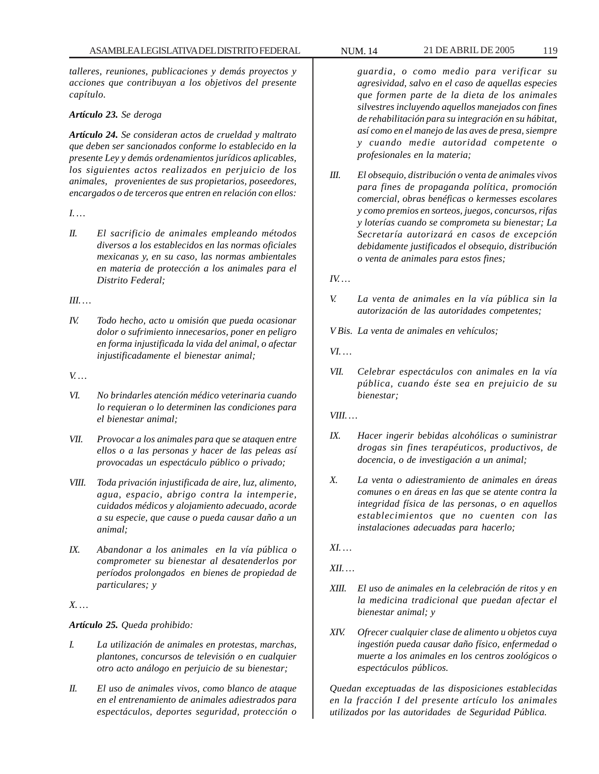*talleres, reuniones, publicaciones y demás proyectos y acciones que contribuyan a los objetivos del presente capítulo.*

## *Artículo 23. Se deroga*

*Artículo 24. Se consideran actos de crueldad y maltrato que deben ser sancionados conforme lo establecido en la presente Ley y demás ordenamientos jurídicos aplicables, los siguientes actos realizados en perjuicio de los animales, provenientes de sus propietarios, poseedores, encargados o de terceros que entren en relación con ellos:*

### *I. …*

*II. El sacrificio de animales empleando métodos diversos a los establecidos en las normas oficiales mexicanas y, en su caso, las normas ambientales en materia de protección a los animales para el Distrito Federal;*

## *III. …*

*IV. Todo hecho, acto u omisión que pueda ocasionar dolor o sufrimiento innecesarios, poner en peligro en forma injustificada la vida del animal, o afectar injustificadamente el bienestar animal;*

### *V. …*

- *VI. No brindarles atención médico veterinaria cuando lo requieran o lo determinen las condiciones para el bienestar animal;*
- *VII. Provocar a los animales para que se ataquen entre ellos o a las personas y hacer de las peleas así provocadas un espectáculo público o privado;*
- *VIII. Toda privación injustificada de aire, luz, alimento, agua, espacio, abrigo contra la intemperie, cuidados médicos y alojamiento adecuado, acorde a su especie, que cause o pueda causar daño a un animal;*
- *IX. Abandonar a los animales en la vía pública o comprometer su bienestar al desatenderlos por períodos prolongados en bienes de propiedad de particulares; y*

## *X. …*

## *Artículo 25. Queda prohibido:*

- *I. La utilización de animales en protestas, marchas, plantones, concursos de televisión o en cualquier otro acto análogo en perjuicio de su bienestar;*
- *II. El uso de animales vivos, como blanco de ataque en el entrenamiento de animales adiestrados para espectáculos, deportes seguridad, protección o*

*guardia, o como medio para verificar su agresividad, salvo en el caso de aquellas especies que formen parte de la dieta de los animales silvestres incluyendo aquellos manejados con fines de rehabilitación para su integración en su hábitat, así como en el manejo de las aves de presa, siempre y cuando medie autoridad competente o profesionales en la materia;*

*III. El obsequio, distribución o venta de animales vivos para fines de propaganda política, promoción comercial, obras benéficas o kermesses escolares y como premios en sorteos, juegos, concursos, rifas y loterías cuando se comprometa su bienestar; La Secretaría autorizará en casos de excepción debidamente justificados el obsequio, distribución o venta de animales para estos fines;*

*IV. …*

- *V. La venta de animales en la vía pública sin la autorización de las autoridades competentes;*
- *V Bis. La venta de animales en vehículos;*

*VI. …*

- *VII. Celebrar espectáculos con animales en la vía pública, cuando éste sea en prejuicio de su bienestar;*
- *VIII. …*
- *IX. Hacer ingerir bebidas alcohólicas o suministrar drogas sin fines terapéuticos, productivos, de docencia, o de investigación a un animal;*
- *X. La venta o adiestramiento de animales en áreas comunes o en áreas en las que se atente contra la integridad física de las personas, o en aquellos establecimientos que no cuenten con las instalaciones adecuadas para hacerlo;*

*XI. …*

*XII. …*

- *XIII. El uso de animales en la celebración de ritos y en la medicina tradicional que puedan afectar el bienestar animal; y*
- *XIV. Ofrecer cualquier clase de alimento u objetos cuya ingestión pueda causar daño físico, enfermedad o muerte a los animales en los centros zoológicos o espectáculos públicos.*

*Quedan exceptuadas de las disposiciones establecidas en la fracción I del presente artículo los animales utilizados por las autoridades de Seguridad Pública.*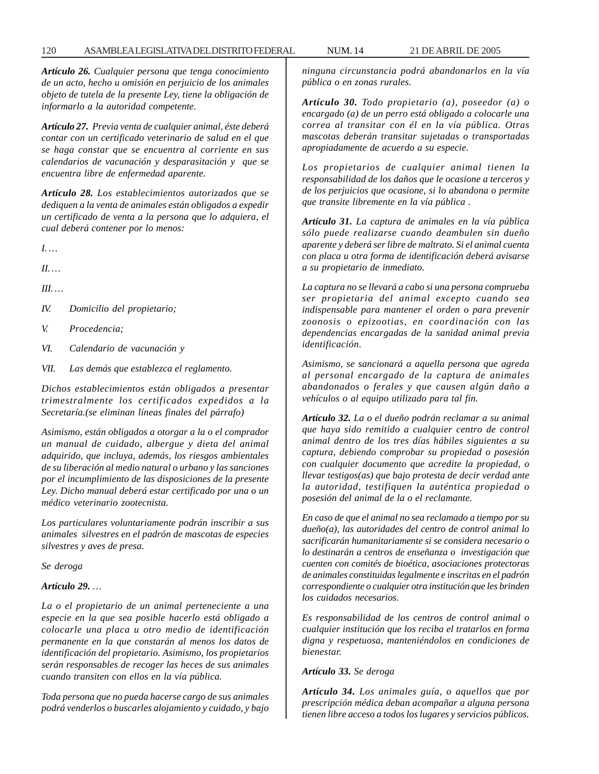*Artículo 26. Cualquier persona que tenga conocimiento de un acto, hecho u omisión en perjuicio de los animales objeto de tutela de la presente Ley, tiene la obligación de informarlo a la autoridad competente.*

*Artículo 27. Previa venta de cualquier animal, éste deberá contar con un certificado veterinario de salud en el que se haga constar que se encuentra al corriente en sus calendarios de vacunación y desparasitación y que se encuentra libre de enfermedad aparente.*

*Artículo 28. Los establecimientos autorizados que se dediquen a la venta de animales están obligados a expedir un certificado de venta a la persona que lo adquiera, el cual deberá contener por lo menos:*

*I. …*

*II. …*

*III. …*

*IV. Domicilio del propietario;*

*V. Procedencia;*

*VI. Calendario de vacunación y*

*VII. Las demás que establezca el reglamento.*

*Dichos establecimientos están obligados a presentar trimestralmente los certificados expedidos a la Secretaría.(se eliminan líneas finales del párrafo)*

*Asimismo, están obligados a otorgar a la o el comprador un manual de cuidado, albergue y dieta del animal adquirido, que incluya, además, los riesgos ambientales de su liberación al medio natural o urbano y las sanciones por el incumplimiento de las disposiciones de la presente Ley. Dicho manual deberá estar certificado por una o un médico veterinario zootecnista.*

*Los particulares voluntariamente podrán inscribir a sus animales silvestres en el padrón de mascotas de especies silvestres y aves de presa.*

*Se deroga*

# *Artículo 29. …*

*La o el propietario de un animal perteneciente a una especie en la que sea posible hacerlo está obligado a colocarle una placa u otro medio de identificación permanente en la que constarán al menos los datos de identificación del propietario. Asimismo, los propietarios serán responsables de recoger las heces de sus animales cuando transiten con ellos en la vía pública.*

*Toda persona que no pueda hacerse cargo de sus animales podrá venderlos o buscarles alojamiento y cuidado, y bajo* *ninguna circunstancia podrá abandonarlos en la vía pública o en zonas rurales.*

*Artículo 30. Todo propietario (a), poseedor (a) o encargado (a) de un perro está obligado a colocarle una correa al transitar con él en la vía pública. Otras mascotas deberán transitar sujetadas o transportadas apropiadamente de acuerdo a su especie.*

*Los propietarios de cualquier animal tienen la responsabilidad de los daños que le ocasione a terceros y de los perjuicios que ocasione, si lo abandona o permite que transite libremente en la vía pública .*

*Artículo 31. La captura de animales en la vía pública sólo puede realizarse cuando deambulen sin dueño aparente y deberá ser libre de maltrato. Si el animal cuenta con placa u otra forma de identificación deberá avisarse a su propietario de inmediato.*

*La captura no se llevará a cabo si una persona comprueba ser propietaria del animal excepto cuando sea indispensable para mantener el orden o para prevenir zoonosis o epizootias, en coordinación con las dependencias encargadas de la sanidad animal previa identificación.*

*Asimismo, se sancionará a aquella persona que agreda al personal encargado de la captura de animales abandonados o ferales y que causen algún daño a vehículos o al equipo utilizado para tal fin.*

*Artículo 32. La o el dueño podrán reclamar a su animal que haya sido remitido a cualquier centro de control animal dentro de los tres días hábiles siguientes a su captura, debiendo comprobar su propiedad o posesión con cualquier documento que acredite la propiedad, o llevar testigos(as) que bajo protesta de decir verdad ante la autoridad, testifiquen la auténtica propiedad o posesión del animal de la o el reclamante.*

*En caso de que el animal no sea reclamado a tiempo por su dueño(a), las autoridades del centro de control animal lo sacrificarán humanitariamente si se considera necesario o lo destinarán a centros de enseñanza o investigación que cuenten con comités de bioética, asociaciones protectoras de animales constituidas legalmente e inscritas en el padrón correspondiente o cualquier otra institución que les brinden los cuidados necesarios.*

*Es responsabilidad de los centros de control animal o cualquier institución que los reciba el tratarlos en forma digna y respetuosa, manteniéndolos en condiciones de bienestar.*

### *Artículo 33. Se deroga*

*Artículo 34. Los animales guía, o aquellos que por prescripción médica deban acompañar a alguna persona tienen libre acceso a todos los lugares y servicios públicos.*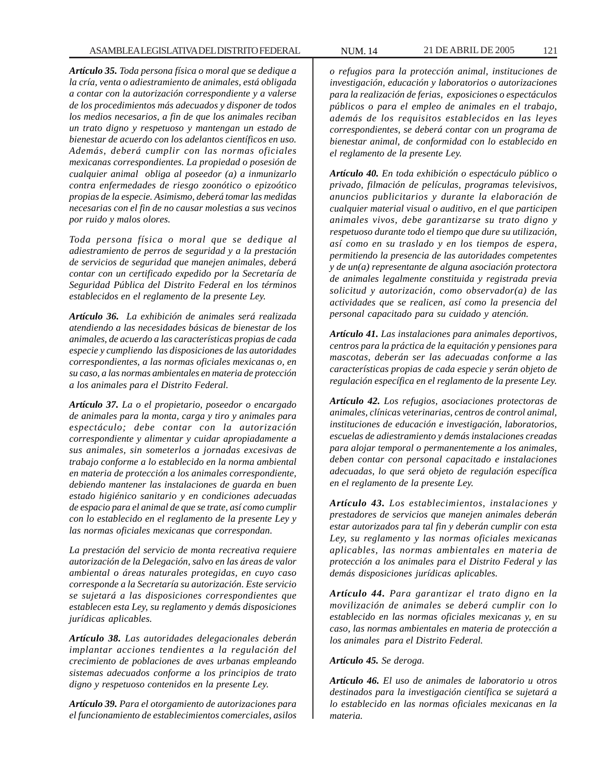*Artículo 35. Toda persona física o moral que se dedique a la cría, venta o adiestramiento de animales, está obligada a contar con la autorización correspondiente y a valerse de los procedimientos más adecuados y disponer de todos los medios necesarios, a fin de que los animales reciban un trato digno y respetuoso y mantengan un estado de bienestar de acuerdo con los adelantos científicos en uso. Además, deberá cumplir con las normas oficiales mexicanas correspondientes. La propiedad o posesión de cualquier animal obliga al poseedor (a) a inmunizarlo contra enfermedades de riesgo zoonótico o epizoótico propias de la especie. Asimismo, deberá tomar las medidas necesarias con el fin de no causar molestias a sus vecinos por ruido y malos olores.*

*Toda persona física o moral que se dedique al adiestramiento de perros de seguridad y a la prestación de servicios de seguridad que manejen animales, deberá contar con un certificado expedido por la Secretaría de Seguridad Pública del Distrito Federal en los términos establecidos en el reglamento de la presente Ley.*

*Artículo 36. La exhibición de animales será realizada atendiendo a las necesidades básicas de bienestar de los animales, de acuerdo a las características propias de cada especie y cumpliendo las disposiciones de las autoridades correspondientes, a las normas oficiales mexicanas o, en su caso, a las normas ambientales en materia de protección a los animales para el Distrito Federal.*

*Artículo 37. La o el propietario, poseedor o encargado de animales para la monta, carga y tiro y animales para espectáculo; debe contar con la autorización correspondiente y alimentar y cuidar apropiadamente a sus animales, sin someterlos a jornadas excesivas de trabajo conforme a lo establecido en la norma ambiental en materia de protección a los animales correspondiente, debiendo mantener las instalaciones de guarda en buen estado higiénico sanitario y en condiciones adecuadas de espacio para el animal de que se trate, así como cumplir con lo establecido en el reglamento de la presente Ley y las normas oficiales mexicanas que correspondan.*

*La prestación del servicio de monta recreativa requiere autorización de la Delegación, salvo en las áreas de valor ambiental o áreas naturales protegidas, en cuyo caso corresponde a la Secretaría su autorización. Este servicio se sujetará a las disposiciones correspondientes que establecen esta Ley, su reglamento y demás disposiciones jurídicas aplicables.*

*Artículo 38. Las autoridades delegacionales deberán implantar acciones tendientes a la regulación del crecimiento de poblaciones de aves urbanas empleando sistemas adecuados conforme a los principios de trato digno y respetuoso contenidos en la presente Ley.*

*Artículo 39. Para el otorgamiento de autorizaciones para el funcionamiento de establecimientos comerciales, asilos*

*o refugios para la protección animal, instituciones de investigación, educación y laboratorios o autorizaciones para la realización de ferias, exposiciones o espectáculos públicos o para el empleo de animales en el trabajo, además de los requisitos establecidos en las leyes correspondientes, se deberá contar con un programa de bienestar animal, de conformidad con lo establecido en el reglamento de la presente Ley.*

*Artículo 40. En toda exhibición o espectáculo público o privado, filmación de películas, programas televisivos, anuncios publicitarios y durante la elaboración de cualquier material visual o auditivo, en el que participen animales vivos, debe garantizarse su trato digno y respetuoso durante todo el tiempo que dure su utilización, así como en su traslado y en los tiempos de espera, permitiendo la presencia de las autoridades competentes y de un(a) representante de alguna asociación protectora de animales legalmente constituida y registrada previa solicitud y autorización, como observador(a) de las actividades que se realicen, así como la presencia del personal capacitado para su cuidado y atención.*

*Artículo 41. Las instalaciones para animales deportivos, centros para la práctica de la equitación y pensiones para mascotas, deberán ser las adecuadas conforme a las características propias de cada especie y serán objeto de regulación específica en el reglamento de la presente Ley.*

*Artículo 42. Los refugios, asociaciones protectoras de animales, clínicas veterinarias, centros de control animal, instituciones de educación e investigación, laboratorios, escuelas de adiestramiento y demás instalaciones creadas para alojar temporal o permanentemente a los animales, deben contar con personal capacitado e instalaciones adecuadas, lo que será objeto de regulación específica en el reglamento de la presente Ley.*

*Artículo 43. Los establecimientos, instalaciones y prestadores de servicios que manejen animales deberán estar autorizados para tal fin y deberán cumplir con esta Ley, su reglamento y las normas oficiales mexicanas aplicables, las normas ambientales en materia de protección a los animales para el Distrito Federal y las demás disposiciones jurídicas aplicables.*

*Artículo 44. Para garantizar el trato digno en la movilización de animales se deberá cumplir con lo establecido en las normas oficiales mexicanas y, en su caso, las normas ambientales en materia de protección a los animales para el Distrito Federal.*

*Artículo 45. Se deroga.*

*Artículo 46. El uso de animales de laboratorio u otros destinados para la investigación científica se sujetará a lo establecido en las normas oficiales mexicanas en la materia.*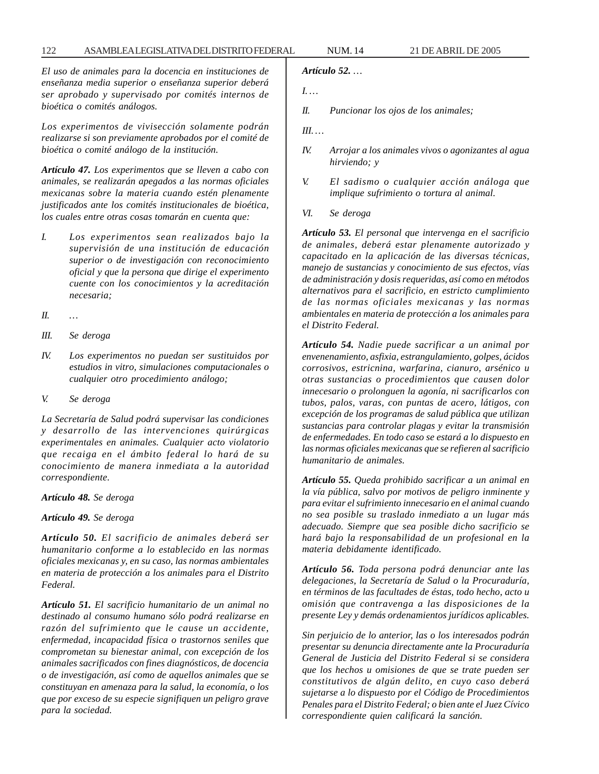*El uso de animales para la docencia en instituciones de enseñanza media superior o enseñanza superior deberá ser aprobado y supervisado por comités internos de bioética o comités análogos.*

*Los experimentos de vivisección solamente podrán realizarse si son previamente aprobados por el comité de bioética o comité análogo de la institución.*

*Artículo 47. Los experimentos que se lleven a cabo con animales, se realizarán apegados a las normas oficiales mexicanas sobre la materia cuando estén plenamente justificados ante los comités institucionales de bioética, los cuales entre otras cosas tomarán en cuenta que:*

- *I. Los experimentos sean realizados bajo la supervisión de una institución de educación superior o de investigación con reconocimiento oficial y que la persona que dirige el experimento cuente con los conocimientos y la acreditación necesaria;*
- *II. …*
- *III. Se deroga*
- *IV. Los experimentos no puedan ser sustituidos por estudios in vitro, simulaciones computacionales o cualquier otro procedimiento análogo;*
- *V. Se deroga*

*La Secretaría de Salud podrá supervisar las condiciones y desarrollo de las intervenciones quirúrgicas experimentales en animales. Cualquier acto violatorio que recaiga en el ámbito federal lo hará de su conocimiento de manera inmediata a la autoridad correspondiente.*

*Artículo 48. Se deroga*

*Artículo 49. Se deroga*

*Artículo 50. El sacrificio de animales deberá ser humanitario conforme a lo establecido en las normas oficiales mexicanas y, en su caso, las normas ambientales en materia de protección a los animales para el Distrito Federal.*

*Artículo 51. El sacrificio humanitario de un animal no destinado al consumo humano sólo podrá realizarse en razón del sufrimiento que le cause un accidente, enfermedad, incapacidad física o trastornos seniles que comprometan su bienestar animal, con excepción de los animales sacrificados con fines diagnósticos, de docencia o de investigación, así como de aquellos animales que se constituyan en amenaza para la salud, la economía, o los que por exceso de su especie signifiquen un peligro grave para la sociedad.*

*Artículo 52. …*

- *I. …*
- *II. Puncionar los ojos de los animales;*
- *III. …*
- *IV. Arrojar a los animales vivos o agonizantes al agua hirviendo; y*
- *V. El sadismo o cualquier acción análoga que implique sufrimiento o tortura al animal.*
- *VI. Se deroga*

*Artículo 53. El personal que intervenga en el sacrificio de animales, deberá estar plenamente autorizado y capacitado en la aplicación de las diversas técnicas, manejo de sustancias y conocimiento de sus efectos, vías de administración y dosis requeridas, así como en métodos alternativos para el sacrificio, en estricto cumplimiento de las normas oficiales mexicanas y las normas ambientales en materia de protección a los animales para el Distrito Federal.*

*Artículo 54. Nadie puede sacrificar a un animal por envenenamiento, asfixia, estrangulamiento, golpes, ácidos corrosivos, estricnina, warfarina, cianuro, arsénico u otras sustancias o procedimientos que causen dolor innecesario o prolonguen la agonía, ni sacrificarlos con tubos, palos, varas, con puntas de acero, látigos, con excepción de los programas de salud pública que utilizan sustancias para controlar plagas y evitar la transmisión de enfermedades. En todo caso se estará a lo dispuesto en las normas oficiales mexicanas que se refieren al sacrificio humanitario de animales.*

*Artículo 55. Queda prohibido sacrificar a un animal en la vía pública, salvo por motivos de peligro inminente y para evitar el sufrimiento innecesario en el animal cuando no sea posible su traslado inmediato a un lugar más adecuado. Siempre que sea posible dicho sacrificio se hará bajo la responsabilidad de un profesional en la materia debidamente identificado.*

*Artículo 56. Toda persona podrá denunciar ante las delegaciones, la Secretaría de Salud o la Procuraduría, en términos de las facultades de éstas, todo hecho, acto u omisión que contravenga a las disposiciones de la presente Ley y demás ordenamientos jurídicos aplicables.*

*Sin perjuicio de lo anterior, las o los interesados podrán presentar su denuncia directamente ante la Procuraduría General de Justicia del Distrito Federal si se considera que los hechos u omisiones de que se trate pueden ser constitutivos de algún delito, en cuyo caso deberá sujetarse a lo dispuesto por el Código de Procedimientos Penales para el Distrito Federal; o bien ante el Juez Cívico correspondiente quien calificará la sanción.*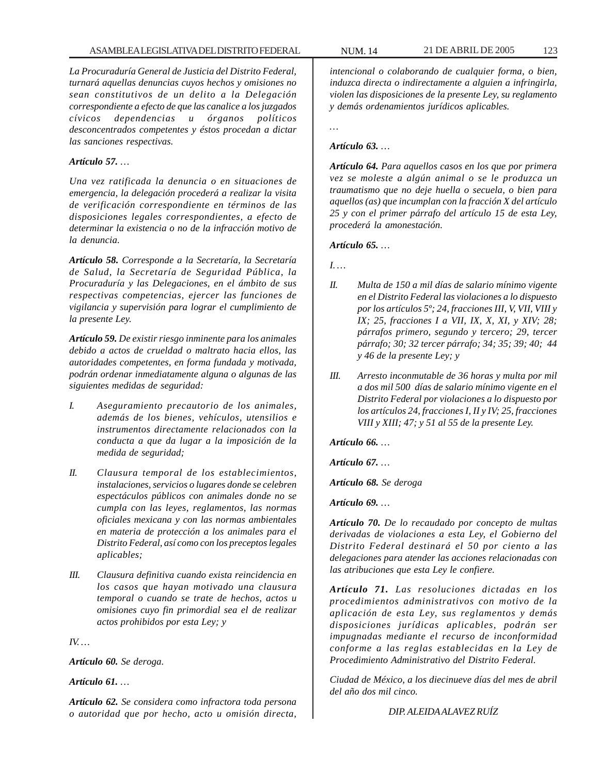*La Procuraduría General de Justicia del Distrito Federal, turnará aquellas denuncias cuyos hechos y omisiones no sean constitutivos de un delito a la Delegación correspondiente a efecto de que las canalice a los juzgados cívicos dependencias u órganos políticos desconcentrados competentes y éstos procedan a dictar las sanciones respectivas.*

## *Artículo 57. …*

*Una vez ratificada la denuncia o en situaciones de emergencia, la delegación procederá a realizar la visita de verificación correspondiente en términos de las disposiciones legales correspondientes, a efecto de determinar la existencia o no de la infracción motivo de la denuncia.*

*Artículo 58. Corresponde a la Secretaría, la Secretaría de Salud, la Secretaría de Seguridad Pública, la Procuraduría y las Delegaciones, en el ámbito de sus respectivas competencias, ejercer las funciones de vigilancia y supervisión para lograr el cumplimiento de la presente Ley.*

*Artículo 59. De existir riesgo inminente para los animales debido a actos de crueldad o maltrato hacia ellos, las autoridades competentes, en forma fundada y motivada, podrán ordenar inmediatamente alguna o algunas de las siguientes medidas de seguridad:*

- *I. Aseguramiento precautorio de los animales, además de los bienes, vehículos, utensilios e instrumentos directamente relacionados con la conducta a que da lugar a la imposición de la medida de seguridad;*
- *II. Clausura temporal de los establecimientos, instalaciones, servicios o lugares donde se celebren espectáculos públicos con animales donde no se cumpla con las leyes, reglamentos, las normas oficiales mexicana y con las normas ambientales en materia de protección a los animales para el Distrito Federal, así como con los preceptos legales aplicables;*
- *III. Clausura definitiva cuando exista reincidencia en los casos que hayan motivado una clausura temporal o cuando se trate de hechos, actos u omisiones cuyo fin primordial sea el de realizar actos prohibidos por esta Ley; y*

*IV. …*

*Artículo 60. Se deroga.*

*Artículo 61. …*

*Artículo 62. Se considera como infractora toda persona o autoridad que por hecho, acto u omisión directa,*

*intencional o colaborando de cualquier forma, o bien, induzca directa o indirectamente a alguien a infringirla, violen las disposiciones de la presente Ley, su reglamento y demás ordenamientos jurídicos aplicables.*

*…*

## *Artículo 63. …*

*Artículo 64. Para aquellos casos en los que por primera vez se moleste a algún animal o se le produzca un traumatismo que no deje huella o secuela, o bien para aquellos (as) que incumplan con la fracción X del artículo 25 y con el primer párrafo del artículo 15 de esta Ley, procederá la amonestación.*

*Artículo 65. …*

*I. …*

- *II. Multa de 150 a mil días de salario mínimo vigente en el Distrito Federal las violaciones a lo dispuesto por los artículos 5º; 24, fracciones III, V, VII, VIII y IX; 25, fracciones I a VII, IX, X, XI, y XIV; 28; párrafos primero, segundo y tercero; 29, tercer párrafo; 30; 32 tercer párrafo; 34; 35; 39; 40; 44 y 46 de la presente Ley; y*
- *III. Arresto inconmutable de 36 horas y multa por mil a dos mil 500 días de salario mínimo vigente en el Distrito Federal por violaciones a lo dispuesto por los artículos 24, fracciones I, II y IV; 25, fracciones VIII y XIII; 47; y 51 al 55 de la presente Ley.*

*Artículo 66. …*

*Artículo 67. …*

*Artículo 68. Se deroga*

*Artículo 69. …*

*Artículo 70. De lo recaudado por concepto de multas derivadas de violaciones a esta Ley, el Gobierno del Distrito Federal destinará el 50 por ciento a las delegaciones para atender las acciones relacionadas con las atribuciones que esta Ley le confiere.*

*Artículo 71. Las resoluciones dictadas en los procedimientos administrativos con motivo de la aplicación de esta Ley, sus reglamentos y demás disposiciones jurídicas aplicables, podrán ser impugnadas mediante el recurso de inconformidad conforme a las reglas establecidas en la Ley de Procedimiento Administrativo del Distrito Federal.*

*Ciudad de México, a los diecinueve días del mes de abril del año dos mil cinco.*

*DIP. ALEIDA ALAVEZ RUÍZ*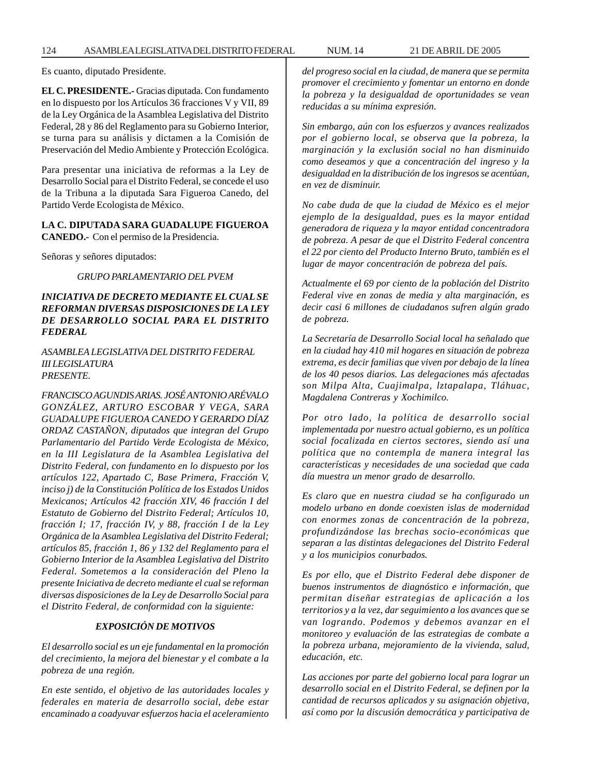Es cuanto, diputado Presidente.

**EL C. PRESIDENTE.-** Gracias diputada. Con fundamento en lo dispuesto por los Artículos 36 fracciones V y VII, 89 de la Ley Orgánica de la Asamblea Legislativa del Distrito Federal, 28 y 86 del Reglamento para su Gobierno Interior, se turna para su análisis y dictamen a la Comisión de Preservación del Medio Ambiente y Protección Ecológica.

Para presentar una iniciativa de reformas a la Ley de Desarrollo Social para el Distrito Federal, se concede el uso de la Tribuna a la diputada Sara Figueroa Canedo, del Partido Verde Ecologista de México.

### **LA C. DIPUTADA SARA GUADALUPE FIGUEROA CANEDO.-** Con el permiso de la Presidencia.

Señoras y señores diputados:

### *GRUPO PARLAMENTARIO DEL PVEM*

## *INICIATIVA DE DECRETO MEDIANTE EL CUAL SE REFORMAN DIVERSAS DISPOSICIONES DE LA LEY DE DESARROLLO SOCIAL PARA EL DISTRITO FEDERAL*

*ASAMBLEA LEGISLATIVA DEL DISTRITO FEDERAL III LEGISLATURA PRESENTE.*

*FRANCISCO AGUNDIS ARIAS. JOSÉ ANTONIO ARÉVALO GONZÁLEZ, ARTURO ESCOBAR Y VEGA, SARA GUADALUPE FIGUEROA CANEDO Y GERARDO DÍAZ ORDAZ CASTAÑON, diputados que integran del Grupo Parlamentario del Partido Verde Ecologista de México, en la III Legislatura de la Asamblea Legislativa del Distrito Federal, con fundamento en lo dispuesto por los artículos 122, Apartado C, Base Primera, Fracción V, inciso j) de la Constitución Política de los Estados Unidos Mexicanos; Artículos 42 fracción XIV, 46 fracción I del Estatuto de Gobierno del Distrito Federal; Artículos 10, fracción I; 17, fracción IV, y 88, fracción I de la Ley Orgánica de la Asamblea Legislativa del Distrito Federal; artículos 85, fracción 1, 86 y 132 del Reglamento para el Gobierno Interior de la Asamblea Legislativa del Distrito Federal. Sometemos a la consideración del Pleno la presente Iniciativa de decreto mediante el cual se reforman diversas disposiciones de la Ley de Desarrollo Social para el Distrito Federal, de conformidad con la siguiente:*

## *EXPOSICIÓN DE MOTIVOS*

*El desarrollo social es un eje fundamental en la promoción del crecimiento, la mejora del bienestar y el combate a la pobreza de una región.*

*En este sentido, el objetivo de las autoridades locales y federales en materia de desarrollo social, debe estar encaminado a coadyuvar esfuerzos hacia el aceleramiento*

*del progreso social en la ciudad, de manera que se permita promover el crecimiento y fomentar un entorno en donde la pobreza y la desigualdad de oportunidades se vean reducidas a su mínima expresión.*

*Sin embargo, aún con los esfuerzos y avances realizados por el gobierno local, se observa que la pobreza, la marginación y la exclusión social no han disminuido como deseamos y que a concentración del ingreso y la desigualdad en la distribución de los ingresos se acentúan, en vez de disminuir.*

*No cabe duda de que la ciudad de México es el mejor ejemplo de la desigualdad, pues es la mayor entidad generadora de riqueza y la mayor entidad concentradora de pobreza. A pesar de que el Distrito Federal concentra el 22 por ciento del Producto Interno Bruto, también es el lugar de mayor concentración de pobreza del país.*

*Actualmente el 69 por ciento de la población del Distrito Federal vive en zonas de media y alta marginación, es decir casi 6 millones de ciudadanos sufren algún grado de pobreza.*

*La Secretaría de Desarrollo Social local ha señalado que en la ciudad hay 410 mil hogares en situación de pobreza extrema, es decir familias que viven por debajo de la línea de los 40 pesos diarios. Las delegaciones más afectadas son Milpa Alta, Cuajimalpa, lztapalapa, Tláhuac, Magdalena Contreras y Xochimilco.*

*Por otro lado, la política de desarrollo social implementada por nuestro actual gobierno, es un política social focalizada en ciertos sectores, siendo así una política que no contempla de manera integral las características y necesidades de una sociedad que cada día muestra un menor grado de desarrollo.*

*Es claro que en nuestra ciudad se ha configurado un modelo urbano en donde coexisten islas de modernidad con enormes zonas de concentración de la pobreza, profundizándose las brechas socio-económicas que separan a las distintas delegaciones del Distrito Federal y a los municipios conurbados.*

*Es por ello, que el Distrito Federal debe disponer de buenos instrumentos de diagnóstico e información, que permitan diseñar estrategias de aplicación a los territorios y a la vez, dar seguimiento a los avances que se van logrando. Podemos y debemos avanzar en el monitoreo y evaluación de las estrategias de combate a la pobreza urbana, mejoramiento de la vivienda, salud, educación, etc.*

*Las acciones por parte del gobierno local para lograr un desarrollo social en el Distrito Federal, se definen por la cantidad de recursos aplicados y su asignación objetiva, así como por la discusión democrática y participativa de*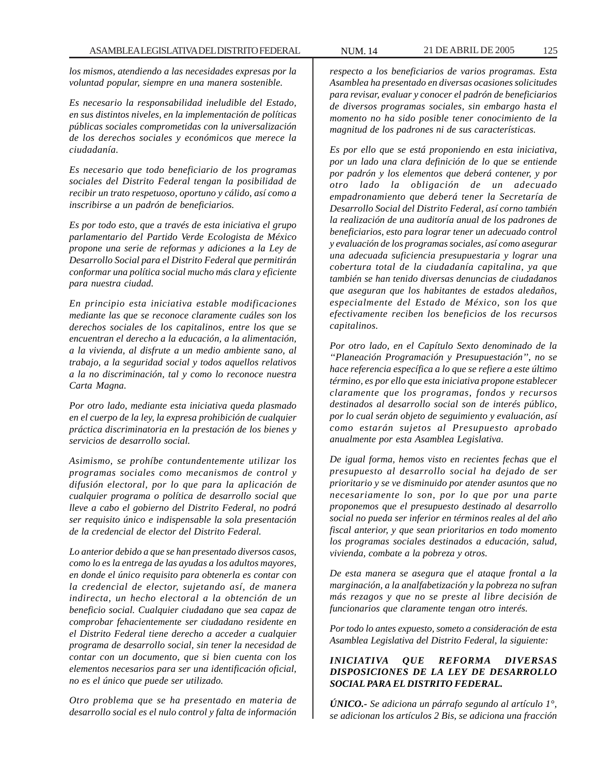*los mismos, atendiendo a las necesidades expresas por la voluntad popular, siempre en una manera sostenible.*

*Es necesario la responsabilidad ineludible del Estado, en sus distintos niveles, en la implementación de políticas públicas sociales comprometidas con la universalización de los derechos sociales y económicos que merece la ciudadanía.*

*Es necesario que todo beneficiario de los programas sociales del Distrito Federal tengan la posibilidad de recibir un trato respetuoso, oportuno y cálido, así como a inscribirse a un padrón de beneficiarios.*

*Es por todo esto, que a través de esta iniciativa el grupo parlamentario del Partido Verde Ecologista de México propone una serie de reformas y adiciones a la Ley de Desarrollo Social para el Distrito Federal que permitirán conformar una política social mucho más clara y eficiente para nuestra ciudad.*

*En principio esta iniciativa estable modificaciones mediante las que se reconoce claramente cuáles son los derechos sociales de los capitalinos, entre los que se encuentran el derecho a la educación, a la alimentación, a la vivienda, al disfrute a un medio ambiente sano, al trabajo, a la seguridad social y todos aquellos relativos a la no discriminación, tal y como lo reconoce nuestra Carta Magna.*

*Por otro lado, mediante esta iniciativa queda plasmado en el cuerpo de la ley, la expresa prohibición de cualquier práctica discriminatoria en la prestación de los bienes y servicios de desarrollo social.*

*Asimismo, se prohíbe contundentemente utilizar los programas sociales como mecanismos de control y difusión electoral, por lo que para la aplicación de cualquier programa o política de desarrollo social que lleve a cabo el gobierno del Distrito Federal, no podrá ser requisito único e indispensable la sola presentación de la credencial de elector del Distrito Federal.*

*Lo anterior debido a que se han presentado diversos casos, como lo es la entrega de las ayudas a los adultos mayores, en donde el único requisito para obtenerla es contar con la credencial de elector, sujetando así, de manera indirecta, un hecho electoral a la obtención de un beneficio social. Cualquier ciudadano que sea capaz de comprobar fehacientemente ser ciudadano residente en el Distrito Federal tiene derecho a acceder a cualquier programa de desarrollo social, sin tener la necesidad de contar con un documento, que si bien cuenta con los elementos necesarios para ser una identificación oficial, no es el único que puede ser utilizado.*

*Otro problema que se ha presentado en materia de desarrollo social es el nulo control y falta de información* *respecto a los beneficiarios de varios programas. Esta Asamblea ha presentado en diversas ocasiones solicitudes para revisar, evaluar y conocer el padrón de beneficiarios de diversos programas sociales, sin embargo hasta el momento no ha sido posible tener conocimiento de la magnitud de los padrones ni de sus características.*

*Es por ello que se está proponiendo en esta iniciativa, por un lado una clara definición de lo que se entiende por padrón y los elementos que deberá contener, y por otro lado la obligación de un adecuado empadronamiento que deberá tener la Secretaría de Desarrollo Social del Distrito Federal, así corno también la realización de una auditoría anual de los padrones de beneficiarios, esto para lograr tener un adecuado control y evaluación de los programas sociales, así como asegurar una adecuada suficiencia presupuestaria y lograr una cobertura total de la ciudadanía capitalina, ya que también se han tenido diversas denuncias de ciudadanos que aseguran que los habitantes de estados aledaños, especialmente del Estado de México, son los que efectivamente reciben los beneficios de los recursos capitalinos.*

*Por otro lado, en el Capítulo Sexto denominado de la ''Planeación Programación y Presupuestación'', no se hace referencia específica a lo que se refiere a este último término, es por ello que esta iniciativa propone establecer claramente que los programas, fondos y recursos destinados al desarrollo social son de interés público, por lo cual serán objeto de seguimiento y evaluación, así como estarán sujetos al Presupuesto aprobado anualmente por esta Asamblea Legislativa.*

*De igual forma, hemos visto en recientes fechas que el presupuesto al desarrollo social ha dejado de ser prioritario y se ve disminuido por atender asuntos que no necesariamente lo son, por lo que por una parte proponemos que el presupuesto destinado al desarrollo social no pueda ser inferior en términos reales al del año fiscal anterior, y que sean prioritarios en todo momento los programas sociales destinados a educación, salud, vivienda, combate a la pobreza y otros.*

*De esta manera se asegura que el ataque frontal a la marginación, a la analfabetización y la pobreza no sufran más rezagos y que no se preste al libre decisión de funcionarios que claramente tengan otro interés.*

*Por todo lo antes expuesto, someto a consideración de esta Asamblea Legislativa del Distrito Federal, la siguiente:*

# *INICIATIVA QUE REFORMA DIVERSAS DISPOSICIONES DE LA LEY DE DESARROLLO SOCIAL PARA EL DISTRITO FEDERAL.*

*ÚNICO.- Se adiciona un párrafo segundo al artículo 1°, se adicionan los artículos 2 Bis, se adiciona una fracción*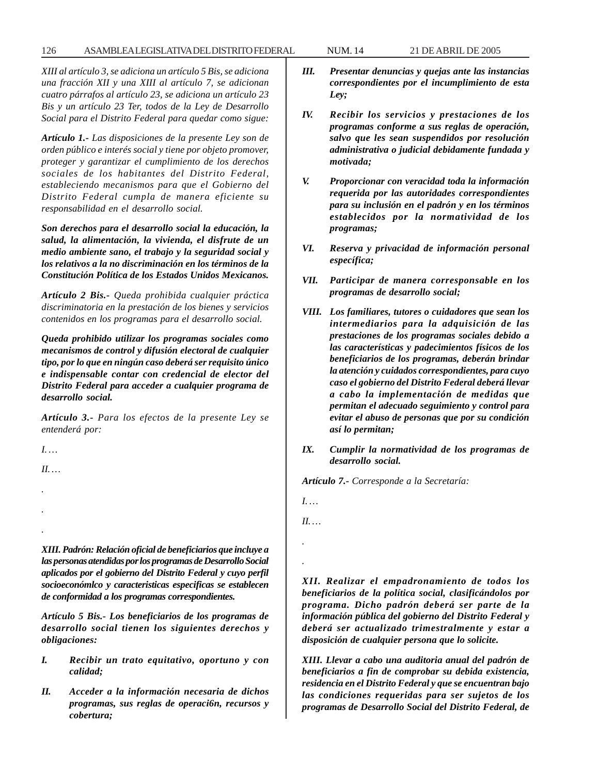*XIII al artículo 3, se adiciona un artículo 5 Bis, se adiciona una fracción XII y una XIII al artículo 7, se adicionan cuatro párrafos al artículo 23, se adiciona un artículo 23 Bis y un artículo 23 Ter, todos de la Ley de Desarrollo Social para el Distrito Federal para quedar como sigue:*

*Artículo 1.- Las disposiciones de la presente Ley son de orden público e interés social y tiene por objeto promover, proteger y garantizar el cumplimiento de los derechos sociales de los habitantes del Distrito Federal, estableciendo mecanismos para que el Gobierno del Distrito Federal cumpla de manera eficiente su responsabilidad en el desarrollo social.*

*Son derechos para el desarrollo social la educación, la salud, la alimentación, la vivienda, el disfrute de un medio ambiente sano, el trabajo y la seguridad social y los relativos a la no discriminación en los términos de la Constitución Política de los Estados Unidos Mexicanos.*

*Artículo 2 Bis.- Queda prohibida cualquier práctica discriminatoria en la prestación de los bienes y servicios contenidos en los programas para el desarrollo social.*

*Queda prohibido utilizar los programas sociales como mecanismos de control y difusión electoral de cualquier tipo, por lo que en ningún caso deberá ser requisito único e indispensable contar con credencial de elector del Distrito Federal para acceder a cualquier programa de desarrollo social.*

*Artículo 3.- Para los efectos de la presente Ley se entenderá por:*

*I. …*

*II. …*

*. .*

*.*

*XIII. Padrón: Relación oficial de beneficiarios que incluye a las personas atendidas por los programas de Desarrollo Social aplicados por el gobierno del Distrito Federal y cuyo perfil socioeconómlco y caracteristicas especificas se establecen de conformidad a los programas correspondientes.*

*Artículo 5 Bis.- Los beneficiarios de los programas de desarrollo social tienen los siguientes derechos y obligaciones:*

- *I. Recibir un trato equitativo, oportuno y con calidad;*
- *II. Acceder a la información necesaria de dichos programas, sus reglas de operaci6n, recursos y cobertura;*
- *III. Presentar denuncias y quejas ante las instancias correspondientes por el incumplimiento de esta Ley;*
- *IV. Recibir los servicios y prestaciones de los programas conforme a sus reglas de operación, salvo que les sean suspendidos por resolución administrativa o judicial debidamente fundada y motivada;*
- *V. Proporcionar con veracidad toda la información requerida por las autoridades correspondientes para su inclusión en el padrón y en los términos establecidos por la normatividad de los programas;*
- *VI. Reserva y privacidad de información personal específica;*
- *VII. Participar de manera corresponsable en los programas de desarrollo social;*
- *VIII. Los familiares, tutores o cuidadores que sean los intermediarios para la adquisición de las prestaciones de los programas sociales debido a las características y padecimientos físicos de los beneficiarios de los programas, deberán brindar la atención y cuidados correspondientes, para cuyo caso el gobierno del Distrito Federal deberá llevar a cabo la implementación de medidas que permitan el adecuado seguimiento y control para evitar el abuso de personas que por su condición así lo permitan;*
- *IX. Cumplir la normatividad de los programas de desarrollo social.*

*Artículo 7.- Corresponde a la Secretaría:*

*I. …*

*II. …*

*.*

*.*

*XII. Realizar el empadronamiento de todos los beneficiarios de la política social, clasificándolos por programa. Dicho padrón deberá ser parte de la información pública del gobierno del Distrito Federal y deberá ser actualizado trimestralmente y estar a disposición de cualquier persona que lo solicite.*

*XIII. Llevar a cabo una auditoria anual del padrón de beneficiarios a fin de comprobar su debida existencia, residencia en el Distrito Federal y que se encuentran bajo las condiciones requeridas para ser sujetos de los programas de Desarrollo Social del Distrito Federal, de*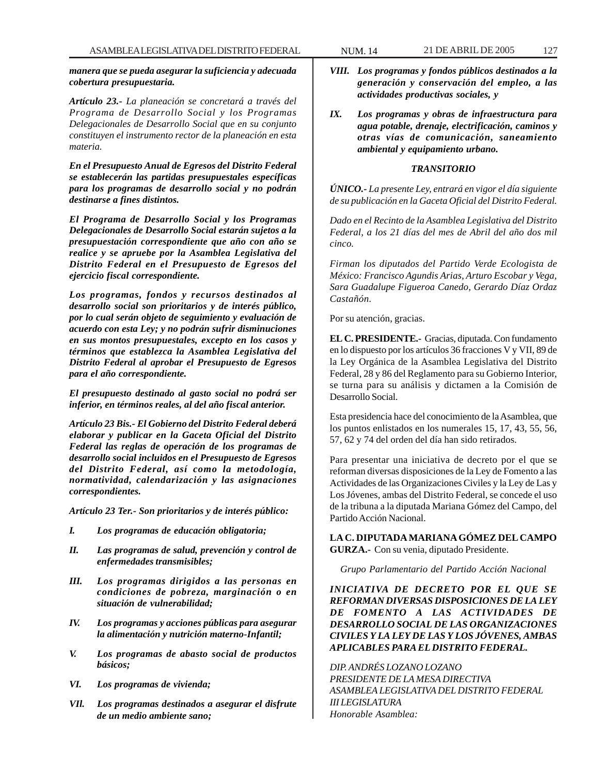*manera que se pueda asegurar la suficiencia y adecuada cobertura presupuestaria.*

*Artículo 23.- La planeación se concretará a través del Programa de Desarrollo Social y los Programas Delegacionales de Desarrollo Social que en su conjunto constituyen el instrumento rector de la planeación en esta materia.*

*En el Presupuesto Anual de Egresos del Distrito Federal se establecerán las partidas presupuestales específicas para los programas de desarrollo social y no podrán destinarse a fines distintos.*

*El Programa de Desarrollo Social y los Programas Delegacionales de Desarrollo Social estarán sujetos a la presupuestación correspondiente que año con año se realice y se apruebe por la Asamblea Legislativa del Distrito Federal en el Presupuesto de Egresos del ejercicio fiscal correspondiente.*

*Los programas, fondos y recursos destinados al desarrollo social son prioritarios y de interés público, por lo cual serán objeto de seguimiento y evaluación de acuerdo con esta Ley; y no podrán sufrir disminuciones en sus montos presupuestales, excepto en los casos y términos que establezca la Asamblea Legislativa del Distrito Federal al aprobar el Presupuesto de Egresos para el año correspondiente.*

*El presupuesto destinado al gasto social no podrá ser inferior, en términos reales, al del año fiscal anterior.*

*Artículo 23 Bis.- El Gobierno del Distrito Federal deberá elaborar y publicar en la Gaceta Oficial del Distrito Federal las reglas de operación de los programas de desarrollo social incluidos en el Presupuesto de Egresos del Distrito Federal, así como la metodología, normatividad, calendarización y las asignaciones correspondientes.*

*Artículo 23 Ter.- Son prioritarios y de interés público:*

- *I. Los programas de educación obligatoria;*
- *II. Las programas de salud, prevención y control de enfermedades transmisibles;*
- *III. Los programas dirigidos a las personas en condiciones de pobreza, marginación o en situación de vulnerabilidad;*
- *IV. Los programas y acciones públicas para asegurar la alimentación y nutrición materno-Infantil;*
- *V. Los programas de abasto social de productos básicos;*
- *VI. Los programas de vivienda;*
- *VIl. Los programas destinados a asegurar el disfrute de un medio ambiente sano;*
- *VIII. Los programas y fondos públicos destinados a la generación y conservación del empleo, a las actividades productivas sociales, y*
- *IX. Los programas y obras de infraestructura para agua potable, drenaje, electrificación, caminos y otras vías de comunicación, saneamiento ambiental y equipamiento urbano.*

### *TRANSITORIO*

*ÚNICO.- La presente Ley, entrará en vigor el día siguiente de su publicación en la Gaceta Oficial del Distrito Federal.*

*Dado en el Recinto de la Asamblea Legislativa del Distrito Federal, a los 21 días del mes de Abril del año dos mil cinco.*

*Firman los diputados del Partido Verde Ecologista de México: Francisco Agundis Arias, Arturo Escobar y Vega, Sara Guadalupe Figueroa Canedo, Gerardo Díaz Ordaz Castañón.*

Por su atención, gracias.

**EL C. PRESIDENTE.-** Gracias, diputada. Con fundamento en lo dispuesto por los artículos 36 fracciones V y VII, 89 de la Ley Orgánica de la Asamblea Legislativa del Distrito Federal, 28 y 86 del Reglamento para su Gobierno Interior, se turna para su análisis y dictamen a la Comisión de Desarrollo Social.

Esta presidencia hace del conocimiento de la Asamblea, que los puntos enlistados en los numerales 15, 17, 43, 55, 56, 57, 62 y 74 del orden del día han sido retirados.

Para presentar una iniciativa de decreto por el que se reforman diversas disposiciones de la Ley de Fomento a las Actividades de las Organizaciones Civiles y la Ley de Las y Los Jóvenes, ambas del Distrito Federal, se concede el uso de la tribuna a la diputada Mariana Gómez del Campo, del Partido Acción Nacional.

**LA C. DIPUTADA MARIANA GÓMEZ DEL CAMPO GURZA.-** Con su venia, diputado Presidente.

*Grupo Parlamentario del Partido Acción Nacional*

*INICIATIVA DE DECRETO POR EL QUE SE REFORMAN DIVERSAS DISPOSICIONES DE LA LEY DE FOMENTO A LAS ACTIVIDADES DE DESARROLLO SOCIAL DE LAS ORGANIZACIONES CIVILES Y LA LEY DE LAS Y LOS JÓVENES, AMBAS APLICABLES PARA EL DISTRITO FEDERAL.*

*DIP. ANDRÉS LOZANO LOZANO PRESIDENTE DE LA MESA DIRECTIVA ASAMBLEA LEGISLATIVA DEL DISTRITO FEDERAL III LEGISLATURA Honorable Asamblea:*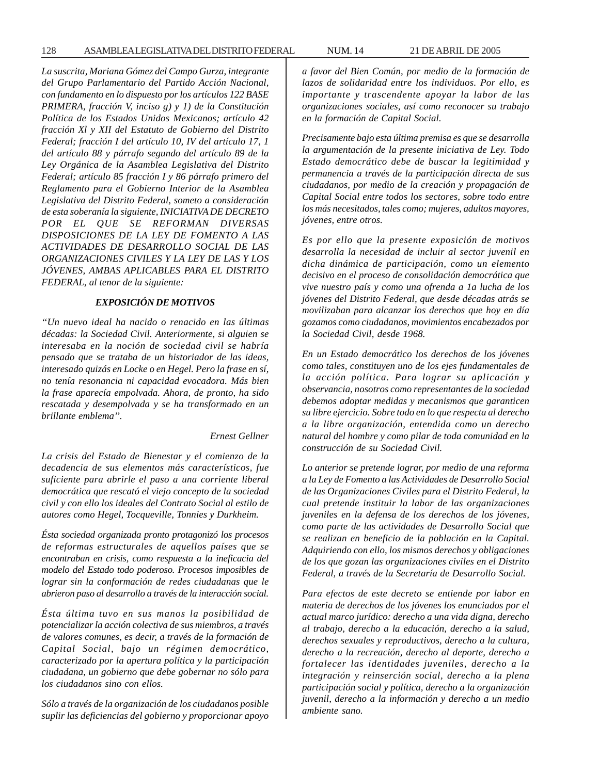*La suscrita, Mariana Gómez del Campo Gurza, integrante del Grupo Parlamentario del Partido Acción Nacional, con fundamento en lo dispuesto por los artículos 122 BASE PRIMERA, fracción V, inciso g) y 1) de la Constitución Política de los Estados Unidos Mexicanos; artículo 42 fracción Xl y XII del Estatuto de Gobierno del Distrito Federal; fracción I del artículo 10, IV del artículo 17, 1 del artículo 88 y párrafo segundo del artículo 89 de la Ley Orgánica de la Asamblea Legislativa del Distrito Federal; artículo 85 fracción I y 86 párrafo primero del Reglamento para el Gobierno Interior de la Asamblea Legislativa del Distrito Federal, someto a consideración de esta soberanía la siguiente, INICIATIVA DE DECRETO POR EL QUE SE REFORMAN DIVERSAS DISPOSICIONES DE LA LEY DE FOMENTO A LAS ACTIVIDADES DE DESARROLLO SOCIAL DE LAS ORGANIZACIONES CIVILES Y LA LEY DE LAS Y LOS JÓVENES, AMBAS APLICABLES PARA EL DISTRITO FEDERAL, al tenor de la siguiente:*

### *EXPOSICIÓN DE MOTIVOS*

*''Un nuevo ideal ha nacido o renacido en las últimas décadas: la Sociedad Civil. Anteriormente, si alguien se interesaba en la noción de sociedad civil se habría pensado que se trataba de un historiador de las ideas, interesado quizás en Locke o en Hegel. Pero la frase en sí, no tenía resonancia ni capacidad evocadora. Más bien la frase aparecía empolvada. Ahora, de pronto, ha sido rescatada y desempolvada y se ha transformado en un brillante emblema''.*

#### *Ernest Gellner*

*La crisis del Estado de Bienestar y el comienzo de la decadencia de sus elementos más característicos, fue suficiente para abrirle el paso a una corriente liberal democrática que rescató el viejo concepto de la sociedad civil y con ello los ideales del Contrato Social al estilo de autores como Hegel, Tocqueville, Tonnies y Durkheim.*

*Ésta sociedad organizada pronto protagonizó los procesos de reformas estructurales de aquellos países que se encontraban en crisis, como respuesta a la ineficacia del modelo del Estado todo poderoso. Procesos imposibles de lograr sin la conformación de redes ciudadanas que le abrieron paso al desarrollo a través de la interacción social.*

*Ésta última tuvo en sus manos la posibilidad de potencializar la acción colectiva de sus miembros, a través de valores comunes, es decir, a través de la formación de Capital Social, bajo un régimen democrático, caracterizado por la apertura política y la participación ciudadana, un gobierno que debe gobernar no sólo para los ciudadanos sino con ellos.*

*Sólo a través de la organización de los ciudadanos posible suplir las deficiencias del gobierno y proporcionar apoyo* *a favor del Bien Común, por medio de la formación de lazos de solidaridad entre los individuos. Por ello, es importante y trascendente apoyar la labor de las organizaciones sociales, así como reconocer su trabajo en la formación de Capital Social.*

*Precisamente bajo esta última premisa es que se desarrolla la argumentación de la presente iniciativa de Ley. Todo Estado democrático debe de buscar la legitimidad y permanencia a través de la participación directa de sus ciudadanos, por medio de la creación y propagación de Capital Social entre todos los sectores, sobre todo entre los más necesitados, tales como; mujeres, adultos mayores, jóvenes, entre otros.*

*Es por ello que la presente exposición de motivos desarrolla la necesidad de incluir al sector juvenil en dicha dinámica de participación, como un elemento decisivo en el proceso de consolidación democrática que vive nuestro país y como una ofrenda a 1a lucha de los jóvenes del Distrito Federal, que desde décadas atrás se movilizaban para alcanzar los derechos que hoy en día gozamos como ciudadanos, movimientos encabezados por la Sociedad Civil, desde 1968.*

*En un Estado democrático los derechos de los jóvenes como tales, constituyen uno de los ejes fundamentales de la acción política. Para lograr su aplicación y observancia, nosotros como representantes de la sociedad debemos adoptar medidas y mecanismos que garanticen su libre ejercicio. Sobre todo en lo que respecta al derecho a la libre organización, entendida como un derecho natural del hombre y como pilar de toda comunidad en la construcción de su Sociedad Civil.*

*Lo anterior se pretende lograr, por medio de una reforma a la Ley de Fomento a las Actividades de Desarrollo Social de las Organizaciones Civiles para el Distrito Federal, la cual pretende instituir la labor de las organizaciones juveniles en la defensa de los derechos de los jóvenes, como parte de las actividades de Desarrollo Social que se realizan en beneficio de la población en la Capital. Adquiriendo con ello, los mismos derechos y obligaciones de los que gozan las organizaciones civiles en el Distrito Federal, a través de la Secretaría de Desarrollo Social.*

*Para efectos de este decreto se entiende por labor en materia de derechos de los jóvenes los enunciados por el actual marco jurídico: derecho a una vida digna, derecho al trabajo, derecho a la educación, derecho a la salud, derechos sexuales y reproductivos, derecho a la cultura, derecho a la recreación, derecho al deporte, derecho a fortalecer las identidades juveniles, derecho a la integración y reinserción social, derecho a la plena participación social y política, derecho a la organización juvenil, derecho a la información y derecho a un medio ambiente sano.*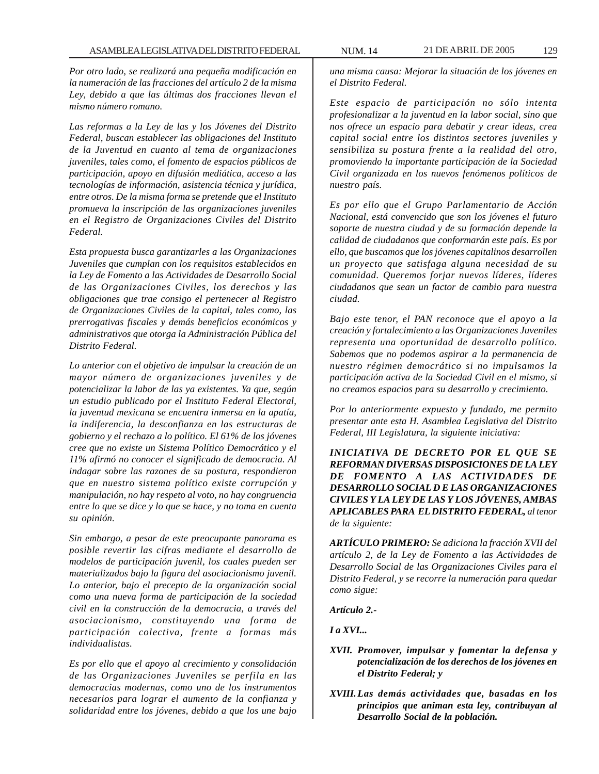*Por otro lado, se realizará una pequeña modificación en la numeración de las fracciones del artículo 2 de la misma Ley, debido a que las últimas dos fracciones llevan el mismo número romano.*

*Las reformas a la Ley de las y los Jóvenes del Distrito Federal, buscan establecer las obligaciones del Instituto de la Juventud en cuanto al tema de organizaciones juveniles, tales como, el fomento de espacios públicos de participación, apoyo en difusión mediática, acceso a las tecnologías de información, asistencia técnica y jurídica, entre otros. De la misma forma se pretende que el Instituto promueva la inscripción de las organizaciones juveniles en el Registro de Organizaciones Civiles del Distrito Federal.*

*Esta propuesta busca garantizarles a las Organizaciones Juveniles que cumplan con los requisitos establecidos en la Ley de Fomento a las Actividades de Desarrollo Social de las Organizaciones Civiles, los derechos y las obligaciones que trae consigo el pertenecer al Registro de Organizaciones Civiles de la capital, tales como, las prerrogativas fiscales y demás beneficios económicos y administrativos que otorga la Administración Pública del Distrito Federal.*

*Lo anterior con el objetivo de impulsar la creación de un mayor número de organizaciones juveniles y de potencializar la labor de las ya existentes. Ya que, según un estudio publicado por el Instituto Federal Electoral, la juventud mexicana se encuentra inmersa en la apatía, la indiferencia, la desconfianza en las estructuras de gobierno y el rechazo a lo político. El 61% de los jóvenes cree que no existe un Sistema Político Democrático y el 11% afirmó no conocer el significado de democracia. Al indagar sobre las razones de su postura, respondieron que en nuestro sistema político existe corrupción y manipulación, no hay respeto al voto, no hay congruencia entre lo que se dice y lo que se hace, y no toma en cuenta su opinión.*

*Sin embargo, a pesar de este preocupante panorama es posible revertir las cifras mediante el desarrollo de modelos de participación juvenil, los cuales pueden ser materializados bajo la figura del asociacionismo juvenil. Lo anterior, bajo el precepto de la organización social como una nueva forma de participación de la sociedad civil en la construcción de la democracia, a través del asociacionismo, constituyendo una forma de participación colectiva, frente a formas más individualistas.*

*Es por ello que el apoyo al crecimiento y consolidación de las Organizaciones Juveniles se perfila en las democracias modernas, como uno de los instrumentos necesarios para lograr el aumento de la confianza y solidaridad entre los jóvenes, debido a que los une bajo*

*una misma causa: Mejorar la situación de los jóvenes en el Distrito Federal.*

*Este espacio de participación no sólo intenta profesionalizar a la juventud en la labor social, sino que nos ofrece un espacio para debatir y crear ideas, crea capital social entre los distintos sectores juveniles y sensibiliza su postura frente a la realidad del otro, promoviendo la importante participación de la Sociedad Civil organizada en los nuevos fenómenos políticos de nuestro país.*

*Es por ello que el Grupo Parlamentario de Acción Nacional, está convencido que son los jóvenes el futuro soporte de nuestra ciudad y de su formación depende la calidad de ciudadanos que conformarán este país. Es por ello, que buscamos que los jóvenes capitalinos desarrollen un proyecto que satisfaga alguna necesidad de su comunidad. Queremos forjar nuevos líderes, líderes ciudadanos que sean un factor de cambio para nuestra ciudad.*

*Bajo este tenor, el PAN reconoce que el apoyo a la creación y fortalecimiento a las Organizaciones Juveniles representa una oportunidad de desarrollo político. Sabemos que no podemos aspirar a la permanencia de nuestro régimen democrático si no impulsamos la participación activa de la Sociedad Civil en el mismo, si no creamos espacios para su desarrollo y crecimiento.*

*Por lo anteriormente expuesto y fundado, me permito presentar ante esta H. Asamblea Legislativa del Distrito Federal, III Legislatura, la siguiente iniciativa:*

*INICIATIVA DE DECRETO POR EL QUE SE REFORMAN DIVERSAS DISPOSICIONES DE LA LEY DE FOMENTO A LAS ACTIVIDADES DE DESARROLLO SOCIAL D E LAS ORGANIZACIONES CIVILES Y LA LEY DE LAS Y LOS JÓVENES, AMBAS APLICABLES PARA EL DISTRITO FEDERAL, al tenor de la siguiente:*

*ARTÍCULO PRIMERO: Se adiciona la fracción XVII del artículo 2, de la Ley de Fomento a las Actividades de Desarrollo Social de las Organizaciones Civiles para el Distrito Federal, y se recorre la numeración para quedar como sigue:*

*Artículo 2.-*

*I a XVI...*

- *XVII. Promover, impulsar y fomentar la defensa y potencialización de los derechos de los jóvenes en el Distrito Federal; y*
- *XVIII.Las demás actividades que, basadas en los principios que animan esta ley, contribuyan al Desarrollo Social de la población.*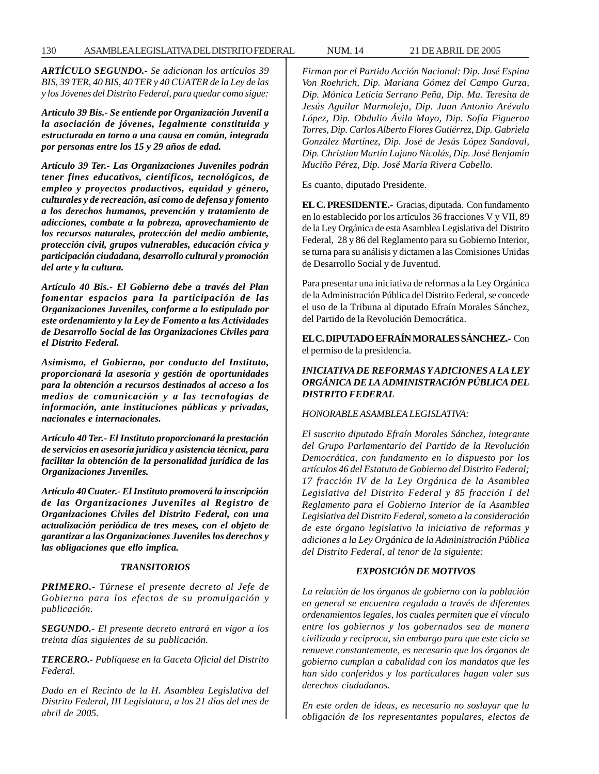*ARTÍCULO SEGUNDO.- Se adicionan los artículos 39 BIS, 39 TER, 40 BIS, 40 TER y 40 CUATER de la Ley de las y los Jóvenes del Distrito Federal, para quedar como sigue:*

*Artículo 39 Bis.- Se entiende por Organización Juvenil a la asociación de jóvenes, legalmente constituida y estructurada en torno a una causa en común, integrada por personas entre los 15 y 29 años de edad.*

*Artículo 39 Ter.- Las Organizaciones Juveniles podrán tener fines educativos, científicos, tecnológicos, de empleo y proyectos productivos, equidad y género, culturales y de recreación, así como de defensa y fomento a los derechos humanos, prevención y tratamiento de adicciones, combate a la pobreza, aprovechamiento de los recursos naturales, protección del medio ambiente, protección civil, grupos vulnerables, educación cívica y participación ciudadana, desarrollo cultural y promoción del arte y la cultura.*

*Artículo 40 Bis.- El Gobierno debe a través del Plan fomentar espacios para la participación de las Organizaciones Juveniles, conforme a lo estipulado por este ordenamiento y la Ley de Fomento a las Actividades de Desarrollo Social de las Organizaciones Civiles para el Distrito Federal.*

*Asimismo, el Gobierno, por conducto del Instituto, proporcionará la asesoría y gestión de oportunidades para la obtención a recursos destinados al acceso a los medios de comunicación y a las tecnologías de información, ante instituciones públicas y privadas, nacionales e internacionales.*

*Artículo 40 Ter.- El Instituto proporcionará la prestación de servicios en asesoría jurídica y asistencia técnica, para facilitar la obtención de la personalidad jurídica de las Organizaciones Juveniles.*

*Artículo 40 Cuater.- El Instituto promoverá la inscripción de las Organizaciones Juveniles al Registro de Organizaciones Civiles del Distrito Federal, con una actualización periódica de tres meses, con el objeto de garantizar a las Organizaciones Juveniles los derechos y las obligaciones que ello implica.*

#### *TRANSITORIOS*

*PRIMERO.- Túrnese el presente decreto al Jefe de Gobierno para los efectos de su promulgación y publicación.*

*SEGUNDO.- El presente decreto entrará en vigor a los treinta días siguientes de su publicación.*

*TERCERO.- Publíquese en la Gaceta Oficial del Distrito Federal.*

*Dado en el Recinto de la H. Asamblea Legislativa del Distrito Federal, III Legislatura, a los 21 días del mes de abril de 2005.*

*Firman por el Partido Acción Nacional: Dip. José Espina Von Roehrich, Dip. Mariana Gómez del Campo Gurza, Dip. Mónica Leticia Serrano Peña, Dip. Ma. Teresita de Jesús Aguilar Marmolejo, Dip. Juan Antonio Arévalo López, Dip. Obdulio Ávila Mayo, Dip. Sofía Figueroa Torres, Dip. Carlos Alberto Flores Gutiérrez, Dip. Gabriela González Martínez, Dip. José de Jesús López Sandoval, Dip. Christian Martín Lujano Nicolás, Dip. José Benjamín Muciño Pérez, Dip. José María Rivera Cabello.*

Es cuanto, diputado Presidente.

**EL C. PRESIDENTE.-** Gracias, diputada. Con fundamento en lo establecido por los artículos 36 fracciones V y VII, 89 de la Ley Orgánica de esta Asamblea Legislativa del Distrito Federal, 28 y 86 del Reglamento para su Gobierno Interior, se turna para su análisis y dictamen a las Comisiones Unidas de Desarrollo Social y de Juventud.

Para presentar una iniciativa de reformas a la Ley Orgánica de la Administración Pública del Distrito Federal, se concede el uso de la Tribuna al diputado Efraín Morales Sánchez, del Partido de la Revolución Democrática.

**EL C. DIPUTADO EFRAÍN MORALES SÁNCHEZ.-** Con el permiso de la presidencia.

## *INICIATIVA DE REFORMAS Y ADICIONES A LA LEY ORGÁNICA DE LA ADMINISTRACIÓN PÚBLICA DEL DISTRITO FEDERAL*

### *HONORABLE ASAMBLEA LEGISLATIVA:*

*El suscrito diputado Efraín Morales Sánchez, integrante del Grupo Parlamentario del Partido de la Revolución Democrática, con fundamento en lo dispuesto por los artículos 46 del Estatuto de Gobierno del Distrito Federal; 17 fracción IV de la Ley Orgánica de la Asamblea Legislativa del Distrito Federal y 85 fracción I del Reglamento para el Gobierno Interior de la Asamblea Legislativa del Distrito Federal, someto a la consideración de este órgano legislativo la iniciativa de reformas y adiciones a la Ley Orgánica de la Administración Pública del Distrito Federal, al tenor de la siguiente:*

#### *EXPOSICIÓN DE MOTIVOS*

*La relación de los órganos de gobierno con la población en general se encuentra regulada a través de diferentes ordenamientos legales, los cuales permiten que el vínculo entre los gobiernos y los gobernados sea de manera civilizada y reciproca, sin embargo para que este ciclo se renueve constantemente, es necesario que los órganos de gobierno cumplan a cabalidad con los mandatos que les han sido conferidos y los particulares hagan valer sus derechos ciudadanos.*

*En este orden de ideas, es necesario no soslayar que la obligación de los representantes populares, electos de*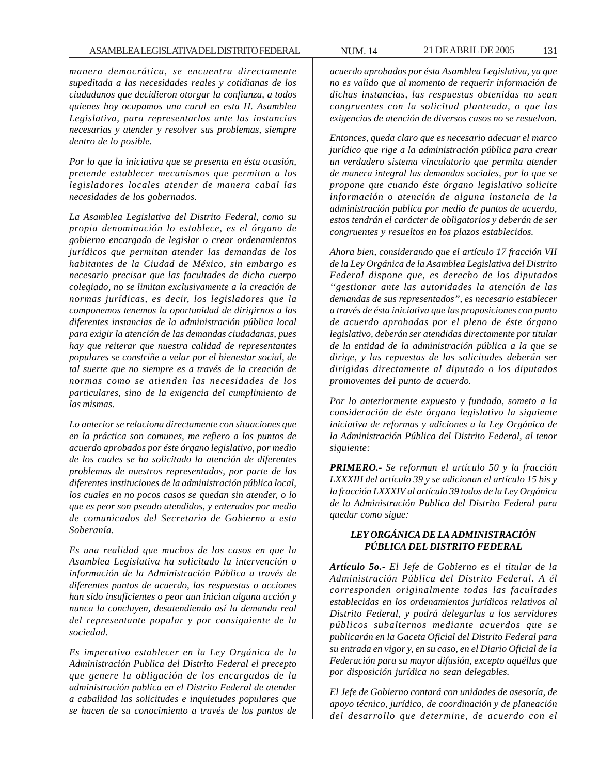*manera democrática, se encuentra directamente supeditada a las necesidades reales y cotidianas de los ciudadanos que decidieron otorgar la confianza, a todos quienes hoy ocupamos una curul en esta H. Asamblea Legislativa, para representarlos ante las instancias necesarias y atender y resolver sus problemas, siempre dentro de lo posible.*

*Por lo que la iniciativa que se presenta en ésta ocasión, pretende establecer mecanismos que permitan a los legisladores locales atender de manera cabal las necesidades de los gobernados.*

*La Asamblea Legislativa del Distrito Federal, como su propia denominación lo establece, es el órgano de gobierno encargado de legislar o crear ordenamientos jurídicos que permitan atender las demandas de los habitantes de la Ciudad de México, sin embargo es necesario precisar que las facultades de dicho cuerpo colegiado, no se limitan exclusivamente a la creación de normas jurídicas, es decir, los legisladores que la componemos tenemos la oportunidad de dirigirnos a las diferentes instancias de la administración pública local para exigir la atención de las demandas ciudadanas, pues hay que reiterar que nuestra calidad de representantes populares se constriñe a velar por el bienestar social, de tal suerte que no siempre es a través de la creación de normas como se atienden las necesidades de los particulares, sino de la exigencia del cumplimiento de las mismas.*

*Lo anterior se relaciona directamente con situaciones que en la práctica son comunes, me refiero a los puntos de acuerdo aprobados por éste órgano legislativo, por medio de los cuales se ha solicitado la atención de diferentes problemas de nuestros representados, por parte de las diferentes instituciones de la administración pública local, los cuales en no pocos casos se quedan sin atender, o lo que es peor son pseudo atendidos, y enterados por medio de comunicados del Secretario de Gobierno a esta Soberanía.*

*Es una realidad que muchos de los casos en que la Asamblea Legislativa ha solicitado la intervención o información de la Administración Pública a través de diferentes puntos de acuerdo, las respuestas o acciones han sido insuficientes o peor aun inician alguna acción y nunca la concluyen, desatendiendo así la demanda real del representante popular y por consiguiente de la sociedad.*

*Es imperativo establecer en la Ley Orgánica de la Administración Publica del Distrito Federal el precepto que genere la obligación de los encargados de la administración publica en el Distrito Federal de atender a cabalidad las solicitudes e inquietudes populares que se hacen de su conocimiento a través de los puntos de*

*acuerdo aprobados por ésta Asamblea Legislativa, ya que no es valido que al momento de requerir información de dichas instancias, las respuestas obtenidas no sean congruentes con la solicitud planteada, o que las exigencias de atención de diversos casos no se resuelvan.*

*Entonces, queda claro que es necesario adecuar el marco jurídico que rige a la administración pública para crear un verdadero sistema vinculatorio que permita atender de manera integral las demandas sociales, por lo que se propone que cuando éste órgano legislativo solicite información o atención de alguna instancia de la administración publica por medio de puntos de acuerdo, estos tendrán el carácter de obligatorios y deberán de ser congruentes y resueltos en los plazos establecidos.*

*Ahora bien, considerando que el artículo 17 fracción VII de la Ley Orgánica de la Asamblea Legislativa del Distrito Federal dispone que, es derecho de los diputados ''gestionar ante las autoridades la atención de las demandas de sus representados'', es necesario establecer a través de ésta iniciativa que las proposiciones con punto de acuerdo aprobadas por el pleno de éste órgano legislativo, deberán ser atendidas directamente por titular de la entidad de la administración pública a la que se dirige, y las repuestas de las solicitudes deberán ser dirigidas directamente al diputado o los diputados promoventes del punto de acuerdo.*

*Por lo anteriormente expuesto y fundado, someto a la consideración de éste órgano legislativo la siguiente iniciativa de reformas y adiciones a la Ley Orgánica de la Administración Pública del Distrito Federal, al tenor siguiente:*

*PRIMERO.- Se reforman el artículo 50 y la fracción LXXXIII del artículo 39 y se adicionan el artículo 15 bis y la fracción LXXXIV al artículo 39 todos de la Ley Orgánica de la Administración Publica del Distrito Federal para quedar como sigue:*

## *LEY ORGÁNICA DE LA ADMINISTRACIÓN PÚBLICA DEL DISTRITO FEDERAL*

*Artículo 5o.- El Jefe de Gobierno es el titular de la Administración Pública del Distrito Federal. A él corresponden originalmente todas las facultades establecidas en los ordenamientos jurídicos relativos al Distrito Federal, y podrá delegarlas a los servidores públicos subalternos mediante acuerdos que se publicarán en la Gaceta Oficial del Distrito Federal para su entrada en vigor y, en su caso, en el Diario Oficial de la Federación para su mayor difusión, excepto aquéllas que por disposición jurídica no sean delegables.*

*El Jefe de Gobierno contará con unidades de asesoría, de apoyo técnico, jurídico, de coordinación y de planeación del desarrollo que determine, de acuerdo con el*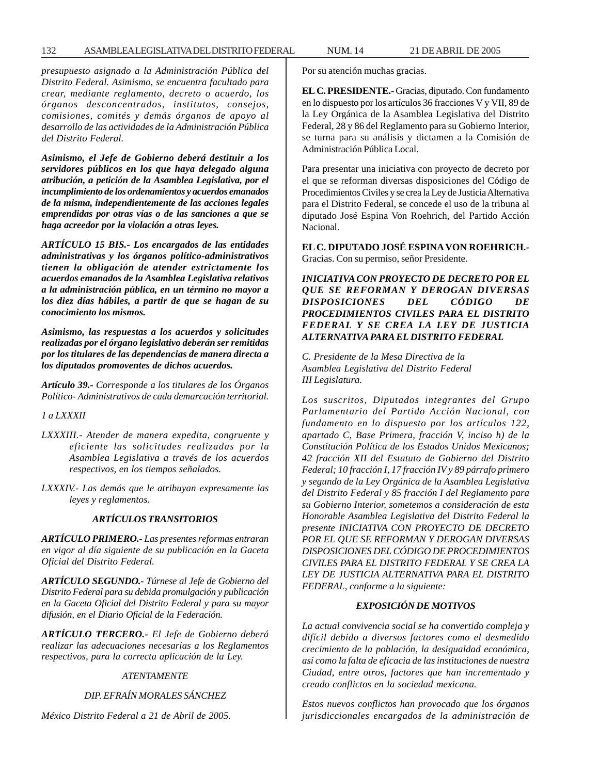*presupuesto asignado a la Administración Pública del Distrito Federal. Asimismo, se encuentra facultado para crear, mediante reglamento, decreto o acuerdo, los órganos desconcentrados, institutos, consejos, comisiones, comités y demás órganos de apoyo al desarrollo de las actividades de la Administración Pública del Distrito Federal.*

*Asimismo, el Jefe de Gobierno deberá destituir a los servidores públicos en los que haya delegado alguna atribución, a petición de la Asamblea Legislativa, por el incumplimiento de los ordenamientos y acuerdos emanados de la misma, independientemente de las acciones legales emprendidas por otras vías o de las sanciones a que se haga acreedor por la violación a otras leyes.*

*ARTÍCULO 15 BIS.- Los encargados de las entidades administrativas y los órganos político-administrativos tienen la obligación de atender estrictamente los acuerdos emanados de la Asamblea Legislativa relativos a la administración pública, en un término no mayor a los diez días hábiles, a partir de que se hagan de su conocimiento los mismos.*

*Asimismo, las respuestas a los acuerdos y solicitudes realizadas por el órgano legislativo deberán ser remitidas por los titulares de las dependencias de manera directa a los diputados promoventes de dichos acuerdos.*

*Artículo 39.- Corresponde a los titulares de los Órganos Político- Administrativos de cada demarcación territorial.*

### *1 a LXXXII*

- *LXXXIII.- Atender de manera expedita, congruente y eficiente las solicitudes realizadas por la Asamblea Legislativa a través de los acuerdos respectivos, en los tiempos señalados.*
- *LXXXIV.- Las demás que le atribuyan expresamente las leyes y reglamentos.*

### *ARTÍCULOS TRANSITORIOS*

*ARTÍCULO PRIMERO.- Las presentes reformas entraran en vigor al día siguiente de su publicación en la Gaceta Oficial del Distrito Federal.*

*ARTÍCULO SEGUNDO.- Túrnese al Jefe de Gobierno del Distrito Federal para su debida promulgación y publicación en la Gaceta Oficial del Distrito Federal y para su mayor difusión, en el Diario Oficial de la Federación.*

*ARTÍCULO TERCERO.- El Jefe de Gobierno deberá realizar las adecuaciones necesarias a los Reglamentos respectivos, para la correcta aplicación de la Ley.*

## *ATENTAMENTE*

## *DIP. EFRAÍN MORALES SÁNCHEZ*

*México Distrito Federal a 21 de Abril de 2005.*

Por su atención muchas gracias.

**EL C. PRESIDENTE.-** Gracias, diputado. Con fundamento en lo dispuesto por los artículos 36 fracciones V y VII, 89 de la Ley Orgánica de la Asamblea Legislativa del Distrito Federal, 28 y 86 del Reglamento para su Gobierno Interior, se turna para su análisis y dictamen a la Comisión de Administración Pública Local.

Para presentar una iniciativa con proyecto de decreto por el que se reforman diversas disposiciones del Código de Procedimientos Civiles y se crea la Ley de Justicia Alternativa para el Distrito Federal, se concede el uso de la tribuna al diputado José Espina Von Roehrich, del Partido Acción Nacional.

**EL C. DIPUTADO JOSÉ ESPINA VON ROEHRICH.-** Gracias. Con su permiso, señor Presidente.

*INICIATIVA CON PROYECTO DE DECRETO POR EL QUE SE REFORMAN Y DEROGAN DIVERSAS DISPOSICIONES DEL CÓDIGO DE PROCEDIMIENTOS CIVILES PARA EL DISTRITO FEDERAL Y SE CREA LA LEY DE JUSTICIA ALTERNATIVA PARA EL DISTRITO FEDERAL*

*C. Presidente de la Mesa Directiva de la Asamblea Legislativa del Distrito Federal III Legislatura.*

*Los suscritos, Diputados integrantes del Grupo Parlamentario del Partido Acción Nacional, con fundamento en lo dispuesto por los artículos 122, apartado C, Base Primera, fracción V, inciso h) de la Constitución Política de los Estados Unidos Mexicanos; 42 fracción XII del Estatuto de Gobierno del Distrito Federal; 10 fracción I, 17 fracción IV y 89 párrafo primero y segundo de la Ley Orgánica de la Asamblea Legislativa del Distrito Federal y 85 fracción I del Reglamento para su Gobierno Interior, sometemos a consideración de esta Honorable Asamblea Legislativa del Distrito Federal la presente INICIATIVA CON PROYECTO DE DECRETO POR EL QUE SE REFORMAN Y DEROGAN DIVERSAS DISPOSICIONES DEL CÓDIGO DE PROCEDIMIENTOS CIVILES PARA EL DISTRITO FEDERAL Y SE CREA LA LEY DE JUSTICIA ALTERNATIVA PARA EL DISTRITO FEDERAL, conforme a la siguiente:*

### *EXPOSICIÓN DE MOTIVOS*

*La actual convivencia social se ha convertido compleja y difícil debido a diversos factores como el desmedido crecimiento de la población, la desigualdad económica, así como la falta de eficacia de las instituciones de nuestra Ciudad, entre otros, factores que han incrementado y creado conflictos en la sociedad mexicana.*

*Estos nuevos conflictos han provocado que los órganos jurisdiccionales encargados de la administración de*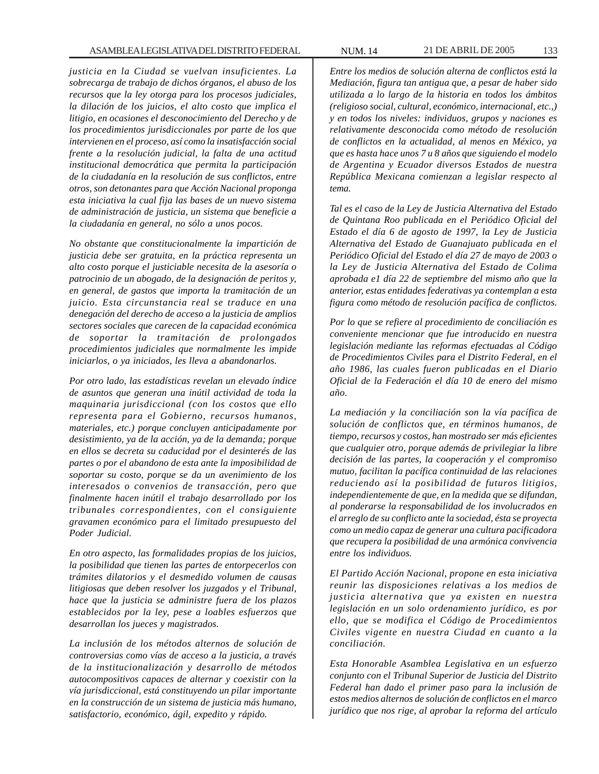*justicia en la Ciudad se vuelvan insuficientes. La sobrecarga de trabajo de dichos órganos, el abuso de los recursos que la ley otorga para los procesos judiciales, la dilación de los juicios, el alto costo que implica el litigio, en ocasiones el desconocimiento del Derecho y de los procedimientos jurisdiccionales por parte de los que intervienen en el proceso, así como la insatisfacción social frente a la resolución judicial, la falta de una actitud institucional democrática que permita la participación de la ciudadanía en la resolución de sus conflictos, entre otros, son detonantes para que Acción Nacional proponga esta iniciativa la cual fija las bases de un nuevo sistema de administración de justicia, un sistema que beneficie a la ciudadanía en general, no sólo a unos pocos.*

*No obstante que constitucionalmente la impartición de justicia debe ser gratuita, en la práctica representa un alto costo porque el justiciable necesita de la asesoría o patrocinio de un abogado, de la designación de peritos y, en general, de gastos que importa la tramitación de un juicio. Esta circunstancia real se traduce en una denegación del derecho de acceso a la justicia de amplios sectores sociales que carecen de la capacidad económica de soportar la tramitación de prolongados procedimientos judiciales que normalmente les impide iniciarlos, o ya iniciados, les lleva a abandonarlos.*

*Por otro lado, las estadísticas revelan un elevado índice de asuntos que generan una inútil actividad de toda la maquinaria jurisdiccional (con los costos que ello representa para el Gobierno, recursos humanos, materiales, etc.) porque concluyen anticipadamente por desistimiento, ya de la acción, ya de la demanda; porque en ellos se decreta su caducidad por el desinterés de las partes o por el abandono de esta ante la imposibilidad de soportar su costo, porque se da un avenimiento de los interesados o convenios de transacción, pero que finalmente hacen inútil el trabajo desarrollado por los tribunales correspondientes, con el consiguiente gravamen económico para el limitado presupuesto del Poder Judicial.*

*En otro aspecto, las formalidades propias de los juicios, la posibilidad que tienen las partes de entorpecerlos con trámites dilatorios y el desmedido volumen de causas litigiosas que deben resolver los juzgados y el Tribunal, hace que la justicia se administre fuera de los plazos establecidos por la ley, pese a loables esfuerzos que desarrollan los jueces y magistrados.*

*La inclusión de los métodos alternos de solución de controversias como vías de acceso a la justicia, a través de la institucionalización y desarrollo de métodos autocompositivos capaces de alternar y coexistir con la vía jurisdiccional, está constituyendo un pilar importante en la construcción de un sistema de justicia más humano, satisfactorio, económico, ágil, expedito y rápido.*

*Entre los medios de solución alterna de conflictos está la Mediación, figura tan antigua que, a pesar de haber sido utilizada a lo largo de la historia en todos los ámbitos (religioso social, cultural, económico, internacional, etc.,) y en todos los niveles: individuos, grupos y naciones es relativamente desconocida como método de resolución de conflictos en la actualidad, al menos en México, ya que es hasta hace unos 7 u 8 años que siguiendo el modelo de Argentina y Ecuador diversos Estados de nuestra República Mexicana comienzan a legislar respecto al tema.*

*Tal es el caso de la Ley de Justicia Alternativa del Estado de Quintana Roo publicada en el Periódico Oficial del Estado el día 6 de agosto de 1997, la Ley de Justicia Alternativa del Estado de Guanajuato publicada en el Periódico Oficial del Estado el día 27 de mayo de 2003 o la Ley de Justicia Alternativa del Estado de Colima aprobada e1 día 22 de septiembre del mismo año que la anterior, estas entidades federativas ya contemplan a esta figura como método de resolución pacífica de conflictos.*

*Por lo que se refiere al procedimiento de conciliación es conveniente mencionar que fue introducido en nuestra legislación mediante las reformas efectuadas al Código de Procedimientos Civiles para el Distrito Federal, en el año 1986, las cuales fueron publicadas en el Diario Oficial de la Federación el día 10 de enero del mismo año.*

*La mediación y la conciliación son la vía pacífica de solución de conflictos que, en términos humanos, de tiempo, recursos y costos, han mostrado ser más eficientes que cualquier otro, porque además de privilegiar la libre decisión de las partes, la cooperación y el compromiso mutuo, facilitan la pacífica continuidad de las relaciones reduciendo así la posibilidad de futuros litigios, independientemente de que, en la medida que se difundan, al ponderarse la responsabilidad de los involucrados en el arreglo de su conflicto ante la sociedad, ésta se proyecta como un medio capaz de generar una cultura pacificadora que recupera la posibilidad de una armónica convivencia entre los individuos.*

*El Partido Acción Nacional, propone en esta iniciativa reunir las disposiciones relativas a los medios de justicia alternativa que ya existen en nuestra legislación en un solo ordenamiento jurídico, es por ello, que se modifica el Código de Procedimientos Civiles vigente en nuestra Ciudad en cuanto a la conciliación.*

*Esta Honorable Asamblea Legislativa en un esfuerzo conjunto con el Tribunal Superior de Justicia del Distrito Federal han dado el primer paso para la inclusión de estos medios alternos de solución de conflictos en el marco jurídico que nos rige, al aprobar la reforma del artículo*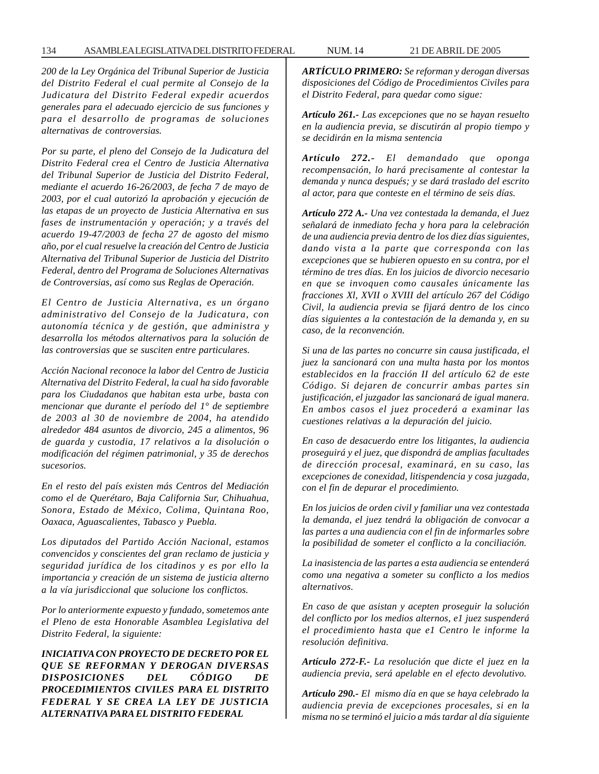*200 de la Ley Orgánica del Tribunal Superior de Justicia del Distrito Federal el cual permite al Consejo de la Judicatura del Distrito Federal expedir acuerdos generales para el adecuado ejercicio de sus funciones y para el desarrollo de programas de soluciones alternativas de controversias.*

*Por su parte, el pleno del Consejo de la Judicatura del Distrito Federal crea el Centro de Justicia Alternativa del Tribunal Superior de Justicia del Distrito Federal, mediante el acuerdo 16-26/2003, de fecha 7 de mayo de 2003, por el cual autorizó la aprobación y ejecución de las etapas de un proyecto de Justicia Alternativa en sus fases de instrumentación y operación; y a través del acuerdo 19-47/2003 de fecha 27 de agosto del mismo año, por el cual resuelve la creación del Centro de Justicia Alternativa del Tribunal Superior de Justicia del Distrito Federal, dentro del Programa de Soluciones Alternativas de Controversias, así como sus Reglas de Operación.*

*El Centro de Justicia Alternativa, es un órgano administrativo del Consejo de la Judicatura, con autonomía técnica y de gestión, que administra y desarrolla los métodos alternativos para la solución de las controversias que se susciten entre particulares.*

*Acción Nacional reconoce la labor del Centro de Justicia Alternativa del Distrito Federal, la cual ha sido favorable para los Ciudadanos que habitan esta urbe, basta con mencionar que durante el período del 1° de septiembre de 2003 al 30 de noviembre de 2004, ha atendido alrededor 484 asuntos de divorcio, 245 a alimentos, 96 de guarda y custodia, 17 relativos a la disolución o modificación del régimen patrimonial, y 35 de derechos sucesorios.*

*En el resto del país existen más Centros del Mediación como el de Querétaro, Baja California Sur, Chihuahua, Sonora, Estado de México, Colima, Quintana Roo, Oaxaca, Aguascalientes, Tabasco y Puebla.*

*Los diputados del Partido Acción Nacional, estamos convencidos y conscientes del gran reclamo de justicia y seguridad jurídica de los citadinos y es por ello la importancia y creación de un sistema de justicia alterno a la vía jurisdiccional que solucione los conflictos.*

*Por lo anteriormente expuesto y fundado, sometemos ante el Pleno de esta Honorable Asamblea Legislativa del Distrito Federal, la siguiente:*

*INICIATIVA CON PROYECTO DE DECRETO POR EL QUE SE REFORMAN Y DEROGAN DIVERSAS DISPOSICIONES DEL CÓDIGO DE PROCEDIMIENTOS CIVILES PARA EL DISTRITO FEDERAL Y SE CREA LA LEY DE JUSTICIA ALTERNATIVA PARA EL DISTRITO FEDERAL*

*ARTÍCULO PRIMERO: Se reforman y derogan diversas disposiciones del Código de Procedimientos Civiles para el Distrito Federal, para quedar como sigue:*

*Artículo 261.- Las excepciones que no se hayan resuelto en la audiencia previa, se discutirán al propio tiempo y se decidirán en la misma sentencia*

*Artículo 272.- El demandado que oponga recompensación, lo hará precisamente al contestar la demanda y nunca después; y se dará traslado del escrito al actor, para que conteste en el término de seis días.*

*Artículo 272 A.- Una vez contestada la demanda, el Juez señalará de inmediato fecha y hora para la celebración de una audiencia previa dentro de los diez días siguientes, dando vista a la parte que corresponda con las excepciones que se hubieren opuesto en su contra, por el término de tres días. En los juicios de divorcio necesario en que se invoquen como causales únicamente las fracciones Xl, XVII o XVIII del artículo 267 del Código Civil, la audiencia previa se fijará dentro de los cinco días siguientes a la contestación de la demanda y, en su caso, de la reconvención.*

*Si una de las partes no concurre sin causa justificada, el juez la sancionará con una multa hasta por los montos establecidos en la fracción II del artículo 62 de este Código. Si dejaren de concurrir ambas partes sin justificación, el juzgador las sancionará de igual manera. En ambos casos el juez procederá a examinar las cuestiones relativas a la depuración del juicio.*

*En caso de desacuerdo entre los litigantes, la audiencia proseguirá y el juez, que dispondrá de amplias facultades de dirección procesal, examinará, en su caso, las excepciones de conexidad, litispendencia y cosa juzgada, con el fin de depurar el procedimiento.*

*En los juicios de orden civil y familiar una vez contestada la demanda, el juez tendrá la obligación de convocar a las partes a una audiencia con el fin de informarles sobre la posibilidad de someter el conflicto a la conciliación.*

*La inasistencia de las partes a esta audiencia se entenderá como una negativa a someter su conflicto a los medios alternativos.*

*En caso de que asistan y acepten proseguir la solución del conflicto por los medios alternos, e1 juez suspenderá el procedimiento hasta que e1 Centro le informe la resolución definitiva.*

*Artículo 272-F.- La resolución que dicte el juez en la audiencia previa, será apelable en el efecto devolutivo.*

*Artículo 290.- El mismo día en que se haya celebrado la audiencia previa de excepciones procesales, si en la misma no se terminó el juicio a más tardar al día siguiente*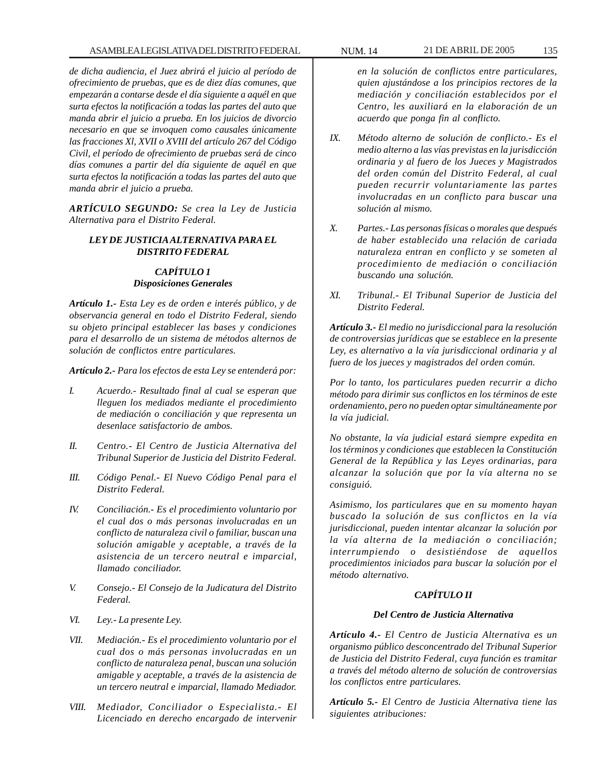*de dicha audiencia, el Juez abrirá el juicio al período de ofrecimiento de pruebas, que es de diez días comunes, que empezarán a contarse desde el día siguiente a aquél en que surta efectos la notificación a todas las partes del auto que manda abrir el juicio a prueba. En los juicios de divorcio necesario en que se invoquen como causales únicamente las fracciones Xl, XVII o XVIII del artículo 267 del Código Civil, el período de ofrecimiento de pruebas será de cinco días comunes a partir del día siguiente de aquél en que surta efectos la notificación a todas las partes del auto que manda abrir el juicio a prueba.*

*ARTÍCULO SEGUNDO: Se crea la Ley de Justicia Alternativa para el Distrito Federal.*

## *LEY DE JUSTICIA ALTERNATIVA PARA EL DISTRITO FEDERAL*

# *CAPÍTULO 1 Disposiciones Generales*

*Artículo 1.- Esta Ley es de orden e interés público, y de observancia general en todo el Distrito Federal, siendo su objeto principal establecer las bases y condiciones para el desarrollo de un sistema de métodos alternos de solución de conflictos entre particulares.*

*Artículo 2.- Para los efectos de esta Ley se entenderá por:*

- *I. Acuerdo.- Resultado final al cual se esperan que lleguen los mediados mediante el procedimiento de mediación o conciliación y que representa un desenlace satisfactorio de ambos.*
- *II. Centro.- El Centro de Justicia Alternativa del Tribunal Superior de Justicia del Distrito Federal.*
- *III. Código Penal.- El Nuevo Código Penal para el Distrito Federal.*
- *IV. Conciliación.- Es el procedimiento voluntario por el cual dos o más personas involucradas en un conflicto de naturaleza civil o familiar, buscan una solución amigable y aceptable, a través de la asistencia de un tercero neutral e imparcial, llamado conciliador.*
- *V. Consejo.- El Consejo de la Judicatura del Distrito Federal.*
- *VI. Ley.- La presente Ley.*
- *VII. Mediación.- Es el procedimiento voluntario por el cual dos o más personas involucradas en un conflicto de naturaleza penal, buscan una solución amigable y aceptable, a través de la asistencia de un tercero neutral e imparcial, llamado Mediador.*
- *VIII. Mediador, Conciliador o Especialista.- El Licenciado en derecho encargado de intervenir*

*en la solución de conflictos entre particulares, quien ajustándose a los principios rectores de la mediación y conciliación establecidos por el Centro, les auxiliará en la elaboración de un acuerdo que ponga fin al conflicto.*

- *IX. Método alterno de solución de conflicto.- Es el medio alterno a las vías previstas en la jurisdicción ordinaria y al fuero de los Jueces y Magistrados del orden común del Distrito Federal, al cual pueden recurrir voluntariamente las partes involucradas en un conflicto para buscar una solución al mismo.*
- *X. Partes.- Las personas físicas o morales que después de haber establecido una relación de cariada naturaleza entran en conflicto y se someten al procedimiento de mediación o conciliación buscando una solución.*
- *XI. Tribunal.- El Tribunal Superior de Justicia del Distrito Federal.*

*Artículo 3.- El medio no jurisdiccional para la resolución de controversias jurídicas que se establece en la presente Ley, es alternativo a la vía jurisdiccional ordinaria y al fuero de los jueces y magistrados del orden común.*

*Por lo tanto, los particulares pueden recurrir a dicho método para dirimir sus conflictos en los términos de este ordenamiento, pero no pueden optar simultáneamente por la vía judicial.*

*No obstante, la vía judicial estará siempre expedita en los términos y condiciones que establecen la Constitución General de la República y las Leyes ordinarias, para alcanzar la solución que por la vía alterna no se consiguió.*

*Asimismo, los particulares que en su momento hayan buscado la solución de sus conflictos en la vía jurisdiccional, pueden intentar alcanzar la solución por la vía alterna de la mediación o conciliación; interrumpiendo o desistiéndose de aquellos procedimientos iniciados para buscar la solución por el método alternativo.*

## *CAPÍTULO II*

### *Del Centro de Justicia Alternativa*

*Artículo 4.- El Centro de Justicia Alternativa es un organismo público desconcentrado del Tribunal Superior de Justicia del Distrito Federal, cuya función es tramitar a través del método alterno de solución de controversias los conflictos entre particulares.*

*Artículo 5.- El Centro de Justicia Alternativa tiene las siguientes atribuciones:*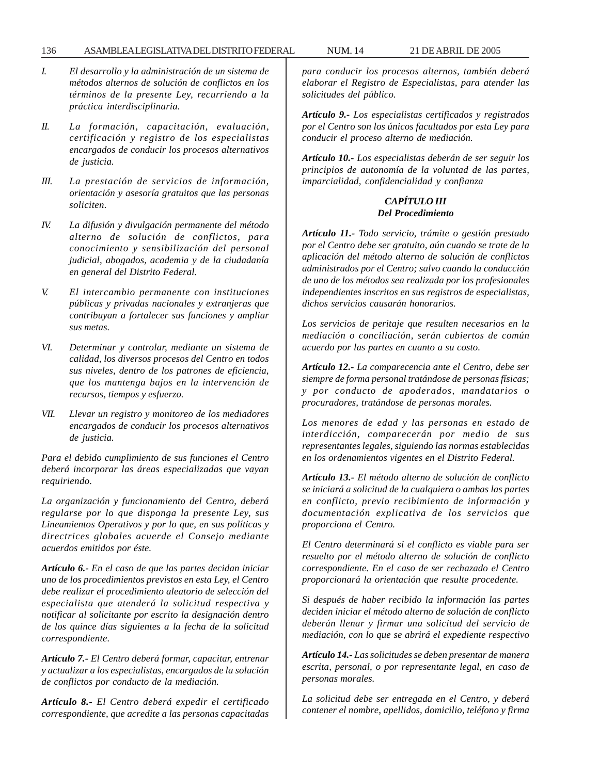- *I. El desarrollo y la administración de un sistema de métodos alternos de solución de conflictos en los términos de la presente Ley, recurriendo a la práctica interdisciplinaria.*
- *II. La formación, capacitación, evaluación, certificación y registro de los especialistas encargados de conducir los procesos alternativos de justicia.*
- *III. La prestación de servicios de información, orientación y asesoría gratuitos que las personas soliciten.*
- *IV. La difusión y divulgación permanente del método alterno de solución de conflictos, para conocimiento y sensibilización del personal judicial, abogados, academia y de la ciudadanía en general del Distrito Federal.*
- *V. El intercambio permanente con instituciones públicas y privadas nacionales y extranjeras que contribuyan a fortalecer sus funciones y ampliar sus metas.*
- *VI. Determinar y controlar, mediante un sistema de calidad, los diversos procesos del Centro en todos sus niveles, dentro de los patrones de eficiencia, que los mantenga bajos en la intervención de recursos, tiempos y esfuerzo.*
- *VII. Llevar un registro y monitoreo de los mediadores encargados de conducir los procesos alternativos de justicia.*

*Para el debido cumplimiento de sus funciones el Centro deberá incorporar las áreas especializadas que vayan requiriendo.*

*La organización y funcionamiento del Centro, deberá regularse por lo que disponga la presente Ley, sus Lineamientos Operativos y por lo que, en sus políticas y directrices globales acuerde el Consejo mediante acuerdos emitidos por éste.*

*Artículo 6.- En el caso de que las partes decidan iniciar uno de los procedimientos previstos en esta Ley, el Centro debe realizar el procedimiento aleatorio de selección del especialista que atenderá la solicitud respectiva y notificar al solicitante por escrito la designación dentro de los quince días siguientes a la fecha de la solicitud correspondiente.*

*Artículo 7.- El Centro deberá formar, capacitar, entrenar y actualizar a los especialistas, encargados de la solución de conflictos por conducto de la mediación.*

*Artículo 8.- El Centro deberá expedir el certificado correspondiente, que acredite a las personas capacitadas*

*para conducir los procesos alternos, también deberá elaborar el Registro de Especialistas, para atender las solicitudes del público.*

*Artículo 9.- Los especialistas certificados y registrados por el Centro son los únicos facultados por esta Ley para conducir el proceso alterno de mediación.*

*Artículo 10.- Los especialistas deberán de ser seguir los principios de autonomía de la voluntad de las partes, imparcialidad, confidencialidad y confianza*

### *CAPÍTULO III Del Procedimiento*

*Artículo 11.- Todo servicio, trámite o gestión prestado por el Centro debe ser gratuito, aún cuando se trate de la aplicación del método alterno de solución de conflictos administrados por el Centro; salvo cuando la conducción de uno de los métodos sea realizada por los profesionales independientes inscritos en sus registros de especialistas, dichos servicios causarán honorarios.*

*Los servicios de peritaje que resulten necesarios en la mediación o conciliación, serán cubiertos de común acuerdo por las partes en cuanto a su costo.*

*Artículo 12.- La comparecencia ante el Centro, debe ser siempre de forma personal tratándose de personas físicas; y por conducto de apoderados, mandatarios o procuradores, tratándose de personas morales.*

*Los menores de edad y las personas en estado de interdicción, comparecerán por medio de sus representantes legales, siguiendo las normas establecidas en los ordenamientos vigentes en el Distrito Federal.*

*Artículo 13.- El método alterno de solución de conflicto se iniciará a solicitud de la cualquiera o ambas las partes en conflicto, previo recibimiento de información y documentación explicativa de los servicios que proporciona el Centro.*

*El Centro determinará si el conflicto es viable para ser resuelto por el método alterno de solución de conflicto correspondiente. En el caso de ser rechazado el Centro proporcionará la orientación que resulte procedente.*

*Si después de haber recibido la información las partes deciden iniciar el método alterno de solución de conflicto deberán llenar y firmar una solicitud del servicio de mediación, con lo que se abrirá el expediente respectivo*

*Artículo 14.- Las solicitudes se deben presentar de manera escrita, personal, o por representante legal, en caso de personas morales.*

*La solicitud debe ser entregada en el Centro, y deberá contener el nombre, apellidos, domicilio, teléfono y firma*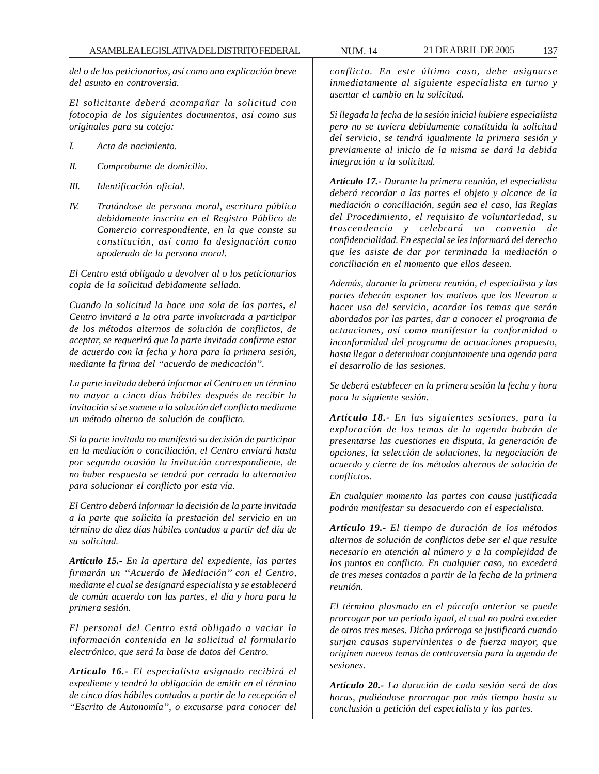*del o de los peticionarios, así como una explicación breve del asunto en controversia.*

*El solicitante deberá acompañar la solicitud con fotocopia de los siguientes documentos, así como sus originales para su cotejo:*

- *I. Acta de nacimiento.*
- *II. Comprobante de domicilio.*
- *III. Identificación oficial.*
- *IV. Tratándose de persona moral, escritura pública debidamente inscrita en el Registro Público de Comercio correspondiente, en la que conste su constitución, así como la designación como apoderado de la persona moral.*

*El Centro está obligado a devolver al o los peticionarios copia de la solicitud debidamente sellada.*

*Cuando la solicitud la hace una sola de las partes, el Centro invitará a la otra parte involucrada a participar de los métodos alternos de solución de conflictos, de aceptar, se requerirá que la parte invitada confirme estar de acuerdo con la fecha y hora para la primera sesión, mediante la firma del ''acuerdo de medicación''.*

*La parte invitada deberá informar al Centro en un término no mayor a cinco días hábiles después de recibir la invitación si se somete a la solución del conflicto mediante un método alterno de solución de conflicto.*

*Si la parte invitada no manifestó su decisión de participar en la mediación o conciliación, el Centro enviará hasta por segunda ocasión la invitación correspondiente, de no haber respuesta se tendrá por cerrada la alternativa para solucionar el conflicto por esta vía.*

*El Centro deberá informar la decisión de la parte invitada a la parte que solicita la prestación del servicio en un término de diez días hábiles contados a partir del día de su solicitud.*

*Artículo 15.- En la apertura del expediente, las partes firmarán un ''Acuerdo de Mediación'' con el Centro, mediante el cual se designará especialista y se establecerá de común acuerdo con las partes, el día y hora para la primera sesión.*

*El personal del Centro está obligado a vaciar la información contenida en la solicitud al formulario electrónico, que será la base de datos del Centro.*

*Artículo 16.- El especialista asignado recibirá el expediente y tendrá la obligación de emitir en el término de cinco días hábiles contados a partir de la recepción el ''Escrito de Autonomía'', o excusarse para conocer del*

*conflicto. En este último caso, debe asignarse inmediatamente al siguiente especialista en turno y asentar el cambio en la solicitud.*

*Si llegada la fecha de la sesión inicial hubiere especialista pero no se tuviera debidamente constituida la solicitud del servicio, se tendrá igualmente la primera sesión y previamente al inicio de la misma se dará la debida integración a la solicitud.*

*Artículo 17.- Durante la primera reunión, el especialista deberá recordar a las partes el objeto y alcance de la mediación o conciliación, según sea el caso, las Reglas del Procedimiento, el requisito de voluntariedad, su trascendencia y celebrará un convenio de confidencialidad. En especial se les informará del derecho que les asiste de dar por terminada la mediación o conciliación en el momento que ellos deseen.*

*Además, durante la primera reunión, el especialista y las partes deberán exponer los motivos que los llevaron a hacer uso del servicio, acordar los temas que serán abordados por las partes, dar a conocer el programa de actuaciones, así como manifestar la conformidad o inconformidad del programa de actuaciones propuesto, hasta llegar a determinar conjuntamente una agenda para el desarrollo de las sesiones.*

*Se deberá establecer en la primera sesión la fecha y hora para la siguiente sesión.*

*Artículo 18.- En las siguientes sesiones, para la exploración de los temas de la agenda habrán de presentarse las cuestiones en disputa, la generación de opciones, la selección de soluciones, la negociación de acuerdo y cierre de los métodos alternos de solución de conflictos.*

*En cualquier momento las partes con causa justificada podrán manifestar su desacuerdo con el especialista.*

*Artículo 19.- El tiempo de duración de los métodos alternos de solución de conflictos debe ser el que resulte necesario en atención al número y a la complejidad de los puntos en conflicto. En cualquier caso, no excederá de tres meses contados a partir de la fecha de la primera reunión.*

*El término plasmado en el párrafo anterior se puede prorrogar por un período igual, el cual no podrá exceder de otros tres meses. Dicha prórroga se justificará cuando surjan causas supervinientes o de fuerza mayor, que originen nuevos temas de controversia para la agenda de sesiones.*

*Artículo 20.- La duración de cada sesión será de dos horas, pudiéndose prorrogar por más tiempo hasta su conclusión a petición del especialista y las partes.*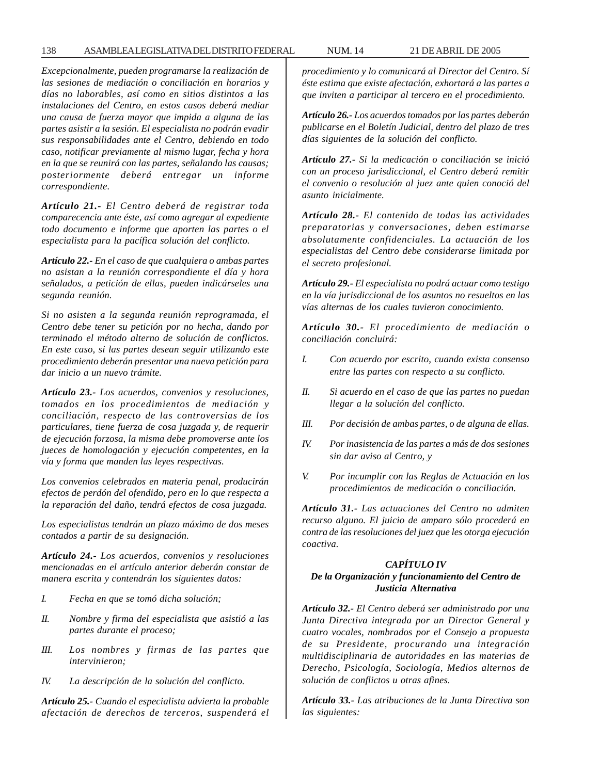*Excepcionalmente, pueden programarse la realización de las sesiones de mediación o conciliación en horarios y días no laborables, así como en sitios distintos a las instalaciones del Centro, en estos casos deberá mediar una causa de fuerza mayor que impida a alguna de las partes asistir a la sesión. El especialista no podrán evadir sus responsabilidades ante el Centro, debiendo en todo caso, notificar previamente al mismo lugar, fecha y hora en la que se reunirá con las partes, señalando las causas; posteriormente deberá entregar un informe correspondiente.*

*Artículo 21.- El Centro deberá de registrar toda comparecencia ante éste, así como agregar al expediente todo documento e informe que aporten las partes o el especialista para la pacífica solución del conflicto.*

*Artículo 22.- En el caso de que cualquiera o ambas partes no asistan a la reunión correspondiente el día y hora señalados, a petición de ellas, pueden indicárseles una segunda reunión.*

*Si no asisten a la segunda reunión reprogramada, el Centro debe tener su petición por no hecha, dando por terminado el método alterno de solución de conflictos. En este caso, si las partes desean seguir utilizando este procedimiento deberán presentar una nueva petición para dar inicio a un nuevo trámite.*

*Artículo 23.- Los acuerdos, convenios y resoluciones, tomados en los procedimientos de mediación y conciliación, respecto de las controversias de los particulares, tiene fuerza de cosa juzgada y, de requerir de ejecución forzosa, la misma debe promoverse ante los jueces de homologación y ejecución competentes, en la vía y forma que manden las leyes respectivas.*

*Los convenios celebrados en materia penal, producirán efectos de perdón del ofendido, pero en lo que respecta a la reparación del daño, tendrá efectos de cosa juzgada.*

*Los especialistas tendrán un plazo máximo de dos meses contados a partir de su designación.*

*Artículo 24.- Los acuerdos, convenios y resoluciones mencionadas en el artículo anterior deberán constar de manera escrita y contendrán los siguientes datos:*

- *I. Fecha en que se tomó dicha solución;*
- *II. Nombre y firma del especialista que asistió a las partes durante el proceso;*
- *III. Los nombres y firmas de las partes que intervinieron;*
- *IV. La descripción de la solución del conflicto.*

*Artículo 25.- Cuando el especialista advierta la probable afectación de derechos de terceros, suspenderá el* *procedimiento y lo comunicará al Director del Centro. Sí éste estima que existe afectación, exhortará a las partes a que inviten a participar al tercero en el procedimiento.*

*Artículo 26.- Los acuerdos tomados por las partes deberán publicarse en el Boletín Judicial, dentro del plazo de tres días siguientes de la solución del conflicto.*

*Artículo 27.- Si la medicación o conciliación se inició con un proceso jurisdiccional, el Centro deberá remitir el convenio o resolución al juez ante quien conoció del asunto inicialmente.*

*Artículo 28.- El contenido de todas las actividades preparatorias y conversaciones, deben estimarse absolutamente confidenciales. La actuación de los especialistas del Centro debe considerarse limitada por el secreto profesional.*

*Artículo 29.- El especialista no podrá actuar como testigo en la vía jurisdiccional de los asuntos no resueltos en las vías alternas de los cuales tuvieron conocimiento.*

*Artículo 30.- El procedimiento de mediación o conciliación concluirá:*

- *I. Con acuerdo por escrito, cuando exista consenso entre las partes con respecto a su conflicto.*
- *II. Si acuerdo en el caso de que las partes no puedan llegar a la solución del conflicto.*
- *III. Por decisión de ambas partes, o de alguna de ellas.*
- *IV. Por inasistencia de las partes a más de dos sesiones sin dar aviso al Centro, y*
- *V. Por incumplir con las Reglas de Actuación en los procedimientos de medicación o conciliación.*

*Artículo 31.- Las actuaciones del Centro no admiten recurso alguno. El juicio de amparo sólo procederá en contra de las resoluciones del juez que les otorga ejecución coactiva.*

### *CAPÍTULO IV*

### *De la Organización y funcionamiento del Centro de Justicia Alternativa*

*Artículo 32.- El Centro deberá ser administrado por una Junta Directiva integrada por un Director General y cuatro vocales, nombrados por el Consejo a propuesta de su Presidente, procurando una integración multidisciplinaria de autoridades en las materias de Derecho, Psicología, Sociología, Medios alternos de solución de conflictos u otras afines.*

*Artículo 33.- Las atribuciones de la Junta Directiva son las siguientes:*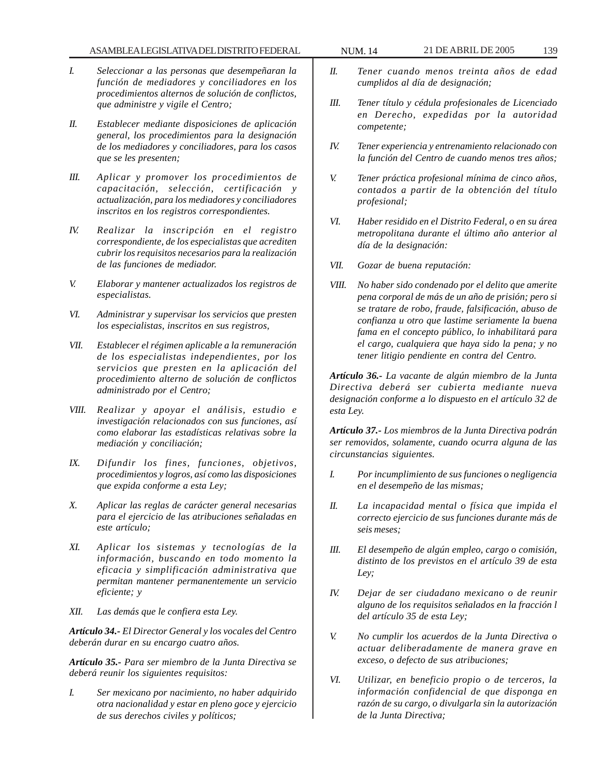- *I. Seleccionar a las personas que desempeñaran la función de mediadores y conciliadores en los procedimientos alternos de solución de conflictos, que administre y vigile el Centro;*
- *II. Establecer mediante disposiciones de aplicación general, los procedimientos para la designación de los mediadores y conciliadores, para los casos que se les presenten;*
- *III. Aplicar y promover los procedimientos de capacitación, selección, certificación y actualización, para los mediadores y conciliadores inscritos en los registros correspondientes.*
- *IV. Realizar la inscripción en el registro correspondiente, de los especialistas que acrediten cubrir los requisitos necesarios para la realización de las funciones de mediador.*
- *V. Elaborar y mantener actualizados los registros de especialistas.*
- *VI. Administrar y supervisar los servicios que presten los especialistas, inscritos en sus registros,*
- *VII. Establecer el régimen aplicable a la remuneración de los especialistas independientes, por los servicios que presten en la aplicación del procedimiento alterno de solución de conflictos administrado por el Centro;*
- *VIII. Realizar y apoyar el análisis, estudio e investigación relacionados con sus funciones, así como elaborar las estadísticas relativas sobre la mediación y conciliación;*
- *IX. Difundir los fines, funciones, objetivos, procedimientos y logros, así como las disposiciones que expida conforme a esta Ley;*
- *X. Aplicar las reglas de carácter general necesarias para el ejercicio de las atribuciones señaladas en este artículo;*
- *XI. Aplicar los sistemas y tecnologías de la información, buscando en todo momento la eficacia y simplificación administrativa que permitan mantener permanentemente un servicio eficiente; y*
- *XII. Las demás que le confiera esta Ley.*

*Artículo 34.- El Director General y los vocales del Centro deberán durar en su encargo cuatro años.*

*Artículo 35.- Para ser miembro de la Junta Directiva se deberá reunir los siguientes requisitos:*

*I. Ser mexicano por nacimiento, no haber adquirido otra nacionalidad y estar en pleno goce y ejercicio de sus derechos civiles y políticos;*

- *II. Tener cuando menos treinta años de edad cumplidos al día de designación;*
- *III. Tener título y cédula profesionales de Licenciado en Derecho, expedidas por la autoridad competente;*
- *IV. Tener experiencia y entrenamiento relacionado con la función del Centro de cuando menos tres años;*
- *V. Tener práctica profesional mínima de cinco años, contados a partir de la obtención del título profesional;*
- *VI. Haber residido en el Distrito Federal, o en su área metropolitana durante el último año anterior al día de la designación:*
- *VII. Gozar de buena reputación:*
- *VIII. No haber sido condenado por el delito que amerite pena corporal de más de un año de prisión; pero si se tratare de robo, fraude, falsificación, abuso de confianza u otro que lastime seriamente la buena fama en el concepto público, lo inhabilitará para el cargo, cualquiera que haya sido la pena; y no tener litigio pendiente en contra del Centro.*

*Artículo 36.- La vacante de algún miembro de la Junta Directiva deberá ser cubierta mediante nueva designación conforme a lo dispuesto en el artículo 32 de esta Ley.*

*Artículo 37.- Los miembros de la Junta Directiva podrán ser removidos, solamente, cuando ocurra alguna de las circunstancias siguientes.*

- *I. Por incumplimiento de sus funciones o negligencia en el desempeño de las mismas;*
- *II. La incapacidad mental o física que impida el correcto ejercicio de sus funciones durante más de seis meses;*
- *III. El desempeño de algún empleo, cargo o comisión, distinto de los previstos en el artículo 39 de esta Ley;*
- *IV. Dejar de ser ciudadano mexicano o de reunir alguno de los requisitos señalados en la fracción l del artículo 35 de esta Ley;*
- *V. No cumplir los acuerdos de la Junta Directiva o actuar deliberadamente de manera grave en exceso, o defecto de sus atribuciones;*
- *VI. Utilizar, en beneficio propio o de terceros, la información confidencial de que disponga en razón de su cargo, o divulgarla sin la autorización de la Junta Directiva;*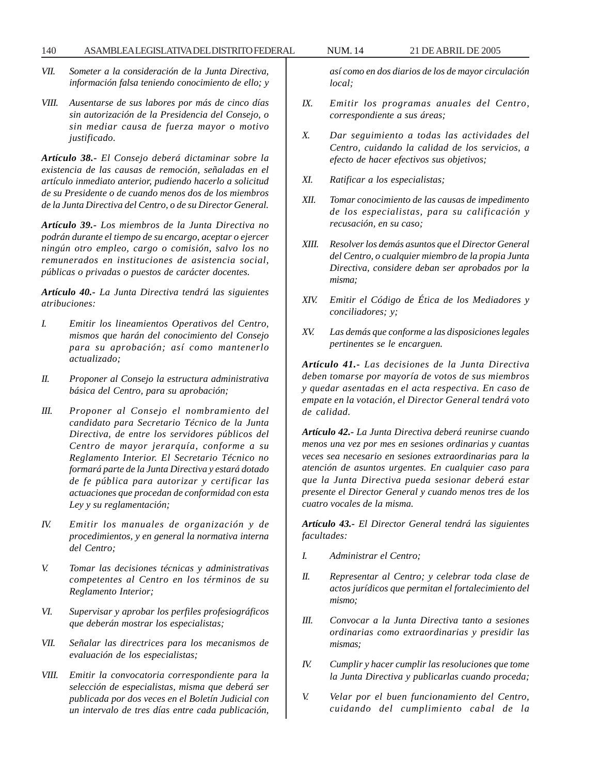- *VII. Someter a la consideración de la Junta Directiva, información falsa teniendo conocimiento de ello; y*
- *VIII. Ausentarse de sus labores por más de cinco días sin autorización de la Presidencia del Consejo, o sin mediar causa de fuerza mayor o motivo justificado.*

*Artículo 38.- El Consejo deberá dictaminar sobre la existencia de las causas de remoción, señaladas en el artículo inmediato anterior, pudiendo hacerlo a solicitud de su Presidente o de cuando menos dos de los miembros de la Junta Directiva del Centro, o de su Director General.*

*Artículo 39.- Los miembros de la Junta Directiva no podrán durante el tiempo de su encargo, aceptar o ejercer ningún otro empleo, cargo o comisión, salvo los no remunerados en instituciones de asistencia social, públicas o privadas o puestos de carácter docentes.*

*Artículo 40.- La Junta Directiva tendrá las siguientes atribuciones:*

- *I. Emitir los lineamientos Operativos del Centro, mismos que harán del conocimiento del Consejo para su aprobación; así como mantenerlo actualizado;*
- *II. Proponer al Consejo la estructura administrativa básica del Centro, para su aprobación;*
- *III. Proponer al Consejo el nombramiento del candidato para Secretario Técnico de la Junta Directiva, de entre los servidores públicos del Centro de mayor jerarquía, conforme a su Reglamento Interior. El Secretario Técnico no formará parte de la Junta Directiva y estará dotado de fe pública para autorizar y certificar las actuaciones que procedan de conformidad con esta Ley y su reglamentación;*
- *IV. Emitir los manuales de organización y de procedimientos, y en general la normativa interna del Centro;*
- *V. Tomar las decisiones técnicas y administrativas competentes al Centro en los términos de su Reglamento Interior;*
- *VI. Supervisar y aprobar los perfiles profesiográficos que deberán mostrar los especialistas;*
- *VII. Señalar las directrices para los mecanismos de evaluación de los especialistas;*
- *VIII. Emitir la convocatoria correspondiente para la selección de especialistas, misma que deberá ser publicada por dos veces en el Boletín Judicial con un intervalo de tres días entre cada publicación,*

*así como en dos diarios de los de mayor circulación local;*

- *IX. Emitir los programas anuales del Centro, correspondiente a sus áreas;*
- *X. Dar seguimiento a todas las actividades del Centro, cuidando la calidad de los servicios, a efecto de hacer efectivos sus objetivos;*
- *XI. Ratificar a los especialistas;*
- *XII. Tomar conocimiento de las causas de impedimento de los especialistas, para su calificación y recusación, en su caso;*
- *XIII. Resolver los demás asuntos que el Director General del Centro, o cualquier miembro de la propia Junta Directiva, considere deban ser aprobados por la misma;*
- *XIV. Emitir el Código de Ética de los Mediadores y conciliadores; y;*
- *XV. Las demás que conforme a las disposiciones legales pertinentes se le encarguen.*

*Artículo 41.- Las decisiones de la Junta Directiva deben tomarse por mayoría de votos de sus miembros y quedar asentadas en el acta respectiva. En caso de empate en la votación, el Director General tendrá voto de calidad.*

*Artículo 42.- La Junta Directiva deberá reunirse cuando menos una vez por mes en sesiones ordinarias y cuantas veces sea necesario en sesiones extraordinarias para la atención de asuntos urgentes. En cualquier caso para que la Junta Directiva pueda sesionar deberá estar presente el Director General y cuando menos tres de los cuatro vocales de la misma.*

*Artículo 43.- El Director General tendrá las siguientes facultades:*

- *I. Administrar el Centro;*
- *II. Representar al Centro; y celebrar toda clase de actos jurídicos que permitan el fortalecimiento del mismo;*
- *III. Convocar a la Junta Directiva tanto a sesiones ordinarias como extraordinarias y presidir las mismas;*
- *IV. Cumplir y hacer cumplir las resoluciones que tome la Junta Directiva y publicarlas cuando proceda;*
- *V. Velar por el buen funcionamiento del Centro, cuidando del cumplimiento cabal de la*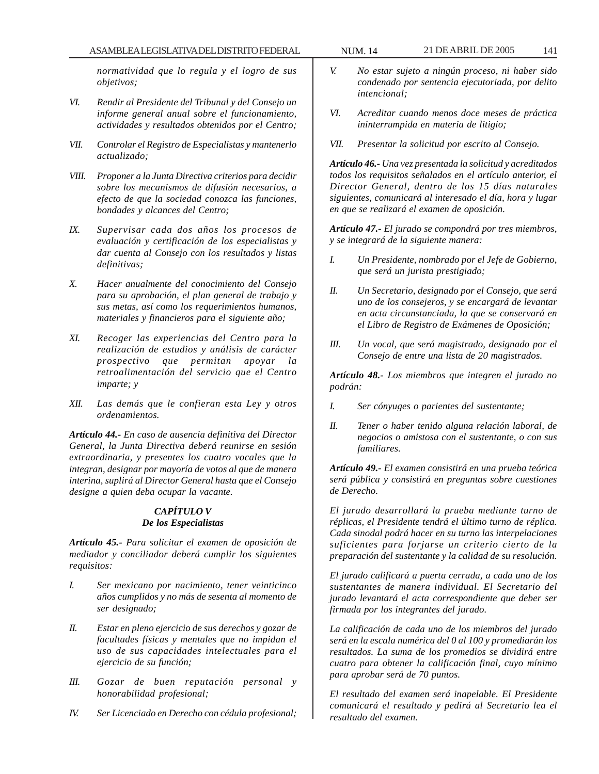*normatividad que lo regula y el logro de sus objetivos;*

- *VI. Rendir al Presidente del Tribunal y del Consejo un informe general anual sobre el funcionamiento, actividades y resultados obtenidos por el Centro;*
- *VII. Controlar el Registro de Especialistas y mantenerlo actualizado;*
- *VIII. Proponer a la Junta Directiva criterios para decidir sobre los mecanismos de difusión necesarios, a efecto de que la sociedad conozca las funciones, bondades y alcances del Centro;*
- *IX. Supervisar cada dos años los procesos de evaluación y certificación de los especialistas y dar cuenta al Consejo con los resultados y listas definitivas;*
- *X. Hacer anualmente del conocimiento del Consejo para su aprobación, el plan general de trabajo y sus metas, así como los requerimientos humanos, materiales y financieros para el siguiente año;*
- *XI. Recoger las experiencias del Centro para la realización de estudios y análisis de carácter prospectivo que permitan apoyar la retroalimentación del servicio que el Centro imparte; y*
- *XII. Las demás que le confieran esta Ley y otros ordenamientos.*

*Artículo 44.- En caso de ausencia definitiva del Director General, la Junta Directiva deberá reunirse en sesión extraordinaria, y presentes los cuatro vocales que la integran, designar por mayoría de votos al que de manera interina, suplirá al Director General hasta que el Consejo designe a quien deba ocupar la vacante.*

# *CAPÍTULO V De los Especialistas*

*Artículo 45.- Para solicitar el examen de oposición de mediador y conciliador deberá cumplir los siguientes requisitos:*

- *I. Ser mexicano por nacimiento, tener veinticinco años cumplidos y no más de sesenta al momento de ser designado;*
- *II. Estar en pleno ejercicio de sus derechos y gozar de facultades físicas y mentales que no impidan el uso de sus capacidades intelectuales para el ejercicio de su función;*
- *III. Gozar de buen reputación personal y honorabilidad profesional;*
- *IV. Ser Licenciado en Derecho con cédula profesional;*
- *V. No estar sujeto a ningún proceso, ni haber sido condenado por sentencia ejecutoriada, por delito intencional;*
- *VI. Acreditar cuando menos doce meses de práctica ininterrumpida en materia de litigio;*
- *VII. Presentar la solicitud por escrito al Consejo.*

*Artículo 46.- Una vez presentada la solicitud y acreditados todos los requisitos señalados en el artículo anterior, el Director General, dentro de los 15 días naturales siguientes, comunicará al interesado el día, hora y lugar en que se realizará el examen de oposición.*

*Artículo 47.- El jurado se compondrá por tres miembros, y se integrará de la siguiente manera:*

- *I. Un Presidente, nombrado por el Jefe de Gobierno, que será un jurista prestigiado;*
- *II. Un Secretario, designado por el Consejo, que será uno de los consejeros, y se encargará de levantar en acta circunstanciada, la que se conservará en el Libro de Registro de Exámenes de Oposición;*
- *III. Un vocal, que será magistrado, designado por el Consejo de entre una lista de 20 magistrados.*

*Artículo 48.- Los miembros que integren el jurado no podrán:*

- *I. Ser cónyuges o parientes del sustentante;*
- *II. Tener o haber tenido alguna relación laboral, de negocios o amistosa con el sustentante, o con sus familiares.*

*Artículo 49.- El examen consistirá en una prueba teórica será pública y consistirá en preguntas sobre cuestiones de Derecho.*

*El jurado desarrollará la prueba mediante turno de réplicas, el Presidente tendrá el último turno de réplica. Cada sinodal podrá hacer en su turno las interpelaciones suficientes para forjarse un criterio cierto de la preparación del sustentante y la calidad de su resolución.*

*El jurado calificará a puerta cerrada, a cada uno de los sustentantes de manera individual. El Secretario del jurado levantará el acta correspondiente que deber ser firmada por los integrantes del jurado.*

*La calificación de cada uno de los miembros del jurado será en la escala numérica del 0 al 100 y promediarán los resultados. La suma de los promedios se dividirá entre cuatro para obtener la calificación final, cuyo mínimo para aprobar será de 70 puntos.*

*El resultado del examen será inapelable. El Presidente comunicará el resultado y pedirá al Secretario lea el resultado del examen.*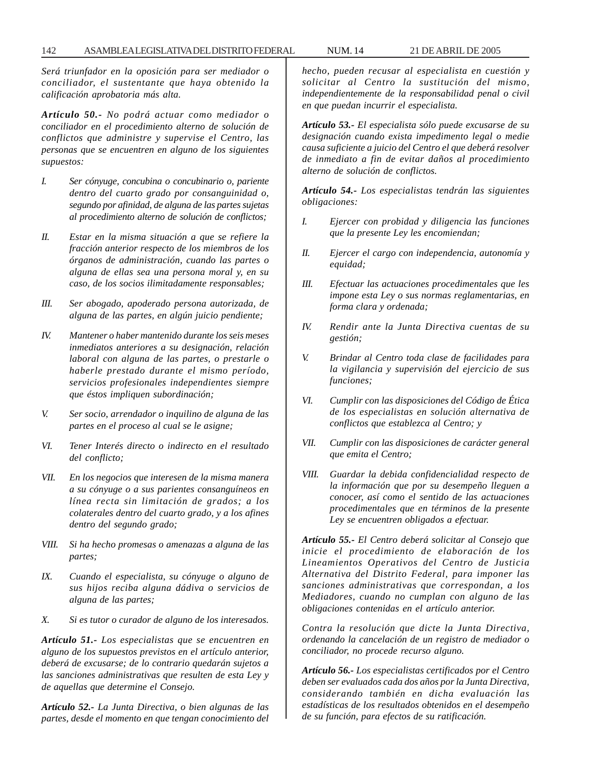*Será triunfador en la oposición para ser mediador o conciliador, el sustentante que haya obtenido la calificación aprobatoria más alta.*

*Artículo 50.- No podrá actuar como mediador o conciliador en el procedimiento alterno de solución de conflictos que administre y supervise el Centro, las personas que se encuentren en alguno de los siguientes supuestos:*

- *I. Ser cónyuge, concubina o concubinario o, pariente dentro del cuarto grado por consanguinidad o, segundo por afinidad, de alguna de las partes sujetas al procedimiento alterno de solución de conflictos;*
- *II. Estar en la misma situación a que se refiere la fracción anterior respecto de los miembros de los órganos de administración, cuando las partes o alguna de ellas sea una persona moral y, en su caso, de los socios ilimitadamente responsables;*
- *III. Ser abogado, apoderado persona autorizada, de alguna de las partes, en algún juicio pendiente;*
- *IV. Mantener o haber mantenido durante los seis meses inmediatos anteriores a su designación, relación laboral con alguna de las partes, o prestarle o haberle prestado durante el mismo período, servicios profesionales independientes siempre que éstos impliquen subordinación;*
- *V. Ser socio, arrendador o inquilino de alguna de las partes en el proceso al cual se le asigne;*
- *VI. Tener Interés directo o indirecto en el resultado del conflicto;*
- *VII. En los negocios que interesen de la misma manera a su cónyuge o a sus parientes consanguíneos en línea recta sin limitación de grados; a los colaterales dentro del cuarto grado, y a los afines dentro del segundo grado;*
- *VIII. Si ha hecho promesas o amenazas a alguna de las partes;*
- *IX. Cuando el especialista, su cónyuge o alguno de sus hijos reciba alguna dádiva o servicios de alguna de las partes;*
- *X. Si es tutor o curador de alguno de los interesados.*

*Artículo 51.- Los especialistas que se encuentren en alguno de los supuestos previstos en el artículo anterior, deberá de excusarse; de lo contrario quedarán sujetos a las sanciones administrativas que resulten de esta Ley y de aquellas que determine el Consejo.*

*Artículo 52.- La Junta Directiva, o bien algunas de las partes, desde el momento en que tengan conocimiento del* *hecho, pueden recusar al especialista en cuestión y solicitar al Centro la sustitución del mismo, independientemente de la responsabilidad penal o civil en que puedan incurrir el especialista.*

*Artículo 53.- El especialista sólo puede excusarse de su designación cuando exista impedimento legal o medie causa suficiente a juicio del Centro el que deberá resolver de inmediato a fin de evitar daños al procedimiento alterno de solución de conflictos.*

*Artículo 54.- Los especialistas tendrán las siguientes obligaciones:*

- *I. Ejercer con probidad y diligencia las funciones que la presente Ley les encomiendan;*
- *II. Ejercer el cargo con independencia, autonomía y equidad;*
- *III. Efectuar las actuaciones procedimentales que les impone esta Ley o sus normas reglamentarias, en forma clara y ordenada;*
- *IV. Rendir ante la Junta Directiva cuentas de su gestión;*
- *V. Brindar al Centro toda clase de facilidades para la vigilancia y supervisión del ejercicio de sus funciones;*
- *VI. Cumplir con las disposiciones del Código de Ética de los especialistas en solución alternativa de conflictos que establezca al Centro; y*
- *VII. Cumplir con las disposiciones de carácter general que emita el Centro;*
- *VIII. Guardar la debida confidencialidad respecto de la información que por su desempeño lleguen a conocer, así como el sentido de las actuaciones procedimentales que en términos de la presente Ley se encuentren obligados a efectuar.*

*Artículo 55.- El Centro deberá solicitar al Consejo que inicie el procedimiento de elaboración de los Lineamientos Operativos del Centro de Justicia Alternativa del Distrito Federal, para imponer las sanciones administrativas que correspondan, a los Mediadores, cuando no cumplan con alguno de las obligaciones contenidas en el artículo anterior.*

*Contra la resolución que dicte la Junta Directiva, ordenando la cancelación de un registro de mediador o conciliador, no procede recurso alguno.*

*Artículo 56.- Los especialistas certificados por el Centro deben ser evaluados cada dos años por la Junta Directiva, considerando también en dicha evaluación las estadísticas de los resultados obtenidos en el desempeño de su función, para efectos de su ratificación.*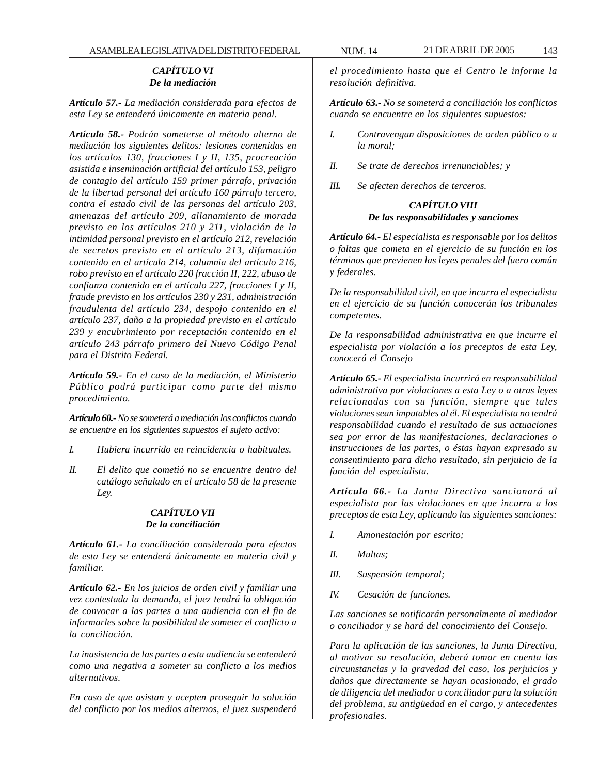## *CAPÍTULO VI De la mediación*

*Artículo 57.- La mediación considerada para efectos de esta Ley se entenderá únicamente en materia penal.*

*Artículo 58.- Podrán someterse al método alterno de mediación los siguientes delitos: lesiones contenidas en los artículos 130, fracciones I y II, 135, procreación asistida e inseminación artificial del artículo 153, peligro de contagio del artículo 159 primer párrafo, privación de la libertad personal del artículo 160 párrafo tercero, contra el estado civil de las personas del artículo 203, amenazas del artículo 209, allanamiento de morada previsto en los artículos 210 y 211, violación de la intimidad personal previsto en el artículo 212, revelación de secretos previsto en el artículo 213, difamación contenido en el artículo 214, calumnia del artículo 216, robo previsto en el artículo 220 fracción II, 222, abuso de confianza contenido en el artículo 227, fracciones I y II, fraude previsto en los artículos 230 y 231, administración fraudulenta del artículo 234, despojo contenido en el artículo 237, daño a la propiedad previsto en el artículo 239 y encubrimiento por receptación contenido en el artículo 243 párrafo primero del Nuevo Código Penal para el Distrito Federal.*

*Artículo 59.- En el caso de la mediación, el Ministerio Público podrá participar como parte del mismo procedimiento.*

*Artículo 60.- No se someterá a mediación los conflictos cuando se encuentre en los siguientes supuestos el sujeto activo:*

- *I. Hubiera incurrido en reincidencia o habituales.*
- *II. El delito que cometió no se encuentre dentro del catálogo señalado en el artículo 58 de la presente Ley.*

# *CAPÍTULO VII De la conciliación*

*Artículo 61.- La conciliación considerada para efectos de esta Ley se entenderá únicamente en materia civil y familiar.*

*Artículo 62.- En los juicios de orden civil y familiar una vez contestada la demanda, el juez tendrá la obligación de convocar a las partes a una audiencia con el fin de informarles sobre la posibilidad de someter el conflicto a la conciliación.*

*La inasistencia de las partes a esta audiencia se entenderá como una negativa a someter su conflicto a los medios alternativos.*

*En caso de que asistan y acepten proseguir la solución del conflicto por los medios alternos, el juez suspenderá* *el procedimiento hasta que el Centro le informe la resolución definitiva.*

*Artículo 63.- No se someterá a conciliación los conflictos cuando se encuentre en los siguientes supuestos:*

- *I. Contravengan disposiciones de orden público o a la moral;*
- *II. Se trate de derechos irrenunciables; y*
- *III. Se afecten derechos de terceros.*

# *CAPÍTULO VIII De las responsabilidades y sanciones*

*Artículo 64.- El especialista es responsable por los delitos o faltas que cometa en el ejercicio de su función en los términos que previenen las leyes penales del fuero común y federales.*

*De la responsabilidad civil, en que incurra el especialista en el ejercicio de su función conocerán los tribunales competentes.*

*De la responsabilidad administrativa en que incurre el especialista por violación a los preceptos de esta Ley, conocerá el Consejo*

*Artículo 65.- El especialista incurrirá en responsabilidad administrativa por violaciones a esta Ley o a otras leyes relacionadas con su función, siempre que tales violaciones sean imputables al él. El especialista no tendrá responsabilidad cuando el resultado de sus actuaciones sea por error de las manifestaciones, declaraciones o instrucciones de las partes, o éstas hayan expresado su consentimiento para dicho resultado, sin perjuicio de la función del especialista.*

*Artículo 66.- La Junta Directiva sancionará al especialista por las violaciones en que incurra a los preceptos de esta Ley, aplicando las siguientes sanciones:*

- *I. Amonestación por escrito;*
- *II. Multas;*
- *III. Suspensión temporal;*
- *IV. Cesación de funciones.*

*Las sanciones se notificarán personalmente al mediador o conciliador y se hará del conocimiento del Consejo.*

*Para la aplicación de las sanciones, la Junta Directiva, al motivar su resolución, deberá tomar en cuenta las circunstancias y la gravedad del caso, los perjuicios y daños que directamente se hayan ocasionado, el grado de diligencia del mediador o conciliador para la solución del problema, su antigüedad en el cargo, y antecedentes profesionales.*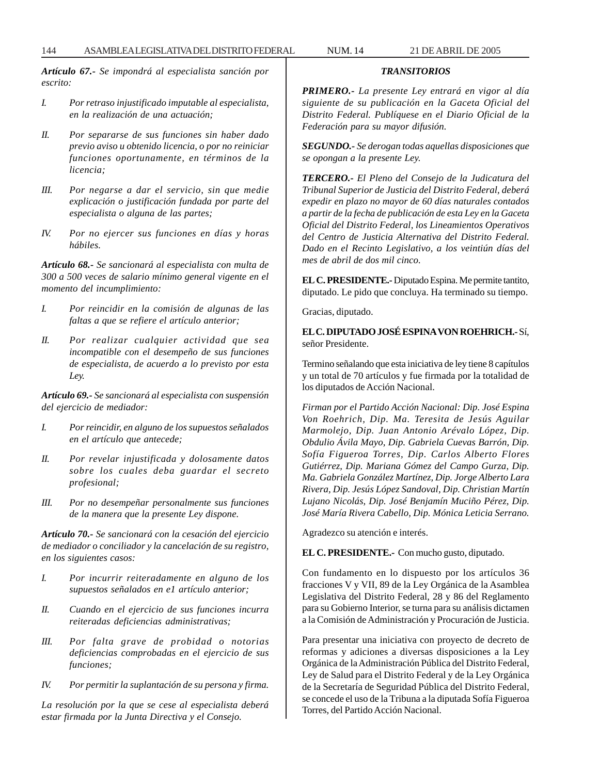*Artículo 67.- Se impondrá al especialista sanción por escrito:*

- *I. Por retraso injustificado imputable al especialista, en la realización de una actuación;*
- *II. Por separarse de sus funciones sin haber dado previo aviso u obtenido licencia, o por no reiniciar funciones oportunamente, en términos de la licencia;*
- *III. Por negarse a dar el servicio, sin que medie explicación o justificación fundada por parte del especialista o alguna de las partes;*
- *IV. Por no ejercer sus funciones en días y horas hábiles.*

*Artículo 68.- Se sancionará al especialista con multa de 300 a 500 veces de salario mínimo general vigente en el momento del incumplimiento:*

- *I. Por reincidir en la comisión de algunas de las faltas a que se refiere el artículo anterior;*
- *II. Por realizar cualquier actividad que sea incompatible con el desempeño de sus funciones de especialista, de acuerdo a lo previsto por esta Ley.*

*Artículo 69.- Se sancionará al especialista con suspensión del ejercicio de mediador:*

- *I. Por reincidir, en alguno de los supuestos señalados en el artículo que antecede;*
- *II. Por revelar injustificada y dolosamente datos sobre los cuales deba guardar el secreto profesional;*
- *III. Por no desempeñar personalmente sus funciones de la manera que la presente Ley dispone.*

*Artículo 70.- Se sancionará con la cesación del ejercicio de mediador o conciliador y la cancelación de su registro, en los siguientes casos:*

- *I. Por incurrir reiteradamente en alguno de los supuestos señalados en e1 artículo anterior;*
- *II. Cuando en el ejercicio de sus funciones incurra reiteradas deficiencias administrativas;*
- *III. Por falta grave de probidad o notorias deficiencias comprobadas en el ejercicio de sus funciones;*
- *IV. Por permitir la suplantación de su persona y firma.*

*La resolución por la que se cese al especialista deberá estar firmada por la Junta Directiva y el Consejo.*

*TRANSITORIOS*

*PRIMERO.- La presente Ley entrará en vigor al día siguiente de su publicación en la Gaceta Oficial del Distrito Federal. Publíquese en el Diario Oficial de la Federación para su mayor difusión.*

*SEGUNDO.- Se derogan todas aquellas disposiciones que se opongan a la presente Ley.*

*TERCERO.- El Pleno del Consejo de la Judicatura del Tribunal Superior de Justicia del Distrito Federal, deberá expedir en plazo no mayor de 60 días naturales contados a partir de la fecha de publicación de esta Ley en la Gaceta Oficial del Distrito Federal, los Lineamientos Operativos del Centro de Justicia Alternativa del Distrito Federal. Dado en el Recinto Legislativo, a los veintiún días del mes de abril de dos mil cinco.*

**EL C. PRESIDENTE.-** Diputado Espina. Me permite tantito, diputado. Le pido que concluya. Ha terminado su tiempo.

Gracias, diputado.

**EL C. DIPUTADO JOSÉ ESPINA VON ROEHRICH.-** Sí, señor Presidente.

Termino señalando que esta iniciativa de ley tiene 8 capítulos y un total de 70 artículos y fue firmada por la totalidad de los diputados de Acción Nacional.

*Firman por el Partido Acción Nacional: Dip. José Espina Von Roehrich, Dip. Ma. Teresita de Jesús Aguilar Marmolejo, Dip. Juan Antonio Arévalo López, Dip. Obdulio Ávila Mayo, Dip. Gabriela Cuevas Barrón, Dip. Sofía Figueroa Torres, Dip. Carlos Alberto Flores Gutiérrez, Dip. Mariana Gómez del Campo Gurza, Dip. Ma. Gabriela González Martínez, Dip. Jorge Alberto Lara Rivera, Dip. Jesús López Sandoval, Dip. Christian Martín Lujano Nicolás, Dip. José Benjamín Muciño Pérez, Dip. José María Rivera Cabello, Dip. Mónica Leticia Serrano.*

Agradezco su atención e interés.

**EL C. PRESIDENTE.-** Con mucho gusto, diputado.

Con fundamento en lo dispuesto por los artículos 36 fracciones V y VII, 89 de la Ley Orgánica de la Asamblea Legislativa del Distrito Federal, 28 y 86 del Reglamento para su Gobierno Interior, se turna para su análisis dictamen a la Comisión de Administración y Procuración de Justicia.

Para presentar una iniciativa con proyecto de decreto de reformas y adiciones a diversas disposiciones a la Ley Orgánica de la Administración Pública del Distrito Federal, Ley de Salud para el Distrito Federal y de la Ley Orgánica de la Secretaría de Seguridad Pública del Distrito Federal, se concede el uso de la Tribuna a la diputada Sofía Figueroa Torres, del Partido Acción Nacional.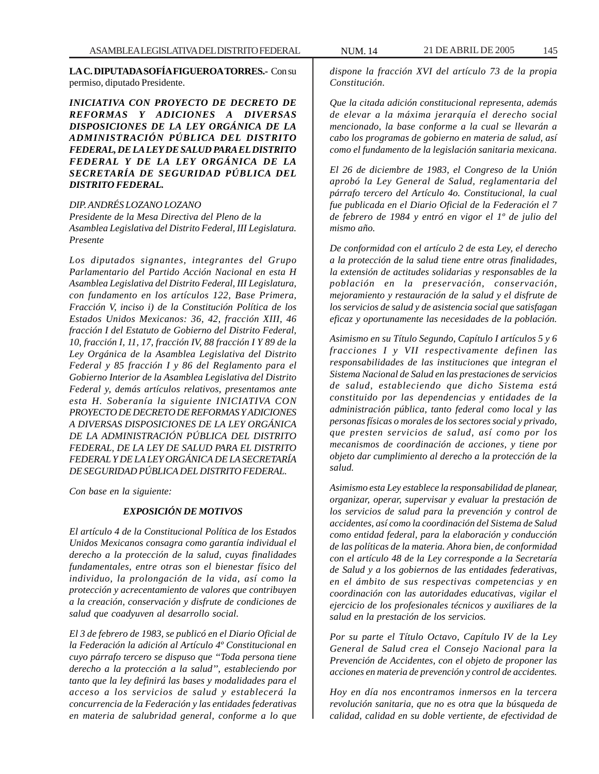**LA C. DIPUTADA SOFÍA FIGUEROA TORRES.-** Con su permiso, diputado Presidente.

*INICIATIVA CON PROYECTO DE DECRETO DE REFORMAS Y ADICIONES A DIVERSAS DISPOSICIONES DE LA LEY ORGÁNICA DE LA ADMINISTRACIÓN PÚBLICA DEL DISTRITO FEDERAL, DE LA LEY DE SALUD PARA EL DISTRITO FEDERAL Y DE LA LEY ORGÁNICA DE LA SECRETARÍA DE SEGURIDAD PÚBLICA DEL DISTRITO FEDERAL.*

#### *DIP. ANDRÉS LOZANO LOZANO*

*Presidente de la Mesa Directiva del Pleno de la Asamblea Legislativa del Distrito Federal, III Legislatura. Presente*

*Los diputados signantes, integrantes del Grupo Parlamentario del Partido Acción Nacional en esta H Asamblea Legislativa del Distrito Federal, III Legislatura, con fundamento en los artículos 122, Base Primera, Fracción V, inciso i) de la Constitución Política de los Estados Unidos Mexicanos: 36, 42, fracción XIII, 46 fracción I del Estatuto de Gobierno del Distrito Federal, 10, fracción I, 11, 17, fracción IV, 88 fracción I Y 89 de la Ley Orgánica de la Asamblea Legislativa del Distrito Federal y 85 fracción I y 86 del Reglamento para el Gobierno Interior de la Asamblea Legislativa del Distrito Federal y, demás artículos relativos, presentamos ante esta H. Soberanía la siguiente INICIATIVA CON PROYECTO DE DECRETO DE REFORMAS Y ADICIONES A DIVERSAS DISPOSICIONES DE LA LEY ORGÁNICA DE LA ADMINISTRACIÓN PÚBLICA DEL DISTRITO FEDERAL, DE LA LEY DE SALUD PARA EL DISTRITO FEDERAL Y DE LA LEY ORGÁNICA DE LA SECRETARÍA DE SEGURIDAD PÚBLICA DEL DISTRITO FEDERAL.*

*Con base en la siguiente:*

# *EXPOSICIÓN DE MOTIVOS*

*El artículo 4 de la Constitucional Política de los Estados Unidos Mexicanos consagra como garantía individual el derecho a la protección de la salud, cuyas finalidades fundamentales, entre otras son el bienestar físico del individuo, la prolongación de la vida, así como la protección y acrecentamiento de valores que contribuyen a la creación, conservación y disfrute de condiciones de salud que coadyuven al desarrollo social.*

*El 3 de febrero de 1983, se publicó en el Diario Oficial de la Federación la adición al Artículo 4º Constitucional en cuyo párrafo tercero se dispuso que ''Toda persona tiene derecho a la protección a la salud'', estableciendo por tanto que la ley definirá las bases y modalidades para el acceso a los servicios de salud y establecerá la concurrencia de la Federación y las entidades federativas en materia de salubridad general, conforme a lo que*

*dispone la fracción XVI del artículo 73 de la propia Constitución.*

*Que la citada adición constitucional representa, además de elevar a la máxima jerarquía el derecho social mencionado, la base conforme a la cual se llevarán a cabo los programas de gobierno en materia de salud, así como el fundamento de la legislación sanitaria mexicana.*

*El 26 de diciembre de 1983, el Congreso de la Unión aprobó la Ley General de Salud, reglamentaria del párrafo tercero del Artículo 4o. Constitucional, la cual fue publicada en el Diario Oficial de la Federación el 7 de febrero de 1984 y entró en vigor el 1º de julio del mismo año.*

*De conformidad con el artículo 2 de esta Ley, el derecho a la protección de la salud tiene entre otras finalidades, la extensión de actitudes solidarias y responsables de la población en la preservación, conservación, mejoramiento y restauración de la salud y el disfrute de los servicios de salud y de asistencia social que satisfagan eficaz y oportunamente las necesidades de la población.*

*Asimismo en su Título Segundo, Capítulo I artículos 5 y 6 fracciones I y VII respectivamente definen las responsabilidades de las instituciones que integran el Sistema Nacional de Salud en las prestaciones de servicios de salud, estableciendo que dicho Sistema está constituido por las dependencias y entidades de la administración pública, tanto federal como local y las personas físicas o morales de los sectores social y privado, que presten servicios de salud, así como por los mecanismos de coordinación de acciones, y tiene por objeto dar cumplimiento al derecho a la protección de la salud.*

*Asimismo esta Ley establece la responsabilidad de planear, organizar, operar, supervisar y evaluar la prestación de los servicios de salud para la prevención y control de accidentes, así como la coordinación del Sistema de Salud como entidad federal, para la elaboración y conducción de las políticas de la materia. Ahora bien, de conformidad con el artículo 48 de la Ley corresponde a la Secretaría de Salud y a los gobiernos de las entidades federativas, en el ámbito de sus respectivas competencias y en coordinación con las autoridades educativas, vigilar el ejercicio de los profesionales técnicos y auxiliares de la salud en la prestación de los servicios.*

*Por su parte el Título Octavo, Capítulo IV de la Ley General de Salud crea el Consejo Nacional para la Prevención de Accidentes, con el objeto de proponer las acciones en materia de prevención y control de accidentes.*

*Hoy en día nos encontramos inmersos en la tercera revolución sanitaria, que no es otra que la búsqueda de calidad, calidad en su doble vertiente, de efectividad de*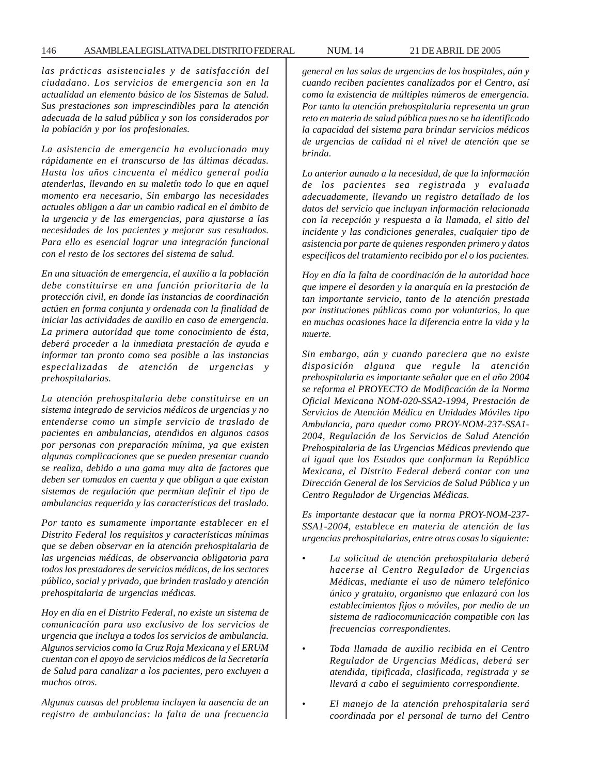*las prácticas asistenciales y de satisfacción del ciudadano. Los servicios de emergencia son en la actualidad un elemento básico de los Sistemas de Salud. Sus prestaciones son imprescindibles para la atención adecuada de la salud pública y son los considerados por la población y por los profesionales.*

*La asistencia de emergencia ha evolucionado muy rápidamente en el transcurso de las últimas décadas. Hasta los años cincuenta el médico general podía atenderlas, llevando en su maletín todo lo que en aquel momento era necesario, Sin embargo las necesidades actuales obligan a dar un cambio radical en el ámbito de la urgencia y de las emergencias, para ajustarse a las necesidades de los pacientes y mejorar sus resultados. Para ello es esencial lograr una integración funcional con el resto de los sectores del sistema de salud.*

*En una situación de emergencia, el auxilio a la población debe constituirse en una función prioritaria de la protección civil, en donde las instancias de coordinación actúen en forma conjunta y ordenada con la finalidad de iniciar las actividades de auxilio en caso de emergencia. La primera autoridad que tome conocimiento de ésta, deberá proceder a la inmediata prestación de ayuda e informar tan pronto como sea posible a las instancias especializadas de atención de urgencias y prehospitalarias.*

*La atención prehospitalaria debe constituirse en un sistema integrado de servicios médicos de urgencias y no entenderse como un simple servicio de traslado de pacientes en ambulancias, atendidos en algunos casos por personas con preparación mínima, ya que existen algunas complicaciones que se pueden presentar cuando se realiza, debido a una gama muy alta de factores que deben ser tomados en cuenta y que obligan a que existan sistemas de regulación que permitan definir el tipo de ambulancias requerido y las características del traslado.*

*Por tanto es sumamente importante establecer en el Distrito Federal los requisitos y características mínimas que se deben observar en la atención prehospitalaria de las urgencias médicas, de observancia obligatoria para todos los prestadores de servicios médicos, de los sectores público, social y privado, que brinden traslado y atención prehospitalaria de urgencias médicas.*

*Hoy en día en el Distrito Federal, no existe un sistema de comunicación para uso exclusivo de los servicios de urgencia que incluya a todos los servicios de ambulancia. Algunos servicios como la Cruz Roja Mexicana y el ERUM cuentan con el apoyo de servicios médicos de la Secretaría de Salud para canalizar a los pacientes, pero excluyen a muchos otros.*

*Algunas causas del problema incluyen la ausencia de un registro de ambulancias: la falta de una frecuencia* *general en las salas de urgencias de los hospitales, aún y cuando reciben pacientes canalizados por el Centro, así como la existencia de múltiples números de emergencia. Por tanto la atención prehospitalaria representa un gran reto en materia de salud pública pues no se ha identificado la capacidad del sistema para brindar servicios médicos de urgencias de calidad ni el nivel de atención que se brinda.*

*Lo anterior aunado a la necesidad, de que la información de los pacientes sea registrada y evaluada adecuadamente, llevando un registro detallado de los datos del servicio que incluyan información relacionada con la recepción y respuesta a la llamada, el sitio del incidente y las condiciones generales, cualquier tipo de asistencia por parte de quienes responden primero y datos específicos del tratamiento recibido por el o los pacientes.*

*Hoy en día la falta de coordinación de la autoridad hace que impere el desorden y la anarquía en la prestación de tan importante servicio, tanto de la atención prestada por instituciones públicas como por voluntarios, lo que en muchas ocasiones hace la diferencia entre la vida y la muerte.*

*Sin embargo, aún y cuando pareciera que no existe disposición alguna que regule la atención prehospitalaria es importante señalar que en el año 2004 se reforma el PROYECTO de Modificación de la Norma Oficial Mexicana NOM-020-SSA2-1994, Prestación de Servicios de Atención Médica en Unidades Móviles tipo Ambulancia, para quedar como PROY-NOM-237-SSA1- 2004, Regulación de los Servicios de Salud Atención Prehospitalaria de las Urgencias Médicas previendo que al igual que los Estados que conforman la República Mexicana, el Distrito Federal deberá contar con una Dirección General de los Servicios de Salud Pública y un Centro Regulador de Urgencias Médicas.*

*Es importante destacar que la norma PROY-NOM-237- SSA1-2004, establece en materia de atención de las urgencias prehospitalarias, entre otras cosas lo siguiente:*

- *La solicitud de atención prehospitalaria deberá hacerse al Centro Regulador de Urgencias Médicas, mediante el uso de número telefónico único y gratuito, organismo que enlazará con los establecimientos fijos o móviles, por medio de un sistema de radiocomunicación compatible con las frecuencias correspondientes.*
- *Toda llamada de auxilio recibida en el Centro Regulador de Urgencias Médicas, deberá ser atendida, tipificada, clasificada, registrada y se llevará a cabo el seguimiento correspondiente.*
- *El manejo de la atención prehospitalaria será coordinada por el personal de turno del Centro*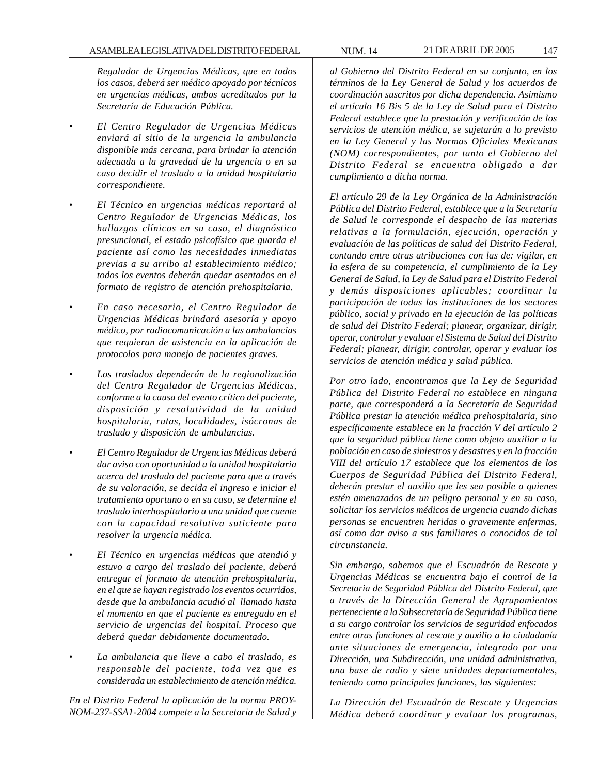*Regulador de Urgencias Médicas, que en todos los casos, deberá ser médico apoyado por técnicos en urgencias médicas, ambos acreditados por la Secretaría de Educación Pública.*

- *El Centro Regulador de Urgencias Médicas enviará al sitio de la urgencia la ambulancia disponible más cercana, para brindar la atención adecuada a la gravedad de la urgencia o en su caso decidir el traslado a la unidad hospitalaria correspondiente.*
- *El Técnico en urgencias médicas reportará al Centro Regulador de Urgencias Médicas, los hallazgos clínicos en su caso, el diagnóstico presuncional, el estado psicofísico que guarda el paciente así como las necesidades inmediatas previas a su arribo al establecimiento médico; todos los eventos deberán quedar asentados en el formato de registro de atención prehospitalaria.*
- *En caso necesario, el Centro Regulador de Urgencias Médicas brindará asesoría y apoyo médico, por radiocomunicación a las ambulancias que requieran de asistencia en la aplicación de protocolos para manejo de pacientes graves.*
- *Los traslados dependerán de la regionalización del Centro Regulador de Urgencias Médicas, conforme a la causa del evento crítico del paciente, disposición y resolutividad de la unidad hospitalaria, rutas, localidades, isócronas de traslado y disposición de ambulancias.*
- *El Centro Regulador de Urgencias Médicas deberá dar aviso con oportunidad a la unidad hospitalaria acerca del traslado del paciente para que a través de su valoración, se decida el ingreso e iniciar el tratamiento oportuno o en su caso, se determine el traslado interhospitalario a una unidad que cuente con la capacidad resolutiva suticiente para resolver la urgencia médica.*
- *El Técnico en urgencias médicas que atendió y estuvo a cargo del traslado del paciente, deberá entregar el formato de atención prehospitalaria, en el que se hayan registrado los eventos ocurridos, desde que la ambulancia acudió al llamado hasta el momento en que el paciente es entregado en el servicio de urgencias del hospital. Proceso que deberá quedar debidamente documentado.*
- *La ambulancia que lleve a cabo el traslado, es responsable del paciente, toda vez que es considerada un establecimiento de atención médica.*

*En el Distrito Federal la aplicación de la norma PROY-NOM-237-SSA1-2004 compete a la Secretaria de Salud y* *al Gobierno del Distrito Federal en su conjunto, en los términos de la Ley General de Salud y los acuerdos de coordinación suscritos por dicha dependencia. Asimismo el artículo 16 Bis 5 de la Ley de Salud para el Distrito Federal establece que la prestación y verificación de los servicios de atención médica, se sujetarán a lo previsto en la Ley General y las Normas Oficiales Mexicanas (NOM) correspondientes, por tanto el Gobierno del Distrito Federal se encuentra obligado a dar cumplimiento a dicha norma.*

*El artículo 29 de la Ley Orgánica de la Administración Pública del Distrito Federal, establece que a la Secretaría de Salud le corresponde el despacho de las materias relativas a la formulación, ejecución, operación y evaluación de las políticas de salud del Distrito Federal, contando entre otras atribuciones con las de: vigilar, en la esfera de su competencia, el cumplimiento de la Ley General de Salud, la Ley de Salud para el Distrito Federal y demás disposiciones aplicables; coordinar la participación de todas las instituciones de los sectores público, social y privado en la ejecución de las políticas de salud del Distrito Federal; planear, organizar, dirigir, operar, controlar y evaluar el Sistema de Salud del Distrito Federal; planear, dirigir, controlar, operar y evaluar los servicios de atención médica y salud pública.*

*Por otro lado, encontramos que la Ley de Seguridad Pública del Distrito Federal no establece en ninguna parte, que corresponderá a la Secretaría de Seguridad Pública prestar la atención médica prehospitalaria, sino específicamente establece en la fracción V del artículo 2 que la seguridad pública tiene como objeto auxiliar a la población en caso de siniestros y desastres y en la fracción VIII del artículo 17 establece que los elementos de los Cuerpos de Seguridad Pública del Distrito Federal, deberán prestar el auxilio que les sea posible a quienes estén amenazados de un peligro personal y en su caso, solicitar los servicios médicos de urgencia cuando dichas personas se encuentren heridas o gravemente enfermas, así como dar aviso a sus familiares o conocidos de tal circunstancia.*

*Sin embargo, sabemos que el Escuadrón de Rescate y Urgencias Médicas se encuentra bajo el control de la Secretaria de Seguridad Pública del Distrito Federal, que a través de la Dirección General de Agrupamientos perteneciente a la Subsecretaría de Seguridad Pública tiene a su cargo controlar los servicios de seguridad enfocados entre otras funciones al rescate y auxilio a la ciudadanía ante situaciones de emergencia, integrado por una Dirección, una Subdirección, una unidad administrativa, una base de radio y siete unidades departamentales, teniendo como principales funciones, las siguientes:*

*La Dirección del Escuadrón de Rescate y Urgencias Médica deberá coordinar y evaluar los programas,*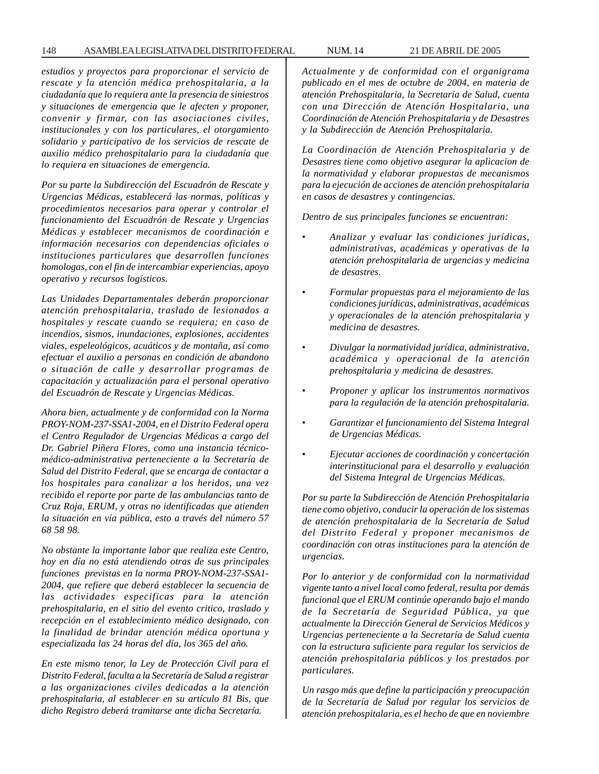*estudios y proyectos para proporcionar el servicio de rescate y la atención médica prehospitalaria, a la ciudadanía que lo requiera ante la presencia de siniestros y situaciones de emergencia que le afecten y proponer, convenir y firmar, con las asociaciones civiles, institucionales y con los particulares, el otorgamiento solidario y participativo de los servicios de rescate de auxilio médico prehospitalario para la ciudadanía que lo requiera en situaciones de emergencia.*

*Por su parte la Subdirección del Escuadrón de Rescate y Urgencias Médicas, establecerá las normas, políticas y procedimientos necesarios para operar y controlar el funcionamiento del Escuadrón de Rescate y Urgencias Médicas y establecer mecanismos de coordinación e información necesarios con dependencias oficiales o instituciones particulares que desarrollen funciones homologas, con el fin de intercambiar experiencias, apoyo operativo y recursos logísticos.*

*Las Unidades Departamentales deberán proporcionar atención prehospitalaria, traslado de lesionados a hospitales y rescate cuando se requiera; en caso de incendios, sismos, inundaciones, explosiones, accidentes viales, espeleológicos, acuáticos y de montaña, así como efectuar el auxilio a personas en condición de abandono o situación de calle y desarrollar programas de capacitación y actualización para el personal operativo del Escuadrón de Rescate y Urgencias Médicas.*

*Ahora bien, actualmente y de conformidad con la Norma PROY-NOM-237-SSA1-2004, en el Distrito Federal opera el Centro Regulador de Urgencias Médicas a cargo del Dr. Gabriel Piñera Flores, como una instancia técnicomédico-administrativa perteneciente a la Secretaría de Salud del Distrito Federal, que se encarga de contactar a los hospitales para canalizar a los heridos, una vez recibido el reporte por parte de las ambulancias tanto de Cruz Roja, ERUM, y otras no identificadas que atienden la situación en vía pública, esto a través del número 57 68 58 98.*

*No obstante la importante labor que realiza este Centro, hoy en día no está atendiendo otras de sus principales funciones previstas en la norma PROY-NOM-237-SSA1- 2004, que refiere que deberá establecer la secuencia de las actividades especificas para la atención prehospitalaria, en el sitio del evento critico, traslado y recepción en el establecimiento médico designado, con la finalidad de brindar atención médica oportuna y especializada las 24 horas del día, los 365 del año.*

*En este mismo tenor, la Ley de Protección Civil para el Distrito Federal, faculta a la Secretaría de Salud a registrar a las organizaciones civiles dedicadas a la atención prehospitalaria, al establecer en su artículo 81 Bis, que dicho Registro deberá tramitarse ante dicha Secretaría.*

*Actualmente y de conformidad con el organigrama publicado en el mes de octubre de 2004, en materia de atención Prehospitalaria, la Secretaría de Salud, cuenta con una Dirección de Atención Hospitalaria, una Coordinación de Atención Prehospitalaria y de Desastres y la Subdirección de Atención Prehospitalaria.*

*La Coordinación de Atención Prehospitalaria y de Desastres tiene como objetivo asegurar la aplicacion de la normatividad y elaborar propuestas de mecanismos para la ejecución de acciones de atención prehospitalaria en casos de desastres y contingencias.*

*Dentro de sus principales funciones se encuentran:*

- *Analizar y evaluar las condiciones jurídicas, administrativas, académicas y operativas de la atención prehospitalaria de urgencias y medicina de desastres.*
- *Formular propuestas para el mejoramiento de las condiciones jurídicas, administrativas, académicas y operacionales de la atención prehospitalaria y medicina de desastres.*
- *Divulgar la normatividad jurídica, administrativa, académica y operacional de la atención prehospitalaria y medicina de desastres.*
- *Proponer y aplicar los instrumentos normativos para la regulación de la atención prehospitalaria.*
- *Garantizar el funcionamiento del Sistema Integral de Urgencias Médicas.*
- *Ejecutar acciones de coordinación y concertación interinstitucional para el desarrollo y evaluación del Sistema Integral de Urgencias Médicas.*

*Por su parte la Subdirección de Atención Prehospitalaria tiene como objetivo, conducir la operación de los sistemas de atención prehospitalaria de la Secretaría de Salud del Distrito Federal y proponer mecanismos de coordinación con otras instituciones para la atención de urgencias.*

*Por lo anterior y de conformidad con la normatividad vigente tanto a nivel local como federal, resulta por demás funcional que el ERUM continúe operando bajo el mando de la Secretaría de Seguridad Pública, ya que actualmente la Dirección General de Servicios Médicos y Urgencias perteneciente a la Secretaría de Salud cuenta con la estructura suficiente para regular los servicios de atención prehospitalaria públicos y los prestados por particulares.*

*Un rasgo más que define la participación y preocupación de la Secretaría de Salud por regular los servicios de atención prehospitalaria, es el hecho de que en noviembre*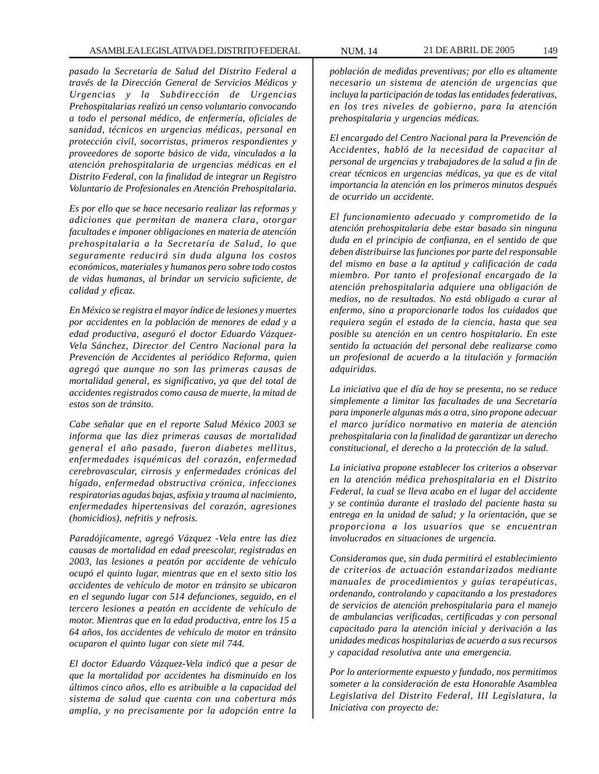*pasado la Secretaría de Salud del Distrito Federal a través de la Dirección General de Servicios Médicos y Urgencias y la Subdirección de Urgencias Prehospitalarias realizó un censo voluntario convocando a todo el personal médico, de enfermería, oficiales de sanidad, técnicos en urgencias médicas, personal en protección civil, socorristas, primeros respondientes y proveedores de soporte básico de vida, vinculados a la atención prehospitalaria de urgencias médicas en el Distrito Federal, con la finalidad de integrar un Registro Voluntario de Profesionales en Atención Prehospitalaria.*

*Es por ello que se hace necesario realizar las reformas y adiciones que permitan de manera clara, otorgar facultades e imponer obligaciones en materia de atención prehospitalaria a la Secretaría de Salud, lo que seguramente reducirá sin duda alguna los costos económicos, materiales y humanos pero sobre todo costos de vidas humanas, al brindar un servicio suficiente, de calidad y eficaz.*

*En México se registra el mayor índice de lesiones y muertes por accidentes en la población de menores de edad y a edad productiva, aseguró el doctor Eduardo Vázquez-Vela Sánchez, Director del Centro Nacional para la Prevención de Accidentes al periódico Reforma, quien agregó que aunque no son las primeras causas de mortalidad general, es significativo, ya que del total de accidentes registrados como causa de muerte, la mitad de estos son de tránsito.*

*Cabe señalar que en el reporte Salud México 2003 se informa que las diez primeras causas de mortalidad general el año pasado, fueron diabetes mellitus, enfermedades isquémicas del corazón, enfermedad cerebrovascular, cirrosis y enfermedades crónicas del hígado, enfermedad obstructiva crónica, infecciones respiratorias agudas bajas, asfixia y trauma al nacimiento, enfermedades hipertensivas del corazón, agresiones (homicidios), nefritis y nefrosis.*

*Paradójicamente, agregó Vázquez -Vela entre las diez causas de mortalidad en edad preescolar, registradas en 2003, las lesiones a peatón por accidente de vehículo ocupó el quinto lugar, mientras que en el sexto sitio los accidentes de vehículo de motor en tránsito se ubicaron en el segundo lugar con 514 defunciones, seguido, en el tercero lesiones a peatón en accidente de vehículo de motor. Mientras que en la edad productiva, entre los 15 a 64 años, los accidentes de vehículo de motor en tránsito ocuparon el quinto lugar con siete mil 744.*

*El doctor Eduardo Vázquez-Vela indicó que a pesar de que la mortalidad por accidentes ha disminuido en los últimos cinco años, ello es atribuible a la capacidad del sistema de salud que cuenta con una cobertura más amplia, y no precisamente por la adopción entre la*

*población de medidas preventivas; por ello es altamente necesario un sistema de atención de urgencias que incluya la participación de todas las entidades federativas, en los tres niveles de gobierno, para la atención prehospitalaria y urgencias médicas.*

*El encargado del Centro Nacional para la Prevención de Accidentes, habló de la necesidad de capacitar al personal de urgencias y trabajadores de la salud a fin de crear técnicos en urgencias médicas, ya que es de vital importancia la atención en los primeros minutos después de ocurrido un accidente.*

*El funcionamiento adecuado y comprometido de la atención prehospitalaria debe estar basado sin ninguna duda en el principio de confianza, en el sentido de que deben distribuirse las funciones por parte del responsable del mismo en base a la aptitud y calificación de cada miembro. Por tanto el profesional encargado de la atención prehospitalaria adquiere una obligación de medios, no de resultados. No está obligado a curar al enfermo, sino a proporcionarle todos los cuidados que requiera según el estado de la ciencia, hasta que sea posible su atención en un centro hospitalario. En este sentido la actuación del personal debe realizarse como un profesional de acuerdo a la titulación y formación adquiridas.*

*La iniciativa que el día de hoy se presenta, no se reduce simplemente a limitar las facultades de una Secretaría para imponerle algunas más a otra, sino propone adecuar el marco jurídico normativo en materia de atención prehospitalaria con la finalidad de garantizar un derecho constitucional, el derecho a la protección de la salud.*

*La iniciativa propone establecer los criterios a observar en la atención médica prehospitalaria en el Distrito Federal, la cual se lleva acabo en el lugar del accidente y se continúa durante el traslado del paciente hasta su entrega en la unidad de salud; y la orientación, que se proporciona a los usuarios que se encuentran involucrados en situaciones de urgencia.*

*Consideramos que, sin duda permitirá el establecimiento de criterios de actuación estandarizados mediante manuales de procedimientos y guías terapéuticas, ordenando, controlando y capacitando a los prestadores de servicios de atención prehospitalaria para el manejo de ambulancias verificadas, certificadas y con personal capacitado para la atención inicial y derivación a las unidades medicas hospitalarias de acuerdo a sus recursos y capacidad resolutiva ante una emergencia.*

*Por lo anteriormente expuesto y fundado, nos permitimos someter a la consideración de esta Honorable Asamblea Legislativa del Distrito Federal, III Legislatura, la Iniciativa con proyecto de:*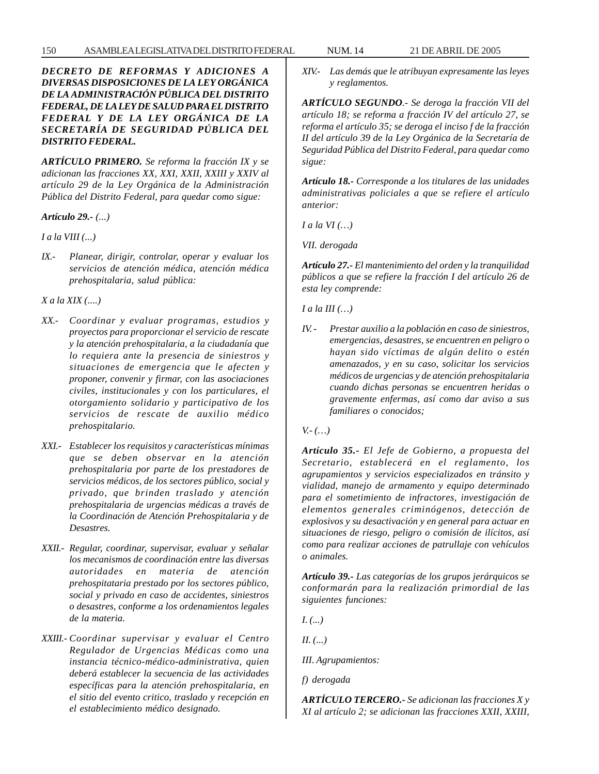*DECRETO DE REFORMAS Y ADICIONES A DIVERSAS DISPOSICIONES DE LA LEY ORGÁNICA DE LA ADMINISTRACIÓN PÚBLICA DEL DISTRITO FEDERAL, DE LA LEY DE SALUD PARA EL DISTRITO FEDERAL Y DE LA LEY ORGÁNICA DE LA SECRETARÍA DE SEGURIDAD PÚBLICA DEL DISTRITO FEDERAL.*

*ARTÍCULO PRIMERO. Se reforma la fracción IX y se adicionan las fracciones XX, XXI, XXII, XXIII y XXIV al artículo 29 de la Ley Orgánica de la Administración Pública del Distrito Federal, para quedar como sigue:*

*Artículo 29.- (...)*

*I a la VIII (...)*

*IX.- Planear, dirigir, controlar, operar y evaluar los servicios de atención médica, atención médica prehospitalaria, salud pública:*

*X a la XIX (....)*

- *XX.- Coordinar y evaluar programas, estudios y proyectos para proporcionar el servicio de rescate y la atención prehospitalaria, a la ciudadanía que lo requiera ante la presencia de siniestros y situaciones de emergencia que le afecten y proponer, convenir y firmar, con las asociaciones civiles, institucionales y con los particulares, el otorgamiento solidario y participativo de los servicios de rescate de auxilio médico prehospitalario.*
- *XXI.- Establecer los requisitos y características mínimas que se deben observar en la atención prehospitalaria por parte de los prestadores de servicios médicos, de los sectores público, social y privado, que brinden traslado y atención prehospitalaria de urgencias médicas a través de la Coordinación de Atención Prehospitalaria y de Desastres.*
- *XXII.- Regular, coordinar, supervisar, evaluar y señalar los mecanismos de coordinación entre las diversas autoridades en materia de atención prehospitataria prestado por los sectores público, social y privado en caso de accidentes, siniestros o desastres, conforme a los ordenamientos legales de la materia.*
- *XXIII.- Coordinar supervisar y evaluar el Centro Regulador de Urgencias Médicas como una instancia técnico-médico-administrativa, quien deberá establecer la secuencia de las actividades específicas para la atención prehospitalaria, en el sitio del evento critico, traslado y recepción en el establecimiento médico designado.*

*XIV.- Las demás que le atribuyan expresamente las leyes y reglamentos.*

*ARTÍCULO SEGUNDO.- Se deroga la fracción VII del artículo 18; se reforma a fracción IV del artículo 27, se reforma el artículo 35; se deroga el inciso f de la fracción II del artículo 39 de la Ley Orgánica de la Secretaría de Seguridad Pública del Distrito Federal, para quedar como sigue:*

*Artículo 18.- Corresponde a los titulares de las unidades administrativas policiales a que se refiere el artículo anterior:*

*I a la VI (…)*

*VII. derogada*

*Artículo 27.- El mantenimiento del orden y la tranquilidad públicos a que se refiere la fracción I del artículo 26 de esta ley comprende:*

*I a la III (…)*

*IV. - Prestar auxilio a la población en caso de siniestros, emergencias, desastres, se encuentren en peligro o hayan sido víctimas de algún delito o estén amenazados, y en su caso, solicitar los servicios médicos de urgencias y de atención prehospitalaria cuando dichas personas se encuentren heridas o gravemente enfermas, así como dar aviso a sus familiares o conocidos;*

*V.- (…)*

*Artículo 35.- El Jefe de Gobierno, a propuesta del Secretario, establecerá en el reglamento, los agrupamientos y servicios especializados en tránsito y vialidad, manejo de armamento y equipo determinado para el sometimiento de infractores, investigación de elementos generales criminógenos, detección de explosivos y su desactivación y en general para actuar en situaciones de riesgo, peligro o comisión de ilícitos, así como para realizar acciones de patrullaje con vehículos o animales.*

*Artículo 39.- Las categorías de los grupos jerárquicos se conformarán para la realización primordial de las siguientes funciones:*

*I. (...)*

*II. (...)*

*III. Agrupamientos:*

*f) derogada*

*ARTÍCULO TERCERO.- Se adicionan las fracciones X y XI al artículo 2; se adicionan las fracciones XXII, XXIII,*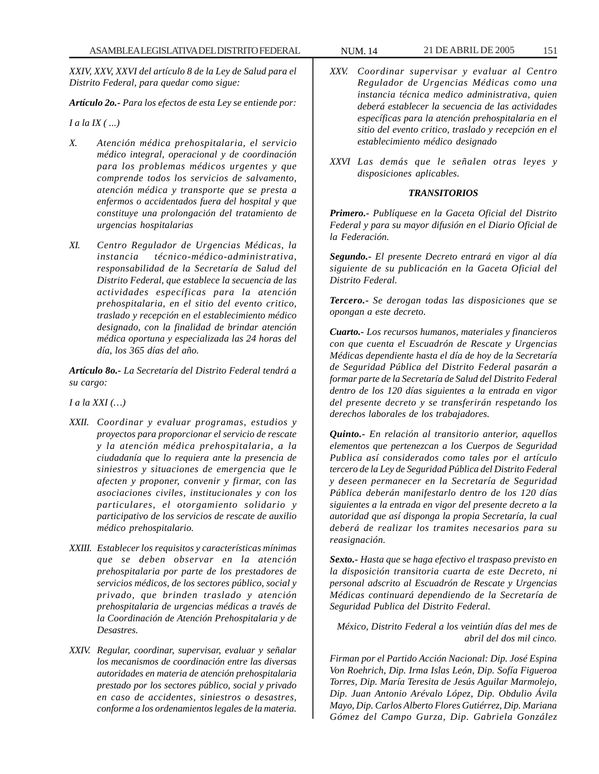*XXIV, XXV, XXVI del artículo 8 de la Ley de Salud para el Distrito Federal, para quedar como sigue:*

*Artículo 2o.- Para los efectos de esta Ley se entiende por:*

*I a la IX ( ...)*

- *X. Atención médica prehospitalaria, el servicio médico integral, operacional y de coordinación para los problemas médicos urgentes y que comprende todos los servicios de salvamento, atención médica y transporte que se presta a enfermos o accidentados fuera del hospital y que constituye una prolongación del tratamiento de urgencias hospitalarias*
- *XI. Centro Regulador de Urgencias Médicas, la instancia técnico-médico-administrativa, responsabilidad de la Secretaría de Salud del Distrito Federal, que establece la secuencia de las actividades específicas para la atención prehospitalaria, en el sitio del evento critico, traslado y recepción en el establecimiento médico designado, con la finalidad de brindar atención médica oportuna y especializada las 24 horas del día, los 365 días del año.*

*Artículo 8o.- La Secretaría del Distrito Federal tendrá a su cargo:*

*I a la XXI (…)*

- *XXII. Coordinar y evaluar programas, estudios y proyectos para proporcionar el servicio de rescate y la atención médica prehospitalaria, a la ciudadanía que lo requiera ante la presencia de siniestros y situaciones de emergencia que le afecten y proponer, convenir y firmar, con las asociaciones civiles, institucionales y con los particulares, el otorgamiento solidario y participativo de los servicios de rescate de auxilio médico prehospitalario.*
- *XXIII. Establecer los requisitos y características mínimas que se deben observar en la atención prehospitalaria por parte de los prestadores de servicios médicos, de los sectores público, social y privado, que brinden traslado y atención prehospitalaria de urgencias médicas a través de la Coordinación de Atención Prehospitalaria y de Desastres.*
- *XXIV. Regular, coordinar, supervisar, evaluar y señalar los mecanismos de coordinación entre las diversas autoridades en materia de atención prehospitalaria prestado por los sectores público, social y privado en caso de accidentes, siniestros o desastres, conforme a los ordenamientos legales de la materia.*

- *XXV. Coordinar supervisar y evaluar al Centro Regulador de Urgencias Médicas como una instancia técnica medico administrativa, quien deberá establecer la secuencia de las actividades específicas para la atención prehospitalaria en el sitio del evento critico, traslado y recepción en el establecimiento médico designado*
- *XXVI Las demás que le señalen otras leyes y disposiciones aplicables.*

## *TRANSITORIOS*

*Primero.- Publíquese en la Gaceta Oficial del Distrito Federal y para su mayor difusión en el Diario Oficial de la Federación.*

*Segundo.- El presente Decreto entrará en vigor al día siguiente de su publicación en la Gaceta Oficial del Distrito Federal.*

*Tercero.- Se derogan todas las disposiciones que se opongan a este decreto.*

*Cuarto.- Los recursos humanos, materiales y financieros con que cuenta el Escuadrón de Rescate y Urgencias Médicas dependiente hasta el día de hoy de la Secretaría de Seguridad Pública del Distrito Federal pasarán a formar parte de la Secretaría de Salud del Distrito Federal dentro de los 120 días siguientes a la entrada en vigor del presente decreto y se transferirán respetando los derechos laborales de los trabajadores.*

*Quinto.- En relación al transitorio anterior, aquellos elementos que pertenezcan a los Cuerpos de Seguridad Publica así considerados como tales por el artículo tercero de la Ley de Seguridad Pública del Distrito Federal y deseen permanecer en la Secretaría de Seguridad Pública deberán manifestarlo dentro de los 120 días siguientes a la entrada en vigor del presente decreto a la autoridad que así disponga la propia Secretaría, la cual deberá de realizar los tramites necesarios para su reasignación.*

*Sexto.- Hasta que se haga efectivo el traspaso previsto en la disposición transitoria cuarta de este Decreto, ni personal adscrito al Escuadrón de Rescate y Urgencias Médicas continuará dependiendo de la Secretaría de Seguridad Publica del Distrito Federal.*

*México, Distrito Federal a los veintiún días del mes de abril del dos mil cinco.*

*Firman por el Partido Acción Nacional: Dip. José Espina Von Roehrich, Dip. Irma Islas León, Dip. Sofía Figueroa Torres, Dip. María Teresita de Jesús Aguilar Marmolejo, Dip. Juan Antonio Arévalo López, Dip. Obdulio Ávila Mayo, Dip. Carlos Alberto Flores Gutiérrez, Dip. Mariana Gómez del Campo Gurza, Dip. Gabriela González*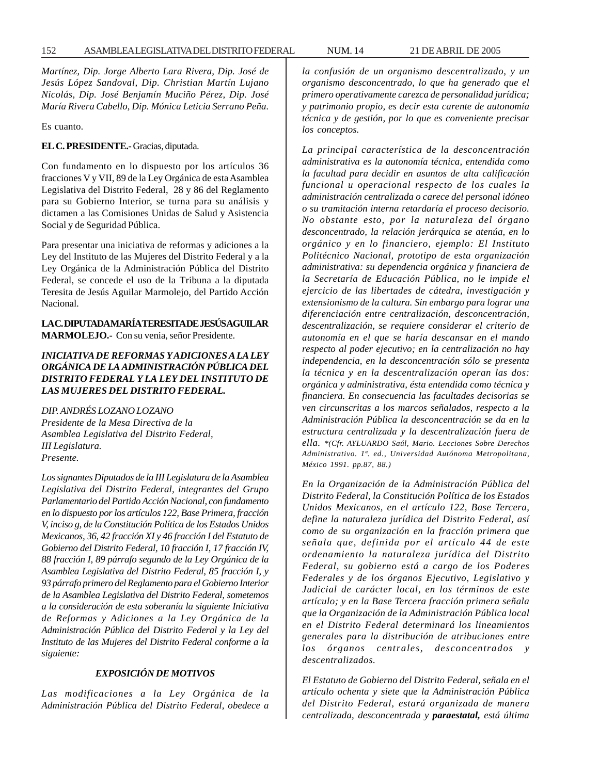*Martínez, Dip. Jorge Alberto Lara Rivera, Dip. José de Jesús López Sandoval, Dip. Christian Martín Lujano Nicolás, Dip. José Benjamín Muciño Pérez, Dip. José María Rivera Cabello, Dip. Mónica Leticia Serrano Peña.*

Es cuanto.

**EL C. PRESIDENTE.-** Gracias, diputada.

Con fundamento en lo dispuesto por los artículos 36 fracciones V y VII, 89 de la Ley Orgánica de esta Asamblea Legislativa del Distrito Federal, 28 y 86 del Reglamento para su Gobierno Interior, se turna para su análisis y dictamen a las Comisiones Unidas de Salud y Asistencia Social y de Seguridad Pública.

Para presentar una iniciativa de reformas y adiciones a la Ley del Instituto de las Mujeres del Distrito Federal y a la Ley Orgánica de la Administración Pública del Distrito Federal, se concede el uso de la Tribuna a la diputada Teresita de Jesús Aguilar Marmolejo, del Partido Acción Nacional.

# **LA C. DIPUTADA MARÍA TERESITA DE JESÚS AGUILAR MARMOLEJO.-** Con su venia, señor Presidente.

# *INICIATIVA DE REFORMAS Y ADICIONES A LA LEY ORGÁNICA DE LA ADMINISTRACIÓN PÚBLICA DEL DISTRITO FEDERAL Y LA LEY DEL INSTITUTO DE LAS MUJERES DEL DISTRITO FEDERAL.*

*DIP. ANDRÉS LOZANO LOZANO Presidente de la Mesa Directiva de la Asamblea Legislativa del Distrito Federal, III Legislatura. Presente.*

*Los signantes Diputados de la III Legislatura de la Asamblea Legislativa del Distrito Federal, integrantes del Grupo Parlamentario del Partido Acción Nacional, con fundamento en lo dispuesto por los artículos 122, Base Primera, fracción V, inciso g, de la Constitución Política de los Estados Unidos Mexicanos, 36, 42 fracción XI y 46 fracción I del Estatuto de Gobierno del Distrito Federal, 10 fracción I, 17 fracción IV, 88 fracción I, 89 párrafo segundo de la Ley Orgánica de la Asamblea Legislativa del Distrito Federal, 85 fracción I, y 93 párrafo primero del Reglamento para el Gobierno Interior de la Asamblea Legislativa del Distrito Federal, sometemos a la consideración de esta soberanía la siguiente Iniciativa de Reformas y Adiciones a la Ley Orgánica de la Administración Pública del Distrito Federal y la Ley del Instituto de las Mujeres del Distrito Federal conforme a la siguiente:*

# *EXPOSICIÓN DE MOTIVOS*

*Las modificaciones a la Ley Orgánica de la Administración Pública del Distrito Federal, obedece a* *la confusión de un organismo descentralizado, y un organismo desconcentrado, lo que ha generado que el primero operativamente carezca de personalidad jurídica; y patrimonio propio, es decir esta carente de autonomía técnica y de gestión, por lo que es conveniente precisar los conceptos.*

*La principal característica de la desconcentración administrativa es la autonomía técnica, entendida como la facultad para decidir en asuntos de alta calificación funcional u operacional respecto de los cuales la administración centralizada o carece del personal idóneo o su tramitación interna retardaría el proceso decisorio. No obstante esto, por la naturaleza del órgano desconcentrado, la relación jerárquica se atenúa, en lo orgánico y en lo financiero, ejemplo: El Instituto Politécnico Nacional, prototipo de esta organización administrativa: su dependencia orgánica y financiera de la Secretaría de Educación Pública, no le impide el ejercicio de las libertades de cátedra, investigación y extensionismo de la cultura. Sin embargo para lograr una diferenciación entre centralización, desconcentración, descentralización, se requiere considerar el criterio de autonomía en el que se haría descansar en el mando respecto al poder ejecutivo; en la centralización no hay independencia, en la desconcentración sólo se presenta la técnica y en la descentralización operan las dos: orgánica y administrativa, ésta entendida como técnica y financiera. En consecuencia las facultades decisorias se ven circunscritas a los marcos señalados, respecto a la Administración Pública la desconcentración se da en la estructura centralizada y la descentralización fuera de ella. \*(Cfr. AYLUARDO Saúl, Mario. Lecciones Sobre Derechos Administrativo. 1ª. ed., Universidad Autónoma Metropolitana, México 1991. pp.87, 88.)*

*En la Organización de la Administración Pública del Distrito Federal, la Constitución Política de los Estados Unidos Mexicanos, en el artículo 122, Base Tercera, define la naturaleza jurídica del Distrito Federal, así como de su organización en la fracción primera que señala que, definida por el artículo 44 de este ordenamiento la naturaleza jurídica del Distrito Federal, su gobierno está a cargo de los Poderes Federales y de los órganos Ejecutivo, Legislativo y Judicial de carácter local, en los términos de este artículo; y en la Base Tercera fracción primera señala que la Organización de la Administración Pública local en el Distrito Federal determinará los lineamientos generales para la distribución de atribuciones entre los órganos centrales, desconcentrados y descentralizados.*

*El Estatuto de Gobierno del Distrito Federal, señala en el artículo ochenta y siete que la Administración Pública del Distrito Federal, estará organizada de manera centralizada, desconcentrada y paraestatal, está última*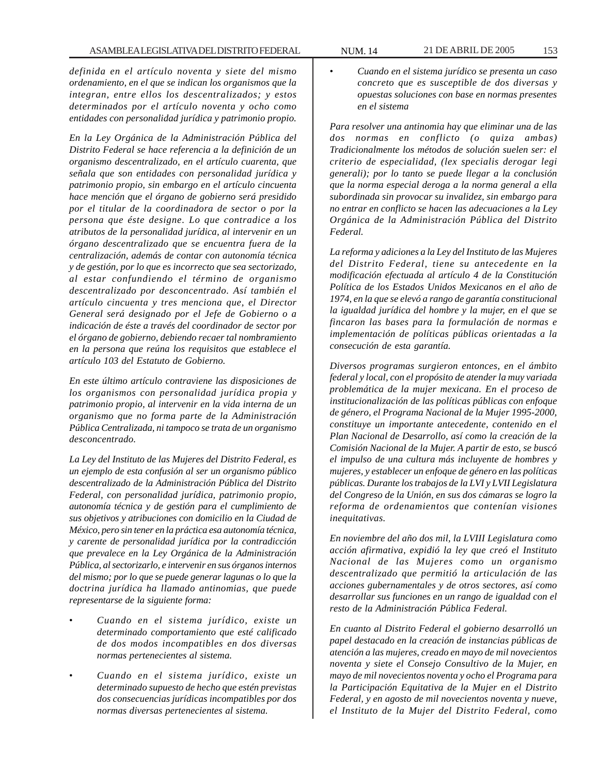*definida en el artículo noventa y siete del mismo ordenamiento, en el que se indican los organismos que la integran, entre ellos los descentralizados; y estos determinados por el artículo noventa y ocho como entidades con personalidad jurídica y patrimonio propio.*

*En la Ley Orgánica de la Administración Pública del Distrito Federal se hace referencia a la definición de un organismo descentralizado, en el artículo cuarenta, que señala que son entidades con personalidad jurídica y patrimonio propio, sin embargo en el artículo cincuenta hace mención que el órgano de gobierno será presidido por el titular de la coordinadora de sector o por la persona que éste designe. Lo que contradice a los atributos de la personalidad jurídica, al intervenir en un órgano descentralizado que se encuentra fuera de la centralización, además de contar con autonomía técnica y de gestión, por lo que es incorrecto que sea sectorizado, al estar confundiendo el término de organismo descentralizado por desconcentrado. Así también el artículo cincuenta y tres menciona que, el Director General será designado por el Jefe de Gobierno o a indicación de éste a través del coordinador de sector por el órgano de gobierno, debiendo recaer tal nombramiento en la persona que reúna los requisitos que establece el artículo 103 del Estatuto de Gobierno.*

*En este último artículo contraviene las disposiciones de los organismos con personalidad jurídica propia y patrimonio propio, al intervenir en la vida interna de un organismo que no forma parte de la Administración Pública Centralizada, ni tampoco se trata de un organismo desconcentrado.*

*La Ley del Instituto de las Mujeres del Distrito Federal, es un ejemplo de esta confusión al ser un organismo público descentralizado de la Administración Pública del Distrito Federal, con personalidad jurídica, patrimonio propio, autonomía técnica y de gestión para el cumplimiento de sus objetivos y atribuciones con domicilio en la Ciudad de México, pero sin tener en la práctica esa autonomía técnica, y carente de personalidad jurídica por la contradicción que prevalece en la Ley Orgánica de la Administración Pública, al sectorizarlo, e intervenir en sus órganos internos del mismo; por lo que se puede generar lagunas o lo que la doctrina jurídica ha llamado antinomias, que puede representarse de la siguiente forma:*

- *Cuando en el sistema jurídico, existe un determinado comportamiento que esté calificado de dos modos incompatibles en dos diversas normas pertenecientes al sistema.*
- *Cuando en el sistema jurídico, existe un determinado supuesto de hecho que estén previstas dos consecuencias jurídicas incompatibles por dos normas diversas pertenecientes al sistema.*

• *Cuando en el sistema jurídico se presenta un caso concreto que es susceptible de dos diversas y opuestas soluciones con base en normas presentes en el sistema*

*Para resolver una antinomia hay que eliminar una de las dos normas en conflicto (o quiza ambas) Tradicionalmente los métodos de solución suelen ser: el criterio de especialidad, (lex specialis derogar legi generali); por lo tanto se puede llegar a la conclusión que la norma especial deroga a la norma general a ella subordinada sin provocar su invalidez, sin embargo para no entrar en conflicto se hacen las adecuaciones a la Ley Orgánica de la Administración Pública del Distrito Federal.*

*La reforma y adiciones a la Ley del Instituto de las Mujeres del Distrito Federal, tiene su antecedente en la modificación efectuada al artículo 4 de la Constitución Política de los Estados Unidos Mexicanos en el año de 1974, en la que se elevó a rango de garantía constitucional la igualdad jurídica del hombre y la mujer, en el que se fincaron las bases para la formulación de normas e implementación de políticas públicas orientadas a la consecución de esta garantía.*

*Diversos programas surgieron entonces, en el ámbito federal y local, con el propósito de atender la muy variada problemática de la mujer mexicana. En el proceso de institucionalización de las políticas públicas con enfoque de género, el Programa Nacional de la Mujer 1995-2000, constituye un importante antecedente, contenido en el Plan Nacional de Desarrollo, así como la creación de la Comisión Nacional de la Mujer. A partir de esto, se buscó el impulso de una cultura más incluyente de hombres y mujeres, y establecer un enfoque de género en las políticas públicas. Durante los trabajos de la LVI y LVII Legislatura del Congreso de la Unión, en sus dos cámaras se logro la reforma de ordenamientos que contenían visiones inequitativas.*

*En noviembre del año dos mil, la LVIII Legislatura como acción afirmativa, expidió la ley que creó el Instituto Nacional de las Mujeres como un organismo descentralizado que permitió la articulación de las acciones gubernamentales y de otros sectores, así como desarrollar sus funciones en un rango de igualdad con el resto de la Administración Pública Federal.*

*En cuanto al Distrito Federal el gobierno desarrolló un papel destacado en la creación de instancias públicas de atención a las mujeres, creado en mayo de mil novecientos noventa y siete el Consejo Consultivo de la Mujer, en mayo de mil novecientos noventa y ocho el Programa para la Participación Equitativa de la Mujer en el Distrito Federal, y en agosto de mil novecientos noventa y nueve, el Instituto de la Mujer del Distrito Federal, como*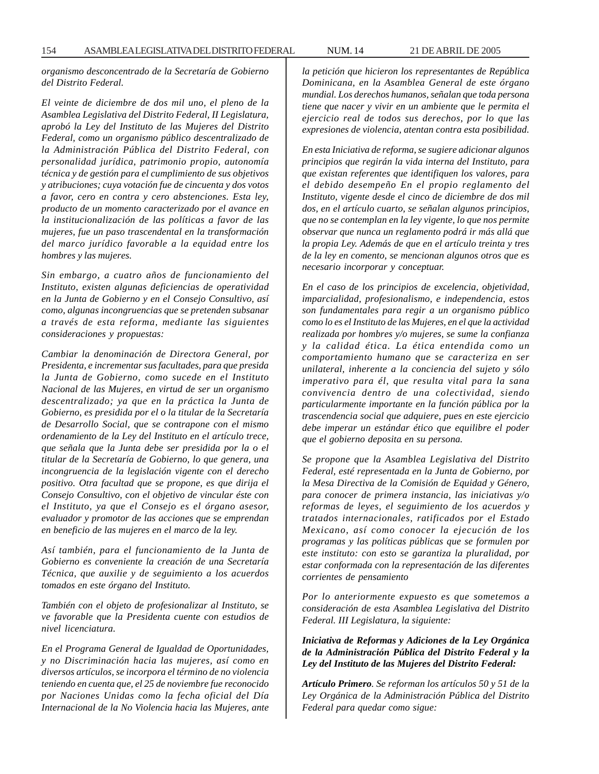*organismo desconcentrado de la Secretaría de Gobierno del Distrito Federal.*

*El veinte de diciembre de dos mil uno, el pleno de la Asamblea Legislativa del Distrito Federal, II Legislatura, aprobó la Ley del Instituto de las Mujeres del Distrito Federal, como un organismo público descentralizado de la Administración Pública del Distrito Federal, con personalidad jurídica, patrimonio propio, autonomía técnica y de gestión para el cumplimiento de sus objetivos y atribuciones; cuya votación fue de cincuenta y dos votos a favor, cero en contra y cero abstenciones. Esta ley, producto de un momento caracterizado por el avance en la institucionalización de las políticas a favor de las mujeres, fue un paso trascendental en la transformación del marco jurídico favorable a la equidad entre los hombres y las mujeres.*

*Sin embargo, a cuatro años de funcionamiento del Instituto, existen algunas deficiencias de operatividad en la Junta de Gobierno y en el Consejo Consultivo, así como, algunas incongruencias que se pretenden subsanar a través de esta reforma, mediante las siguientes consideraciones y propuestas:*

*Cambiar la denominación de Directora General, por Presidenta, e incrementar sus facultades, para que presida la Junta de Gobierno, como sucede en el Instituto Nacional de las Mujeres, en virtud de ser un organismo descentralizado; ya que en la práctica la Junta de Gobierno, es presidida por el o la titular de la Secretaría de Desarrollo Social, que se contrapone con el mismo ordenamiento de la Ley del Instituto en el artículo trece, que señala que la Junta debe ser presidida por la o el titular de la Secretaría de Gobierno, lo que genera, una incongruencia de la legislación vigente con el derecho positivo. Otra facultad que se propone, es que dirija el Consejo Consultivo, con el objetivo de vincular éste con el Instituto, ya que el Consejo es el órgano asesor, evaluador y promotor de las acciones que se emprendan en beneficio de las mujeres en el marco de la ley.*

*Así también, para el funcionamiento de la Junta de Gobierno es conveniente la creación de una Secretaría Técnica, que auxilie y de seguimiento a los acuerdos tomados en este órgano del Instituto.*

*También con el objeto de profesionalizar al Instituto, se ve favorable que la Presidenta cuente con estudios de nivel licenciatura.*

*En el Programa General de Igualdad de Oportunidades, y no Discriminación hacia las mujeres, así como en diversos artículos, se incorpora el término de no violencia teniendo en cuenta que, el 25 de noviembre fue reconocido por Naciones Unidas como la fecha oficial del Día Internacional de la No Violencia hacia las Mujeres, ante* *la petición que hicieron los representantes de República Dominicana, en la Asamblea General de este órgano mundial. Los derechos humanos, señalan que toda persona tiene que nacer y vivir en un ambiente que le permita el ejercicio real de todos sus derechos, por lo que las expresiones de violencia, atentan contra esta posibilidad.*

*En esta Iniciativa de reforma, se sugiere adicionar algunos principios que regirán la vida interna del Instituto, para que existan referentes que identifiquen los valores, para el debido desempeño En el propio reglamento del Instituto, vigente desde el cinco de diciembre de dos mil dos, en el artículo cuarto, se señalan algunos principios, que no se contemplan en la ley vigente, lo que nos permite observar que nunca un reglamento podrá ir más allá que la propia Ley. Además de que en el artículo treinta y tres de la ley en comento, se mencionan algunos otros que es necesario incorporar y conceptuar.*

*En el caso de los principios de excelencia, objetividad, imparcialidad, profesionalismo, e independencia, estos son fundamentales para regir a un organismo público como lo es el Instituto de las Mujeres, en el que la actividad realizada por hombres y/o mujeres, se sume la confianza y la calidad ética. La ética entendida como un comportamiento humano que se caracteriza en ser unilateral, inherente a la conciencia del sujeto y sólo imperativo para él, que resulta vital para la sana convivencia dentro de una colectividad, siendo particularmente importante en la función pública por la trascendencia social que adquiere, pues en este ejercicio debe imperar un estándar ético que equilibre el poder que el gobierno deposita en su persona.*

*Se propone que la Asamblea Legislativa del Distrito Federal, esté representada en la Junta de Gobierno, por la Mesa Directiva de la Comisión de Equidad y Género, para conocer de primera instancia, las iniciativas y/o reformas de leyes, el seguimiento de los acuerdos y tratados internacionales, ratificados por el Estado Mexicano, así como conocer la ejecución de los programas y las políticas públicas que se formulen por este instituto: con esto se garantiza la pluralidad, por estar conformada con la representación de las diferentes corrientes de pensamiento*

*Por lo anteriormente expuesto es que sometemos a consideración de esta Asamblea Legislativa del Distrito Federal. III Legislatura, la siguiente:*

*Iniciativa de Reformas y Adiciones de la Ley Orgánica de la Administración Pública del Distrito Federal y la Ley del Instituto de las Mujeres del Distrito Federal:*

*Artículo Primero. Se reforman los artículos 50 y 51 de la Ley Orgánica de la Administración Pública del Distrito Federal para quedar como sigue:*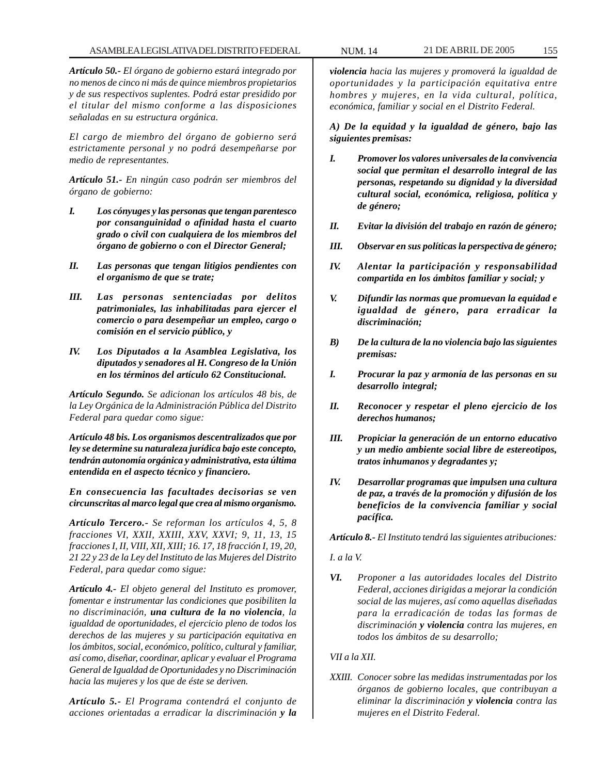*Artículo 50.- El órgano de gobierno estará integrado por no menos de cinco ni más de quince miembros propietarios y de sus respectivos suplentes. Podrá estar presidido por el titular del mismo conforme a las disposiciones señaladas en su estructura orgánica.*

*El cargo de miembro del órgano de gobierno será estrictamente personal y no podrá desempeñarse por medio de representantes.*

*Artículo 51.- En ningún caso podrán ser miembros del órgano de gobierno:*

- *I. Los cónyuges y las personas que tengan parentesco por consanguinidad o afinidad hasta el cuarto grado o civil con cualquiera de los miembros del órgano de gobierno o con el Director General;*
- *II. Las personas que tengan litigios pendientes con el organismo de que se trate;*
- *III. Las personas sentenciadas por delitos patrimoniales, las inhabilitadas para ejercer el comercio o para desempeñar un empleo, cargo o comisión en el servicio público, y*
- *IV. Los Diputados a la Asamblea Legislativa, los diputados y senadores al H. Congreso de la Unión en los términos del artículo 62 Constitucional.*

*Artículo Segundo. Se adicionan los artículos 48 bis, de la Ley Orgánica de la Administración Pública del Distrito Federal para quedar como sigue:*

*Artículo 48 bis. Los organismos descentralizados que por ley se determine su naturaleza jurídica bajo este concepto, tendrán autonomía orgánica y administrativa, esta última entendida en el aspecto técnico y financiero.*

*En consecuencia las facultades decisorias se ven circunscritas al marco legal que crea al mismo organismo.*

*Artículo Tercero.- Se reforman los artículos 4, 5, 8 fracciones VI, XXII, XXIII, XXV, XXVI; 9, 11, 13, 15 fracciones I, II, VIII, XII, XIII; 16. 17, 18 fracción I, 19, 20, 21 22 y 23 de la Ley del Instituto de las Mujeres del Distrito Federal, para quedar como sigue:*

*Artículo 4.- El objeto general del Instituto es promover, fomentar e instrumentar las condiciones que posibiliten la no discriminación, una cultura de la no violencia, la igualdad de oportunidades, el ejercicio pleno de todos los derechos de las mujeres y su participación equitativa en los ámbitos, social, económico, político, cultural y familiar, así como, diseñar, coordinar, aplicar y evaluar el Programa General de Igualdad de Oportunidades y no Discriminación hacia las mujeres y los que de éste se deriven.*

*Artículo 5.- El Programa contendrá el conjunto de acciones orientadas a erradicar la discriminación y la*

*violencia hacia las mujeres y promoverá la igualdad de oportunidades y la participación equitativa entre hombres y mujeres, en la vida cultural, política, económica, familiar y social en el Distrito Federal.*

*A) De la equidad y la igualdad de género, bajo las siguientes premisas:*

- *I. Promover los valores universales de la convivencia social que permitan el desarrollo integral de las personas, respetando su dignidad y la diversidad cultural social, económica, religiosa, política y de género;*
- *II. Evitar la división del trabajo en razón de género;*
- *III. Observar en sus políticas la perspectiva de género;*
- *IV. Alentar la participación y responsabilidad compartida en los ámbitos familiar y social; y*
- *V. Difundir las normas que promuevan la equidad e igualdad de género, para erradicar la discriminación;*
- *B) De la cultura de la no violencia bajo las siguientes premisas:*
- *I. Procurar la paz y armonía de las personas en su desarrollo integral;*
- *II. Reconocer y respetar el pleno ejercicio de los derechos humanos;*
- *III. Propiciar la generación de un entorno educativo y un medio ambiente social libre de estereotipos, tratos inhumanos y degradantes y;*
- *IV. Desarrollar programas que impulsen una cultura de paz, a través de la promoción y difusión de los beneficios de la convivencia familiar y social pacífica.*

*Artículo 8.- El Instituto tendrá las siguientes atribuciones:*

#### *I. a la V.*

*VI. Proponer a las autoridades locales del Distrito Federal, acciones dirigidas a mejorar la condición social de las mujeres, así como aquellas diseñadas para la erradicación de todas las formas de discriminación y violencia contra las mujeres, en todos los ámbitos de su desarrollo;*

#### *VII a la XII.*

*XXIII. Conocer sobre las medidas instrumentadas por los órganos de gobierno locales, que contribuyan a eliminar la discriminación y violencia contra las mujeres en el Distrito Federal.*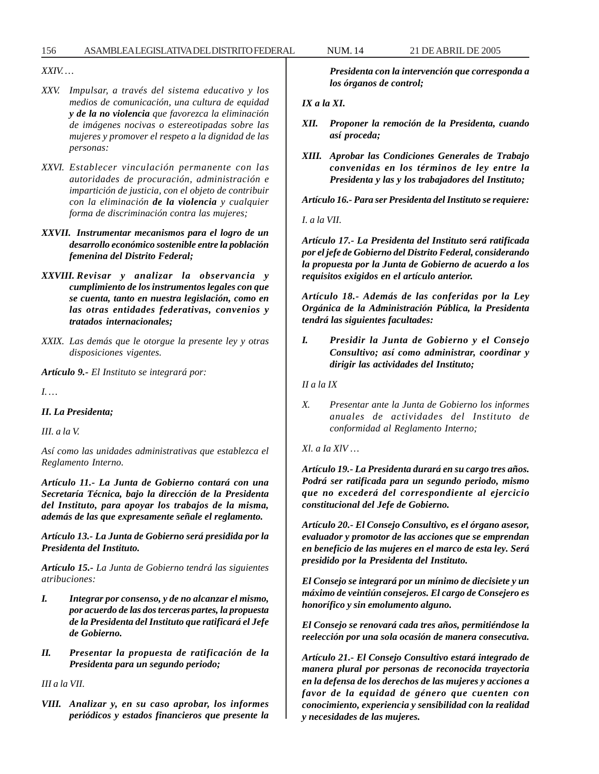*XXIV. …*

- *XXV. Impulsar, a través del sistema educativo y los medios de comunicación, una cultura de equidad y de la no violencia que favorezca la eliminación de imágenes nocivas o estereotipadas sobre las mujeres y promover el respeto a la dignidad de las personas:*
- *XXVI. Establecer vinculación permanente con las autoridades de procuración, administración e impartición de justicia, con el objeto de contribuir con la eliminación de la violencia y cualquier forma de discriminación contra las mujeres;*
- *XXVII. Instrumentar mecanismos para el logro de un desarrollo económico sostenible entre la población femenina del Distrito Federal;*
- *XXVIII. Revisar y analizar la observancia y cumplimiento de los instrumentos legales con que se cuenta, tanto en nuestra legislación, como en las otras entidades federativas, convenios y tratados internacionales;*
- *XXIX. Las demás que le otorgue la presente ley y otras disposiciones vigentes.*

*Artículo 9.- El Instituto se integrará por:*

*I. …*

# *II. La Presidenta;*

*III. a la V.*

*Así como las unidades administrativas que establezca el Reglamento Interno.*

*Artículo 11.- La Junta de Gobierno contará con una Secretaría Técnica, bajo la dirección de la Presidenta del Instituto, para apoyar los trabajos de la misma, además de las que expresamente señale el reglamento.*

*Artículo 13.- La Junta de Gobierno será presidida por la Presidenta del Instituto.*

*Artículo 15.- La Junta de Gobierno tendrá las siguientes atribuciones:*

- *I. Integrar por consenso, y de no alcanzar el mismo, por acuerdo de las dos terceras partes, la propuesta de la Presidenta del Instituto que ratificará el Jefe de Gobierno.*
- *II. Presentar la propuesta de ratificación de la Presidenta para un segundo periodo;*

*III a la VII.*

*VIII. Analizar y, en su caso aprobar, los informes periódicos y estados financieros que presente la* *Presidenta con la intervención que corresponda a los órganos de control;*

*IX a la XI.*

- *XII. Proponer la remoción de la Presidenta, cuando así proceda;*
- *XIII. Aprobar las Condiciones Generales de Trabajo convenidas en los términos de ley entre la Presidenta y las y los trabajadores del Instituto;*

*Artículo 16.- Para ser Presidenta del Instituto se requiere:*

*I. a la VII.*

*Artículo 17.- La Presidenta del Instituto será ratificada por el jefe de Gobierno del Distrito Federal, considerando la propuesta por la Junta de Gobierno de acuerdo a los requisitos exigidos en el artículo anterior.*

*Artículo 18.- Además de las conferidas por la Ley Orgánica de la Administración Pública, la Presidenta tendrá las siguientes facultades:*

*I. Presidir la Junta de Gobierno y el Consejo Consultivo; así como administrar, coordinar y dirigir las actividades del Instituto;*

*II a la IX*

- *X. Presentar ante la Junta de Gobierno los informes anuales de actividades del Instituto de conformidad al Reglamento Interno;*
- *Xl. a Ia XlV …*

*Artículo 19.- La Presidenta durará en su cargo tres años. Podrá ser ratificada para un segundo periodo, mismo que no excederá del correspondiente al ejercicio constitucional del Jefe de Gobierno.*

*Artículo 20.- El Consejo Consultivo, es el órgano asesor, evaluador y promotor de las acciones que se emprendan en beneficio de las mujeres en el marco de esta ley. Será presidido por la Presidenta del Instituto.*

*El Consejo se integrará por un mínimo de diecisiete y un máximo de veintiún consejeros. El cargo de Consejero es honorífico y sin emolumento alguno.*

*El Consejo se renovará cada tres años, permitiéndose la reelección por una sola ocasión de manera consecutiva.*

*Artículo 21.- El Consejo Consultivo estará integrado de manera plural por personas de reconocida trayectoria en la defensa de los derechos de las mujeres y acciones a favor de la equidad de género que cuenten con conocimiento, experiencia y sensibilidad con la realidad y necesidades de las mujeres.*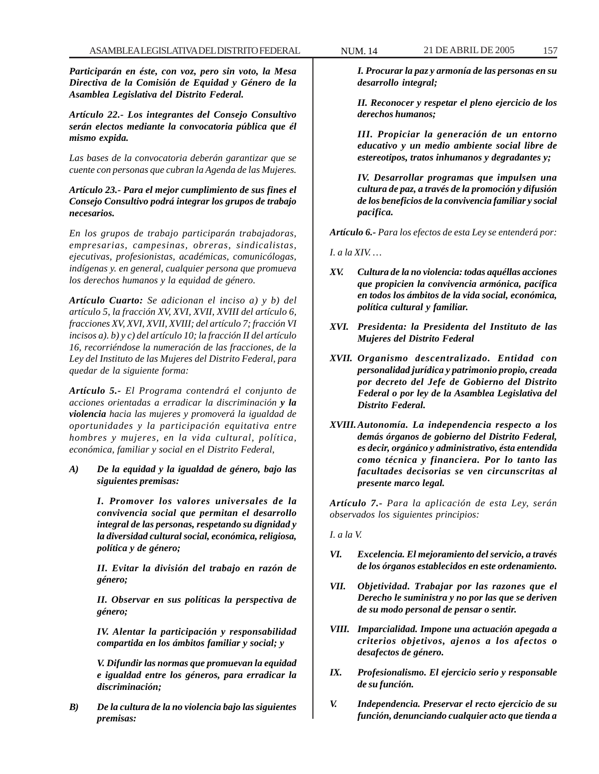*Participarán en éste, con voz, pero sin voto, la Mesa Directiva de la Comisión de Equidad y Género de la Asamblea Legislativa del Distrito Federal.*

*Artículo 22.- Los integrantes del Consejo Consultivo serán electos mediante la convocatoria pública que él mismo expida.*

*Las bases de la convocatoria deberán garantizar que se cuente con personas que cubran la Agenda de las Mujeres.*

*Artículo 23.- Para el mejor cumplimiento de sus fines el Consejo Consultivo podrá integrar los grupos de trabajo necesarios.*

*En los grupos de trabajo participarán trabajadoras, empresarias, campesinas, obreras, sindicalistas, ejecutivas, profesionistas, académicas, comunicólogas, indígenas y. en general, cualquier persona que promueva los derechos humanos y la equidad de género.*

*Artículo Cuarto: Se adicionan el inciso a) y b) del artículo 5, la fracción XV, XVI, XVII, XVIII del artículo 6, fracciones XV, XVI, XVII, XVIII; del artículo 7; fracción VI incisos a). b) y c) del artículo 10; la fracción II del artículo 16, recorriéndose la numeración de las fracciones, de la Ley del Instituto de las Mujeres del Distrito Federal, para quedar de la siguiente forma:*

*Artículo 5.- El Programa contendrá el conjunto de acciones orientadas a erradicar la discriminación y la violencia hacia las mujeres y promoverá la igualdad de oportunidades y la participación equitativa entre hombres y mujeres, en la vida cultural, política, económica, familiar y social en el Distrito Federal,*

*A) De la equidad y la igualdad de género, bajo las siguientes premisas:*

> *I. Promover los valores universales de la convivencia social que permitan el desarrollo integral de las personas, respetando su dignidad y la diversidad cultural social, económica, religiosa, política y de género;*

> *II. Evitar la división del trabajo en razón de género;*

> *II. Observar en sus políticas la perspectiva de género;*

> *IV. Alentar la participación y responsabilidad compartida en los ámbitos familiar y social; y*

> *V. Difundir las normas que promuevan la equidad e igualdad entre los géneros, para erradicar la discriminación;*

*B) De la cultura de la no violencia bajo las siguientes premisas:*

*I. Procurar la paz y armonía de las personas en su desarrollo integral;*

*II. Reconocer y respetar el pleno ejercicio de los derechos humanos;*

*III. Propiciar la generación de un entorno educativo y un medio ambiente social libre de estereotipos, tratos inhumanos y degradantes y;*

*IV. Desarrollar programas que impulsen una cultura de paz, a través de la promoción y difusión de los beneficios de la convivencia familiar y social pacifica.*

*Artículo 6.- Para los efectos de esta Ley se entenderá por:*

*I. a la XIV. …*

- *XV. Cultura de la no violencia: todas aquéllas acciones que propicien la convivencia armónica, pacífica en todos los ámbitos de la vida social, económica, política cultural y familiar.*
- *XVI. Presidenta: la Presidenta del Instituto de las Mujeres del Distrito Federal*
- *XVII. Organismo descentralizado. Entidad con personalidad jurídica y patrimonio propio, creada por decreto del Jefe de Gobierno del Distrito Federal o por ley de la Asamblea Legislativa del Distrito Federal.*
- *XVIII.Autonomía. La independencia respecto a los demás órganos de gobierno del Distrito Federal, es decir, orgánico y administrativo, ésta entendida como técnica y financiera. Por lo tanto las facultades decisorias se ven circunscritas al presente marco legal.*

*Artículo 7.- Para la aplicación de esta Ley, serán observados los siguientes principios:*

*I. a la V.*

- *VI. Excelencia. El mejoramiento del servicio, a través de los órganos establecidos en este ordenamiento.*
- *VII. Objetividad. Trabajar por las razones que el Derecho le suministra y no por las que se deriven de su modo personal de pensar o sentir.*
- *VIII. Imparcialidad. Impone una actuación apegada a criterios objetivos, ajenos a los afectos o desafectos de género.*
- *IX. Profesionalismo. El ejercicio serio y responsable de su función.*
- *V. Independencia. Preservar el recto ejercicio de su función, denunciando cualquier acto que tienda a*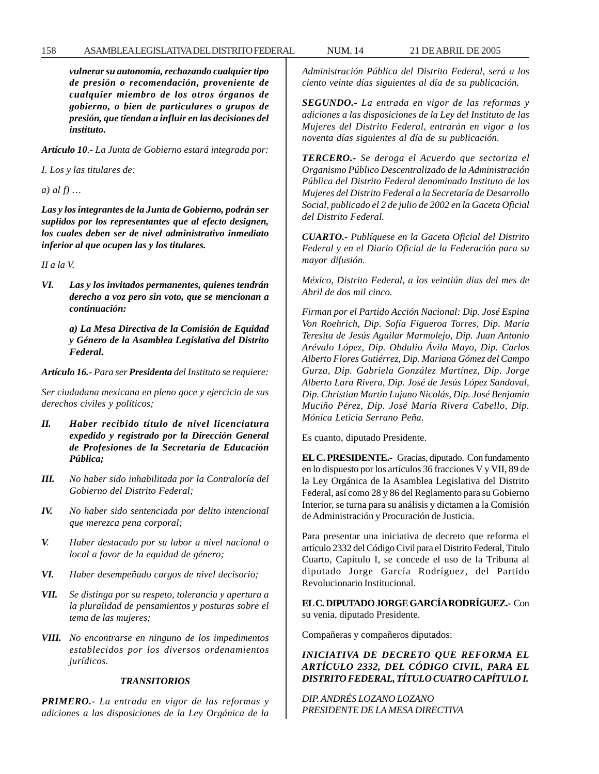#### 158 ASAMBLEA LEGISLATIVA DEL DISTRITO FEDERAL NUM. 14 21 DE ABRIL DE 2005

*vulnerar su autonomía, rechazando cualquier tipo de presión o recomendación, proveniente de cualquier miembro de los otros órganos de gobierno, o bien de particulares o grupos de presión, que tiendan a influir en las decisiones del instituto.*

*Artículo 10.- La Junta de Gobierno estará integrada por:*

*I. Los y las titulares de:*

*a) al f) …*

*Las y los integrantes de la Junta de Gobierno, podrán ser suplidos por los representantes que al efecto designen, los cuales deben ser de nivel administrativo inmediato inferior al que ocupen las y los titulares.*

*II a la V.*

*VI. Las y los invitados permanentes, quienes tendrán derecho a voz pero sin voto, que se mencionan a continuación:*

> *a) La Mesa Directiva de la Comisión de Equidad y Género de la Asamblea Legislativa del Distrito Federal.*

*Artículo 16.- Para ser Presidenta del Instituto se requiere:*

*Ser ciudadana mexicana en pleno goce y ejercicio de sus derechos civiles y políticos;*

- *II. Haber recibido título de nivel licenciatura expedido y registrado por la Dirección General de Profesiones de la Secretaría de Educación Pública;*
- *III. No haber sido inhabilitada por la Contraloría del Gobierno del Distrito Federal;*
- *IV. No haber sido sentenciada por delito intencional que merezca pena corporal;*
- *V. Haber destacado por su labor a nivel nacional o local a favor de la equidad de género;*
- *VI. Haber desempeñado cargos de nivel decisorio;*
- *VII. Se distinga por su respeto, tolerancia y apertura a la pluralidad de pensamientos y posturas sobre el tema de las mujeres;*
- *VIII. No encontrarse en ninguno de los impedimentos establecidos por los diversos ordenamientos jurídicos.*

#### *TRANSITORIOS*

*PRIMERO.- La entrada en vigor de las reformas y adiciones a las disposiciones de la Ley Orgánica de la* *Administración Pública del Distrito Federal, será a los ciento veinte días siguientes al día de su publicación.*

*SEGUNDO.- La entrada en vigor de las reformas y adiciones a las disposiciones de la Ley del Instituto de las Mujeres del Distrito Federal, entrarán en vigor a los noventa días siguientes al día de su publicación.*

*TERCERO.- Se deroga el Acuerdo que sectoriza el Organismo Público Descentralizado de la Administración Pública del Distrito Federal denominado Instituto de las Mujeres del Distrito Federal a la Secretaría de Desarrollo Social, publicado el 2 de julio de 2002 en la Gaceta Oficial del Distrito Federal.*

*CUARTO.- Publíquese en la Gaceta Oficial del Distrito Federal y en el Diario Oficial de la Federación para su mayor difusión.*

*México, Distrito Federal, a los veintiún días del mes de Abril de dos mil cinco.*

*Firman por el Partido Acción Nacional: Dip. José Espina Von Roehrich, Dip. Sofía Figueroa Torres, Dip. María Teresita de Jesús Aguilar Marmolejo, Dip. Juan Antonio Arévalo López, Dip. Obdulio Ávila Mayo, Dip. Carlos Alberto Flores Gutiérrez, Dip. Mariana Gómez del Campo Gurza, Dip. Gabriela González Martínez, Dip. Jorge Alberto Lara Rivera, Dip. José de Jesús López Sandoval, Dip. Christian Martín Lujano Nicolás, Dip. José Benjamín Muciño Pérez, Dip. José María Rivera Cabello, Dip. Mónica Leticia Serrano Peña*.

Es cuanto, diputado Presidente.

**EL C. PRESIDENTE.-** Gracias, diputado. Con fundamento en lo dispuesto por los artículos 36 fracciones V y VII, 89 de la Ley Orgánica de la Asamblea Legislativa del Distrito Federal, así como 28 y 86 del Reglamento para su Gobierno Interior, se turna para su análisis y dictamen a la Comisión de Administración y Procuración de Justicia.

Para presentar una iniciativa de decreto que reforma el artículo 2332 del Código Civil para el Distrito Federal, Titulo Cuarto, Capítulo I, se concede el uso de la Tribuna al diputado Jorge García Rodríguez, del Partido Revolucionario Institucional.

**EL C. DIPUTADO JORGE GARCÍA RODRÍGUEZ.-** Con su venia, diputado Presidente.

Compañeras y compañeros diputados:

*INICIATIVA DE DECRETO QUE REFORMA EL ARTÍCULO 2332, DEL CÓDIGO CIVIL, PARA EL DISTRITO FEDERAL, TÍTULO CUATRO CAPÍTULO I.*

*DIP. ANDRÉS LOZANO LOZANO PRESIDENTE DE LA MESA DIRECTIVA*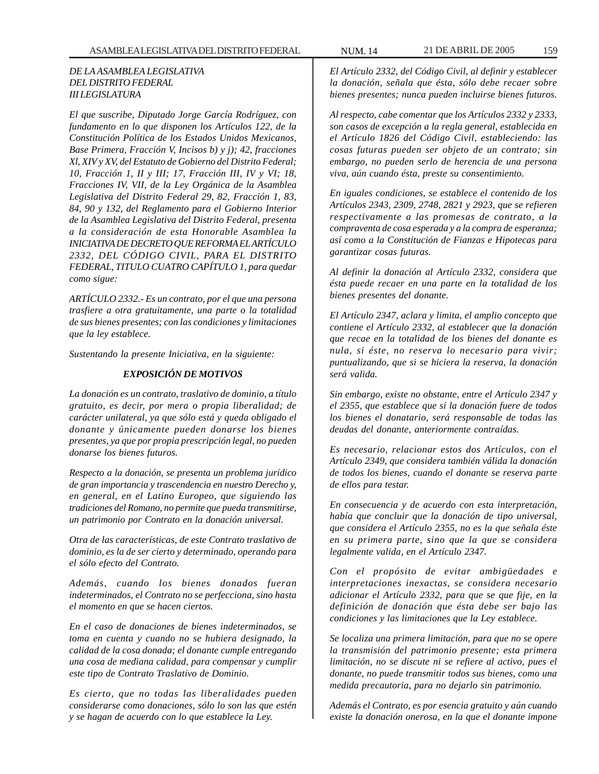# *DE LA ASAMBLEA LEGISLATIVA DEL DISTRITO FEDERAL III LEGISLATURA*

*El que suscribe, Diputado Jorge García Rodríguez, con fundamento en lo que disponen los Artículos 122, de la Constitución Política de los Estados Unidos Mexicanos, Base Primera, Fracción V, Incisos b) y j); 42, fracciones Xl, XIV y XV, del Estatuto de Gobierno del Distrito Federal; 10, Fracción 1, II y III; 17, Fracción III, IV y VI; 18, Fracciones IV, VII, de la Ley Orgánica de la Asamblea Legislativa del Distrito Federal 29, 82, Fracción 1, 83, 84, 90 y 132, del Reglamento para el Gobierno Interior de la Asamblea Legislativa del Distrito Federal, presenta a la consideración de esta Honorable Asamblea la INICIATIVA DE DECRETO QUE REFORMA EL ARTÍCULO 2332, DEL CÓDIGO CIVIL, PARA EL DISTRITO FEDERAL, TITULO CUATRO CAPÍTULO 1, para quedar como sigue:*

*ARTÍCULO 2332.- Es un contrato, por el que una persona trasfiere a otra gratuitamente, una parte o la totalidad de sus bienes presentes; con las condiciones y limitaciones que la ley establece.*

*Sustentando la presente Iniciativa, en la siguiente:*

## *EXPOSICIÓN DE MOTIVOS*

*La donación es un contrato, traslativo de dominio, a título gratuito, es decir, por mera o propia liberalidad; de carácter unilateral, ya que sólo está y queda obligado el donante y únicamente pueden donarse los bienes presentes, ya que por propia prescripción legal, no pueden donarse los bienes futuros.*

*Respecto a la donación, se presenta un problema jurídico de gran importancia y trascendencia en nuestro Derecho y, en general, en el Latino Europeo, que siguiendo las tradiciones del Romano, no permite que pueda transmitirse, un patrimonio por Contrato en la donación universal.*

*Otra de las características, de este Contrato traslativo de dominio, es la de ser cierto y determinado, operando para el sólo efecto del Contrato.*

*Además, cuando los bienes donados fueran indeterminados, el Contrato no se perfecciona, sino hasta el momento en que se hacen ciertos.*

*En el caso de donaciones de bienes indeterminados, se toma en cuenta y cuando no se hubiera designado, la calidad de la cosa donada; el donante cumple entregando una cosa de mediana calidad, para compensar y cumplir este tipo de Contrato Traslativo de Dominio.*

*Es cierto, que no todas las liberalidades pueden considerarse como donaciones, sólo lo son las que estén y se hagan de acuerdo con lo que establece la Ley.*

*El Artículo 2332, del Código Civil, al definir y establecer la donación, señala que ésta, sólo debe recaer sobre bienes presentes; nunca pueden incluirse bienes futuros.*

*Al respecto, cabe comentar que los Artículos 2332 y 2333, son casos de excepción a la regla general, establecida en el Artículo 1826 del Código Civil, estableciendo: las cosas futuras pueden ser objeto de un contrato; sin embargo, no pueden serlo de herencia de una persona viva, aún cuando ésta, preste su consentimiento.*

*En iguales condiciones, se establece el contenido de los Artículos 2343, 2309, 2748, 2821 y 2923, que se refieren respectivamente a las promesas de contrato, a la compraventa de cosa esperada y a la compra de esperanza; así como a la Constitución de Fianzas e Hipotecas para garantizar cosas futuras.*

*Al definir la donación al Artículo 2332, considera que ésta puede recaer en una parte en la totalidad de los bienes presentes del donante.*

*El Artículo 2347, aclara y limita, el amplio concepto que contiene el Artículo 2332, al establecer que la donación que recae en la totalidad de los bienes del donante es nula, si éste, no reserva lo necesario para vivir; puntualizando, que si se hiciera la reserva, la donación será valida.*

*Sin embargo, existe no obstante, entre el Artículo 2347 y el 2355, que establece que si la donación fuere de todos los bienes el donatario, será responsable de todas las deudas del donante, anteriormente contraídas.*

*Es necesario, relacionar estos dos Artículos, con el Artículo 2349, que considera también válida la donación de todos los bienes, cuando el donante se reserva parte de ellos para testar.*

*En consecuencia y de acuerdo con esta interpretación, había que concluir que la donación de tipo universal, que considera el Artículo 2355, no es la que señala éste en su primera parte, sino que la que se considera legalmente valida, en el Artículo 2347.*

*Con el propósito de evitar ambigüedades e interpretaciones inexactas, se considera necesario adicionar el Artículo 2332, para que se que fije, en la definición de donación que ésta debe ser bajo las condiciones y las limitaciones que la Ley establece.*

*Se localiza una primera limitación, para que no se opere la transmisión del patrimonio presente; esta primera limitación, no se discute ni se refiere al activo, pues el donante, no puede transmitir todos sus bienes, como una medida precautoria, para no dejarlo sin patrimonio.*

*Además el Contrato, es por esencia gratuito y aún cuando existe la donación onerosa, en la que el donante impone*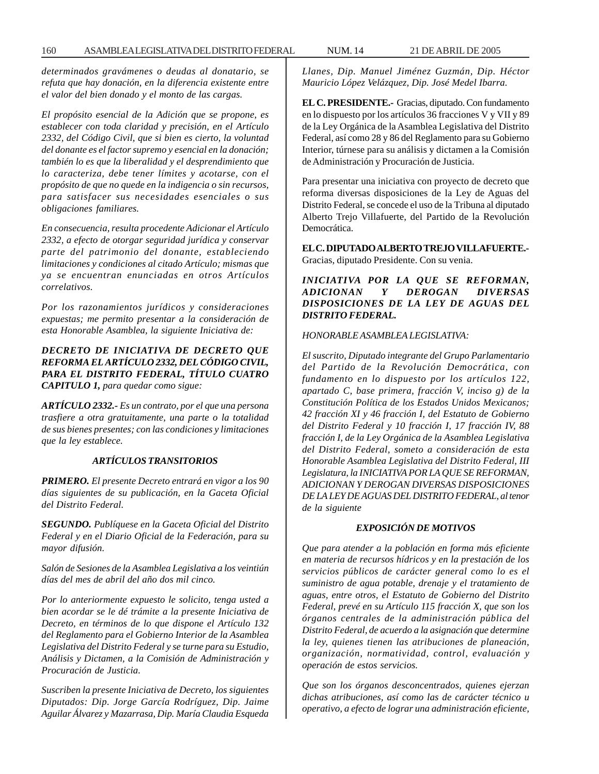160 ASAMBLEA LEGISLATIVA DEL DISTRITO FEDERAL NUM. 14 21 DE ABRIL DE 2005

*determinados gravámenes o deudas al donatario, se refuta que hay donación, en la diferencia existente entre el valor del bien donado y el monto de las cargas.*

*El propósito esencial de la Adición que se propone, es establecer con toda claridad y precisión, en el Artículo 2332, del Código Civil, que si bien es cierto, la voluntad del donante es el factor supremo y esencial en la donación; también lo es que la liberalidad y el desprendimiento que lo caracteriza, debe tener límites y acotarse, con el propósito de que no quede en la indigencia o sin recursos, para satisfacer sus necesidades esenciales o sus obligaciones familiares.*

*En consecuencia, resulta procedente Adicionar el Artículo 2332, a efecto de otorgar seguridad jurídica y conservar parte del patrimonio del donante, estableciendo limitaciones y condiciones al citado Artículo; mismas que ya se encuentran enunciadas en otros Artículos correlativos.*

*Por los razonamientos jurídicos y consideraciones expuestas; me permito presentar a la consideración de esta Honorable Asamblea, la siguiente Iniciativa de:*

# *DECRETO DE INICIATIVA DE DECRETO QUE REFORMA EL ARTÍCULO 2332, DEL CÓDIGO CIVIL, PARA EL DISTRITO FEDERAL, TÍTULO CUATRO CAPITULO 1, para quedar como sigue:*

*ARTÍCULO 2332.- Es un contrato, por el que una persona trasfiere a otra gratuitamente, una parte o la totalidad de sus bienes presentes; con las condiciones y limitaciones que la ley establece.*

# *ARTÍCULOS TRANSITORIOS*

*PRIMERO. El presente Decreto entrará en vigor a los 90 días siguientes de su publicación, en la Gaceta Oficial del Distrito Federal.*

*SEGUNDO. Publíquese en la Gaceta Oficial del Distrito Federal y en el Diario Oficial de la Federación, para su mayor difusión.*

*Salón de Sesiones de la Asamblea Legislativa a los veintiún días del mes de abril del año dos mil cinco.*

*Por lo anteriormente expuesto le solicito, tenga usted a bien acordar se le dé trámite a la presente Iniciativa de Decreto, en términos de lo que dispone el Artículo 132 del Reglamento para el Gobierno Interior de la Asamblea Legislativa del Distrito Federal y se turne para su Estudio, Análisis y Dictamen, a la Comisión de Administración y Procuración de Justicia.*

*Suscriben la presente Iniciativa de Decreto, los siguientes Diputados: Dip. Jorge García Rodríguez, Dip. Jaime Aguilar Álvarez y Mazarrasa, Dip. María Claudia Esqueda*

*Llanes, Dip. Manuel Jiménez Guzmán, Dip. Héctor Mauricio López Velázquez, Dip. José Medel Ibarra.*

**EL C. PRESIDENTE.-** Gracias, diputado. Con fundamento en lo dispuesto por los artículos 36 fracciones V y VII y 89 de la Ley Orgánica de la Asamblea Legislativa del Distrito Federal, así como 28 y 86 del Reglamento para su Gobierno Interior, túrnese para su análisis y dictamen a la Comisión de Administración y Procuración de Justicia.

Para presentar una iniciativa con proyecto de decreto que reforma diversas disposiciones de la Ley de Aguas del Distrito Federal, se concede el uso de la Tribuna al diputado Alberto Trejo Villafuerte, del Partido de la Revolución Democrática.

**EL C. DIPUTADO ALBERTO TREJO VILLAFUERTE.-** Gracias, diputado Presidente. Con su venia.

*INICIATIVA POR LA QUE SE REFORMAN, ADICIONAN Y DEROGAN DIVERSAS DISPOSICIONES DE LA LEY DE AGUAS DEL DISTRITO FEDERAL.*

#### *HONORABLE ASAMBLEA LEGISLATIVA:*

*El suscrito, Diputado integrante del Grupo Parlamentario del Partido de la Revolución Democrática, con fundamento en lo dispuesto por los artículos 122, apartado C, base primera, fracción V, inciso g) de la Constitución Política de los Estados Unidos Mexicanos; 42 fracción XI y 46 fracción I, del Estatuto de Gobierno del Distrito Federal y 10 fracción I, 17 fracción IV, 88 fracción I, de la Ley Orgánica de la Asamblea Legislativa del Distrito Federal, someto a consideración de esta Honorable Asamblea Legislativa del Distrito Federal, III Legislatura, la INICIATIVA POR LA QUE SE REFORMAN, ADICIONAN Y DEROGAN DIVERSAS DISPOSICIONES DE LA LEY DE AGUAS DEL DISTRITO FEDERAL, al tenor de la siguiente*

#### *EXPOSICIÓN DE MOTIVOS*

*Que para atender a la población en forma más eficiente en materia de recursos hídricos y en la prestación de los servicios públicos de carácter general como lo es el suministro de agua potable, drenaje y el tratamiento de aguas, entre otros, el Estatuto de Gobierno del Distrito Federal, prevé en su Artículo 115 fracción X, que son los órganos centrales de la administración pública del Distrito Federal, de acuerdo a la asignación que determine la ley, quienes tienen las atribuciones de planeación, organización, normatividad, control, evaluación y operación de estos servicios.*

*Que son los órganos desconcentrados, quienes ejerzan dichas atribuciones, así como las de carácter técnico u operativo, a efecto de lograr una administración eficiente,*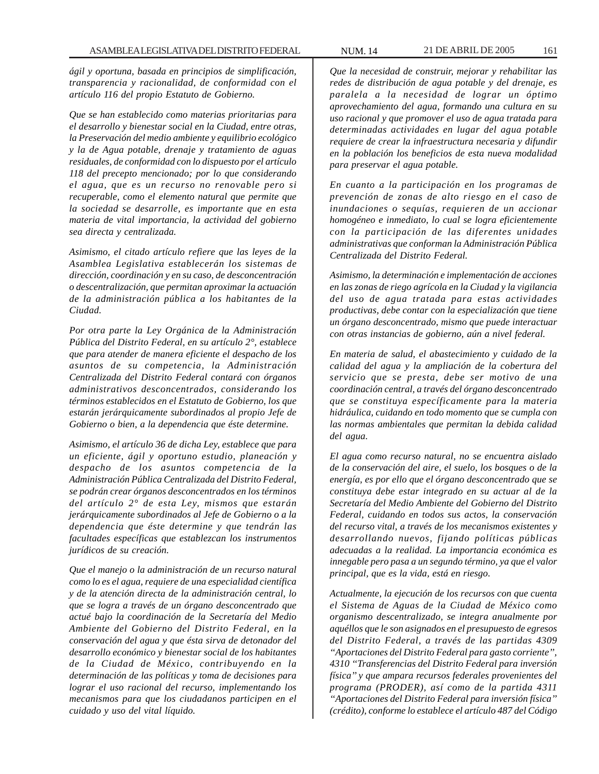*ágil y oportuna, basada en principios de simplificación, transparencia y racionalidad, de conformidad con el artículo 116 del propio Estatuto de Gobierno.*

*Que se han establecido como materias prioritarias para el desarrollo y bienestar social en la Ciudad, entre otras, la Preservación del medio ambiente y equilibrio ecológico y la de Agua potable, drenaje y tratamiento de aguas residuales, de conformidad con lo dispuesto por el artículo 118 del precepto mencionado; por lo que considerando el agua, que es un recurso no renovable pero si recuperable, como el elemento natural que permite que la sociedad se desarrolle, es importante que en esta materia de vital importancia, la actividad del gobierno sea directa y centralizada.*

*Asimismo, el citado artículo refiere que las leyes de la Asamblea Legislativa establecerán los sistemas de dirección, coordinación y en su caso, de desconcentración o descentralización, que permitan aproximar la actuación de la administración pública a los habitantes de la Ciudad.*

*Por otra parte la Ley Orgánica de la Administración Pública del Distrito Federal, en su artículo 2°, establece que para atender de manera eficiente el despacho de los asuntos de su competencia, la Administración Centralizada del Distrito Federal contará con órganos administrativos desconcentrados, considerando los términos establecidos en el Estatuto de Gobierno, los que estarán jerárquicamente subordinados al propio Jefe de Gobierno o bien, a la dependencia que éste determine.*

*Asimismo, el artículo 36 de dicha Ley, establece que para un eficiente, ágil y oportuno estudio, planeación y despacho de los asuntos competencia de la Administración Pública Centralizada del Distrito Federal, se podrán crear órganos desconcentrados en los términos del artículo 2° de esta Ley, mismos que estarán jerárquicamente subordinados al Jefe de Gobierno o a la dependencia que éste determine y que tendrán las facultades específicas que establezcan los instrumentos jurídicos de su creación.*

*Que el manejo o la administración de un recurso natural como lo es el agua, requiere de una especialidad científica y de la atención directa de la administración central, lo que se logra a través de un órgano desconcentrado que actué bajo la coordinación de la Secretaría del Medio Ambiente del Gobierno del Distrito Federal, en la conservación del agua y que ésta sirva de detonador del desarrollo económico y bienestar social de los habitantes de la Ciudad de México, contribuyendo en la determinación de las políticas y toma de decisiones para lograr el uso racional del recurso, implementando los mecanismos para que los ciudadanos participen en el cuidado y uso del vital líquido.*

*Que la necesidad de construir, mejorar y rehabilitar las redes de distribución de agua potable y del drenaje, es paralela a la necesidad de lograr un óptimo aprovechamiento del agua, formando una cultura en su uso racional y que promover el uso de agua tratada para determinadas actividades en lugar del agua potable requiere de crear la infraestructura necesaria y difundir en la población los beneficios de esta nueva modalidad para preservar el agua potable.*

*En cuanto a la participación en los programas de prevención de zonas de alto riesgo en el caso de inundaciones o sequías, requieren de un accionar homogéneo e inmediato, lo cual se logra eficientemente con la participación de las diferentes unidades administrativas que conforman la Administración Pública Centralizada del Distrito Federal.*

*Asimismo, la determinación e implementación de acciones en las zonas de riego agrícola en la Ciudad y la vigilancia del uso de agua tratada para estas actividades productivas, debe contar con la especialización que tiene un órgano desconcentrado, mismo que puede interactuar con otras instancias de gobierno, aún a nivel federal.*

*En materia de salud, el abastecimiento y cuidado de la calidad del agua y la ampliación de la cobertura del servicio que se presta, debe ser motivo de una coordinación central, a través del órgano desconcentrado que se constituya específicamente para la materia hidráulica, cuidando en todo momento que se cumpla con las normas ambientales que permitan la debida calidad del agua.*

*El agua como recurso natural, no se encuentra aislado de la conservación del aire, el suelo, los bosques o de la energía, es por ello que el órgano desconcentrado que se constituya debe estar integrado en su actuar al de la Secretaría del Medio Ambiente del Gobierno del Distrito Federal, cuidando en todos sus actos, la conservación del recurso vital, a través de los mecanismos existentes y desarrollando nuevos, fijando políticas públicas adecuadas a la realidad. La importancia económica es innegable pero pasa a un segundo término, ya que el valor principal, que es la vida, está en riesgo.*

*Actualmente, la ejecución de los recursos con que cuenta el Sistema de Aguas de la Ciudad de México como organismo descentralizado, se integra anualmente por aquéllos que le son asignados en el presupuesto de egresos del Distrito Federal, a través de las partidas 4309 ''Aportaciones del Distrito Federal para gasto corriente'', 4310 ''Transferencias del Distrito Federal para inversión física'' y que ampara recursos federales provenientes del programa (PRODER), así como de la partida 4311 ''Aportaciones del Distrito Federal para inversión física'' (crédito), conforme lo establece el artículo 487 del Código*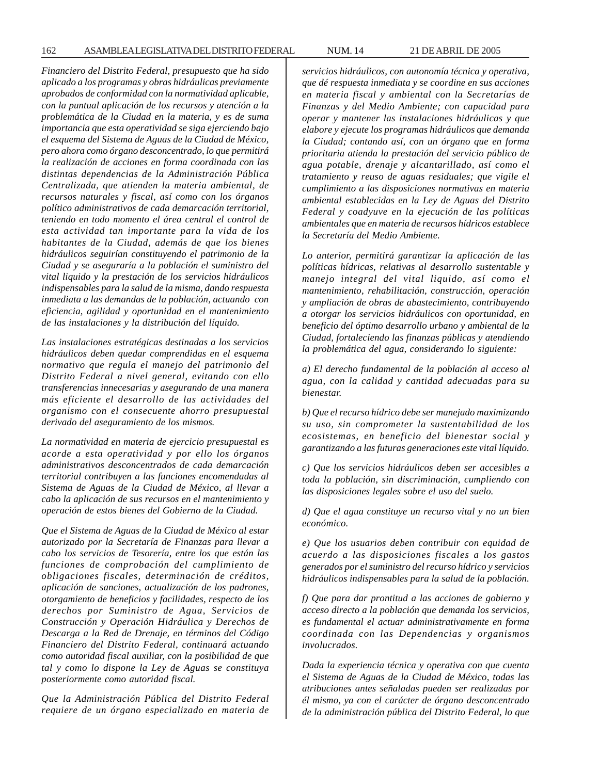*Financiero del Distrito Federal, presupuesto que ha sido aplicado a los programas y obras hidráulicas previamente aprobados de conformidad con la normatividad aplicable, con la puntual aplicación de los recursos y atención a la problemática de la Ciudad en la materia, y es de suma importancia que esta operatividad se siga ejerciendo bajo el esquema del Sistema de Aguas de la Ciudad de México, pero ahora como órgano desconcentrado, lo que permitirá la realización de acciones en forma coordinada con las distintas dependencias de la Administración Pública Centralizada, que atienden la materia ambiental, de recursos naturales y fiscal, así como con los órganos político administrativos de cada demarcación territorial, teniendo en todo momento el área central el control de esta actividad tan importante para la vida de los habitantes de la Ciudad, además de que los bienes hidráulicos seguirían constituyendo el patrimonio de la Ciudad y se aseguraría a la población el suministro del vital liquido y la prestación de los servicios hidráulicos indispensables para la salud de la misma, dando respuesta inmediata a las demandas de la población, actuando con eficiencia, agilidad y oportunidad en el mantenimiento de las instalaciones y la distribución del líquido.*

*Las instalaciones estratégicas destinadas a los servicios hidráulicos deben quedar comprendidas en el esquema normativo que regula el manejo del patrimonio del Distrito Federal a nivel general, evitando con ello transferencias innecesarias y asegurando de una manera más eficiente el desarrollo de las actividades del organismo con el consecuente ahorro presupuestal derivado del aseguramiento de los mismos.*

*La normatividad en materia de ejercicio presupuestal es acorde a esta operatividad y por ello los órganos administrativos desconcentrados de cada demarcación territorial contribuyen a las funciones encomendadas al Sistema de Aguas de la Ciudad de México, al llevar a cabo la aplicación de sus recursos en el mantenimiento y operación de estos bienes del Gobierno de la Ciudad.*

*Que el Sistema de Aguas de la Ciudad de México al estar autorizado por la Secretaría de Finanzas para llevar a cabo los servicios de Tesorería, entre los que están las funciones de comprobación del cumplimiento de obligaciones fiscales, determinación de créditos, aplicación de sanciones, actualización de los padrones, otorgamiento de beneficios y facilidades, respecto de los derechos por Suministro de Agua, Servicios de Construcción y Operación Hidráulica y Derechos de Descarga a la Red de Drenaje, en términos del Código Financiero del Distrito Federal, continuará actuando como autoridad fiscal auxiliar, con la posibilidad de que tal y como lo dispone la Ley de Aguas se constituya posteriormente como autoridad fiscal.*

*Que la Administración Pública del Distrito Federal requiere de un órgano especializado en materia de* *servicios hidráulicos, con autonomía técnica y operativa, que dé respuesta inmediata y se coordine en sus acciones en materia fiscal y ambiental con la Secretarías de Finanzas y del Medio Ambiente; con capacidad para operar y mantener las instalaciones hidráulicas y que elabore y ejecute los programas hidráulicos que demanda la Ciudad; contando así, con un órgano que en forma prioritaria atienda la prestación del servicio público de agua potable, drenaje y alcantarillado, así como el tratamiento y reuso de aguas residuales; que vigile el cumplimiento a las disposiciones normativas en materia ambiental establecidas en la Ley de Aguas del Distrito Federal y coadyuve en la ejecución de las políticas ambientales que en materia de recursos hídricos establece la Secretaría del Medio Ambiente.*

*Lo anterior, permitirá garantizar la aplicación de las políticas hídricas, relativas al desarrollo sustentable y manejo integral del vital liquido, así como el mantenimiento, rehabilitación, construcción, operación y ampliación de obras de abastecimiento, contribuyendo a otorgar los servicios hidráulicos con oportunidad, en beneficio del óptimo desarrollo urbano y ambiental de la Ciudad, fortaleciendo las finanzas públicas y atendiendo la problemática del agua, considerando lo siguiente:*

*a) El derecho fundamental de la población al acceso al agua, con la calidad y cantidad adecuadas para su bienestar.*

*b) Que el recurso hídrico debe ser manejado maximizando su uso, sin comprometer la sustentabilidad de los ecosistemas, en beneficio del bienestar social y garantizando a las futuras generaciones este vital líquido.*

*c) Que los servicios hidráulicos deben ser accesibles a toda la población, sin discriminación, cumpliendo con las disposiciones legales sobre el uso del suelo.*

*d) Que el agua constituye un recurso vital y no un bien económico.*

*e) Que los usuarios deben contribuir con equidad de acuerdo a las disposiciones fiscales a los gastos generados por el suministro del recurso hídrico y servicios hidráulicos indispensables para la salud de la población.*

*f) Que para dar prontitud a las acciones de gobierno y acceso directo a la población que demanda los servicios, es fundamental el actuar administrativamente en forma coordinada con las Dependencias y organismos involucrados.*

*Dada la experiencia técnica y operativa con que cuenta el Sistema de Aguas de la Ciudad de México, todas las atribuciones antes señaladas pueden ser realizadas por él mismo, ya con el carácter de órgano desconcentrado de la administración pública del Distrito Federal, lo que*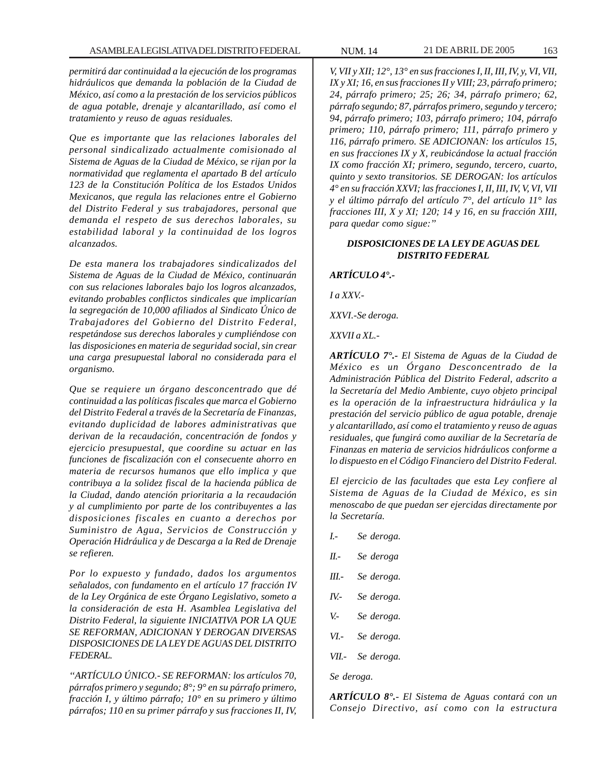*permitirá dar continuidad a la ejecución de los programas hidráulicos que demanda la población de la Ciudad de México, así como a la prestación de los servicios públicos de agua potable, drenaje y alcantarillado, así como el tratamiento y reuso de aguas residuales.*

*Que es importante que las relaciones laborales del personal sindicalizado actualmente comisionado al Sistema de Aguas de la Ciudad de México, se rijan por la normatividad que reglamenta el apartado B del artículo 123 de la Constitución Política de los Estados Unidos Mexicanos, que regula las relaciones entre el Gobierno del Distrito Federal y sus trabajadores, personal que demanda el respeto de sus derechos laborales, su estabilidad laboral y la continuidad de los logros alcanzados.*

*De esta manera los trabajadores sindicalizados del Sistema de Aguas de la Ciudad de México, continuarán con sus relaciones laborales bajo los logros alcanzados, evitando probables conflictos sindicales que implicarían la segregación de 10,000 afiliados al Sindicato Único de Trabajadores del Gobierno del Distrito Federal, respetándose sus derechos laborales y cumpliéndose con las disposiciones en materia de seguridad social, sin crear una carga presupuestal laboral no considerada para el organismo.*

*Que se requiere un órgano desconcentrado que dé continuidad a las políticas fiscales que marca el Gobierno del Distrito Federal a través de la Secretaría de Finanzas, evitando duplicidad de labores administrativas que derivan de la recaudación, concentración de fondos y ejercicio presupuestal, que coordine su actuar en las funciones de fiscalización con el consecuente ahorro en materia de recursos humanos que ello implica y que contribuya a la solidez fiscal de la hacienda pública de la Ciudad, dando atención prioritaria a la recaudación y al cumplimiento por parte de los contribuyentes a las disposiciones fiscales en cuanto a derechos por Suministro de Agua, Servicios de Construcción y Operación Hidráulica y de Descarga a la Red de Drenaje se refieren.*

*Por lo expuesto y fundado, dados los argumentos señalados, con fundamento en el artículo 17 fracción IV de la Ley Orgánica de este Órgano Legislativo, someto a la consideración de esta H. Asamblea Legislativa del Distrito Federal, la siguiente INICIATIVA POR LA QUE SE REFORMAN, ADICIONAN Y DEROGAN DIVERSAS DISPOSICIONES DE LA LEY DE AGUAS DEL DISTRITO FEDERAL.*

*''ARTÍCULO ÚNICO.- SE REFORMAN: los artículos 70, párrafos primero y segundo; 8°; 9° en su párrafo primero, fracción I, y último párrafo; 10° en su primero y último párrafos; 110 en su primer párrafo y sus fracciones II, IV,*

*V, VII y XII; 12°, 13° en sus fracciones I, II, III, IV, y, VI, VII, IX y XI; 16, en sus fracciones II y VIII; 23, párrafo primero; 24, párrafo primero; 25; 26; 34, párrafo primero; 62, párrafo segundo; 87, párrafos primero, segundo y tercero; 94, párrafo primero; 103, párrafo primero; 104, párrafo primero; 110, párrafo primero; 111, párrafo primero y 116, párrafo primero. SE ADICIONAN: los artículos 15, en sus fracciones IX y X, reubicándose la actual fracción IX como fracción XI; primero, segundo, tercero, cuarto, quinto y sexto transitorios. SE DEROGAN: los artículos 4° en su fracción XXVI; las fracciones I, II, III, IV, V, VI, VII y el último párrafo del artículo 7°, del artículo 11° las fracciones III, X y XI; 120; 14 y 16, en su fracción XIII, para quedar como sigue:''*

#### *DISPOSICIONES DE LA LEY DE AGUAS DEL DISTRITO FEDERAL*

*ARTÍCULO 4°.-*

*I a XXV.-*

*XXVI.-Se deroga.*

*XXVII a XL.-*

*ARTÍCULO 7°.- El Sistema de Aguas de la Ciudad de México es un Órgano Desconcentrado de la Administración Pública del Distrito Federal, adscrito a la Secretaría del Medio Ambiente, cuyo objeto principal es la operación de la infraestructura hidráulica y la prestación del servicio público de agua potable, drenaje y alcantarillado, así como el tratamiento y reuso de aguas residuales, que fungirá como auxiliar de la Secretaría de Finanzas en materia de servicios hidráulicos conforme a lo dispuesto en el Código Financiero del Distrito Federal.*

*El ejercicio de las facultades que esta Ley confiere al Sistema de Aguas de la Ciudad de México, es sin menoscabo de que puedan ser ejercidas directamente por la Secretaría.*

- *I.- Se deroga.*
- *II.- Se deroga*
- *III.- Se deroga.*
- *IV.- Se deroga.*
- *V.- Se deroga.*
- *VI.- Se deroga.*
- *VII.- Se deroga.*

*Se deroga.*

*ARTÍCULO 8°.- El Sistema de Aguas contará con un Consejo Directivo, así como con la estructura*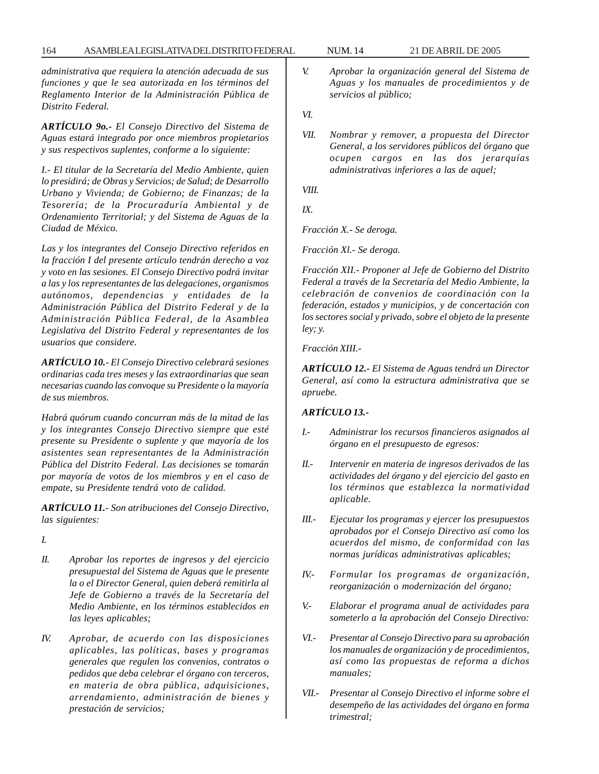*administrativa que requiera la atención adecuada de sus funciones y que le sea autorizada en los términos del Reglamento Interior de la Administración Pública de Distrito Federal.*

*ARTÍCULO 9o.- El Consejo Directivo del Sistema de Aguas estará integrado por once miembros propietarios y sus respectivos suplentes, conforme a lo siguiente:*

*I.- El titular de la Secretaría del Medio Ambiente, quien lo presidirá; de Obras y Servicios; de Salud; de Desarrollo Urbano y Vivienda; de Gobierno; de Finanzas; de la Tesorería; de la Procuraduría Ambiental y de Ordenamiento Territorial; y del Sistema de Aguas de la Ciudad de México.*

*Las y los integrantes del Consejo Directivo referidos en la fracción I del presente artículo tendrán derecho a voz y voto en las sesiones. El Consejo Directivo podrá invitar a las y los representantes de las delegaciones, organismos autónomos, dependencias y entidades de la Administración Pública del Distrito Federal y de la Administración Pública Federal, de la Asamblea Legislativa del Distrito Federal y representantes de los usuarios que considere.*

*ARTÍCULO 10.- El Consejo Directivo celebrará sesiones ordinarias cada tres meses y las extraordinarias que sean necesarias cuando las convoque su Presidente o la mayoría de sus miembros.*

*Habrá quórum cuando concurran más de la mitad de las y los integrantes Consejo Directivo siempre que esté presente su Presidente o suplente y que mayoría de los asistentes sean representantes de la Administración Pública del Distrito Federal. Las decisiones se tomarán por mayoría de votos de los miembros y en el caso de empate, su Presidente tendrá voto de calidad.*

*ARTÍCULO 11.- Son atribuciones del Consejo Directivo, las siguientes:*

*I.*

- *II. Aprobar los reportes de ingresos y del ejercicio presupuestal del Sistema de Aguas que le presente la o el Director General, quien deberá remitirla al Jefe de Gobierno a través de la Secretaría del Medio Ambiente, en los términos establecidos en las leyes aplicables;*
- *IV. Aprobar, de acuerdo con las disposiciones aplicables, las políticas, bases y programas generales que regulen los convenios, contratos o pedidos que deba celebrar el órgano con terceros, en materia de obra pública, adquisiciones, arrendamiento, administración de bienes y prestación de servicios;*
- *V. Aprobar la organización general del Sistema de Aguas y los manuales de procedimientos y de servicios al público;*
- *VI.*
- *VII. Nombrar y remover, a propuesta del Director General, a los servidores públicos del órgano que ocupen cargos en las dos jerarquías administrativas inferiores a las de aquel;*

*VIII.*

*IX.*

*Fracción X.- Se deroga.*

*Fracción Xl.- Se deroga.*

*Fracción XII.- Proponer al Jefe de Gobierno del Distrito Federal a través de la Secretaría del Medio Ambiente, la celebración de convenios de coordinación con la federación, estados y municipios, y de concertación con los sectores social y privado, sobre el objeto de la presente ley; y.*

*Fracción XIII.-*

*ARTÍCULO 12.- El Sistema de Aguas tendrá un Director General, así como la estructura administrativa que se apruebe.*

# *ARTÍCULO 13.-*

- *I.- Administrar los recursos financieros asignados al órgano en el presupuesto de egresos:*
- *II.- Intervenir en materia de ingresos derivados de las actividades del órgano y del ejercicio del gasto en los términos que establezca la normatividad aplicable.*
- *III.- Ejecutar los programas y ejercer los presupuestos aprobados por el Consejo Directivo así como los acuerdos del mismo, de conformidad con las normas jurídicas administrativas aplicables;*
- *IV.- Formular los programas de organización, reorganización o modernización del órgano;*
- *V.- Elaborar el programa anual de actividades para someterlo a la aprobación del Consejo Directivo:*
- *VI.- Presentar al Consejo Directivo para su aprobación los manuales de organización y de procedimientos, así como las propuestas de reforma a dichos manuales;*
- *VII.- Presentar al Consejo Directivo el informe sobre el desempeño de las actividades del órgano en forma trimestral;*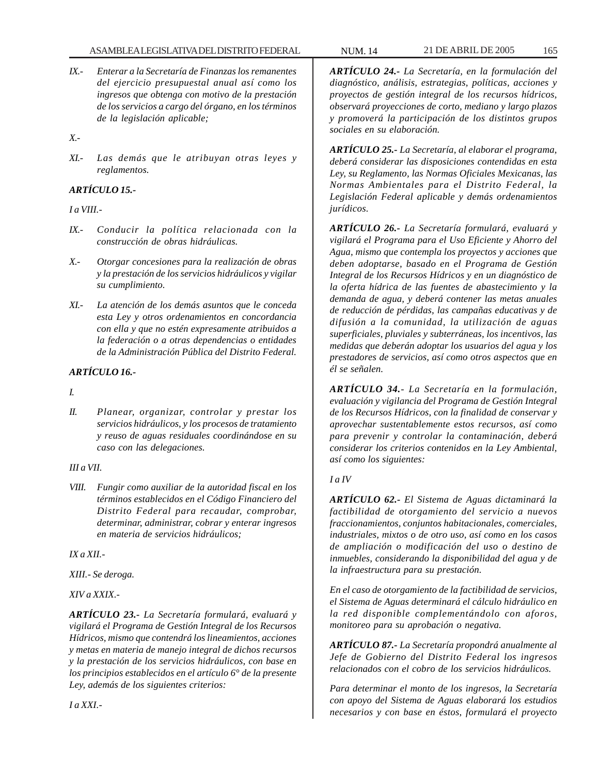- *IX.- Enterar a la Secretaría de Finanzas los remanentes del ejercicio presupuestal anual así como los ingresos que obtenga con motivo de la prestación de los servicios a cargo del órgano, en los términos de la legislación aplicable;*
- *X.-*
- *XI.- Las demás que le atribuyan otras leyes y reglamentos.*

# *ARTÍCULO 15.-*

# *I a VIII.-*

- *IX.- Conducir la política relacionada con la construcción de obras hidráulicas.*
- *X.- Otorgar concesiones para la realización de obras y la prestación de los servicios hidráulicos y vigilar su cumplimiento.*
- *XI.- La atención de los demás asuntos que le conceda esta Ley y otros ordenamientos en concordancia con ella y que no estén expresamente atribuidos a la federación o a otras dependencias o entidades de la Administración Pública del Distrito Federal.*

# *ARTÍCULO 16.-*

*I.*

*II. Planear, organizar, controlar y prestar los servicios hidráulicos, y los procesos de tratamiento y reuso de aguas residuales coordinándose en su caso con las delegaciones.*

# *III a VII.*

*VIII. Fungir como auxiliar de la autoridad fiscal en los términos establecidos en el Código Financiero del Distrito Federal para recaudar, comprobar, determinar, administrar, cobrar y enterar ingresos en materia de servicios hidráulicos;*

# *IX a XII.-*

*I a XXI.-*

*XIII.- Se deroga.*

# *XIV a XXIX.-*

*ARTÍCULO 23.- La Secretaría formulará, evaluará y vigilará el Programa de Gestión Integral de los Recursos Hídricos, mismo que contendrá los lineamientos, acciones y metas en materia de manejo integral de dichos recursos y la prestación de los servicios hidráulicos, con base en los principios establecidos en el artículo 6° de la presente Ley, además de los siguientes criterios:*

*ARTÍCULO 24.- La Secretaría, en la formulación del diagnóstico, análisis, estrategias, políticas, acciones y proyectos de gestión integral de los recursos hídricos, observará proyecciones de corto, mediano y largo plazos y promoverá la participación de los distintos grupos sociales en su elaboración.*

*ARTÍCULO 25.- La Secretaría, al elaborar el programa, deberá considerar las disposiciones contendidas en esta Ley, su Reglamento, las Normas Oficiales Mexicanas, las Normas Ambientales para el Distrito Federal, la Legislación Federal aplicable y demás ordenamientos jurídicos.*

*ARTÍCULO 26.- La Secretaría formulará, evaluará y vigilará el Programa para el Uso Eficiente y Ahorro del Agua, mismo que contempla los proyectos y acciones que deben adoptarse, basado en el Programa de Gestión Integral de los Recursos Hídricos y en un diagnóstico de la oferta hídrica de las fuentes de abastecimiento y la demanda de agua, y deberá contener las metas anuales de reducción de pérdidas, las campañas educativas y de difusión a la comunidad, la utilización de aguas superficiales, pluviales y subterráneas, los incentivos, las medidas que deberán adoptar los usuarios del agua y los prestadores de servicios, así como otros aspectos que en él se señalen.*

*ARTÍCULO 34.- La Secretaría en la formulación, evaluación y vigilancia del Programa de Gestión Integral de los Recursos Hídricos, con la finalidad de conservar y aprovechar sustentablemente estos recursos, así como para prevenir y controlar la contaminación, deberá considerar los criterios contenidos en la Ley Ambiental, así como los siguientes:*

# *I a IV*

*ARTÍCULO 62.- El Sistema de Aguas dictaminará la factibilidad de otorgamiento del servicio a nuevos fraccionamientos, conjuntos habitacionales, comerciales, industriales, mixtos o de otro uso, así como en los casos de ampliación o modificación del uso o destino de inmuebles, considerando la disponibilidad del agua y de la infraestructura para su prestación.*

*En el caso de otorgamiento de la factibilidad de servicios, el Sistema de Aguas determinará el cálculo hidráulico en la red disponible complementándolo con aforos, monitoreo para su aprobación o negativa.*

*ARTÍCULO 87.- La Secretaría propondrá anualmente al Jefe de Gobierno del Distrito Federal los ingresos relacionados con el cobro de los servicios hidráulicos.*

*Para determinar el monto de los ingresos, la Secretaría con apoyo del Sistema de Aguas elaborará los estudios necesarios y con base en éstos, formulará el proyecto*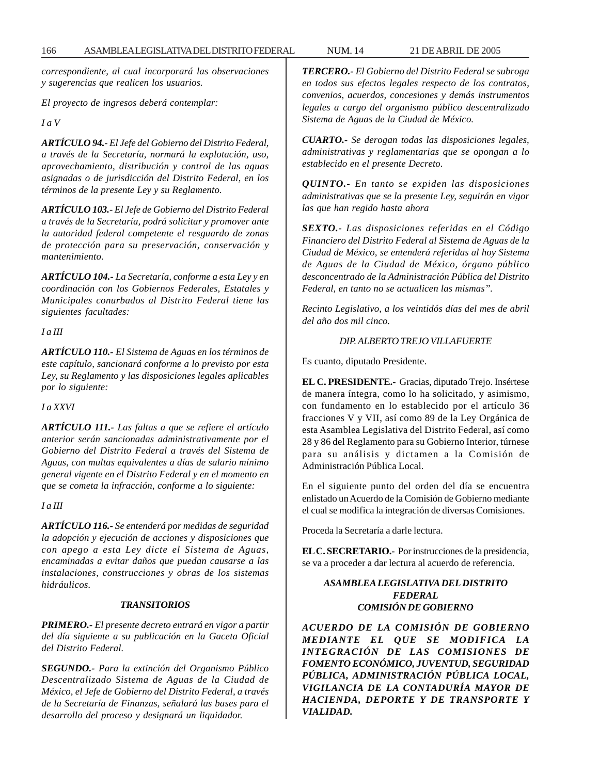*correspondiente, al cual incorporará las observaciones y sugerencias que realicen los usuarios.*

*El proyecto de ingresos deberá contemplar:*

*I a V*

*ARTÍCULO 94.- El Jefe del Gobierno del Distrito Federal, a través de la Secretaría, normará la explotación, uso, aprovechamiento, distribución y control de las aguas asignadas o de jurisdicción del Distrito Federal, en los términos de la presente Ley y su Reglamento.*

*ARTÍCULO 103.- El Jefe de Gobierno del Distrito Federal a través de la Secretaría, podrá solicitar y promover ante la autoridad federal competente el resguardo de zonas de protección para su preservación, conservación y mantenimiento.*

*ARTÍCULO 104.- La Secretaría, conforme a esta Ley y en coordinación con los Gobiernos Federales, Estatales y Municipales conurbados al Distrito Federal tiene las siguientes facultades:*

*I a III*

*ARTÍCULO 110.- El Sistema de Aguas en los términos de este capítulo, sancionará conforme a lo previsto por esta Ley, su Reglamento y las disposiciones legales aplicables por lo siguiente:*

*I a XXVI*

*ARTÍCULO 111.- Las faltas a que se refiere el artículo anterior serán sancionadas administrativamente por el Gobierno del Distrito Federal a través del Sistema de Aguas, con multas equivalentes a días de salario mínimo general vigente en el Distrito Federal y en el momento en que se cometa la infracción, conforme a lo siguiente:*

# *I a III*

*ARTÍCULO 116.- Se entenderá por medidas de seguridad la adopción y ejecución de acciones y disposiciones que con apego a esta Ley dicte el Sistema de Aguas, encaminadas a evitar daños que puedan causarse a las instalaciones, construcciones y obras de los sistemas hidráulicos.*

#### *TRANSITORIOS*

*PRIMERO.- El presente decreto entrará en vigor a partir del día siguiente a su publicación en la Gaceta Oficial del Distrito Federal.*

*SEGUNDO.- Para la extinción del Organismo Público Descentralizado Sistema de Aguas de la Ciudad de México, el Jefe de Gobierno del Distrito Federal, a través de la Secretaría de Finanzas, señalará las bases para el desarrollo del proceso y designará un liquidador.*

*TERCERO.- El Gobierno del Distrito Federal se subroga en todos sus efectos legales respecto de los contratos, convenios, acuerdos, concesiones y demás instrumentos legales a cargo del organismo público descentralizado Sistema de Aguas de la Ciudad de México.*

*CUARTO.- Se derogan todas las disposiciones legales, administrativas y reglamentarias que se opongan a lo establecido en el presente Decreto.*

*QUINTO.- En tanto se expiden las disposiciones administrativas que se la presente Ley, seguirán en vigor las que han regido hasta ahora*

*SEXTO.- Las disposiciones referidas en el Código Financiero del Distrito Federal al Sistema de Aguas de la Ciudad de México, se entenderá referidas al hoy Sistema de Aguas de la Ciudad de México, órgano público desconcentrado de la Administración Pública del Distrito Federal, en tanto no se actualicen las mismas''.*

*Recinto Legislativo, a los veintidós días del mes de abril del año dos mil cinco.*

## *DIP. ALBERTO TREJO VILLAFUERTE*

Es cuanto, diputado Presidente.

**EL C. PRESIDENTE.-** Gracias, diputado Trejo. Insértese de manera íntegra, como lo ha solicitado, y asimismo, con fundamento en lo establecido por el artículo 36 fracciones V y VII, así como 89 de la Ley Orgánica de esta Asamblea Legislativa del Distrito Federal, así como 28 y 86 del Reglamento para su Gobierno Interior, túrnese para su análisis y dictamen a la Comisión de Administración Pública Local.

En el siguiente punto del orden del día se encuentra enlistado un Acuerdo de la Comisión de Gobierno mediante el cual se modifica la integración de diversas Comisiones.

Proceda la Secretaría a darle lectura.

**EL C. SECRETARIO.-** Por instrucciones de la presidencia, se va a proceder a dar lectura al acuerdo de referencia.

# *ASAMBLEA LEGISLATIVA DEL DISTRITO FEDERAL COMISIÓN DE GOBIERNO*

*ACUERDO DE LA COMISIÓN DE GOBIERNO MEDIANTE EL QUE SE MODIFICA LA INTEGRACIÓN DE LAS COMISIONES DE FOMENTO ECONÓMICO, JUVENTUD, SEGURIDAD PÚBLICA, ADMINISTRACIÓN PÚBLICA LOCAL, VIGILANCIA DE LA CONTADURÍA MAYOR DE HACIENDA, DEPORTE Y DE TRANSPORTE Y VIALIDAD.*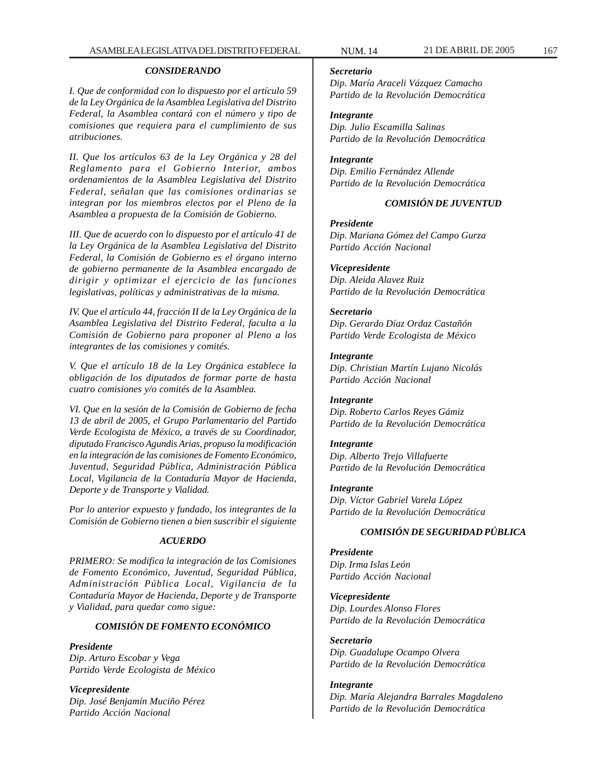#### *CONSIDERANDO*

*I. Que de conformidad con lo dispuesto por el artículo 59 de la Ley Orgánica de la Asamblea Legislativa del Distrito Federal, la Asamblea contará con el número y tipo de comisiones que requiera para el cumplimiento de sus atribuciones.*

*II. Que los artículos 63 de la Ley Orgánica y 28 del Reglamento para el Gobierno Interior, ambos ordenamientos de la Asamblea Legislativa del Distrito Federal, señalan que las comisiones ordinarias se integran por los miembros electos por el Pleno de la Asamblea a propuesta de la Comisión de Gobierno.*

*III. Que de acuerdo con lo dispuesto por el artículo 41 de la Ley Orgánica de la Asamblea Legislativa del Distrito Federal, la Comisión de Gobierno es el órgano interno de gobierno permanente de la Asamblea encargado de dirigir y optimizar el ejercicio de las funciones legislativas, políticas y administrativas de la misma.*

*IV. Que el artículo 44, fracción II de la Ley Orgánica de la Asamblea Legislativa del Distrito Federal, faculta a la Comisión de Gobierno para proponer al Pleno a los integrantes de las comisiones y comités.*

*V. Que el artículo 18 de la Ley Orgánica establece la obligación de los diputados de formar parte de hasta cuatro comisiones y/o comités de la Asamblea.*

*VI. Que en la sesión de la Comisión de Gobierno de fecha 13 de abril de 2005, el Grupo Parlamentario del Partido Verde Ecologista de México, a través de su Coordinador, diputado Francisco Agundis Arias, propuso la modificación en la integración de las comisiones de Fomento Económico, Juventud, Seguridad Pública, Administración Pública Local, Vigilancia de la Contaduría Mayor de Hacienda, Deporte y de Transporte y Vialidad.*

*Por lo anterior expuesto y fundado, los integrantes de la Comisión de Gobierno tienen a bien suscribir el siguiente*

#### *ACUERDO*

*PRIMERO: Se modifica la integración de las Comisiones de Fomento Económico, Juventud, Seguridad Pública, Administración Pública Local, Vigilancia de la Contaduría Mayor de Hacienda, Deporte y de Transporte y Vialidad, para quedar como sigue:*

# *COMISIÓN DE FOMENTO ECONÓMICO*

*Presidente Dip. Arturo Escobar y Vega Partido Verde Ecologista de México*

*Vicepresidente Dip. José Benjamín Muciño Pérez Partido Acción Nacional*

#### *Secretario*

*Dip. María Araceli Vázquez Camacho Partido de la Revolución Democrática*

# *Integrante*

*Dip. Julio Escamilla Salinas Partido de la Revolución Democrática*

# *Integrante*

*Dip. Emilio Fernández Allende Partido de la Revolución Democrática*

## *COMISIÓN DE JUVENTUD*

#### *Presidente*

*Dip. Mariana Gómez del Campo Gurza Partido Acción Nacional*

#### *Vicepresidente*

*Dip. Aleida Alavez Ruiz Partido de la Revolución Democrática*

*Secretario Dip. Gerardo Díaz Ordaz Castañón Partido Verde Ecologista de México*

# *Integrante*

*Dip. Christian Martín Lujano Nicolás Partido Acción Nacional*

# *Integrante*

*Dip. Roberto Carlos Reyes Gámiz Partido de la Revolución Democrática*

#### *Integrante*

*Dip. Alberto Trejo Villafuerte Partido de la Revolución Democrática*

## *Integrante*

*Dip. Víctor Gabriel Varela López Partido de la Revolución Democrática*

# *COMISIÓN DE SEGURIDAD PÚBLICA*

*Presidente Dip. Irma Islas León Partido Acción Nacional*

*Vicepresidente Dip. Lourdes Alonso Flores Partido de la Revolución Democrática*

*Secretario Dip. Guadalupe Ocampo Olvera Partido de la Revolución Democrática*

### *Integrante Dip. María Alejandra Barrales Magdaleno Partido de la Revolución Democrática*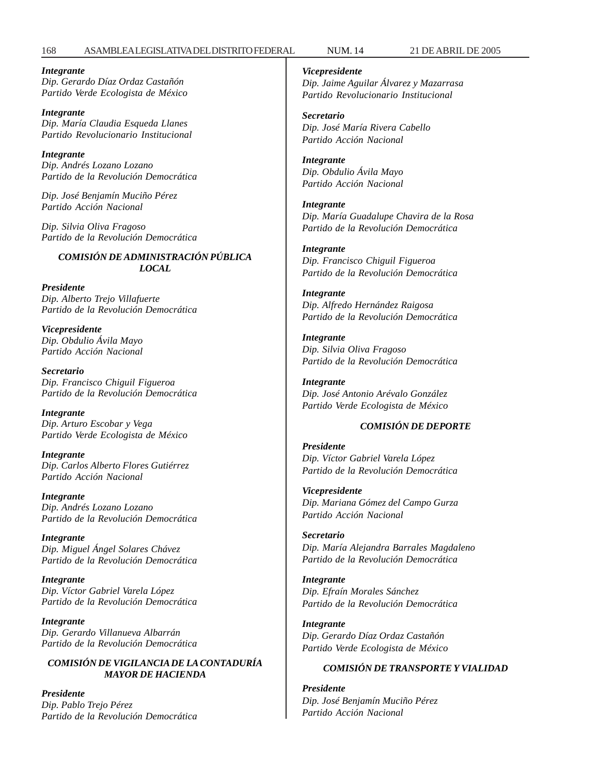#### 168 ASAMBLEA LEGISLATIVA DEL DISTRITO FEDERAL NUM. 14 21 DE ABRIL DE 2005

*Integrante Dip. Gerardo Díaz Ordaz Castañón Partido Verde Ecologista de México*

*Integrante Dip. María Claudia Esqueda Llanes Partido Revolucionario Institucional*

*Integrante Dip. Andrés Lozano Lozano Partido de la Revolución Democrática*

*Dip. José Benjamín Muciño Pérez Partido Acción Nacional*

*Dip. Silvia Oliva Fragoso Partido de la Revolución Democrática*

# *COMISIÓN DE ADMINISTRACIÓN PÚBLICA LOCAL*

*Presidente Dip. Alberto Trejo Villafuerte Partido de la Revolución Democrática*

*Vicepresidente Dip. Obdulio Ávila Mayo Partido Acción Nacional*

*Secretario Dip. Francisco Chiguil Figueroa Partido de la Revolución Democrática*

*Integrante Dip. Arturo Escobar y Vega Partido Verde Ecologista de México*

*Integrante Dip. Carlos Alberto Flores Gutiérrez Partido Acción Nacional*

*Integrante Dip. Andrés Lozano Lozano Partido de la Revolución Democrática*

*Integrante Dip. Miguel Ángel Solares Chávez Partido de la Revolución Democrática*

*Integrante Dip. Víctor Gabriel Varela López Partido de la Revolución Democrática*

*Integrante Dip. Gerardo Villanueva Albarrán Partido de la Revolución Democrática*

## *COMISIÓN DE VIGILANCIA DE LA CONTADURÍA MAYOR DE HACIENDA*

*Presidente Dip. Pablo Trejo Pérez Partido de la Revolución Democrática* *Vicepresidente Dip. Jaime Aguilar Álvarez y Mazarrasa Partido Revolucionario Institucional*

*Secretario Dip. José María Rivera Cabello Partido Acción Nacional*

*Integrante Dip. Obdulio Ávila Mayo Partido Acción Nacional*

*Integrante Dip. María Guadalupe Chavira de la Rosa Partido de la Revolución Democrática*

*Integrante Dip. Francisco Chiguil Figueroa Partido de la Revolución Democrática*

*Integrante Dip. Alfredo Hernández Raigosa Partido de la Revolución Democrática*

*Integrante Dip. Silvia Oliva Fragoso Partido de la Revolución Democrática*

*Integrante Dip. José Antonio Arévalo González Partido Verde Ecologista de México*

# *COMISIÓN DE DEPORTE*

*Presidente Dip. Víctor Gabriel Varela López Partido de la Revolución Democrática*

*Vicepresidente Dip. Mariana Gómez del Campo Gurza Partido Acción Nacional*

*Secretario Dip. María Alejandra Barrales Magdaleno Partido de la Revolución Democrática*

*Integrante Dip. Efraín Morales Sánchez Partido de la Revolución Democrática*

*Integrante Dip. Gerardo Díaz Ordaz Castañón Partido Verde Ecologista de México*

## *COMISIÓN DE TRANSPORTE Y VIALIDAD*

*Presidente Dip. José Benjamín Muciño Pérez Partido Acción Nacional*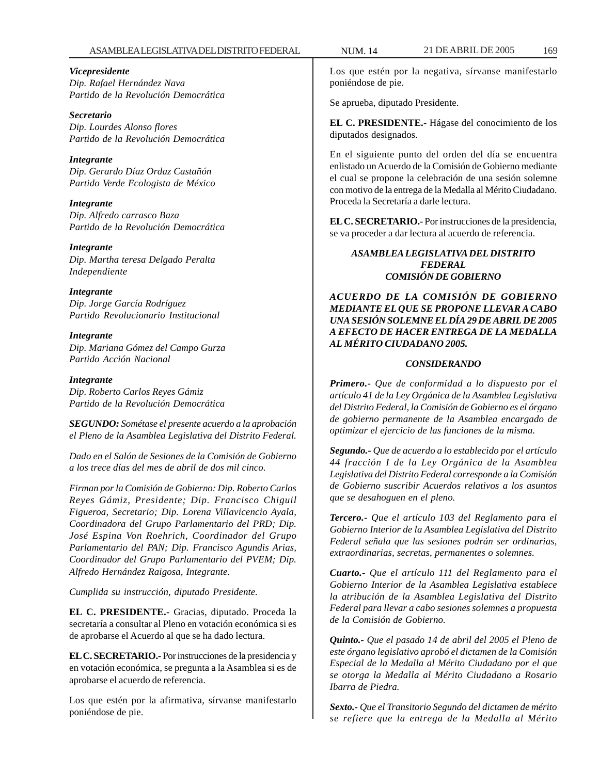#### ASAMBLEA LEGISLATIVA DEL DISTRITO FEDERAL NUM. 14 21 DE ABRIL DE 2005 169

*Vicepresidente Dip. Rafael Hernández Nava Partido de la Revolución Democrática*

*Secretario Dip. Lourdes Alonso flores Partido de la Revolución Democrática*

*Integrante Dip. Gerardo Díaz Ordaz Castañón Partido Verde Ecologista de México*

*Integrante Dip. Alfredo carrasco Baza Partido de la Revolución Democrática*

*Integrante Dip. Martha teresa Delgado Peralta Independiente*

*Integrante Dip. Jorge García Rodríguez Partido Revolucionario Institucional*

*Integrante Dip. Mariana Gómez del Campo Gurza Partido Acción Nacional*

*Integrante Dip. Roberto Carlos Reyes Gámiz Partido de la Revolución Democrática*

*SEGUNDO: Sométase el presente acuerdo a la aprobación el Pleno de la Asamblea Legislativa del Distrito Federal.*

*Dado en el Salón de Sesiones de la Comisión de Gobierno a los trece días del mes de abril de dos mil cinco.*

*Firman por la Comisión de Gobierno: Dip. Roberto Carlos Reyes Gámiz, Presidente; Dip. Francisco Chiguil Figueroa, Secretario; Dip. Lorena Villavicencio Ayala, Coordinadora del Grupo Parlamentario del PRD; Dip. José Espina Von Roehrich, Coordinador del Grupo Parlamentario del PAN; Dip. Francisco Agundis Arias, Coordinador del Grupo Parlamentario del PVEM; Dip. Alfredo Hernández Raigosa, Integrante.*

*Cumplida su instrucción, diputado Presidente.*

**EL C. PRESIDENTE.-** Gracias, diputado. Proceda la secretaría a consultar al Pleno en votación económica si es de aprobarse el Acuerdo al que se ha dado lectura.

**EL C. SECRETARIO.-** Por instrucciones de la presidencia y en votación económica, se pregunta a la Asamblea si es de aprobarse el acuerdo de referencia.

Los que estén por la afirmativa, sírvanse manifestarlo poniéndose de pie.

Los que estén por la negativa, sírvanse manifestarlo poniéndose de pie.

Se aprueba, diputado Presidente.

**EL C. PRESIDENTE.-** Hágase del conocimiento de los diputados designados.

En el siguiente punto del orden del día se encuentra enlistado un Acuerdo de la Comisión de Gobierno mediante el cual se propone la celebración de una sesión solemne con motivo de la entrega de la Medalla al Mérito Ciudadano. Proceda la Secretaría a darle lectura.

**EL C. SECRETARIO.-** Por instrucciones de la presidencia, se va proceder a dar lectura al acuerdo de referencia.

#### *ASAMBLEA LEGISLATIVA DEL DISTRITO FEDERAL COMISIÓN DE GOBIERNO*

*ACUERDO DE LA COMISIÓN DE GOBIERNO MEDIANTE EL QUE SE PROPONE LLEVAR A CABO UNA SESIÓN SOLEMNE EL DÍA 29 DE ABRIL DE 2005 A EFECTO DE HACER ENTREGA DE LA MEDALLA AL MÉRITO CIUDADANO 2005.*

## *CONSIDERANDO*

*Primero.- Que de conformidad a lo dispuesto por el artículo 41 de la Ley Orgánica de la Asamblea Legislativa del Distrito Federal, la Comisión de Gobierno es el órgano de gobierno permanente de la Asamblea encargado de optimizar el ejercicio de las funciones de la misma.*

*Segundo.- Que de acuerdo a lo establecido por el artículo 44 fracción I de la Ley Orgánica de la Asamblea Legislativa del Distrito Federal corresponde a la Comisión de Gobierno suscribir Acuerdos relativos a los asuntos que se desahoguen en el pleno.*

*Tercero.- Que el artículo 103 del Reglamento para el Gobierno Interior de la Asamblea Legislativa del Distrito Federal señala que las sesiones podrán ser ordinarias, extraordinarias, secretas, permanentes o solemnes.*

*Cuarto.- Que el artículo 111 del Reglamento para el Gobierno Interior de la Asamblea Legislativa establece la atribución de la Asamblea Legislativa del Distrito Federal para llevar a cabo sesiones solemnes a propuesta de la Comisión de Gobierno.*

*Quinto.- Que el pasado 14 de abril del 2005 el Pleno de este órgano legislativo aprobó el dictamen de la Comisión Especial de la Medalla al Mérito Ciudadano por el que se otorga la Medalla al Mérito Ciudadano a Rosario Ibarra de Piedra.*

*Sexto.- Que el Transitorio Segundo del dictamen de mérito se refiere que la entrega de la Medalla al Mérito*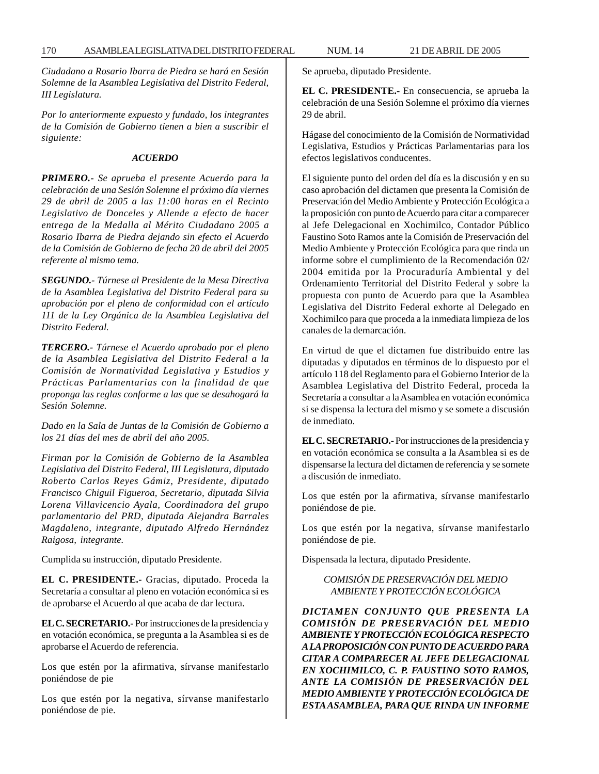*Ciudadano a Rosario Ibarra de Piedra se hará en Sesión Solemne de la Asamblea Legislativa del Distrito Federal, III Legislatura.*

*Por lo anteriormente expuesto y fundado, los integrantes de la Comisión de Gobierno tienen a bien a suscribir el siguiente:*

#### *ACUERDO*

*PRIMERO.- Se aprueba el presente Acuerdo para la celebración de una Sesión Solemne el próximo día viernes 29 de abril de 2005 a las 11:00 horas en el Recinto Legislativo de Donceles y Allende a efecto de hacer entrega de la Medalla al Mérito Ciudadano 2005 a Rosario Ibarra de Piedra dejando sin efecto el Acuerdo de la Comisión de Gobierno de fecha 20 de abril del 2005 referente al mismo tema.*

*SEGUNDO.- Túrnese al Presidente de la Mesa Directiva de la Asamblea Legislativa del Distrito Federal para su aprobación por el pleno de conformidad con el artículo 111 de la Ley Orgánica de la Asamblea Legislativa del Distrito Federal.*

*TERCERO.- Túrnese el Acuerdo aprobado por el pleno de la Asamblea Legislativa del Distrito Federal a la Comisión de Normatividad Legislativa y Estudios y Prácticas Parlamentarias con la finalidad de que proponga las reglas conforme a las que se desahogará la Sesión Solemne.*

*Dado en la Sala de Juntas de la Comisión de Gobierno a los 21 días del mes de abril del año 2005.*

*Firman por la Comisión de Gobierno de la Asamblea Legislativa del Distrito Federal, III Legislatura, diputado Roberto Carlos Reyes Gámiz, Presidente, diputado Francisco Chiguil Figueroa, Secretario, diputada Silvia Lorena Villavicencio Ayala, Coordinadora del grupo parlamentario del PRD, diputada Alejandra Barrales Magdaleno, integrante, diputado Alfredo Hernández Raigosa, integrante.*

Cumplida su instrucción, diputado Presidente.

**EL C. PRESIDENTE.-** Gracias, diputado. Proceda la Secretaría a consultar al pleno en votación económica si es de aprobarse el Acuerdo al que acaba de dar lectura.

**EL C. SECRETARIO.-** Por instrucciones de la presidencia y en votación económica, se pregunta a la Asamblea si es de aprobarse el Acuerdo de referencia.

Los que estén por la afirmativa, sírvanse manifestarlo poniéndose de pie

Los que estén por la negativa, sírvanse manifestarlo poniéndose de pie.

Se aprueba, diputado Presidente.

**EL C. PRESIDENTE.-** En consecuencia, se aprueba la celebración de una Sesión Solemne el próximo día viernes 29 de abril.

Hágase del conocimiento de la Comisión de Normatividad Legislativa, Estudios y Prácticas Parlamentarias para los efectos legislativos conducentes.

El siguiente punto del orden del día es la discusión y en su caso aprobación del dictamen que presenta la Comisión de Preservación del Medio Ambiente y Protección Ecológica a la proposición con punto de Acuerdo para citar a comparecer al Jefe Delegacional en Xochimilco, Contador Público Faustino Soto Ramos ante la Comisión de Preservación del Medio Ambiente y Protección Ecológica para que rinda un informe sobre el cumplimiento de la Recomendación 02/ 2004 emitida por la Procuraduría Ambiental y del Ordenamiento Territorial del Distrito Federal y sobre la propuesta con punto de Acuerdo para que la Asamblea Legislativa del Distrito Federal exhorte al Delegado en Xochimilco para que proceda a la inmediata limpieza de los canales de la demarcación.

En virtud de que el dictamen fue distribuido entre las diputadas y diputados en términos de lo dispuesto por el artículo 118 del Reglamento para el Gobierno Interior de la Asamblea Legislativa del Distrito Federal, proceda la Secretaría a consultar a la Asamblea en votación económica si se dispensa la lectura del mismo y se somete a discusión de inmediato.

**EL C. SECRETARIO.-** Por instrucciones de la presidencia y en votación económica se consulta a la Asamblea si es de dispensarse la lectura del dictamen de referencia y se somete a discusión de inmediato.

Los que estén por la afirmativa, sírvanse manifestarlo poniéndose de pie.

Los que estén por la negativa, sírvanse manifestarlo poniéndose de pie.

Dispensada la lectura, diputado Presidente.

*COMISIÓN DE PRESERVACIÓN DEL MEDIO AMBIENTE Y PROTECCIÓN ECOLÓGICA*

*DICTAMEN CONJUNTO QUE PRESENTA LA COMISIÓN DE PRESERVACIÓN DEL MEDIO AMBIENTE Y PROTECCIÓN ECOLÓGICA RESPECTO A LA PROPOSICIÓN CON PUNTO DE ACUERDO PARA CITAR A COMPARECER AL JEFE DELEGACIONAL EN XOCHIMILCO, C. P. FAUSTINO SOTO RAMOS, ANTE LA COMISIÓN DE PRESERVACIÓN DEL MEDIO AMBIENTE Y PROTECCIÓN ECOLÓGICA DE ESTA ASAMBLEA, PARA QUE RINDA UN INFORME*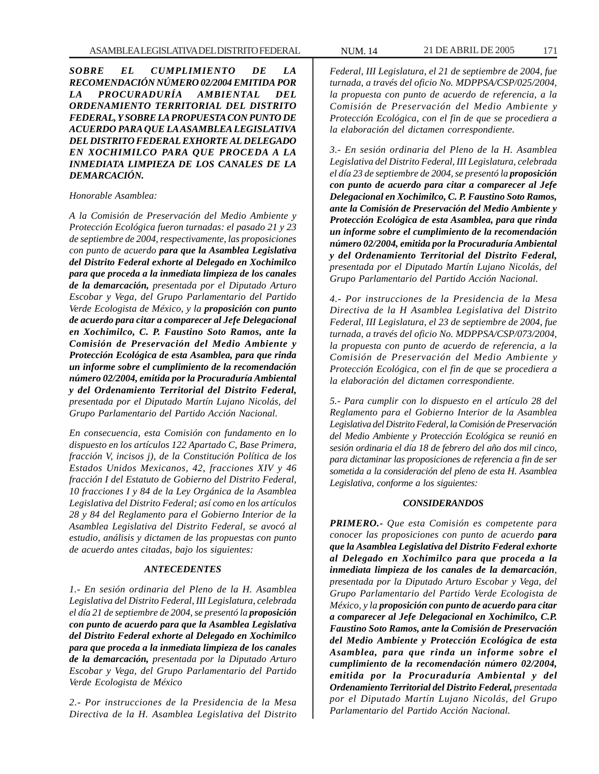*SOBRE EL CUMPLIMIENTO DE LA RECOMENDACIÓN NÚMERO 02/2004 EMITIDA POR LA PROCURADURÍA AMBIENTAL DEL ORDENAMIENTO TERRITORIAL DEL DISTRITO FEDERAL, Y SOBRE LA PROPUESTA CON PUNTO DE ACUERDO PARA QUE LA ASAMBLEA LEGISLATIVA DEL DISTRITO FEDERAL EXHORTE AL DELEGADO EN XOCHIMILCO PARA QUE PROCEDA A LA INMEDIATA LIMPIEZA DE LOS CANALES DE LA DEMARCACIÓN.*

#### *Honorable Asamblea:*

*A la Comisión de Preservación del Medio Ambiente y Protección Ecológica fueron turnadas: el pasado 21 y 23 de septiembre de 2004, respectivamente, las proposiciones con punto de acuerdo para que la Asamblea Legislativa del Distrito Federal exhorte al Delegado en Xochimilco para que proceda a la inmediata limpieza de los canales de la demarcación, presentada por el Diputado Arturo Escobar y Vega, del Grupo Parlamentario del Partido Verde Ecologista de México, y la proposición con punto de acuerdo para citar a comparecer al Jefe Delegacional en Xochimilco, C. P. Faustino Soto Ramos, ante la Comisión de Preservación del Medio Ambiente y Protección Ecológica de esta Asamblea, para que rinda un informe sobre el cumplimiento de la recomendación número 02/2004, emitida por la Procuraduría Ambiental y del Ordenamiento Territorial del Distrito Federal, presentada por el Diputado Martín Lujano Nicolás, del Grupo Parlamentario del Partido Acción Nacional.*

*En consecuencia, esta Comisión con fundamento en lo dispuesto en los artículos 122 Apartado C, Base Primera, fracción V, incisos j), de la Constitución Política de los Estados Unidos Mexicanos, 42, fracciones XIV y 46 fracción I del Estatuto de Gobierno del Distrito Federal, 10 fracciones I y 84 de la Ley Orgánica de la Asamblea Legislativa del Distrito Federal; así como en los artículos 28 y 84 del Reglamento para el Gobierno Interior de la Asamblea Legislativa del Distrito Federal, se avocó al estudio, análisis y dictamen de las propuestas con punto de acuerdo antes citadas, bajo los siguientes:*

#### *ANTECEDENTES*

*1.- En sesión ordinaria del Pleno de la H. Asamblea Legislativa del Distrito Federal, III Legislatura, celebrada el día 21 de septiembre de 2004, se presentó la proposición con punto de acuerdo para que la Asamblea Legislativa del Distrito Federal exhorte al Delegado en Xochimilco para que proceda a la inmediata limpieza de los canales de la demarcación, presentada por la Diputado Arturo Escobar y Vega, del Grupo Parlamentario del Partido Verde Ecologista de México*

*2.- Por instrucciones de la Presidencia de la Mesa Directiva de la H. Asamblea Legislativa del Distrito*

*Federal, III Legislatura, el 21 de septiembre de 2004, fue turnada, a través del oficio No. MDPPSA/CSP/025/2004, la propuesta con punto de acuerdo de referencia, a la Comisión de Preservación del Medio Ambiente y Protección Ecológica, con el fin de que se procediera a la elaboración del dictamen correspondiente.*

*3.- En sesión ordinaria del Pleno de la H. Asamblea Legislativa del Distrito Federal, III Legislatura, celebrada el día 23 de septiembre de 2004, se presentó la proposición con punto de acuerdo para citar a comparecer al Jefe Delegacional en Xochimilco, C. P. Faustino Soto Ramos, ante la Comisión de Preservación del Medio Ambiente y Protección Ecológica de esta Asamblea, para que rinda un informe sobre el cumplimiento de la recomendación número 02/2004, emitida por la Procuraduría Ambiental y del Ordenamiento Territorial del Distrito Federal, presentada por el Diputado Martín Lujano Nicolás, del Grupo Parlamentario del Partido Acción Nacional.*

*4.- Por instrucciones de la Presidencia de la Mesa Directiva de la H Asamblea Legislativa del Distrito Federal, III Legislatura, el 23 de septiembre de 2004, fue turnada, a través del oficio No. MDPPSA/CSP/073/2004, la propuesta con punto de acuerdo de referencia, a la Comisión de Preservación del Medio Ambiente y Protección Ecológica, con el fin de que se procediera a la elaboración del dictamen correspondiente.*

*5.- Para cumplir con lo dispuesto en el artículo 28 del Reglamento para el Gobierno Interior de la Asamblea Legislativa del Distrito Federal, la Comisión de Preservación del Medio Ambiente y Protección Ecológica se reunió en sesión ordinaria el día 18 de febrero del año dos mil cinco, para dictaminar las proposiciones de referencia a fin de ser sometida a la consideración del pleno de esta H. Asamblea Legislativa, conforme a los siguientes:*

#### *CONSIDERANDOS*

*PRIMERO.- Que esta Comisión es competente para conocer las proposiciones con punto de acuerdo para que la Asamblea Legislativa del Distrito Federal exhorte al Delegado en Xochimilco para que proceda a la inmediata limpieza de los canales de la demarcación, presentada por la Diputado Arturo Escobar y Vega, del Grupo Parlamentario del Partido Verde Ecologista de México, y la proposición con punto de acuerdo para citar a comparecer al Jefe Delegacional en Xochimilco, C.P. Faustino Soto Ramos, ante la Comisión de Preservación del Medio Ambiente y Protección Ecológica de esta Asamblea, para que rinda un informe sobre el cumplimiento de la recomendación número 02/2004, emitida por la Procuraduría Ambiental y del Ordenamiento Territorial del Distrito Federal, presentada por el Diputado Martín Lujano Nicolás, del Grupo Parlamentario del Partido Acción Nacional.*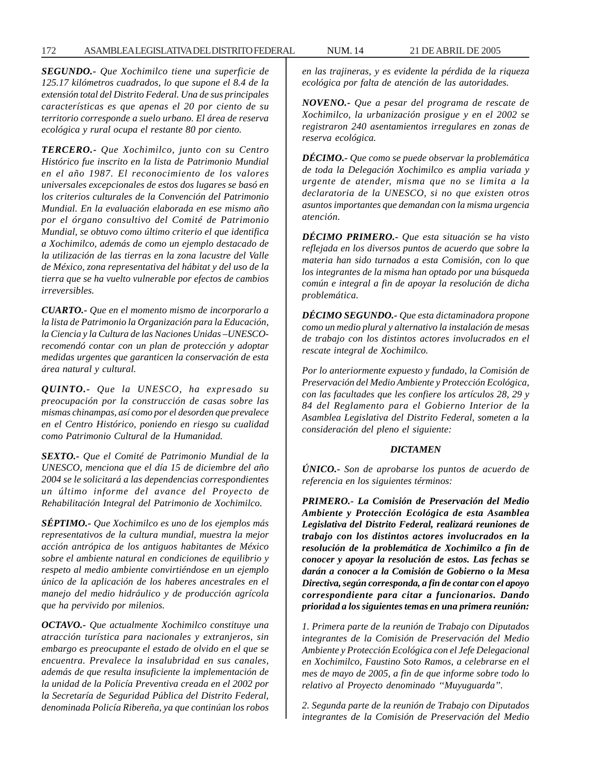*SEGUNDO.- Que Xochimilco tiene una superficie de 125.17 kilómetros cuadrados, lo que supone el 8.4 de la extensión total del Distrito Federal. Una de sus principales características es que apenas el 20 por ciento de su territorio corresponde a suelo urbano. El área de reserva ecológica y rural ocupa el restante 80 por ciento.*

*TERCERO.- Que Xochimilco, junto con su Centro Histórico fue inscrito en la lista de Patrimonio Mundial en el año 1987. El reconocimiento de los valores universales excepcionales de estos dos lugares se basó en los criterios culturales de la Convención del Patrimonio Mundial. En la evaluación elaborada en ese mismo año por el órgano consultivo del Comité de Patrimonio Mundial, se obtuvo como último criterio el que identifica a Xochimilco, además de como un ejemplo destacado de la utilización de las tierras en la zona lacustre del Valle de México, zona representativa del hábitat y del uso de la tierra que se ha vuelto vulnerable por efectos de cambios irreversibles.*

*CUARTO.- Que en el momento mismo de incorporarlo a la lista de Patrimonio la Organización para la Educación, la Ciencia y la Cultura de las Naciones Unidas –UNESCOrecomendó contar con un plan de protección y adoptar medidas urgentes que garanticen la conservación de esta área natural y cultural.*

*QUINTO.- Que la UNESCO, ha expresado su preocupación por la construcción de casas sobre las mismas chinampas, así como por el desorden que prevalece en el Centro Histórico, poniendo en riesgo su cualidad como Patrimonio Cultural de la Humanidad.*

*SEXTO.- Que el Comité de Patrimonio Mundial de la UNESCO, menciona que el día 15 de diciembre del año 2004 se le solicitará a las dependencias correspondientes un último informe del avance del Proyecto de Rehabilitación Integral del Patrimonio de Xochimilco.*

*SÉPTIMO.- Que Xochimilco es uno de los ejemplos más representativos de la cultura mundial, muestra la mejor acción antrópica de los antiguos habitantes de México sobre el ambiente natural en condiciones de equilibrio y respeto al medio ambiente convirtiéndose en un ejemplo único de la aplicación de los haberes ancestrales en el manejo del medio hidráulico y de producción agrícola que ha pervivido por milenios.*

*OCTAVO.- Que actualmente Xochimilco constituye una atracción turística para nacionales y extranjeros, sin embargo es preocupante el estado de olvido en el que se encuentra. Prevalece la insalubridad en sus canales, además de que resulta insuficiente la implementación de la unidad de la Policía Preventiva creada en el 2002 por la Secretaría de Seguridad Pública del Distrito Federal, denominada Policía Ribereña, ya que continúan los robos*

*en las trajineras, y es evidente la pérdida de la riqueza ecológica por falta de atención de las autoridades.*

*NOVENO.- Que a pesar del programa de rescate de Xochimilco, la urbanización prosigue y en el 2002 se registraron 240 asentamientos irregulares en zonas de reserva ecológica.*

*DÉCIMO.- Que como se puede observar la problemática de toda la Delegación Xochimilco es amplia variada y urgente de atender, misma que no se limita a la declaratoria de la UNESCO, si no que existen otros asuntos importantes que demandan con la misma urgencia atención.*

*DÉCIMO PRIMERO.- Que esta situación se ha visto reflejada en los diversos puntos de acuerdo que sobre la materia han sido turnados a esta Comisión, con lo que los integrantes de la misma han optado por una búsqueda común e integral a fin de apoyar la resolución de dicha problemática.*

*DÉCIMO SEGUNDO.- Que esta dictaminadora propone como un medio plural y alternativo la instalación de mesas de trabajo con los distintos actores involucrados en el rescate integral de Xochimilco.*

*Por lo anteriormente expuesto y fundado, la Comisión de Preservación del Medio Ambiente y Protección Ecológica, con las facultades que les confiere los artículos 28, 29 y 84 del Reglamento para el Gobierno Interior de la Asamblea Legislativa del Distrito Federal, someten a la consideración del pleno el siguiente:*

#### *DICTAMEN*

*ÚNICO.- Son de aprobarse los puntos de acuerdo de referencia en los siguientes términos:*

*PRIMERO.- La Comisión de Preservación del Medio Ambiente y Protección Ecológica de esta Asamblea Legislativa del Distrito Federal, realizará reuniones de trabajo con los distintos actores involucrados en la resolución de la problemática de Xochimilco a fin de conocer y apoyar la resolución de estos. Las fechas se darán a conocer a la Comisión de Gobierno o la Mesa Directiva, según corresponda, a fin de contar con el apoyo correspondiente para citar a funcionarios. Dando prioridad a los siguientes temas en una primera reunión:*

*1. Primera parte de la reunión de Trabajo con Diputados integrantes de la Comisión de Preservación del Medio Ambiente y Protección Ecológica con el Jefe Delegacional en Xochimilco, Faustino Soto Ramos, a celebrarse en el mes de mayo de 2005, a fin de que informe sobre todo lo relativo al Proyecto denominado ''Muyuguarda''.*

*2. Segunda parte de la reunión de Trabajo con Diputados integrantes de la Comisión de Preservación del Medio*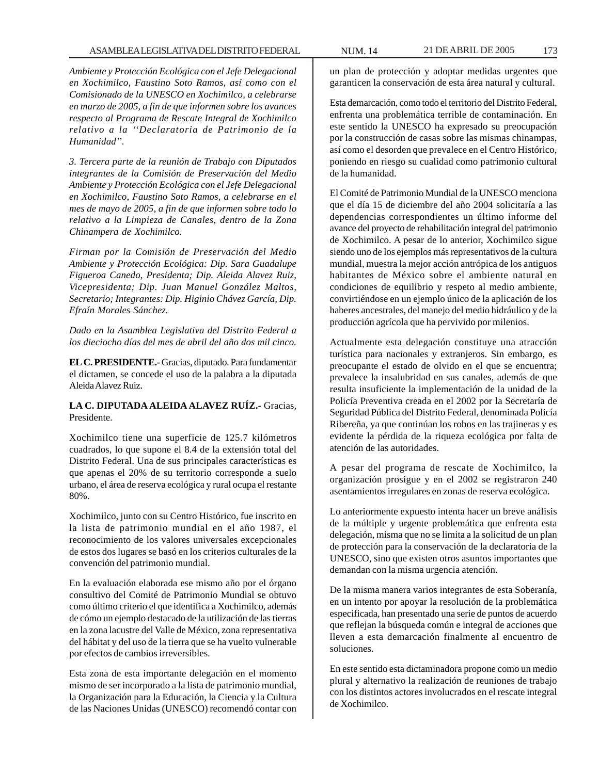*Ambiente y Protección Ecológica con el Jefe Delegacional en Xochimilco, Faustino Soto Ramos, así como con el Comisionado de la UNESCO en Xochimilco, a celebrarse en marzo de 2005, a fin de que informen sobre los avances respecto al Programa de Rescate Integral de Xochimilco relativo a la ''Declaratoria de Patrimonio de la Humanidad''.*

*3. Tercera parte de la reunión de Trabajo con Diputados integrantes de la Comisión de Preservación del Medio Ambiente y Protección Ecológica con el Jefe Delegacional en Xochimilco, Faustino Soto Ramos, a celebrarse en el mes de mayo de 2005, a fin de que informen sobre todo lo relativo a la Limpieza de Canales, dentro de la Zona Chinampera de Xochimilco.*

*Firman por la Comisión de Preservación del Medio Ambiente y Protección Ecológica: Dip. Sara Guadalupe Figueroa Canedo, Presidenta; Dip. Aleida Alavez Ruiz, Vicepresidenta; Dip. Juan Manuel González Maltos, Secretario; Integrantes: Dip. Higinio Chávez García, Dip. Efraín Morales Sánchez.*

*Dado en la Asamblea Legislativa del Distrito Federal a los dieciocho días del mes de abril del año dos mil cinco.*

**EL C. PRESIDENTE.-** Gracias, diputado. Para fundamentar el dictamen, se concede el uso de la palabra a la diputada Aleida Alavez Ruiz.

**LA C. DIPUTADA ALEIDA ALAVEZ RUÍZ.-** Gracias, Presidente.

Xochimilco tiene una superficie de 125.7 kilómetros cuadrados, lo que supone el 8.4 de la extensión total del Distrito Federal. Una de sus principales características es que apenas el 20% de su territorio corresponde a suelo urbano, el área de reserva ecológica y rural ocupa el restante 80%.

Xochimilco, junto con su Centro Histórico, fue inscrito en la lista de patrimonio mundial en el año 1987, el reconocimiento de los valores universales excepcionales de estos dos lugares se basó en los criterios culturales de la convención del patrimonio mundial.

En la evaluación elaborada ese mismo año por el órgano consultivo del Comité de Patrimonio Mundial se obtuvo como último criterio el que identifica a Xochimilco, además de cómo un ejemplo destacado de la utilización de las tierras en la zona lacustre del Valle de México, zona representativa del hábitat y del uso de la tierra que se ha vuelto vulnerable por efectos de cambios irreversibles.

Esta zona de esta importante delegación en el momento mismo de ser incorporado a la lista de patrimonio mundial, la Organización para la Educación, la Ciencia y la Cultura de las Naciones Unidas (UNESCO) recomendó contar con un plan de protección y adoptar medidas urgentes que garanticen la conservación de esta área natural y cultural.

Esta demarcación, como todo el territorio del Distrito Federal, enfrenta una problemática terrible de contaminación. En este sentido la UNESCO ha expresado su preocupación por la construcción de casas sobre las mismas chinampas, así como el desorden que prevalece en el Centro Histórico, poniendo en riesgo su cualidad como patrimonio cultural de la humanidad.

El Comité de Patrimonio Mundial de la UNESCO menciona que el día 15 de diciembre del año 2004 solicitaría a las dependencias correspondientes un último informe del avance del proyecto de rehabilitación integral del patrimonio de Xochimilco. A pesar de lo anterior, Xochimilco sigue siendo uno de los ejemplos más representativos de la cultura mundial, muestra la mejor acción antrópica de los antiguos habitantes de México sobre el ambiente natural en condiciones de equilibrio y respeto al medio ambiente, convirtiéndose en un ejemplo único de la aplicación de los haberes ancestrales, del manejo del medio hidráulico y de la producción agrícola que ha pervivido por milenios.

Actualmente esta delegación constituye una atracción turística para nacionales y extranjeros. Sin embargo, es preocupante el estado de olvido en el que se encuentra; prevalece la insalubridad en sus canales, además de que resulta insuficiente la implementación de la unidad de la Policía Preventiva creada en el 2002 por la Secretaría de Seguridad Pública del Distrito Federal, denominada Policía Ribereña, ya que continúan los robos en las trajineras y es evidente la pérdida de la riqueza ecológica por falta de atención de las autoridades.

A pesar del programa de rescate de Xochimilco, la organización prosigue y en el 2002 se registraron 240 asentamientos irregulares en zonas de reserva ecológica.

Lo anteriormente expuesto intenta hacer un breve análisis de la múltiple y urgente problemática que enfrenta esta delegación, misma que no se limita a la solicitud de un plan de protección para la conservación de la declaratoria de la UNESCO, sino que existen otros asuntos importantes que demandan con la misma urgencia atención.

De la misma manera varios integrantes de esta Soberanía, en un intento por apoyar la resolución de la problemática especificada, han presentado una serie de puntos de acuerdo que reflejan la búsqueda común e integral de acciones que lleven a esta demarcación finalmente al encuentro de soluciones.

En este sentido esta dictaminadora propone como un medio plural y alternativo la realización de reuniones de trabajo con los distintos actores involucrados en el rescate integral de Xochimilco.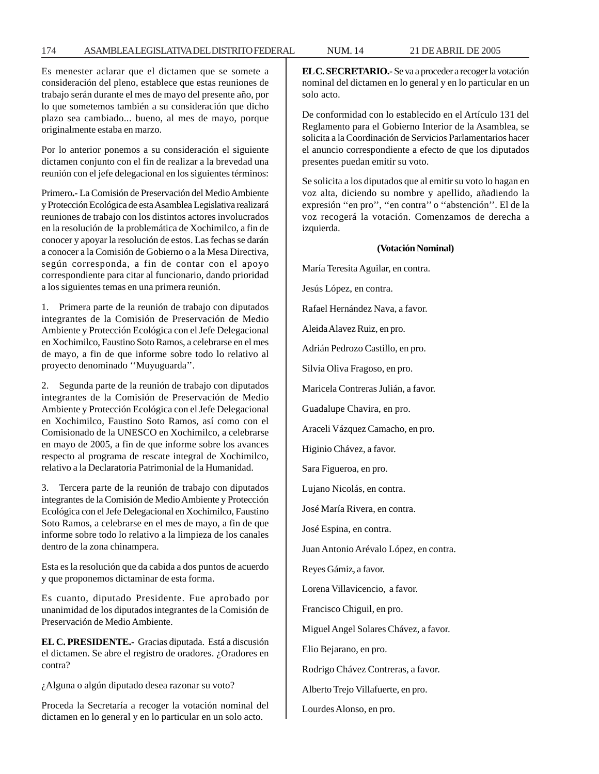#### 174 ASAMBLEA LEGISLATIVA DEL DISTRITO FEDERAL NUM. 14 21 DE ABRIL DE 2005

Es menester aclarar que el dictamen que se somete a consideración del pleno, establece que estas reuniones de trabajo serán durante el mes de mayo del presente año, por lo que sometemos también a su consideración que dicho plazo sea cambiado... bueno, al mes de mayo, porque originalmente estaba en marzo.

Por lo anterior ponemos a su consideración el siguiente dictamen conjunto con el fin de realizar a la brevedad una reunión con el jefe delegacional en los siguientes términos:

Primero**.-** La Comisión de Preservación del Medio Ambiente y Protección Ecológica de esta Asamblea Legislativa realizará reuniones de trabajo con los distintos actores involucrados en la resolución de la problemática de Xochimilco, a fin de conocer y apoyar la resolución de estos. Las fechas se darán a conocer a la Comisión de Gobierno o a la Mesa Directiva, según corresponda, a fin de contar con el apoyo correspondiente para citar al funcionario, dando prioridad a los siguientes temas en una primera reunión.

1. Primera parte de la reunión de trabajo con diputados integrantes de la Comisión de Preservación de Medio Ambiente y Protección Ecológica con el Jefe Delegacional en Xochimilco, Faustino Soto Ramos, a celebrarse en el mes de mayo, a fin de que informe sobre todo lo relativo al proyecto denominado ''Muyuguarda''.

2. Segunda parte de la reunión de trabajo con diputados integrantes de la Comisión de Preservación de Medio Ambiente y Protección Ecológica con el Jefe Delegacional en Xochimilco, Faustino Soto Ramos, así como con el Comisionado de la UNESCO en Xochimilco, a celebrarse en mayo de 2005, a fin de que informe sobre los avances respecto al programa de rescate integral de Xochimilco, relativo a la Declaratoria Patrimonial de la Humanidad.

3. Tercera parte de la reunión de trabajo con diputados integrantes de la Comisión de Medio Ambiente y Protección Ecológica con el Jefe Delegacional en Xochimilco, Faustino Soto Ramos, a celebrarse en el mes de mayo, a fin de que informe sobre todo lo relativo a la limpieza de los canales dentro de la zona chinampera.

Esta es la resolución que da cabida a dos puntos de acuerdo y que proponemos dictaminar de esta forma.

Es cuanto, diputado Presidente. Fue aprobado por unanimidad de los diputados integrantes de la Comisión de Preservación de Medio Ambiente.

**EL C. PRESIDENTE.-** Gracias diputada. Está a discusión el dictamen. Se abre el registro de oradores. ¿Oradores en contra?

¿Alguna o algún diputado desea razonar su voto?

Proceda la Secretaría a recoger la votación nominal del dictamen en lo general y en lo particular en un solo acto.

**EL C. SECRETARIO.-** Se va a proceder a recoger la votación nominal del dictamen en lo general y en lo particular en un solo acto.

De conformidad con lo establecido en el Artículo 131 del Reglamento para el Gobierno Interior de la Asamblea, se solicita a la Coordinación de Servicios Parlamentarios hacer el anuncio correspondiente a efecto de que los diputados presentes puedan emitir su voto.

Se solicita a los diputados que al emitir su voto lo hagan en voz alta, diciendo su nombre y apellido, añadiendo la expresión ''en pro'', ''en contra'' o ''abstención''. El de la voz recogerá la votación. Comenzamos de derecha a izquierda.

#### **(Votación Nominal)**

María Teresita Aguilar, en contra.

Jesús López, en contra.

Rafael Hernández Nava, a favor.

Aleida Alavez Ruiz, en pro.

Adrián Pedrozo Castillo, en pro.

Silvia Oliva Fragoso, en pro.

Maricela Contreras Julián, a favor.

Guadalupe Chavira, en pro.

Araceli Vázquez Camacho, en pro.

Higinio Chávez, a favor.

Sara Figueroa, en pro.

Lujano Nicolás, en contra.

José María Rivera, en contra.

José Espina, en contra.

Juan Antonio Arévalo López, en contra.

Reyes Gámiz, a favor.

Lorena Villavicencio, a favor.

Francisco Chiguil, en pro.

Miguel Angel Solares Chávez, a favor.

Elio Bejarano, en pro.

Rodrigo Chávez Contreras, a favor.

Alberto Trejo Villafuerte, en pro.

Lourdes Alonso, en pro.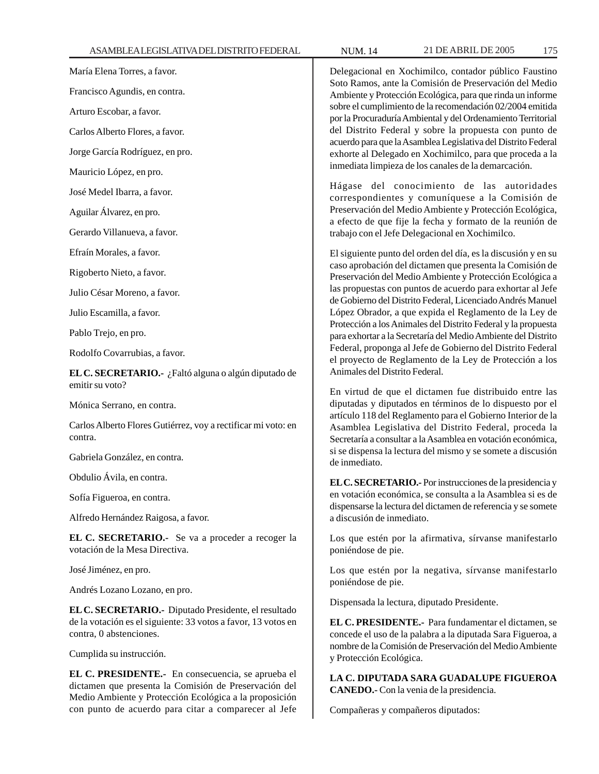María Elena Torres, a favor.

Francisco Agundis, en contra.

Arturo Escobar, a favor.

Carlos Alberto Flores, a favor.

Jorge García Rodríguez, en pro.

Mauricio López, en pro.

José Medel Ibarra, a favor.

Aguilar Álvarez, en pro.

Gerardo Villanueva, a favor.

Efraín Morales, a favor.

Rigoberto Nieto, a favor.

Julio César Moreno, a favor.

Julio Escamilla, a favor.

Pablo Trejo, en pro.

Rodolfo Covarrubias, a favor.

**EL C. SECRETARIO.-** ¿Faltó alguna o algún diputado de emitir su voto?

Mónica Serrano, en contra.

Carlos Alberto Flores Gutiérrez, voy a rectificar mi voto: en contra.

Gabriela González, en contra.

Obdulio Ávila, en contra.

Sofía Figueroa, en contra.

Alfredo Hernández Raigosa, a favor.

**EL C. SECRETARIO.-** Se va a proceder a recoger la votación de la Mesa Directiva.

José Jiménez, en pro.

Andrés Lozano Lozano, en pro.

**EL C. SECRETARIO.-** Diputado Presidente, el resultado de la votación es el siguiente: 33 votos a favor, 13 votos en contra, 0 abstenciones.

Cumplida su instrucción.

**EL C. PRESIDENTE.-** En consecuencia, se aprueba el dictamen que presenta la Comisión de Preservación del Medio Ambiente y Protección Ecológica a la proposición con punto de acuerdo para citar a comparecer al Jefe

Delegacional en Xochimilco, contador público Faustino Soto Ramos, ante la Comisión de Preservación del Medio Ambiente y Protección Ecológica, para que rinda un informe sobre el cumplimiento de la recomendación 02/2004 emitida por la Procuraduría Ambiental y del Ordenamiento Territorial del Distrito Federal y sobre la propuesta con punto de acuerdo para que la Asamblea Legislativa del Distrito Federal exhorte al Delegado en Xochimilco, para que proceda a la inmediata limpieza de los canales de la demarcación.

Hágase del conocimiento de las autoridades correspondientes y comuníquese a la Comisión de Preservación del Medio Ambiente y Protección Ecológica, a efecto de que fije la fecha y formato de la reunión de trabajo con el Jefe Delegacional en Xochimilco.

El siguiente punto del orden del día, es la discusión y en su caso aprobación del dictamen que presenta la Comisión de Preservación del Medio Ambiente y Protección Ecológica a las propuestas con puntos de acuerdo para exhortar al Jefe de Gobierno del Distrito Federal, Licenciado Andrés Manuel López Obrador, a que expida el Reglamento de la Ley de Protección a los Animales del Distrito Federal y la propuesta para exhortar a la Secretaría del Medio Ambiente del Distrito Federal, proponga al Jefe de Gobierno del Distrito Federal el proyecto de Reglamento de la Ley de Protección a los Animales del Distrito Federal.

En virtud de que el dictamen fue distribuido entre las diputadas y diputados en términos de lo dispuesto por el artículo 118 del Reglamento para el Gobierno Interior de la Asamblea Legislativa del Distrito Federal, proceda la Secretaría a consultar a la Asamblea en votación económica, si se dispensa la lectura del mismo y se somete a discusión de inmediato.

**EL C. SECRETARIO.-** Por instrucciones de la presidencia y en votación económica, se consulta a la Asamblea si es de dispensarse la lectura del dictamen de referencia y se somete a discusión de inmediato.

Los que estén por la afirmativa, sírvanse manifestarlo poniéndose de pie.

Los que estén por la negativa, sírvanse manifestarlo poniéndose de pie.

Dispensada la lectura, diputado Presidente.

**EL C. PRESIDENTE.-** Para fundamentar el dictamen, se concede el uso de la palabra a la diputada Sara Figueroa, a nombre de la Comisión de Preservación del Medio Ambiente y Protección Ecológica.

**LA C. DIPUTADA SARA GUADALUPE FIGUEROA CANEDO.-** Con la venia de la presidencia.

Compañeras y compañeros diputados: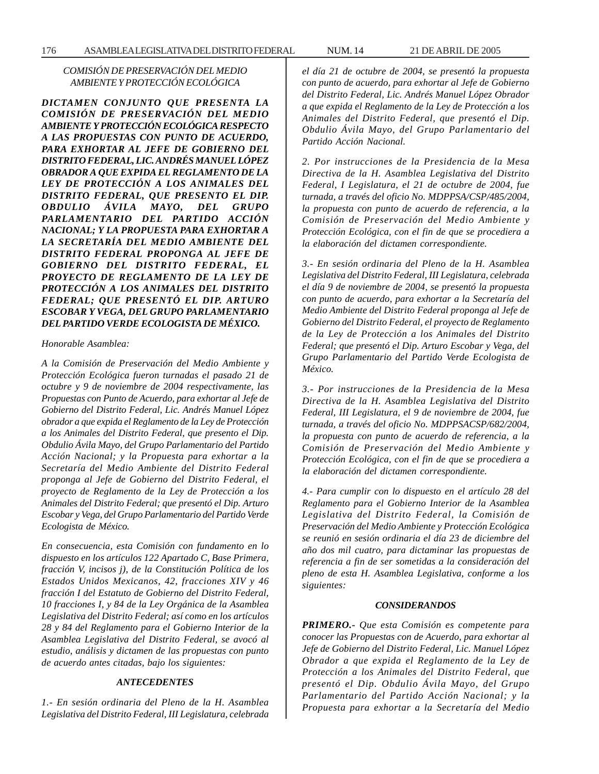# *COMISIÓN DE PRESERVACIÓN DEL MEDIO AMBIENTE Y PROTECCIÓN ECOLÓGICA*

*DICTAMEN CONJUNTO QUE PRESENTA LA COMISIÓN DE PRESERVACIÓN DEL MEDIO AMBIENTE Y PROTECCIÓN ECOLÓGICA RESPECTO A LAS PROPUESTAS CON PUNTO DE ACUERDO, PARA EXHORTAR AL JEFE DE GOBIERNO DEL DISTRITO FEDERAL, LIC. ANDRÉS MANUEL LÓPEZ OBRADOR A QUE EXPIDA EL REGLAMENTO DE LA LEY DE PROTECCIÓN A LOS ANIMALES DEL DISTRITO FEDERAL, QUE PRESENTO EL DIP. OBDULIO ÁVILA MAYO, DEL GRUPO PARLAMENTARIO DEL PARTIDO ACCIÓN NACIONAL; Y LA PROPUESTA PARA EXHORTAR A LA SECRETARÍA DEL MEDIO AMBIENTE DEL DISTRITO FEDERAL PROPONGA AL JEFE DE GOBIERNO DEL DISTRITO FEDERAL, EL PROYECTO DE REGLAMENTO DE LA LEY DE PROTECCIÓN A LOS ANIMALES DEL DISTRITO FEDERAL; QUE PRESENTÓ EL DIP. ARTURO ESCOBAR Y VEGA, DEL GRUPO PARLAMENTARIO DEL PARTIDO VERDE ECOLOGISTA DE MÉXICO.*

*Honorable Asamblea:*

*A la Comisión de Preservación del Medio Ambiente y Protección Ecológica fueron turnadas el pasado 21 de octubre y 9 de noviembre de 2004 respectivamente, las Propuestas con Punto de Acuerdo, para exhortar al Jefe de Gobierno del Distrito Federal, Lic. Andrés Manuel López obrador a que expida el Reglamento de la Ley de Protección a los Animales del Distrito Federal, que presento el Dip. Obdulio Ávila Mayo, del Grupo Parlamentario del Partido Acción Nacional; y la Propuesta para exhortar a la Secretaría del Medio Ambiente del Distrito Federal proponga al Jefe de Gobierno del Distrito Federal, el proyecto de Reglamento de la Ley de Protección a los Animales del Distrito Federal; que presentó el Dip. Arturo Escobar y Vega, del Grupo Parlamentario del Partido Verde Ecologista de México.*

*En consecuencia, esta Comisión con fundamento en lo dispuesto en los artículos 122 Apartado C, Base Primera, fracción V, incisos j), de la Constitución Política de los Estados Unidos Mexicanos, 42, fracciones XIV y 46 fracción I del Estatuto de Gobierno del Distrito Federal, 10 fracciones I, y 84 de la Ley Orgánica de la Asamblea Legislativa del Distrito Federal; así como en los artículos 28 y 84 del Reglamento para el Gobierno Interior de la Asamblea Legislativa del Distrito Federal, se avocó al estudio, análisis y dictamen de las propuestas con punto de acuerdo antes citadas, bajo los siguientes:*

#### *ANTECEDENTES*

*1.- En sesión ordinaria del Pleno de la H. Asamblea Legislativa del Distrito Federal, III Legislatura, celebrada* *el día 21 de octubre de 2004, se presentó la propuesta con punto de acuerdo, para exhortar al Jefe de Gobierno del Distrito Federal, Lic. Andrés Manuel López Obrador a que expida el Reglamento de la Ley de Protección a los Animales del Distrito Federal, que presentó el Dip. Obdulio Ávila Mayo, del Grupo Parlamentario del Partido Acción Nacional.*

*2. Por instrucciones de la Presidencia de la Mesa Directiva de la H. Asamblea Legislativa del Distrito Federal, I Legislatura, el 21 de octubre de 2004, fue turnada, a través del oficio No. MDPPSA/CSP/485/2004, la propuesta con punto de acuerdo de referencia, a la Comisión de Preservación del Medio Ambiente y Protección Ecológica, con el fin de que se procediera a la elaboración del dictamen correspondiente.*

*3.- En sesión ordinaria del Pleno de la H. Asamblea Legislativa del Distrito Federal, III Legislatura, celebrada el día 9 de noviembre de 2004, se presentó la propuesta con punto de acuerdo, para exhortar a la Secretaría del Medio Ambiente del Distrito Federal proponga al Jefe de Gobierno del Distrito Federal, el proyecto de Reglamento de la Ley de Protección a los Animales del Distrito Federal; que presentó el Dip. Arturo Escobar y Vega, del Grupo Parlamentario del Partido Verde Ecologista de México.*

*3.- Por instrucciones de la Presidencia de la Mesa Directiva de la H. Asamblea Legislativa del Distrito Federal, III Legislatura, el 9 de noviembre de 2004, fue turnada, a través del oficio No. MDPPSACSP/682/2004, la propuesta con punto de acuerdo de referencia, a la Comisión de Preservación del Medio Ambiente y Protección Ecológica, con el fin de que se procediera a la elaboración del dictamen correspondiente.*

*4.- Para cumplir con lo dispuesto en el artículo 28 del Reglamento para el Gobierno Interior de la Asamblea Legislativa del Distrito Federal, la Comisión de Preservación del Medio Ambiente y Protección Ecológica se reunió en sesión ordinaria el día 23 de diciembre del año dos mil cuatro, para dictaminar las propuestas de referencia a fin de ser sometidas a la consideración del pleno de esta H. Asamblea Legislativa, conforme a los siguientes:*

#### *CONSIDERANDOS*

*PRIMERO.- Que esta Comisión es competente para conocer las Propuestas con de Acuerdo, para exhortar al Jefe de Gobierno del Distrito Federal, Lic. Manuel López Obrador a que expida el Reglamento de la Ley de Protección a los Animales del Distrito Federal, que presentó el Dip. Obdulio Ávila Mayo, del Grupo Parlamentario del Partido Acción Nacional; y la Propuesta para exhortar a la Secretaría del Medio*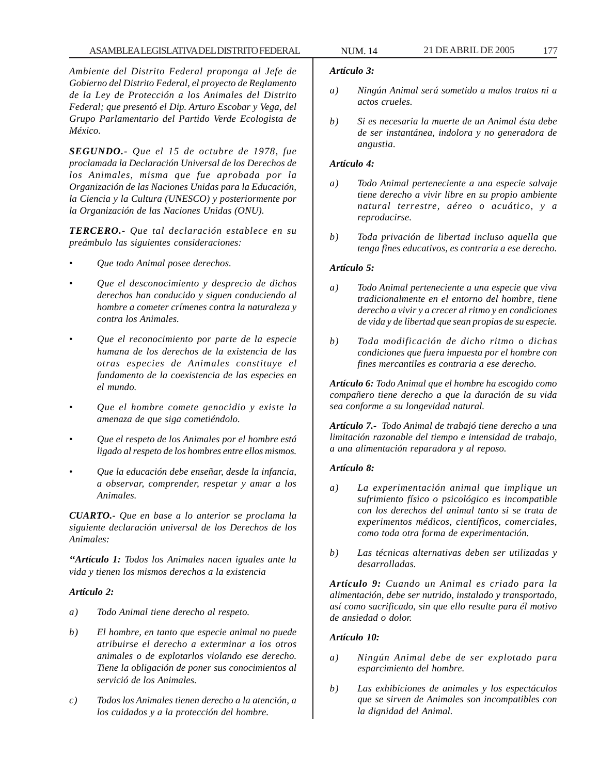*Ambiente del Distrito Federal proponga al Jefe de Gobierno del Distrito Federal, el proyecto de Reglamento de la Ley de Protección a los Animales del Distrito Federal; que presentó el Dip. Arturo Escobar y Vega, del Grupo Parlamentario del Partido Verde Ecologista de México.*

*SEGUNDO.- Que el 15 de octubre de 1978, fue proclamada la Declaración Universal de los Derechos de los Animales, misma que fue aprobada por la Organización de las Naciones Unidas para la Educación, la Ciencia y la Cultura (UNESCO) y posteriormente por la Organización de las Naciones Unidas (ONU).*

*TERCERO.- Que tal declaración establece en su preámbulo las siguientes consideraciones:*

- *Que todo Animal posee derechos.*
- *Que el desconocimiento y desprecio de dichos derechos han conducido y siguen conduciendo al hombre a cometer crímenes contra la naturaleza y contra los Animales.*
- *Que el reconocimiento por parte de la especie humana de los derechos de la existencia de las otras especies de Animales constituye el fundamento de la coexistencia de las especies en el mundo.*
- *Que el hombre comete genocidio y existe la amenaza de que siga cometiéndolo.*
- *Que el respeto de los Animales por el hombre está ligado al respeto de los hombres entre ellos mismos.*
- *Que la educación debe enseñar, desde la infancia, a observar, comprender, respetar y amar a los Animales.*

*CUARTO.- Que en base a lo anterior se proclama la siguiente declaración universal de los Derechos de los Animales:*

*''Artículo 1: Todos los Animales nacen iguales ante la vida y tienen los mismos derechos a la existencia*

# *Artículo 2:*

- *a) Todo Animal tiene derecho al respeto.*
- *b) El hombre, en tanto que especie animal no puede atribuirse el derecho a exterminar a los otros animales o de explotarlos violando ese derecho. Tiene la obligación de poner sus conocimientos al servició de los Animales.*
- *c) Todos los Animales tienen derecho a la atención, a los cuidados y a la protección del hombre.*

#### *Artículo 3:*

- *a) Ningún Animal será sometido a malos tratos ni a actos crueles.*
- *b) Si es necesaria la muerte de un Animal ésta debe de ser instantánea, indolora y no generadora de angustia.*

#### *Artículo 4:*

- *a) Todo Animal perteneciente a una especie salvaje tiene derecho a vivir libre en su propio ambiente natural terrestre, aéreo o acuático, y a reproducirse.*
- *b) Toda privación de libertad incluso aquella que tenga fines educativos, es contraria a ese derecho.*

#### *Artículo 5:*

- *a) Todo Animal perteneciente a una especie que viva tradicionalmente en el entorno del hombre, tiene derecho a vivir y a crecer al ritmo y en condiciones de vida y de libertad que sean propias de su especie.*
- *b) Toda modificación de dicho ritmo o dichas condiciones que fuera impuesta por el hombre con fines mercantiles es contraria a ese derecho.*

*Artículo 6: Todo Animal que el hombre ha escogido como compañero tiene derecho a que la duración de su vida sea conforme a su longevidad natural.*

*Artículo 7.- Todo Animal de trabajó tiene derecho a una limitación razonable del tiempo e intensidad de trabajo, a una alimentación reparadora y al reposo.*

#### *Artículo 8:*

- *a) La experimentación animal que implique un sufrimiento físico o psicológico es incompatible con los derechos del animal tanto si se trata de experimentos médicos, científicos, comerciales, como toda otra forma de experimentación.*
- *b) Las técnicas alternativas deben ser utilizadas y desarrolladas.*

*Artículo 9: Cuando un Animal es criado para la alimentación, debe ser nutrido, instalado y transportado, así como sacrificado, sin que ello resulte para él motivo de ansiedad o dolor.*

#### *Artículo 10:*

- *a) Ningún Animal debe de ser explotado para esparcimiento del hombre.*
- *b) Las exhibiciones de animales y los espectáculos que se sirven de Animales son incompatibles con la dignidad del Animal.*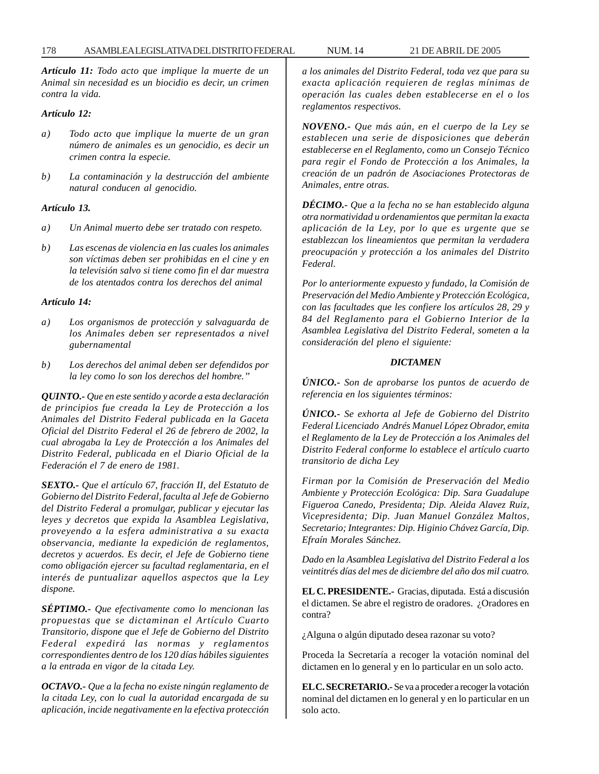178 ASAMBLEA LEGISLATIVA DEL DISTRITO FEDERAL NUM. 14 21 DE ABRIL DE 2005

*Artículo 11: Todo acto que implique la muerte de un Animal sin necesidad es un biocidio es decir, un crimen contra la vida.*

#### *Artículo 12:*

- *a) Todo acto que implique la muerte de un gran número de animales es un genocidio, es decir un crimen contra la especie.*
- *b) La contaminación y la destrucción del ambiente natural conducen al genocidio.*

# *Artículo 13.*

- *a) Un Animal muerto debe ser tratado con respeto.*
- *b) Las escenas de violencia en las cuales los animales son víctimas deben ser prohibidas en el cine y en la televisión salvo si tiene como fin el dar muestra de los atentados contra los derechos del animal*

# *Artículo 14:*

- *a) Los organismos de protección y salvaguarda de los Animales deben ser representados a nivel gubernamental*
- *b) Los derechos del animal deben ser defendidos por la ley como lo son los derechos del hombre.''*

*QUINTO.- Que en este sentido y acorde a esta declaración de principios fue creada la Ley de Protección a los Animales del Distrito Federal publicada en la Gaceta Oficial del Distrito Federal el 26 de febrero de 2002, la cual abrogaba la Ley de Protección a los Animales del Distrito Federal, publicada en el Diario Oficial de la Federación el 7 de enero de 1981.*

*SEXTO.- Que el artículo 67, fracción II, del Estatuto de Gobierno del Distrito Federal, faculta al Jefe de Gobierno del Distrito Federal a promulgar, publicar y ejecutar las leyes y decretos que expida la Asamblea Legislativa, proveyendo a la esfera administrativa a su exacta observancia, mediante la expedición de reglamentos, decretos y acuerdos. Es decir, el Jefe de Gobierno tiene como obligación ejercer su facultad reglamentaria, en el interés de puntualizar aquellos aspectos que la Ley dispone.*

*SÉPTIMO.- Que efectivamente como lo mencionan las propuestas que se dictaminan el Artículo Cuarto Transitorio, dispone que el Jefe de Gobierno del Distrito Federal expedirá las normas y reglamentos correspondientes dentro de los 120 días hábiles siguientes a la entrada en vigor de la citada Ley.*

*OCTAVO.- Que a la fecha no existe ningún reglamento de la citada Ley, con lo cual la autoridad encargada de su aplicación, incide negativamente en la efectiva protección* *a los animales del Distrito Federal, toda vez que para su exacta aplicación requieren de reglas mínimas de operación las cuales deben establecerse en el o los reglamentos respectivos.*

*NOVENO.- Que más aún, en el cuerpo de la Ley se establecen una serie de disposiciones que deberán establecerse en el Reglamento, como un Consejo Técnico para regir el Fondo de Protección a los Animales, la creación de un padrón de Asociaciones Protectoras de Animales, entre otras.*

*DÉCIMO.- Que a la fecha no se han establecido alguna otra normatividad u ordenamientos que permitan la exacta aplicación de la Ley, por lo que es urgente que se establezcan los lineamientos que permitan la verdadera preocupación y protección a los animales del Distrito Federal.*

*Por lo anteriormente expuesto y fundado, la Comisión de Preservación del Medio Ambiente y Protección Ecológica, con las facultades que les confiere los artículos 28, 29 y 84 del Reglamento para el Gobierno Interior de la Asamblea Legislativa del Distrito Federal, someten a la consideración del pleno el siguiente:*

# *DICTAMEN*

*ÚNICO.- Son de aprobarse los puntos de acuerdo de referencia en los siguientes términos:*

*ÚNICO.- Se exhorta al Jefe de Gobierno del Distrito Federal Licenciado Andrés Manuel López Obrador, emita el Reglamento de la Ley de Protección a los Animales del Distrito Federal conforme lo establece el artículo cuarto transitorio de dicha Ley*

*Firman por la Comisión de Preservación del Medio Ambiente y Protección Ecológica: Dip. Sara Guadalupe Figueroa Canedo, Presidenta; Dip. Aleida Alavez Ruiz, Vicepresidenta; Dip. Juan Manuel González Maltos, Secretario; Integrantes: Dip. Higinio Chávez García, Dip. Efraín Morales Sánchez.*

*Dado en la Asamblea Legislativa del Distrito Federal a los veintitrés días del mes de diciembre del año dos mil cuatro.*

**EL C. PRESIDENTE.-** Gracias, diputada. Está a discusión el dictamen. Se abre el registro de oradores. ¿Oradores en contra?

¿Alguna o algún diputado desea razonar su voto?

Proceda la Secretaría a recoger la votación nominal del dictamen en lo general y en lo particular en un solo acto.

**EL C. SECRETARIO.-** Se va a proceder a recoger la votación nominal del dictamen en lo general y en lo particular en un solo acto.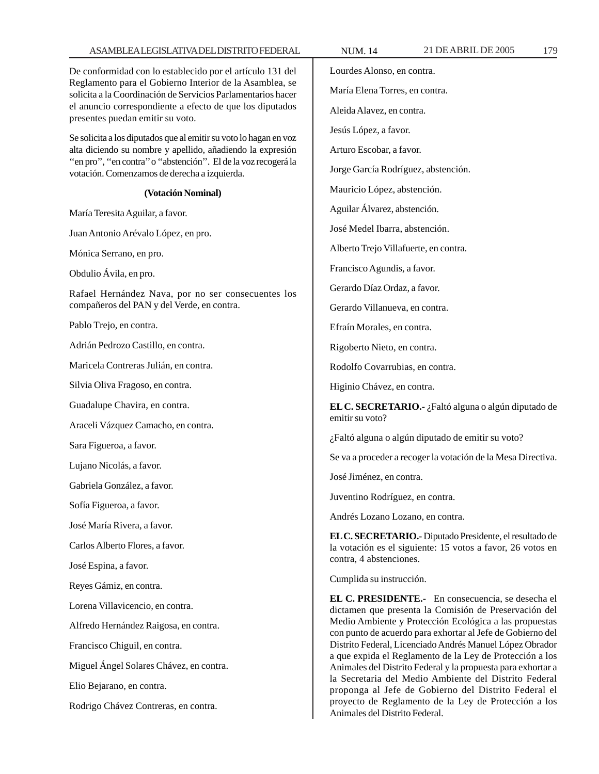## ASAMBLEA LEGISLATIVA DEL DISTRITO FEDERAL NUM. 14 21 DE ABRIL DE 2005 179

De conformidad con lo establecido por el artículo 131 del Reglamento para el Gobierno Interior de la Asamblea, se solicita a la Coordinación de Servicios Parlamentarios hacer el anuncio correspondiente a efecto de que los diputados presentes puedan emitir su voto.

Se solicita a los diputados que al emitir su voto lo hagan en voz alta diciendo su nombre y apellido, añadiendo la expresión "en pro", "en contra" o "abstención". El de la voz recogerá la votación. Comenzamos de derecha a izquierda.

#### **(Votación Nominal)**

María Teresita Aguilar, a favor.

Juan Antonio Arévalo López, en pro.

Mónica Serrano, en pro.

Obdulio Ávila, en pro.

Rafael Hernández Nava, por no ser consecuentes los compañeros del PAN y del Verde, en contra.

Pablo Trejo, en contra.

Adrián Pedrozo Castillo, en contra.

Maricela Contreras Julián, en contra.

Silvia Oliva Fragoso, en contra.

Guadalupe Chavira, en contra.

Araceli Vázquez Camacho, en contra.

Sara Figueroa, a favor.

Lujano Nicolás, a favor.

Gabriela González, a favor.

Sofía Figueroa, a favor.

José María Rivera, a favor.

Carlos Alberto Flores, a favor.

José Espina, a favor.

Reyes Gámiz, en contra.

Lorena Villavicencio, en contra.

Alfredo Hernández Raigosa, en contra.

Francisco Chiguil, en contra.

Miguel Ángel Solares Chávez, en contra.

Elio Bejarano, en contra.

Rodrigo Chávez Contreras, en contra.

Lourdes Alonso, en contra. María Elena Torres, en contra. Aleida Alavez, en contra. Jesús López, a favor. Arturo Escobar, a favor. Jorge García Rodríguez, abstención. Mauricio López, abstención. Aguilar Álvarez, abstención. José Medel Ibarra, abstención. Alberto Trejo Villafuerte, en contra. Francisco Agundis, a favor. Gerardo Díaz Ordaz, a favor. Gerardo Villanueva, en contra. Efraín Morales, en contra. Rigoberto Nieto, en contra. Rodolfo Covarrubias, en contra. Higinio Chávez, en contra. **EL C. SECRETARIO.-** ¿Faltó alguna o algún diputado de emitir su voto? ¿Faltó alguna o algún diputado de emitir su voto? Se va a proceder a recoger la votación de la Mesa Directiva. José Jiménez, en contra. Juventino Rodríguez, en contra. Andrés Lozano Lozano, en contra. **EL C. SECRETARIO.-** Diputado Presidente, el resultado de la votación es el siguiente: 15 votos a favor, 26 votos en contra, 4 abstenciones. Cumplida su instrucción. **EL C. PRESIDENTE.-** En consecuencia, se desecha el dictamen que presenta la Comisión de Preservación del Medio Ambiente y Protección Ecológica a las propuestas con punto de acuerdo para exhortar al Jefe de Gobierno del Distrito Federal, Licenciado Andrés Manuel López Obrador a que expida el Reglamento de la Ley de Protección a los

Animales del Distrito Federal y la propuesta para exhortar a la Secretaria del Medio Ambiente del Distrito Federal proponga al Jefe de Gobierno del Distrito Federal el proyecto de Reglamento de la Ley de Protección a los Animales del Distrito Federal.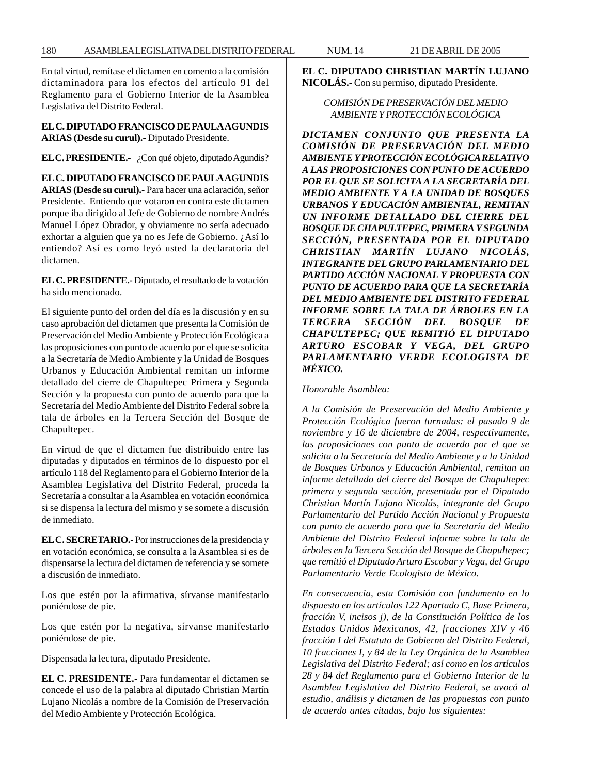180 ASAMBLEA LEGISLATIVA DEL DISTRITO FEDERAL NUM. 14 21 DE ABRIL DE 2005

En tal virtud, remítase el dictamen en comento a la comisión dictaminadora para los efectos del artículo 91 del Reglamento para el Gobierno Interior de la Asamblea Legislativa del Distrito Federal.

**EL C. DIPUTADO FRANCISCO DE PAULA AGUNDIS ARIAS (Desde su curul).-** Diputado Presidente.

**EL C. PRESIDENTE.-** ¿Con qué objeto, diputado Agundis?

**EL C. DIPUTADO FRANCISCO DE PAULA AGUNDIS ARIAS (Desde su curul).-** Para hacer una aclaración, señor Presidente. Entiendo que votaron en contra este dictamen porque iba dirigido al Jefe de Gobierno de nombre Andrés Manuel López Obrador, y obviamente no sería adecuado exhortar a alguien que ya no es Jefe de Gobierno. ¿Así lo entiendo? Así es como leyó usted la declaratoria del dictamen.

**EL C. PRESIDENTE.-** Diputado, el resultado de la votación ha sido mencionado.

El siguiente punto del orden del día es la discusión y en su caso aprobación del dictamen que presenta la Comisión de Preservación del Medio Ambiente y Protección Ecológica a las proposiciones con punto de acuerdo por el que se solicita a la Secretaría de Medio Ambiente y la Unidad de Bosques Urbanos y Educación Ambiental remitan un informe detallado del cierre de Chapultepec Primera y Segunda Sección y la propuesta con punto de acuerdo para que la Secretaría del Medio Ambiente del Distrito Federal sobre la tala de árboles en la Tercera Sección del Bosque de Chapultepec.

En virtud de que el dictamen fue distribuido entre las diputadas y diputados en términos de lo dispuesto por el artículo 118 del Reglamento para el Gobierno Interior de la Asamblea Legislativa del Distrito Federal, proceda la Secretaría a consultar a la Asamblea en votación económica si se dispensa la lectura del mismo y se somete a discusión de inmediato.

**EL C. SECRETARIO.-** Por instrucciones de la presidencia y en votación económica, se consulta a la Asamblea si es de dispensarse la lectura del dictamen de referencia y se somete a discusión de inmediato.

Los que estén por la afirmativa, sírvanse manifestarlo poniéndose de pie.

Los que estén por la negativa, sírvanse manifestarlo poniéndose de pie.

Dispensada la lectura, diputado Presidente.

**EL C. PRESIDENTE.-** Para fundamentar el dictamen se concede el uso de la palabra al diputado Christian Martín Lujano Nicolás a nombre de la Comisión de Preservación del Medio Ambiente y Protección Ecológica.

**EL C. DIPUTADO CHRISTIAN MARTÍN LUJANO NICOLÁS.-** Con su permiso, diputado Presidente.

# *COMISIÓN DE PRESERVACIÓN DEL MEDIO AMBIENTE Y PROTECCIÓN ECOLÓGICA*

*DICTAMEN CONJUNTO QUE PRESENTA LA COMISIÓN DE PRESERVACIÓN DEL MEDIO AMBIENTE Y PROTECCIÓN ECOLÓGICA RELATIVO A LAS PROPOSICIONES CON PUNTO DE ACUERDO POR EL QUE SE SOLICITA A LA SECRETARÍA DEL MEDIO AMBIENTE Y A LA UNIDAD DE BOSQUES URBANOS Y EDUCACIÓN AMBIENTAL, REMITAN UN INFORME DETALLADO DEL CIERRE DEL BOSQUE DE CHAPULTEPEC, PRIMERA Y SEGUNDA SECCIÓN, PRESENTADA POR EL DIPUTADO CHRISTIAN MARTÍN LUJANO NICOLÁS, INTEGRANTE DEL GRUPO PARLAMENTARIO DEL PARTIDO ACCIÓN NACIONAL Y PROPUESTA CON PUNTO DE ACUERDO PARA QUE LA SECRETARÍA DEL MEDIO AMBIENTE DEL DISTRITO FEDERAL INFORME SOBRE LA TALA DE ÁRBOLES EN LA TERCERA SECCIÓN DEL BOSQUE DE CHAPULTEPEC; QUE REMITIÓ EL DIPUTADO ARTURO ESCOBAR Y VEGA, DEL GRUPO PARLAMENTARIO VERDE ECOLOGISTA DE MÉXICO.*

*Honorable Asamblea:*

*A la Comisión de Preservación del Medio Ambiente y Protección Ecológica fueron turnadas: el pasado 9 de noviembre y 16 de diciembre de 2004, respectivamente, las proposiciones con punto de acuerdo por el que se solicita a la Secretaría del Medio Ambiente y a la Unidad de Bosques Urbanos y Educación Ambiental, remitan un informe detallado del cierre del Bosque de Chapultepec primera y segunda sección, presentada por el Diputado Christian Martín Lujano Nicolás, integrante del Grupo Parlamentario del Partido Acción Nacional y Propuesta con punto de acuerdo para que la Secretaría del Medio Ambiente del Distrito Federal informe sobre la tala de árboles en la Tercera Sección del Bosque de Chapultepec; que remitió el Diputado Arturo Escobar y Vega, del Grupo Parlamentario Verde Ecologista de México.*

*En consecuencia, esta Comisión con fundamento en lo dispuesto en los artículos 122 Apartado C, Base Primera, fracción V, incisos j), de la Constitución Política de los Estados Unidos Mexicanos, 42, fracciones XIV y 46 fracción I del Estatuto de Gobierno del Distrito Federal, 10 fracciones I, y 84 de la Ley Orgánica de la Asamblea Legislativa del Distrito Federal; así como en los artículos 28 y 84 del Reglamento para el Gobierno Interior de la Asamblea Legislativa del Distrito Federal, se avocó al estudio, análisis y dictamen de las propuestas con punto de acuerdo antes citadas, bajo los siguientes:*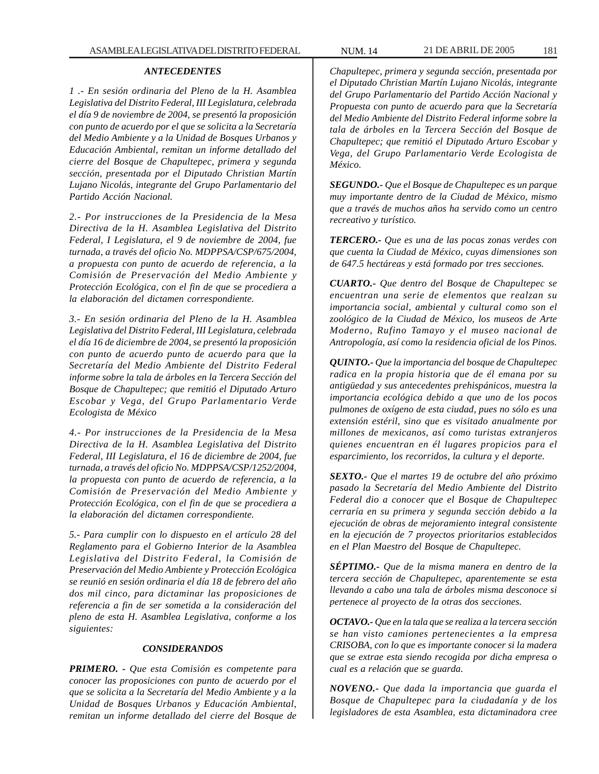### *ANTECEDENTES*

*1 .- En sesión ordinaria del Pleno de la H. Asamblea Legislativa del Distrito Federal, III Legislatura, celebrada el día 9 de noviembre de 2004, se presentó la proposición con punto de acuerdo por el que se solicita a la Secretaría del Medio Ambiente y a la Unidad de Bosques Urbanos y Educación Ambiental, remitan un informe detallado del cierre del Bosque de Chapultepec, primera y segunda sección, presentada por el Diputado Christian Martín Lujano Nicolás, integrante del Grupo Parlamentario del Partido Acción Nacional.*

*2.- Por instrucciones de la Presidencia de la Mesa Directiva de la H. Asamblea Legislativa del Distrito Federal, I Legislatura, el 9 de noviembre de 2004, fue turnada, a través del oficio No. MDPPSA/CSP/675/2004, a propuesta con punto de acuerdo de referencia, a la Comisión de Preservación del Medio Ambiente y Protección Ecológica, con el fin de que se procediera a la elaboración del dictamen correspondiente.*

*3.- En sesión ordinaria del Pleno de la H. Asamblea Legislativa del Distrito Federal, III Legislatura, celebrada el día 16 de diciembre de 2004, se presentó la proposición con punto de acuerdo punto de acuerdo para que la Secretaría del Medio Ambiente del Distrito Federal informe sobre la tala de árboles en la Tercera Sección del Bosque de Chapultepec; que remitió el Diputado Arturo Escobar y Vega, del Grupo Parlamentario Verde Ecologista de México*

*4.- Por instrucciones de la Presidencia de la Mesa Directiva de la H. Asamblea Legislativa del Distrito Federal, III Legislatura, el 16 de diciembre de 2004, fue turnada, a través del oficio No. MDPPSA/CSP/1252/2004, la propuesta con punto de acuerdo de referencia, a la Comisión de Preservación del Medio Ambiente y Protección Ecológica, con el fin de que se procediera a la elaboración del dictamen correspondiente.*

*5.- Para cumplir con lo dispuesto en el artículo 28 del Reglamento para el Gobierno Interior de la Asamblea Legislativa del Distrito Federal, la Comisión de Preservación del Medio Ambiente y Protección Ecológica se reunió en sesión ordinaria el día 18 de febrero del año dos mil cinco, para dictaminar las proposiciones de referencia a fin de ser sometida a la consideración del pleno de esta H. Asamblea Legislativa, conforme a los siguientes:*

#### *CONSIDERANDOS*

*PRIMERO. - Que esta Comisión es competente para conocer las proposiciones con punto de acuerdo por el que se solicita a la Secretaría del Medio Ambiente y a la Unidad de Bosques Urbanos y Educación Ambiental, remitan un informe detallado del cierre del Bosque de*

*Chapultepec, primera y segunda sección, presentada por el Diputado Christian Martín Lujano Nicolás, integrante del Grupo Parlamentario del Partido Acción Nacional y Propuesta con punto de acuerdo para que la Secretaría del Medio Ambiente del Distrito Federal informe sobre la tala de árboles en la Tercera Sección del Bosque de Chapultepec; que remitió el Diputado Arturo Escobar y Vega, del Grupo Parlamentario Verde Ecologista de México.*

*SEGUNDO.- Que el Bosque de Chapultepec es un parque muy importante dentro de la Ciudad de México, mismo que a través de muchos años ha servido como un centro recreativo y turístico.*

*TERCERO.- Que es una de las pocas zonas verdes con que cuenta la Ciudad de México, cuyas dimensiones son de 647.5 hectáreas y está formado por tres secciones.*

*CUARTO.- Que dentro del Bosque de Chapultepec se encuentran una serie de elementos que realzan su importancia social, ambiental y cultural como son el zoológico de la Ciudad de México, los museos de Arte Moderno, Rufino Tamayo y el museo nacional de Antropología, así como la residencia oficial de los Pinos.*

*QUINTO.- Que la importancia del bosque de Chapultepec radica en la propia historia que de él emana por su antigüedad y sus antecedentes prehispánicos, muestra la importancia ecológica debido a que uno de los pocos pulmones de oxígeno de esta ciudad, pues no sólo es una extensión estéril, sino que es visitado anualmente por millones de mexicanos, así como turistas extranjeros quienes encuentran en él lugares propicios para el esparcimiento, los recorridos, la cultura y el deporte.*

*SEXTO.- Que el martes 19 de octubre del año próximo pasado la Secretaría del Medio Ambiente del Distrito Federal dio a conocer que el Bosque de Chapultepec cerraría en su primera y segunda sección debido a la ejecución de obras de mejoramiento integral consistente en la ejecución de 7 proyectos prioritarios establecidos en el Plan Maestro del Bosque de Chapultepec.*

*SÉPTIMO.- Que de la misma manera en dentro de la tercera sección de Chapultepec, aparentemente se esta llevando a cabo una tala de árboles misma desconoce si pertenece al proyecto de la otras dos secciones.*

*OCTAVO.- Que en la tala que se realiza a la tercera sección se han visto camiones pertenecientes a la empresa CRISOBA, con lo que es importante conocer si la madera que se extrae esta siendo recogida por dicha empresa o cual es a relación que se guarda.*

*NOVENO.- Que dada la importancia que guarda el Bosque de Chapultepec para la ciudadanía y de los legisladores de esta Asamblea, esta dictaminadora cree*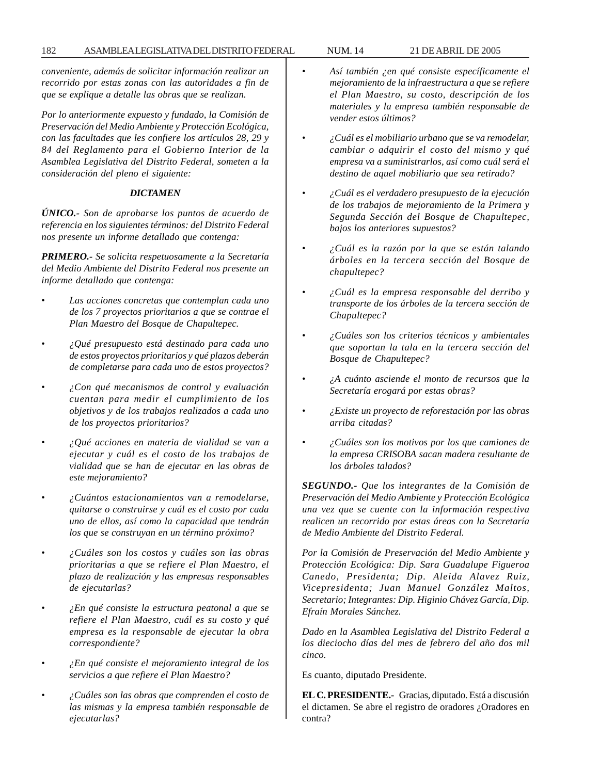182 ASAMBLEA LEGISLATIVA DEL DISTRITO FEDERAL NUM. 14 21 DE ABRIL DE 2005

*conveniente, además de solicitar información realizar un recorrido por estas zonas con las autoridades a fin de que se explique a detalle las obras que se realizan.*

*Por lo anteriormente expuesto y fundado, la Comisión de Preservación del Medio Ambiente y Protección Ecológica, con las facultades que les confiere los artículos 28, 29 y 84 del Reglamento para el Gobierno Interior de la Asamblea Legislativa del Distrito Federal, someten a la consideración del pleno el siguiente:*

# *DICTAMEN*

*ÚNICO.- Son de aprobarse los puntos de acuerdo de referencia en los siguientes términos: del Distrito Federal nos presente un informe detallado que contenga:*

*PRIMERO.- Se solicita respetuosamente a la Secretaría del Medio Ambiente del Distrito Federal nos presente un informe detallado que contenga:*

- *Las acciones concretas que contemplan cada uno de los 7 proyectos prioritarios a que se contrae el Plan Maestro del Bosque de Chapultepec.*
- *¿Qué presupuesto está destinado para cada uno de estos proyectos prioritarios y qué plazos deberán de completarse para cada uno de estos proyectos?*
- *¿Con qué mecanismos de control y evaluación cuentan para medir el cumplimiento de los objetivos y de los trabajos realizados a cada uno de los proyectos prioritarios?*
- *¿Qué acciones en materia de vialidad se van a ejecutar y cuál es el costo de los trabajos de vialidad que se han de ejecutar en las obras de este mejoramiento?*
- *¿Cuántos estacionamientos van a remodelarse, quitarse o construirse y cuál es el costo por cada uno de ellos, así como la capacidad que tendrán los que se construyan en un término próximo?*
- *¿Cuáles son los costos y cuáles son las obras prioritarias a que se refiere el Plan Maestro, el plazo de realización y las empresas responsables de ejecutarlas?*
- *¿En qué consiste la estructura peatonal a que se refiere el Plan Maestro, cuál es su costo y qué empresa es la responsable de ejecutar la obra correspondiente?*
- *¿En qué consiste el mejoramiento integral de los servicios a que refiere el Plan Maestro?*
- *¿Cuáles son las obras que comprenden el costo de las mismas y la empresa también responsable de ejecutarlas?*
- *Así también ¿en qué consiste específicamente el mejoramiento de la infraestructura a que se refiere el Plan Maestro, su costo, descripción de los materiales y la empresa también responsable de vender estos últimos?*
- *¿Cuál es el mobiliario urbano que se va remodelar, cambiar o adquirir el costo del mismo y qué empresa va a suministrarlos, así como cuál será el destino de aquel mobiliario que sea retirado?*
- *¿Cuál es el verdadero presupuesto de la ejecución de los trabajos de mejoramiento de la Primera y Segunda Sección del Bosque de Chapultepec, bajos los anteriores supuestos?*
- *¿Cuál es la razón por la que se están talando árboles en la tercera sección del Bosque de chapultepec?*
- *¿Cuál es la empresa responsable del derribo y transporte de los árboles de la tercera sección de Chapultepec?*
- *¿Cuáles son los criterios técnicos y ambientales que soportan la tala en la tercera sección del Bosque de Chapultepec?*
- *¿A cuánto asciende el monto de recursos que la Secretaría erogará por estas obras?*
- *¿Existe un proyecto de reforestación por las obras arriba citadas?*
- *¿Cuáles son los motivos por los que camiones de la empresa CRISOBA sacan madera resultante de los árboles talados?*

*SEGUNDO.- Que los integrantes de la Comisión de Preservación del Medio Ambiente y Protección Ecológica una vez que se cuente con la información respectiva realicen un recorrido por estas áreas con la Secretaría de Medio Ambiente del Distrito Federal.*

*Por la Comisión de Preservación del Medio Ambiente y Protección Ecológica: Dip. Sara Guadalupe Figueroa Canedo, Presidenta; Dip. Aleida Alavez Ruiz, Vicepresidenta; Juan Manuel González Maltos, Secretario; Integrantes: Dip. Higinio Chávez García, Dip. Efraín Morales Sánchez.*

*Dado en la Asamblea Legislativa del Distrito Federal a los dieciocho días del mes de febrero del año dos mil cinco.*

Es cuanto, diputado Presidente.

**EL C. PRESIDENTE.-** Gracias, diputado. Está a discusión el dictamen. Se abre el registro de oradores ¿Oradores en contra?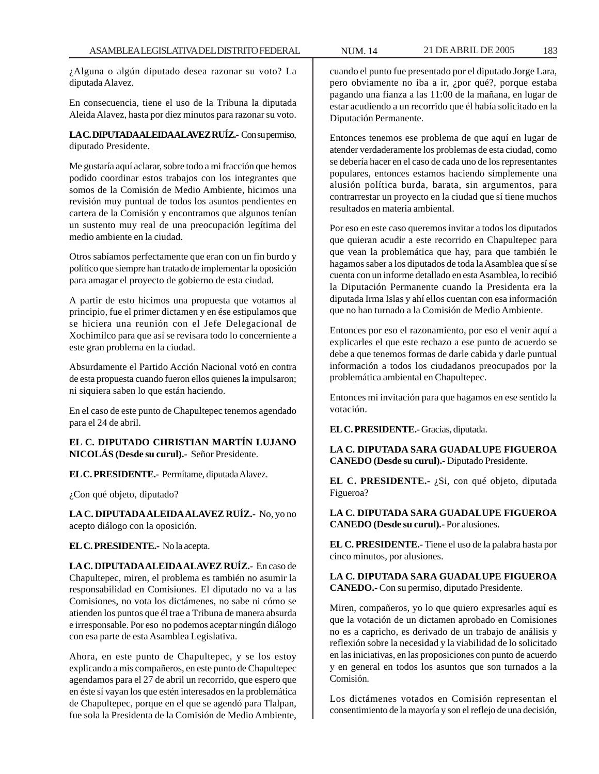¿Alguna o algún diputado desea razonar su voto? La diputada Alavez.

En consecuencia, tiene el uso de la Tribuna la diputada Aleida Alavez, hasta por diez minutos para razonar su voto.

**LA C. DIPUTADA ALEIDA ALAVEZ RUÍZ.-** Con su permiso, diputado Presidente.

Me gustaría aquí aclarar, sobre todo a mi fracción que hemos podido coordinar estos trabajos con los integrantes que somos de la Comisión de Medio Ambiente, hicimos una revisión muy puntual de todos los asuntos pendientes en cartera de la Comisión y encontramos que algunos tenían un sustento muy real de una preocupación legítima del medio ambiente en la ciudad.

Otros sabíamos perfectamente que eran con un fin burdo y político que siempre han tratado de implementar la oposición para amagar el proyecto de gobierno de esta ciudad.

A partir de esto hicimos una propuesta que votamos al principio, fue el primer dictamen y en ése estipulamos que se hiciera una reunión con el Jefe Delegacional de Xochimilco para que así se revisara todo lo concerniente a este gran problema en la ciudad.

Absurdamente el Partido Acción Nacional votó en contra de esta propuesta cuando fueron ellos quienes la impulsaron; ni siquiera saben lo que están haciendo.

En el caso de este punto de Chapultepec tenemos agendado para el 24 de abril.

**EL C. DIPUTADO CHRISTIAN MARTÍN LUJANO NICOLÁS (Desde su curul).-** Señor Presidente.

**EL C. PRESIDENTE.-** Permítame, diputada Alavez.

¿Con qué objeto, diputado?

**LA C. DIPUTADA ALEIDA ALAVEZ RUÍZ.-** No, yo no acepto diálogo con la oposición.

**EL C. PRESIDENTE.-** No la acepta.

**LA C. DIPUTADA ALEIDA ALAVEZ RUÍZ.-** En caso de Chapultepec, miren, el problema es también no asumir la responsabilidad en Comisiones. El diputado no va a las Comisiones, no vota los dictámenes, no sabe ni cómo se atienden los puntos que él trae a Tribuna de manera absurda e irresponsable. Por eso no podemos aceptar ningún diálogo con esa parte de esta Asamblea Legislativa.

Ahora, en este punto de Chapultepec, y se los estoy explicando a mis compañeros, en este punto de Chapultepec agendamos para el 27 de abril un recorrido, que espero que en éste sí vayan los que estén interesados en la problemática de Chapultepec, porque en el que se agendó para Tlalpan, fue sola la Presidenta de la Comisión de Medio Ambiente,

cuando el punto fue presentado por el diputado Jorge Lara, pero obviamente no iba a ir, ¿por qué?, porque estaba pagando una fianza a las 11:00 de la mañana, en lugar de estar acudiendo a un recorrido que él había solicitado en la Diputación Permanente.

Entonces tenemos ese problema de que aquí en lugar de atender verdaderamente los problemas de esta ciudad, como se debería hacer en el caso de cada uno de los representantes populares, entonces estamos haciendo simplemente una alusión política burda, barata, sin argumentos, para contrarrestar un proyecto en la ciudad que sí tiene muchos resultados en materia ambiental.

Por eso en este caso queremos invitar a todos los diputados que quieran acudir a este recorrido en Chapultepec para que vean la problemática que hay, para que también le hagamos saber a los diputados de toda la Asamblea que sí se cuenta con un informe detallado en esta Asamblea, lo recibió la Diputación Permanente cuando la Presidenta era la diputada Irma Islas y ahí ellos cuentan con esa información que no han turnado a la Comisión de Medio Ambiente.

Entonces por eso el razonamiento, por eso el venir aquí a explicarles el que este rechazo a ese punto de acuerdo se debe a que tenemos formas de darle cabida y darle puntual información a todos los ciudadanos preocupados por la problemática ambiental en Chapultepec.

Entonces mi invitación para que hagamos en ese sentido la votación.

**EL C. PRESIDENTE.-** Gracias, diputada.

**LA C. DIPUTADA SARA GUADALUPE FIGUEROA CANEDO (Desde su curul).-** Diputado Presidente.

**EL C. PRESIDENTE.-** ¿Si, con qué objeto, diputada Figueroa?

**LA C. DIPUTADA SARA GUADALUPE FIGUEROA CANEDO (Desde su curul).-** Por alusiones.

**EL C. PRESIDENTE.-** Tiene el uso de la palabra hasta por cinco minutos, por alusiones.

**LA C. DIPUTADA SARA GUADALUPE FIGUEROA CANEDO.-** Con su permiso, diputado Presidente.

Miren, compañeros, yo lo que quiero expresarles aquí es que la votación de un dictamen aprobado en Comisiones no es a capricho, es derivado de un trabajo de análisis y reflexión sobre la necesidad y la viabilidad de lo solicitado en las iniciativas, en las proposiciones con punto de acuerdo y en general en todos los asuntos que son turnados a la Comisión.

Los dictámenes votados en Comisión representan el consentimiento de la mayoría y son el reflejo de una decisión,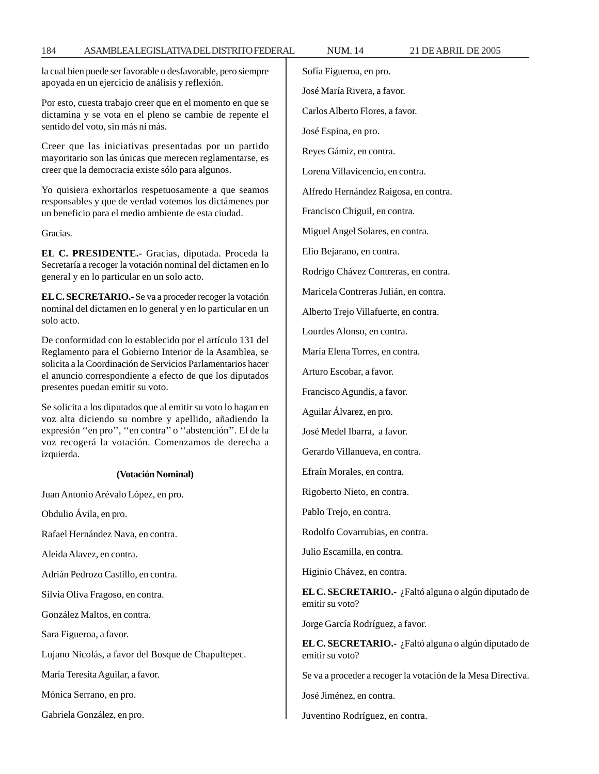la cual bien puede ser favorable o desfavorable, pero siempre apoyada en un ejercicio de análisis y reflexión.

Por esto, cuesta trabajo creer que en el momento en que se dictamina y se vota en el pleno se cambie de repente el sentido del voto, sin más ni más.

Creer que las iniciativas presentadas por un partido mayoritario son las únicas que merecen reglamentarse, es creer que la democracia existe sólo para algunos.

Yo quisiera exhortarlos respetuosamente a que seamos responsables y que de verdad votemos los dictámenes por un beneficio para el medio ambiente de esta ciudad.

Gracias.

**EL C. PRESIDENTE.-** Gracias, diputada. Proceda la Secretaría a recoger la votación nominal del dictamen en lo general y en lo particular en un solo acto.

**EL C. SECRETARIO.-** Se va a proceder recoger la votación nominal del dictamen en lo general y en lo particular en un solo acto.

De conformidad con lo establecido por el artículo 131 del Reglamento para el Gobierno Interior de la Asamblea, se solicita a la Coordinación de Servicios Parlamentarios hacer el anuncio correspondiente a efecto de que los diputados presentes puedan emitir su voto.

Se solicita a los diputados que al emitir su voto lo hagan en voz alta diciendo su nombre y apellido, añadiendo la expresión ''en pro'', ''en contra'' o ''abstención''. El de la voz recogerá la votación. Comenzamos de derecha a izquierda.

### **(Votación Nominal)**

Juan Antonio Arévalo López, en pro.

Obdulio Ávila, en pro.

Rafael Hernández Nava, en contra.

Aleida Alavez, en contra.

Adrián Pedrozo Castillo, en contra.

Silvia Oliva Fragoso, en contra.

González Maltos, en contra.

Sara Figueroa, a favor.

Lujano Nicolás, a favor del Bosque de Chapultepec.

María Teresita Aguilar, a favor.

Mónica Serrano, en pro.

Gabriela González, en pro.

Sofía Figueroa, en pro.

José María Rivera, a favor.

Carlos Alberto Flores, a favor.

José Espina, en pro.

Reyes Gámiz, en contra.

Lorena Villavicencio, en contra.

Alfredo Hernández Raigosa, en contra.

Francisco Chiguil, en contra.

Miguel Angel Solares, en contra.

Elio Bejarano, en contra.

Rodrigo Chávez Contreras, en contra.

Maricela Contreras Julián, en contra.

Alberto Trejo Villafuerte, en contra.

Lourdes Alonso, en contra.

María Elena Torres, en contra.

Arturo Escobar, a favor.

Francisco Agundis, a favor.

Aguilar Álvarez, en pro.

José Medel Ibarra, a favor.

Gerardo Villanueva, en contra.

Efraín Morales, en contra.

Rigoberto Nieto, en contra.

Pablo Trejo, en contra.

Rodolfo Covarrubias, en contra.

Julio Escamilla, en contra.

Higinio Chávez, en contra.

**EL C. SECRETARIO.-** ¿Faltó alguna o algún diputado de emitir su voto?

Jorge García Rodríguez, a favor.

**EL C. SECRETARIO.-** ¿Faltó alguna o algún diputado de emitir su voto?

Se va a proceder a recoger la votación de la Mesa Directiva.

José Jiménez, en contra.

Juventino Rodríguez, en contra.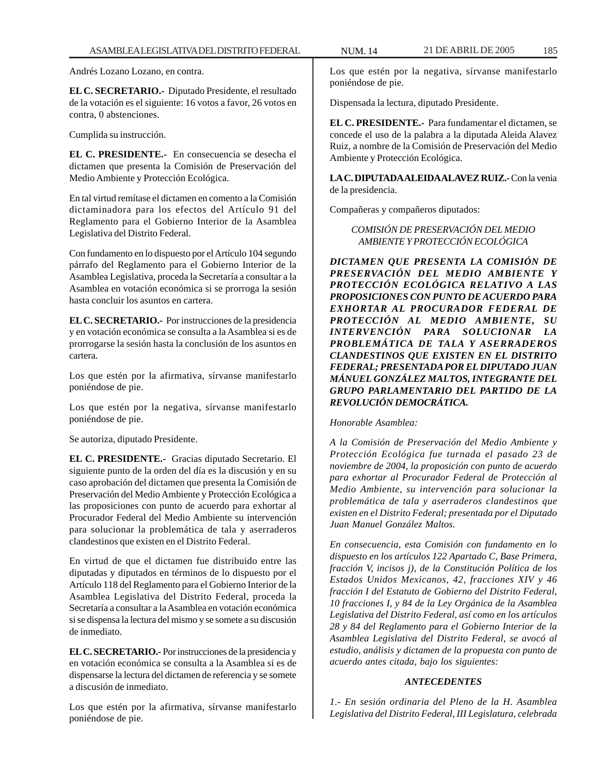Andrés Lozano Lozano, en contra.

**EL C. SECRETARIO.-** Diputado Presidente, el resultado de la votación es el siguiente: 16 votos a favor, 26 votos en contra, 0 abstenciones.

Cumplida su instrucción.

**EL C. PRESIDENTE.-** En consecuencia se desecha el dictamen que presenta la Comisión de Preservación del Medio Ambiente y Protección Ecológica.

En tal virtud remítase el dictamen en comento a la Comisión dictaminadora para los efectos del Artículo 91 del Reglamento para el Gobierno Interior de la Asamblea Legislativa del Distrito Federal.

Con fundamento en lo dispuesto por el Artículo 104 segundo párrafo del Reglamento para el Gobierno Interior de la Asamblea Legislativa, proceda la Secretaría a consultar a la Asamblea en votación económica si se prorroga la sesión hasta concluir los asuntos en cartera.

**EL C. SECRETARIO.-** Por instrucciones de la presidencia y en votación económica se consulta a la Asamblea si es de prorrogarse la sesión hasta la conclusión de los asuntos en cartera.

Los que estén por la afirmativa, sírvanse manifestarlo poniéndose de pie.

Los que estén por la negativa, sírvanse manifestarlo poniéndose de pie.

Se autoriza, diputado Presidente.

**EL C. PRESIDENTE.-** Gracias diputado Secretario. El siguiente punto de la orden del día es la discusión y en su caso aprobación del dictamen que presenta la Comisión de Preservación del Medio Ambiente y Protección Ecológica a las proposiciones con punto de acuerdo para exhortar al Procurador Federal del Medio Ambiente su intervención para solucionar la problemática de tala y aserraderos clandestinos que existen en el Distrito Federal.

En virtud de que el dictamen fue distribuido entre las diputadas y diputados en términos de lo dispuesto por el Artículo 118 del Reglamento para el Gobierno Interior de la Asamblea Legislativa del Distrito Federal, proceda la Secretaría a consultar a la Asamblea en votación económica si se dispensa la lectura del mismo y se somete a su discusión de inmediato.

**EL C. SECRETARIO.-** Por instrucciones de la presidencia y en votación económica se consulta a la Asamblea si es de dispensarse la lectura del dictamen de referencia y se somete a discusión de inmediato.

Los que estén por la afirmativa, sírvanse manifestarlo poniéndose de pie.

Los que estén por la negativa, sírvanse manifestarlo poniéndose de pie.

Dispensada la lectura, diputado Presidente.

**EL C. PRESIDENTE.-** Para fundamentar el dictamen, se concede el uso de la palabra a la diputada Aleida Alavez Ruiz, a nombre de la Comisión de Preservación del Medio Ambiente y Protección Ecológica.

**LA C. DIPUTADA ALEIDA ALAVEZ RUIZ.-** Con la venia de la presidencia.

Compañeras y compañeros diputados:

*COMISIÓN DE PRESERVACIÓN DEL MEDIO AMBIENTE Y PROTECCIÓN ECOLÓGICA*

*DICTAMEN QUE PRESENTA LA COMISIÓN DE PRESERVACIÓN DEL MEDIO AMBIENTE Y PROTECCIÓN ECOLÓGICA RELATIVO A LAS PROPOSICIONES CON PUNTO DE ACUERDO PARA EXHORTAR AL PROCURADOR FEDERAL DE PROTECCIÓN AL MEDIO AMBIENTE, SU INTERVENCIÓN PARA SOLUCIONAR LA PROBLEMÁTICA DE TALA Y ASERRADEROS CLANDESTINOS QUE EXISTEN EN EL DISTRITO FEDERAL; PRESENTADA POR EL DIPUTADO JUAN MÁNUEL GONZÁLEZ MALTOS, INTEGRANTE DEL GRUPO PARLAMENTARIO DEL PARTIDO DE LA REVOLUCIÓN DEMOCRÁTICA.*

*Honorable Asamblea:*

*A la Comisión de Preservación del Medio Ambiente y Protección Ecológica fue turnada el pasado 23 de noviembre de 2004, la proposición con punto de acuerdo para exhortar al Procurador Federal de Protección al Medio Ambiente, su intervención para solucionar la problemática de tala y aserraderos clandestinos que existen en el Distrito Federal; presentada por el Diputado Juan Manuel González Maltos.*

*En consecuencia, esta Comisión con fundamento en lo dispuesto en los artículos 122 Apartado C, Base Primera, fracción V, incisos j), de la Constitución Política de los Estados Unidos Mexicanos, 42, fracciones XIV y 46 fracción I del Estatuto de Gobierno del Distrito Federal, 10 fracciones I, y 84 de la Ley Orgánica de la Asamblea Legislativa del Distrito Federal, así como en los artículos 28 y 84 del Reglamento para el Gobierno Interior de la Asamblea Legislativa del Distrito Federal, se avocó al estudio, análisis y dictamen de la propuesta con punto de acuerdo antes citada, bajo los siguientes:*

### *ANTECEDENTES*

*1.- En sesión ordinaria del Pleno de la H. Asamblea Legislativa del Distrito Federal, III Legislatura, celebrada*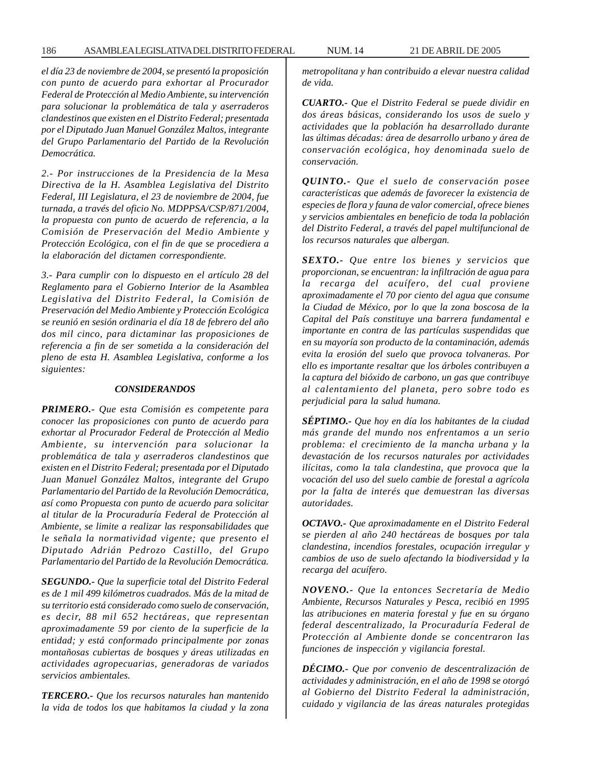*el día 23 de noviembre de 2004, se presentó la proposición con punto de acuerdo para exhortar al Procurador Federal de Protección al Medio Ambiente, su intervención para solucionar la problemática de tala y aserraderos clandestinos que existen en el Distrito Federal; presentada por el Diputado Juan Manuel González Maltos, integrante del Grupo Parlamentario del Partido de la Revolución Democrática.*

*2.- Por instrucciones de la Presidencia de la Mesa Directiva de la H. Asamblea Legislativa del Distrito Federal, III Legislatura, el 23 de noviembre de 2004, fue turnada, a través del oficio No. MDPPSA/CSP/871/2004, la propuesta con punto de acuerdo de referencia, a la Comisión de Preservación del Medio Ambiente y Protección Ecológica, con el fin de que se procediera a la elaboración del dictamen correspondiente.*

*3.- Para cumplir con lo dispuesto en el artículo 28 del Reglamento para el Gobierno Interior de la Asamblea Legislativa del Distrito Federal, la Comisión de Preservación del Medio Ambiente y Protección Ecológica se reunió en sesión ordinaria el día 18 de febrero del año dos mil cinco, para dictaminar las proposiciones de referencia a fin de ser sometida a la consideración del pleno de esta H. Asamblea Legislativa, conforme a los siguientes:*

#### *CONSIDERANDOS*

*PRIMERO.- Que esta Comisión es competente para conocer las proposiciones con punto de acuerdo para exhortar al Procurador Federal de Protección al Medio Ambiente, su intervención para solucionar la problemática de tala y aserraderos clandestinos que existen en el Distrito Federal; presentada por el Diputado Juan Manuel González Maltos, integrante del Grupo Parlamentario del Partido de la Revolución Democrática, así como Propuesta con punto de acuerdo para solicitar al titular de la Procuraduría Federal de Protección al Ambiente, se limite a realizar las responsabilidades que le señala la normatividad vigente; que presento el Diputado Adrián Pedrozo Castillo, del Grupo Parlamentario del Partido de la Revolución Democrática.*

*SEGUNDO.- Que la superficie total del Distrito Federal es de 1 mil 499 kilómetros cuadrados. Más de la mitad de su territorio está considerado como suelo de conservación, es decir, 88 mil 652 hectáreas, que representan aproximadamente 59 por ciento de la superficie de la entidad; y está conformado principalmente por zonas montañosas cubiertas de bosques y áreas utilizadas en actividades agropecuarias, generadoras de variados servicios ambientales.*

*TERCERO.- Que los recursos naturales han mantenido la vida de todos los que habitamos la ciudad y la zona* *metropolitana y han contribuido a elevar nuestra calidad de vida.*

*CUARTO.- Que el Distrito Federal se puede dividir en dos áreas básicas, considerando los usos de suelo y actividades que la población ha desarrollado durante las últimas décadas: área de desarrollo urbano y área de conservación ecológica, hoy denominada suelo de conservación.*

*QUINTO.- Que el suelo de conservación posee características que además de favorecer la existencia de especies de flora y fauna de valor comercial, ofrece bienes y servicios ambientales en beneficio de toda la población del Distrito Federal, a través del papel multifuncional de los recursos naturales que albergan.*

*SEXTO.- Que entre los bienes y servicios que proporcionan, se encuentran: la infiltración de agua para la recarga del acuífero, del cual proviene aproximadamente el 70 por ciento del agua que consume la Ciudad de México, por lo que la zona boscosa de la Capital del País constituye una barrera fundamental e importante en contra de las partículas suspendidas que en su mayoría son producto de la contaminación, además evita la erosión del suelo que provoca tolvaneras. Por ello es importante resaltar que los árboles contribuyen a la captura del bióxido de carbono, un gas que contribuye al calentamiento del planeta, pero sobre todo es perjudicial para la salud humana.*

*SÉPTIMO.- Que hoy en día los habitantes de la ciudad más grande del mundo nos enfrentamos a un serio problema: el crecimiento de la mancha urbana y la devastación de los recursos naturales por actividades ilícitas, como la tala clandestina, que provoca que la vocación del uso del suelo cambie de forestal a agrícola por la falta de interés que demuestran las diversas autoridades.*

*OCTAVO.- Que aproximadamente en el Distrito Federal se pierden al año 240 hectáreas de bosques por tala clandestina, incendios forestales, ocupación irregular y cambios de uso de suelo afectando la biodiversidad y la recarga del acuífero.*

*NOVENO.- Que la entonces Secretaría de Medio Ambiente, Recursos Naturales y Pesca, recibió en 1995 las atribuciones en materia forestal y fue en su órgano federal descentralizado, la Procuraduría Federal de Protección al Ambiente donde se concentraron las funciones de inspección y vigilancia forestal.*

*DÉCIMO.- Que por convenio de descentralización de actividades y administración, en el año de 1998 se otorgó al Gobierno del Distrito Federal la administración, cuidado y vigilancia de las áreas naturales protegidas*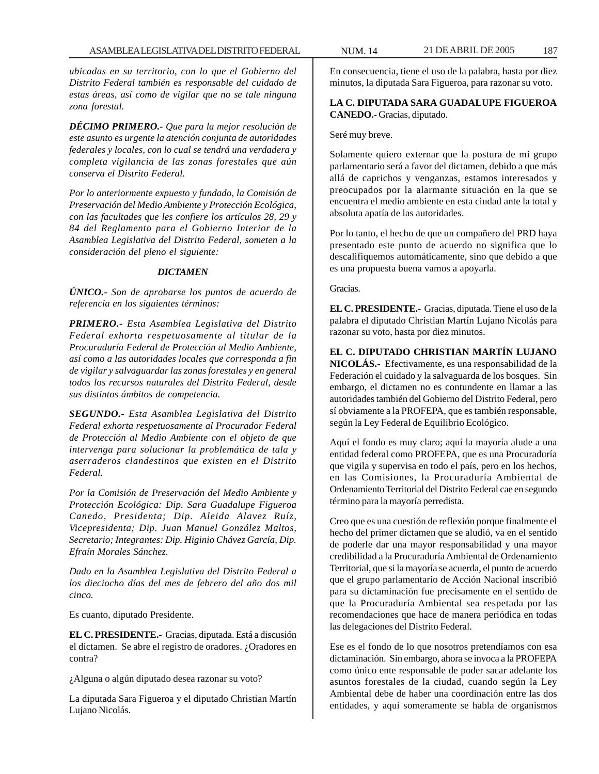*ubicadas en su territorio, con lo que el Gobierno del Distrito Federal también es responsable del cuidado de estas áreas, así como de vigilar que no se tale ninguna zona forestal.*

*DÉCIMO PRIMERO.- Que para la mejor resolución de este asunto es urgente la atención conjunta de autoridades federales y locales, con lo cual se tendrá una verdadera y completa vigilancia de las zonas forestales que aún conserva el Distrito Federal.*

*Por lo anteriormente expuesto y fundado, la Comisión de Preservación del Medio Ambiente y Protección Ecológica, con las facultades que les confiere los artículos 28, 29 y 84 del Reglamento para el Gobierno Interior de la Asamblea Legislativa del Distrito Federal, someten a la consideración del pleno el siguiente:*

### *DICTAMEN*

*ÚNICO.- Son de aprobarse los puntos de acuerdo de referencia en los siguientes términos:*

*PRIMERO.- Esta Asamblea Legislativa del Distrito Federal exhorta respetuosamente al titular de la Procuraduría Federal de Protección al Medio Ambiente, así como a las autoridades locales que corresponda a fin de vigilar y salvaguardar las zonas forestales y en general todos los recursos naturales del Distrito Federal, desde sus distintos ámbitos de competencia.*

*SEGUNDO.- Esta Asamblea Legislativa del Distrito Federal exhorta respetuosamente al Procurador Federal de Protección al Medio Ambiente con el objeto de que intervenga para solucionar la problemática de tala y aserraderos clandestinos que existen en el Distrito Federal.*

*Por la Comisión de Preservación del Medio Ambiente y Protección Ecológica: Dip. Sara Guadalupe Figueroa Canedo, Presidenta; Dip. Aleida Alavez Ruíz, Vicepresidenta; Dip. Juan Manuel González Maltos, Secretario; Integrantes: Dip. Higinio Chávez García, Dip. Efraín Morales Sánchez.*

*Dado en la Asamblea Legislativa del Distrito Federal a los dieciocho días del mes de febrero del año dos mil cinco.*

Es cuanto, diputado Presidente.

**EL C. PRESIDENTE.-** Gracias, diputada. Está a discusión el dictamen. Se abre el registro de oradores. ¿Oradores en contra?

¿Alguna o algún diputado desea razonar su voto?

La diputada Sara Figueroa y el diputado Christian Martín Lujano Nicolás.

En consecuencia, tiene el uso de la palabra, hasta por diez minutos, la diputada Sara Figueroa, para razonar su voto.

# **LA C. DIPUTADA SARA GUADALUPE FIGUEROA CANEDO.-** Gracias, diputado.

Seré muy breve.

Solamente quiero externar que la postura de mi grupo parlamentario será a favor del dictamen, debido a que más allá de caprichos y venganzas, estamos interesados y preocupados por la alarmante situación en la que se encuentra el medio ambiente en esta ciudad ante la total y absoluta apatía de las autoridades.

Por lo tanto, el hecho de que un compañero del PRD haya presentado este punto de acuerdo no significa que lo descalifiquemos automáticamente, sino que debido a que es una propuesta buena vamos a apoyarla.

Gracias.

**EL C. PRESIDENTE.-** Gracias, diputada. Tiene el uso de la palabra el diputado Christian Martín Lujano Nicolás para razonar su voto, hasta por diez minutos.

**EL C. DIPUTADO CHRISTIAN MARTÍN LUJANO NICOLÁS.-** Efectivamente, es una responsabilidad de la Federación el cuidado y la salvaguarda de los bosques. Sin embargo, el dictamen no es contundente en llamar a las autoridades también del Gobierno del Distrito Federal, pero sí obviamente a la PROFEPA, que es también responsable, según la Ley Federal de Equilibrio Ecológico.

Aquí el fondo es muy claro; aquí la mayoría alude a una entidad federal como PROFEPA, que es una Procuraduría que vigila y supervisa en todo el país, pero en los hechos, en las Comisiones, la Procuraduría Ambiental de Ordenamiento Territorial del Distrito Federal cae en segundo término para la mayoría perredista.

Creo que es una cuestión de reflexión porque finalmente el hecho del primer dictamen que se aludió, va en el sentido de poderle dar una mayor responsabilidad y una mayor credibilidad a la Procuraduría Ambiental de Ordenamiento Territorial, que si la mayoría se acuerda, el punto de acuerdo que el grupo parlamentario de Acción Nacional inscribió para su dictaminación fue precisamente en el sentido de que la Procuraduría Ambiental sea respetada por las recomendaciones que hace de manera periódica en todas las delegaciones del Distrito Federal.

Ese es el fondo de lo que nosotros pretendíamos con esa dictaminación. Sin embargo, ahora se invoca a la PROFEPA como único ente responsable de poder sacar adelante los asuntos forestales de la ciudad, cuando según la Ley Ambiental debe de haber una coordinación entre las dos entidades, y aquí someramente se habla de organismos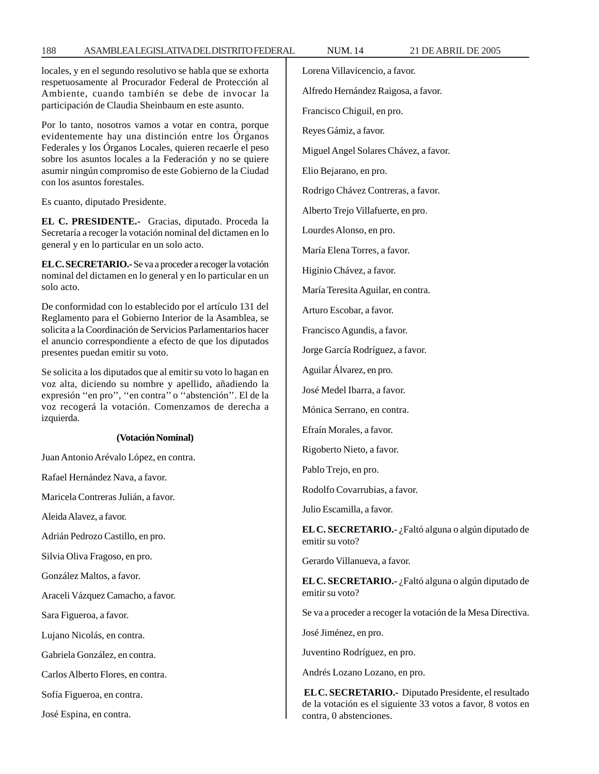locales, y en el segundo resolutivo se habla que se exhorta respetuosamente al Procurador Federal de Protección al Ambiente, cuando también se debe de invocar la participación de Claudia Sheinbaum en este asunto.

Por lo tanto, nosotros vamos a votar en contra, porque evidentemente hay una distinción entre los Órganos Federales y los Órganos Locales, quieren recaerle el peso sobre los asuntos locales a la Federación y no se quiere asumir ningún compromiso de este Gobierno de la Ciudad con los asuntos forestales.

Es cuanto, diputado Presidente.

**EL C. PRESIDENTE.-** Gracias, diputado. Proceda la Secretaría a recoger la votación nominal del dictamen en lo general y en lo particular en un solo acto.

**EL C. SECRETARIO.-** Se va a proceder a recoger la votación nominal del dictamen en lo general y en lo particular en un solo acto.

De conformidad con lo establecido por el artículo 131 del Reglamento para el Gobierno Interior de la Asamblea, se solicita a la Coordinación de Servicios Parlamentarios hacer el anuncio correspondiente a efecto de que los diputados presentes puedan emitir su voto.

Se solicita a los diputados que al emitir su voto lo hagan en voz alta, diciendo su nombre y apellido, añadiendo la expresión ''en pro'', ''en contra'' o ''abstención''. El de la voz recogerá la votación. Comenzamos de derecha a izquierda.

#### **(Votación Nominal)**

Juan Antonio Arévalo López, en contra.

Rafael Hernández Nava, a favor.

Maricela Contreras Julián, a favor.

Aleida Alavez, a favor.

Adrián Pedrozo Castillo, en pro.

Silvia Oliva Fragoso, en pro.

González Maltos, a favor.

Araceli Vázquez Camacho, a favor.

Sara Figueroa, a favor.

Lujano Nicolás, en contra.

Gabriela González, en contra.

Carlos Alberto Flores, en contra.

Sofía Figueroa, en contra.

José Espina, en contra.

Lorena Villavicencio, a favor. Alfredo Hernández Raigosa, a favor. Francisco Chiguil, en pro. Reyes Gámiz, a favor. Miguel Angel Solares Chávez, a favor. Elio Bejarano, en pro. Rodrigo Chávez Contreras, a favor. Alberto Trejo Villafuerte, en pro. Lourdes Alonso, en pro. María Elena Torres, a favor. Higinio Chávez, a favor. María Teresita Aguilar, en contra. Arturo Escobar, a favor. Francisco Agundis, a favor. Jorge García Rodríguez, a favor. Aguilar Álvarez, en pro. José Medel Ibarra, a favor. Mónica Serrano, en contra. Efraín Morales, a favor. Rigoberto Nieto, a favor. Pablo Trejo, en pro. Rodolfo Covarrubias, a favor. Julio Escamilla, a favor. **EL C. SECRETARIO.-** ¿Faltó alguna o algún diputado de emitir su voto? Gerardo Villanueva, a favor. **EL C. SECRETARIO.-** ¿Faltó alguna o algún diputado de emitir su voto? Se va a proceder a recoger la votación de la Mesa Directiva. José Jiménez, en pro. Juventino Rodríguez, en pro.

Andrés Lozano Lozano, en pro.

**EL C. SECRETARIO.-** Diputado Presidente, el resultado de la votación es el siguiente 33 votos a favor, 8 votos en contra, 0 abstenciones.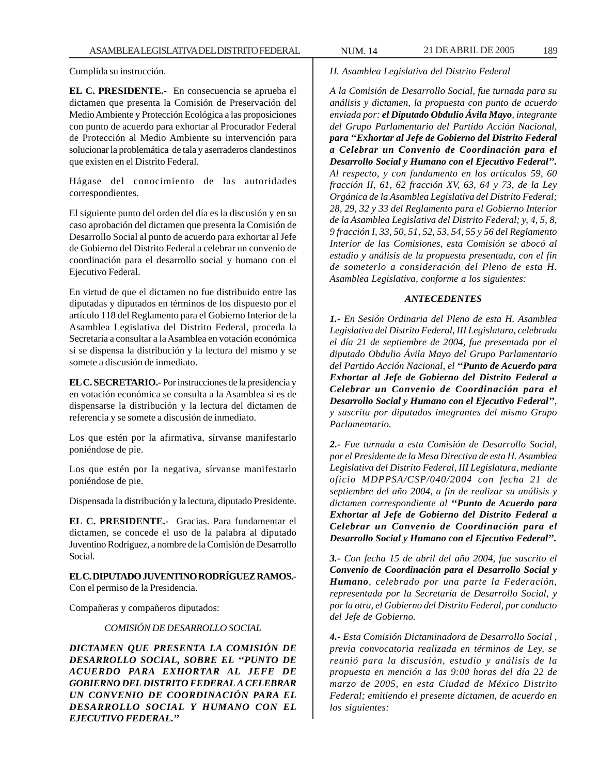Cumplida su instrucción.

**EL C. PRESIDENTE.-** En consecuencia se aprueba el dictamen que presenta la Comisión de Preservación del Medio Ambiente y Protección Ecológica a las proposiciones con punto de acuerdo para exhortar al Procurador Federal de Protección al Medio Ambiente su intervención para solucionar la problemática de tala y aserraderos clandestinos que existen en el Distrito Federal.

Hágase del conocimiento de las autoridades correspondientes.

El siguiente punto del orden del día es la discusión y en su caso aprobación del dictamen que presenta la Comisión de Desarrollo Social al punto de acuerdo para exhortar al Jefe de Gobierno del Distrito Federal a celebrar un convenio de coordinación para el desarrollo social y humano con el Ejecutivo Federal.

En virtud de que el dictamen no fue distribuido entre las diputadas y diputados en términos de los dispuesto por el artículo 118 del Reglamento para el Gobierno Interior de la Asamblea Legislativa del Distrito Federal, proceda la Secretaría a consultar a la Asamblea en votación económica si se dispensa la distribución y la lectura del mismo y se somete a discusión de inmediato.

**EL C. SECRETARIO.-** Por instrucciones de la presidencia y en votación económica se consulta a la Asamblea si es de dispensarse la distribución y la lectura del dictamen de referencia y se somete a discusión de inmediato.

Los que estén por la afirmativa, sírvanse manifestarlo poniéndose de pie.

Los que estén por la negativa, sírvanse manifestarlo poniéndose de pie.

Dispensada la distribución y la lectura, diputado Presidente.

**EL C. PRESIDENTE.-** Gracias. Para fundamentar el dictamen, se concede el uso de la palabra al diputado Juventino Rodríguez, a nombre de la Comisión de Desarrollo Social.

**EL C. DIPUTADO JUVENTINO RODRÍGUEZ RAMOS.-** Con el permiso de la Presidencia.

Compañeras y compañeros diputados:

*COMISIÓN DE DESARROLLO SOCIAL*

*DICTAMEN QUE PRESENTA LA COMISIÓN DE DESARROLLO SOCIAL, SOBRE EL ''PUNTO DE ACUERDO PARA EXHORTAR AL JEFE DE GOBIERNO DEL DISTRITO FEDERAL A CELEBRAR UN CONVENIO DE COORDINACIÓN PARA EL DESARROLLO SOCIAL Y HUMANO CON EL EJECUTIVO FEDERAL.''*

### *H. Asamblea Legislativa del Distrito Federal*

*A la Comisión de Desarrollo Social, fue turnada para su análisis y dictamen, la propuesta con punto de acuerdo enviada por: el Diputado Obdulio Ávila Mayo, integrante del Grupo Parlamentario del Partido Acción Nacional, para ''Exhortar al Jefe de Gobierno del Distrito Federal a Celebrar un Convenio de Coordinación para el Desarrollo Social y Humano con el Ejecutivo Federal''. Al respecto, y con fundamento en los artículos 59, 60 fracción II, 61, 62 fracción XV, 63, 64 y 73, de la Ley Orgánica de la Asamblea Legislativa del Distrito Federal; 28, 29, 32 y 33 del Reglamento para el Gobierno Interior de la Asamblea Legislativa del Distrito Federal; y, 4, 5, 8, 9 fracción I, 33, 50, 51, 52, 53, 54, 55 y 56 del Reglamento Interior de las Comisiones, esta Comisión se abocó al estudio y análisis de la propuesta presentada, con el fin de someterlo a consideración del Pleno de esta H. Asamblea Legislativa, conforme a los siguientes:*

### *ANTECEDENTES*

*1.- En Sesión Ordinaria del Pleno de esta H. Asamblea Legislativa del Distrito Federal, III Legislatura, celebrada el día 21 de septiembre de 2004, fue presentada por el diputado Obdulio Ávila Mayo del Grupo Parlamentario del Partido Acción Nacional, el ''Punto de Acuerdo para Exhortar al Jefe de Gobierno del Distrito Federal a Celebrar un Convenio de Coordinación para el Desarrollo Social y Humano con el Ejecutivo Federal'', y suscrita por diputados integrantes del mismo Grupo Parlamentario.*

*2.- Fue turnada a esta Comisión de Desarrollo Social, por el Presidente de la Mesa Directiva de esta H. Asamblea Legislativa del Distrito Federal, III Legislatura, mediante oficio MDPPSA/CSP/040/2004 con fecha 21 de septiembre del año 2004, a fin de realizar su análisis y dictamen correspondiente al ''Punto de Acuerdo para Exhortar al Jefe de Gobierno del Distrito Federal a Celebrar un Convenio de Coordinación para el Desarrollo Social y Humano con el Ejecutivo Federal''.*

*3.- Con fecha 15 de abril del año 2004, fue suscrito el Convenio de Coordinación para el Desarrollo Social y Humano, celebrado por una parte la Federación, representada por la Secretaría de Desarrollo Social, y por la otra, el Gobierno del Distrito Federal, por conducto del Jefe de Gobierno.*

*4.- Esta Comisión Dictaminadora de Desarrollo Social , previa convocatoria realizada en términos de Ley, se reunió para la discusión, estudio y análisis de la propuesta en mención a las 9:00 horas del día 22 de marzo de 2005, en esta Ciudad de México Distrito Federal; emitiendo el presente dictamen, de acuerdo en los siguientes:*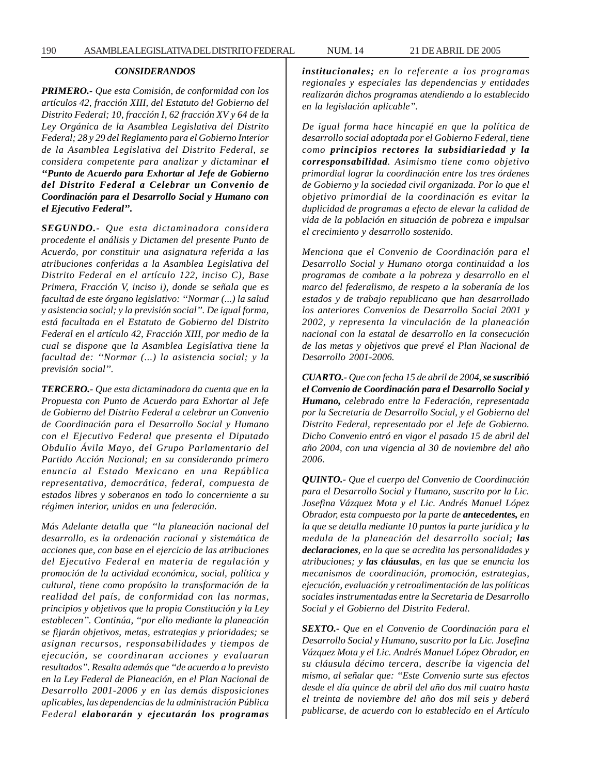*PRIMERO.- Que esta Comisión, de conformidad con los artículos 42, fracción XIII, del Estatuto del Gobierno del Distrito Federal; 10, fracción I, 62 fracción XV y 64 de la Ley Orgánica de la Asamblea Legislativa del Distrito Federal; 28 y 29 del Reglamento para el Gobierno Interior de la Asamblea Legislativa del Distrito Federal, se considera competente para analizar y dictaminar el ''Punto de Acuerdo para Exhortar al Jefe de Gobierno del Distrito Federal a Celebrar un Convenio de Coordinación para el Desarrollo Social y Humano con el Ejecutivo Federal''.*

*SEGUNDO.- Que esta dictaminadora considera procedente el análisis y Dictamen del presente Punto de Acuerdo, por constituir una asignatura referida a las atribuciones conferidas a la Asamblea Legislativa del Distrito Federal en el artículo 122, inciso C), Base Primera, Fracción V, inciso i), donde se señala que es facultad de este órgano legislativo: ''Normar (...) la salud y asistencia social; y la previsión social''. De igual forma, está facultada en el Estatuto de Gobierno del Distrito Federal en el artículo 42, Fracción XIII, por medio de la cual se dispone que la Asamblea Legislativa tiene la facultad de: ''Normar (...) la asistencia social; y la previsión social''.*

*TERCERO.- Que esta dictaminadora da cuenta que en la Propuesta con Punto de Acuerdo para Exhortar al Jefe de Gobierno del Distrito Federal a celebrar un Convenio de Coordinación para el Desarrollo Social y Humano con el Ejecutivo Federal que presenta el Diputado Obdulio Ávila Mayo, del Grupo Parlamentario del Partido Acción Nacional; en su considerando primero enuncia al Estado Mexicano en una República representativa, democrática, federal, compuesta de estados libres y soberanos en todo lo concerniente a su régimen interior, unidos en una federación.*

*Más Adelante detalla que ''la planeación nacional del desarrollo, es la ordenación racional y sistemática de acciones que, con base en el ejercicio de las atribuciones del Ejecutivo Federal en materia de regulación y promoción de la actividad económica, social, política y cultural, tiene como propósito la transformación de la realidad del país, de conformidad con las normas, principios y objetivos que la propia Constitución y la Ley establecen''. Continúa, ''por ello mediante la planeación se fijarán objetivos, metas, estrategias y prioridades; se asignan recursos, responsabilidades y tiempos de ejecución, se coordinaran acciones y evaluaran resultados''. Resalta además que ''de acuerdo a lo previsto en la Ley Federal de Planeación, en el Plan Nacional de Desarrollo 2001-2006 y en las demás disposiciones aplicables, las dependencias de la administración Pública Federal elaborarán y ejecutarán los programas*

*institucionales; en lo referente a los programas regionales y especiales las dependencias y entidades realizarán dichos programas atendiendo a lo establecido en la legislación aplicable''.*

*De igual forma hace hincapié en que la política de desarrollo social adoptada por el Gobierno Federal, tiene como principios rectores la subsidiariedad y la corresponsabilidad. Asimismo tiene como objetivo primordial lograr la coordinación entre los tres órdenes de Gobierno y la sociedad civil organizada. Por lo que el objetivo primordial de la coordinación es evitar la duplicidad de programas a efecto de elevar la calidad de vida de la población en situación de pobreza e impulsar el crecimiento y desarrollo sostenido.*

*Menciona que el Convenio de Coordinación para el Desarrollo Social y Humano otorga continuidad a los programas de combate a la pobreza y desarrollo en el marco del federalismo, de respeto a la soberanía de los estados y de trabajo republicano que han desarrollado los anteriores Convenios de Desarrollo Social 2001 y 2002, y representa la vinculación de la planeación nacional con la estatal de desarrollo en la consecución de las metas y objetivos que prevé el Plan Nacional de Desarrollo 2001-2006.*

*CUARTO.- Que con fecha 15 de abril de 2004, se suscribió el Convenio de Coordinación para el Desarrollo Social y Humano, celebrado entre la Federación, representada por la Secretaria de Desarrollo Social, y el Gobierno del Distrito Federal, representado por el Jefe de Gobierno. Dicho Convenio entró en vigor el pasado 15 de abril del año 2004, con una vigencia al 30 de noviembre del año 2006.*

*QUINTO.- Que el cuerpo del Convenio de Coordinación para el Desarrollo Social y Humano, suscrito por la Lic. Josefina Vázquez Mota y el Lic. Andrés Manuel López Obrador, esta compuesto por la parte de antecedentes, en la que se detalla mediante 10 puntos la parte jurídica y la medula de la planeación del desarrollo social; las declaraciones, en la que se acredita las personalidades y atribuciones; y las cláusulas, en las que se enuncia los mecanismos de coordinación, promoción, estrategias, ejecución, evaluación y retroalimentación de las políticas sociales instrumentadas entre la Secretaria de Desarrollo Social y el Gobierno del Distrito Federal.*

*SEXTO.- Que en el Convenio de Coordinación para el Desarrollo Social y Humano, suscrito por la Lic. Josefina Vázquez Mota y el Lic. Andrés Manuel López Obrador, en su cláusula décimo tercera, describe la vigencia del mismo, al señalar que: ''Este Convenio surte sus efectos desde el día quince de abril del año dos mil cuatro hasta el treinta de noviembre del año dos mil seis y deberá publicarse, de acuerdo con lo establecido en el Artículo*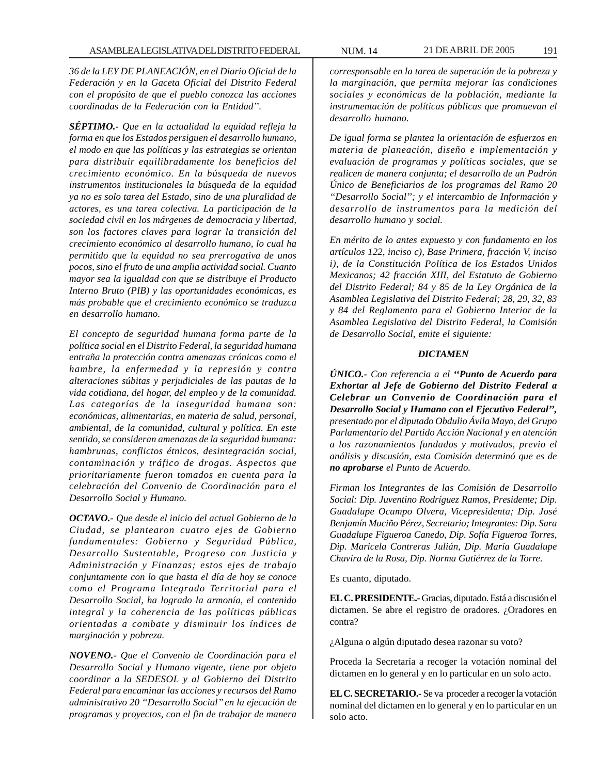*36 de la LEY DE PLANEACIÓN, en el Diario Oficial de la Federación y en la Gaceta Oficial del Distrito Federal con el propósito de que el pueblo conozca las acciones coordinadas de la Federación con la Entidad''.*

*SÉPTIMO.- Que en la actualidad la equidad refleja la forma en que los Estados persiguen el desarrollo humano, el modo en que las políticas y las estrategias se orientan para distribuir equilibradamente los beneficios del crecimiento económico. En la búsqueda de nuevos instrumentos institucionales la búsqueda de la equidad ya no es solo tarea del Estado, sino de una pluralidad de actores, es una tarea colectiva. La participación de la sociedad civil en los márgenes de democracia y libertad, son los factores claves para lograr la transición del crecimiento económico al desarrollo humano, lo cual ha permitido que la equidad no sea prerrogativa de unos pocos, sino el fruto de una amplia actividad social. Cuanto mayor sea la igualdad con que se distribuye el Producto Interno Bruto (PIB) y las oportunidades económicas, es más probable que el crecimiento económico se traduzca en desarrollo humano.*

*El concepto de seguridad humana forma parte de la política social en el Distrito Federal, la seguridad humana entraña la protección contra amenazas crónicas como el hambre, la enfermedad y la represión y contra alteraciones súbitas y perjudiciales de las pautas de la vida cotidiana, del hogar, del empleo y de la comunidad. Las categorías de la inseguridad humana son: económicas, alimentarias, en materia de salud, personal, ambiental, de la comunidad, cultural y política. En este sentido, se consideran amenazas de la seguridad humana: hambrunas, conflictos étnicos, desintegración social, contaminación y tráfico de drogas. Aspectos que prioritariamente fueron tomados en cuenta para la celebración del Convenio de Coordinación para el Desarrollo Social y Humano.*

*OCTAVO.- Que desde el inicio del actual Gobierno de la Ciudad, se plantearon cuatro ejes de Gobierno fundamentales: Gobierno y Seguridad Pública, Desarrollo Sustentable, Progreso con Justicia y Administración y Finanzas; estos ejes de trabajo conjuntamente con lo que hasta el día de hoy se conoce como el Programa Integrado Territorial para el Desarrollo Social, ha logrado la armonía, el contenido integral y la coherencia de las políticas públicas orientadas a combate y disminuir los índices de marginación y pobreza.*

*NOVENO.- Que el Convenio de Coordinación para el Desarrollo Social y Humano vigente, tiene por objeto coordinar a la SEDESOL y al Gobierno del Distrito Federal para encaminar las acciones y recursos del Ramo administrativo 20 ''Desarrollo Social'' en la ejecución de programas y proyectos, con el fin de trabajar de manera*

*corresponsable en la tarea de superación de la pobreza y la marginación, que permita mejorar las condiciones sociales y económicas de la población, mediante la instrumentación de políticas públicas que promuevan el desarrollo humano.*

*De igual forma se plantea la orientación de esfuerzos en materia de planeación, diseño e implementación y evaluación de programas y políticas sociales, que se realicen de manera conjunta; el desarrollo de un Padrón Único de Beneficiarios de los programas del Ramo 20 ''Desarrollo Social''; y el intercambio de Información y desarrollo de instrumentos para la medición del desarrollo humano y social.*

*En mérito de lo antes expuesto y con fundamento en los artículos 122, inciso c), Base Primera, fracción V, inciso i), de la Constitución Política de los Estados Unidos Mexicanos; 42 fracción XIII, del Estatuto de Gobierno del Distrito Federal; 84 y 85 de la Ley Orgánica de la Asamblea Legislativa del Distrito Federal; 28, 29, 32, 83 y 84 del Reglamento para el Gobierno Interior de la Asamblea Legislativa del Distrito Federal, la Comisión de Desarrollo Social, emite el siguiente:*

## *DICTAMEN*

*ÚNICO.- Con referencia a el ''Punto de Acuerdo para Exhortar al Jefe de Gobierno del Distrito Federal a Celebrar un Convenio de Coordinación para el Desarrollo Social y Humano con el Ejecutivo Federal'', presentado por el diputado Obdulio Ávila Mayo, del Grupo Parlamentario del Partido Acción Nacional y en atención a los razonamientos fundados y motivados, previo el análisis y discusión, esta Comisión determinó que es de no aprobarse el Punto de Acuerdo.*

*Firman los Integrantes de las Comisión de Desarrollo Social: Dip. Juventino Rodríguez Ramos, Presidente; Dip. Guadalupe Ocampo Olvera, Vicepresidenta; Dip. José Benjamín Muciño Pérez, Secretario; Integrantes: Dip. Sara Guadalupe Figueroa Canedo, Dip. Sofía Figueroa Torres, Dip. Maricela Contreras Julián, Dip. María Guadalupe Chavira de la Rosa, Dip. Norma Gutiérrez de la Torre*.

Es cuanto, diputado.

**EL C. PRESIDENTE.-** Gracias, diputado. Está a discusión el dictamen. Se abre el registro de oradores. ¿Oradores en contra?

¿Alguna o algún diputado desea razonar su voto?

Proceda la Secretaría a recoger la votación nominal del dictamen en lo general y en lo particular en un solo acto.

**EL C. SECRETARIO.-** Se va proceder a recoger la votación nominal del dictamen en lo general y en lo particular en un solo acto.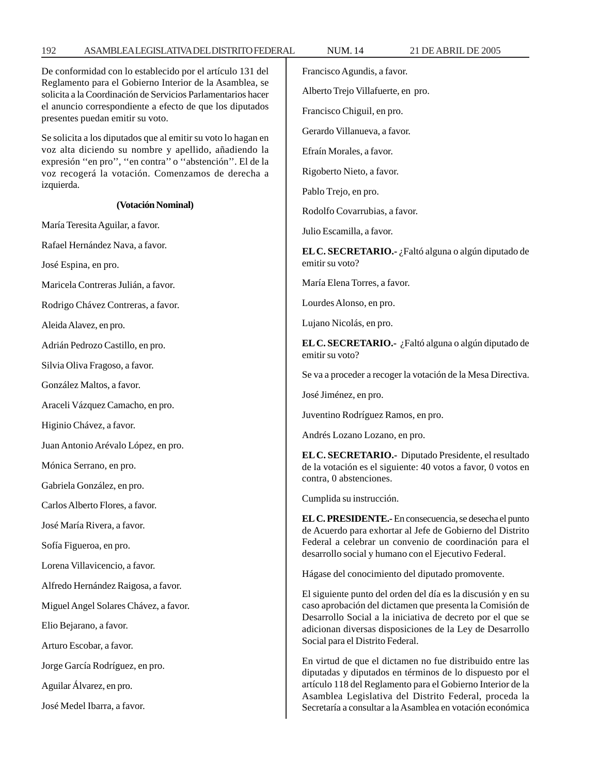#### De conformidad con lo establecido por el artículo 131 del Reglamento para el Gobierno Interior de la Asamblea, se solicita a la Coordinación de Servicios Parlamentarios hacer el anuncio correspondiente a efecto de que los diputados presentes puedan emitir su voto. Se solicita a los diputados que al emitir su voto lo hagan en voz alta diciendo su nombre y apellido, añadiendo la expresión ''en pro'', ''en contra'' o ''abstención''. El de la voz recogerá la votación. Comenzamos de derecha a izquierda. **(Votación Nominal)** María Teresita Aguilar, a favor. Rafael Hernández Nava, a favor. José Espina, en pro. Maricela Contreras Julián, a favor. Rodrigo Chávez Contreras, a favor. Aleida Alavez, en pro. Adrián Pedrozo Castillo, en pro. Silvia Oliva Fragoso, a favor. González Maltos, a favor. Araceli Vázquez Camacho, en pro. Higinio Chávez, a favor. Juan Antonio Arévalo López, en pro. Mónica Serrano, en pro. Gabriela González, en pro. Carlos Alberto Flores, a favor. José María Rivera, a favor. Sofía Figueroa, en pro. Lorena Villavicencio, a favor. Alfredo Hernández Raigosa, a favor. Miguel Angel Solares Chávez, a favor. Elio Bejarano, a favor. Arturo Escobar, a favor. Jorge García Rodríguez, en pro. Aguilar Álvarez, en pro. José Medel Ibarra, a favor. Francisco Agundis, a favor. Alberto Trejo Villafuerte, en pro. Francisco Chiguil, en pro. Gerardo Villanueva, a favor. Efraín Morales, a favor. Rigoberto Nieto, a favor. Pablo Trejo, en pro. Rodolfo Covarrubias, a favor. Julio Escamilla, a favor. **EL C. SECRETARIO.-** ¿Faltó alguna o algún diputado de emitir su voto? María Elena Torres, a favor. Lourdes Alonso, en pro. Lujano Nicolás, en pro. **EL C. SECRETARIO.-** ¿Faltó alguna o algún diputado de emitir su voto? Se va a proceder a recoger la votación de la Mesa Directiva. José Jiménez, en pro. Juventino Rodríguez Ramos, en pro. Andrés Lozano Lozano, en pro. **EL C. SECRETARIO.-** Diputado Presidente, el resultado de la votación es el siguiente: 40 votos a favor, 0 votos en contra, 0 abstenciones. Cumplida su instrucción. **EL C. PRESIDENTE.-** En consecuencia, se desecha el punto de Acuerdo para exhortar al Jefe de Gobierno del Distrito Federal a celebrar un convenio de coordinación para el desarrollo social y humano con el Ejecutivo Federal. Hágase del conocimiento del diputado promovente. El siguiente punto del orden del día es la discusión y en su caso aprobación del dictamen que presenta la Comisión de Desarrollo Social a la iniciativa de decreto por el que se adicionan diversas disposiciones de la Ley de Desarrollo Social para el Distrito Federal. En virtud de que el dictamen no fue distribuido entre las diputadas y diputados en términos de lo dispuesto por el artículo 118 del Reglamento para el Gobierno Interior de la Asamblea Legislativa del Distrito Federal, proceda la Secretaría a consultar a la Asamblea en votación económica

192 ASAMBLEA LEGISLATIVA DEL DISTRITO FEDERAL NUM. 14 21 DE ABRIL DE 2005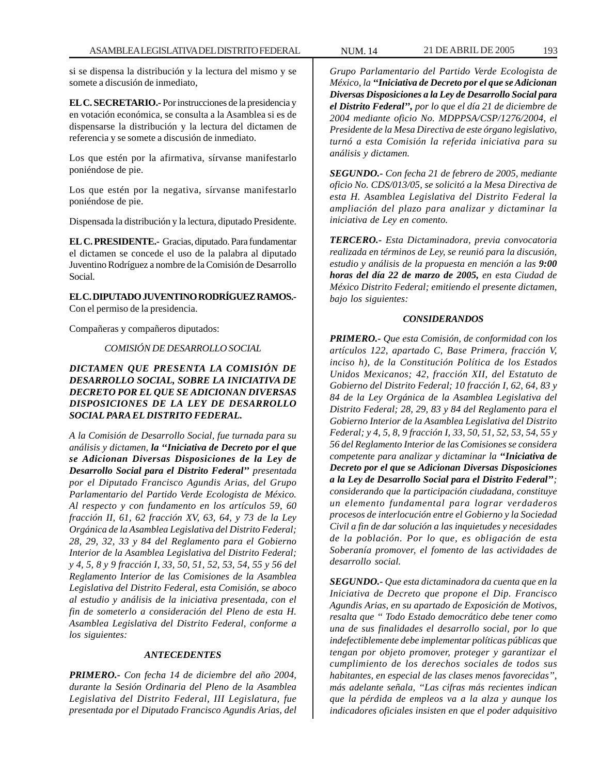si se dispensa la distribución y la lectura del mismo y se somete a discusión de inmediato,

**EL C. SECRETARIO.-** Por instrucciones de la presidencia y en votación económica, se consulta a la Asamblea si es de dispensarse la distribución y la lectura del dictamen de referencia y se somete a discusión de inmediato.

Los que estén por la afirmativa, sírvanse manifestarlo poniéndose de pie.

Los que estén por la negativa, sírvanse manifestarlo poniéndose de pie.

Dispensada la distribución y la lectura, diputado Presidente.

**EL C. PRESIDENTE.-** Gracias, diputado. Para fundamentar el dictamen se concede el uso de la palabra al diputado Juventino Rodríguez a nombre de la Comisión de Desarrollo Social.

**EL C. DIPUTADO JUVENTINO RODRÍGUEZ RAMOS.-** Con el permiso de la presidencia.

Compañeras y compañeros diputados:

*COMISIÓN DE DESARROLLO SOCIAL*

*DICTAMEN QUE PRESENTA LA COMISIÓN DE DESARROLLO SOCIAL, SOBRE LA INICIATIVA DE DECRETO POR EL QUE SE ADICIONAN DIVERSAS DISPOSICIONES DE LA LEY DE DESARROLLO SOCIAL PARA EL DISTRITO FEDERAL.*

*A la Comisión de Desarrollo Social, fue turnada para su análisis y dictamen, la ''Iniciativa de Decreto por el que se Adicionan Diversas Disposiciones de la Ley de Desarrollo Social para el Distrito Federal'' presentada por el Diputado Francisco Agundis Arias, del Grupo Parlamentario del Partido Verde Ecologista de México. Al respecto y con fundamento en los artículos 59, 60 fracción II, 61, 62 fracción XV, 63, 64, y 73 de la Ley Orgánica de la Asamblea Legislativa del Distrito Federal; 28, 29, 32, 33 y 84 del Reglamento para el Gobierno Interior de la Asamblea Legislativa del Distrito Federal; y 4, 5, 8 y 9 fracción I, 33, 50, 51, 52, 53, 54, 55 y 56 del Reglamento Interior de las Comisiones de la Asamblea Legislativa del Distrito Federal, esta Comisión, se aboco al estudio y análisis de la iniciativa presentada, con el fin de someterlo a consideración del Pleno de esta H. Asamblea Legislativa del Distrito Federal, conforme a los siguientes:*

# *ANTECEDENTES*

*PRIMERO.- Con fecha 14 de diciembre del año 2004, durante la Sesión Ordinaria del Pleno de la Asamblea Legislativa del Distrito Federal, III Legislatura, fue presentada por el Diputado Francisco Agundis Arias, del* *Grupo Parlamentario del Partido Verde Ecologista de México, la ''Iniciativa de Decreto por el que se Adicionan Diversas Disposiciones a la Ley de Desarrollo Social para el Distrito Federal'', por lo que el día 21 de diciembre de 2004 mediante oficio No. MDPPSA/CSP/1276/2004, el Presidente de la Mesa Directiva de este órgano legislativo, turnó a esta Comisión la referida iniciativa para su análisis y dictamen.*

*SEGUNDO.- Con fecha 21 de febrero de 2005, mediante oficio No. CDS/013/05, se solicitó a la Mesa Directiva de esta H. Asamblea Legislativa del Distrito Federal la ampliación del plazo para analizar y dictaminar la iniciativa de Ley en comento.*

*TERCERO.- Esta Dictaminadora, previa convocatoria realizada en términos de Ley, se reunió para la discusión, estudio y análisis de la propuesta en mención a las 9:00 horas del día 22 de marzo de 2005, en esta Ciudad de México Distrito Federal; emitiendo el presente dictamen, bajo los siguientes:*

# *CONSIDERANDOS*

*PRIMERO.- Que esta Comisión, de conformidad con los artículos 122, apartado C, Base Primera, fracción V, inciso h), de la Constitución Política de los Estados Unidos Mexicanos; 42, fracción XII, del Estatuto de Gobierno del Distrito Federal; 10 fracción I, 62, 64, 83 y 84 de la Ley Orgánica de la Asamblea Legislativa del Distrito Federal; 28, 29, 83 y 84 del Reglamento para el Gobierno Interior de la Asamblea Legislativa del Distrito Federal; y 4, 5, 8, 9 fracción I, 33, 50, 51, 52, 53, 54, 55 y 56 del Reglamento Interior de las Comisiones se considera competente para analizar y dictaminar la ''Iniciativa de Decreto por el que se Adicionan Diversas Disposiciones a la Ley de Desarrollo Social para el Distrito Federal''; considerando que la participación ciudadana, constituye un elemento fundamental para lograr verdaderos procesos de interlocución entre el Gobierno y la Sociedad Civil a fin de dar solución a las inquietudes y necesidades de la población. Por lo que, es obligación de esta Soberanía promover, el fomento de las actividades de desarrollo social.*

*SEGUNDO.- Que esta dictaminadora da cuenta que en la Iniciativa de Decreto que propone el Dip. Francisco Agundis Arias, en su apartado de Exposición de Motivos, resalta que '' Todo Estado democrático debe tener como una de sus finalidades el desarrollo social, por lo que indefectiblemente debe implementar políticas públicas que tengan por objeto promover, proteger y garantizar el cumplimiento de los derechos sociales de todos sus habitantes, en especial de las clases menos favorecidas'', más adelante señala, ''Las cifras más recientes indican que la pérdida de empleos va a la alza y aunque los indicadores oficiales insisten en que el poder adquisitivo*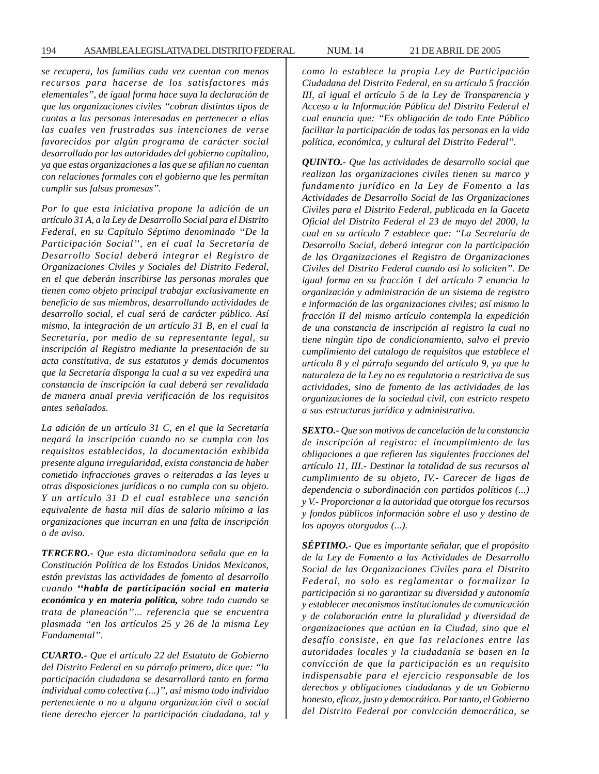*se recupera, las familias cada vez cuentan con menos recursos para hacerse de los satisfactores más elementales'', de igual forma hace suya la declaración de que las organizaciones civiles ''cobran distintas tipos de cuotas a las personas interesadas en pertenecer a ellas las cuales ven frustradas sus intenciones de verse favorecidos por algún programa de carácter social desarrollado por las autoridades del gobierno capitalino, ya que estas organizaciones a las que se afilian no cuentan con relaciones formales con el gobierno que les permitan cumplir sus falsas promesas''.*

*Por lo que esta iniciativa propone la adición de un artículo 31 A, a la Ley de Desarrollo Social para el Distrito Federal, en su Capítulo Séptimo denominado ''De la Participación Social'', en el cual la Secretaría de Desarrollo Social deberá integrar el Registro de Organizaciones Civiles y Sociales del Distrito Federal, en el que deberán inscribirse las personas morales que tienen como objeto principal trabajar exclusivamente en beneficio de sus miembros, desarrollando actividades de desarrollo social, el cual será de carácter público. Así mismo, la integración de un artículo 31 B, en el cual la Secretaría, por medio de su representante legal, su inscripción al Registro mediante la presentación de su acta constitutiva, de sus estatutos y demás documentos que la Secretaría disponga la cual a su vez expedirá una constancia de inscripción la cual deberá ser revalidada de manera anual previa verificación de los requisitos antes señalados.*

*La adición de un artículo 31 C, en el que la Secretaría negará la inscripción cuando no se cumpla con los requisitos establecidos, la documentación exhibida presente alguna irregularidad, exista constancia de haber cometido infracciones graves o reiteradas a las leyes u otras disposiciones jurídicas o no cumpla con su objeto. Y un artículo 31 D el cual establece una sanción equivalente de hasta mil días de salario mínimo a las organizaciones que incurran en una falta de inscripción o de aviso.*

*TERCERO.- Que esta dictaminadora señala que en la Constitución Política de los Estados Unidos Mexicanos, están previstas las actividades de fomento al desarrollo cuando ''habla de participación social en materia económica y en materia política, sobre todo cuando se trata de planeación''... referencia que se encuentra plasmada ''en los artículos 25 y 26 de la misma Ley Fundamental''.*

*CUARTO.- Que el artículo 22 del Estatuto de Gobierno del Distrito Federal en su párrafo primero, dice que: ''la participación ciudadana se desarrollará tanto en forma individual como colectiva (...)'', así mismo todo individuo perteneciente o no a alguna organización civil o social tiene derecho ejercer la participación ciudadana, tal y* *como lo establece la propia Ley de Participación Ciudadana del Distrito Federal, en su artículo 5 fracción III, al igual el artículo 5 de la Ley de Transparencia y Acceso a la Información Pública del Distrito Federal el cual enuncia que: ''Es obligación de todo Ente Público facilitar la participación de todas las personas en la vida política, económica, y cultural del Distrito Federal''.*

*QUINTO.- Que las actividades de desarrollo social que realizan las organizaciones civiles tienen su marco y fundamento jurídico en la Ley de Fomento a las Actividades de Desarrollo Social de las Organizaciones Civiles para el Distrito Federal, publicada en la Gaceta Oficial del Distrito Federal el 23 de mayo del 2000, la cual en su artículo 7 establece que: ''La Secretaría de Desarrollo Social, deberá integrar con la participación de las Organizaciones el Registro de Organizaciones Civiles del Distrito Federal cuando así lo soliciten''. De igual forma en su fracción 1 del artículo 7 enuncia la organización y administración de un sistema de registro e información de las organizaciones civiles; así mismo la fracción II del mismo artículo contempla la expedición de una constancia de inscripción al registro la cual no tiene ningún tipo de condicionamiento, salvo el previo cumplimiento del catalogo de requisitos que establece el artículo 8 y el párrafo segundo del artículo 9, ya que la naturaleza de la Ley no es regulatoria o restrictiva de sus actividades, sino de fomento de las actividades de las organizaciones de la sociedad civil, con estricto respeto a sus estructuras jurídica y administrativa.*

*SEXTO.- Que son motivos de cancelación de la constancia de inscripción al registro: el incumplimiento de las obligaciones a que refieren las siguientes fracciones del artículo 11, III.- Destinar la totalidad de sus recursos al cumplimiento de su objeto, IV.- Carecer de ligas de dependencia o subordinación con partidos políticos (...) y V.- Proporcionar a la autoridad que otorgue los recursos y fondos públicos información sobre el uso y destino de los apoyos otorgados (...).*

*SÉPTIMO.- Que es importante señalar, que el propósito de la Ley de Fomento a las Actividades de Desarrollo Social de las Organizaciones Civiles para el Distrito Federal, no solo es reglamentar o formalizar la participación si no garantizar su diversidad y autonomía y establecer mecanismos institucionales de comunicación y de colaboración entre la pluralidad y diversidad de organizaciones que actúan en la Ciudad, sino que el desafío consiste, en que las relaciones entre las autoridades locales y la ciudadanía se basen en la convicción de que la participación es un requisito indispensable para el ejercicio responsable de los derechos y obligaciones ciudadanas y de un Gobierno honesto, eficaz, justo y democrático. Por tanto, el Gobierno del Distrito Federal por convicción democrática, se*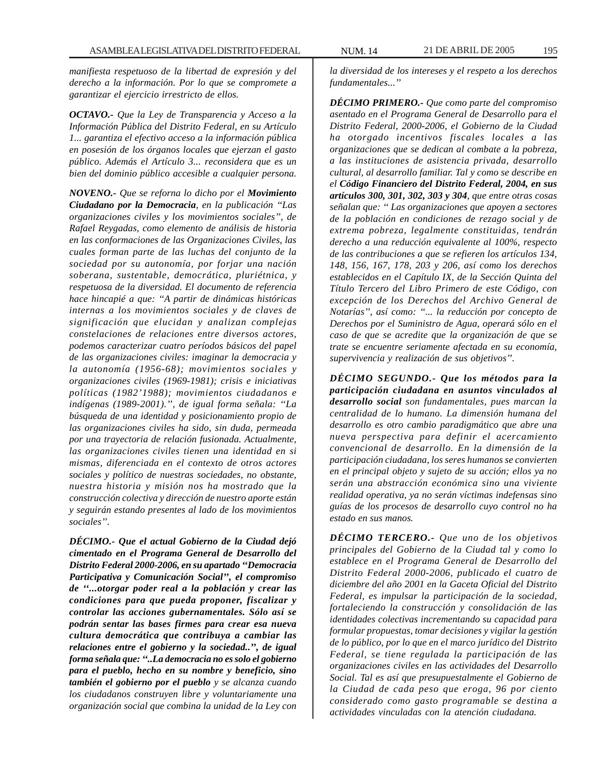*manifiesta respetuoso de la libertad de expresión y del derecho a la información. Por lo que se compromete a garantizar el ejercicio irrestricto de ellos.*

*OCTAVO.- Que la Ley de Transparencia y Acceso a la Información Pública del Distrito Federal, en su Artículo 1... garantiza el efectivo acceso a la información pública en posesión de los órganos locales que ejerzan el gasto público. Además el Artículo 3... reconsidera que es un bien del dominio público accesible a cualquier persona.*

*NOVENO.- Que se reforna lo dicho por el Movimiento Ciudadano por la Democracia, en la publicación ''Las organizaciones civiles y los movimientos sociales'', de Rafael Reygadas, como elemento de análisis de historia en las conformaciones de las Organizaciones Civiles, las cuales forman parte de las luchas del conjunto de la sociedad por su autonomía, por forjar una nación soberana, sustentable, democrática, pluriétnica, y respetuosa de la diversidad. El documento de referencia hace hincapié a que: ''A partir de dinámicas históricas internas a los movimientos sociales y de claves de significación que elucidan y analizan complejas constelaciones de relaciones entre diversos actores, podemos caracterizar cuatro períodos básicos del papel de las organizaciones civiles: imaginar la democracia y la autonomía (1956-68); movimientos sociales y organizaciones civiles (1969-1981); crisis e iniciativas políticas (1982'1988); movimientos ciudadanos e indígenas (1989-2001).'', de igual forma señala: ''La búsqueda de una identidad y posicionamiento propio de las organizaciones civiles ha sido, sin duda, permeada por una trayectoria de relación fusionada. Actualmente, las organizaciones civiles tienen una identidad en si mismas, diferenciada en el contexto de otros actores sociales y político de nuestras sociedades, no obstante, nuestra historia y misión nos ha mostrado que la construcción colectiva y dirección de nuestro aporte están y seguirán estando presentes al lado de los movimientos sociales''.*

*DÉCIMO.- Que el actual Gobierno de la Ciudad dejó cimentado en el Programa General de Desarrollo del Distrito Federal 2000-2006, en su apartado ''Democracia Participativa y Comunicación Social'', el compromiso de ''...otorgar poder real a la población y crear las condiciones para que pueda proponer, fiscalizar y controlar las acciones gubernamentales. Sólo así se podrán sentar las bases firmes para crear esa nueva cultura democrática que contribuya a cambiar las relaciones entre el gobierno y la sociedad..'', de igual forma señala que: ''..La democracia no es solo el gobierno para el pueblo, hecho en su nombre y beneficio, sino también el gobierno por el pueblo y se alcanza cuando los ciudadanos construyen libre y voluntariamente una organización social que combina la unidad de la Ley con*

*la diversidad de los intereses y el respeto a los derechos fundamentales...''*

*DÉCIMO PRIMERO.- Que como parte del compromiso asentado en el Programa General de Desarrollo para el Distrito Federal, 2000-2006, el Gobierno de la Ciudad ha otorgado incentivos fiscales locales a las organizaciones que se dedican al combate a la pobreza, a las instituciones de asistencia privada, desarrollo cultural, al desarrollo familiar. Tal y como se describe en el Código Financiero del Distrito Federal, 2004, en sus artículos 300, 301, 302, 303 y 304, que entre otras cosas señalan que: '' Las organizaciones que apoyen a sectores de la población en condiciones de rezago social y de extrema pobreza, legalmente constituidas, tendrán derecho a una reducción equivalente al 100%, respecto de las contribuciones a que se refieren los artículos 134, 148, 156, 167, 178, 203 y 206, así como los derechos establecidos en el Capítulo IX, de la Sección Quinta del Título Tercero del Libro Primero de este Código, con excepción de los Derechos del Archivo General de Notarías'', así como: ''... la reducción por concepto de Derechos por el Suministro de Agua, operará sólo en el caso de que se acredite que la organización de que se trate se encuentre seriamente afectada en su economía, supervivencia y realización de sus objetivos''.*

*DÉCIMO SEGUNDO.- Que los métodos para la participación ciudadana en asuntos vinculados al desarrollo social son fundamentales, pues marcan la centralidad de lo humano. La dimensión humana del desarrollo es otro cambio paradigmático que abre una nueva perspectiva para definir el acercamiento convencional de desarrollo. En la dimensión de la participación ciudadana, los seres humanos se convierten en el principal objeto y sujeto de su acción; ellos ya no serán una abstracción económica sino una viviente realidad operativa, ya no serán víctimas indefensas sino guías de los procesos de desarrollo cuyo control no ha estado en sus manos.*

*DÉCIMO TERCERO.- Que uno de los objetivos principales del Gobierno de la Ciudad tal y como lo establece en el Programa General de Desarrollo del Distrito Federal 2000-2006, publicado el cuatro de diciembre del año 2001 en la Gaceta Oficial del Distrito Federal, es impulsar la participación de la sociedad, fortaleciendo la construcción y consolidación de las identidades colectivas incrementando su capacidad para formular propuestas, tomar decisiones y vigilar la gestión de lo público, por lo que en el marco jurídico del Distrito Federal, se tiene regulada la participación de las organizaciones civiles en las actividades del Desarrollo Social. Tal es así que presupuestalmente el Gobierno de la Ciudad de cada peso que eroga, 96 por ciento considerado como gasto programable se destina a actividades vinculadas con la atención ciudadana.*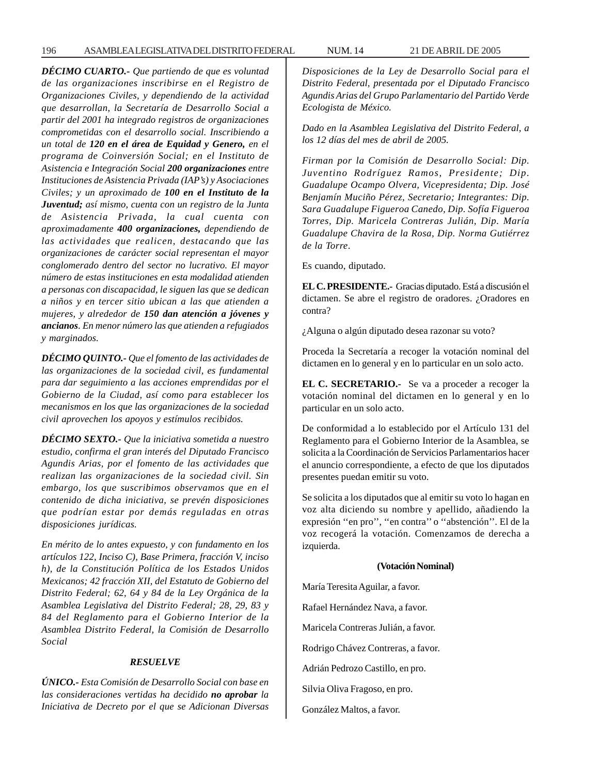*DÉCIMO CUARTO.- Que partiendo de que es voluntad de las organizaciones inscribirse en el Registro de Organizaciones Civiles, y dependiendo de la actividad que desarrollan, la Secretaría de Desarrollo Social a partir del 2001 ha integrado registros de organizaciones comprometidas con el desarrollo social. Inscribiendo a un total de 120 en el área de Equidad y Genero, en el programa de Coinversión Social; en el Instituto de Asistencia e Integración Social 200 organizaciones entre Instituciones de Asistencia Privada (IAP's) y Asociaciones Civiles; y un aproximado de 100 en el Instituto de la Juventud; así mismo, cuenta con un registro de la Junta de Asistencia Privada, la cual cuenta con aproximadamente 400 organizaciones, dependiendo de las actividades que realicen, destacando que las organizaciones de carácter social representan el mayor conglomerado dentro del sector no lucrativo. El mayor número de estas instituciones en esta modalidad atienden a personas con discapacidad, le siguen las que se dedican a niños y en tercer sitio ubican a las que atienden a mujeres, y alrededor de 150 dan atención a jóvenes y ancianos. En menor número las que atienden a refugiados y marginados.*

*DÉCIMO QUINTO.- Que el fomento de las actividades de las organizaciones de la sociedad civil, es fundamental para dar seguimiento a las acciones emprendidas por el Gobierno de la Ciudad, así como para establecer los mecanismos en los que las organizaciones de la sociedad civil aprovechen los apoyos y estímulos recibidos.*

*DÉCIMO SEXTO.- Que la iniciativa sometida a nuestro estudio, confirma el gran interés del Diputado Francisco Agundis Arias, por el fomento de las actividades que realizan las organizaciones de la sociedad civil. Sin embargo, los que suscribimos observamos que en el contenido de dicha iniciativa, se prevén disposiciones que podrían estar por demás reguladas en otras disposiciones jurídicas.*

*En mérito de lo antes expuesto, y con fundamento en los artículos 122, Inciso C), Base Primera, fracción V, inciso h), de la Constitución Política de los Estados Unidos Mexicanos; 42 fracción XII, del Estatuto de Gobierno del Distrito Federal; 62, 64 y 84 de la Ley Orgánica de la Asamblea Legislativa del Distrito Federal; 28, 29, 83 y 84 del Reglamento para el Gobierno Interior de la Asamblea Distrito Federal, la Comisión de Desarrollo Social*

#### *RESUELVE*

*ÚNICO.- Esta Comisión de Desarrollo Social con base en las consideraciones vertidas ha decidido no aprobar la Iniciativa de Decreto por el que se Adicionan Diversas* *Disposiciones de la Ley de Desarrollo Social para el Distrito Federal, presentada por el Diputado Francisco Agundis Arias del Grupo Parlamentario del Partido Verde Ecologista de México.*

*Dado en la Asamblea Legislativa del Distrito Federal, a los 12 días del mes de abril de 2005.*

*Firman por la Comisión de Desarrollo Social: Dip. Juventino Rodríguez Ramos, Presidente; Dip. Guadalupe Ocampo Olvera, Vicepresidenta; Dip. José Benjamín Muciño Pérez, Secretario; Integrantes: Dip. Sara Guadalupe Figueroa Canedo, Dip. Sofía Figueroa Torres, Dip. Maricela Contreras Julián, Dip. María Guadalupe Chavira de la Rosa, Dip. Norma Gutiérrez de la Torre*.

Es cuando, diputado.

**EL C. PRESIDENTE.-** Gracias diputado. Está a discusión el dictamen. Se abre el registro de oradores. ¿Oradores en contra?

¿Alguna o algún diputado desea razonar su voto?

Proceda la Secretaría a recoger la votación nominal del dictamen en lo general y en lo particular en un solo acto.

**EL C. SECRETARIO.-** Se va a proceder a recoger la votación nominal del dictamen en lo general y en lo particular en un solo acto.

De conformidad a lo establecido por el Artículo 131 del Reglamento para el Gobierno Interior de la Asamblea, se solicita a la Coordinación de Servicios Parlamentarios hacer el anuncio correspondiente, a efecto de que los diputados presentes puedan emitir su voto.

Se solicita a los diputados que al emitir su voto lo hagan en voz alta diciendo su nombre y apellido, añadiendo la expresión ''en pro'', ''en contra'' o ''abstención''. El de la voz recogerá la votación. Comenzamos de derecha a izquierda.

#### **(Votación Nominal)**

María Teresita Aguilar, a favor. Rafael Hernández Nava, a favor. Maricela Contreras Julián, a favor. Rodrigo Chávez Contreras, a favor. Adrián Pedrozo Castillo, en pro. Silvia Oliva Fragoso, en pro. González Maltos, a favor.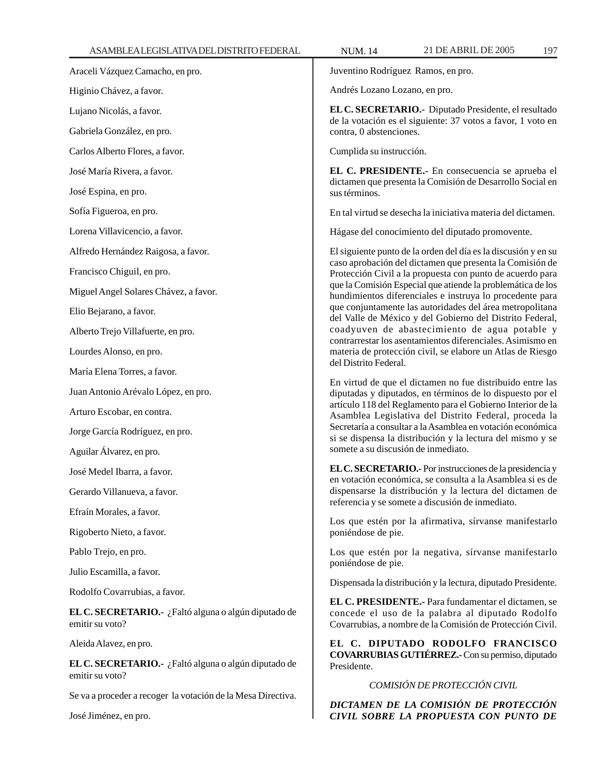Juventino Rodríguez Ramos, en pro.

Andrés Lozano Lozano, en pro.

**EL C. SECRETARIO.-** Diputado Presidente, el resultado de la votación es el siguiente: 37 votos a favor, 1 voto en contra, 0 abstenciones.

Cumplida su instrucción.

**EL C. PRESIDENTE.-** En consecuencia se aprueba el dictamen que presenta la Comisión de Desarrollo Social en sus términos.

En tal virtud se desecha la iniciativa materia del dictamen.

Hágase del conocimiento del diputado promovente.

El siguiente punto de la orden del día es la discusión y en su caso aprobación del dictamen que presenta la Comisión de Protección Civil a la propuesta con punto de acuerdo para que la Comisión Especial que atiende la problemática de los hundimientos diferenciales e instruya lo procedente para que conjuntamente las autoridades del área metropolitana del Valle de México y del Gobierno del Distrito Federal, coadyuven de abastecimiento de agua potable y contrarrestar los asentamientos diferenciales. Asimismo en materia de protección civil, se elabore un Atlas de Riesgo del Distrito Federal.

En virtud de que el dictamen no fue distribuido entre las diputadas y diputados, en términos de lo dispuesto por el artículo 118 del Reglamento para el Gobierno Interior de la Asamblea Legislativa del Distrito Federal, proceda la Secretaría a consultar a la Asamblea en votación económica si se dispensa la distribución y la lectura del mismo y se somete a su discusión de inmediato.

**EL C. SECRETARIO.-** Por instrucciones de la presidencia y en votación económica, se consulta a la Asamblea si es de dispensarse la distribución y la lectura del dictamen de referencia y se somete a discusión de inmediato.

Los que estén por la afirmativa, sírvanse manifestarlo poniéndose de pie.

Los que estén por la negativa, sírvanse manifestarlo poniéndose de pie.

Dispensada la distribución y la lectura, diputado Presidente.

**EL C. PRESIDENTE.-** Para fundamentar el dictamen, se concede el uso de la palabra al diputado Rodolfo Covarrubias, a nombre de la Comisión de Protección Civil.

**EL C. DIPUTADO RODOLFO FRANCISCO COVARRUBIAS GUTIÉRREZ.-** Con su permiso, diputado Presidente.

*COMISIÓN DE PROTECCIÓN CIVIL*

*DICTAMEN DE LA COMISIÓN DE PROTECCIÓN CIVIL SOBRE LA PROPUESTA CON PUNTO DE*

Higinio Chávez, a favor. Lujano Nicolás, a favor.

Araceli Vázquez Camacho, en pro.

Gabriela González, en pro.

Carlos Alberto Flores, a favor.

José María Rivera, a favor.

José Espina, en pro.

Sofía Figueroa, en pro.

Lorena Villavicencio, a favor.

Alfredo Hernández Raigosa, a favor.

Francisco Chiguil, en pro.

Miguel Angel Solares Chávez, a favor.

Elio Bejarano, a favor.

Alberto Trejo Villafuerte, en pro.

Lourdes Alonso, en pro.

María Elena Torres, a favor.

Juan Antonio Arévalo López, en pro.

Arturo Escobar, en contra.

Jorge García Rodríguez, en pro.

Aguilar Álvarez, en pro.

José Medel Ibarra, a favor.

Gerardo Villanueva, a favor.

Efraín Morales, a favor.

Rigoberto Nieto, a favor.

Pablo Trejo, en pro.

Julio Escamilla, a favor.

Rodolfo Covarrubias, a favor.

**EL C. SECRETARIO.-** ¿Faltó alguna o algún diputado de emitir su voto?

Aleida Alavez, en pro.

**EL C. SECRETARIO.-** ¿Faltó alguna o algún diputado de emitir su voto?

Se va a proceder a recoger la votación de la Mesa Directiva.

José Jiménez, en pro.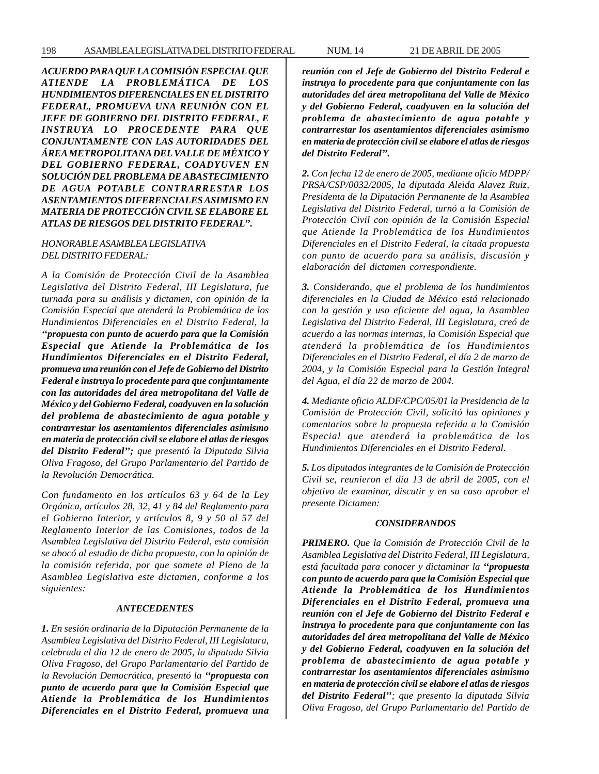*ACUERDO PARA QUE LA COMISIÓN ESPECIAL QUE ATIENDE LA PROBLEMÁTICA DE LOS HUNDIMIENTOS DIFERENCIALES EN EL DISTRITO FEDERAL, PROMUEVA UNA REUNIÓN CON EL JEFE DE GOBIERNO DEL DISTRITO FEDERAL, E INSTRUYA LO PROCEDENTE PARA QUE CONJUNTAMENTE CON LAS AUTORIDADES DEL ÁREA METROPOLITANA DEL VALLE DE MÉXICO Y DEL GOBIERNO FEDERAL, COADYUVEN EN SOLUCIÓN DEL PROBLEMA DE ABASTECIMIENTO DE AGUA POTABLE CONTRARRESTAR LOS ASENTAMIENTOS DIFERENCIALES ASIMISMO EN MATERIA DE PROTECCIÓN CIVIL SE ELABORE EL ATLAS DE RIESGOS DEL DISTRITO FEDERAL''.*

# *HONORABLE ASAMBLEA LEGISLATIVA DEL DISTRITO FEDERAL:*

*A la Comisión de Protección Civil de la Asamblea Legislativa del Distrito Federal, III Legislatura, fue turnada para su análisis y dictamen, con opinión de la Comisión Especial que atenderá la Problemática de los Hundimientos Diferenciales en el Distrito Federal, la ''propuesta con punto de acuerdo para que la Comisión Especial que Atiende la Problemática de los Hundimientos Diferenciales en el Distrito Federal, promueva una reunión con el Jefe de Gobierno del Distrito Federal e instruya lo procedente para que conjuntamente con las autoridades del área metropolitana del Valle de México y del Gobierno Federal, coadyuven en la solución del problema de abastecimiento de agua potable y contrarrestar los asentamientos diferenciales asimismo en materia de protección civil se elabore el atlas de riesgos del Distrito Federal''; que presentó la Diputada Silvia Oliva Fragoso, del Grupo Parlamentario del Partido de la Revolución Democrática.*

*Con fundamento en los artículos 63 y 64 de la Ley Orgánica, artículos 28, 32, 41 y 84 del Reglamento para el Gobierno Interior, y artículos 8, 9 y 50 al 57 del Reglamento Interior de las Comisiones, todos de la Asamblea Legislativa del Distrito Federal, esta comisión se abocó al estudio de dicha propuesta, con la opinión de la comisión referida, por que somete al Pleno de la Asamblea Legislativa este dictamen, conforme a los siguientes:*

#### *ANTECEDENTES*

*1. En sesión ordinaria de la Diputación Permanente de la Asamblea Legislativa del Distrito Federal, III Legislatura, celebrada el día 12 de enero de 2005, la diputada Silvia Oliva Fragoso, del Grupo Parlamentario del Partido de la Revolución Democrática, presentó la ''propuesta con punto de acuerdo para que la Comisión Especial que Atiende la Problemática de los Hundimientos Diferenciales en el Distrito Federal, promueva una* *reunión con el Jefe de Gobierno del Distrito Federal e instruya lo procedente para que conjuntamente con las autoridades del área metropolitana del Valle de México y del Gobierno Federal, coadyuven en la solución del problema de abastecimiento de agua potable y contrarrestar los asentamientos diferenciales asimismo en materia de protección civil se elabore el atlas de riesgos del Distrito Federal''.*

*2. Con fecha 12 de enero de 2005, mediante oficio MDPP/ PRSA/CSP/0032/2005, la diputada Aleida Alavez Ruiz, Presidenta de la Diputación Permanente de la Asamblea Legislativa del Distrito Federal, turnó a la Comisión de Protección Civil con opinión de la Comisión Especial que Atiende la Problemática de los Hundimientos Diferenciales en el Distrito Federal, la citada propuesta con punto de acuerdo para su análisis, discusión y elaboración del dictamen correspondiente.*

*3. Considerando, que el problema de los hundimientos diferenciales en la Ciudad de México está relacionado con la gestión y uso eficiente del agua, la Asamblea Legislativa del Distrito Federal, III Legislatura, creó de acuerdo a las normas internas, la Comisión Especial que atenderá la problemática de los Hundimientos Diferenciales en el Distrito Federal, el día 2 de marzo de 2004, y la Comisión Especial para la Gestión Integral del Agua, el día 22 de marzo de 2004.*

*4. Mediante oficio ALDF/CPC/05/01 la Presidencia de la Comisión de Protección Civil, solicitó las opiniones y comentarios sobre la propuesta referida a la Comisión Especial que atenderá la problemática de los Hundimientos Diferenciales en el Distrito Federal.*

*5. Los diputados integrantes de la Comisión de Protección Civil se, reunieron el día 13 de abril de 2005, con el objetivo de examinar, discutir y en su caso aprobar el presente Dictamen:*

#### *CONSIDERANDOS*

*PRIMERO. Que la Comisión de Protección Civil de la Asamblea Legislativa del Distrito Federal, III Legislatura, está facultada para conocer y dictaminar la ''propuesta con punto de acuerdo para que la Comisión Especial que Atiende la Problemática de los Hundimientos Diferenciales en el Distrito Federal, promueva una reunión con el Jefe de Gobierno del Distrito Federal e instruya lo procedente para que conjuntamente con las autoridades del área metropolitana del Valle de México y del Gobierno Federal, coadyuven en la solución del problema de abastecimiento de agua potable y contrarrestar los asentamientos diferenciales asimismo en materia de protección civil se elabore el atlas de riesgos del Distrito Federal''; que presento la diputada Silvia Oliva Fragoso, del Grupo Parlamentario del Partido de*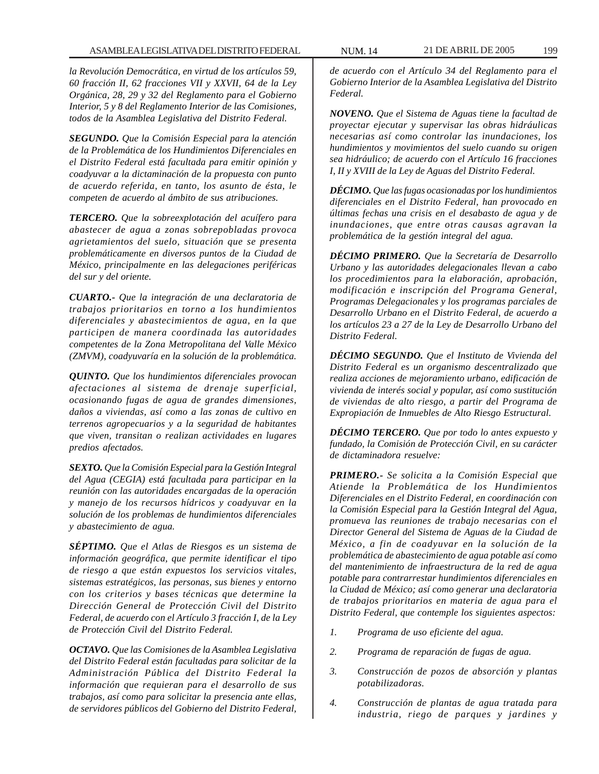*la Revolución Democrática, en virtud de los artículos 59, 60 fracción II, 62 fracciones VII y XXVII, 64 de la Ley Orgánica, 28, 29 y 32 del Reglamento para el Gobierno Interior, 5 y 8 del Reglamento Interior de las Comisiones, todos de la Asamblea Legislativa del Distrito Federal.*

*SEGUNDO. Que la Comisión Especial para la atención de la Problemática de los Hundimientos Diferenciales en el Distrito Federal está facultada para emitir opinión y coadyuvar a la dictaminación de la propuesta con punto de acuerdo referida, en tanto, los asunto de ésta, le competen de acuerdo al ámbito de sus atribuciones.*

*TERCERO. Que la sobreexplotación del acuífero para abastecer de agua a zonas sobrepobladas provoca agrietamientos del suelo, situación que se presenta problemáticamente en diversos puntos de la Ciudad de México, principalmente en las delegaciones periféricas del sur y del oriente.*

*CUARTO.- Que la integración de una declaratoria de trabajos prioritarios en torno a los hundimientos diferenciales y abastecimientos de agua, en la que participen de manera coordinada las autoridades competentes de la Zona Metropolitana del Valle México (ZMVM), coadyuvaría en la solución de la problemática.*

*QUINTO. Que los hundimientos diferenciales provocan afectaciones al sistema de drenaje superficial, ocasionando fugas de agua de grandes dimensiones, daños a viviendas, así como a las zonas de cultivo en terrenos agropecuarios y a la seguridad de habitantes que viven, transitan o realizan actividades en lugares predios afectados.*

*SEXTO. Que la Comisión Especial para la Gestión Integral del Agua (CEGIA) está facultada para participar en la reunión con las autoridades encargadas de la operación y manejo de los recursos hídricos y coadyuvar en la solución de los problemas de hundimientos diferenciales y abastecimiento de agua.*

*SÉPTIMO. Que el Atlas de Riesgos es un sistema de información geográfica, que permite identificar el tipo de riesgo a que están expuestos los servicios vitales, sistemas estratégicos, las personas, sus bienes y entorno con los criterios y bases técnicas que determine la Dirección General de Protección Civil del Distrito Federal, de acuerdo con el Artículo 3 fracción I, de la Ley de Protección Civil del Distrito Federal.*

*OCTAVO. Que las Comisiones de la Asamblea Legislativa del Distrito Federal están facultadas para solicitar de la Administración Pública del Distrito Federal la información que requieran para el desarrollo de sus trabajos, así como para solicitar la presencia ante ellas, de servidores públicos del Gobierno del Distrito Federal,*

*de acuerdo con el Artículo 34 del Reglamento para el Gobierno Interior de la Asamblea Legislativa del Distrito Federal.*

*NOVENO. Que el Sistema de Aguas tiene la facultad de proyectar ejecutar y supervisar las obras hidráulicas necesarias así como controlar las inundaciones, los hundimientos y movimientos del suelo cuando su origen sea hidráulico; de acuerdo con el Artículo 16 fracciones I, II y XVIII de la Ley de Aguas del Distrito Federal.*

*DÉCIMO. Que las fugas ocasionadas por los hundimientos diferenciales en el Distrito Federal, han provocado en últimas fechas una crisis en el desabasto de agua y de inundaciones, que entre otras causas agravan la problemática de la gestión integral del agua.*

*DÉCIMO PRIMERO. Que la Secretaría de Desarrollo Urbano y las autoridades delegacionales llevan a cabo los procedimientos para la elaboración, aprobación, modificación e inscripción del Programa General, Programas Delegacionales y los programas parciales de Desarrollo Urbano en el Distrito Federal, de acuerdo a los artículos 23 a 27 de la Ley de Desarrollo Urbano del Distrito Federal.*

*DÉCIMO SEGUNDO. Que el Instituto de Vivienda del Distrito Federal es un organismo descentralizado que realiza acciones de mejoramiento urbano, edificación de vivienda de interés social y popular, así como sustitución de viviendas de alto riesgo, a partir del Programa de Expropiación de Inmuebles de Alto Riesgo Estructural.*

*DÉCIMO TERCERO. Que por todo lo antes expuesto y fundado, la Comisión de Protección Civil, en su carácter de dictaminadora resuelve:*

*PRIMERO.- Se solicita a la Comisión Especial que Atiende la Problemática de los Hundimientos Diferenciales en el Distrito Federal, en coordinación con la Comisión Especial para la Gestión Integral del Agua, promueva las reuniones de trabajo necesarias con el Director General del Sistema de Aguas de la Ciudad de México, a fin de coadyuvar en la solución de la problemática de abastecimiento de agua potable así como del mantenimiento de infraestructura de la red de agua potable para contrarrestar hundimientos diferenciales en la Ciudad de México; así como generar una declaratoria de trabajos prioritarios en materia de agua para el Distrito Federal, que contemple los siguientes aspectos:*

- *1. Programa de uso eficiente del agua.*
- *2. Programa de reparación de fugas de agua.*
- *3. Construcción de pozos de absorción y plantas potabilizadoras.*
- *4. Construcción de plantas de agua tratada para industria, riego de parques y jardines y*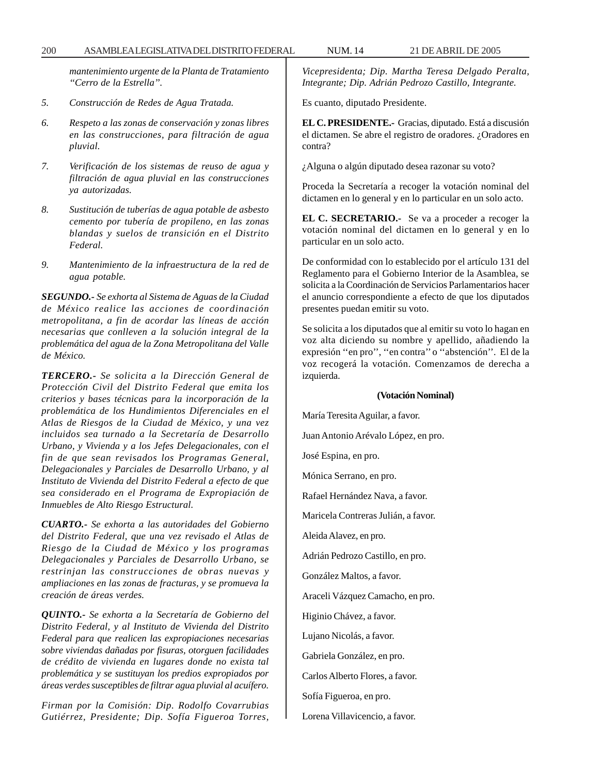200 ASAMBLEA LEGISLATIVA DEL DISTRITO FEDERAL NUM. 14 21 DE ABRIL DE 2005

*mantenimiento urgente de la Planta de Tratamiento ''Cerro de la Estrella''.*

- *5. Construcción de Redes de Agua Tratada.*
- *6. Respeto a las zonas de conservación y zonas libres en las construcciones, para filtración de agua pluvial.*
- *7. Verificación de los sistemas de reuso de agua y filtración de agua pluvial en las construcciones ya autorizadas.*
- *8. Sustitución de tuberías de agua potable de asbesto cemento por tubería de propileno, en las zonas blandas y suelos de transición en el Distrito Federal.*
- *9. Mantenimiento de la infraestructura de la red de agua potable.*

*SEGUNDO.- Se exhorta al Sistema de Aguas de la Ciudad de México realice las acciones de coordinación metropolitana, a fin de acordar las líneas de acción necesarias que conlleven a la solución integral de la problemática del agua de la Zona Metropolitana del Valle de México.*

*TERCERO.- Se solicita a la Dirección General de Protección Civil del Distrito Federal que emita los criterios y bases técnicas para la incorporación de la problemática de los Hundimientos Diferenciales en el Atlas de Riesgos de la Ciudad de México, y una vez incluidos sea turnado a la Secretaría de Desarrollo Urbano, y Vivienda y a los Jefes Delegacionales, con el fin de que sean revisados los Programas General, Delegacionales y Parciales de Desarrollo Urbano, y al Instituto de Vivienda del Distrito Federal a efecto de que sea considerado en el Programa de Expropiación de Inmuebles de Alto Riesgo Estructural.*

*CUARTO.- Se exhorta a las autoridades del Gobierno del Distrito Federal, que una vez revisado el Atlas de Riesgo de la Ciudad de México y los programas Delegacionales y Parciales de Desarrollo Urbano, se restrinjan las construcciones de obras nuevas y ampliaciones en las zonas de fracturas, y se promueva la creación de áreas verdes.*

*QUINTO.- Se exhorta a la Secretaría de Gobierno del Distrito Federal, y al Instituto de Vivienda del Distrito Federal para que realicen las expropiaciones necesarias sobre viviendas dañadas por fisuras, otorguen facilidades de crédito de vivienda en lugares donde no exista tal problemática y se sustituyan los predios expropiados por áreas verdes susceptibles de filtrar agua pluvial al acuífero.*

*Firman por la Comisión: Dip. Rodolfo Covarrubias Gutiérrez, Presidente; Dip. Sofía Figueroa Torres,*

*Vicepresidenta; Dip. Martha Teresa Delgado Peralta, Integrante; Dip. Adrián Pedrozo Castillo, Integrante.*

Es cuanto, diputado Presidente.

**EL C. PRESIDENTE.-** Gracias, diputado. Está a discusión el dictamen. Se abre el registro de oradores. ¿Oradores en contra?

¿Alguna o algún diputado desea razonar su voto?

Proceda la Secretaría a recoger la votación nominal del dictamen en lo general y en lo particular en un solo acto.

**EL C. SECRETARIO.-** Se va a proceder a recoger la votación nominal del dictamen en lo general y en lo particular en un solo acto.

De conformidad con lo establecido por el artículo 131 del Reglamento para el Gobierno Interior de la Asamblea, se solicita a la Coordinación de Servicios Parlamentarios hacer el anuncio correspondiente a efecto de que los diputados presentes puedan emitir su voto.

Se solicita a los diputados que al emitir su voto lo hagan en voz alta diciendo su nombre y apellido, añadiendo la expresión ''en pro'', ''en contra'' o ''abstención''. El de la voz recogerá la votación. Comenzamos de derecha a izquierda.

### **(Votación Nominal)**

María Teresita Aguilar, a favor. Juan Antonio Arévalo López, en pro. José Espina, en pro. Mónica Serrano, en pro. Rafael Hernández Nava, a favor. Maricela Contreras Julián, a favor. Aleida Alavez, en pro. Adrián Pedrozo Castillo, en pro. González Maltos, a favor. Araceli Vázquez Camacho, en pro. Higinio Chávez, a favor. Lujano Nicolás, a favor. Gabriela González, en pro. Carlos Alberto Flores, a favor. Sofía Figueroa, en pro. Lorena Villavicencio, a favor.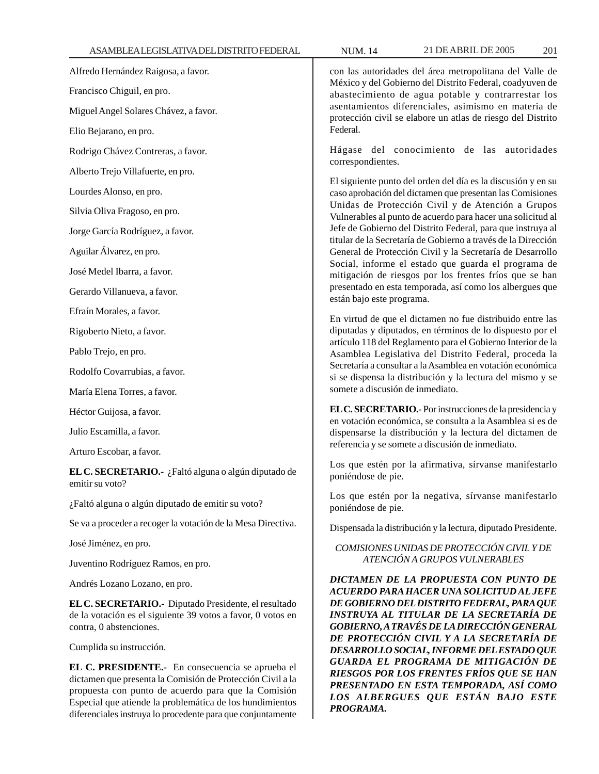Alfredo Hernández Raigosa, a favor.

Francisco Chiguil, en pro.

Miguel Angel Solares Chávez, a favor.

Elio Bejarano, en pro.

Rodrigo Chávez Contreras, a favor.

Alberto Trejo Villafuerte, en pro.

Lourdes Alonso, en pro.

Silvia Oliva Fragoso, en pro.

Jorge García Rodríguez, a favor.

Aguilar Álvarez, en pro.

José Medel Ibarra, a favor.

Gerardo Villanueva, a favor.

Efraín Morales, a favor.

Rigoberto Nieto, a favor.

Pablo Trejo, en pro.

Rodolfo Covarrubias, a favor.

María Elena Torres, a favor.

Héctor Guijosa, a favor.

Julio Escamilla, a favor.

Arturo Escobar, a favor.

**EL C. SECRETARIO.-** ¿Faltó alguna o algún diputado de emitir su voto?

¿Faltó alguna o algún diputado de emitir su voto?

Se va a proceder a recoger la votación de la Mesa Directiva.

José Jiménez, en pro.

Juventino Rodríguez Ramos, en pro.

Andrés Lozano Lozano, en pro.

**EL C. SECRETARIO.-** Diputado Presidente, el resultado de la votación es el siguiente 39 votos a favor, 0 votos en contra, 0 abstenciones.

Cumplida su instrucción.

**EL C. PRESIDENTE.-** En consecuencia se aprueba el dictamen que presenta la Comisión de Protección Civil a la propuesta con punto de acuerdo para que la Comisión Especial que atiende la problemática de los hundimientos diferenciales instruya lo procedente para que conjuntamente

con las autoridades del área metropolitana del Valle de México y del Gobierno del Distrito Federal, coadyuven de abastecimiento de agua potable y contrarrestar los asentamientos diferenciales, asimismo en materia de protección civil se elabore un atlas de riesgo del Distrito Federal.

Hágase del conocimiento de las autoridades correspondientes.

El siguiente punto del orden del día es la discusión y en su caso aprobación del dictamen que presentan las Comisiones Unidas de Protección Civil y de Atención a Grupos Vulnerables al punto de acuerdo para hacer una solicitud al Jefe de Gobierno del Distrito Federal, para que instruya al titular de la Secretaría de Gobierno a través de la Dirección General de Protección Civil y la Secretaría de Desarrollo Social, informe el estado que guarda el programa de mitigación de riesgos por los frentes fríos que se han presentado en esta temporada, así como los albergues que están bajo este programa.

En virtud de que el dictamen no fue distribuido entre las diputadas y diputados, en términos de lo dispuesto por el artículo 118 del Reglamento para el Gobierno Interior de la Asamblea Legislativa del Distrito Federal, proceda la Secretaría a consultar a la Asamblea en votación económica si se dispensa la distribución y la lectura del mismo y se somete a discusión de inmediato.

**EL C. SECRETARIO.-** Por instrucciones de la presidencia y en votación económica, se consulta a la Asamblea si es de dispensarse la distribución y la lectura del dictamen de referencia y se somete a discusión de inmediato.

Los que estén por la afirmativa, sírvanse manifestarlo poniéndose de pie.

Los que estén por la negativa, sírvanse manifestarlo poniéndose de pie.

Dispensada la distribución y la lectura, diputado Presidente.

# *COMISIONES UNIDAS DE PROTECCIÓN CIVIL Y DE ATENCIÓN A GRUPOS VULNERABLES*

*DICTAMEN DE LA PROPUESTA CON PUNTO DE ACUERDO PARA HACER UNA SOLICITUD AL JEFE DE GOBIERNO DEL DISTRITO FEDERAL, PARA QUE INSTRUYA AL TITULAR DE LA SECRETARÍA DE GOBIERNO, A TRAVÉS DE LA DIRECCIÓN GENERAL DE PROTECCIÓN CIVIL Y A LA SECRETARÍA DE DESARROLLO SOCIAL, INFORME DEL ESTADO QUE GUARDA EL PROGRAMA DE MITIGACIÓN DE RIESGOS POR LOS FRENTES FRÍOS QUE SE HAN PRESENTADO EN ESTA TEMPORADA, ASÍ COMO LOS ALBERGUES QUE ESTÁN BAJO ESTE PROGRAMA.*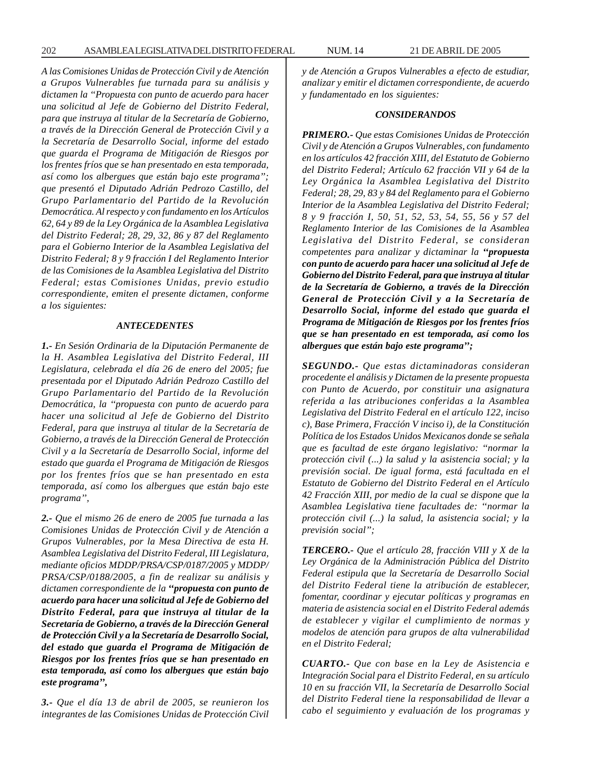*A las Comisiones Unidas de Protección Civil y de Atención a Grupos Vulnerables fue turnada para su análisis y dictamen la ''Propuesta con punto de acuerdo para hacer una solicitud al Jefe de Gobierno del Distrito Federal, para que instruya al titular de la Secretaría de Gobierno, a través de la Dirección General de Protección Civil y a la Secretaría de Desarrollo Social, informe del estado que guarda el Programa de Mitigación de Riesgos por los frentes fríos que se han presentado en esta temporada, así como los albergues que están bajo este programa''; que presentó el Diputado Adrián Pedrozo Castillo, del Grupo Parlamentario del Partido de la Revolución Democrática. Al respecto y con fundamento en los Artículos 62, 64 y 89 de la Ley Orgánica de la Asamblea Legislativa del Distrito Federal; 28, 29, 32, 86 y 87 del Reglamento para el Gobierno Interior de la Asamblea Legislativa del Distrito Federal; 8 y 9 fracción I del Reglamento Interior de las Comisiones de la Asamblea Legislativa del Distrito Federal; estas Comisiones Unidas, previo estudio correspondiente, emiten el presente dictamen, conforme a los siguientes:*

#### *ANTECEDENTES*

*1.- En Sesión Ordinaria de la Diputación Permanente de la H. Asamblea Legislativa del Distrito Federal, III Legislatura, celebrada el día 26 de enero del 2005; fue presentada por el Diputado Adrián Pedrozo Castillo del Grupo Parlamentario del Partido de la Revolución Democrática, la ''propuesta con punto de acuerdo para hacer una solicitud al Jefe de Gobierno del Distrito Federal, para que instruya al titular de la Secretaría de Gobierno, a través de la Dirección General de Protección Civil y a la Secretaría de Desarrollo Social, informe del estado que guarda el Programa de Mitigación de Riesgos por los frentes fríos que se han presentado en esta temporada, así como los albergues que están bajo este programa'',*

*2.- Que el mismo 26 de enero de 2005 fue turnada a las Comisiones Unidas de Protección Civil y de Atención a Grupos Vulnerables, por la Mesa Directiva de esta H. Asamblea Legislativa del Distrito Federal, III Legislatura, mediante oficios MDDP/PRSA/CSP/0187/2005 y MDDP/ PRSA/CSP/0188/2005, a fin de realizar su análisis y dictamen correspondiente de la ''propuesta con punto de acuerdo para hacer una solicitud al Jefe de Gobierno del Distrito Federal, para que instruya al titular de la Secretaría de Gobierno, a través de la Dirección General de Protección Civil y a la Secretaría de Desarrollo Social, del estado que guarda el Programa de Mitigación de Riesgos por los frentes fríos que se han presentado en esta temporada, así como los albergues que están bajo este programa'',*

*3.- Que el día 13 de abril de 2005, se reunieron los integrantes de las Comisiones Unidas de Protección Civil* *y de Atención a Grupos Vulnerables a efecto de estudiar, analizar y emitir el dictamen correspondiente, de acuerdo y fundamentado en los siguientes:*

#### *CONSIDERANDOS*

*PRIMERO.- Que estas Comisiones Unidas de Protección Civil y de Atención a Grupos Vulnerables, con fundamento en los artículos 42 fracción XIII, del Estatuto de Gobierno del Distrito Federal; Artículo 62 fracción VII y 64 de la Ley Orgánica la Asamblea Legislativa del Distrito Federal; 28, 29, 83 y 84 del Reglamento para el Gobierno Interior de la Asamblea Legislativa del Distrito Federal; 8 y 9 fracción I, 50, 51, 52, 53, 54, 55, 56 y 57 del Reglamento Interior de las Comisiones de la Asamblea Legislativa del Distrito Federal, se consideran competentes para analizar y dictaminar la ''propuesta con punto de acuerdo para hacer una solicitud al Jefe de Gobierno del Distrito Federal, para que instruya al titular de la Secretaría de Gobierno, a través de la Dirección General de Protección Civil y a la Secretaría de Desarrollo Social, informe del estado que guarda el Programa de Mitigación de Riesgos por los frentes fríos que se han presentado en est temporada, así como los albergues que están bajo este programa'';*

*SEGUNDO.- Que estas dictaminadoras consideran procedente el análisis y Dictamen de la presente propuesta con Punto de Acuerdo, por constituir una asignatura referida a las atribuciones conferidas a la Asamblea Legislativa del Distrito Federal en el artículo 122, inciso c), Base Primera, Fracción V inciso i), de la Constitución Política de los Estados Unidos Mexicanos donde se señala que es facultad de este órgano legislativo: ''normar la protección civil (...) la salud y la asistencia social; y la previsión social. De igual forma, está facultada en el Estatuto de Gobierno del Distrito Federal en el Artículo 42 Fracción XIII, por medio de la cual se dispone que la Asamblea Legislativa tiene facultades de: ''normar la protección civil (...) la salud, la asistencia social; y la previsión social'';*

*TERCERO.- Que el artículo 28, fracción VIII y X de la Ley Orgánica de la Administración Pública del Distrito Federal estipula que la Secretaría de Desarrollo Social del Distrito Federal tiene la atribución de establecer, fomentar, coordinar y ejecutar políticas y programas en materia de asistencia social en el Distrito Federal además de establecer y vigilar el cumplimiento de normas y modelos de atención para grupos de alta vulnerabilidad en el Distrito Federal;*

*CUARTO.- Que con base en la Ley de Asistencia e Integración Social para el Distrito Federal, en su artículo 10 en su fracción VII, la Secretaría de Desarrollo Social del Distrito Federal tiene la responsabilidad de llevar a cabo el seguimiento y evaluación de los programas y*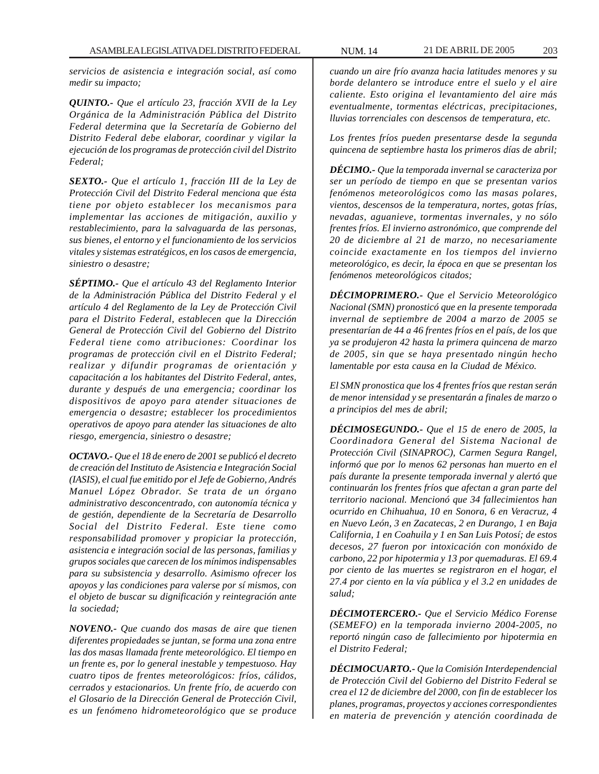*servicios de asistencia e integración social, así como medir su impacto;*

*QUINTO.- Que el artículo 23, fracción XVII de la Ley Orgánica de la Administración Pública del Distrito Federal determina que la Secretaría de Gobierno del Distrito Federal debe elaborar, coordinar y vigilar la ejecución de los programas de protección civil del Distrito Federal;*

*SEXTO.- Que el artículo 1, fracción III de la Ley de Protección Civil del Distrito Federal menciona que ésta tiene por objeto establecer los mecanismos para implementar las acciones de mitigación, auxilio y restablecimiento, para la salvaguarda de las personas, sus bienes, el entorno y el funcionamiento de los servicios vitales y sistemas estratégicos, en los casos de emergencia, siniestro o desastre;*

*SÉPTIMO.- Que el artículo 43 del Reglamento Interior de la Administración Pública del Distrito Federal y el artículo 4 del Reglamento de la Ley de Protección Civil para el Distrito Federal, establecen que la Dirección General de Protección Civil del Gobierno del Distrito Federal tiene como atribuciones: Coordinar los programas de protección civil en el Distrito Federal; realizar y difundir programas de orientación y capacitación a los habitantes del Distrito Federal, antes, durante y después de una emergencia; coordinar los dispositivos de apoyo para atender situaciones de emergencia o desastre; establecer los procedimientos operativos de apoyo para atender las situaciones de alto riesgo, emergencia, siniestro o desastre;*

*OCTAVO.- Que el 18 de enero de 2001 se publicó el decreto de creación del Instituto de Asistencia e Integración Social (IASIS), el cual fue emitido por el Jefe de Gobierno, Andrés Manuel López Obrador. Se trata de un órgano administrativo desconcentrado, con autonomía técnica y de gestión, dependiente de la Secretaría de Desarrollo Social del Distrito Federal. Este tiene como responsabilidad promover y propiciar la protección, asistencia e integración social de las personas, familias y grupos sociales que carecen de los mínimos indispensables para su subsistencia y desarrollo. Asimismo ofrecer los apoyos y las condiciones para valerse por sí mismos, con el objeto de buscar su dignificación y reintegración ante la sociedad;*

*NOVENO.- Que cuando dos masas de aire que tienen diferentes propiedades se juntan, se forma una zona entre las dos masas llamada frente meteorológico. El tiempo en un frente es, por lo general inestable y tempestuoso. Hay cuatro tipos de frentes meteorológicos: fríos, cálidos, cerrados y estacionarios. Un frente frío, de acuerdo con el Glosario de la Dirección General de Protección Civil, es un fenómeno hidrometeorológico que se produce*

*cuando un aire frío avanza hacia latitudes menores y su borde delantero se introduce entre el suelo y el aire caliente. Esto origina el levantamiento del aire más eventualmente, tormentas eléctricas, precipitaciones, lluvias torrenciales con descensos de temperatura, etc.*

*Los frentes fríos pueden presentarse desde la segunda quincena de septiembre hasta los primeros días de abril;*

*DÉCIMO.- Que la temporada invernal se caracteriza por ser un período de tiempo en que se presentan varios fenómenos meteorológicos como las masas polares, vientos, descensos de la temperatura, nortes, gotas frías, nevadas, aguanieve, tormentas invernales, y no sólo frentes fríos. El invierno astronómico, que comprende del 20 de diciembre al 21 de marzo, no necesariamente coincide exactamente en los tiempos del invierno meteorológico, es decir, la época en que se presentan los fenómenos meteorológicos citados;*

*DÉCIMOPRIMERO.- Que el Servicio Meteorológico Nacional (SMN) pronosticó que en la presente temporada invernal de septiembre de 2004 a marzo de 2005 se presentarían de 44 a 46 frentes fríos en el país, de los que ya se produjeron 42 hasta la primera quincena de marzo de 2005, sin que se haya presentado ningún hecho lamentable por esta causa en la Ciudad de México.*

*El SMN pronostica que los 4 frentes fríos que restan serán de menor intensidad y se presentarán a finales de marzo o a principios del mes de abril;*

*DÉCIMOSEGUNDO.- Que el 15 de enero de 2005, la Coordinadora General del Sistema Nacional de Protección Civil (SINAPROC), Carmen Segura Rangel, informó que por lo menos 62 personas han muerto en el país durante la presente temporada invernal y alertó que continuarán los frentes fríos que afectan a gran parte del territorio nacional. Mencionó que 34 fallecimientos han ocurrido en Chihuahua, 10 en Sonora, 6 en Veracruz, 4 en Nuevo León, 3 en Zacatecas, 2 en Durango, 1 en Baja California, 1 en Coahuila y 1 en San Luis Potosí; de estos decesos, 27 fueron por intoxicación con monóxido de carbono, 22 por hipotermia y 13 por quemaduras. El 69.4 por ciento de las muertes se registraron en el hogar, el 27.4 por ciento en la vía pública y el 3.2 en unidades de salud;*

*DÉCIMOTERCERO.- Que el Servicio Médico Forense (SEMEFO) en la temporada invierno 2004-2005, no reportó ningún caso de fallecimiento por hipotermia en el Distrito Federal;*

*DÉCIMOCUARTO.- Que la Comisión Interdependencial de Protección Civil del Gobierno del Distrito Federal se crea el 12 de diciembre del 2000, con fin de establecer los planes, programas, proyectos y acciones correspondientes en materia de prevención y atención coordinada de*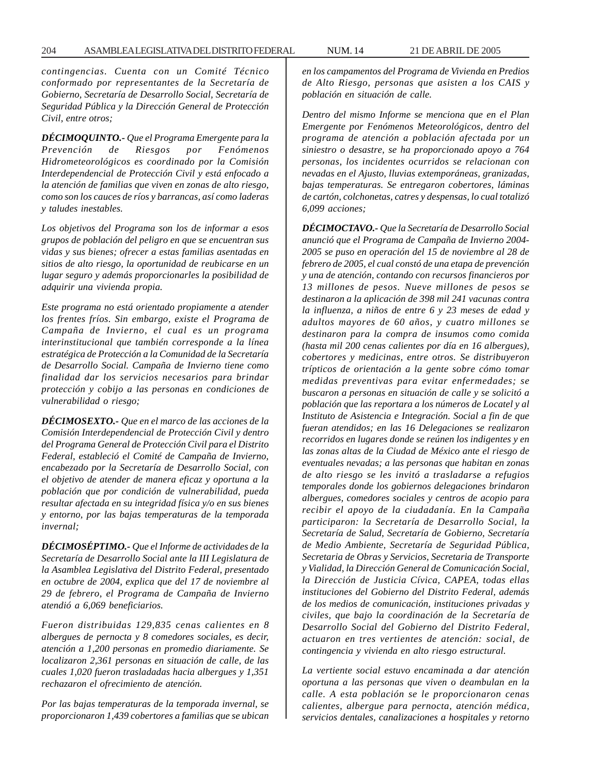*contingencias. Cuenta con un Comité Técnico conformado por representantes de la Secretaría de Gobierno, Secretaría de Desarrollo Social, Secretaría de Seguridad Pública y la Dirección General de Protección Civil, entre otros;*

*DÉCIMOQUINTO.- Que el Programa Emergente para la Prevención de Riesgos por Fenómenos Hidrometeorológicos es coordinado por la Comisión Interdependencial de Protección Civil y está enfocado a la atención de familias que viven en zonas de alto riesgo, como son los cauces de ríos y barrancas, así como laderas y taludes inestables.*

*Los objetivos del Programa son los de informar a esos grupos de población del peligro en que se encuentran sus vidas y sus bienes; ofrecer a estas familias asentadas en sitios de alto riesgo, la oportunidad de reubicarse en un lugar seguro y además proporcionarles la posibilidad de adquirir una vivienda propia.*

*Este programa no está orientado propiamente a atender los frentes fríos. Sin embargo, existe el Programa de Campaña de Invierno, el cual es un programa interinstitucional que también corresponde a la línea estratégica de Protección a la Comunidad de la Secretaría de Desarrollo Social. Campaña de Invierno tiene como finalidad dar los servicios necesarios para brindar protección y cobijo a las personas en condiciones de vulnerabilidad o riesgo;*

*DÉCIMOSEXTO.- Que en el marco de las acciones de la Comisión Interdependencial de Protección Civil y dentro del Programa General de Protección Civil para el Distrito Federal, estableció el Comité de Campaña de Invierno, encabezado por la Secretaría de Desarrollo Social, con el objetivo de atender de manera eficaz y oportuna a la población que por condición de vulnerabilidad, pueda resultar afectada en su integridad física y/o en sus bienes y entorno, por las bajas temperaturas de la temporada invernal;*

*DÉCIMOSÉPTIMO.- Que el Informe de actividades de la Secretaría de Desarrollo Social ante la III Legislatura de la Asamblea Legislativa del Distrito Federal, presentado en octubre de 2004, explica que del 17 de noviembre al 29 de febrero, el Programa de Campaña de Invierno atendió a 6,069 beneficiarios.*

*Fueron distribuidas 129,835 cenas calientes en 8 albergues de pernocta y 8 comedores sociales, es decir, atención a 1,200 personas en promedio diariamente. Se localizaron 2,361 personas en situación de calle, de las cuales 1,020 fueron trasladadas hacia albergues y 1,351 rechazaron el ofrecimiento de atención.*

*Por las bajas temperaturas de la temporada invernal, se proporcionaron 1,439 cobertores a familias que se ubican* *en los campamentos del Programa de Vivienda en Predios de Alto Riesgo, personas que asisten a los CAIS y población en situación de calle.*

*Dentro del mismo Informe se menciona que en el Plan Emergente por Fenómenos Meteorológicos, dentro del programa de atención a población afectada por un siniestro o desastre, se ha proporcionado apoyo a 764 personas, los incidentes ocurridos se relacionan con nevadas en el Ajusto, lluvias extemporáneas, granizadas, bajas temperaturas. Se entregaron cobertores, láminas de cartón, colchonetas, catres y despensas, lo cual totalizó 6,099 acciones;*

*DÉCIMOCTAVO.- Que la Secretaría de Desarrollo Social anunció que el Programa de Campaña de Invierno 2004- 2005 se puso en operación del 15 de noviembre al 28 de febrero de 2005, el cual constó de una etapa de prevención y una de atención, contando con recursos financieros por 13 millones de pesos. Nueve millones de pesos se destinaron a la aplicación de 398 mil 241 vacunas contra la influenza, a niños de entre 6 y 23 meses de edad y adultos mayores de 60 años, y cuatro millones se destinaron para la compra de insumos como comida (hasta mil 200 cenas calientes por día en 16 albergues), cobertores y medicinas, entre otros. Se distribuyeron trípticos de orientación a la gente sobre cómo tomar medidas preventivas para evitar enfermedades; se buscaron a personas en situación de calle y se solicitó a población que las reportara a los números de Locatel y al Instituto de Asistencia e Integración. Social a fin de que fueran atendidos; en las 16 Delegaciones se realizaron recorridos en lugares donde se reúnen los indigentes y en las zonas altas de la Ciudad de México ante el riesgo de eventuales nevadas; a las personas que habitan en zonas de alto riesgo se les invitó a trasladarse a refugios temporales donde los gobiernos delegaciones brindaron albergues, comedores sociales y centros de acopio para recibir el apoyo de la ciudadanía. En la Campaña participaron: la Secretaría de Desarrollo Social, la Secretaría de Salud, Secretaría de Gobierno, Secretaría de Medio Ambiente, Secretaría de Seguridad Pública, Secretaria de Obras y Servicios, Secretaria de Transporte y Vialidad, la Dirección General de Comunicación Social, la Dirección de Justicia Cívica, CAPEA, todas ellas instituciones del Gobierno del Distrito Federal, además de los medios de comunicación, instituciones privadas y civiles, que bajo la coordinación de la Secretaría de Desarrollo Social del Gobierno del Distrito Federal, actuaron en tres vertientes de atención: social, de contingencia y vivienda en alto riesgo estructural.*

*La vertiente social estuvo encaminada a dar atención oportuna a las personas que viven o deambulan en la calle. A esta población se le proporcionaron cenas calientes, albergue para pernocta, atención médica, servicios dentales, canalizaciones a hospitales y retorno*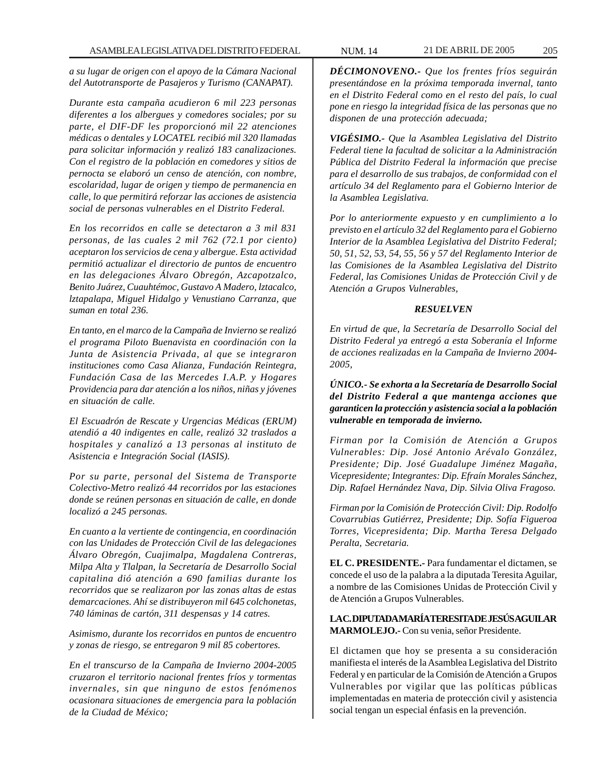*a su lugar de origen con el apoyo de la Cámara Nacional del Autotransporte de Pasajeros y Turismo (CANAPAT).*

*Durante esta campaña acudieron 6 mil 223 personas diferentes a los albergues y comedores sociales; por su parte, el DIF-DF les proporcionó mil 22 atenciones médicas o dentales y LOCATEL recibió mil 320 llamadas para solicitar información y realizó 183 canalizaciones. Con el registro de la población en comedores y sitios de pernocta se elaboró un censo de atención, con nombre, escolaridad, lugar de origen y tiempo de permanencia en calle, lo que permitirá reforzar las acciones de asistencia social de personas vulnerables en el Distrito Federal.*

*En los recorridos en calle se detectaron a 3 mil 831 personas, de las cuales 2 mil 762 (72.1 por ciento) aceptaron los servicios de cena y albergue. Esta actividad permitió actualizar el directorio de puntos de encuentro en las delegaciones Álvaro Obregón, Azcapotzalco, Benito Juárez, Cuauhtémoc, Gustavo A Madero, lztacalco, lztapalapa, Miguel Hidalgo y Venustiano Carranza, que suman en total 236.*

*En tanto, en el marco de la Campaña de Invierno se realizó el programa Piloto Buenavista en coordinación con la Junta de Asistencia Privada, al que se integraron instituciones como Casa Alianza, Fundación Reintegra, Fundación Casa de las Mercedes I.A.P. y Hogares Providencia para dar atención a los niños, niñas y jóvenes en situación de calle.*

*El Escuadrón de Rescate y Urgencias Médicas (ERUM) atendió a 40 indigentes en calle, realizó 32 traslados a hospitales y canalizó a 13 personas al instituto de Asistencia e Integración Social (IASIS).*

*Por su parte, personal del Sistema de Transporte Colectivo-Metro realizó 44 recorridos por las estaciones donde se reúnen personas en situación de calle, en donde localizó a 245 personas.*

*En cuanto a la vertiente de contingencia, en coordinación con las Unidades de Protección Civil de las delegaciones Álvaro Obregón, Cuajimalpa, Magdalena Contreras, Milpa Alta y Tlalpan, la Secretaría de Desarrollo Social capitalina dió atención a 690 familias durante los recorridos que se realizaron por las zonas altas de estas demarcaciones. Ahí se distribuyeron mil 645 colchonetas, 740 láminas de cartón, 311 despensas y 14 catres.*

*Asimismo, durante los recorridos en puntos de encuentro y zonas de riesgo, se entregaron 9 mil 85 cobertores.*

*En el transcurso de la Campaña de Invierno 2004-2005 cruzaron el territorio nacional frentes fríos y tormentas invernales, sin que ninguno de estos fenómenos ocasionara situaciones de emergencia para la población de la Ciudad de México;*

*DÉCIMONOVENO.- Que los frentes fríos seguirán presentándose en la próxima temporada invernal, tanto en el Distrito Federal como en el resto del país, lo cual pone en riesgo la integridad física de las personas que no disponen de una protección adecuada;*

*VIGÉSIMO.- Que la Asamblea Legislativa del Distrito Federal tiene la facultad de solicitar a la Administración Pública del Distrito Federal la información que precise para el desarrollo de sus trabajos, de conformidad con el artículo 34 del Reglamento para el Gobierno lnterior de la Asamblea Legislativa.*

*Por lo anteriormente expuesto y en cumplimiento a lo previsto en el artículo 32 del Reglamento para el Gobierno Interior de la Asamblea Legislativa del Distrito Federal; 50, 51, 52, 53, 54, 55, 56 y 57 del Reglamento Interior de las Comisiones de la Asamblea Legislativa del Distrito Federal, las Comisiones Unidas de Protección Civil y de Atención a Grupos Vulnerables,*

### *RESUELVEN*

*En virtud de que, la Secretaría de Desarrollo Social del Distrito Federal ya entregó a esta Soberanía el Informe de acciones realizadas en la Campaña de Invierno 2004- 2005,*

*ÚNICO.- Se exhorta a la Secretaría de Desarrollo Social del Distrito Federal a que mantenga acciones que garanticen la protección y asistencia social a la población vulnerable en temporada de invierno.*

*Firman por la Comisión de Atención a Grupos Vulnerables: Dip. José Antonio Arévalo González, Presidente; Dip. José Guadalupe Jiménez Magaña, Vicepresidente; Integrantes: Dip. Efraín Morales Sánchez, Dip. Rafael Hernández Nava, Dip. Silvia Oliva Fragoso.*

*Firman por la Comisión de Protección Civil: Dip. Rodolfo Covarrubias Gutiérrez, Presidente; Dip. Sofía Figueroa Torres, Vicepresidenta; Dip. Martha Teresa Delgado Peralta, Secretaria.*

**EL C. PRESIDENTE.-** Para fundamentar el dictamen, se concede el uso de la palabra a la diputada Teresita Aguilar, a nombre de las Comisiones Unidas de Protección Civil y de Atención a Grupos Vulnerables.

**LA C. DIPUTADA MARÍA TERESITA DE JESÚS AGUILAR MARMOLEJO.-** Con su venia, señor Presidente.

El dictamen que hoy se presenta a su consideración manifiesta el interés de la Asamblea Legislativa del Distrito Federal y en particular de la Comisión de Atención a Grupos Vulnerables por vigilar que las políticas públicas implementadas en materia de protección civil y asistencia social tengan un especial énfasis en la prevención.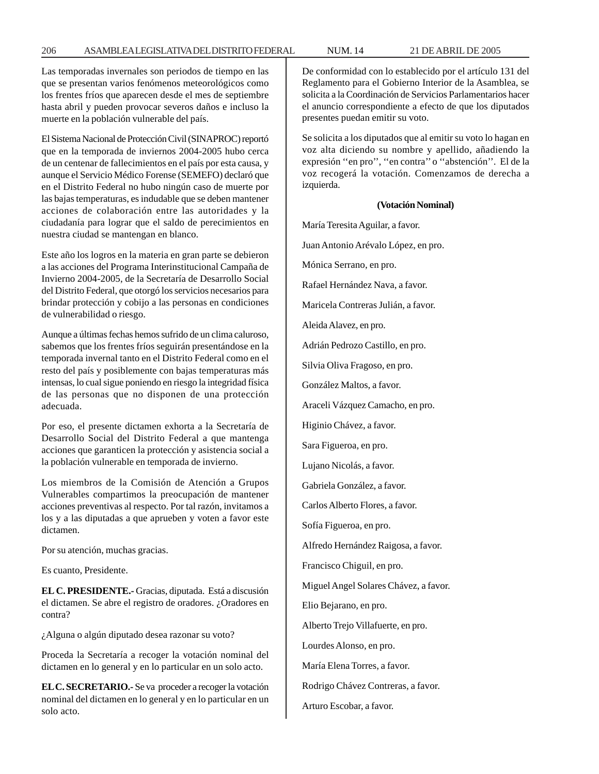Las temporadas invernales son periodos de tiempo en las que se presentan varios fenómenos meteorológicos como los frentes fríos que aparecen desde el mes de septiembre hasta abril y pueden provocar severos daños e incluso la muerte en la población vulnerable del país.

El Sistema Nacional de Protección Civil (SINAPROC) reportó que en la temporada de inviernos 2004-2005 hubo cerca de un centenar de fallecimientos en el país por esta causa, y aunque el Servicio Médico Forense (SEMEFO) declaró que en el Distrito Federal no hubo ningún caso de muerte por las bajas temperaturas, es indudable que se deben mantener acciones de colaboración entre las autoridades y la ciudadanía para lograr que el saldo de perecimientos en nuestra ciudad se mantengan en blanco.

Este año los logros en la materia en gran parte se debieron a las acciones del Programa Interinstitucional Campaña de Invierno 2004-2005, de la Secretaría de Desarrollo Social del Distrito Federal, que otorgó los servicios necesarios para brindar protección y cobijo a las personas en condiciones de vulnerabilidad o riesgo.

Aunque a últimas fechas hemos sufrido de un clima caluroso, sabemos que los frentes fríos seguirán presentándose en la temporada invernal tanto en el Distrito Federal como en el resto del país y posiblemente con bajas temperaturas más intensas, lo cual sigue poniendo en riesgo la integridad física de las personas que no disponen de una protección adecuada.

Por eso, el presente dictamen exhorta a la Secretaría de Desarrollo Social del Distrito Federal a que mantenga acciones que garanticen la protección y asistencia social a la población vulnerable en temporada de invierno.

Los miembros de la Comisión de Atención a Grupos Vulnerables compartimos la preocupación de mantener acciones preventivas al respecto. Por tal razón, invitamos a los y a las diputadas a que aprueben y voten a favor este dictamen.

Por su atención, muchas gracias.

Es cuanto, Presidente.

**EL C. PRESIDENTE.-** Gracias, diputada. Está a discusión el dictamen. Se abre el registro de oradores. ¿Oradores en contra?

¿Alguna o algún diputado desea razonar su voto?

Proceda la Secretaría a recoger la votación nominal del dictamen en lo general y en lo particular en un solo acto.

**EL C. SECRETARIO.-** Se va proceder a recoger la votación nominal del dictamen en lo general y en lo particular en un solo acto.

De conformidad con lo establecido por el artículo 131 del Reglamento para el Gobierno Interior de la Asamblea, se solicita a la Coordinación de Servicios Parlamentarios hacer el anuncio correspondiente a efecto de que los diputados presentes puedan emitir su voto.

Se solicita a los diputados que al emitir su voto lo hagan en voz alta diciendo su nombre y apellido, añadiendo la expresión ''en pro'', ''en contra'' o ''abstención''. El de la voz recogerá la votación. Comenzamos de derecha a izquierda.

### **(Votación Nominal)**

María Teresita Aguilar, a favor.

Juan Antonio Arévalo López, en pro.

Mónica Serrano, en pro.

Rafael Hernández Nava, a favor.

Maricela Contreras Julián, a favor.

Aleida Alavez, en pro.

Adrián Pedrozo Castillo, en pro.

Silvia Oliva Fragoso, en pro.

González Maltos, a favor.

Araceli Vázquez Camacho, en pro.

Higinio Chávez, a favor.

Sara Figueroa, en pro.

Lujano Nicolás, a favor.

Gabriela González, a favor.

Carlos Alberto Flores, a favor.

Sofía Figueroa, en pro.

Alfredo Hernández Raigosa, a favor.

Francisco Chiguil, en pro.

Miguel Angel Solares Chávez, a favor.

Elio Bejarano, en pro.

Alberto Trejo Villafuerte, en pro.

Lourdes Alonso, en pro.

María Elena Torres, a favor.

Rodrigo Chávez Contreras, a favor.

Arturo Escobar, a favor.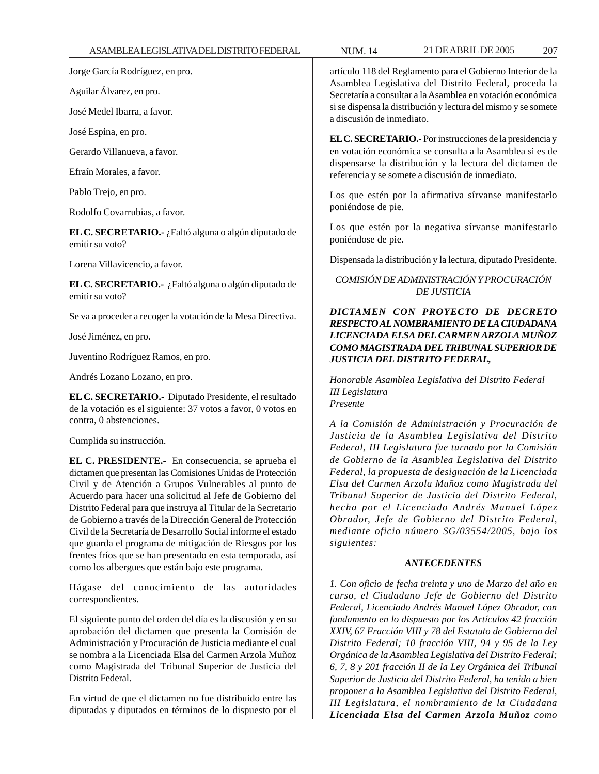Jorge García Rodríguez, en pro.

Aguilar Álvarez, en pro.

José Medel Ibarra, a favor.

José Espina, en pro.

Gerardo Villanueva, a favor.

Efraín Morales, a favor.

Pablo Trejo, en pro.

Rodolfo Covarrubias, a favor.

**EL C. SECRETARIO.-** ¿Faltó alguna o algún diputado de emitir su voto?

Lorena Villavicencio, a favor.

**EL C. SECRETARIO.-** ¿Faltó alguna o algún diputado de emitir su voto?

Se va a proceder a recoger la votación de la Mesa Directiva.

José Jiménez, en pro.

Juventino Rodríguez Ramos, en pro.

Andrés Lozano Lozano, en pro.

**EL C. SECRETARIO.-** Diputado Presidente, el resultado de la votación es el siguiente: 37 votos a favor, 0 votos en contra, 0 abstenciones.

Cumplida su instrucción.

**EL C. PRESIDENTE.-** En consecuencia, se aprueba el dictamen que presentan las Comisiones Unidas de Protección Civil y de Atención a Grupos Vulnerables al punto de Acuerdo para hacer una solicitud al Jefe de Gobierno del Distrito Federal para que instruya al Titular de la Secretario de Gobierno a través de la Dirección General de Protección Civil de la Secretaría de Desarrollo Social informe el estado que guarda el programa de mitigación de Riesgos por los frentes fríos que se han presentado en esta temporada, así como los albergues que están bajo este programa.

Hágase del conocimiento de las autoridades correspondientes.

El siguiente punto del orden del día es la discusión y en su aprobación del dictamen que presenta la Comisión de Administración y Procuración de Justicia mediante el cual se nombra a la Licenciada Elsa del Carmen Arzola Muñoz como Magistrada del Tribunal Superior de Justicia del Distrito Federal.

En virtud de que el dictamen no fue distribuido entre las diputadas y diputados en términos de lo dispuesto por el

artículo 118 del Reglamento para el Gobierno Interior de la Asamblea Legislativa del Distrito Federal, proceda la Secretaría a consultar a la Asamblea en votación económica si se dispensa la distribución y lectura del mismo y se somete a discusión de inmediato.

**EL C. SECRETARIO.-** Por instrucciones de la presidencia y en votación económica se consulta a la Asamblea si es de dispensarse la distribución y la lectura del dictamen de referencia y se somete a discusión de inmediato.

Los que estén por la afirmativa sírvanse manifestarlo poniéndose de pie.

Los que estén por la negativa sírvanse manifestarlo poniéndose de pie.

Dispensada la distribución y la lectura, diputado Presidente.

# *COMISIÓN DE ADMINISTRACIÓN Y PROCURACIÓN DE JUSTICIA*

# *DICTAMEN CON PROYECTO DE DECRETO RESPECTO AL NOMBRAMIENTO DE LA CIUDADANA LICENCIADA ELSA DEL CARMEN ARZOLA MUÑOZ COMO MAGISTRADA DEL TRIBUNAL SUPERIOR DE JUSTICIA DEL DISTRITO FEDERAL,*

*Honorable Asamblea Legislativa del Distrito Federal III Legislatura Presente*

*A la Comisión de Administración y Procuración de Justicia de la Asamblea Legislativa del Distrito Federal, III Legislatura fue turnado por la Comisión de Gobierno de la Asamblea Legislativa del Distrito Federal, la propuesta de designación de la Licenciada Elsa del Carmen Arzola Muñoz como Magistrada del Tribunal Superior de Justicia del Distrito Federal, hecha por el Licenciado Andrés Manuel López Obrador, Jefe de Gobierno del Distrito Federal, mediante oficio número SG/03554/2005, bajo los siguientes:*

# *ANTECEDENTES*

*1. Con oficio de fecha treinta y uno de Marzo del año en curso, el Ciudadano Jefe de Gobierno del Distrito Federal, Licenciado Andrés Manuel López Obrador, con fundamento en lo dispuesto por los Artículos 42 fracción XXIV, 67 Fracción VIII y 78 del Estatuto de Gobierno del Distrito Federal; 10 fracción VIII, 94 y 95 de la Ley Orgánica de la Asamblea Legislativa del Distrito Federal; 6, 7, 8 y 201 fracción II de la Ley Orgánica del Tribunal Superior de Justicia del Distrito Federal, ha tenido a bien proponer a la Asamblea Legislativa del Distrito Federal, III Legislatura, el nombramiento de la Ciudadana Licenciada Elsa del Carmen Arzola Muñoz como*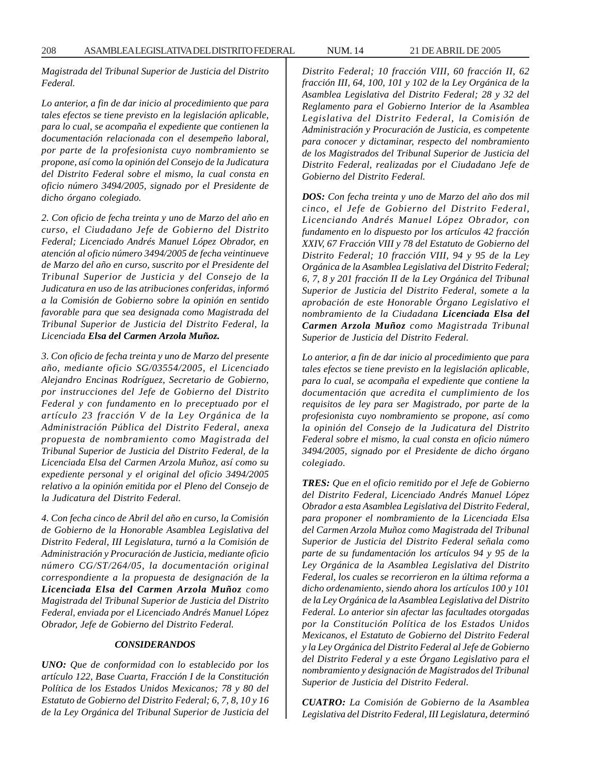208 ASAMBLEA LEGISLATIVA DEL DISTRITO FEDERAL NUM. 14 21 DE ABRIL DE 2005

*Magistrada del Tribunal Superior de Justicia del Distrito Federal.*

*Lo anterior, a fin de dar inicio al procedimiento que para tales efectos se tiene previsto en la legislación aplicable, para lo cual, se acompaña el expediente que contienen la documentación relacionada con el desempeño laboral, por parte de la profesionista cuyo nombramiento se propone, así como la opinión del Consejo de la Judicatura del Distrito Federal sobre el mismo, la cual consta en oficio número 3494/2005, signado por el Presidente de dicho órgano colegiado.*

*2. Con oficio de fecha treinta y uno de Marzo del año en curso, el Ciudadano Jefe de Gobierno del Distrito Federal; Licenciado Andrés Manuel López Obrador, en atención al oficio número 3494/2005 de fecha veintinueve de Marzo del año en curso, suscrito por el Presidente del Tribunal Superior de Justicia y del Consejo de la Judicatura en uso de las atribuciones conferidas, informó a la Comisión de Gobierno sobre la opinión en sentido favorable para que sea designada como Magistrada del Tribunal Superior de Justicia del Distrito Federal, la Licenciada Elsa del Carmen Arzola Muñoz.*

*3. Con oficio de fecha treinta y uno de Marzo del presente año, mediante oficio SG/03554/2005, el Licenciado Alejandro Encinas Rodríguez, Secretario de Gobierno, por instrucciones del Jefe de Gobierno del Distrito Federal y con fundamento en lo preceptuado por el artículo 23 fracción V de la Ley Orgánica de la Administración Pública del Distrito Federal, anexa propuesta de nombramiento como Magistrada del Tribunal Superior de Justicia del Distrito Federal, de la Licenciada Elsa del Carmen Arzola Muñoz, así como su expediente personal y el original del oficio 3494/2005 relativo a la opinión emitida por el Pleno del Consejo de la Judicatura del Distrito Federal.*

*4. Con fecha cinco de Abril del año en curso, la Comisión de Gobierno de la Honorable Asamblea Legislativa del Distrito Federal, III Legislatura, turnó a la Comisión de Administración y Procuración de Justicia, mediante oficio número CG/ST/264/05, la documentación original correspondiente a la propuesta de designación de la Licenciada Elsa del Carmen Arzola Muñoz como Magistrada del Tribunal Superior de Justicia del Distrito Federal, enviada por el Licenciado Andrés Manuel López Obrador, Jefe de Gobierno del Distrito Federal.*

### *CONSIDERANDOS*

*UNO: Que de conformidad con lo establecido por los artículo 122, Base Cuarta, Fracción I de la Constitución Política de los Estados Unidos Mexicanos; 78 y 80 del Estatuto de Gobierno del Distrito Federal; 6, 7, 8, 10 y 16 de la Ley Orgánica del Tribunal Superior de Justicia del* *Distrito Federal; 10 fracción VIII, 60 fracción II, 62 fracción III, 64, 100, 101 y 102 de la Ley Orgánica de la Asamblea Legislativa del Distrito Federal; 28 y 32 del Reglamento para el Gobierno Interior de la Asamblea Legislativa del Distrito Federal, la Comisión de Administración y Procuración de Justicia, es competente para conocer y dictaminar, respecto del nombramiento de los Magistrados del Tribunal Superior de Justicia del Distrito Federal, realizadas por el Ciudadano Jefe de Gobierno del Distrito Federal.*

*DOS: Con fecha treinta y uno de Marzo del año dos mil cinco, el Jefe de Gobierno del Distrito Federal, Licenciando Andrés Manuel López Obrador, con fundamento en lo dispuesto por los artículos 42 fracción XXIV, 67 Fracción VIII y 78 del Estatuto de Gobierno del Distrito Federal; 10 fracción VIII, 94 y 95 de la Ley Orgánica de la Asamblea Legislativa del Distrito Federal; 6, 7, 8 y 201 fracción II de la Ley Orgánica del Tribunal Superior de Justicia del Distrito Federal, somete a la aprobación de este Honorable Órgano Legislativo el nombramiento de la Ciudadana Licenciada Elsa del Carmen Arzola Muñoz como Magistrada Tribunal Superior de Justicia del Distrito Federal.*

*Lo anterior, a fin de dar inicio al procedimiento que para tales efectos se tiene previsto en la legislación aplicable, para lo cual, se acompaña el expediente que contiene la documentación que acredita el cumplimiento de los requisitos de ley para ser Magistrado, por parte de la profesionista cuyo nombramiento se propone, así como la opinión del Consejo de la Judicatura del Distrito Federal sobre el mismo, la cual consta en oficio número 3494/2005, signado por el Presidente de dicho órgano colegiado.*

*TRES: Que en el oficio remitido por el Jefe de Gobierno del Distrito Federal, Licenciado Andrés Manuel López Obrador a esta Asamblea Legislativa del Distrito Federal, para proponer el nombramiento de la Licenciada Elsa del Carmen Arzola Muñoz como Magistrada del Tribunal Superior de Justicia del Distrito Federal señala como parte de su fundamentación los artículos 94 y 95 de la Ley Orgánica de la Asamblea Legislativa del Distrito Federal, los cuales se recorrieron en la última reforma a dicho ordenamiento, siendo ahora los artículos 100 y 101 de la Ley Orgánica de la Asamblea Legislativa del Distrito Federal. Lo anterior sin afectar las facultades otorgadas por la Constitución Política de los Estados Unidos Mexicanos, el Estatuto de Gobierno del Distrito Federal y la Ley Orgánica del Distrito Federal al Jefe de Gobierno del Distrito Federal y a este Órgano Legislativo para el nombramiento y designación de Magistrados del Tribunal Superior de Justicia del Distrito Federal.*

*CUATRO: La Comisión de Gobierno de la Asamblea Legislativa del Distrito Federal, III Legislatura, determinó*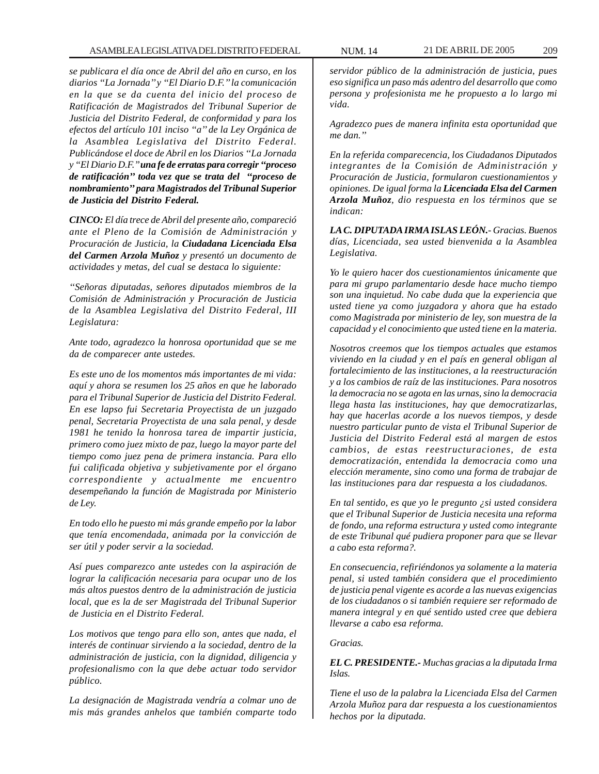*se publicara el día once de Abril del año en curso, en los diarios ''La Jornada'' y ''El Diario D.F.'' la comunicación en la que se da cuenta del inicio del proceso de Ratificación de Magistrados del Tribunal Superior de Justicia del Distrito Federal, de conformidad y para los efectos del artículo 101 inciso ''a'' de la Ley Orgánica de la Asamblea Legislativa del Distrito Federal. Publicándose el doce de Abril en los Diarios ''La Jornada y ''El Diario D.F.'' una fe de erratas para corregir ''proceso de ratificación'' toda vez que se trata del ''proceso de nombramiento'' para Magistrados del Tribunal Superior de Justicia del Distrito Federal.*

*CINCO: El día trece de Abril del presente año, compareció ante el Pleno de la Comisión de Administración y Procuración de Justicia, la Ciudadana Licenciada Elsa del Carmen Arzola Muñoz y presentó un documento de actividades y metas, del cual se destaca lo siguiente:*

*''Señoras diputadas, señores diputados miembros de la Comisión de Administración y Procuración de Justicia de la Asamblea Legislativa del Distrito Federal, III Legislatura:*

*Ante todo, agradezco la honrosa oportunidad que se me da de comparecer ante ustedes.*

*Es este uno de los momentos más importantes de mi vida: aquí y ahora se resumen los 25 años en que he laborado para el Tribunal Superior de Justicia del Distrito Federal. En ese lapso fui Secretaria Proyectista de un juzgado penal, Secretaria Proyectista de una sala penal, y desde 1981 he tenido la honrosa tarea de impartir justicia, primero como juez mixto de paz, luego la mayor parte del tiempo como juez pena de primera instancia. Para ello fui calificada objetiva y subjetivamente por el órgano correspondiente y actualmente me encuentro desempeñando la función de Magistrada por Ministerio de Ley.*

*En todo ello he puesto mi más grande empeño por la labor que tenía encomendada, animada por la convicción de ser útil y poder servir a la sociedad.*

*Así pues comparezco ante ustedes con la aspiración de lograr la calificación necesaria para ocupar uno de los más altos puestos dentro de la administración de justicia local, que es la de ser Magistrada del Tribunal Superior de Justicia en el Distrito Federal.*

*Los motivos que tengo para ello son, antes que nada, el interés de continuar sirviendo a la sociedad, dentro de la administración de justicia, con la dignidad, diligencia y profesionalismo con la que debe actuar todo servidor público.*

*La designación de Magistrada vendría a colmar uno de mis más grandes anhelos que también comparte todo* *servidor público de la administración de justicia, pues eso significa un paso más adentro del desarrollo que como persona y profesionista me he propuesto a lo largo mi vida.*

*Agradezco pues de manera infinita esta oportunidad que me dan.''*

*En la referida comparecencia, los Ciudadanos Diputados integrantes de la Comisión de Administración y Procuración de Justicia, formularon cuestionamientos y opiniones. De igual forma la Licenciada Elsa del Carmen Arzola Muñoz, dio respuesta en los términos que se indican:*

*LA C. DIPUTADA IRMA ISLAS LEÓN.- Gracias. Buenos días, Licenciada, sea usted bienvenida a la Asamblea Legislativa.*

*Yo le quiero hacer dos cuestionamientos únicamente que para mi grupo parlamentario desde hace mucho tiempo son una inquietud. No cabe duda que la experiencia que usted tiene ya como juzgadora y ahora que ha estado como Magistrada por ministerio de ley, son muestra de la capacidad y el conocimiento que usted tiene en la materia.*

*Nosotros creemos que los tiempos actuales que estamos viviendo en la ciudad y en el país en general obligan al fortalecimiento de las instituciones, a la reestructuración y a los cambios de raíz de las instituciones. Para nosotros la democracia no se agota en las urnas, sino la democracia llega hasta las instituciones, hay que democratizarlas, hay que hacerlas acorde a los nuevos tiempos, y desde nuestro particular punto de vista el Tribunal Superior de Justicia del Distrito Federal está al margen de estos cambios, de estas reestructuraciones, de esta democratización, entendida la democracia como una elección meramente, sino como una forma de trabajar de las instituciones para dar respuesta a los ciudadanos.*

*En tal sentido, es que yo le pregunto ¿si usted considera que el Tribunal Superior de Justicia necesita una reforma de fondo, una reforma estructura y usted como integrante de este Tribunal qué pudiera proponer para que se llevar a cabo esta reforma?.*

*En consecuencia, refiriéndonos ya solamente a la materia penal, si usted también considera que el procedimiento de justicia penal vigente es acorde a las nuevas exigencias de los ciudadanos o si también requiere ser reformado de manera integral y en qué sentido usted cree que debiera llevarse a cabo esa reforma.*

## *Gracias.*

*EL C. PRESIDENTE.- Muchas gracias a la diputada Irma Islas.*

*Tiene el uso de la palabra la Licenciada Elsa del Carmen Arzola Muñoz para dar respuesta a los cuestionamientos hechos por la diputada.*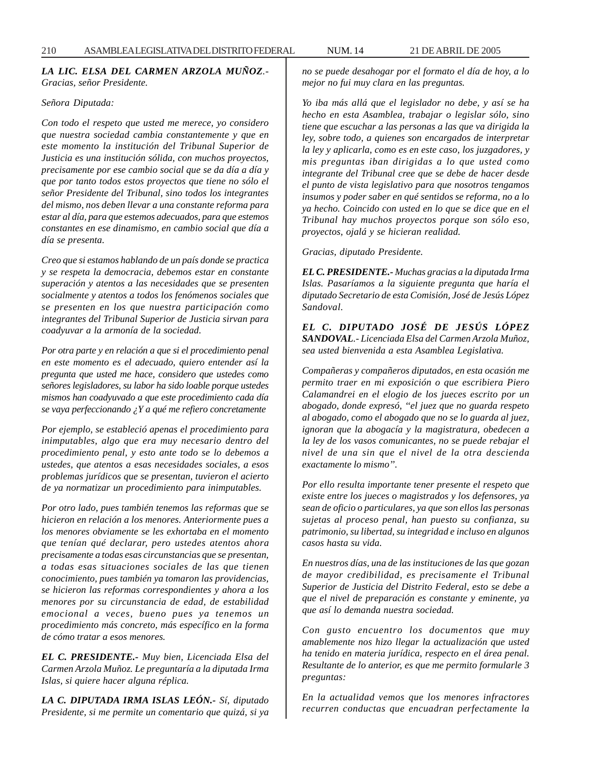# *LA LIC. ELSA DEL CARMEN ARZOLA MUÑOZ.- Gracias, señor Presidente.*

### *Señora Diputada:*

*Con todo el respeto que usted me merece, yo considero que nuestra sociedad cambia constantemente y que en este momento la institución del Tribunal Superior de Justicia es una institución sólida, con muchos proyectos, precisamente por ese cambio social que se da día a día y que por tanto todos estos proyectos que tiene no sólo el señor Presidente del Tribunal, sino todos los integrantes del mismo, nos deben llevar a una constante reforma para estar al día, para que estemos adecuados, para que estemos constantes en ese dinamismo, en cambio social que día a día se presenta.*

*Creo que si estamos hablando de un país donde se practica y se respeta la democracia, debemos estar en constante superación y atentos a las necesidades que se presenten socialmente y atentos a todos los fenómenos sociales que se presenten en los que nuestra participación como integrantes del Tribunal Superior de Justicia sirvan para coadyuvar a la armonía de la sociedad.*

*Por otra parte y en relación a que si el procedimiento penal en este momento es el adecuado, quiero entender así la pregunta que usted me hace, considero que ustedes como señores legisladores, su labor ha sido loable porque ustedes mismos han coadyuvado a que este procedimiento cada día se vaya perfeccionando ¿Y a qué me refiero concretamente*

*Por ejemplo, se estableció apenas el procedimiento para inimputables, algo que era muy necesario dentro del procedimiento penal, y esto ante todo se lo debemos a ustedes, que atentos a esas necesidades sociales, a esos problemas jurídicos que se presentan, tuvieron el acierto de ya normatizar un procedimiento para inimputables.*

*Por otro lado, pues también tenemos las reformas que se hicieron en relación a los menores. Anteriormente pues a los menores obviamente se les exhortaba en el momento que tenían qué declarar, pero ustedes atentos ahora precisamente a todas esas circunstancias que se presentan, a todas esas situaciones sociales de las que tienen conocimiento, pues también ya tomaron las providencias, se hicieron las reformas correspondientes y ahora a los menores por su circunstancia de edad, de estabilidad emocional a veces, bueno pues ya tenemos un procedimiento más concreto, más específico en la forma de cómo tratar a esos menores.*

*EL C. PRESIDENTE.- Muy bien, Licenciada Elsa del Carmen Arzola Muñoz. Le preguntaría a la diputada Irma Islas, si quiere hacer alguna réplica.*

*LA C. DIPUTADA IRMA ISLAS LEÓN.- Sí, diputado Presidente, si me permite un comentario que quizá, si ya* *no se puede desahogar por el formato el día de hoy, a lo mejor no fui muy clara en las preguntas.*

*Yo iba más allá que el legislador no debe, y así se ha hecho en esta Asamblea, trabajar o legislar sólo, sino tiene que escuchar a las personas a las que va dirigida la ley, sobre todo, a quienes son encargados de interpretar la ley y aplicarla, como es en este caso, los juzgadores, y mis preguntas iban dirigidas a lo que usted como integrante del Tribunal cree que se debe de hacer desde el punto de vista legislativo para que nosotros tengamos insumos y poder saber en qué sentidos se reforma, no a lo ya hecho. Coincido con usted en lo que se dice que en el Tribunal hay muchos proyectos porque son sólo eso, proyectos, ojalá y se hicieran realidad.*

*Gracias, diputado Presidente.*

*EL C. PRESIDENTE.- Muchas gracias a la diputada Irma Islas. Pasaríamos a la siguiente pregunta que haría el diputado Secretario de esta Comisión, José de Jesús López Sandoval.*

*EL C. DIPUTADO JOSÉ DE JESÚS LÓPEZ SANDOVAL.- Licenciada Elsa del Carmen Arzola Muñoz, sea usted bienvenida a esta Asamblea Legislativa.*

*Compañeras y compañeros diputados, en esta ocasión me permito traer en mi exposición o que escribiera Piero Calamandrei en el elogio de los jueces escrito por un abogado, donde expresó, ''el juez que no guarda respeto al abogado, como el abogado que no se lo guarda al juez, ignoran que la abogacía y la magistratura, obedecen a la ley de los vasos comunicantes, no se puede rebajar el nivel de una sin que el nivel de la otra descienda exactamente lo mismo''.*

*Por ello resulta importante tener presente el respeto que existe entre los jueces o magistrados y los defensores, ya sean de oficio o particulares, ya que son ellos las personas sujetas al proceso penal, han puesto su confianza, su patrimonio, su libertad, su integridad e incluso en algunos casos hasta su vida.*

*En nuestros días, una de las instituciones de las que gozan de mayor credibilidad, es precisamente el Tribunal Superior de Justicia del Distrito Federal, esto se debe a que el nivel de preparación es constante y eminente, ya que así lo demanda nuestra sociedad.*

*Con gusto encuentro los documentos que muy amablemente nos hizo llegar la actualización que usted ha tenido en materia jurídica, respecto en el área penal. Resultante de lo anterior, es que me permito formularle 3 preguntas:*

*En la actualidad vemos que los menores infractores recurren conductas que encuadran perfectamente la*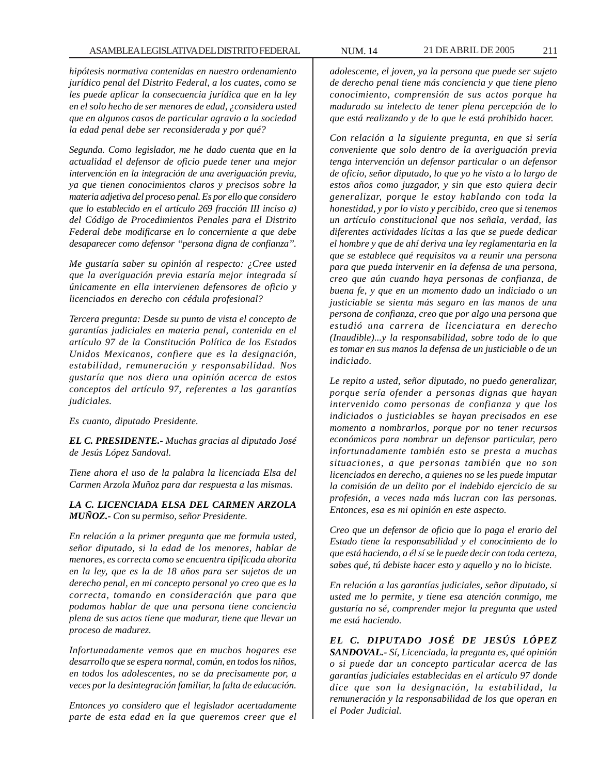*hipótesis normativa contenidas en nuestro ordenamiento jurídico penal del Distrito Federal, a los cuates, como se les puede aplicar la consecuencia jurídica que en la ley en el solo hecho de ser menores de edad, ¿considera usted que en algunos casos de particular agravio a la sociedad la edad penal debe ser reconsiderada y por qué?*

*Segunda. Como legislador, me he dado cuenta que en la actualidad el defensor de oficio puede tener una mejor intervención en la integración de una averiguación previa, ya que tienen conocimientos claros y precisos sobre la materia adjetiva del proceso penal. Es por ello que considero que lo establecido en el artículo 269 fracción III inciso a) del Código de Procedimientos Penales para el Distrito Federal debe modificarse en lo concerniente a que debe desaparecer como defensor ''persona digna de confianza''.*

*Me gustaría saber su opinión al respecto: ¿Cree usted que la averiguación previa estaría mejor integrada sí únicamente en ella intervienen defensores de oficio y licenciados en derecho con cédula profesional?*

*Tercera pregunta: Desde su punto de vista el concepto de garantías judiciales en materia penal, contenida en el artículo 97 de la Constitución Política de los Estados Unidos Mexicanos, confiere que es la designación, estabilidad, remuneración y responsabilidad. Nos gustaría que nos diera una opinión acerca de estos conceptos del artículo 97, referentes a las garantías judiciales.*

*Es cuanto, diputado Presidente.*

*EL C. PRESIDENTE.- Muchas gracias al diputado José de Jesús López Sandoval.*

*Tiene ahora el uso de la palabra la licenciada Elsa del Carmen Arzola Muñoz para dar respuesta a las mismas.*

*LA C. LICENCIADA ELSA DEL CARMEN ARZOLA MUÑOZ.- Con su permiso, señor Presidente.*

*En relación a la primer pregunta que me formula usted, señor diputado, si la edad de los menores, hablar de menores, es correcta como se encuentra tipificada ahorita en la ley, que es la de 18 años para ser sujetos de un derecho penal, en mi concepto personal yo creo que es la correcta, tomando en consideración que para que podamos hablar de que una persona tiene conciencia plena de sus actos tiene que madurar, tiene que llevar un proceso de madurez.*

*Infortunadamente vemos que en muchos hogares ese desarrollo que se espera normal, común, en todos los niños, en todos los adolescentes, no se da precisamente por, a veces por la desintegración familiar, la falta de educación.*

*Entonces yo considero que el legislador acertadamente parte de esta edad en la que queremos creer que el* *adolescente, el joven, ya la persona que puede ser sujeto de derecho penal tiene más conciencia y que tiene pleno conocimiento, comprensión de sus actos porque ha madurado su intelecto de tener plena percepción de lo que está realizando y de lo que le está prohibido hacer.*

*Con relación a la siguiente pregunta, en que si sería conveniente que solo dentro de la averiguación previa tenga intervención un defensor particular o un defensor de oficio, señor diputado, lo que yo he visto a lo largo de estos años como juzgador, y sin que esto quiera decir generalizar, porque le estoy hablando con toda la honestidad, y por lo visto y percibido, creo que si tenemos un artículo constitucional que nos señala, verdad, las diferentes actividades lícitas a las que se puede dedicar el hombre y que de ahí deriva una ley reglamentaria en la que se establece qué requisitos va a reunir una persona para que pueda intervenir en la defensa de una persona, creo que aún cuando haya personas de confianza, de buena fe, y que en un momento dado un indiciado o un justiciable se sienta más seguro en las manos de una persona de confianza, creo que por algo una persona que estudió una carrera de licenciatura en derecho (Inaudible)...y la responsabilidad, sobre todo de lo que es tomar en sus manos la defensa de un justiciable o de un indiciado.*

*Le repito a usted, señor diputado, no puedo generalizar, porque sería ofender a personas dignas que hayan intervenido como personas de confianza y que los indiciados o justiciables se hayan precisados en ese momento a nombrarlos, porque por no tener recursos económicos para nombrar un defensor particular, pero infortunadamente también esto se presta a muchas situaciones, a que personas también que no son licenciados en derecho, a quienes no se les puede imputar la comisión de un delito por el indebido ejercicio de su profesión, a veces nada más lucran con las personas. Entonces, esa es mi opinión en este aspecto.*

*Creo que un defensor de oficio que lo paga el erario del Estado tiene la responsabilidad y el conocimiento de lo que está haciendo, a él sí se le puede decir con toda certeza, sabes qué, tú debiste hacer esto y aquello y no lo hiciste.*

*En relación a las garantías judiciales, señor diputado, si usted me lo permite, y tiene esa atención conmigo, me gustaría no sé, comprender mejor la pregunta que usted me está haciendo.*

*EL C. DIPUTADO JOSÉ DE JESÚS LÓPEZ SANDOVAL.- Sí, Licenciada, la pregunta es, qué opinión o si puede dar un concepto particular acerca de las garantías judiciales establecidas en el artículo 97 donde dice que son la designación, la estabilidad, la remuneración y la responsabilidad de los que operan en el Poder Judicial.*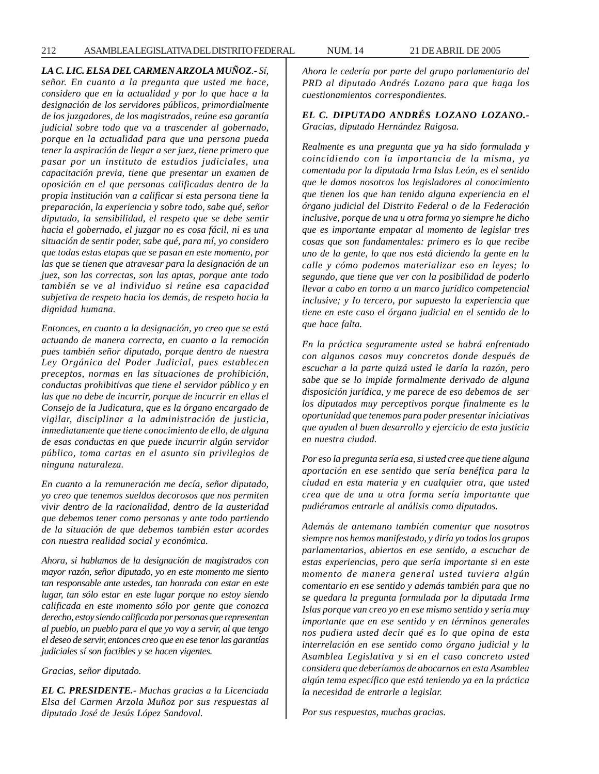### *LA C. LIC. ELSA DEL CARMEN ARZOLA MUÑOZ.- Sí,*

*señor. En cuanto a la pregunta que usted me hace, considero que en la actualidad y por lo que hace a la designación de los servidores públicos, primordialmente de los juzgadores, de los magistrados, reúne esa garantía judicial sobre todo que va a trascender al gobernado, porque en la actualidad para que una persona pueda tener la aspiración de llegar a ser juez, tiene primero que pasar por un instituto de estudios judiciales, una capacitación previa, tiene que presentar un examen de oposición en el que personas calificadas dentro de la propia institución van a calificar si esta persona tiene la preparación, la experiencia y sobre todo, sabe qué, señor diputado, la sensibilidad, el respeto que se debe sentir hacia el gobernado, el juzgar no es cosa fácil, ni es una situación de sentir poder, sabe qué, para mí, yo considero que todas estas etapas que se pasan en este momento, por las que se tienen que atravesar para la designación de un juez, son las correctas, son las aptas, porque ante todo también se ve al individuo si reúne esa capacidad subjetiva de respeto hacia los demás, de respeto hacia la dignidad humana.*

*Entonces, en cuanto a la designación, yo creo que se está actuando de manera correcta, en cuanto a la remoción pues también señor diputado, porque dentro de nuestra Ley Orgánica del Poder Judicial, pues establecen preceptos, normas en las situaciones de prohibición, conductas prohibitivas que tiene el servidor público y en las que no debe de incurrir, porque de incurrir en ellas el Consejo de la Judicatura, que es la órgano encargado de vigilar, disciplinar a la administración de justicia, inmediatamente que tiene conocimiento de ello, de alguna de esas conductas en que puede incurrir algún servidor público, toma cartas en el asunto sin privilegios de ninguna naturaleza.*

*En cuanto a la remuneración me decía, señor diputado, yo creo que tenemos sueldos decorosos que nos permiten vivir dentro de la racionalidad, dentro de la austeridad que debemos tener como personas y ante todo partiendo de la situación de que debemos también estar acordes con nuestra realidad social y económica.*

*Ahora, si hablamos de la designación de magistrados con mayor razón, señor diputado, yo en este momento me siento tan responsable ante ustedes, tan honrada con estar en este lugar, tan sólo estar en este lugar porque no estoy siendo calificada en este momento sólo por gente que conozca derecho, estoy siendo calificada por personas que representan al pueblo, un pueblo para el que yo voy a servir, al que tengo el deseo de servir, entonces creo que en ese tenor las garantías judiciales sí son factibles y se hacen vigentes.*

*Gracias, señor diputado.*

*EL C. PRESIDENTE.- Muchas gracias a la Licenciada Elsa del Carmen Arzola Muñoz por sus respuestas al diputado José de Jesús López Sandoval.*

*Ahora le cedería por parte del grupo parlamentario del PRD al diputado Andrés Lozano para que haga los cuestionamientos correspondientes.*

*EL C. DIPUTADO ANDRÉS LOZANO LOZANO.- Gracias, diputado Hernández Raigosa.*

*Realmente es una pregunta que ya ha sido formulada y coincidiendo con la importancia de la misma, ya comentada por la diputada Irma Islas León, es el sentido que le damos nosotros los legisladores al conocimiento que tienen los que han tenido alguna experiencia en el órgano judicial del Distrito Federal o de la Federación inclusive, porque de una u otra forma yo siempre he dicho que es importante empatar al momento de legislar tres cosas que son fundamentales: primero es lo que recibe uno de la gente, lo que nos está diciendo la gente en la calle y cómo podemos materializar eso en leyes; lo segundo, que tiene que ver con la posibilidad de poderlo llevar a cabo en torno a un marco jurídico competencial inclusive; y Io tercero, por supuesto la experiencia que tiene en este caso el órgano judicial en el sentido de lo que hace falta.*

*En la práctica seguramente usted se habrá enfrentado con algunos casos muy concretos donde después de escuchar a la parte quizá usted le daría la razón, pero sabe que se lo impide formalmente derivado de alguna disposición jurídica, y me parece de eso debemos de ser los diputados muy perceptivos porque finalmente es la oportunidad que tenemos para poder presentar iniciativas que ayuden al buen desarrollo y ejercicio de esta justicia en nuestra ciudad.*

*Por eso la pregunta sería esa, si usted cree que tiene alguna aportación en ese sentido que sería benéfica para la ciudad en esta materia y en cualquier otra, que usted crea que de una u otra forma sería importante que pudiéramos entrarle al análisis como diputados.*

*Además de antemano también comentar que nosotros siempre nos hemos manifestado, y diría yo todos los grupos parlamentarios, abiertos en ese sentido, a escuchar de estas experiencias, pero que sería importante si en este momento de manera general usted tuviera algún comentario en ese sentido y además también para que no se quedara la pregunta formulada por la diputada Irma Islas porque van creo yo en ese mismo sentido y sería muy importante que en ese sentido y en términos generales nos pudiera usted decir qué es lo que opina de esta interrelación en ese sentido como órgano judicial y la Asamblea Legislativa y si en el caso concreto usted considera que deberíamos de abocarnos en esta Asamblea algún tema específico que está teniendo ya en la práctica la necesidad de entrarle a legislar.*

*Por sus respuestas, muchas gracias.*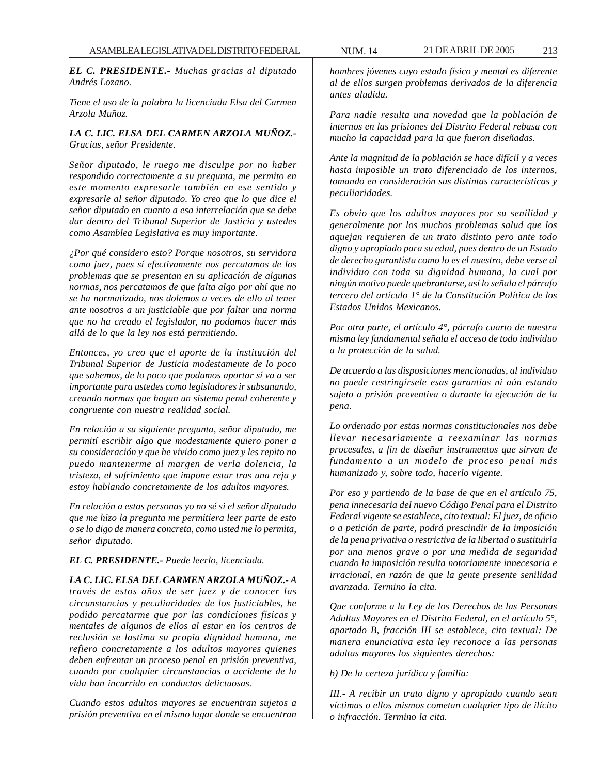*EL C. PRESIDENTE.- Muchas gracias al diputado Andrés Lozano.*

*Tiene el uso de la palabra la licenciada Elsa del Carmen Arzola Muñoz.*

*LA C. LIC. ELSA DEL CARMEN ARZOLA MUÑOZ.- Gracias, señor Presidente.*

*Señor diputado, le ruego me disculpe por no haber respondido correctamente a su pregunta, me permito en este momento expresarle también en ese sentido y expresarle al señor diputado. Yo creo que lo que dice el señor diputado en cuanto a esa interrelación que se debe dar dentro del Tribunal Superior de Justicia y ustedes como Asamblea Legislativa es muy importante.*

*¿Por qué considero esto? Porque nosotros, su servidora como juez, pues sí efectivamente nos percatamos de los problemas que se presentan en su aplicación de algunas normas, nos percatamos de que falta algo por ahí que no se ha normatizado, nos dolemos a veces de ello al tener ante nosotros a un justiciable que por faltar una norma que no ha creado el legislador, no podamos hacer más allá de lo que la ley nos está permitiendo.*

*Entonces, yo creo que el aporte de la institución del Tribunal Superior de Justicia modestamente de lo poco que sabemos, de lo poco que podamos aportar sí va a ser importante para ustedes como legisladores ir subsanando, creando normas que hagan un sistema penal coherente y congruente con nuestra realidad social.*

*En relación a su siguiente pregunta, señor diputado, me permití escribir algo que modestamente quiero poner a su consideración y que he vivido como juez y les repito no puedo mantenerme al margen de verla dolencia, la tristeza, el sufrimiento que impone estar tras una reja y estoy hablando concretamente de los adultos mayores.*

*En relación a estas personas yo no sé si el señor diputado que me hizo la pregunta me permitiera leer parte de esto o se lo digo de manera concreta, como usted me lo permita, señor diputado.*

# *EL C. PRESIDENTE.- Puede leerlo, licenciada.*

*LA C. LIC. ELSA DEL CARMEN ARZOLA MUÑOZ.- A través de estos años de ser juez y de conocer las circunstancias y peculiaridades de los justiciables, he podido percatarme que por las condiciones físicas y mentales de algunos de ellos al estar en los centros de reclusión se lastima su propia dignidad humana, me refiero concretamente a los adultos mayores quienes deben enfrentar un proceso penal en prisión preventiva, cuando por cualquier circunstancias o accidente de la vida han incurrido en conductas delictuosas.*

*Cuando estos adultos mayores se encuentran sujetos a prisión preventiva en el mismo lugar donde se encuentran*

*hombres jóvenes cuyo estado físico y mental es diferente al de ellos surgen problemas derivados de la diferencia antes aludida.*

*Para nadie resulta una novedad que la población de internos en las prisiones del Distrito Federal rebasa con mucho la capacidad para la que fueron diseñadas.*

*Ante la magnitud de la población se hace difícil y a veces hasta imposible un trato diferenciado de los internos, tomando en consideración sus distintas características y peculiaridades.*

*Es obvio que los adultos mayores por su senilidad y generalmente por los muchos problemas salud que los aquejan requieren de un trato distinto pero ante todo digno y apropiado para su edad, pues dentro de un Estado de derecho garantista como lo es el nuestro, debe verse al individuo con toda su dignidad humana, la cual por ningún motivo puede quebrantarse, así lo señala el párrafo tercero del artículo 1° de la Constitución Política de los Estados Unidos Mexicanos.*

*Por otra parte, el artículo 4°, párrafo cuarto de nuestra misma ley fundamental señala el acceso de todo individuo a la protección de la salud.*

*De acuerdo a las disposiciones mencionadas, al individuo no puede restringírsele esas garantías ni aún estando sujeto a prisión preventiva o durante la ejecución de la pena.*

*Lo ordenado por estas normas constitucionales nos debe llevar necesariamente a reexaminar las normas procesales, a fin de diseñar instrumentos que sirvan de fundamento a un modelo de proceso penal más humanizado y, sobre todo, hacerlo vigente.*

*Por eso y partiendo de la base de que en el artículo 75, pena innecesaria del nuevo Código Penal para el Distrito Federal vigente se establece, cito textual: El juez, de oficio o a petición de parte, podrá prescindir de la imposición de la pena privativa o restrictiva de la libertad o sustituirla por una menos grave o por una medida de seguridad cuando la imposición resulta notoriamente innecesaria e irracional, en razón de que la gente presente senilidad avanzada. Termino la cita.*

*Que conforme a la Ley de los Derechos de las Personas Adultas Mayores en el Distrito Federal, en el artículo 5°, apartado B, fracción III se establece, cito textual: De manera enunciativa esta ley reconoce a las personas adultas mayores los siguientes derechos:*

*b) De la certeza jurídica y familia:*

*III.- A recibir un trato digno y apropiado cuando sean víctimas o ellos mismos cometan cualquier tipo de ilícito o infracción. Termino la cita.*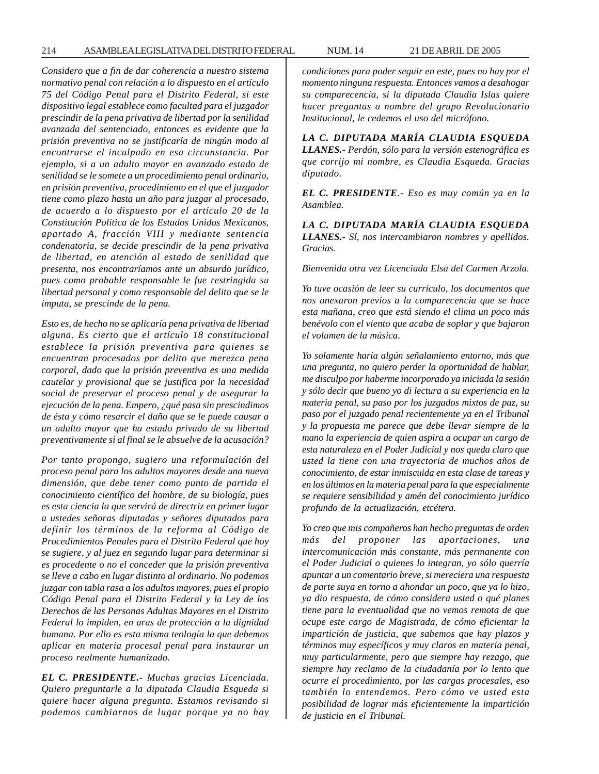*Considero que a fin de dar coherencia a nuestro sistema normativo penal con relación a lo dispuesto en el artículo 75 del Código Penal para el Distrito Federal, si este dispositivo legal establece como facultad para el juzgador prescindir de la pena privativa de libertad por la senilidad avanzada del sentenciado, entonces es evidente que la prisión preventiva no se justificaría de ningún modo al encontrarse el inculpado en esa circunstancia. Por ejemplo, si a un adulto mayor en avanzado estado de senilidad se le somete a un procedimiento penal ordinario, en prisión preventiva, procedimiento en el que el juzgador tiene como plazo hasta un año para juzgar al procesado, de acuerdo a lo dispuesto por el artículo 20 de la Constitución Política de los Estados Unidos Mexicanos, apartado A, fracción VIII y mediante sentencia condenatoria, se decide prescindir de la pena privativa de libertad, en atención al estado de senilidad que presenta, nos encontraríamos ante un absurdo jurídico, pues como probable responsable le fue restringida su libertad personal y como responsable del delito que se le imputa, se prescinde de la pena.*

*Esto es, de hecho no se aplicaría pena privativa de libertad alguna. Es cierto que el artículo 18 constitucional establece la prisión preventiva para quienes se encuentran procesados por delito que merezca pena corporal, dado que la prisión preventiva es una medida cautelar y provisional que se justifica por la necesidad social de preservar el proceso penal y de asegurar la ejecución de la pena. Empero, ¿qué pasa sin prescindimos de ésta y cómo resarcir el daño que se le puede causar a un adulto mayor que ha estado privado de su libertad preventivamente si al final se le absuelve de la acusación?*

*Por tanto propongo, sugiero una reformulación del proceso penal para los adultos mayores desde una nueva dimensión, que debe tener como punto de partida el conocimiento científico del hombre, de su biología, pues es esta ciencia la que servirá de directriz en primer lugar a ustedes señoras diputadas y señores diputados para definir los términos de la reforma al Código de Procedimientos Penales para el Distrito Federal que hoy se sugiere, y al juez en segundo lugar para determinar si es procedente o no el conceder que la prisión preventiva se lleve a cabo en lugar distinto al ordinario. No podemos juzgar con tabla rasa a los adultos mayores, pues el propio Código Penal para el Distrito Federal y la Ley de los Derechos de las Personas Adultas Mayores en el Distrito Federal lo impiden, en aras de protección a la dignidad humana. Por ello es esta misma teología la que debemos aplicar en materia procesal penal para instaurar un proceso realmente humanizado.*

*EL C. PRESIDENTE.- Muchas gracias Licenciada. Quiero preguntarle a la diputada Claudia Esqueda si quiere hacer alguna pregunta. Estamos revisando si podemos cambiarnos de lugar porque ya no hay* *condiciones para poder seguir en este, pues no hay por el momento ninguna respuesta. Entonces vamos a desahogar su comparecencia, si la diputada Claudia Islas quiere hacer preguntas a nombre del grupo Revolucionario Institucional, le cedemos el uso del micrófono.*

*LA C. DIPUTADA MARÍA CLAUDIA ESQUEDA LLANES.- Perdón, sólo para la versión estenográfica es que corrijo mi nombre, es Claudia Esqueda. Gracias diputado.*

*EL C. PRESIDENTE.- Eso es muy común ya en la Asamblea.*

*LA C. DIPUTADA MARÍA CLAUDIA ESQUEDA LLANES.- Sí, nos intercambiaron nombres y apellidos. Gracias.*

*Bienvenida otra vez Licenciada Elsa del Carmen Arzola.*

*Yo tuve ocasión de leer su currículo, los documentos que nos anexaron previos a la comparecencia que se hace esta mañana, creo que está siendo el clima un poco más benévolo con el viento que acaba de soplar y que bajaron el volumen de la música.*

*Yo solamente haría algún señalamiento entorno, más que una pregunta, no quiero perder la oportunidad de hablar, me disculpo por haberme incorporado ya iniciada la sesión y sólo decir que bueno yo di lectura a su experiencia en la materia penal, su paso por los juzgados mixtos de paz, su paso por el juzgado penal recientemente ya en el Tribunal y la propuesta me parece que debe llevar siempre de la mano la experiencia de quien aspira a ocupar un cargo de esta naturaleza en el Poder Judicial y nos queda claro que usted la tiene con una trayectoria de muchos años de conocimiento, de estar inmiscuida en esta clase de tareas y en los últimos en la materia penal para la que especialmente se requiere sensibilidad y amén del conocimiento jurídico profundo de la actualización, etcétera.*

*Yo creo que mis compañeros han hecho preguntas de orden más del proponer las aportaciones, una intercomunicación más constante, más permanente con el Poder Judicial o quienes lo integran, yo sólo querría apuntar a un comentario breve, si mereciera una respuesta de parte suya en torno a ahondar un poco, que ya lo hizo, ya dio respuesta, de cómo considera usted o qué planes tiene para la eventualidad que no vemos remota de que ocupe este cargo de Magistrada, de cómo eficientar la impartición de justicia, que sabemos que hay plazos y términos muy específicos y muy claros en materia penal, muy particularmente, pero que siempre hay rezago, que siempre hay reclamo de la ciudadanía por lo lento que ocurre el procedimiento, por las cargas procesales, eso también lo entendemos. Pero cómo ve usted esta posibilidad de lograr más eficientemente la impartición de justicia en el Tribunal.*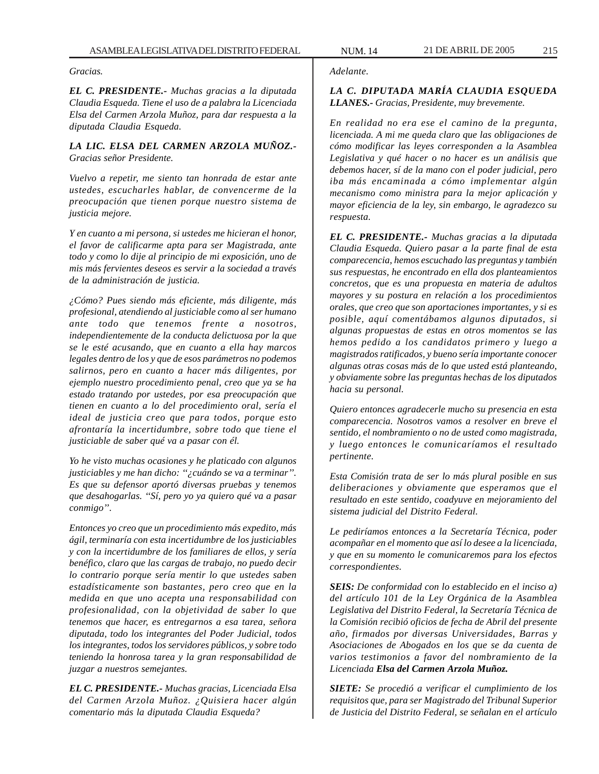*Gracias.*

*EL C. PRESIDENTE.- Muchas gracias a la diputada Claudia Esqueda. Tiene el uso de a palabra la Licenciada Elsa del Carmen Arzola Muñoz, para dar respuesta a la diputada Claudia Esqueda.*

## *LA LIC. ELSA DEL CARMEN ARZOLA MUÑOZ.- Gracias señor Presidente.*

*Vuelvo a repetir, me siento tan honrada de estar ante ustedes, escucharles hablar, de convencerme de la preocupación que tienen porque nuestro sistema de justicia mejore.*

*Y en cuanto a mi persona, si ustedes me hicieran el honor, el favor de calificarme apta para ser Magistrada, ante todo y como lo dije al principio de mi exposición, uno de mis más fervientes deseos es servir a la sociedad a través de la administración de justicia.*

*¿Cómo? Pues siendo más eficiente, más diligente, más profesional, atendiendo al justiciable como al ser humano ante todo que tenemos frente a nosotros, independientemente de la conducta delictuosa por la que se le esté acusando, que en cuanto a ella hay marcos legales dentro de los y que de esos parámetros no podemos salirnos, pero en cuanto a hacer más diligentes, por ejemplo nuestro procedimiento penal, creo que ya se ha estado tratando por ustedes, por esa preocupación que tienen en cuanto a lo del procedimiento oral, sería el ideal de justicia creo que para todos, porque esto afrontaría la incertidumbre, sobre todo que tiene el justiciable de saber qué va a pasar con él.*

*Yo he visto muchas ocasiones y he platicado con algunos justiciables y me han dicho: ''¿cuándo se va a terminar''. Es que su defensor aportó diversas pruebas y tenemos que desahogarlas. ''Sí, pero yo ya quiero qué va a pasar conmigo''.*

*Entonces yo creo que un procedimiento más expedito, más ágil, terminaría con esta incertidumbre de los justiciables y con la incertidumbre de los familiares de ellos, y sería benéfico, claro que las cargas de trabajo, no puedo decir lo contrario porque sería mentir lo que ustedes saben estadísticamente son bastantes, pero creo que en la medida en que uno acepta una responsabilidad con profesionalidad, con la objetividad de saber lo que tenemos que hacer, es entregarnos a esa tarea, señora diputada, todo los integrantes del Poder Judicial, todos los integrantes, todos los servidores públicos, y sobre todo teniendo la honrosa tarea y la gran responsabilidad de juzgar a nuestros semejantes.*

*EL C. PRESIDENTE.- Muchas gracias, Licenciada Elsa del Carmen Arzola Muñoz. ¿Quisiera hacer algún comentario más la diputada Claudia Esqueda?*

#### *Adelante.*

*LA C. DIPUTADA MARÍA CLAUDIA ESQUEDA LLANES.- Gracias, Presidente, muy brevemente.*

*En realidad no era ese el camino de la pregunta, licenciada. A mi me queda claro que las obligaciones de cómo modificar las leyes corresponden a la Asamblea Legislativa y qué hacer o no hacer es un análisis que debemos hacer, sí de la mano con el poder judicial, pero iba más encaminada a cómo implementar algún mecanismo como ministra para la mejor aplicación y mayor eficiencia de la ley, sin embargo, le agradezco su respuesta.*

*EL C. PRESIDENTE.- Muchas gracias a la diputada Claudia Esqueda. Quiero pasar a la parte final de esta comparecencia, hemos escuchado las preguntas y también sus respuestas, he encontrado en ella dos planteamientos concretos, que es una propuesta en materia de adultos mayores y su postura en relación a los procedimientos orales, que creo que son aportaciones importantes, y si es posible, aquí comentábamos algunos diputados, si algunas propuestas de estas en otros momentos se las hemos pedido a los candidatos primero y luego a magistrados ratificados, y bueno sería importante conocer algunas otras cosas más de lo que usted está planteando, y obviamente sobre las preguntas hechas de los diputados hacia su personal.*

*Quiero entonces agradecerle mucho su presencia en esta comparecencia. Nosotros vamos a resolver en breve el sentido, el nombramiento o no de usted como magistrada, y luego entonces le comunicaríamos el resultado pertinente.*

*Esta Comisión trata de ser lo más plural posible en sus deliberaciones y obviamente que esperamos que el resultado en este sentido, coadyuve en mejoramiento del sistema judicial del Distrito Federal.*

*Le pediríamos entonces a la Secretaría Técnica, poder acompañar en el momento que así lo desee a la licenciada, y que en su momento le comunicaremos para los efectos correspondientes.*

*SEIS: De conformidad con lo establecido en el inciso a) del artículo 101 de la Ley Orgánica de la Asamblea Legislativa del Distrito Federal, la Secretaría Técnica de la Comisión recibió oficios de fecha de Abril del presente año, firmados por diversas Universidades, Barras y Asociaciones de Abogados en los que se da cuenta de varios testimonios a favor del nombramiento de la Licenciada Elsa del Carmen Arzola Muñoz.*

*SIETE: Se procedió a verificar el cumplimiento de los requisitos que, para ser Magistrado del Tribunal Superior de Justicia del Distrito Federal, se señalan en el artículo*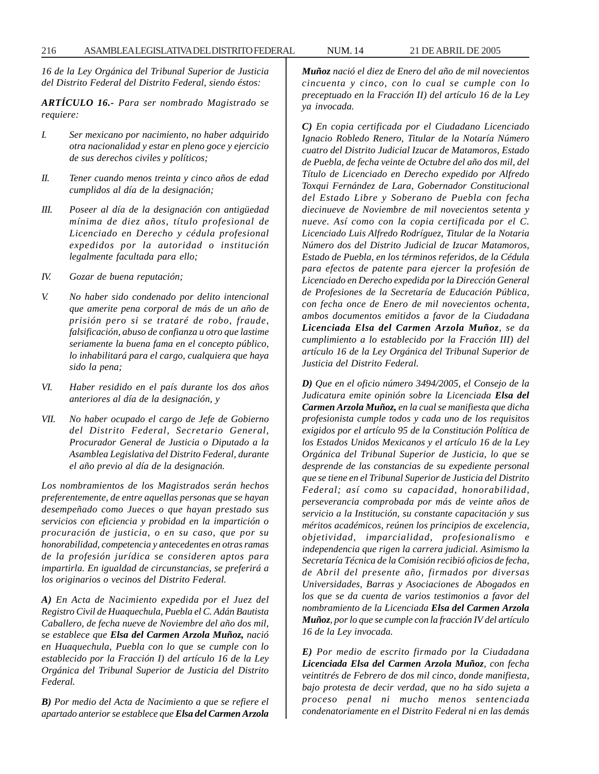*16 de la Ley Orgánica del Tribunal Superior de Justicia del Distrito Federal del Distrito Federal, siendo éstos:*

*ARTÍCULO 16.- Para ser nombrado Magistrado se requiere:*

- *I. Ser mexicano por nacimiento, no haber adquirido otra nacionalidad y estar en pleno goce y ejercicio de sus derechos civiles y políticos;*
- *II. Tener cuando menos treinta y cinco años de edad cumplidos al día de la designación;*
- *III. Poseer al día de la designación con antigüedad mínima de diez años, título profesional de Licenciado en Derecho y cédula profesional expedidos por la autoridad o institución legalmente facultada para ello;*
- *IV. Gozar de buena reputación;*
- *V. No haber sido condenado por delito intencional que amerite pena corporal de más de un año de prisión pero si se trataré de robo, fraude, falsificación, abuso de confianza u otro que lastime seriamente la buena fama en el concepto público, lo inhabilitará para el cargo, cualquiera que haya sido la pena;*
- *VI. Haber residido en el país durante los dos años anteriores al día de la designación, y*
- *VII. No haber ocupado el cargo de Jefe de Gobierno del Distrito Federal, Secretario General, Procurador General de Justicia o Diputado a la Asamblea Legislativa del Distrito Federal, durante el año previo al día de la designación.*

*Los nombramientos de los Magistrados serán hechos preferentemente, de entre aquellas personas que se hayan desempeñado como Jueces o que hayan prestado sus servicios con eficiencia y probidad en la impartición o procuración de justicia, o en su caso, que por su honorabilidad, competencia y antecedentes en otras ramas de la profesión jurídica se consideren aptos para impartirla. En igualdad de circunstancias, se preferirá a los originarios o vecinos del Distrito Federal.*

*A) En Acta de Nacimiento expedida por el Juez del Registro Civil de Huaquechula, Puebla el C. Adán Bautista Caballero, de fecha nueve de Noviembre del año dos mil, se establece que Elsa del Carmen Arzola Muñoz, nació en Huaquechula, Puebla con lo que se cumple con lo establecido por la Fracción I) del artículo 16 de la Ley Orgánica del Tribunal Superior de Justicia del Distrito Federal.*

*B) Por medio del Acta de Nacimiento a que se refiere el apartado anterior se establece que Elsa del Carmen Arzola* *Muñoz nació el diez de Enero del año de mil novecientos cincuenta y cinco, con lo cual se cumple con lo preceptuado en la Fracción II) del artículo 16 de la Ley ya invocada.*

*C) En copia certificada por el Ciudadano Licenciado Ignacio Robledo Renero, Titular de la Notaría Número cuatro del Distrito Judicial Izucar de Matamoros, Estado de Puebla, de fecha veinte de Octubre del año dos mil, del Título de Licenciado en Derecho expedido por Alfredo Toxqui Fernández de Lara, Gobernador Constitucional del Estado Libre y Soberano de Puebla con fecha diecinueve de Noviembre de mil novecientos setenta y nueve. Así como con la copia certificada por el C. Licenciado Luis Alfredo Rodríguez, Titular de la Notaria Número dos del Distrito Judicial de Izucar Matamoros, Estado de Puebla, en los términos referidos, de la Cédula para efectos de patente para ejercer la profesión de Licenciado en Derecho expedida por la Dirección General de Profesiones de la Secretaría de Educación Pública, con fecha once de Enero de mil novecientos ochenta, ambos documentos emitidos a favor de la Ciudadana Licenciada Elsa del Carmen Arzola Muñoz, se da cumplimiento a lo establecido por la Fracción III) del artículo 16 de la Ley Orgánica del Tribunal Superior de Justicia del Distrito Federal.*

*D) Que en el oficio número 3494/2005, el Consejo de la Judicatura emite opinión sobre la Licenciada Elsa del Carmen Arzola Muñoz, en la cual se manifiesta que dicha profesionista cumple todos y cada uno de los requisitos exigidos por el artículo 95 de la Constitución Política de los Estados Unidos Mexicanos y el artículo 16 de la Ley Orgánica del Tribunal Superior de Justicia, lo que se desprende de las constancias de su expediente personal que se tiene en el Tribunal Superior de Justicia del Distrito Federal; así como su capacidad, honorabilidad, perseverancia comprobada por más de veinte años de servicio a la Institución, su constante capacitación y sus méritos académicos, reúnen los principios de excelencia, objetividad, imparcialidad, profesionalismo e independencia que rigen la carrera judicial. Asimismo la Secretaría Técnica de la Comisión recibió oficios de fecha, de Abril del presente año, firmados por diversas Universidades, Barras y Asociaciones de Abogados en los que se da cuenta de varios testimonios a favor del nombramiento de la Licenciada Elsa del Carmen Arzola Muñoz, por lo que se cumple con la fracción IV del artículo 16 de la Ley invocada.*

*E) Por medio de escrito firmado por la Ciudadana Licenciada Elsa del Carmen Arzola Muñoz, con fecha veintitrés de Febrero de dos mil cinco, donde manifiesta, bajo protesta de decir verdad, que no ha sido sujeta a proceso penal ni mucho menos sentenciada condenatoriamente en el Distrito Federal ni en las demás*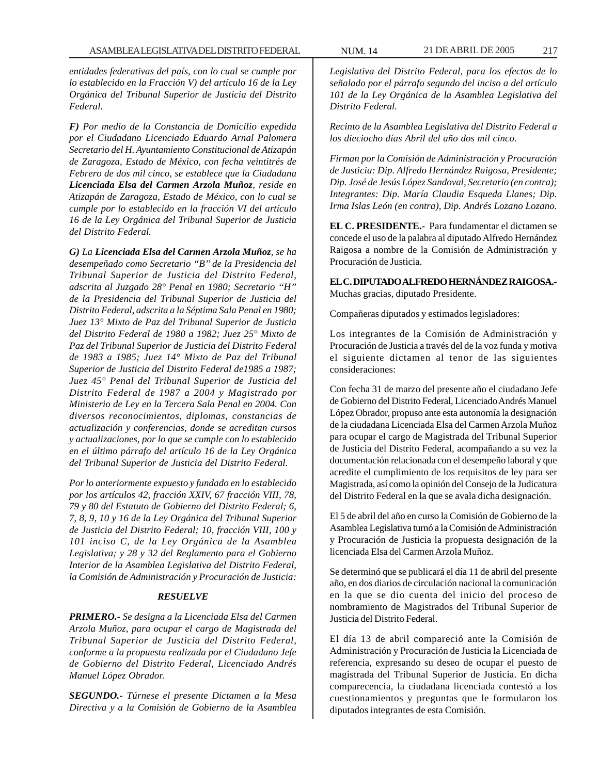*entidades federativas del país, con lo cual se cumple por lo establecido en la Fracción V) del artículo 16 de la Ley Orgánica del Tribunal Superior de Justicia del Distrito Federal.*

*F) Por medio de la Constancia de Domicilio expedida por el Ciudadano Licenciado Eduardo Arnal Palomera Secretario del H. Ayuntamiento Constitucional de Atizapán de Zaragoza, Estado de México, con fecha veintitrés de Febrero de dos mil cinco, se establece que la Ciudadana Licenciada Elsa del Carmen Arzola Muñoz, reside en Atizapán de Zaragoza, Estado de México, con lo cual se cumple por lo establecido en la fracción VI del artículo 16 de la Ley Orgánica del Tribunal Superior de Justicia del Distrito Federal.*

*G) La Licenciada Elsa del Carmen Arzola Muñoz, se ha desempeñado como Secretario ''B'' de la Presidencia del Tribunal Superior de Justicia del Distrito Federal, adscrita al Juzgado 28° Penal en 1980; Secretario ''H'' de la Presidencia del Tribunal Superior de Justicia del Distrito Federal, adscrita a la Séptima Sala Penal en 1980; Juez 13° Mixto de Paz del Tribunal Superior de Justicia del Distrito Federal de 1980 a 1982; Juez 25° Mixto de Paz del Tribunal Superior de Justicia del Distrito Federal de 1983 a 1985; Juez 14° Mixto de Paz del Tribunal Superior de Justicia del Distrito Federal de1985 a 1987; Juez 45° Penal del Tribunal Superior de Justicia del Distrito Federal de 1987 a 2004 y Magistrado por Ministerio de Ley en la Tercera Sala Penal en 2004. Con diversos reconocimientos, diplomas, constancias de actualización y conferencias, donde se acreditan cursos y actualizaciones, por lo que se cumple con lo establecido en el último párrafo del artículo 16 de la Ley Orgánica del Tribunal Superior de Justicia del Distrito Federal.*

*Por lo anteriormente expuesto y fundado en lo establecido por los artículos 42, fracción XXIV, 67 fracción VIII, 78, 79 y 80 del Estatuto de Gobierno del Distrito Federal; 6, 7, 8, 9, 10 y 16 de la Ley Orgánica del Tribunal Superior de Justicia del Distrito Federal; 10, fracción VIII, 100 y 101 inciso C, de la Ley Orgánica de la Asamblea Legislativa; y 28 y 32 del Reglamento para el Gobierno Interior de la Asamblea Legislativa del Distrito Federal, la Comisión de Administración y Procuración de Justicia:*

## *RESUELVE*

*PRIMERO.- Se designa a la Licenciada Elsa del Carmen Arzola Muñoz, para ocupar el cargo de Magistrada del Tribunal Superior de Justicia del Distrito Federal, conforme a la propuesta realizada por el Ciudadano Jefe de Gobierno del Distrito Federal, Licenciado Andrés Manuel López Obrador.*

*SEGUNDO.- Túrnese el presente Dictamen a la Mesa Directiva y a la Comisión de Gobierno de la Asamblea* *Legislativa del Distrito Federal, para los efectos de lo señalado por el párrafo segundo del inciso a del artículo 101 de la Ley Orgánica de la Asamblea Legislativa del Distrito Federal.*

*Recinto de la Asamblea Legislativa del Distrito Federal a los dieciocho días Abril del año dos mil cinco.*

*Firman por la Comisión de Administración y Procuración de Justicia: Dip. Alfredo Hernández Raigosa, Presidente; Dip. José de Jesús López Sandoval, Secretario (en contra); Integrantes: Dip. María Claudia Esqueda Llanes; Dip. Irma Islas León (en contra), Dip. Andrés Lozano Lozano.*

**EL C. PRESIDENTE.-** Para fundamentar el dictamen se concede el uso de la palabra al diputado Alfredo Hernández Raigosa a nombre de la Comisión de Administración y Procuración de Justicia.

**EL C. DIPUTADO ALFREDO HERNÁNDEZ RAIGOSA.-** Muchas gracias, diputado Presidente.

Compañeras diputados y estimados legisladores:

Los integrantes de la Comisión de Administración y Procuración de Justicia a través del de la voz funda y motiva el siguiente dictamen al tenor de las siguientes consideraciones:

Con fecha 31 de marzo del presente año el ciudadano Jefe de Gobierno del Distrito Federal, Licenciado Andrés Manuel López Obrador, propuso ante esta autonomía la designación de la ciudadana Licenciada Elsa del Carmen Arzola Muñoz para ocupar el cargo de Magistrada del Tribunal Superior de Justicia del Distrito Federal, acompañando a su vez la documentación relacionada con el desempeño laboral y que acredite el cumplimiento de los requisitos de ley para ser Magistrada, así como la opinión del Consejo de la Judicatura del Distrito Federal en la que se avala dicha designación.

El 5 de abril del año en curso la Comisión de Gobierno de la Asamblea Legislativa turnó a la Comisión de Administración y Procuración de Justicia la propuesta designación de la licenciada Elsa del Carmen Arzola Muñoz.

Se determinó que se publicará el día 11 de abril del presente año, en dos diarios de circulación nacional la comunicación en la que se dio cuenta del inicio del proceso de nombramiento de Magistrados del Tribunal Superior de Justicia del Distrito Federal.

El día 13 de abril compareció ante la Comisión de Administración y Procuración de Justicia la Licenciada de referencia, expresando su deseo de ocupar el puesto de magistrada del Tribunal Superior de Justicia. En dicha comparecencia, la ciudadana licenciada contestó a los cuestionamientos y preguntas que le formularon los diputados integrantes de esta Comisión.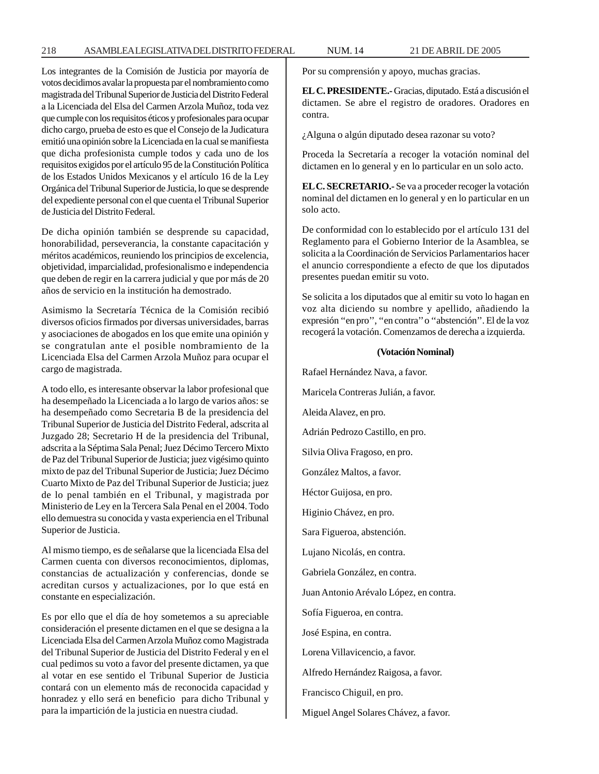Los integrantes de la Comisión de Justicia por mayoría de votos decidimos avalar la propuesta par el nombramiento como magistrada del Tribunal Superior de Justicia del Distrito Federal a la Licenciada del Elsa del Carmen Arzola Muñoz, toda vez que cumple con los requisitos éticos y profesionales para ocupar dicho cargo, prueba de esto es que el Consejo de la Judicatura emitió una opinión sobre la Licenciada en la cual se manifiesta que dicha profesionista cumple todos y cada uno de los requisitos exigidos por el artículo 95 de la Constitución Política de los Estados Unidos Mexicanos y el artículo 16 de la Ley Orgánica del Tribunal Superior de Justicia, lo que se desprende del expediente personal con el que cuenta el Tribunal Superior de Justicia del Distrito Federal.

De dicha opinión también se desprende su capacidad, honorabilidad, perseverancia, la constante capacitación y méritos académicos, reuniendo los principios de excelencia, objetividad, imparcialidad, profesionalismo e independencia que deben de regir en la carrera judicial y que por más de 20 años de servicio en la institución ha demostrado.

Asimismo la Secretaría Técnica de la Comisión recibió diversos oficios firmados por diversas universidades, barras y asociaciones de abogados en los que emite una opinión y se congratulan ante el posible nombramiento de la Licenciada Elsa del Carmen Arzola Muñoz para ocupar el cargo de magistrada.

A todo ello, es interesante observar la labor profesional que ha desempeñado la Licenciada a lo largo de varios años: se ha desempeñado como Secretaria B de la presidencia del Tribunal Superior de Justicia del Distrito Federal, adscrita al Juzgado 28; Secretario H de la presidencia del Tribunal, adscrita a la Séptima Sala Penal; Juez Décimo Tercero Mixto de Paz del Tribunal Superior de Justicia; juez vigésimo quinto mixto de paz del Tribunal Superior de Justicia; Juez Décimo Cuarto Mixto de Paz del Tribunal Superior de Justicia; juez de lo penal también en el Tribunal, y magistrada por Ministerio de Ley en la Tercera Sala Penal en el 2004. Todo ello demuestra su conocida y vasta experiencia en el Tribunal Superior de Justicia.

Al mismo tiempo, es de señalarse que la licenciada Elsa del Carmen cuenta con diversos reconocimientos, diplomas, constancias de actualización y conferencias, donde se acreditan cursos y actualizaciones, por lo que está en constante en especialización.

Es por ello que el día de hoy sometemos a su apreciable consideración el presente dictamen en el que se designa a la Licenciada Elsa del Carmen Arzola Muñoz como Magistrada del Tribunal Superior de Justicia del Distrito Federal y en el cual pedimos su voto a favor del presente dictamen, ya que al votar en ese sentido el Tribunal Superior de Justicia contará con un elemento más de reconocida capacidad y honradez y ello será en beneficio para dicho Tribunal y para la impartición de la justicia en nuestra ciudad.

Por su comprensión y apoyo, muchas gracias.

**EL C. PRESIDENTE.-** Gracias, diputado. Está a discusión el dictamen. Se abre el registro de oradores. Oradores en contra.

¿Alguna o algún diputado desea razonar su voto?

Proceda la Secretaría a recoger la votación nominal del dictamen en lo general y en lo particular en un solo acto.

**EL C. SECRETARIO.-** Se va a proceder recoger la votación nominal del dictamen en lo general y en lo particular en un solo acto.

De conformidad con lo establecido por el artículo 131 del Reglamento para el Gobierno Interior de la Asamblea, se solicita a la Coordinación de Servicios Parlamentarios hacer el anuncio correspondiente a efecto de que los diputados presentes puedan emitir su voto.

Se solicita a los diputados que al emitir su voto lo hagan en voz alta diciendo su nombre y apellido, añadiendo la expresión ''en pro'', ''en contra'' o ''abstención''. El de la voz recogerá la votación. Comenzamos de derecha a izquierda.

#### **(Votación Nominal)**

Rafael Hernández Nava, a favor.

Maricela Contreras Julián, a favor.

Aleida Alavez, en pro.

Adrián Pedrozo Castillo, en pro.

Silvia Oliva Fragoso, en pro.

González Maltos, a favor.

Héctor Guijosa, en pro.

Higinio Chávez, en pro.

Sara Figueroa, abstención.

Lujano Nicolás, en contra.

Gabriela González, en contra.

Juan Antonio Arévalo López, en contra.

Sofía Figueroa, en contra.

José Espina, en contra.

Lorena Villavicencio, a favor.

Alfredo Hernández Raigosa, a favor.

Francisco Chiguil, en pro.

Miguel Angel Solares Chávez, a favor.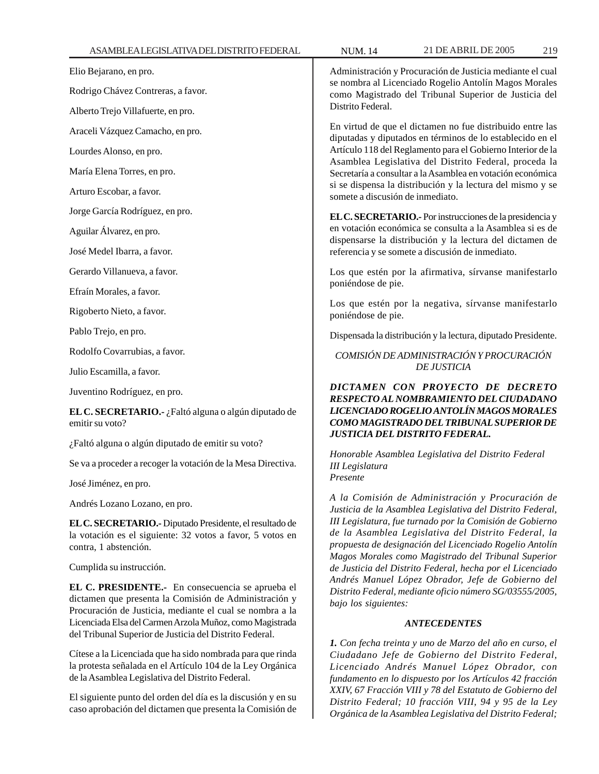| ASAMBLEALEGISLATIVADELDISTRITOFEDERAL                                                                                                                                 | 21 DE ABRIL DE 2005<br><b>NUM.14</b><br>219                                                                                                                                                                                                                                                                                                                                                                                                                                                                                                                                                                                                                                                                                                                                                                                                                                                |
|-----------------------------------------------------------------------------------------------------------------------------------------------------------------------|--------------------------------------------------------------------------------------------------------------------------------------------------------------------------------------------------------------------------------------------------------------------------------------------------------------------------------------------------------------------------------------------------------------------------------------------------------------------------------------------------------------------------------------------------------------------------------------------------------------------------------------------------------------------------------------------------------------------------------------------------------------------------------------------------------------------------------------------------------------------------------------------|
| Elio Bejarano, en pro.                                                                                                                                                | Administración y Procuración de Justicia mediante el cual<br>se nombra al Licenciado Rogelio Antolín Magos Morales<br>como Magistrado del Tribunal Superior de Justicia del<br>Distrito Federal.                                                                                                                                                                                                                                                                                                                                                                                                                                                                                                                                                                                                                                                                                           |
| Rodrigo Chávez Contreras, a favor.                                                                                                                                    |                                                                                                                                                                                                                                                                                                                                                                                                                                                                                                                                                                                                                                                                                                                                                                                                                                                                                            |
| Alberto Trejo Villafuerte, en pro.                                                                                                                                    |                                                                                                                                                                                                                                                                                                                                                                                                                                                                                                                                                                                                                                                                                                                                                                                                                                                                                            |
| Araceli Vázquez Camacho, en pro.                                                                                                                                      | En virtud de que el dictamen no fue distribuido entre las<br>diputadas y diputados en términos de lo establecido en el<br>Artículo 118 del Reglamento para el Gobierno Interior de la<br>Asamblea Legislativa del Distrito Federal, proceda la<br>Secretaría a consultar a la Asamblea en votación económica<br>si se dispensa la distribución y la lectura del mismo y se<br>somete a discusión de inmediato.<br>EL C. SECRETARIO. Por instrucciones de la presidencia y<br>en votación económica se consulta a la Asamblea si es de<br>dispensarse la distribución y la lectura del dictamen de<br>referencia y se somete a discusión de inmediato.                                                                                                                                                                                                                                      |
| Lourdes Alonso, en pro.                                                                                                                                               |                                                                                                                                                                                                                                                                                                                                                                                                                                                                                                                                                                                                                                                                                                                                                                                                                                                                                            |
| María Elena Torres, en pro.                                                                                                                                           |                                                                                                                                                                                                                                                                                                                                                                                                                                                                                                                                                                                                                                                                                                                                                                                                                                                                                            |
| Arturo Escobar, a favor.                                                                                                                                              |                                                                                                                                                                                                                                                                                                                                                                                                                                                                                                                                                                                                                                                                                                                                                                                                                                                                                            |
| Jorge García Rodríguez, en pro.                                                                                                                                       |                                                                                                                                                                                                                                                                                                                                                                                                                                                                                                                                                                                                                                                                                                                                                                                                                                                                                            |
| Aguilar Álvarez, en pro.                                                                                                                                              |                                                                                                                                                                                                                                                                                                                                                                                                                                                                                                                                                                                                                                                                                                                                                                                                                                                                                            |
| José Medel Ibarra, a favor.                                                                                                                                           |                                                                                                                                                                                                                                                                                                                                                                                                                                                                                                                                                                                                                                                                                                                                                                                                                                                                                            |
| Gerardo Villanueva, a favor.                                                                                                                                          | Los que estén por la afirmativa, sírvanse manifestarlo<br>poniéndose de pie.<br>Los que estén por la negativa, sírvanse manifestarlo<br>poniéndose de pie.                                                                                                                                                                                                                                                                                                                                                                                                                                                                                                                                                                                                                                                                                                                                 |
| Efraín Morales, a favor.                                                                                                                                              |                                                                                                                                                                                                                                                                                                                                                                                                                                                                                                                                                                                                                                                                                                                                                                                                                                                                                            |
| Rigoberto Nieto, a favor.                                                                                                                                             |                                                                                                                                                                                                                                                                                                                                                                                                                                                                                                                                                                                                                                                                                                                                                                                                                                                                                            |
| Pablo Trejo, en pro.                                                                                                                                                  | Dispensada la distribución y la lectura, diputado Presidente.                                                                                                                                                                                                                                                                                                                                                                                                                                                                                                                                                                                                                                                                                                                                                                                                                              |
| Rodolfo Covarrubias, a favor.                                                                                                                                         | COMISIÓN DE ADMINISTRACIÓN Y PROCURACIÓN<br><b>DE JUSTICIA</b>                                                                                                                                                                                                                                                                                                                                                                                                                                                                                                                                                                                                                                                                                                                                                                                                                             |
| Julio Escamilla, a favor.                                                                                                                                             |                                                                                                                                                                                                                                                                                                                                                                                                                                                                                                                                                                                                                                                                                                                                                                                                                                                                                            |
| Juventino Rodríguez, en pro.                                                                                                                                          | DICTAMEN CON PROYECTO DE DECRETO<br>RESPECTO AL NOMBRAMIENTO DEL CIUDADANO<br>LICENCIADO ROGELIO ANTOLÍN MAGOS MORALES<br>COMO MAGISTRADO DEL TRIBUNAL SUPERIOR DE<br><b>JUSTICIA DEL DISTRITO FEDERAL.</b><br>Honorable Asamblea Legislativa del Distrito Federal<br><b>III</b> Legislatura<br>Presente<br>A la Comisión de Administración y Procuración de<br>Justicia de la Asamblea Legislativa del Distrito Federal,<br>III Legislatura, fue turnado por la Comisión de Gobierno<br>de la Asamblea Legislativa del Distrito Federal, la<br>propuesta de designación del Licenciado Rogelio Antolín<br>Magos Morales como Magistrado del Tribunal Superior<br>de Justicia del Distrito Federal, hecha por el Licenciado<br>Andrés Manuel López Obrador, Jefe de Gobierno del<br>Distrito Federal, mediante oficio número SG/03555/2005,<br>bajo los siguientes:<br><b>ANTECEDENTES</b> |
| EL C. SECRETARIO.- ¿Faltó alguna o algún diputado de<br>emitir su voto?                                                                                               |                                                                                                                                                                                                                                                                                                                                                                                                                                                                                                                                                                                                                                                                                                                                                                                                                                                                                            |
| ¿Faltó alguna o algún diputado de emitir su voto?                                                                                                                     |                                                                                                                                                                                                                                                                                                                                                                                                                                                                                                                                                                                                                                                                                                                                                                                                                                                                                            |
| Se va a proceder a recoger la votación de la Mesa Directiva.                                                                                                          |                                                                                                                                                                                                                                                                                                                                                                                                                                                                                                                                                                                                                                                                                                                                                                                                                                                                                            |
| José Jiménez, en pro.                                                                                                                                                 |                                                                                                                                                                                                                                                                                                                                                                                                                                                                                                                                                                                                                                                                                                                                                                                                                                                                                            |
| Andrés Lozano Lozano, en pro.                                                                                                                                         |                                                                                                                                                                                                                                                                                                                                                                                                                                                                                                                                                                                                                                                                                                                                                                                                                                                                                            |
| EL C. SECRETARIO. - Diputado Presidente, el resultado de<br>la votación es el siguiente: 32 votos a favor, 5 votos en<br>contra, 1 abstención.                        |                                                                                                                                                                                                                                                                                                                                                                                                                                                                                                                                                                                                                                                                                                                                                                                                                                                                                            |
| Cumplida su instrucción.                                                                                                                                              |                                                                                                                                                                                                                                                                                                                                                                                                                                                                                                                                                                                                                                                                                                                                                                                                                                                                                            |
| EL C. PRESIDENTE.- En consecuencia se aprueba el<br>dictamen que presenta la Comisión de Administración y<br>Procuración de Justicia, mediante el cual se nombra a la |                                                                                                                                                                                                                                                                                                                                                                                                                                                                                                                                                                                                                                                                                                                                                                                                                                                                                            |
| Licenciada Elsa del Carmen Arzola Muñoz, como Magistrada<br>del Tribunal Superior de Justicia del Distrito Federal.                                                   |                                                                                                                                                                                                                                                                                                                                                                                                                                                                                                                                                                                                                                                                                                                                                                                                                                                                                            |
| Cítese a la Licenciada que ha sido nombrada para que rinda                                                                                                            | 1. Con fecha treinta y uno de Marzo del año en curso, el<br>Ciudadano Jefe de Gobierno del Distrito Federal,                                                                                                                                                                                                                                                                                                                                                                                                                                                                                                                                                                                                                                                                                                                                                                               |

Cítese a la Licenciada que ha sido nombrada para que rinda la protesta señalada en el Artículo 104 de la Ley Orgánica de la Asamblea Legislativa del Distrito Federal.

El siguiente punto del orden del día es la discusión y en su caso aprobación del dictamen que presenta la Comisión de

*Licenciado Andrés Manuel López Obrador, con fundamento en lo dispuesto por los Artículos 42 fracción XXIV, 67 Fracción VIII y 78 del Estatuto de Gobierno del Distrito Federal; 10 fracción VIII, 94 y 95 de la Ley Orgánica de la Asamblea Legislativa del Distrito Federal;*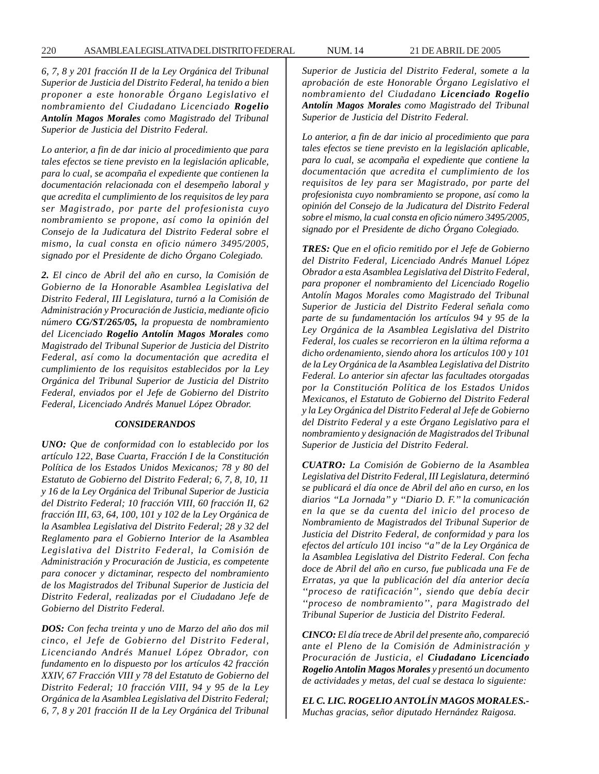*6, 7, 8 y 201 fracción II de la Ley Orgánica del Tribunal Superior de Justicia del Distrito Federal, ha tenido a bien proponer a este honorable Órgano Legislativo el nombramiento del Ciudadano Licenciado Rogelio Antolín Magos Morales como Magistrado del Tribunal Superior de Justicia del Distrito Federal.*

*Lo anterior, a fin de dar inicio al procedimiento que para tales efectos se tiene previsto en la legislación aplicable, para lo cual, se acompaña el expediente que contienen la documentación relacionada con el desempeño laboral y que acredita el cumplimiento de los requisitos de ley para ser Magistrado, por parte del profesionista cuyo nombramiento se propone, así como la opinión del Consejo de la Judicatura del Distrito Federal sobre el mismo, la cual consta en oficio número 3495/2005, signado por el Presidente de dicho Órgano Colegiado.*

*2. El cinco de Abril del año en curso, la Comisión de Gobierno de la Honorable Asamblea Legislativa del Distrito Federal, III Legislatura, turnó a la Comisión de Administración y Procuración de Justicia, mediante oficio número CG/ST/265/05, la propuesta de nombramiento del Licenciado Rogelio Antolín Magos Morales como Magistrado del Tribunal Superior de Justicia del Distrito Federal, así como la documentación que acredita el cumplimiento de los requisitos establecidos por la Ley Orgánica del Tribunal Superior de Justicia del Distrito Federal, enviados por el Jefe de Gobierno del Distrito Federal, Licenciado Andrés Manuel López Obrador.*

### *CONSIDERANDOS*

*UNO: Que de conformidad con lo establecido por los artículo 122, Base Cuarta, Fracción I de la Constitución Política de los Estados Unidos Mexicanos; 78 y 80 del Estatuto de Gobierno del Distrito Federal; 6, 7, 8, 10, 11 y 16 de la Ley Orgánica del Tribunal Superior de Justicia del Distrito Federal; 10 fracción VIII, 60 fracción II, 62 fracción III, 63, 64, 100, 101 y 102 de la Ley Orgánica de la Asamblea Legislativa del Distrito Federal; 28 y 32 del Reglamento para el Gobierno Interior de la Asamblea Legislativa del Distrito Federal, la Comisión de Administración y Procuración de Justicia, es competente para conocer y dictaminar, respecto del nombramiento de los Magistrados del Tribunal Superior de Justicia del Distrito Federal, realizadas por el Ciudadano Jefe de Gobierno del Distrito Federal.*

*DOS: Con fecha treinta y uno de Marzo del año dos mil cinco, el Jefe de Gobierno del Distrito Federal, Licenciando Andrés Manuel López Obrador, con fundamento en lo dispuesto por los artículos 42 fracción XXIV, 67 Fracción VIII y 78 del Estatuto de Gobierno del Distrito Federal; 10 fracción VIII, 94 y 95 de la Ley Orgánica de la Asamblea Legislativa del Distrito Federal; 6, 7, 8 y 201 fracción II de la Ley Orgánica del Tribunal* *Superior de Justicia del Distrito Federal, somete a la aprobación de este Honorable Órgano Legislativo el nombramiento del Ciudadano Licenciado Rogelio Antolín Magos Morales como Magistrado del Tribunal Superior de Justicia del Distrito Federal.*

*Lo anterior, a fin de dar inicio al procedimiento que para tales efectos se tiene previsto en la legislación aplicable, para lo cual, se acompaña el expediente que contiene la documentación que acredita el cumplimiento de los requisitos de ley para ser Magistrado, por parte del profesionista cuyo nombramiento se propone, así como la opinión del Consejo de la Judicatura del Distrito Federal sobre el mismo, la cual consta en oficio número 3495/2005, signado por el Presidente de dicho Órgano Colegiado.*

*TRES: Que en el oficio remitido por el Jefe de Gobierno del Distrito Federal, Licenciado Andrés Manuel López Obrador a esta Asamblea Legislativa del Distrito Federal, para proponer el nombramiento del Licenciado Rogelio Antolín Magos Morales como Magistrado del Tribunal Superior de Justicia del Distrito Federal señala como parte de su fundamentación los artículos 94 y 95 de la Ley Orgánica de la Asamblea Legislativa del Distrito Federal, los cuales se recorrieron en la última reforma a dicho ordenamiento, siendo ahora los artículos 100 y 101 de la Ley Orgánica de la Asamblea Legislativa del Distrito Federal. Lo anterior sin afectar las facultades otorgadas por la Constitución Política de los Estados Unidos Mexicanos, el Estatuto de Gobierno del Distrito Federal y la Ley Orgánica del Distrito Federal al Jefe de Gobierno del Distrito Federal y a este Órgano Legislativo para el nombramiento y designación de Magistrados del Tribunal Superior de Justicia del Distrito Federal.*

*CUATRO: La Comisión de Gobierno de la Asamblea Legislativa del Distrito Federal, III Legislatura, determinó se publicará el día once de Abril del año en curso, en los diarios ''La Jornada'' y ''Diario D. F.'' la comunicación en la que se da cuenta del inicio del proceso de Nombramiento de Magistrados del Tribunal Superior de Justicia del Distrito Federal, de conformidad y para los efectos del artículo 101 inciso ''a'' de la Ley Orgánica de la Asamblea Legislativa del Distrito Federal. Con fecha doce de Abril del año en curso, fue publicada una Fe de Erratas, ya que la publicación del día anterior decía ''proceso de ratificación'', siendo que debía decir ''proceso de nombramiento'', para Magistrado del Tribunal Superior de Justicia del Distrito Federal.*

*CINCO: El día trece de Abril del presente año, compareció ante el Pleno de la Comisión de Administración y Procuración de Justicia, el Ciudadano Licenciado Rogelio Antolin Magos Morales y presentó un documento de actividades y metas, del cual se destaca lo siguiente:*

*EL C. LIC. ROGELIO ANTOLÍN MAGOS MORALES.- Muchas gracias, señor diputado Hernández Raigosa.*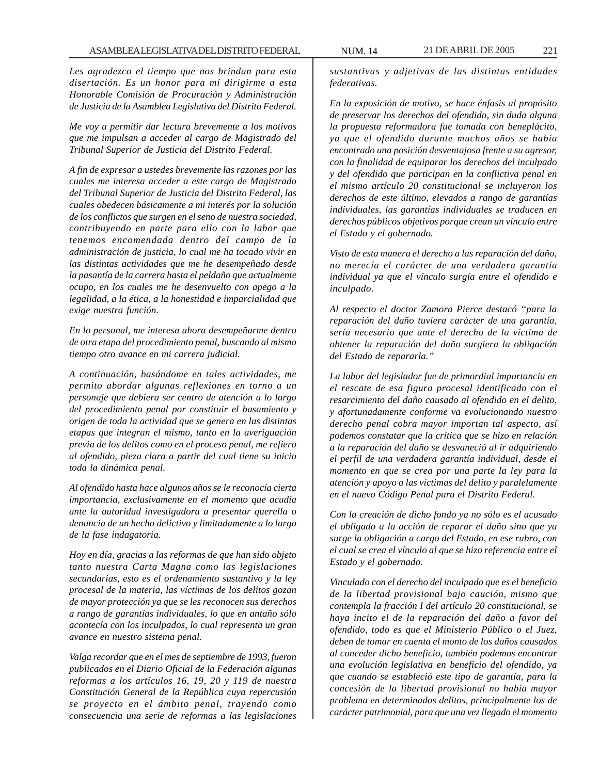*Les agradezco el tiempo que nos brindan para esta disertación. Es un honor para mí dirigirme a esta Honorable Comisión de Procuración y Administración de Justicia de la Asamblea Legislativa del Distrito Federal.*

*Me voy a permitir dar lectura brevemente a los motivos que me impulsan a acceder al cargo de Magistrado del Tribunal Superior de Justicia del Distrito Federal.*

*A fin de expresar a ustedes brevemente las razones por las cuales me interesa acceder a este cargo de Magistrado del Tribunal Superior de Justicia del Distrito Federal, las cuales obedecen básicamente a mi interés por la solución de los conflictos que surgen en el seno de nuestra sociedad, contribuyendo en parte para ello con la labor que tenemos encomendada dentro del campo de la administración de justicia, lo cual me ha tocado vivir en las distintas actividades que me he desempeñado desde la pasantía de la carrera hasta el peldaño que actualmente ocupo, en los cuales me he desenvuelto con apego a la legalidad, a la ética, a la honestidad e imparcialidad que exige nuestra función.*

*En lo personal, me interesa ahora desempeñarme dentro de otra etapa del procedimiento penal, buscando al mismo tiempo otro avance en mi carrera judicial.*

*A continuación, basándome en tales actividades, me permito abordar algunas reflexiones en torno a un personaje que debiera ser centro de atención a lo largo del procedimiento penal por constituir el basamiento y origen de toda la actividad que se genera en las distintas etapas que integran el mismo, tanto en la averiguación previa de los delitos como en el proceso penal, me refiero al ofendido, pieza clara a partir del cual tiene su inicio toda la dinámica penal.*

*Al ofendido hasta hace algunos años se le reconocía cierta importancia, exclusivamente en el momento que acudía ante la autoridad investigadora a presentar querella o denuncia de un hecho delictivo y limitadamente a lo largo de la fase indagatoria.*

*Hoy en día, gracias a las reformas de que han sido objeto tanto nuestra Carta Magna como las legislaciones secundarias, esto es el ordenamiento sustantivo y la ley procesal de la materia, las víctimas de los delitos gozan de mayor protección ya que se les reconocen sus derechos a rango de garantías individuales, lo que en antaño sólo acontecía con los inculpados, lo cual representa un gran avance en nuestro sistema penal.*

*Valga recordar que en el mes de septiembre de 1993, fueron publicados en el Diario Oficial de la Federación algunas reformas a los artículos 16, 19, 20 y 119 de nuestra Constitución General de la República cuya repercusión se proyecto en el ámbito penal, trayendo como consecuencia una serie de reformas a las legislaciones*

*sustantivas y adjetivas de las distintas entidades federativas.*

*En la exposición de motivo, se hace énfasis al propósito de preservar los derechos del ofendido, sin duda alguna la propuesta reformadora fue tomada con beneplácito, ya que el ofendido durante muchos años se había encontrado una posición desventajosa frente a su agresor, con la finalidad de equiparar los derechos del inculpado y del ofendido que participan en la conflictiva penal en el mismo artículo 20 constitucional se incluyeron los derechos de este último, elevados a rango de garantías individuales, las garantías individuales se traducen en derechos públicos objetivos porque crean un vinculo entre el Estado y el gobernado.*

*Visto de esta manera el derecho a las reparación del daño, no merecía el carácter de una verdadera garantía individual ya que el vínculo surgía entre el ofendido e inculpado.*

*Al respecto el doctor Zamora Pierce destacó ''para la reparación del daño tuviera carácter de una garantía, sería necesario que ante el derecho de la víctima de obtener la reparación del daño surgiera la obligación del Estado de repararla.''*

*La labor del legislador fue de primordial importancia en el rescate de esa figura procesal identificado con el resarcimiento del daño causado al ofendido en el delito, y afortunadamente conforme va evolucionando nuestro derecho penal cobra mayor importan tal aspecto, así podemos constatar que la crítica que se hizo en relación a la reparación del daño se desvaneció al ir adquiriendo el perfil de una verdadera garantía individual, desde el momento en que se crea por una parte la ley para la atención y apoyo a las víctimas del delito y paralelamente en el nuevo Código Penal para el Distrito Federal.*

*Con la creación de dicho fondo ya no sólo es el acusado el obligado a la acción de reparar el daño sino que ya surge la obligación a cargo del Estado, en ese rubro, con el cual se crea el vínculo al que se hizo referencia entre el Estado y el gobernado.*

*Vinculado con el derecho del inculpado que es el beneficio de la libertad provisional bajo caución, mismo que contempla la fracción I del artículo 20 constitucional, se haya incito el de la reparación del daño a favor del ofendido, todo es que el Ministerio Público o el Juez, deben de tomar en cuenta el monto de los daños causados al conceder dicho beneficio, también podemos encontrar una evolución legislativa en beneficio del ofendido, ya que cuando se estableció este tipo de garantía, para la concesión de la libertad provisional no había mayor problema en determinados delitos, principalmente los de carácter patrimonial, para que una vez llegado el momento*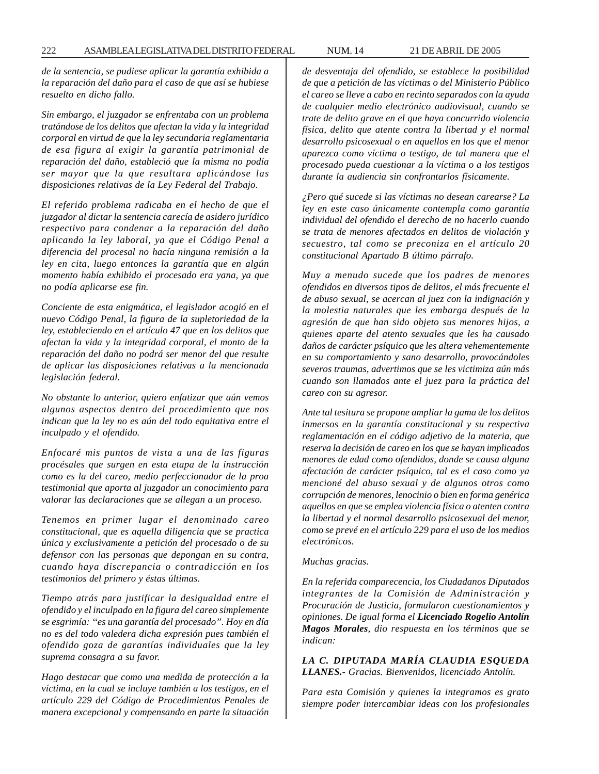*de la sentencia, se pudiese aplicar la garantía exhibida a la reparación del daño para el caso de que así se hubiese resuelto en dicho fallo.*

*Sin embargo, el juzgador se enfrentaba con un problema tratándose de los delitos que afectan la vida y la integridad corporal en virtud de que la ley secundaria reglamentaria de esa figura al exigir la garantía patrimonial de reparación del daño, estableció que la misma no podía ser mayor que la que resultara aplicándose las disposiciones relativas de la Ley Federal del Trabajo.*

*El referido problema radicaba en el hecho de que el juzgador al dictar la sentencia carecía de asidero jurídico respectivo para condenar a la reparación del daño aplicando la ley laboral, ya que el Código Penal a diferencia del procesal no hacía ninguna remisión a la ley en cita, luego entonces la garantía que en algún momento había exhibido el procesado era yana, ya que no podía aplicarse ese fin.*

*Conciente de esta enigmática, el legislador acogió en el nuevo Código Penal, la figura de la supletoriedad de la ley, estableciendo en el artículo 47 que en los delitos que afectan la vida y la integridad corporal, el monto de la reparación del daño no podrá ser menor del que resulte de aplicar las disposiciones relativas a la mencionada legislación federal.*

*No obstante lo anterior, quiero enfatizar que aún vemos algunos aspectos dentro del procedimiento que nos indican que la ley no es aún del todo equitativa entre el inculpado y el ofendido.*

*Enfocaré mis puntos de vista a una de las figuras procésales que surgen en esta etapa de la instrucción como es la del careo, medio perfeccionador de la proa testimonial que aporta al juzgador un conocimiento para valorar las declaraciones que se allegan a un proceso.*

*Tenemos en primer lugar el denominado careo constitucional, que es aquella diligencia que se practica única y exclusivamente a petición del procesado o de su defensor con las personas que depongan en su contra, cuando haya discrepancia o contradicción en los testimonios del primero y éstas últimas.*

*Tiempo atrás para justificar la desigualdad entre el ofendido y el inculpado en la figura del careo simplemente se esgrimía: ''es una garantía del procesado''. Hoy en día no es del todo valedera dicha expresión pues también el ofendido goza de garantías individuales que la ley suprema consagra a su favor.*

*Hago destacar que como una medida de protección a la víctima, en la cual se incluye también a los testigos, en el artículo 229 del Código de Procedimientos Penales de manera excepcional y compensando en parte la situación* *de desventaja del ofendido, se establece la posibilidad de que a petición de las víctimas o del Ministerio Público el careo se lleve a cabo en recinto separados con la ayuda de cualquier medio electrónico audiovisual, cuando se trate de delito grave en el que haya concurrido violencia física, delito que atente contra la libertad y el normal desarrollo psicosexual o en aquellos en los que el menor aparezca como víctima o testigo, de tal manera que el procesado pueda cuestionar a la víctima o a los testigos durante la audiencia sin confrontarlos físicamente.*

*¿Pero qué sucede si las víctimas no desean carearse? La ley en este caso únicamente contempla como garantía individual del ofendido el derecho de no hacerlo cuando se trata de menores afectados en delitos de violación y secuestro, tal como se preconiza en el artículo 20 constitucional Apartado B último párrafo.*

*Muy a menudo sucede que los padres de menores ofendidos en diversos tipos de delitos, el más frecuente el de abuso sexual, se acercan al juez con la indignación y la molestia naturales que les embarga después de la agresión de que han sido objeto sus menores hijos, a quienes aparte del atento sexuales que les ha causado daños de carácter psíquico que les altera vehementemente en su comportamiento y sano desarrollo, provocándoles severos traumas, advertimos que se les victimiza aún más cuando son llamados ante el juez para la práctica del careo con su agresor.*

*Ante tal tesitura se propone ampliar la gama de los delitos inmersos en la garantía constitucional y su respectiva reglamentación en el código adjetivo de la materia, que reserva la decisión de careo en los que se hayan implicados menores de edad como ofendidos, donde se causa alguna afectación de carácter psíquico, tal es el caso como ya mencioné del abuso sexual y de algunos otros como corrupción de menores, lenocinio o bien en forma genérica aquellos en que se emplea violencia física o atenten contra la libertad y el normal desarrollo psicosexual del menor, como se prevé en el artículo 229 para el uso de los medios electrónicos.*

*Muchas gracias.*

*En la referida comparecencia, los Ciudadanos Diputados integrantes de la Comisión de Administración y Procuración de Justicia, formularon cuestionamientos y opiniones. De igual forma el Licenciado Rogelio Antolín Magos Morales, dio respuesta en los términos que se indican:*

*LA C. DIPUTADA MARÍA CLAUDIA ESQUEDA LLANES.- Gracias. Bienvenidos, licenciado Antolín.*

*Para esta Comisión y quienes la integramos es grato siempre poder intercambiar ideas con los profesionales*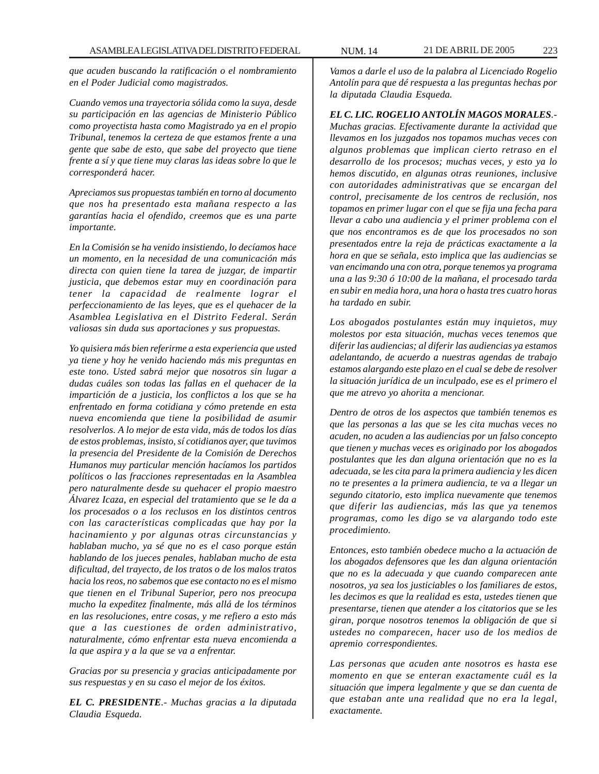*que acuden buscando la ratificación o el nombramiento en el Poder Judicial como magistrados.*

*Cuando vemos una trayectoria sólida como la suya, desde su participación en las agencias de Ministerio Público como proyectista hasta como Magistrado ya en el propio Tribunal, tenemos la certeza de que estamos frente a una gente que sabe de esto, que sabe del proyecto que tiene frente a sí y que tiene muy claras las ideas sobre lo que le corresponderá hacer.*

*Apreciamos sus propuestas también en torno al documento que nos ha presentado esta mañana respecto a las garantías hacia el ofendido, creemos que es una parte importante.*

*En la Comisión se ha venido insistiendo, lo decíamos hace un momento, en la necesidad de una comunicación más directa con quien tiene la tarea de juzgar, de impartir justicia, que debemos estar muy en coordinación para tener la capacidad de realmente lograr el perfeccionamiento de las leyes, que es el quehacer de la Asamblea Legislativa en el Distrito Federal. Serán valiosas sin duda sus aportaciones y sus propuestas.*

*Yo quisiera más bien referirme a esta experiencia que usted ya tiene y hoy he venido haciendo más mis preguntas en este tono. Usted sabrá mejor que nosotros sin lugar a dudas cuáles son todas las fallas en el quehacer de la impartición de a justicia, los conflictos a los que se ha enfrentado en forma cotidiana y cómo pretende en esta nueva encomienda que tiene la posibilidad de asumir resolverlos. A lo mejor de esta vida, más de todos los días de estos problemas, insisto, sí cotidianos ayer, que tuvimos la presencia del Presidente de la Comisión de Derechos Humanos muy particular mención hacíamos los partidos políticos o las fracciones representadas en la Asamblea pero naturalmente desde su quehacer el propio maestro Álvarez Icaza, en especial del tratamiento que se le da a los procesados o a los reclusos en los distintos centros con las características complicadas que hay por la hacinamiento y por algunas otras circunstancias y hablaban mucho, ya sé que no es el caso porque están hablando de los jueces penales, hablaban mucho de esta dificultad, del trayecto, de los tratos o de los malos tratos hacia los reos, no sabemos que ese contacto no es el mismo que tienen en el Tribunal Superior, pero nos preocupa mucho la expeditez finalmente, más allá de los términos en las resoluciones, entre cosas, y me refiero a esto más que a las cuestiones de orden administrativo, naturalmente, cómo enfrentar esta nueva encomienda a la que aspira y a la que se va a enfrentar.*

*Gracias por su presencia y gracias anticipadamente por sus respuestas y en su caso el mejor de los éxitos.*

*EL C. PRESIDENTE.- Muchas gracias a la diputada Claudia Esqueda.*

*Vamos a darle el uso de la palabra al Licenciado Rogelio Antolín para que dé respuesta a las preguntas hechas por la diputada Claudia Esqueda.*

*EL C. LIC. ROGELIO ANTOLÍN MAGOS MORALES.- Muchas gracias. Efectivamente durante la actividad que llevamos en los juzgados nos topamos muchas veces con algunos problemas que implican cierto retraso en el desarrollo de los procesos; muchas veces, y esto ya lo hemos discutido, en algunas otras reuniones, inclusive con autoridades administrativas que se encargan del control, precisamente de los centros de reclusión, nos topamos en primer lugar con el que se fija una fecha para llevar a cabo una audiencia y el primer problema con el que nos encontramos es de que los procesados no son presentados entre la reja de prácticas exactamente a la hora en que se señala, esto implica que las audiencias se van encimando una con otra, porque tenemos ya programa una a las 9:30 ó 10:00 de la mañana, el procesado tarda en subir en media hora, una hora o hasta tres cuatro horas ha tardado en subir.*

*Los abogados postulantes están muy inquietos, muy molestos por esta situación, muchas veces tenemos que diferir las audiencias; al diferir las audiencias ya estamos adelantando, de acuerdo a nuestras agendas de trabajo estamos alargando este plazo en el cual se debe de resolver la situación jurídica de un inculpado, ese es el primero el que me atrevo yo ahorita a mencionar.*

*Dentro de otros de los aspectos que también tenemos es que las personas a las que se les cita muchas veces no acuden, no acuden a las audiencias por un falso concepto que tienen y muchas veces es originado por los abogados postulantes que les dan alguna orientación que no es la adecuada, se les cita para la primera audiencia y les dicen no te presentes a la primera audiencia, te va a llegar un segundo citatorio, esto implica nuevamente que tenemos que diferir las audiencias, más las que ya tenemos programas, como les digo se va alargando todo este procedimiento.*

*Entonces, esto también obedece mucho a la actuación de los abogados defensores que les dan alguna orientación que no es la adecuada y que cuando comparecen ante nosotros, ya sea los justiciables o los familiares de estos, les decimos es que la realidad es esta, ustedes tienen que presentarse, tienen que atender a los citatorios que se les giran, porque nosotros tenemos la obligación de que si ustedes no comparecen, hacer uso de los medios de apremio correspondientes.*

*Las personas que acuden ante nosotros es hasta ese momento en que se enteran exactamente cuál es la situación que impera legalmente y que se dan cuenta de que estaban ante una realidad que no era la legal, exactamente.*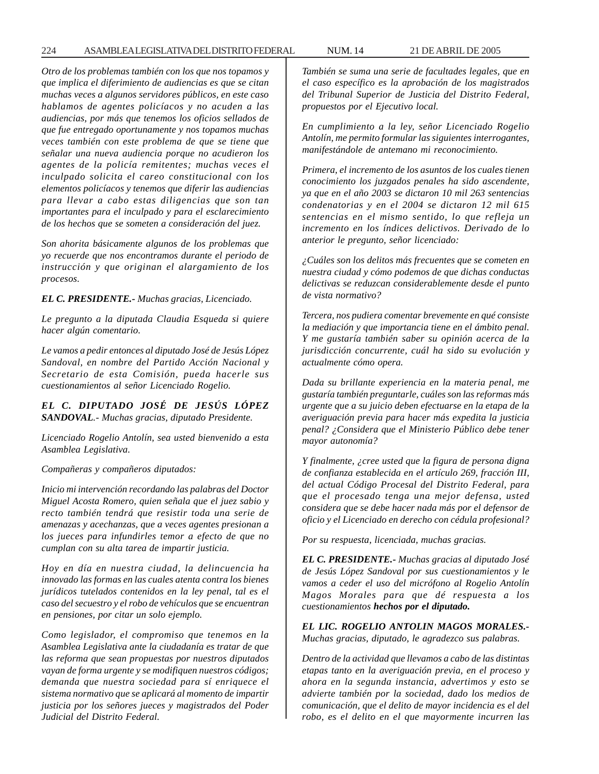*Otro de los problemas también con los que nos topamos y que implica el diferimiento de audiencias es que se citan muchas veces a algunos servidores públicos, en este caso hablamos de agentes policíacos y no acuden a las audiencias, por más que tenemos los oficios sellados de que fue entregado oportunamente y nos topamos muchas veces también con este problema de que se tiene que señalar una nueva audiencia porque no acudieron los agentes de la policía remitentes; muchas veces el inculpado solicita el careo constitucional con los elementos policíacos y tenemos que diferir las audiencias para llevar a cabo estas diligencias que son tan importantes para el inculpado y para el esclarecimiento de los hechos que se someten a consideración del juez.*

*Son ahorita básicamente algunos de los problemas que yo recuerde que nos encontramos durante el periodo de instrucción y que originan el alargamiento de los procesos.*

*EL C. PRESIDENTE.- Muchas gracias, Licenciado.*

*Le pregunto a la diputada Claudia Esqueda si quiere hacer algún comentario.*

*Le vamos a pedir entonces al diputado José de Jesús López Sandoval, en nombre del Partido Acción Nacional y Secretario de esta Comisión, pueda hacerle sus cuestionamientos al señor Licenciado Rogelio.*

*EL C. DIPUTADO JOSÉ DE JESÚS LÓPEZ SANDOVAL.- Muchas gracias, diputado Presidente.*

*Licenciado Rogelio Antolín, sea usted bienvenido a esta Asamblea Legislativa.*

*Compañeras y compañeros diputados:*

*Inicio mi intervención recordando las palabras del Doctor Miguel Acosta Romero, quien señala que el juez sabio y recto también tendrá que resistir toda una serie de amenazas y acechanzas, que a veces agentes presionan a los jueces para infundirles temor a efecto de que no cumplan con su alta tarea de impartir justicia.*

*Hoy en día en nuestra ciudad, la delincuencia ha innovado las formas en las cuales atenta contra los bienes jurídicos tutelados contenidos en la ley penal, tal es el caso del secuestro y el robo de vehículos que se encuentran en pensiones, por citar un solo ejemplo.*

*Como legislador, el compromiso que tenemos en la Asamblea Legislativa ante la ciudadanía es tratar de que las reforma que sean propuestas por nuestros diputados vayan de forma urgente y se modifiquen nuestros códigos; demanda que nuestra sociedad para sí enriquece el sistema normativo que se aplicará al momento de impartir justicia por los señores jueces y magistrados del Poder Judicial del Distrito Federal.*

*También se suma una serie de facultades legales, que en el caso específico es la aprobación de los magistrados del Tribunal Superior de Justicia del Distrito Federal, propuestos por el Ejecutivo local.*

*En cumplimiento a la ley, señor Licenciado Rogelio Antolín, me permito formular las siguientes interrogantes, manifestándole de antemano mi reconocimiento.*

*Primera, el incremento de los asuntos de los cuales tienen conocimiento los juzgados penales ha sido ascendente, ya que en el año 2003 se dictaron 10 mil 263 sentencias condenatorias y en el 2004 se dictaron 12 mil 615 sentencias en el mismo sentido, lo que refleja un incremento en los índices delictivos. Derivado de lo anterior le pregunto, señor licenciado:*

*¿Cuáles son los delitos más frecuentes que se cometen en nuestra ciudad y cómo podemos de que dichas conductas delictivas se reduzcan considerablemente desde el punto de vista normativo?*

*Tercera, nos pudiera comentar brevemente en qué consiste la mediación y que importancia tiene en el ámbito penal. Y me gustaría también saber su opinión acerca de la jurisdicción concurrente, cuál ha sido su evolución y actualmente cómo opera.*

*Dada su brillante experiencia en la materia penal, me gustaría también preguntarle, cuáles son las reformas más urgente que a su juicio deben efectuarse en la etapa de la averiguación previa para hacer más expedita la justicia penal? ¿Considera que el Ministerio Público debe tener mayor autonomía?*

*Y finalmente, ¿cree usted que la figura de persona digna de confianza establecida en el artículo 269, fracción III, del actual Código Procesal del Distrito Federal, para que el procesado tenga una mejor defensa, usted considera que se debe hacer nada más por el defensor de oficio y el Licenciado en derecho con cédula profesional?*

*Por su respuesta, licenciada, muchas gracias.*

*EL C. PRESIDENTE.- Muchas gracias al diputado José de Jesús López Sandoval por sus cuestionamientos y le vamos a ceder el uso del micrófono al Rogelio Antolín Magos Morales para que dé respuesta a los cuestionamientos hechos por el diputado.*

*EL LIC. ROGELIO ANTOLIN MAGOS MORALES.- Muchas gracias, diputado, le agradezco sus palabras.*

*Dentro de la actividad que llevamos a cabo de las distintas etapas tanto en la averiguación previa, en el proceso y ahora en la segunda instancia, advertimos y esto se advierte también por la sociedad, dado los medios de comunicación, que el delito de mayor incidencia es el del robo, es el delito en el que mayormente incurren las*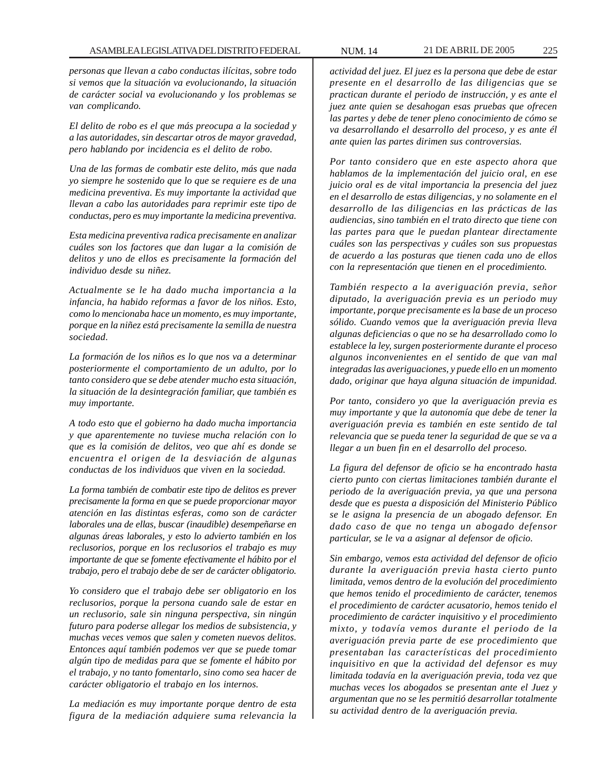*personas que llevan a cabo conductas ilícitas, sobre todo si vemos que la situación va evolucionando, la situación de carácter social va evolucionando y los problemas se van complicando.*

*El delito de robo es el que más preocupa a la sociedad y a las autoridades, sin descartar otros de mayor gravedad, pero hablando por incidencia es el delito de robo.*

*Una de las formas de combatir este delito, más que nada yo siempre he sostenido que lo que se requiere es de una medicina preventiva. Es muy importante la actividad que llevan a cabo las autoridades para reprimir este tipo de conductas, pero es muy importante la medicina preventiva.*

*Esta medicina preventiva radica precisamente en analizar cuáles son los factores que dan lugar a la comisión de delitos y uno de ellos es precisamente la formación del individuo desde su niñez.*

*Actualmente se le ha dado mucha importancia a la infancia, ha habido reformas a favor de los niños. Esto, como lo mencionaba hace un momento, es muy importante, porque en la niñez está precisamente la semilla de nuestra sociedad.*

*La formación de los niños es lo que nos va a determinar posteriormente el comportamiento de un adulto, por lo tanto considero que se debe atender mucho esta situación, la situación de la desintegración familiar, que también es muy importante.*

*A todo esto que el gobierno ha dado mucha importancia y que aparentemente no tuviese mucha relación con lo que es la comisión de delitos, veo que ahí es donde se encuentra el origen de la desviación de algunas conductas de los individuos que viven en la sociedad.*

*La forma también de combatir este tipo de delitos es prever precisamente la forma en que se puede proporcionar mayor atención en las distintas esferas, como son de carácter laborales una de ellas, buscar (inaudible) desempeñarse en algunas áreas laborales, y esto lo advierto también en los reclusorios, porque en los reclusorios el trabajo es muy importante de que se fomente efectivamente el hábito por el trabajo, pero el trabajo debe de ser de carácter obligatorio.*

*Yo considero que el trabajo debe ser obligatorio en los reclusorios, porque la persona cuando sale de estar en un reclusorio, sale sin ninguna perspectiva, sin ningún futuro para poderse allegar los medios de subsistencia, y muchas veces vemos que salen y cometen nuevos delitos. Entonces aquí también podemos ver que se puede tomar algún tipo de medidas para que se fomente el hábito por el trabajo, y no tanto fomentarlo, sino como sea hacer de carácter obligatorio el trabajo en los internos.*

*La mediación es muy importante porque dentro de esta figura de la mediación adquiere suma relevancia la*

*actividad del juez. El juez es la persona que debe de estar presente en el desarrollo de las diligencias que se practican durante el periodo de instrucción, y es ante el juez ante quien se desahogan esas pruebas que ofrecen las partes y debe de tener pleno conocimiento de cómo se va desarrollando el desarrollo del proceso, y es ante él ante quien las partes dirimen sus controversias.*

*Por tanto considero que en este aspecto ahora que hablamos de la implementación del juicio oral, en ese juicio oral es de vital importancia la presencia del juez en el desarrollo de estas diligencias, y no solamente en el desarrollo de las diligencias en las prácticas de las audiencias, sino también en el trato directo que tiene con las partes para que le puedan plantear directamente cuáles son las perspectivas y cuáles son sus propuestas de acuerdo a las posturas que tienen cada uno de ellos con la representación que tienen en el procedimiento.*

*También respecto a la averiguación previa, señor diputado, la averiguación previa es un periodo muy importante, porque precisamente es la base de un proceso sólido. Cuando vemos que la averiguación previa lleva algunas deficiencias o que no se ha desarrollado como lo establece la ley, surgen posteriormente durante el proceso algunos inconvenientes en el sentido de que van mal integradas las averiguaciones, y puede ello en un momento dado, originar que haya alguna situación de impunidad.*

*Por tanto, considero yo que la averiguación previa es muy importante y que la autonomía que debe de tener la averiguación previa es también en este sentido de tal relevancia que se pueda tener la seguridad de que se va a llegar a un buen fin en el desarrollo del proceso.*

*La figura del defensor de oficio se ha encontrado hasta cierto punto con ciertas limitaciones también durante el periodo de la averiguación previa, ya que una persona desde que es puesta a disposición del Ministerio Público se le asigna la presencia de un abogado defensor. En dado caso de que no tenga un abogado defensor particular, se le va a asignar al defensor de oficio.*

*Sin embargo, vemos esta actividad del defensor de oficio durante la averiguación previa hasta cierto punto limitada, vemos dentro de la evolución del procedimiento que hemos tenido el procedimiento de carácter, tenemos el procedimiento de carácter acusatorio, hemos tenido el procedimiento de carácter inquisitivo y el procedimiento mixto, y todavía vemos durante el periodo de la averiguación previa parte de ese procedimiento que presentaban las características del procedimiento inquisitivo en que la actividad del defensor es muy limitada todavía en la averiguación previa, toda vez que muchas veces los abogados se presentan ante el Juez y argumentan que no se les permitió desarrollar totalmente su actividad dentro de la averiguación previa.*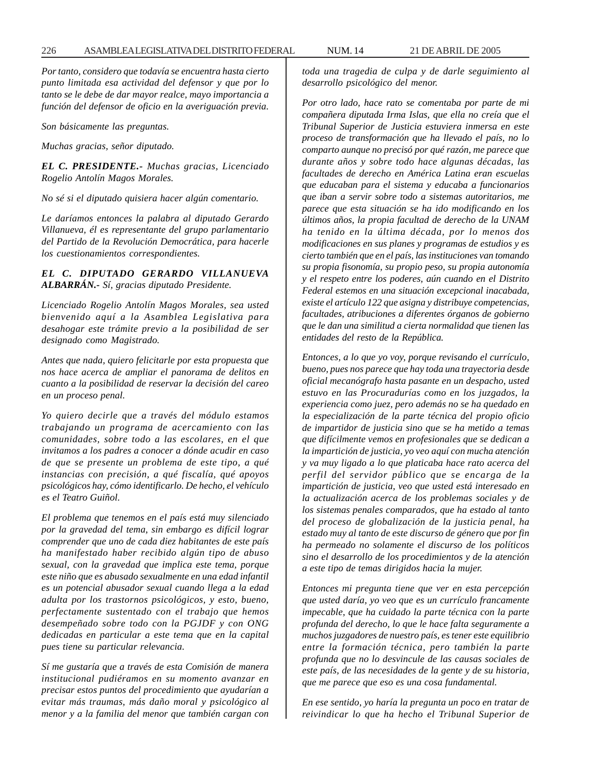*Por tanto, considero que todavía se encuentra hasta cierto punto limitada esa actividad del defensor y que por lo tanto se le debe de dar mayor realce, mayo importancia a función del defensor de oficio en la averiguación previa.*

*Son básicamente las preguntas.*

*Muchas gracias, señor diputado.*

*EL C. PRESIDENTE.- Muchas gracias, Licenciado Rogelio Antolín Magos Morales.*

*No sé si el diputado quisiera hacer algún comentario.*

*Le daríamos entonces la palabra al diputado Gerardo Villanueva, él es representante del grupo parlamentario del Partido de la Revolución Democrática, para hacerle los cuestionamientos correspondientes.*

# *EL C. DIPUTADO GERARDO VILLANUEVA ALBARRÁN.- Sí, gracias diputado Presidente.*

*Licenciado Rogelio Antolín Magos Morales, sea usted bienvenido aquí a la Asamblea Legislativa para desahogar este trámite previo a la posibilidad de ser designado como Magistrado.*

*Antes que nada, quiero felicitarle por esta propuesta que nos hace acerca de ampliar el panorama de delitos en cuanto a la posibilidad de reservar la decisión del careo en un proceso penal.*

*Yo quiero decirle que a través del módulo estamos trabajando un programa de acercamiento con las comunidades, sobre todo a las escolares, en el que invitamos a los padres a conocer a dónde acudir en caso de que se presente un problema de este tipo, a qué instancias con precisión, a qué fiscalía, qué apoyos psicológicos hay, cómo identificarlo. De hecho, el vehículo es el Teatro Guiñol.*

*El problema que tenemos en el país está muy silenciado por la gravedad del tema, sin embargo es difícil lograr comprender que uno de cada diez habitantes de este país ha manifestado haber recibido algún tipo de abuso sexual, con la gravedad que implica este tema, porque este niño que es abusado sexualmente en una edad infantil es un potencial abusador sexual cuando llega a la edad adulta por los trastornos psicológicos, y esto, bueno, perfectamente sustentado con el trabajo que hemos desempeñado sobre todo con la PGJDF y con ONG dedicadas en particular a este tema que en la capital pues tiene su particular relevancia.*

*Sí me gustaría que a través de esta Comisión de manera institucional pudiéramos en su momento avanzar en precisar estos puntos del procedimiento que ayudarían a evitar más traumas, más daño moral y psicológico al menor y a la familia del menor que también cargan con*

*toda una tragedia de culpa y de darle seguimiento al desarrollo psicológico del menor.*

*Por otro lado, hace rato se comentaba por parte de mi compañera diputada Irma Islas, que ella no creía que el Tribunal Superior de Justicia estuviera inmersa en este proceso de transformación que ha llevado el país, no lo comparto aunque no precisó por qué razón, me parece que durante años y sobre todo hace algunas décadas, las facultades de derecho en América Latina eran escuelas que educaban para el sistema y educaba a funcionarios que iban a servir sobre todo a sistemas autoritarios, me parece que esta situación se ha ido modificando en los últimos años, la propia facultad de derecho de la UNAM ha tenido en la última década, por lo menos dos modificaciones en sus planes y programas de estudios y es cierto también que en el país, las instituciones van tomando su propia fisonomía, su propio peso, su propia autonomía y el respeto entre los poderes, aún cuando en el Distrito Federal estemos en una situación excepcional inacabada, existe el artículo 122 que asigna y distribuye competencias, facultades, atribuciones a diferentes órganos de gobierno que le dan una similitud a cierta normalidad que tienen las entidades del resto de la República.*

*Entonces, a lo que yo voy, porque revisando el currículo, bueno, pues nos parece que hay toda una trayectoria desde oficial mecanógrafo hasta pasante en un despacho, usted estuvo en las Procuradurías como en los juzgados, la experiencia como juez, pero además no se ha quedado en la especialización de la parte técnica del propio oficio de impartidor de justicia sino que se ha metido a temas que difícilmente vemos en profesionales que se dedican a la impartición de justicia, yo veo aquí con mucha atención y va muy ligado a lo que platicaba hace rato acerca del perfil del servidor público que se encarga de la impartición de justicia, veo que usted está interesado en la actualización acerca de los problemas sociales y de los sistemas penales comparados, que ha estado al tanto del proceso de globalización de la justicia penal, ha estado muy al tanto de este discurso de género que por fin ha permeado no solamente el discurso de los políticos sino el desarrollo de los procedimientos y de la atención a este tipo de temas dirigidos hacia la mujer.*

*Entonces mi pregunta tiene que ver en esta percepción que usted daría, yo veo que es un currículo francamente impecable, que ha cuidado la parte técnica con la parte profunda del derecho, lo que le hace falta seguramente a muchos juzgadores de nuestro país, es tener este equilibrio entre la formación técnica, pero también la parte profunda que no lo desvincule de las causas sociales de este país, de las necesidades de la gente y de su historia, que me parece que eso es una cosa fundamental.*

*En ese sentido, yo haría la pregunta un poco en tratar de reivindicar lo que ha hecho el Tribunal Superior de*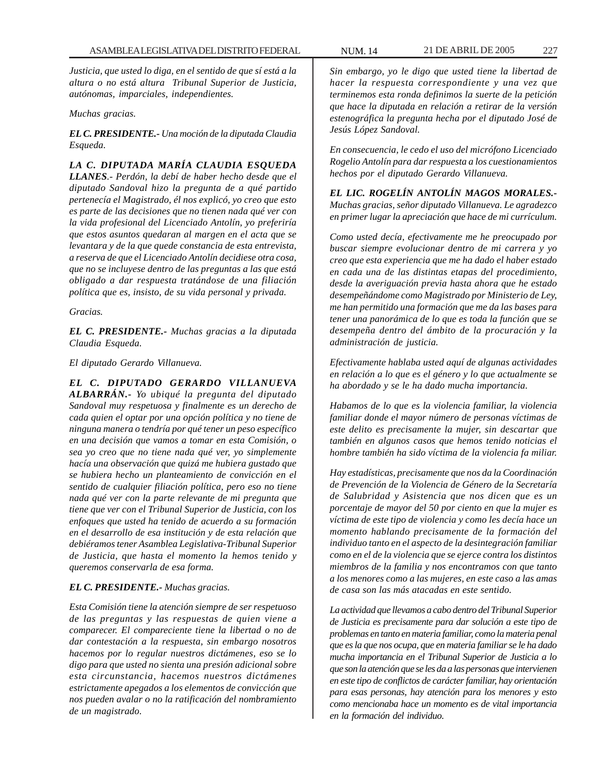*Justicia, que usted lo diga, en el sentido de que sí está a la altura o no está altura Tribunal Superior de Justicia, autónomas, imparciales, independientes.*

*Muchas gracias.*

*EL C. PRESIDENTE.- Una moción de la diputada Claudia Esqueda.*

*LA C. DIPUTADA MARÍA CLAUDIA ESQUEDA LLANES.- Perdón, la debí de haber hecho desde que el diputado Sandoval hizo la pregunta de a qué partido pertenecía el Magistrado, él nos explicó, yo creo que esto es parte de las decisiones que no tienen nada qué ver con la vida profesional del Licenciado Antolín, yo preferiría que estos asuntos quedaran al margen en el acta que se levantara y de la que quede constancia de esta entrevista, a reserva de que el Licenciado Antolín decidiese otra cosa, que no se incluyese dentro de las preguntas a las que está obligado a dar respuesta tratándose de una filiación política que es, insisto, de su vida personal y privada.*

*Gracias.*

*EL C. PRESIDENTE.- Muchas gracias a la diputada Claudia Esqueda.*

*El diputado Gerardo Villanueva.*

*EL C. DIPUTADO GERARDO VILLANUEVA ALBARRÁN.- Yo ubiqué la pregunta del diputado Sandoval muy respetuosa y finalmente es un derecho de cada quien el optar por una opción política y no tiene de ninguna manera o tendría por qué tener un peso específico en una decisión que vamos a tomar en esta Comisión, o sea yo creo que no tiene nada qué ver, yo simplemente hacía una observación que quizá me hubiera gustado que se hubiera hecho un planteamiento de convicción en el sentido de cualquier filiación política, pero eso no tiene nada qué ver con la parte relevante de mi pregunta que tiene que ver con el Tribunal Superior de Justicia, con los enfoques que usted ha tenido de acuerdo a su formación en el desarrollo de esa institución y de esta relación que debiéramos tener Asamblea Legislativa-Tribunal Superior de Justicia, que hasta el momento la hemos tenido y queremos conservarla de esa forma.*

## *EL C. PRESIDENTE.- Muchas gracias.*

*Esta Comisión tiene la atención siempre de ser respetuoso de las preguntas y las respuestas de quien viene a comparecer. El compareciente tiene la libertad o no de dar contestación a la respuesta, sin embargo nosotros hacemos por lo regular nuestros dictámenes, eso se lo digo para que usted no sienta una presión adicional sobre esta circunstancia, hacemos nuestros dictámenes estrictamente apegados a los elementos de convicción que nos pueden avalar o no la ratificación del nombramiento de un magistrado.*

*Sin embargo, yo le digo que usted tiene la libertad de hacer la respuesta correspondiente y una vez que terminemos esta ronda definimos la suerte de la petición que hace la diputada en relación a retirar de la versión estenográfica la pregunta hecha por el diputado José de Jesús López Sandoval.*

*En consecuencia, le cedo el uso del micrófono Licenciado Rogelio Antolín para dar respuesta a los cuestionamientos hechos por el diputado Gerardo Villanueva.*

*EL LIC. ROGELÍN ANTOLÍN MAGOS MORALES.- Muchas gracias, señor diputado Villanueva. Le agradezco en primer lugar la apreciación que hace de mi currículum.*

*Como usted decía, efectivamente me he preocupado por buscar siempre evolucionar dentro de mi carrera y yo creo que esta experiencia que me ha dado el haber estado en cada una de las distintas etapas del procedimiento, desde la averiguación previa hasta ahora que he estado desempeñándome como Magistrado por Ministerio de Ley, me han permitido una formación que me da las bases para tener una panorámica de lo que es toda la función que se desempeña dentro del ámbito de la procuración y la administración de justicia.*

*Efectivamente hablaba usted aquí de algunas actividades en relación a lo que es el género y lo que actualmente se ha abordado y se le ha dado mucha importancia.*

*Habamos de lo que es la violencia familiar, la violencia familiar donde el mayor número de personas víctimas de este delito es precisamente la mujer, sin descartar que también en algunos casos que hemos tenido noticias el hombre también ha sido víctima de la violencia fa miliar.*

*Hay estadísticas, precisamente que nos da la Coordinación de Prevención de la Violencia de Género de la Secretaría de Salubridad y Asistencia que nos dicen que es un porcentaje de mayor del 50 por ciento en que la mujer es víctima de este tipo de violencia y como les decía hace un momento hablando precisamente de la formación del individuo tanto en el aspecto de la desintegración familiar como en el de la violencia que se ejerce contra los distintos miembros de la familia y nos encontramos con que tanto a los menores como a las mujeres, en este caso a las amas de casa son las más atacadas en este sentido.*

*La actividad que llevamos a cabo dentro del Tribunal Superior de Justicia es precisamente para dar solución a este tipo de problemas en tanto en materia familiar, como la materia penal que es la que nos ocupa, que en materia familiar se le ha dado mucha importancia en el Tribunal Superior de Justicia a lo que son la atención que se les da a las personas que intervienen en este tipo de conflictos de carácter familiar, hay orientación para esas personas, hay atención para los menores y esto como mencionaba hace un momento es de vital importancia en la formación del individuo.*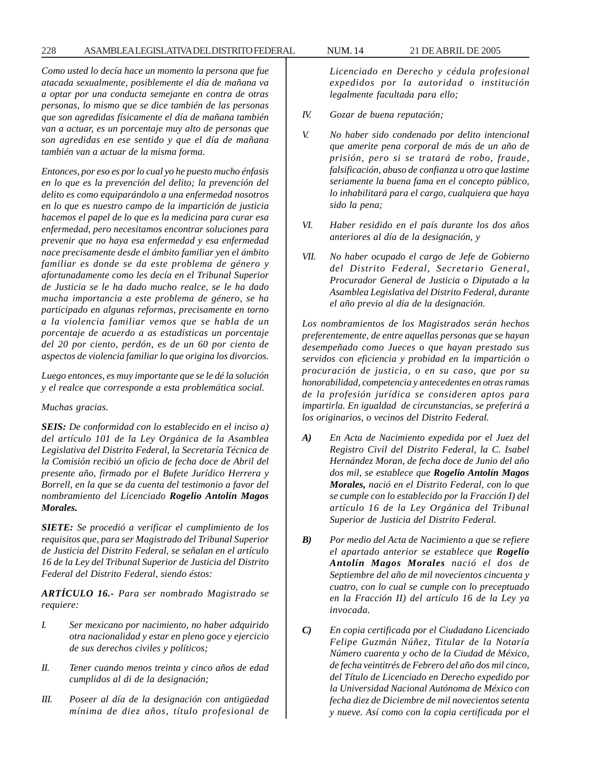*Como usted lo decía hace un momento la persona que fue atacada sexualmente, posiblemente el día de mañana va a optar por una conducta semejante en contra de otras personas, lo mismo que se dice también de las personas que son agredidas físicamente el día de mañana también van a actuar, es un porcentaje muy alto de personas que son agredidas en ese sentido y que el día de mañana también van a actuar de la misma forma.*

*Entonces, por eso es por lo cual yo he puesto mucho énfasis en lo que es la prevención del delito; la prevención del delito es como equiparándolo a una enfermedad nosotros en lo que es nuestro campo de la impartición de justicia hacemos el papel de lo que es la medicina para curar esa enfermedad, pero necesitamos encontrar soluciones para prevenir que no haya esa enfermedad y esa enfermedad nace precisamente desde el ámbito familiar yen el ámbito familiar es donde se da este problema de género y afortunadamente como les decía en el Tribunal Superior de Justicia se le ha dado mucho realce, se le ha dado mucha importancia a este problema de género, se ha participado en algunas reformas, precisamente en torno a la violencia familiar vemos que se habla de un porcentaje de acuerdo a as estadísticas un porcentaje del 20 por ciento, perdón, es de un 60 por ciento de aspectos de violencia familiar lo que origina los divorcios.*

*Luego entonces, es muy importante que se le dé la solución y el realce que corresponde a esta problemática social.*

#### *Muchas gracias.*

*SEIS: De conformidad con lo establecido en el inciso a) del artículo 101 de la Ley Orgánica de la Asamblea Legislativa del Distrito Federal, la Secretaría Técnica de la Comisión recibió un oficio de fecha doce de Abril del presente año, firmado por el Bufete Jurídico Herrera y Borrell, en la que se da cuenta del testimonio a favor del nombramiento del Licenciado Rogelio Antolín Magos Morales.*

*SIETE: Se procedió a verificar el cumplimiento de los requisitos que, para ser Magistrado del Tribunal Superior de Justicia del Distrito Federal, se señalan en el artículo 16 de la Ley del Tribunal Superior de Justicia del Distrito Federal del Distrito Federal, siendo éstos:*

*ARTÍCULO 16.- Para ser nombrado Magistrado se requiere:*

- *I. Ser mexicano por nacimiento, no haber adquirido otra nacionalidad y estar en pleno goce y ejercicio de sus derechos civiles y políticos;*
- *II. Tener cuando menos treinta y cinco años de edad cumplidos al di de la designación;*
- *III. Poseer al día de la designación con antigüedad mínima de diez años, título profesional de*

*Licenciado en Derecho y cédula profesional expedidos por la autoridad o institución legalmente facultada para ello;*

- *IV. Gozar de buena reputación;*
- *V. No haber sido condenado por delito intencional que amerite pena corporal de más de un año de prisión, pero si se tratará de robo, fraude, falsificación, abuso de confianza u otro que lastime seriamente la buena fama en el concepto público, lo inhabilitará para el cargo, cualquiera que haya sido la pena;*
- *VI. Haber residido en el país durante los dos años anteriores al día de la designación, y*
- *VII. No haber ocupado el cargo de Jefe de Gobierno del Distrito Federal, Secretario General, Procurador General de Justicia o Diputado a la Asamblea Legislativa del Distrito Federal, durante el año previo al día de la designación.*

*Los nombramientos de los Magistrados serán hechos preferentemente, de entre aquellas personas que se hayan desempeñado como Jueces o que hayan prestado sus servidos con eficiencia y probidad en la impartición o procuración de justicia, o en su caso, que por su honorabilidad, competencia y antecedentes en otras ramas de la profesión jurídica se consideren aptos para impartirla. En igualdad de circunstancias, se preferirá a los originarios, o vecinos del Distrito Federal.*

- *A) En Acta de Nacimiento expedida por el Juez del Registro Civil del Distrito Federal, la C. Isabel Hernández Moran, de fecha doce de Junio del año dos mil, se establece que Rogelio Antolín Magos Morales, nació en el Distrito Federal, con lo que se cumple con lo establecido por la Fracción I) del artículo 16 de la Ley Orgánica del Tribunal Superior de Justicia del Distrito Federal.*
- *B) Por medio del Acta de Nacimiento a que se refiere el apartado anterior se establece que Rogelio Antolín Magos Morales nació el dos de Septiembre del año de mil novecientos cincuenta y cuatro, con lo cual se cumple con lo preceptuado en la Fracción II) del artículo 16 de la Ley ya invocada.*
- *C) En copia certificada por el Ciudadano Licenciado Felipe Guzmán Núñez, Titular de la Notaría Número cuarenta y ocho de la Ciudad de México, de fecha veintitrés de Febrero del año dos mil cinco, del Título de Licenciado en Derecho expedido por la Universidad Nacional Autónoma de México con fecha diez de Diciembre de mil novecientos setenta y nueve. Así como con la copia certificada por el*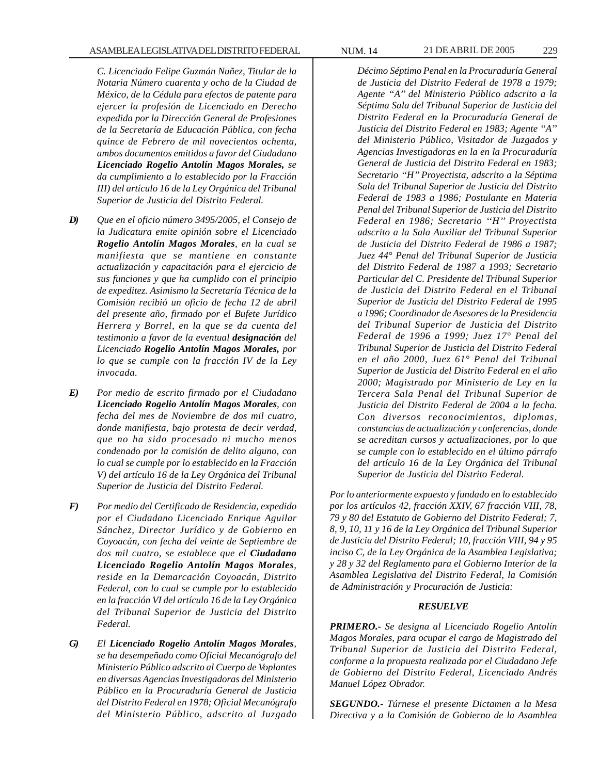*C. Licenciado Felipe Guzmán Nuñez, Titular de la Notaria Número cuarenta y ocho de la Ciudad de México, de la Cédula para efectos de patente para ejercer la profesión de Licenciado en Derecho expedida por la Dirección General de Profesiones de la Secretaría de Educación Pública, con fecha quince de Febrero de mil novecientos ochenta, ambos documentos emitidos a favor del Ciudadano Licenciado Rogelio Antolín Magos Morales, se da cumplimiento a lo establecido por la Fracción III) del artículo 16 de la Ley Orgánica del Tribunal Superior de Justicia del Distrito Federal.*

- *D) Que en el oficio número 3495/2005, el Consejo de la Judicatura emite opinión sobre el Licenciado Rogelio Antolín Magos Morales, en la cual se manifiesta que se mantiene en constante actualización y capacitación para el ejercicio de sus funciones y que ha cumplido con el principio de expeditez. Asimismo la Secretaría Técnica de la Comisión recibió un oficio de fecha 12 de abril del presente año, firmado por el Bufete Jurídico Herrera y Borrel, en la que se da cuenta del testimonio a favor de la eventual designación del Licenciado Rogelio Antolín Magos Morales, por lo que se cumple con la fracción IV de la Ley invocada.*
- *E) Por medio de escrito firmado por el Ciudadano Licenciado Rogelio Antolín Magos Morales, con fecha del mes de Noviembre de dos mil cuatro, donde manifiesta, bajo protesta de decir verdad, que no ha sido procesado ni mucho menos condenado por la comisión de delito alguno, con lo cual se cumple por lo establecido en la Fracción V) del artículo 16 de la Ley Orgánica del Tribunal Superior de Justicia del Distrito Federal.*
- *F) Por medio del Certificado de Residencia, expedido por el Ciudadano Licenciado Enrique Aguilar Sánchez, Director Jurídico y de Gobierno en Coyoacán, con fecha del veinte de Septiembre de dos mil cuatro, se establece que el Ciudadano Licenciado Rogelio Antolín Magos Morales, reside en la Demarcación Coyoacán, Distrito Federal, con lo cual se cumple por lo establecido en la fracción VI del artículo 16 de la Ley Orgánica del Tribunal Superior de Justicia del Distrito Federal.*
- *G) El Licenciado Rogelio Antolín Magos Morales, se ha desempeñado como Oficial Mecanógrafo del Ministerio Público adscrito al Cuerpo de Voplantes en diversas Agencias Investigadoras del Ministerio Público en la Procuraduría General de Justicia del Distrito Federal en 1978; Oficial Mecanógrafo del Ministerio Público, adscrito al Juzgado*

*Décimo Séptimo Penal en la Procuraduría General de Justicia del Distrito Federal de 1978 a 1979; Agente ''A'' del Ministerio Público adscrito a la Séptima Sala del Tribunal Superior de Justicia del Distrito Federal en la Procuraduría General de Justicia del Distrito Federal en 1983; Agente ''A'' del Ministerio Público, Visitador de Juzgados y Agencias Investigadoras en la en la Procuraduría General de Justicia del Distrito Federal en 1983; Secretario ''H'' Proyectista, adscrito a la Séptima Sala del Tribunal Superior de Justicia del Distrito Federal de 1983 a 1986; Postulante en Materia Penal del Tribunal Superior de Justicia del Distrito Federal en 1986; Secretario ''H'' Proyectista adscrito a la Sala Auxiliar del Tribunal Superior de Justicia del Distrito Federal de 1986 a 1987; Juez 44° Penal del Tribunal Superior de Justicia del Distrito Federal de 1987 a 1993; Secretario Particular del C. Presidente del Tribunal Superior de Justicia del Distrito Federal en el Tribunal Superior de Justicia del Distrito Federal de 1995 a 1996; Coordinador de Asesores de la Presidencia del Tribunal Superior de Justicia del Distrito Federal de 1996 a 1999; Juez 17° Penal del Tribunal Superior de Justicia del Distrito Federal en el año 2000, Juez 61° Penal del Tribunal Superior de Justicia del Distrito Federal en el año 2000; Magistrado por Ministerio de Ley en la Tercera Sala Penal del Tribunal Superior de Justicia del Distrito Federal de 2004 a la fecha. Con diversos reconocimientos, diplomas, constancias de actualización y conferencias, donde se acreditan cursos y actualizaciones, por lo que se cumple con lo establecido en el último párrafo del artículo 16 de la Ley Orgánica del Tribunal Superior de Justicia del Distrito Federal.*

*Por lo anteriormente expuesto y fundado en lo establecido por los artículos 42, fracción XXIV, 67 fracción VIII, 78, 79 y 80 del Estatuto de Gobierno del Distrito Federal; 7, 8, 9, 10, 11 y 16 de la Ley Orgánica del Tribunal Superior de Justicia del Distrito Federal; 10, fracción VIII, 94 y 95 inciso C, de la Ley Orgánica de la Asamblea Legislativa; y 28 y 32 del Reglamento para el Gobierno Interior de la Asamblea Legislativa del Distrito Federal, la Comisión de Administración y Procuración de Justicia:*

# *RESUELVE*

*PRIMERO.- Se designa al Licenciado Rogelio Antolín Magos Morales, para ocupar el cargo de Magistrado del Tribunal Superior de Justicia del Distrito Federal, conforme a la propuesta realizada por el Ciudadano Jefe de Gobierno del Distrito Federal, Licenciado Andrés Manuel López Obrador.*

*SEGUNDO.- Túrnese el presente Dictamen a la Mesa Directiva y a la Comisión de Gobierno de la Asamblea*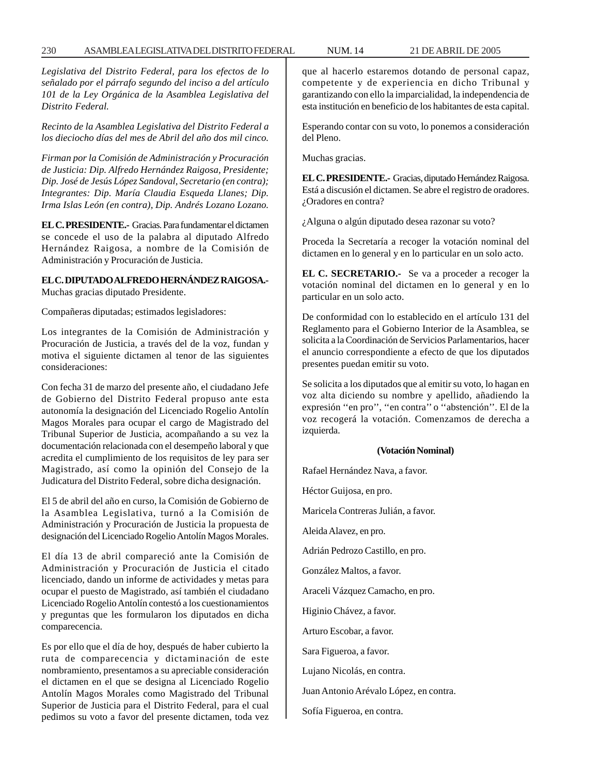*Legislativa del Distrito Federal, para los efectos de lo señalado por el párrafo segundo del inciso a del artículo 101 de la Ley Orgánica de la Asamblea Legislativa del Distrito Federal.*

*Recinto de la Asamblea Legislativa del Distrito Federal a los dieciocho días del mes de Abril del año dos mil cinco.*

*Firman por la Comisión de Administración y Procuración de Justicia: Dip. Alfredo Hernández Raigosa, Presidente; Dip. José de Jesús López Sandoval, Secretario (en contra); Integrantes: Dip. María Claudia Esqueda Llanes; Dip. Irma Islas León (en contra), Dip. Andrés Lozano Lozano.*

**EL C. PRESIDENTE.-** Gracias. Para fundamentar el dictamen se concede el uso de la palabra al diputado Alfredo Hernández Raigosa, a nombre de la Comisión de Administración y Procuración de Justicia.

# **EL C. DIPUTADO ALFREDO HERNÁNDEZ RAIGOSA.-** Muchas gracias diputado Presidente.

Compañeras diputadas; estimados legisladores:

Los integrantes de la Comisión de Administración y Procuración de Justicia, a través del de la voz, fundan y motiva el siguiente dictamen al tenor de las siguientes consideraciones:

Con fecha 31 de marzo del presente año, el ciudadano Jefe de Gobierno del Distrito Federal propuso ante esta autonomía la designación del Licenciado Rogelio Antolín Magos Morales para ocupar el cargo de Magistrado del Tribunal Superior de Justicia, acompañando a su vez la documentación relacionada con el desempeño laboral y que acredita el cumplimiento de los requisitos de ley para ser Magistrado, así como la opinión del Consejo de la Judicatura del Distrito Federal, sobre dicha designación.

El 5 de abril del año en curso, la Comisión de Gobierno de la Asamblea Legislativa, turnó a la Comisión de Administración y Procuración de Justicia la propuesta de designación del Licenciado Rogelio Antolín Magos Morales.

El día 13 de abril compareció ante la Comisión de Administración y Procuración de Justicia el citado licenciado, dando un informe de actividades y metas para ocupar el puesto de Magistrado, así también el ciudadano Licenciado Rogelio Antolín contestó a los cuestionamientos y preguntas que les formularon los diputados en dicha comparecencia.

Es por ello que el día de hoy, después de haber cubierto la ruta de comparecencia y dictaminación de este nombramiento, presentamos a su apreciable consideración el dictamen en el que se designa al Licenciado Rogelio Antolín Magos Morales como Magistrado del Tribunal Superior de Justicia para el Distrito Federal, para el cual pedimos su voto a favor del presente dictamen, toda vez que al hacerlo estaremos dotando de personal capaz, competente y de experiencia en dicho Tribunal y garantizando con ello la imparcialidad, la independencia de esta institución en beneficio de los habitantes de esta capital.

Esperando contar con su voto, lo ponemos a consideración del Pleno.

Muchas gracias.

**EL C. PRESIDENTE.-** Gracias, diputado Hernández Raigosa. Está a discusión el dictamen. Se abre el registro de oradores. ¿Oradores en contra?

¿Alguna o algún diputado desea razonar su voto?

Proceda la Secretaría a recoger la votación nominal del dictamen en lo general y en lo particular en un solo acto.

**EL C. SECRETARIO.-** Se va a proceder a recoger la votación nominal del dictamen en lo general y en lo particular en un solo acto.

De conformidad con lo establecido en el artículo 131 del Reglamento para el Gobierno Interior de la Asamblea, se solicita a la Coordinación de Servicios Parlamentarios, hacer el anuncio correspondiente a efecto de que los diputados presentes puedan emitir su voto.

Se solicita a los diputados que al emitir su voto, lo hagan en voz alta diciendo su nombre y apellido, añadiendo la expresión ''en pro'', ''en contra'' o ''abstención''. El de la voz recogerá la votación. Comenzamos de derecha a izquierda.

## **(Votación Nominal)**

Rafael Hernández Nava, a favor.

Héctor Guijosa, en pro.

Maricela Contreras Julián, a favor.

Aleida Alavez, en pro.

Adrián Pedrozo Castillo, en pro.

González Maltos, a favor.

Araceli Vázquez Camacho, en pro.

Higinio Chávez, a favor.

Arturo Escobar, a favor.

Sara Figueroa, a favor.

Lujano Nicolás, en contra.

Juan Antonio Arévalo López, en contra.

Sofía Figueroa, en contra.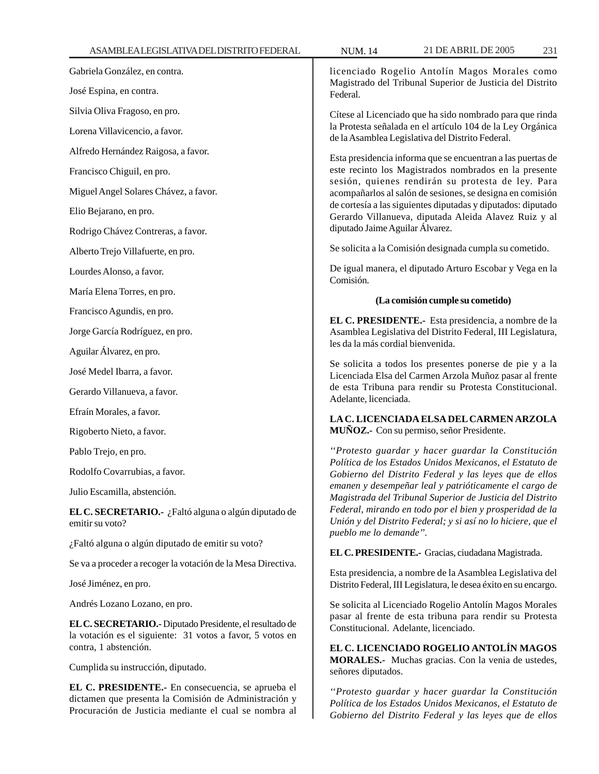Gabriela González, en contra.

José Espina, en contra.

Silvia Oliva Fragoso, en pro.

Lorena Villavicencio, a favor.

Alfredo Hernández Raigosa, a favor.

Francisco Chiguil, en pro.

Miguel Angel Solares Chávez, a favor.

Elio Bejarano, en pro.

Rodrigo Chávez Contreras, a favor.

Alberto Trejo Villafuerte, en pro.

Lourdes Alonso, a favor.

María Elena Torres, en pro.

Francisco Agundis, en pro.

Jorge García Rodríguez, en pro.

Aguilar Álvarez, en pro.

José Medel Ibarra, a favor.

Gerardo Villanueva, a favor.

Efraín Morales, a favor.

Rigoberto Nieto, a favor.

Pablo Trejo, en pro.

Rodolfo Covarrubias, a favor.

Julio Escamilla, abstención.

**EL C. SECRETARIO.-** ¿Faltó alguna o algún diputado de emitir su voto?

¿Faltó alguna o algún diputado de emitir su voto?

Se va a proceder a recoger la votación de la Mesa Directiva.

José Jiménez, en pro.

Andrés Lozano Lozano, en pro.

**EL C. SECRETARIO.-** Diputado Presidente, el resultado de la votación es el siguiente: 31 votos a favor, 5 votos en contra, 1 abstención.

Cumplida su instrucción, diputado.

**EL C. PRESIDENTE.-** En consecuencia, se aprueba el dictamen que presenta la Comisión de Administración y Procuración de Justicia mediante el cual se nombra al

licenciado Rogelio Antolín Magos Morales como Magistrado del Tribunal Superior de Justicia del Distrito Federal.

Cítese al Licenciado que ha sido nombrado para que rinda la Protesta señalada en el artículo 104 de la Ley Orgánica de la Asamblea Legislativa del Distrito Federal.

Esta presidencia informa que se encuentran a las puertas de este recinto los Magistrados nombrados en la presente sesión, quienes rendirán su protesta de ley. Para acompañarlos al salón de sesiones, se designa en comisión de cortesía a las siguientes diputadas y diputados: diputado Gerardo Villanueva, diputada Aleida Alavez Ruiz y al diputado Jaime Aguilar Álvarez.

Se solicita a la Comisión designada cumpla su cometido.

De igual manera, el diputado Arturo Escobar y Vega en la Comisión.

#### **(La comisión cumple su cometido)**

**EL C. PRESIDENTE.-** Esta presidencia, a nombre de la Asamblea Legislativa del Distrito Federal, III Legislatura, les da la más cordial bienvenida.

Se solicita a todos los presentes ponerse de pie y a la Licenciada Elsa del Carmen Arzola Muñoz pasar al frente de esta Tribuna para rendir su Protesta Constitucional. Adelante, licenciada.

# **LA C. LICENCIADA ELSA DEL CARMEN ARZOLA MUÑOZ.-** Con su permiso, señor Presidente.

*''Protesto guardar y hacer guardar la Constitución Política de los Estados Unidos Mexicanos, el Estatuto de Gobierno del Distrito Federal y las leyes que de ellos emanen y desempeñar leal y patrióticamente el cargo de Magistrada del Tribunal Superior de Justicia del Distrito Federal, mirando en todo por el bien y prosperidad de la Unión y del Distrito Federal; y si así no lo hiciere, que el pueblo me lo demande''.*

**EL C. PRESIDENTE.-** Gracias, ciudadana Magistrada.

Esta presidencia, a nombre de la Asamblea Legislativa del Distrito Federal, III Legislatura, le desea éxito en su encargo.

Se solicita al Licenciado Rogelio Antolín Magos Morales pasar al frente de esta tribuna para rendir su Protesta Constitucional. Adelante, licenciado.

**EL C. LICENCIADO ROGELIO ANTOLÍN MAGOS MORALES.-** Muchas gracias. Con la venia de ustedes, señores diputados.

*''Protesto guardar y hacer guardar la Constitución Política de los Estados Unidos Mexicanos, el Estatuto de Gobierno del Distrito Federal y las leyes que de ellos*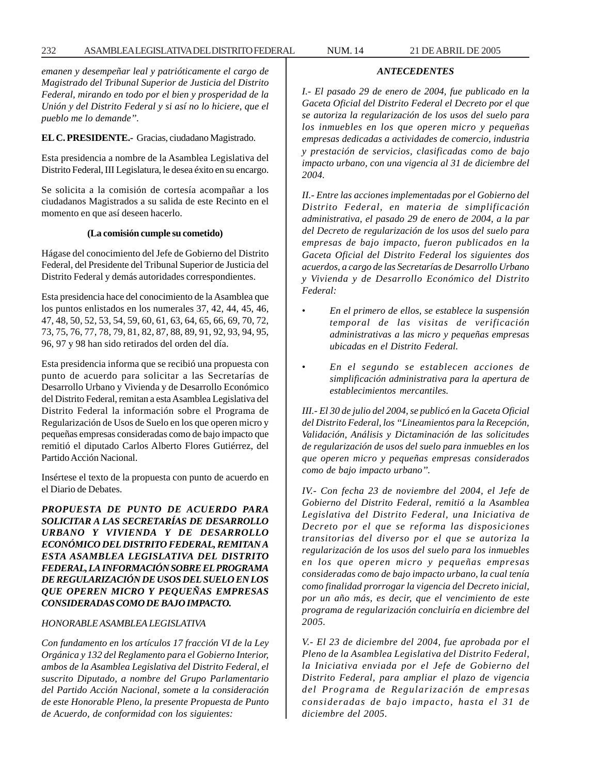# 232 ASAMBLEA LEGISLATIVA DEL DISTRITO FEDERAL NUM. 14 21 DE ABRIL DE 2005

*emanen y desempeñar leal y patrióticamente el cargo de Magistrado del Tribunal Superior de Justicia del Distrito Federal, mirando en todo por el bien y prosperidad de la Unión y del Distrito Federal y si así no lo hiciere, que el pueblo me lo demande''.*

## **EL C. PRESIDENTE.-** Gracias, ciudadano Magistrado.

Esta presidencia a nombre de la Asamblea Legislativa del Distrito Federal, III Legislatura, le desea éxito en su encargo.

Se solicita a la comisión de cortesía acompañar a los ciudadanos Magistrados a su salida de este Recinto en el momento en que así deseen hacerlo.

## **(La comisión cumple su cometido)**

Hágase del conocimiento del Jefe de Gobierno del Distrito Federal, del Presidente del Tribunal Superior de Justicia del Distrito Federal y demás autoridades correspondientes.

Esta presidencia hace del conocimiento de la Asamblea que los puntos enlistados en los numerales 37, 42, 44, 45, 46, 47, 48, 50, 52, 53, 54, 59, 60, 61, 63, 64, 65, 66, 69, 70, 72, 73, 75, 76, 77, 78, 79, 81, 82, 87, 88, 89, 91, 92, 93, 94, 95, 96, 97 y 98 han sido retirados del orden del día.

Esta presidencia informa que se recibió una propuesta con punto de acuerdo para solicitar a las Secretarías de Desarrollo Urbano y Vivienda y de Desarrollo Económico del Distrito Federal, remitan a esta Asamblea Legislativa del Distrito Federal la información sobre el Programa de Regularización de Usos de Suelo en los que operen micro y pequeñas empresas consideradas como de bajo impacto que remitió el diputado Carlos Alberto Flores Gutiérrez, del Partido Acción Nacional.

Insértese el texto de la propuesta con punto de acuerdo en el Diario de Debates.

*PROPUESTA DE PUNTO DE ACUERDO PARA SOLICITAR A LAS SECRETARÍAS DE DESARROLLO URBANO Y VIVIENDA Y DE DESARROLLO ECONÓMICO DEL DISTRITO FEDERAL, REMITAN A ESTA ASAMBLEA LEGISLATIVA DEL DISTRITO FEDERAL, LA INFORMACIÓN SOBRE EL PROGRAMA DE REGULARIZACIÓN DE USOS DEL SUELO EN LOS QUE OPEREN MICRO Y PEQUEÑAS EMPRESAS CONSIDERADAS COMO DE BAJO IMPACTO.*

## *HONORABLE ASAMBLEA LEGISLATIVA*

*Con fundamento en los artículos 17 fracción VI de la Ley Orgánica y 132 del Reglamento para el Gobierno Interior, ambos de la Asamblea Legislativa del Distrito Federal, el suscrito Diputado, a nombre del Grupo Parlamentario del Partido Acción Nacional, somete a la consideración de este Honorable Pleno, la presente Propuesta de Punto de Acuerdo, de conformidad con los siguientes:*

*I.- El pasado 29 de enero de 2004, fue publicado en la Gaceta Oficial del Distrito Federal el Decreto por el que se autoriza la regularización de los usos del suelo para los inmuebles en los que operen micro y pequeñas empresas dedicadas a actividades de comercio, industria y prestación de servicios, clasificadas como de bajo impacto urbano, con una vigencia al 31 de diciembre del 2004.*

*ANTECEDENTES*

*II.- Entre las acciones implementadas por el Gobierno del Distrito Federal, en materia de simplificación administrativa, el pasado 29 de enero de 2004, a la par del Decreto de regularización de los usos del suelo para empresas de bajo impacto, fueron publicados en la Gaceta Oficial del Distrito Federal los siguientes dos acuerdos, a cargo de las Secretarías de Desarrollo Urbano y Vivienda y de Desarrollo Económico del Distrito Federal:*

- *En el primero de ellos, se establece la suspensión temporal de las visitas de verificación administrativas a las micro y pequeñas empresas ubicadas en el Distrito Federal.*
- *En el segundo se establecen acciones de simplificación administrativa para la apertura de establecimientos mercantiles.*

*III.- El 30 de julio del 2004, se publicó en la Gaceta Oficial del Distrito Federal, los ''Lineamientos para la Recepción, Validación, Análisis y Dictaminación de las solicitudes de regularización de usos del suelo para inmuebles en los que operen micro y pequeñas empresas considerados como de bajo impacto urbano''.*

*IV.- Con fecha 23 de noviembre del 2004, el Jefe de Gobierno del Distrito Federal, remitió a la Asamblea Legislativa del Distrito Federal, una Iniciativa de Decreto por el que se reforma las disposiciones transitorias del diverso por el que se autoriza la regularización de los usos del suelo para los inmuebles en los que operen micro y pequeñas empresas consideradas como de bajo impacto urbano, la cual tenía como finalidad prorrogar la vigencia del Decreto inicial, por un año más, es decir, que el vencimiento de este programa de regularización concluiría en diciembre del 2005.*

*V.- El 23 de diciembre del 2004, fue aprobada por el Pleno de la Asamblea Legislativa del Distrito Federal, la Iniciativa enviada por el Jefe de Gobierno del Distrito Federal, para ampliar el plazo de vigencia del Programa de Regularización de empresas consideradas de bajo impacto, hasta el 31 de diciembre del 2005.*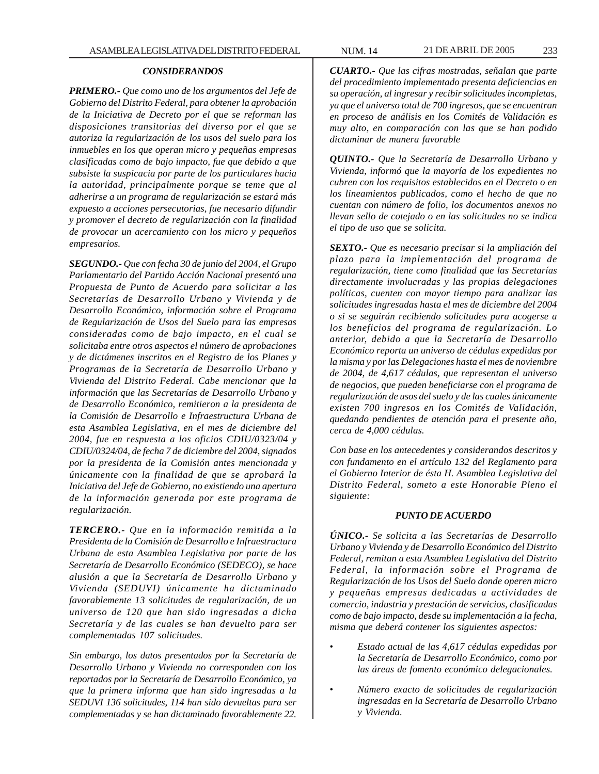#### *CONSIDERANDOS*

*PRIMERO.- Que como uno de los argumentos del Jefe de Gobierno del Distrito Federal, para obtener la aprobación de la Iniciativa de Decreto por el que se reforman las disposiciones transitorias del diverso por el que se autoriza la regularización de los usos del suelo para los inmuebles en los que operan micro y pequeñas empresas clasificadas como de bajo impacto, fue que debido a que subsiste la suspicacia por parte de los particulares hacia la autoridad, principalmente porque se teme que al adherirse a un programa de regularización se estará más expuesto a acciones persecutorias, fue necesario difundir y promover el decreto de regularización con la finalidad de provocar un acercamiento con los micro y pequeños empresarios.*

*SEGUNDO.- Que con fecha 30 de junio del 2004, el Grupo Parlamentario del Partido Acción Nacional presentó una Propuesta de Punto de Acuerdo para solicitar a las Secretarías de Desarrollo Urbano y Vivienda y de Desarrollo Económico, información sobre el Programa de Regularización de Usos del Suelo para las empresas consideradas como de bajo impacto, en el cual se solicitaba entre otros aspectos el número de aprobaciones y de dictámenes inscritos en el Registro de los Planes y Programas de la Secretaría de Desarrollo Urbano y Vivienda del Distrito Federal. Cabe mencionar que la información que las Secretarías de Desarrollo Urbano y de Desarrollo Económico, remitieron a la presidenta de la Comisión de Desarrollo e Infraestructura Urbana de esta Asamblea Legislativa, en el mes de diciembre del 2004, fue en respuesta a los oficios CDIU/0323/04 y CDIU/0324/04, de fecha 7 de diciembre del 2004, signados por la presidenta de la Comisión antes mencionada y únicamente con la finalidad de que se aprobará la Iniciativa del Jefe de Gobierno, no existiendo una apertura de la información generada por este programa de regularización.*

*TERCERO.- Que en la información remitida a la Presidenta de la Comisión de Desarrollo e Infraestructura Urbana de esta Asamblea Legislativa por parte de las Secretaría de Desarrollo Económico (SEDECO), se hace alusión a que la Secretaría de Desarrollo Urbano y Vivienda (SEDUVI) únicamente ha dictaminado favorablemente 13 solicitudes de regularización, de un universo de 120 que han sido ingresadas a dicha Secretaría y de las cuales se han devuelto para ser complementadas 107 solicitudes.*

*Sin embargo, los datos presentados por la Secretaría de Desarrollo Urbano y Vivienda no corresponden con los reportados por la Secretaría de Desarrollo Económico, ya que la primera informa que han sido ingresadas a la SEDUVI 136 solicitudes, 114 han sido devueltas para ser complementadas y se han dictaminado favorablemente 22.*

*CUARTO.- Que las cifras mostradas, señalan que parte del procedimiento implementado presenta deficiencias en su operación, al ingresar y recibir solicitudes incompletas, ya que el universo total de 700 ingresos, que se encuentran en proceso de análisis en los Comités de Validación es muy alto, en comparación con las que se han podido dictaminar de manera favorable*

*QUINTO.- Que la Secretaría de Desarrollo Urbano y Vivienda, informó que la mayoría de los expedientes no cubren con los requisitos establecidos en el Decreto o en los lineamientos publicados, como el hecho de que no cuentan con número de folio, los documentos anexos no llevan sello de cotejado o en las solicitudes no se indica el tipo de uso que se solicita.*

*SEXTO.- Que es necesario precisar si la ampliación del plazo para la implementación del programa de regularización, tiene como finalidad que las Secretarías directamente involucradas y las propias delegaciones políticas, cuenten con mayor tiempo para analizar las solicitudes ingresadas hasta el mes de diciembre del 2004 o si se seguirán recibiendo solicitudes para acogerse a los beneficios del programa de regularización. Lo anterior, debido a que la Secretaría de Desarrollo Económico reporta un universo de cédulas expedidas por la misma y por las Delegaciones hasta el mes de noviembre de 2004, de 4,617 cédulas, que representan el universo de negocios, que pueden beneficiarse con el programa de regularización de usos del suelo y de las cuales únicamente existen 700 ingresos en los Comités de Validación, quedando pendientes de atención para el presente año, cerca de 4,000 cédulas.*

*Con base en los antecedentes y considerandos descritos y con fundamento en el artículo 132 del Reglamento para el Gobierno Interior de ésta H. Asamblea Legislativa del Distrito Federal, someto a este Honorable Pleno el siguiente:*

### *PUNTO DE ACUERDO*

*ÚNICO.- Se solicita a las Secretarías de Desarrollo Urbano y Vivienda y de Desarrollo Económico del Distrito Federal, remitan a esta Asamblea Legislativa del Distrito Federal, la información sobre el Programa de Regularización de los Usos del Suelo donde operen micro y pequeñas empresas dedicadas a actividades de comercio, industria y prestación de servicios, clasificadas como de bajo impacto, desde su implementación a la fecha, misma que deberá contener los siguientes aspectos:*

- *Estado actual de las 4,617 cédulas expedidas por la Secretaría de Desarrollo Económico, como por las áreas de fomento económico delegacionales.*
- *Número exacto de solicitudes de regularización ingresadas en la Secretaría de Desarrollo Urbano y Vivienda.*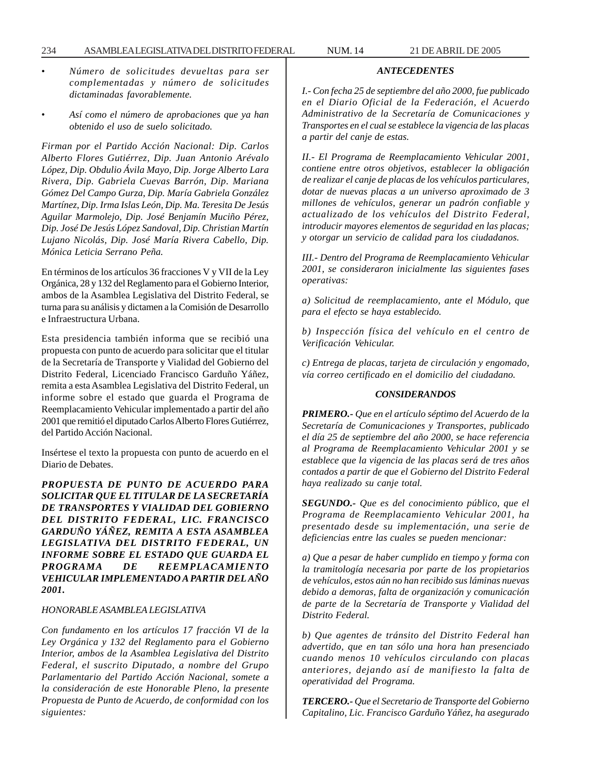- *Número de solicitudes devueltas para ser complementadas y número de solicitudes dictaminadas favorablemente.*
- *Así como el número de aprobaciones que ya han obtenido el uso de suelo solicitado.*

*Firman por el Partido Acción Nacional: Dip. Carlos Alberto Flores Gutiérrez, Dip. Juan Antonio Arévalo López, Dip. Obdulio Ávila Mayo, Dip. Jorge Alberto Lara Rivera, Dip. Gabriela Cuevas Barrón, Dip. Mariana Gómez Del Campo Gurza, Dip. María Gabriela González Martínez, Dip. Irma Islas León, Dip. Ma. Teresita De Jesús Aguilar Marmolejo, Dip. José Benjamín Muciño Pérez, Dip. José De Jesús López Sandoval, Dip. Christian Martín Lujano Nicolás, Dip. José María Rivera Cabello, Dip. Mónica Leticia Serrano Peña.*

En términos de los artículos 36 fracciones V y VII de la Ley Orgánica, 28 y 132 del Reglamento para el Gobierno Interior, ambos de la Asamblea Legislativa del Distrito Federal, se turna para su análisis y dictamen a la Comisión de Desarrollo e Infraestructura Urbana.

Esta presidencia también informa que se recibió una propuesta con punto de acuerdo para solicitar que el titular de la Secretaría de Transporte y Vialidad del Gobierno del Distrito Federal, Licenciado Francisco Garduño Yáñez, remita a esta Asamblea Legislativa del Distrito Federal, un informe sobre el estado que guarda el Programa de Reemplacamiento Vehicular implementado a partir del año 2001 que remitió el diputado Carlos Alberto Flores Gutiérrez, del Partido Acción Nacional.

Insértese el texto la propuesta con punto de acuerdo en el Diario de Debates.

*PROPUESTA DE PUNTO DE ACUERDO PARA SOLICITAR QUE EL TITULAR DE LA SECRETARÍA DE TRANSPORTES Y VIALIDAD DEL GOBIERNO DEL DISTRITO FEDERAL, LIC. FRANCISCO GARDUÑO YÁÑEZ, REMITA A ESTA ASAMBLEA LEGISLATIVA DEL DISTRITO FEDERAL, UN INFORME SOBRE EL ESTADO QUE GUARDA EL PROGRAMA DE REEMPLACAMIENTO VEHICULAR IMPLEMENTADO A PARTIR DEL AÑO 2001.*

#### *HONORABLE ASAMBLEA LEGISLATIVA*

*Con fundamento en los artículos 17 fracción VI de la Ley Orgánica y 132 del Reglamento para el Gobierno Interior, ambos de la Asamblea Legislativa del Distrito Federal, el suscrito Diputado, a nombre del Grupo Parlamentario del Partido Acción Nacional, somete a la consideración de este Honorable Pleno, la presente Propuesta de Punto de Acuerdo, de conformidad con los siguientes:*

*I.- Con fecha 25 de septiembre del año 2000, fue publicado en el Diario Oficial de la Federación, el Acuerdo Administrativo de la Secretaría de Comunicaciones y Transportes en el cual se establece la vigencia de las placas a partir del canje de estas.*

*ANTECEDENTES*

*II.- El Programa de Reemplacamiento Vehicular 2001, contiene entre otros objetivos, establecer la obligación de realizar el canje de placas de los vehículos particulares, dotar de nuevas placas a un universo aproximado de 3 millones de vehículos, generar un padrón confiable y actualizado de los vehículos del Distrito Federal, introducir mayores elementos de seguridad en las placas; y otorgar un servicio de calidad para los ciudadanos.*

*III.- Dentro del Programa de Reemplacamiento Vehicular 2001, se consideraron inicialmente las siguientes fases operativas:*

*a) Solicitud de reemplacamiento, ante el Módulo, que para el efecto se haya establecido.*

*b) Inspección física del vehículo en el centro de Verificación Vehicular.*

*c) Entrega de placas, tarjeta de circulación y engomado, vía correo certificado en el domicilio del ciudadano.*

#### *CONSIDERANDOS*

*PRIMERO.- Que en el artículo séptimo del Acuerdo de la Secretaría de Comunicaciones y Transportes, publicado el día 25 de septiembre del año 2000, se hace referencia al Programa de Reemplacamiento Vehicular 2001 y se establece que la vigencia de las placas será de tres años contados a partir de que el Gobierno del Distrito Federal haya realizado su canje total.*

*SEGUNDO.- Que es del conocimiento público, que el Programa de Reemplacamiento Vehicular 2001, ha presentado desde su implementación, una serie de deficiencias entre las cuales se pueden mencionar:*

*a) Que a pesar de haber cumplido en tiempo y forma con la tramitología necesaria por parte de los propietarios de vehículos, estos aún no han recibido sus láminas nuevas debido a demoras, falta de organización y comunicación de parte de la Secretaría de Transporte y Vialidad del Distrito Federal.*

*b) Que agentes de tránsito del Distrito Federal han advertido, que en tan sólo una hora han presenciado cuando menos 10 vehículos circulando con placas anteriores, dejando así de manifiesto la falta de operatividad del Programa.*

*TERCERO.- Que el Secretario de Transporte del Gobierno Capitalino, Lic. Francisco Garduño Yáñez, ha asegurado*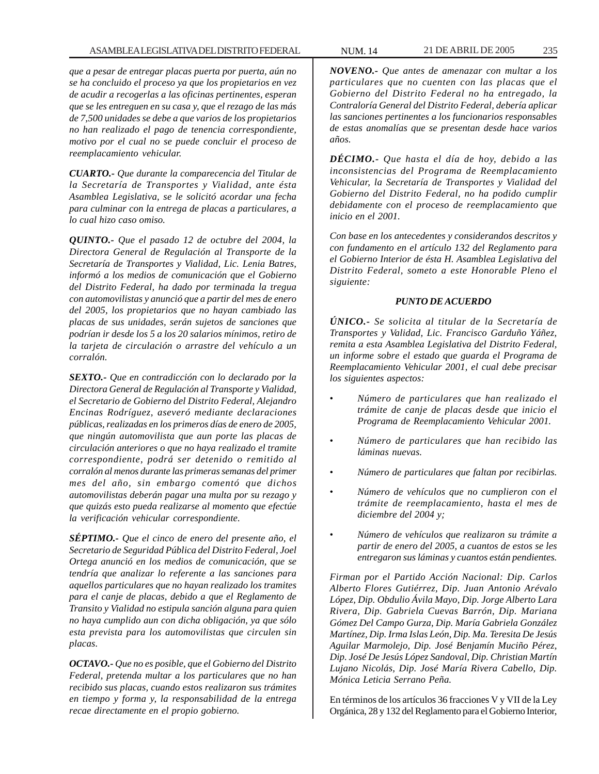*que a pesar de entregar placas puerta por puerta, aún no se ha concluido el proceso ya que los propietarios en vez de acudir a recogerlas a las oficinas pertinentes, esperan que se les entreguen en su casa y, que el rezago de las más de 7,500 unidades se debe a que varios de los propietarios no han realizado el pago de tenencia correspondiente, motivo por el cual no se puede concluir el proceso de reemplacamiento vehicular.*

*CUARTO.- Que durante la comparecencia del Titular de la Secretaría de Transportes y Vialidad, ante ésta Asamblea Legislativa, se le solicitó acordar una fecha para culminar con la entrega de placas a particulares, a lo cual hizo caso omiso.*

*QUINTO.- Que el pasado 12 de octubre del 2004, la Directora General de Regulación al Transporte de la Secretaría de Transportes y Vialidad, Lic. Lenia Batres, informó a los medios de comunicación que el Gobierno del Distrito Federal, ha dado por terminada la tregua con automovilistas y anunció que a partir del mes de enero del 2005, los propietarios que no hayan cambiado las placas de sus unidades, serán sujetos de sanciones que podrían ir desde los 5 a los 20 salarios mínimos, retiro de la tarjeta de circulación o arrastre del vehículo a un corralón.*

*SEXTO.- Que en contradicción con lo declarado por la Directora General de Regulación al Transporte y Vialidad, el Secretario de Gobierno del Distrito Federal, Alejandro Encinas Rodríguez, aseveró mediante declaraciones públicas, realizadas en los primeros días de enero de 2005, que ningún automovilista que aun porte las placas de circulación anteriores o que no haya realizado el tramite correspondiente, podrá ser detenido o remitido al corralón al menos durante las primeras semanas del primer mes del año, sin embargo comentó que dichos automovilistas deberán pagar una multa por su rezago y que quizás esto pueda realizarse al momento que efectúe la verificación vehicular correspondiente.*

*SÉPTIMO.- Que el cinco de enero del presente año, el Secretario de Seguridad Pública del Distrito Federal, Joel Ortega anunció en los medios de comunicación, que se tendría que analizar lo referente a las sanciones para aquellos particulares que no hayan realizado los tramites para el canje de placas, debido a que el Reglamento de Transito y Vialidad no estipula sanción alguna para quien no haya cumplido aun con dicha obligación, ya que sólo esta prevista para los automovilistas que circulen sin placas.*

*OCTAVO.- Que no es posible, que el Gobierno del Distrito Federal, pretenda multar a los particulares que no han recibido sus placas, cuando estos realizaron sus trámites en tiempo y forma y, la responsabilidad de la entrega recae directamente en el propio gobierno.*

*NOVENO.- Que antes de amenazar con multar a los particulares que no cuenten con las placas que el Gobierno del Distrito Federal no ha entregado, la Contraloría General del Distrito Federal, debería aplicar las sanciones pertinentes a los funcionarios responsables de estas anomalías que se presentan desde hace varios años.*

*DÉCIMO.- Que hasta el día de hoy, debido a las inconsistencias del Programa de Reemplacamiento Vehicular, la Secretaría de Transportes y Vialidad del Gobierno del Distrito Federal, no ha podido cumplir debidamente con el proceso de reemplacamiento que inicio en el 2001.*

*Con base en los antecedentes y considerandos descritos y con fundamento en el artículo 132 del Reglamento para el Gobierno Interior de ésta H. Asamblea Legislativa del Distrito Federal, someto a este Honorable Pleno el siguiente:*

### *PUNTO DE ACUERDO*

*ÚNICO.- Se solicita al titular de la Secretaría de Transportes y Validad, Lic. Francisco Garduño Yáñez, remita a esta Asamblea Legislativa del Distrito Federal, un informe sobre el estado que guarda el Programa de Reemplacamiento Vehicular 2001, el cual debe precisar los siguientes aspectos:*

- *Número de particulares que han realizado el trámite de canje de placas desde que inicio el Programa de Reemplacamiento Vehicular 2001.*
- *Número de particulares que han recibido las láminas nuevas.*
- *Número de particulares que faltan por recibirlas.*
- *Número de vehículos que no cumplieron con el trámite de reemplacamiento, hasta el mes de diciembre del 2004 y;*
- *Número de vehículos que realizaron su trámite a partir de enero del 2005, a cuantos de estos se les entregaron sus láminas y cuantos están pendientes.*

*Firman por el Partido Acción Nacional: Dip. Carlos Alberto Flores Gutiérrez, Dip. Juan Antonio Arévalo López, Dip. Obdulio Ávila Mayo, Dip. Jorge Alberto Lara Rivera, Dip. Gabriela Cuevas Barrón, Dip. Mariana Gómez Del Campo Gurza, Dip. María Gabriela González Martínez, Dip. Irma Islas León, Dip. Ma. Teresita De Jesús Aguilar Marmolejo, Dip. José Benjamín Muciño Pérez, Dip. José De Jesús López Sandoval, Dip. Christian Martín Lujano Nicolás, Dip. José María Rivera Cabello, Dip. Mónica Leticia Serrano Peña.*

En términos de los artículos 36 fracciones V y VII de la Ley Orgánica, 28 y 132 del Reglamento para el Gobierno Interior,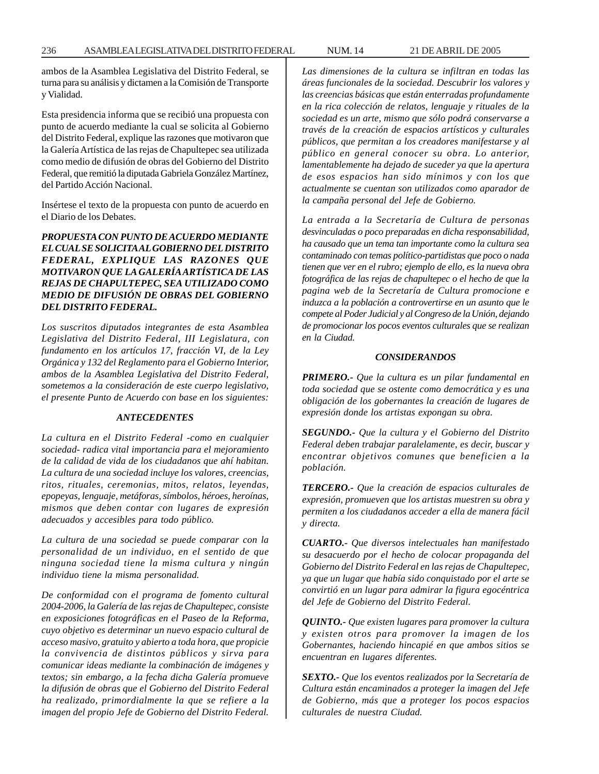ambos de la Asamblea Legislativa del Distrito Federal, se turna para su análisis y dictamen a la Comisión de Transporte y Vialidad.

Esta presidencia informa que se recibió una propuesta con punto de acuerdo mediante la cual se solicita al Gobierno del Distrito Federal, explique las razones que motivaron que la Galería Artística de las rejas de Chapultepec sea utilizada como medio de difusión de obras del Gobierno del Distrito Federal, que remitió la diputada Gabriela González Martínez, del Partido Acción Nacional.

Insértese el texto de la propuesta con punto de acuerdo en el Diario de los Debates.

# *PROPUESTA CON PUNTO DE ACUERDO MEDIANTE EL CUAL SE SOLICITA AL GOBIERNO DEL DISTRITO FEDERAL, EXPLIQUE LAS RAZONES QUE MOTIVARON QUE LA GALERÍA ARTÍSTICA DE LAS REJAS DE CHAPULTEPEC, SEA UTILIZADO COMO MEDIO DE DIFUSIÓN DE OBRAS DEL GOBIERNO DEL DISTRITO FEDERAL.*

*Los suscritos diputados integrantes de esta Asamblea Legislativa del Distrito Federal, III Legislatura, con fundamento en los artículos 17, fracción VI, de la Ley Orgánica y 132 del Reglamento para el Gobierno Interior, ambos de la Asamblea Legislativa del Distrito Federal, sometemos a la consideración de este cuerpo legislativo, el presente Punto de Acuerdo con base en los siguientes:*

### *ANTECEDENTES*

*La cultura en el Distrito Federal -como en cualquier sociedad- radica vital importancia para el mejoramiento de la calidad de vida de los ciudadanos que ahí habitan. La cultura de una sociedad incluye los valores, creencias, ritos, rituales, ceremonias, mitos, relatos, leyendas, epopeyas, lenguaje, metáforas, símbolos, héroes, heroínas, mismos que deben contar con lugares de expresión adecuados y accesibles para todo público.*

*La cultura de una sociedad se puede comparar con la personalidad de un individuo, en el sentido de que ninguna sociedad tiene la misma cultura y ningún individuo tiene la misma personalidad.*

*De conformidad con el programa de fomento cultural 2004-2006, la Galería de las rejas de Chapultepec, consiste en exposiciones fotográficas en el Paseo de la Reforma, cuyo objetivo es determinar un nuevo espacio cultural de acceso masivo, gratuito y abierto a toda hora, que propicie la convivencia de distintos públicos y sirva para comunicar ideas mediante la combinación de imágenes y textos; sin embargo, a la fecha dicha Galería promueve la difusión de obras que el Gobierno del Distrito Federal ha realizado, primordialmente la que se refiere a la imagen del propio Jefe de Gobierno del Distrito Federal.*

*Las dimensiones de la cultura se infiltran en todas las áreas funcionales de la sociedad. Descubrir los valores y las creencias básicas que están enterradas profundamente en la rica colección de relatos, lenguaje y rituales de la sociedad es un arte, mismo que sólo podrá conservarse a través de la creación de espacios artísticos y culturales públicos, que permitan a los creadores manifestarse y al público en general conocer su obra. Lo anterior, lamentablemente ha dejado de suceder ya que la apertura de esos espacios han sido mínimos y con los que actualmente se cuentan son utilizados como aparador de la campaña personal del Jefe de Gobierno.*

*La entrada a la Secretaría de Cultura de personas desvinculadas o poco preparadas en dicha responsabilidad, ha causado que un tema tan importante como la cultura sea contaminado con temas político-partidistas que poco o nada tienen que ver en el rubro; ejemplo de ello, es la nueva obra fotográfica de las rejas de chapultepec o el hecho de que la pagina web de la Secretaría de Cultura promocione e induzca a la población a controvertirse en un asunto que le compete al Poder Judicial y al Congreso de la Unión, dejando de promocionar los pocos eventos culturales que se realizan en la Ciudad.*

### *CONSIDERANDOS*

*PRIMERO.- Que la cultura es un pilar fundamental en toda sociedad que se ostente como democrática y es una obligación de los gobernantes la creación de lugares de expresión donde los artistas expongan su obra.*

*SEGUNDO.- Que la cultura y el Gobierno del Distrito Federal deben trabajar paralelamente, es decir, buscar y encontrar objetivos comunes que beneficien a la población.*

*TERCERO.- Que la creación de espacios culturales de expresión, promueven que los artistas muestren su obra y permiten a los ciudadanos acceder a ella de manera fácil y directa.*

*CUARTO.- Que diversos intelectuales han manifestado su desacuerdo por el hecho de colocar propaganda del Gobierno del Distrito Federal en las rejas de Chapultepec, ya que un lugar que había sido conquistado por el arte se convirtió en un lugar para admirar la figura egocéntrica del Jefe de Gobierno del Distrito Federal.*

*QUINTO.- Que existen lugares para promover la cultura y existen otros para promover la imagen de los Gobernantes, haciendo hincapié en que ambos sitios se encuentran en lugares diferentes.*

*SEXTO.- Que los eventos realizados por la Secretaría de Cultura están encaminados a proteger la imagen del Jefe de Gobierno, más que a proteger los pocos espacios culturales de nuestra Ciudad.*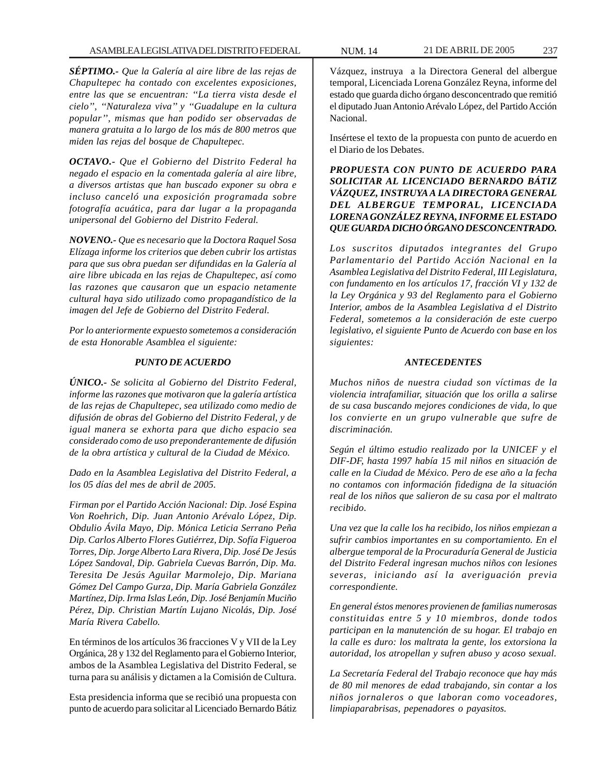*SÉPTIMO.- Que la Galería al aire libre de las rejas de Chapultepec ha contado con excelentes exposiciones, entre las que se encuentran: ''La tierra vista desde el cielo'', ''Naturaleza viva'' y ''Guadalupe en la cultura popular'', mismas que han podido ser observadas de manera gratuita a lo largo de los más de 800 metros que miden las rejas del bosque de Chapultepec.*

*OCTAVO.- Que el Gobierno del Distrito Federal ha negado el espacio en la comentada galería al aire libre, a diversos artistas que han buscado exponer su obra e incluso canceló una exposición programada sobre fotografía acuática, para dar lugar a la propaganda unipersonal del Gobierno del Distrito Federal.*

*NOVENO.- Que es necesario que la Doctora Raquel Sosa Elízaga informe los criterios que deben cubrir los artistas para que sus obra puedan ser difundidas en la Galería al aire libre ubicada en las rejas de Chapultepec, así como las razones que causaron que un espacio netamente cultural haya sido utilizado como propagandístico de la imagen del Jefe de Gobierno del Distrito Federal.*

*Por lo anteriormente expuesto sometemos a consideración de esta Honorable Asamblea el siguiente:*

## *PUNTO DE ACUERDO*

*ÚNICO.- Se solicita al Gobierno del Distrito Federal, informe las razones que motivaron que la galería artística de las rejas de Chapultepec, sea utilizado como medio de difusión de obras del Gobierno del Distrito Federal, y de igual manera se exhorta para que dicho espacio sea considerado como de uso preponderantemente de difusión de la obra artística y cultural de la Ciudad de México.*

*Dado en la Asamblea Legislativa del Distrito Federal, a los 05 días del mes de abril de 2005.*

*Firman por el Partido Acción Nacional: Dip. José Espina Von Roehrich, Dip. Juan Antonio Arévalo López, Dip. Obdulio Ávila Mayo, Dip. Mónica Leticia Serrano Peña Dip. Carlos Alberto Flores Gutiérrez, Dip. Sofía Figueroa Torres, Dip. Jorge Alberto Lara Rivera, Dip. José De Jesús López Sandoval, Dip. Gabriela Cuevas Barrón, Dip. Ma. Teresita De Jesús Aguilar Marmolejo, Dip. Mariana Gómez Del Campo Gurza, Dip. María Gabriela González Martínez, Dip. Irma Islas León, Dip. José Benjamín Muciño Pérez, Dip. Christian Martín Lujano Nicolás, Dip. José María Rivera Cabello.*

En términos de los artículos 36 fracciones V y VII de la Ley Orgánica, 28 y 132 del Reglamento para el Gobierno Interior, ambos de la Asamblea Legislativa del Distrito Federal, se turna para su análisis y dictamen a la Comisión de Cultura.

Esta presidencia informa que se recibió una propuesta con punto de acuerdo para solicitar al Licenciado Bernardo Bátiz

Vázquez, instruya a la Directora General del albergue temporal, Licenciada Lorena González Reyna, informe del estado que guarda dicho órgano desconcentrado que remitió el diputado Juan Antonio Arévalo López, del Partido Acción Nacional.

Insértese el texto de la propuesta con punto de acuerdo en el Diario de los Debates.

# *PROPUESTA CON PUNTO DE ACUERDO PARA SOLICITAR AL LICENCIADO BERNARDO BÁTIZ VÁZQUEZ, INSTRUYA A LA DIRECTORA GENERAL DEL ALBERGUE TEMPORAL, LICENCIADA LORENA GONZÁLEZ REYNA, INFORME EL ESTADO QUE GUARDA DICHO ÓRGANO DESCONCENTRADO.*

*Los suscritos diputados integrantes del Grupo Parlamentario del Partido Acción Nacional en la Asamblea Legislativa del Distrito Federal, III Legislatura, con fundamento en los artículos 17, fracción VI y 132 de la Ley Orgánica y 93 del Reglamento para el Gobierno Interior, ambos de la Asamblea Legislativa d el Distrito Federal, sometemos a la consideración de este cuerpo legislativo, el siguiente Punto de Acuerdo con base en los siguientes:*

## *ANTECEDENTES*

*Muchos niños de nuestra ciudad son víctimas de la violencia intrafamiliar, situación que los orilla a salirse de su casa buscando mejores condiciones de vida, lo que los convierte en un grupo vulnerable que sufre de discriminación.*

*Según el último estudio realizado por la UNICEF y el DIF-DF, hasta 1997 había 15 mil niños en situación de calle en la Ciudad de México. Pero de ese año a la fecha no contamos con información fidedigna de la situación real de los niños que salieron de su casa por el maltrato recibido.*

*Una vez que la calle los ha recibido, los niños empiezan a sufrir cambios importantes en su comportamiento. En el albergue temporal de la Procuraduría General de Justicia del Distrito Federal ingresan muchos niños con lesiones severas, iniciando así la averiguación previa correspondiente.*

*En general éstos menores provienen de familias numerosas constituidas entre 5 y 10 miembros, donde todos participan en la manutención de su hogar. El trabajo en la calle es duro: los maltrata la gente, los extorsiona la autoridad, los atropellan y sufren abuso y acoso sexual.*

*La Secretaría Federal del Trabajo reconoce que hay más de 80 mil menores de edad trabajando, sin contar a los niños jornaleros o que laboran como voceadores, limpiaparabrisas, pepenadores o payasitos.*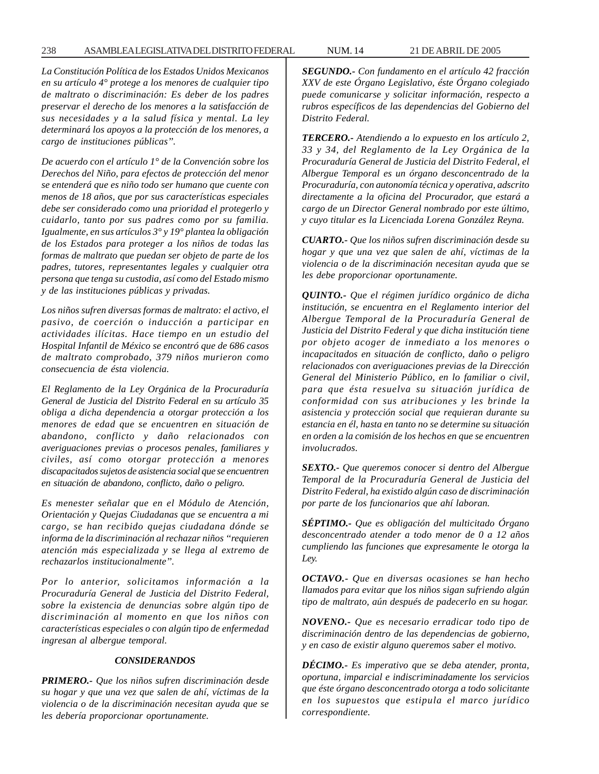*La Constitución Política de los Estados Unidos Mexicanos en su artículo 4° protege a los menores de cualquier tipo de maltrato o discriminación: Es deber de los padres preservar el derecho de los menores a la satisfacción de sus necesidades y a la salud física y mental. La ley determinará los apoyos a la protección de los menores, a cargo de instituciones públicas''.*

*De acuerdo con el artículo 1° de la Convención sobre los Derechos del Niño, para efectos de protección del menor se entenderá que es niño todo ser humano que cuente con menos de 18 años, que por sus características especiales debe ser considerado como una prioridad el protegerlo y cuidarlo, tanto por sus padres como por su familia. Igualmente, en sus artículos 3° y 19° plantea la obligación de los Estados para proteger a los niños de todas las formas de maltrato que puedan ser objeto de parte de los padres, tutores, representantes legales y cualquier otra persona que tenga su custodia, así como del Estado mismo y de las instituciones públicas y privadas.*

*Los niños sufren diversas formas de maltrato: el activo, el pasivo, de coerción o inducción a participar en actividades ilícitas. Hace tiempo en un estudio del Hospital Infantil de México se encontró que de 686 casos de maltrato comprobado, 379 niños murieron como consecuencia de ésta violencia.*

*El Reglamento de la Ley Orgánica de la Procuraduría General de Justicia del Distrito Federal en su artículo 35 obliga a dicha dependencia a otorgar protección a los menores de edad que se encuentren en situación de abandono, conflicto y daño relacionados con averiguaciones previas o procesos penales, familiares y civiles, así como otorgar protección a menores discapacitados sujetos de asistencia social que se encuentren en situación de abandono, conflicto, daño o peligro.*

*Es menester señalar que en el Módulo de Atención, Orientación y Quejas Ciudadanas que se encuentra a mi cargo, se han recibido quejas ciudadana dónde se informa de la discriminación al rechazar niños ''requieren atención más especializada y se llega al extremo de rechazarlos institucionalmente''.*

*Por lo anterior, solicitamos información a la Procuraduría General de Justicia del Distrito Federal, sobre la existencia de denuncias sobre algún tipo de discriminación al momento en que los niños con características especiales o con algún tipo de enfermedad ingresan al albergue temporal.*

## *CONSIDERANDOS*

*PRIMERO.- Que los niños sufren discriminación desde su hogar y que una vez que salen de ahí, víctimas de la violencia o de la discriminación necesitan ayuda que se les debería proporcionar oportunamente.*

*SEGUNDO.- Con fundamento en el artículo 42 fracción XXV de este Órgano Legislativo, éste Órgano colegiado puede comunicarse y solicitar información, respecto a rubros específicos de las dependencias del Gobierno del Distrito Federal.*

*TERCERO.- Atendiendo a lo expuesto en los artículo 2, 33 y 34, del Reglamento de la Ley Orgánica de la Procuraduría General de Justicia del Distrito Federal, el Albergue Temporal es un órgano desconcentrado de la Procuraduría, con autonomía técnica y operativa, adscrito directamente a la oficina del Procurador, que estará a cargo de un Director General nombrado por este último, y cuyo titular es la Licenciada Lorena González Reyna.*

*CUARTO.- Que los niños sufren discriminación desde su hogar y que una vez que salen de ahí, víctimas de la violencia o de la discriminación necesitan ayuda que se les debe proporcionar oportunamente.*

*QUINTO.- Que el régimen jurídico orgánico de dicha institución, se encuentra en el Reglamento interior del Albergue Temporal de la Procuraduría General de Justicia del Distrito Federal y que dicha institución tiene por objeto acoger de inmediato a los menores o incapacitados en situación de conflicto, daño o peligro relacionados con averiguaciones previas de la Dirección General del Ministerio Público, en lo familiar o civil, para que ésta resuelva su situación jurídica de conformidad con sus atribuciones y les brinde la asistencia y protección social que requieran durante su estancia en él, hasta en tanto no se determine su situación en orden a la comisión de los hechos en que se encuentren involucrados.*

*SEXTO.- Que queremos conocer si dentro del Albergue Temporal de la Procuraduría General de Justicia del Distrito Federal, ha existido algún caso de discriminación por parte de los funcionarios que ahí laboran.*

*SÉPTIMO.- Que es obligación del multicitado Órgano desconcentrado atender a todo menor de 0 a 12 años cumpliendo las funciones que expresamente le otorga la Ley.*

*OCTAVO.- Que en diversas ocasiones se han hecho llamados para evitar que los niños sigan sufriendo algún tipo de maltrato, aún después de padecerlo en su hogar.*

*NOVENO.- Que es necesario erradicar todo tipo de discriminación dentro de las dependencias de gobierno, y en caso de existir alguno queremos saber el motivo.*

*DÉCIMO.- Es imperativo que se deba atender, pronta, oportuna, imparcial e indiscriminadamente los servicios que éste órgano desconcentrado otorga a todo solicitante en los supuestos que estipula el marco jurídico correspondiente.*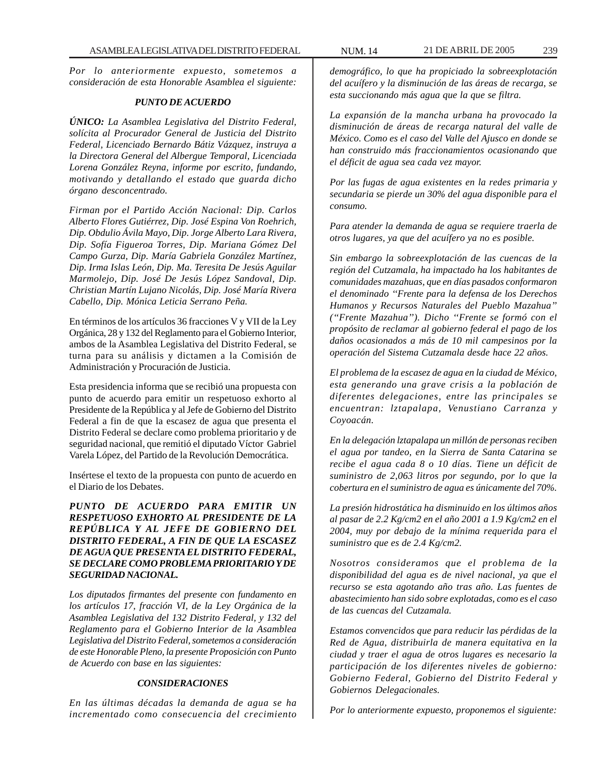*Por lo anteriormente expuesto, sometemos a consideración de esta Honorable Asamblea el siguiente:*

## *PUNTO DE ACUERDO*

*ÚNICO: La Asamblea Legislativa del Distrito Federal, solícita al Procurador General de Justicia del Distrito Federal, Licenciado Bernardo Bátiz Vázquez, instruya a la Directora General del Albergue Temporal, Licenciada Lorena González Reyna, informe por escrito, fundando, motivando y detallando el estado que guarda dicho órgano desconcentrado.*

*Firman por el Partido Acción Nacional: Dip. Carlos Alberto Flores Gutiérrez, Dip. José Espina Von Roehrich, Dip. Obdulio Ávila Mayo, Dip. Jorge Alberto Lara Rivera, Dip. Sofía Figueroa Torres, Dip. Mariana Gómez Del Campo Gurza, Dip. María Gabriela González Martínez, Dip. Irma Islas León, Dip. Ma. Teresita De Jesús Aguilar Marmolejo, Dip. José De Jesús López Sandoval, Dip. Christian Martín Lujano Nicolás, Dip. José María Rivera Cabello, Dip. Mónica Leticia Serrano Peña.*

En términos de los artículos 36 fracciones V y VII de la Ley Orgánica, 28 y 132 del Reglamento para el Gobierno Interior, ambos de la Asamblea Legislativa del Distrito Federal, se turna para su análisis y dictamen a la Comisión de Administración y Procuración de Justicia.

Esta presidencia informa que se recibió una propuesta con punto de acuerdo para emitir un respetuoso exhorto al Presidente de la República y al Jefe de Gobierno del Distrito Federal a fin de que la escasez de agua que presenta el Distrito Federal se declare como problema prioritario y de seguridad nacional, que remitió el diputado Víctor Gabriel Varela López, del Partido de la Revolución Democrática.

Insértese el texto de la propuesta con punto de acuerdo en el Diario de los Debates.

*PUNTO DE ACUERDO PARA EMITIR UN RESPETUOSO EXHORTO AL PRESIDENTE DE LA REPÚBLICA Y AL JEFE DE GOBIERNO DEL DISTRITO FEDERAL, A FIN DE QUE LA ESCASEZ DE AGUA QUE PRESENTA EL DISTRITO FEDERAL, SE DECLARE COMO PROBLEMA PRIORITARIO Y DE SEGURIDAD NACIONAL.*

*Los diputados firmantes del presente con fundamento en los artículos 17, fracción VI, de la Ley Orgánica de la Asamblea Legislativa del 132 Distrito Federal, y 132 del Reglamento para el Gobierno Interior de la Asamblea Legislativa del Distrito Federal, sometemos a consideración de este Honorable Pleno, la presente Proposición con Punto de Acuerdo con base en las siguientes:*

## *CONSIDERACIONES*

*En las últimas décadas la demanda de agua se ha incrementado como consecuencia del crecimiento*

*demográfico, lo que ha propiciado la sobreexplotación del acuífero y la disminución de las áreas de recarga, se esta succionando más agua que la que se filtra.*

*La expansión de la mancha urbana ha provocado la disminución de áreas de recarga natural del valle de México. Como es el caso del Valle del Ajusco en donde se han construido más fraccionamientos ocasionando que el déficit de agua sea cada vez mayor.*

*Por las fugas de agua existentes en la redes primaria y secundaria se pierde un 30% del agua disponible para el consumo.*

*Para atender la demanda de agua se requiere traerla de otros lugares, ya que del acuífero ya no es posible.*

*Sin embargo la sobreexplotación de las cuencas de la región del Cutzamala, ha impactado ha los habitantes de comunidades mazahuas, que en días pasados conformaron el denominado ''Frente para la defensa de los Derechos Humanos y Recursos Naturales del Pueblo Mazahua'' (''Frente Mazahua''). Dicho ''Frente se formó con el propósito de reclamar al gobierno federal el pago de los daños ocasionados a más de 10 mil campesinos por la operación del Sistema Cutzamala desde hace 22 años.*

*El problema de la escasez de agua en la ciudad de México, esta generando una grave crisis a la población de diferentes delegaciones, entre las principales se encuentran: lztapalapa, Venustiano Carranza y Coyoacán.*

*En la delegación lztapalapa un millón de personas reciben el agua por tandeo, en la Sierra de Santa Catarina se recibe el agua cada 8 o 10 días. Tiene un déficit de suministro de 2,063 litros por segundo, por lo que la cobertura en el suministro de agua es únicamente del 70%.*

*La presión hidrostática ha disminuido en los últimos años al pasar de 2.2 Kg/cm2 en el año 2001 a 1.9 Kg/cm2 en el 2004, muy por debajo de la mínima requerida para el suministro que es de 2.4 Kg/cm2.*

*Nosotros consideramos que el problema de la disponibilidad del agua es de nivel nacional, ya que el recurso se esta agotando año tras año. Las fuentes de abastecimiento han sido sobre explotadas, como es el caso de las cuencas del Cutzamala.*

*Estamos convencidos que para reducir las pérdidas de la Red de Agua, distribuirla de manera equitativa en la ciudad y traer el agua de otros lugares es necesario la participación de los diferentes niveles de gobierno: Gobierno Federal, Gobierno del Distrito Federal y Gobiernos Delegacionales.*

*Por lo anteriormente expuesto, proponemos el siguiente:*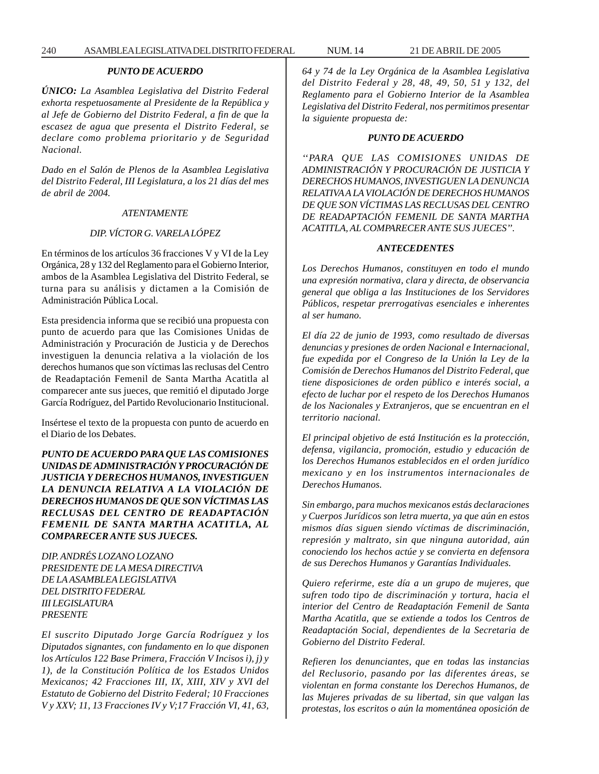## *PUNTO DE ACUERDO*

*ÚNICO: La Asamblea Legislativa del Distrito Federal exhorta respetuosamente al Presidente de la República y al Jefe de Gobierno del Distrito Federal, a fin de que la escasez de agua que presenta el Distrito Federal, se declare como problema prioritario y de Seguridad Nacional.*

*Dado en el Salón de Plenos de la Asamblea Legislativa del Distrito Federal, III Legislatura, a los 21 días del mes de abril de 2004.*

## *ATENTAMENTE*

## *DIP. VÍCTOR G. VARELA LÓPEZ*

En términos de los artículos 36 fracciones V y VI de la Ley Orgánica, 28 y 132 del Reglamento para el Gobierno Interior, ambos de la Asamblea Legislativa del Distrito Federal, se turna para su análisis y dictamen a la Comisión de Administración Pública Local.

Esta presidencia informa que se recibió una propuesta con punto de acuerdo para que las Comisiones Unidas de Administración y Procuración de Justicia y de Derechos investiguen la denuncia relativa a la violación de los derechos humanos que son víctimas las reclusas del Centro de Readaptación Femenil de Santa Martha Acatitla al comparecer ante sus jueces, que remitió el diputado Jorge García Rodríguez, del Partido Revolucionario Institucional.

Insértese el texto de la propuesta con punto de acuerdo en el Diario de los Debates.

*PUNTO DE ACUERDO PARA QUE LAS COMISIONES UNIDAS DE ADMINISTRACIÓN Y PROCURACIÓN DE JUSTICIA Y DERECHOS HUMANOS, INVESTIGUEN LA DENUNCIA RELATIVA A LA VIOLACIÓN DE DERECHOS HUMANOS DE QUE SON VÍCTIMAS LAS RECLUSAS DEL CENTRO DE READAPTACIÓN FEMENIL DE SANTA MARTHA ACATITLA, AL COMPARECER ANTE SUS JUECES.*

*DIP. ANDRÉS LOZANO LOZANO PRESIDENTE DE LA MESA DIRECTIVA DE LA ASAMBLEA LEGISLATIVA DEL DISTRITO FEDERAL III LEGISLATURA PRESENTE*

*El suscrito Diputado Jorge García Rodríguez y los Diputados signantes, con fundamento en lo que disponen los Artículos 122 Base Primera, Fracción V Incisos i), j) y 1), de la Constitución Política de los Estados Unidos Mexicanos; 42 Fracciones III, IX, XIII, XIV y XVI del Estatuto de Gobierno del Distrito Federal; 10 Fracciones V y XXV; 11, 13 Fracciones IV y V;17 Fracción VI, 41, 63,* *64 y 74 de la Ley Orgánica de la Asamblea Legislativa del Distrito Federal y 28, 48, 49, 50, 51 y 132, del Reglamento para el Gobierno Interior de la Asamblea Legislativa del Distrito Federal, nos permitimos presentar la siguiente propuesta de:*

#### *PUNTO DE ACUERDO*

*''PARA QUE LAS COMISIONES UNIDAS DE ADMINISTRACIÓN Y PROCURACIÓN DE JUSTICIA Y DERECHOS HUMANOS, INVESTIGUEN LA DENUNCIA RELATIVA A LA VIOLACIÓN DE DERECHOS HUMANOS DE QUE SON VÍCTIMAS LAS RECLUSAS DEL CENTRO DE READAPTACIÓN FEMENIL DE SANTA MARTHA ACATITLA, AL COMPARECER ANTE SUS JUECES''.*

## *ANTECEDENTES*

*Los Derechos Humanos, constituyen en todo el mundo una expresión normativa, clara y directa, de observancia general que obliga a las Instituciones de los Servidores Públicos, respetar prerrogativas esenciales e inherentes al ser humano.*

*El día 22 de junio de 1993, como resultado de diversas denuncias y presiones de orden Nacional e Internacional, fue expedida por el Congreso de la Unión la Ley de la Comisión de Derechos Humanos del Distrito Federal, que tiene disposiciones de orden público e interés social, a efecto de luchar por el respeto de los Derechos Humanos de los Nacionales y Extranjeros, que se encuentran en el territorio nacional.*

*El principal objetivo de está Institución es la protección, defensa, vigilancia, promoción, estudio y educación de los Derechos Humanos establecidos en el orden jurídico mexicano y en los instrumentos internacionales de Derechos Humanos.*

*Sin embargo, para muchos mexicanos estás declaraciones y Cuerpos Jurídicos son letra muerta, ya que aún en estos mismos días siguen siendo víctimas de discriminación, represión y maltrato, sin que ninguna autoridad, aún conociendo los hechos actúe y se convierta en defensora de sus Derechos Humanos y Garantías Individuales.*

*Quiero referirme, este día a un grupo de mujeres, que sufren todo tipo de discriminación y tortura, hacia el interior del Centro de Readaptación Femenil de Santa Martha Acatitla, que se extiende a todos los Centros de Readaptación Social, dependientes de la Secretaria de Gobierno del Distrito Federal.*

*Refieren los denunciantes, que en todas las instancias del Reclusorio, pasando por las diferentes áreas, se violentan en forma constante los Derechos Humanos, de las Mujeres privadas de su libertad, sin que valgan las protestas, los escritos o aún la momentánea oposición de*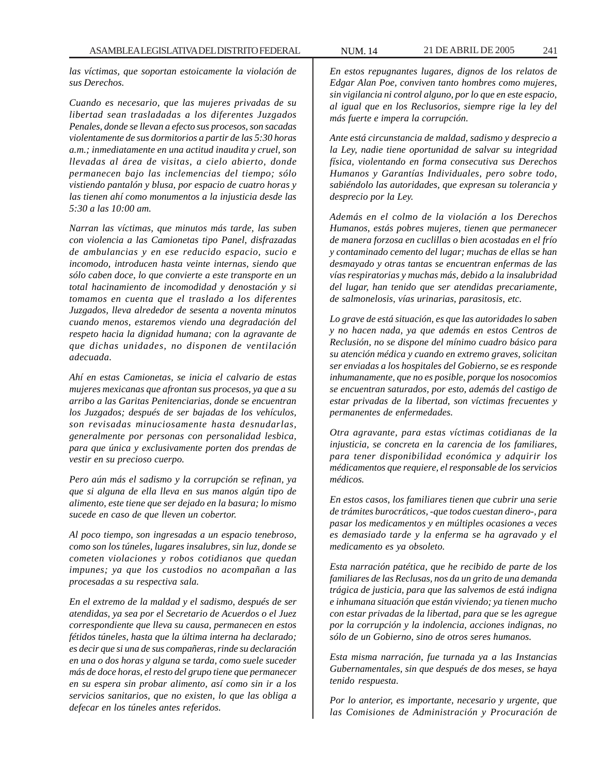*las víctimas, que soportan estoicamente la violación de sus Derechos.*

*Cuando es necesario, que las mujeres privadas de su libertad sean trasladadas a los diferentes Juzgados Penales, donde se llevan a efecto sus procesos, son sacadas violentamente de sus dormitorios a partir de las 5:30 horas a.m.; inmediatamente en una actitud inaudita y cruel, son llevadas al área de visitas, a cielo abierto, donde permanecen bajo las inclemencias del tiempo; sólo vistiendo pantalón y blusa, por espacio de cuatro horas y las tienen ahí como monumentos a la injusticia desde las 5:30 a las 10:00 am.*

*Narran las víctimas, que minutos más tarde, las suben con violencia a las Camionetas tipo Panel, disfrazadas de ambulancias y en ese reducido espacio, sucio e incomodo, introducen hasta veinte internas, siendo que sólo caben doce, lo que convierte a este transporte en un total hacinamiento de incomodidad y denostación y si tomamos en cuenta que el traslado a los diferentes Juzgados, lleva alrededor de sesenta a noventa minutos cuando menos, estaremos viendo una degradación del respeto hacia la dignidad humana; con la agravante de que dichas unidades, no disponen de ventilación adecuada.*

*Ahí en estas Camionetas, se inicia el calvario de estas mujeres mexicanas que afrontan sus procesos, ya que a su arribo a las Garitas Penitenciarias, donde se encuentran los Juzgados; después de ser bajadas de los vehículos, son revisadas minuciosamente hasta desnudarlas, generalmente por personas con personalidad lesbica, para que única y exclusivamente porten dos prendas de vestir en su precioso cuerpo.*

*Pero aún más el sadismo y la corrupción se refinan, ya que si alguna de ella lleva en sus manos algún tipo de alimento, este tiene que ser dejado en la basura; lo mismo sucede en caso de que lleven un cobertor.*

*Al poco tiempo, son ingresadas a un espacio tenebroso, como son los túneles, lugares insalubres, sin luz, donde se cometen violaciones y robos cotidianos que quedan impunes; ya que los custodios no acompañan a las procesadas a su respectiva sala.*

*En el extremo de la maldad y el sadismo, después de ser atendidas, ya sea por el Secretario de Acuerdos o el Juez correspondiente que lleva su causa, permanecen en estos fétidos túneles, hasta que la última interna ha declarado; es decir que si una de sus compañeras, rinde su declaración en una o dos horas y alguna se tarda, como suele suceder más de doce horas, el resto del grupo tiene que permanecer en su espera sin probar alimento, así como sin ir a los servicios sanitarios, que no existen, lo que las obliga a defecar en los túneles antes referidos.*

*En estos repugnantes lugares, dignos de los relatos de Edgar Alan Poe, conviven tanto hombres como mujeres, sin vigilancia ni control alguno, por lo que en este espacio, al igual que en los Reclusorios, siempre rige la ley del más fuerte e impera la corrupción.*

*Ante está circunstancia de maldad, sadismo y desprecio a la Ley, nadie tiene oportunidad de salvar su integridad física, violentando en forma consecutiva sus Derechos Humanos y Garantías Individuales, pero sobre todo, sabiéndolo las autoridades, que expresan su tolerancia y desprecio por la Ley.*

*Además en el colmo de la violación a los Derechos Humanos, estás pobres mujeres, tienen que permanecer de manera forzosa en cuclillas o bien acostadas en el frío y contaminado cemento del lugar; muchas de ellas se han desmayado y otras tantas se encuentran enfermas de las vías respiratorias y muchas más, debido a la insalubridad del lugar, han tenido que ser atendidas precariamente, de salmonelosis, vías urinarias, parasitosis, etc.*

*Lo grave de está situación, es que las autoridades lo saben y no hacen nada, ya que además en estos Centros de Reclusión, no se dispone del mínimo cuadro básico para su atención médica y cuando en extremo graves, solicitan ser enviadas a los hospitales del Gobierno, se es responde inhumanamente, que no es posible, porque los nosocomios se encuentran saturados, por esto, además del castigo de estar privadas de la libertad, son víctimas frecuentes y permanentes de enfermedades.*

*Otra agravante, para estas víctimas cotidianas de la injusticia, se concreta en la carencia de los familiares, para tener disponibilidad económica y adquirir los médicamentos que requiere, el responsable de los servicios médicos.*

*En estos casos, los familiares tienen que cubrir una serie de trámites burocráticos, -que todos cuestan dinero-, para pasar los medicamentos y en múltiples ocasiones a veces es demasiado tarde y la enferma se ha agravado y el medicamento es ya obsoleto.*

*Esta narración patética, que he recibido de parte de los familiares de las Reclusas, nos da un grito de una demanda trágica de justicia, para que las salvemos de está indigna e inhumana situación que están viviendo; ya tienen mucho con estar privadas de la libertad, para que se les agregue por la corrupción y la indolencia, acciones indignas, no sólo de un Gobierno, sino de otros seres humanos.*

*Esta misma narración, fue turnada ya a las Instancias Gubernamentales, sin que después de dos meses, se haya tenido respuesta.*

*Por lo anterior, es importante, necesario y urgente, que las Comisiones de Administración y Procuración de*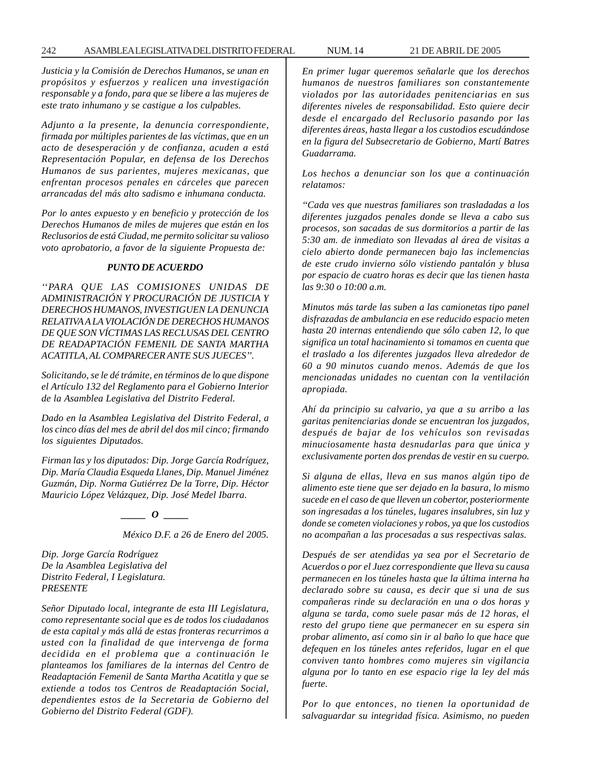*Justicia y la Comisión de Derechos Humanos, se unan en propósitos y esfuerzos y realicen una investigación responsable y a fondo, para que se libere a las mujeres de este trato inhumano y se castigue a los culpables.*

*Adjunto a la presente, la denuncia correspondiente, firmada por múltiples parientes de las víctimas, que en un acto de desesperación y de confianza, acuden a está Representación Popular, en defensa de los Derechos Humanos de sus parientes, mujeres mexicanas, que enfrentan procesos penales en cárceles que parecen arrancadas del más alto sadismo e inhumana conducta.*

*Por lo antes expuesto y en beneficio y protección de los Derechos Humanos de miles de mujeres que están en los Reclusorios de está Ciudad, me permito solicitar su valioso voto aprobatorio, a favor de la siguiente Propuesta de:*

#### *PUNTO DE ACUERDO*

*''PARA QUE LAS COMISIONES UNIDAS DE ADMINISTRACIÓN Y PROCURACIÓN DE JUSTICIA Y DERECHOS HUMANOS, INVESTIGUEN LA DENUNCIA RELATIVA A LA VIOLACIÓN DE DERECHOS HUMANOS DE QUE SON VÍCTIMAS LAS RECLUSAS DEL CENTRO DE READAPTACIÓN FEMENIL DE SANTA MARTHA ACATITLA, AL COMPARECER ANTE SUS JUECES''.*

*Solicitando, se le dé trámite, en términos de lo que dispone el Artículo 132 del Reglamento para el Gobierno Interior de la Asamblea Legislativa del Distrito Federal.*

*Dado en la Asamblea Legislativa del Distrito Federal, a los cinco días del mes de abril del dos mil cinco; firmando los siguientes Diputados.*

*Firman las y los diputados: Dip. Jorge García Rodríguez, Dip. María Claudia Esqueda Llanes, Dip. Manuel Jiménez Guzmán, Dip. Norma Gutiérrez De la Torre, Dip. Héctor Mauricio López Velázquez, Dip. José Medel Ibarra.*

*\_\_\_\_\_ O \_\_\_\_\_*

*México D.F. a 26 de Enero del 2005.*

*Dip. Jorge García Rodríguez De la Asamblea Legislativa del Distrito Federal, I Legislatura. PRESENTE*

*Señor Diputado local, integrante de esta III Legislatura, como representante social que es de todos los ciudadanos de esta capital y más allá de estas fronteras recurrimos a usted con la finalidad de que intervenga de forma decidida en el problema que a continuación le planteamos los familiares de la internas del Centro de Readaptación Femenil de Santa Martha Acatitla y que se extiende a todos tos Centros de Readaptación Social, dependientes estos de la Secretaria de Gobierno del Gobierno del Distrito Federal (GDF).*

*En primer lugar queremos señalarle que los derechos humanos de nuestros familiares son constantemente violados por las autoridades penitenciarias en sus diferentes niveles de responsabilidad. Esto quiere decir desde el encargado del Reclusorio pasando por las diferentes áreas, hasta llegar a los custodios escudándose en la figura del Subsecretario de Gobierno, Martí Batres Guadarrama.*

*Los hechos a denunciar son los que a continuación relatamos:*

*''Cada ves que nuestras familiares son trasladadas a los diferentes juzgados penales donde se lleva a cabo sus procesos, son sacadas de sus dormitorios a partir de las 5:30 am. de inmediato son llevadas al área de visitas a cielo abierto donde permanecen bajo las inclemencias de este crudo invierno sólo vistiendo pantalón y blusa por espacio de cuatro horas es decir que las tienen hasta las 9:30 o 10:00 a.m.*

*Minutos más tarde las suben a las camionetas tipo panel disfrazadas de ambulancia en ese reducido espacio meten hasta 20 internas entendiendo que sólo caben 12, lo que significa un total hacinamiento si tomamos en cuenta que el traslado a los diferentes juzgados lleva alrededor de 60 a 90 minutos cuando menos. Además de que los mencionadas unidades no cuentan con la ventilación apropiada.*

*Ahí da principio su calvario, ya que a su arribo a las garitas penitenciarias donde se encuentran los juzgados, después de bajar de los vehículos son revisadas minuciosamente hasta desnudarlas para que única y exclusivamente porten dos prendas de vestir en su cuerpo.*

*Si alguna de ellas, lleva en sus manos algún tipo de alimento este tiene que ser dejado en la basura, lo mismo sucede en el caso de que lleven un cobertor, posteriormente son ingresadas a los túneles, lugares insalubres, sin luz y donde se cometen violaciones y robos, ya que los custodios no acompañan a las procesadas a sus respectivas salas.*

*Después de ser atendidas ya sea por el Secretario de Acuerdos o por el Juez correspondiente que lleva su causa permanecen en los túneles hasta que la última interna ha declarado sobre su causa, es decir que si una de sus compañeras rinde su declaración en una o dos horas y alguna se tarda, como suele pasar más de 12 horas, el resto del grupo tiene que permanecer en su espera sin probar alimento, así como sin ir al baño lo que hace que defequen en los túneles antes referidos, lugar en el que conviven tanto hombres como mujeres sin vigilancia alguna por lo tanto en ese espacio rige la ley del más fuerte.*

*Por lo que entonces, no tienen la oportunidad de salvaguardar su integridad física. Asimismo, no pueden*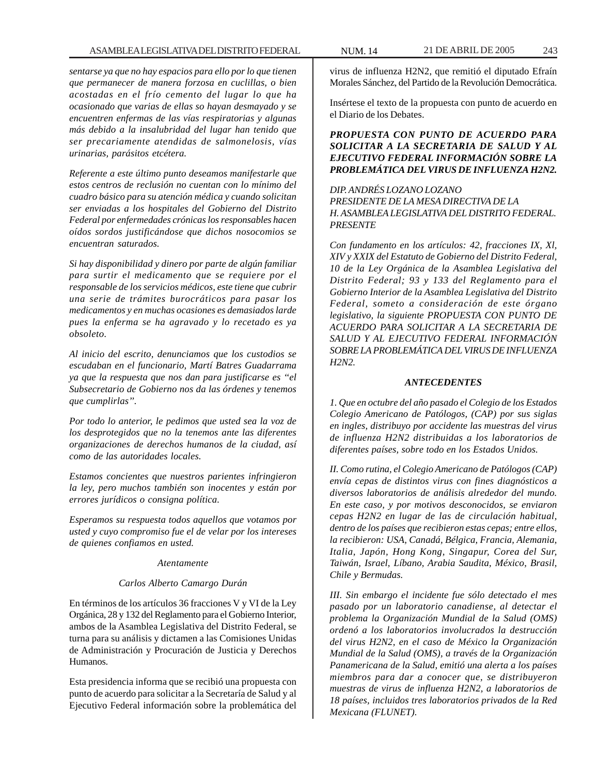*sentarse ya que no hay espacios para ello por lo que tienen que permanecer de manera forzosa en cuclillas, o bien acostadas en el frío cemento del lugar lo que ha ocasionado que varias de ellas so hayan desmayado y se encuentren enfermas de las vías respiratorias y algunas más debido a la insalubridad del lugar han tenido que ser precariamente atendidas de salmonelosis, vías urinarias, parásitos etcétera.*

*Referente a este último punto deseamos manifestarle que estos centros de reclusión no cuentan con lo mínimo del cuadro básico para su atención médica y cuando solicitan ser enviadas a los hospitales del Gobierno del Distrito Federal por enfermedades crónicas los responsables hacen oídos sordos justificándose que dichos nosocomios se encuentran saturados.*

*Si hay disponibilidad y dinero por parte de algún familiar para surtir el medicamento que se requiere por el responsable de los servicios médicos, este tiene que cubrir una serie de trámites burocráticos para pasar los medicamentos y en muchas ocasiones es demasiados larde pues la enferma se ha agravado y lo recetado es ya obsoleto.*

*Al inicio del escrito, denunciamos que los custodios se escudaban en el funcionario, Martí Batres Guadarrama ya que la respuesta que nos dan para justificarse es ''el Subsecretario de Gobierno nos da las órdenes y tenemos que cumplirlas''.*

*Por todo lo anterior, le pedimos que usted sea la voz de los desprotegidos que no la tenemos ante las diferentes organizaciones de derechos humanos de la ciudad, así como de las autoridades locales.*

*Estamos concientes que nuestros parientes infringieron la ley, pero muchos también son inocentes y están por errores jurídicos o consigna política.*

*Esperamos su respuesta todos aquellos que votamos por usted y cuyo compromiso fue el de velar por los intereses de quienes confiamos en usted.*

#### *Atentamente*

## *Carlos Alberto Camargo Durán*

En términos de los artículos 36 fracciones V y VI de la Ley Orgánica, 28 y 132 del Reglamento para el Gobierno Interior, ambos de la Asamblea Legislativa del Distrito Federal, se turna para su análisis y dictamen a las Comisiones Unidas de Administración y Procuración de Justicia y Derechos Humanos.

Esta presidencia informa que se recibió una propuesta con punto de acuerdo para solicitar a la Secretaría de Salud y al Ejecutivo Federal información sobre la problemática del

virus de influenza H2N2, que remitió el diputado Efraín Morales Sánchez, del Partido de la Revolución Democrática.

Insértese el texto de la propuesta con punto de acuerdo en el Diario de los Debates.

*PROPUESTA CON PUNTO DE ACUERDO PARA SOLICITAR A LA SECRETARIA DE SALUD Y AL EJECUTIVO FEDERAL INFORMACIÓN SOBRE LA PROBLEMÁTICA DEL VIRUS DE INFLUENZA H2N2.*

*DIP. ANDRÉS LOZANO LOZANO PRESIDENTE DE LA MESA DIRECTIVA DE LA H. ASAMBLEA LEGISLATIVA DEL DISTRITO FEDERAL. PRESENTE*

*Con fundamento en los artículos: 42, fracciones IX, Xl, XIV y XXIX del Estatuto de Gobierno del Distrito Federal, 10 de la Ley Orgánica de la Asamblea Legislativa del Distrito Federal; 93 y 133 del Reglamento para el Gobierno Interior de la Asamblea Legislativa del Distrito Federal, someto a consideración de este órgano legislativo, la siguiente PROPUESTA CON PUNTO DE ACUERDO PARA SOLICITAR A LA SECRETARIA DE SALUD Y AL EJECUTIVO FEDERAL INFORMACIÓN SOBRE LA PROBLEMÁTICA DEL VIRUS DE INFLUENZA H2N2.*

## *ANTECEDENTES*

*1. Que en octubre del año pasado el Colegio de los Estados Colegio Americano de Patólogos, (CAP) por sus siglas en ingles, distribuyo por accidente las muestras del virus de influenza H2N2 distribuidas a los laboratorios de diferentes países, sobre todo en los Estados Unidos.*

*II. Como rutina, el Colegio Americano de Patólogos (CAP) envía cepas de distintos virus con fines diagnósticos a diversos laboratorios de análisis alrededor del mundo. En este caso, y por motivos desconocidos, se enviaron cepas H2N2 en lugar de las de circulación habitual, dentro de los países que recibieron estas cepas; entre ellos, la recibieron: USA, Canadá, Bélgica, Francia, Alemania, Italia, Japón, Hong Kong, Singapur, Corea del Sur, Taiwán, Israel, Líbano, Arabia Saudita, México, Brasil, Chile y Bermudas.*

*III. Sin embargo el incidente fue sólo detectado el mes pasado por un laboratorio canadiense, al detectar el problema la Organización Mundial de la Salud (OMS) ordenó a los laboratorios involucrados la destrucción del virus H2N2, en el caso de México la Organización Mundial de la Salud (OMS), a través de la Organización Panamericana de la Salud, emitió una alerta a los países miembros para dar a conocer que, se distribuyeron muestras de virus de influenza H2N2, a laboratorios de 18 países, incluidos tres laboratorios privados de la Red Mexicana (FLUNET).*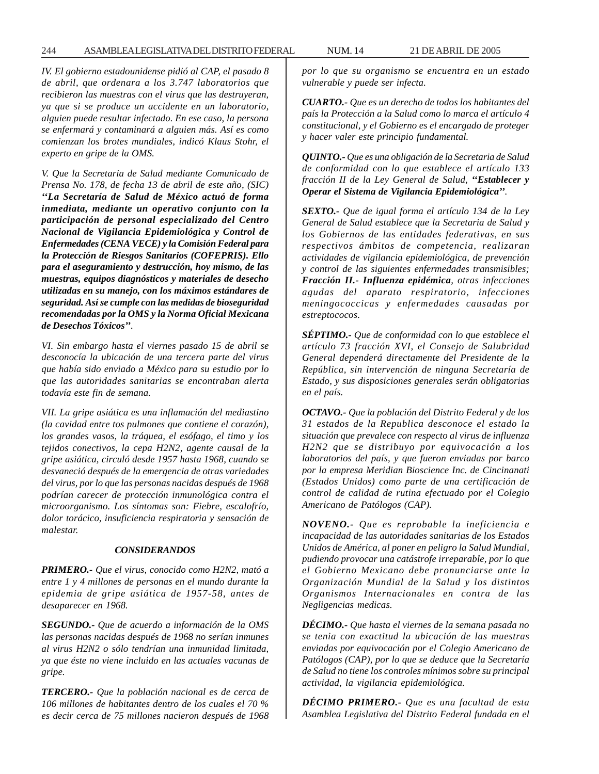*IV. El gobierno estadounidense pidió al CAP, el pasado 8 de abril, que ordenara a los 3.747 laboratorios que recibieron las muestras con el virus que las destruyeran, ya que si se produce un accidente en un laboratorio, alguien puede resultar infectado. En ese caso, la persona se enfermará y contaminará a alguien más. Así es como comienzan los brotes mundiales, indicó Klaus Stohr, el experto en gripe de la OMS.*

*V. Que la Secretaria de Salud mediante Comunicado de Prensa No. 178, de fecha 13 de abril de este año, (SIC) ''La Secretaría de Salud de México actuó de forma inmediata, mediante un operativo conjunto con la participación de personal especializado del Centro Nacional de Vigilancia Epidemiológica y Control de Enfermedades (CENA VECE) y la Comisión Federal para la Protección de Riesgos Sanitarios (COFEPRIS). Ello para el aseguramiento y destrucción, hoy mismo, de las muestras, equipos diagnósticos y materiales de desecho utilizadas en su manejo, con los máximos estándares de seguridad. Así se cumple con las medidas de bioseguridad recomendadas por la OMS y la Norma Oficial Mexicana de Desechos Tóxicos''.*

*VI. Sin embargo hasta el viernes pasado 15 de abril se desconocía la ubicación de una tercera parte del virus que había sido enviado a México para su estudio por lo que las autoridades sanitarias se encontraban alerta todavía este fin de semana.*

*VII. La gripe asiática es una inflamación del mediastino (la cavidad entre tos pulmones que contiene el corazón), los grandes vasos, la tráquea, el esófago, el timo y los tejidos conectivos, la cepa H2N2, agente causal de la gripe asiática, circuló desde 1957 hasta 1968, cuando se desvaneció después de la emergencia de otras variedades del virus, por lo que las personas nacidas después de 1968 podrían carecer de protección inmunológica contra el microorganismo. Los síntomas son: Fiebre, escalofrío, dolor torácico, insuficiencia respiratoria y sensación de malestar.*

#### *CONSIDERANDOS*

*PRIMERO.- Que el virus, conocido como H2N2, mató a entre 1 y 4 millones de personas en el mundo durante la epidemia de gripe asiática de 1957-58, antes de desaparecer en 1968.*

*SEGUNDO.- Que de acuerdo a información de la OMS las personas nacidas después de 1968 no serían inmunes al virus H2N2 o sólo tendrían una inmunidad limitada, ya que éste no viene incluido en las actuales vacunas de gripe.*

*TERCERO.- Que la población nacional es de cerca de 106 millones de habitantes dentro de los cuales el 70 % es decir cerca de 75 millones nacieron después de 1968* *por lo que su organismo se encuentra en un estado vulnerable y puede ser infecta.*

*CUARTO.- Que es un derecho de todos los habitantes del país la Protección a la Salud como lo marca el artículo 4 constitucional, y el Gobierno es el encargado de proteger y hacer valer este principio fundamental.*

*QUINTO.- Que es una obligación de la Secretaria de Salud de conformidad con lo que establece el artículo 133 fracción II de la Ley General de Salud, ''Establecer y Operar el Sistema de Vigilancia Epidemiológica''.*

*SEXTO.- Que de igual forma el artículo 134 de la Ley General de Salud establece que la Secretaria de Salud y los Gobiernos de las entidades federativas, en sus respectivos ámbitos de competencia, realizaran actividades de vigilancia epidemiológica, de prevención y control de las siguientes enfermedades transmisibles; Fracción II.- Influenza epidémica, otras infecciones agudas del aparato respiratorio, infecciones meningococcicas y enfermedades causadas por estreptococos.*

*SÉPTIMO.- Que de conformidad con lo que establece el artículo 73 fracción XVI, el Consejo de Salubridad General dependerá directamente del Presidente de la República, sin intervención de ninguna Secretaría de Estado, y sus disposiciones generales serán obligatorias en el país.*

*OCTAVO.- Que la población del Distrito Federal y de los 31 estados de la Republica desconoce el estado la situación que prevalece con respecto al virus de influenza H2N2 que se distribuyo por equivocación a los laboratorios del país, y que fueron enviadas por barco por la empresa Meridian Bioscience Inc. de Cincinanati (Estados Unidos) como parte de una certificación de control de calidad de rutina efectuado por el Colegio Americano de Patólogos (CAP).*

*NOVENO.- Que es reprobable la ineficiencia e incapacidad de las autoridades sanitarias de los Estados Unidos de América, al poner en peligro la Salud Mundial, pudiendo provocar una catástrofe irreparable, por lo que el Gobierno Mexicano debe pronunciarse ante la Organización Mundial de la Salud y los distintos Organismos Internacionales en contra de las Negligencias medicas.*

*DÉCIMO.- Que hasta el viernes de la semana pasada no se tenia con exactitud la ubicación de las muestras enviadas por equivocación por el Colegio Americano de Patólogos (CAP), por lo que se deduce que la Secretaría de Salud no tiene los controles mínimos sobre su principal actividad, la vigilancia epidemiológica.*

*DÉCIMO PRIMERO.- Que es una facultad de esta Asamblea Legislativa del Distrito Federal fundada en el*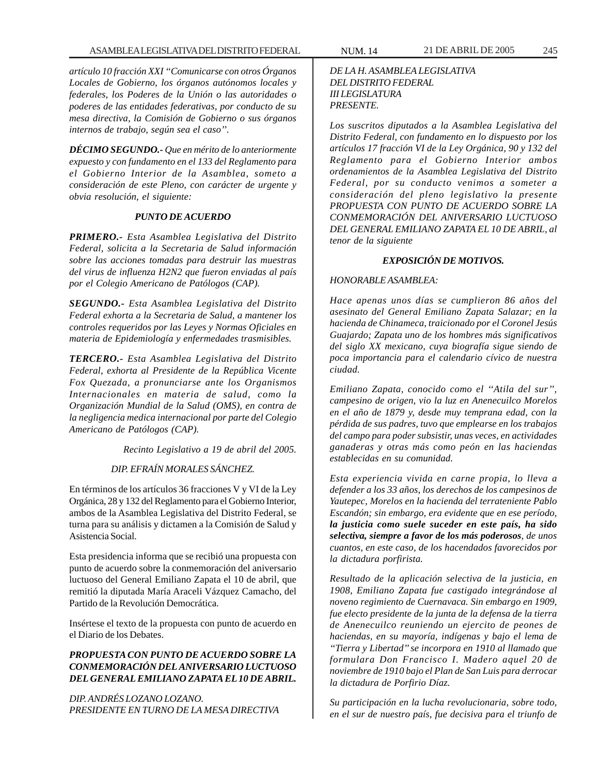*artículo 10 fracción XXI ''Comunicarse con otros Órganos Locales de Gobierno, los órganos autónomos locales y federales, los Poderes de la Unión o las autoridades o poderes de las entidades federativas, por conducto de su mesa directiva, la Comisión de Gobierno o sus órganos internos de trabajo, según sea el caso''.*

*DÉCIMO SEGUNDO.- Que en mérito de lo anteriormente expuesto y con fundamento en el 133 del Reglamento para el Gobierno Interior de la Asamblea, someto a consideración de este Pleno, con carácter de urgente y obvia resolución, el siguiente:*

## *PUNTO DE ACUERDO*

*PRIMERO.- Esta Asamblea Legislativa del Distrito Federal, solicita a la Secretaria de Salud información sobre las acciones tomadas para destruir las muestras del virus de influenza H2N2 que fueron enviadas al país por el Colegio Americano de Patólogos (CAP).*

*SEGUNDO.- Esta Asamblea Legislativa del Distrito Federal exhorta a la Secretaria de Salud, a mantener los controles requeridos por las Leyes y Normas Oficiales en materia de Epidemiología y enfermedades trasmisibles.*

*TERCERO.- Esta Asamblea Legislativa del Distrito Federal, exhorta al Presidente de la República Vicente Fox Quezada, a pronunciarse ante los Organismos Internacionales en materia de salud, como la Organización Mundial de la Salud (OMS), en contra de la negligencia medica internacional por parte del Colegio Americano de Patólogos (CAP).*

*Recinto Legislativo a 19 de abril del 2005.*

## *DIP. EFRAÍN MORALES SÁNCHEZ.*

En términos de los artículos 36 fracciones V y VI de la Ley Orgánica, 28 y 132 del Reglamento para el Gobierno Interior, ambos de la Asamblea Legislativa del Distrito Federal, se turna para su análisis y dictamen a la Comisión de Salud y Asistencia Social.

Esta presidencia informa que se recibió una propuesta con punto de acuerdo sobre la conmemoración del aniversario luctuoso del General Emiliano Zapata el 10 de abril, que remitió la diputada María Araceli Vázquez Camacho, del Partido de la Revolución Democrática.

Insértese el texto de la propuesta con punto de acuerdo en el Diario de los Debates.

# *PROPUESTA CON PUNTO DE ACUERDO SOBRE LA CONMEMORACIÓN DEL ANIVERSARIO LUCTUOSO DEL GENERAL EMILIANO ZAPATA EL 10 DE ABRIL.*

*DIP. ANDRÉS LOZANO LOZANO. PRESIDENTE EN TURNO DE LA MESA DIRECTIVA* *DE LA H. ASAMBLEA LEGISLATIVA*

# *DEL DISTRITO FEDERAL III LEGISLATURA PRESENTE.*

*Los suscritos diputados a la Asamblea Legislativa del Distrito Federal, con fundamento en lo dispuesto por los artículos 17 fracción VI de la Ley Orgánica, 90 y 132 del Reglamento para el Gobierno Interior ambos ordenamientos de la Asamblea Legislativa del Distrito Federal, por su conducto venimos a someter a consideración del pleno legislativo la presente PROPUESTA CON PUNTO DE ACUERDO SOBRE LA CONMEMORACIÓN DEL ANIVERSARIO LUCTUOSO DEL GENERAL EMILIANO ZAPATA EL 10 DE ABRIL, al tenor de la siguiente*

## *EXPOSICIÓN DE MOTIVOS.*

### *HONORABLE ASAMBLEA:*

*Hace apenas unos días se cumplieron 86 años del asesinato del General Emiliano Zapata Salazar; en la hacienda de Chinameca, traicionado por el Coronel Jesús Guajardo; Zapata uno de los hombres más significativos del siglo XX mexicano, cuya biografía sigue siendo de poca importancia para el calendario cívico de nuestra ciudad.*

*Emiliano Zapata, conocido como el ''Atila del sur'', campesino de origen, vio la luz en Anenecuilco Morelos en el año de 1879 y, desde muy temprana edad, con la pérdida de sus padres, tuvo que emplearse en los trabajos del campo para poder subsistir, unas veces, en actividades ganaderas y otras más como peón en las haciendas establecidas en su comunidad.*

*Esta experiencia vivida en carne propia, lo lleva a defender a los 33 años, los derechos de los campesinos de Yautepec, Morelos en la hacienda del terrateniente Pablo Escandón; sin embargo, era evidente que en ese período, la justicia como suele suceder en este país, ha sido selectiva, siempre a favor de los más poderosos, de unos cuantos, en este caso, de los hacendados favorecidos por la dictadura porfirista.*

*Resultado de la aplicación selectiva de la justicia, en 1908, Emiliano Zapata fue castigado integrándose al noveno regimiento de Cuernavaca. Sin embargo en 1909, fue electo presidente de la junta de la defensa de la tierra de Anenecuilco reuniendo un ejercito de peones de haciendas, en su mayoría, indígenas y bajo el lema de ''Tierra y Libertad'' se incorpora en 1910 al llamado que formulara Don Francisco I. Madero aquel 20 de noviembre de 1910 bajo el Plan de San Luis para derrocar la dictadura de Porfirio Díaz.*

*Su participación en la lucha revolucionaria, sobre todo, en el sur de nuestro país, fue decisiva para el triunfo de*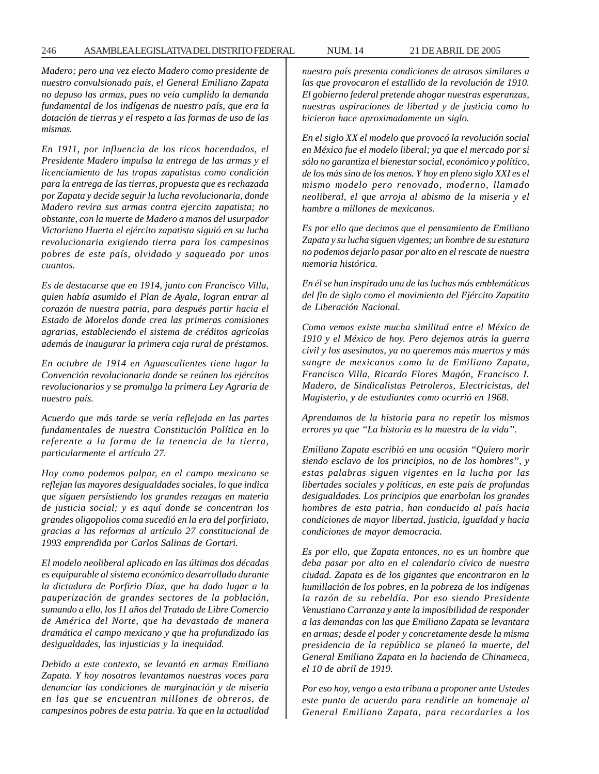*Madero; pero una vez electo Madero como presidente de nuestro convulsionado país, el General Emiliano Zapata no depuso las armas, pues no veía cumplido la demanda fundamental de los indígenas de nuestro país, que era la dotación de tierras y el respeto a las formas de uso de las mismas.*

*En 1911, por influencia de los ricos hacendados, el Presidente Madero impulsa la entrega de las armas y el licenciamiento de las tropas zapatistas como condición para la entrega de las tierras, propuesta que es rechazada por Zapata y decide seguir la lucha revolucionaria, donde Madero revira sus armas contra ejercito zapatista; no obstante, con la muerte de Madero a manos del usurpador Victoriano Huerta el ejército zapatista siguió en su lucha revolucionaria exigiendo tierra para los campesinos pobres de este país, olvidado y saqueado por unos cuantos.*

*Es de destacarse que en 1914, junto con Francisco Villa, quien había asumido el Plan de Ayala, logran entrar al corazón de nuestra patria, para después partir hacia el Estado de Morelos donde crea las primeras comisiones agrarias, estableciendo el sistema de créditos agrícolas además de inaugurar la primera caja rural de préstamos.*

*En octubre de 1914 en Aguascalientes tiene lugar la Convención revolucionaria donde se reúnen los ejércitos revolucionarios y se promulga la primera Ley Agraria de nuestro país.*

*Acuerdo que más tarde se vería reflejada en las partes fundamentales de nuestra Constitución Política en lo referente a la forma de la tenencia de la tierra, particularmente el artículo 27.*

*Hoy como podemos palpar, en el campo mexicano se reflejan las mayores desigualdades sociales, lo que indica que siguen persistiendo los grandes rezagas en materia de justicia social; y es aquí donde se concentran los grandes oligopolios coma sucedió en la era del porfiriato, gracias a las reformas al artículo 27 constitucional de 1993 emprendida por Carlos Salinas de Gortari.*

*El modelo neoliberal aplicado en las últimas dos décadas es equiparable al sistema económico desarrollado durante la dictadura de Porfirio Díaz, que ha dado lugar a la pauperización de grandes sectores de la población, sumando a ello, los 11 años del Tratado de Libre Comercio de América del Norte, que ha devastado de manera dramática el campo mexicano y que ha profundizado las desigualdades, las injusticias y la inequidad.*

*Debido a este contexto, se levantó en armas Emiliano Zapata. Y hoy nosotros levantamos nuestras voces para denunciar las condiciones de marginación y de miseria en las que se encuentran millones de obreros, de campesinos pobres de esta patria. Ya que en la actualidad* *nuestro país presenta condiciones de atrasos similares a las que provocaron el estallido de la revolución de 1910. El gobierno federal pretende ahogar nuestras esperanzas, nuestras aspiraciones de libertad y de justicia como lo hicieron hace aproximadamente un siglo.*

*En el siglo XX el modelo que provocó la revolución social en México fue el modelo liberal; ya que el mercado por si sólo no garantiza el bienestar social, económico y político, de los más sino de los menos. Y hoy en pleno siglo XXI es el mismo modelo pero renovado, moderno, llamado neoliberal, el que arroja al abismo de la miseria y el hambre a millones de mexicanos.*

*Es por ello que decimos que el pensamiento de Emiliano Zapata y su lucha siguen vigentes; un hombre de su estatura no podemos dejarlo pasar por alto en el rescate de nuestra memoria histórica.*

*En él se han inspirado una de las luchas más emblemáticas del fin de siglo como el movimiento del Ejército Zapatita de Liberación Nacional.*

*Como vemos existe mucha similitud entre el México de 1910 y el México de hoy. Pero dejemos atrás la guerra civil y los asesinatos, ya no queremos más muertos y más sangre de mexicanos como la de Emiliano Zapata, Francisco Villa, Ricardo Flores Magón, Francisco I. Madero, de Sindicalistas Petroleros, Electricistas, del Magisterio, y de estudiantes como ocurrió en 1968.*

*Aprendamos de la historia para no repetir los mismos errores ya que ''La historia es la maestra de la vida''.*

*Emiliano Zapata escribió en una ocasión ''Quiero morir siendo esclavo de los principios, no de los hombres'', y estas palabras siguen vigentes en la lucha por las libertades sociales y políticas, en este país de profundas desigualdades. Los principios que enarbolan los grandes hombres de esta patria, han conducido al país hacia condiciones de mayor libertad, justicia, igualdad y hacia condiciones de mayor democracia.*

*Es por ello, que Zapata entonces, no es un hombre que deba pasar por alto en el calendario cívico de nuestra ciudad. Zapata es de los gigantes que encontraron en la humillación de los pobres, en la pobreza de los indígenas la razón de su rebeldía. Por eso siendo Presidente Venustiano Carranza y ante la imposibilidad de responder a las demandas con las que Emiliano Zapata se levantara en armas; desde el poder y concretamente desde la misma presidencia de la república se planeó la muerte, del General Emiliano Zapata en la hacienda de Chinameca, el 10 de abril de 1919.*

*Por eso hoy, vengo a esta tribuna a proponer ante Ustedes este punto de acuerdo para rendirle un homenaje al General Emiliano Zapata, para recordarles a los*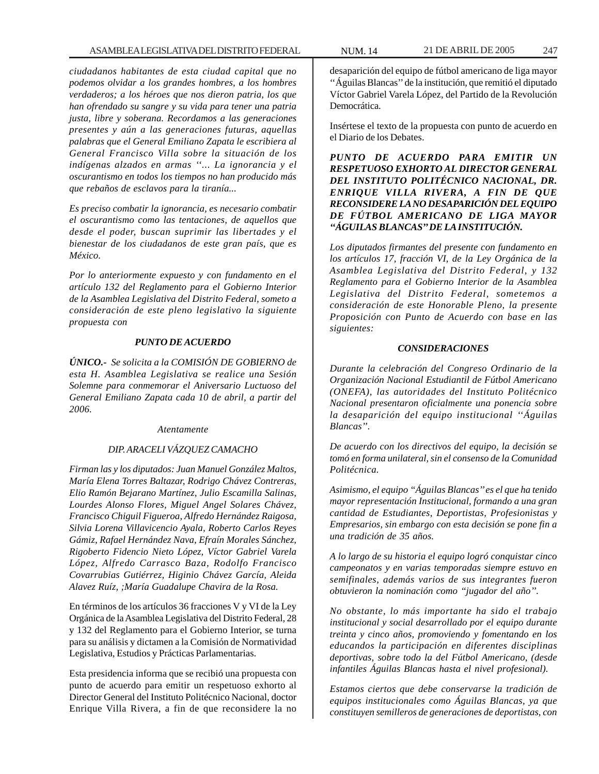*ciudadanos habitantes de esta ciudad capital que no podemos olvidar a los grandes hombres, a los hombres verdaderos; a los héroes que nos dieron patria, los que han ofrendado su sangre y su vida para tener una patria justa, libre y soberana. Recordamos a las generaciones presentes y aún a las generaciones futuras, aquellas palabras que el General Emiliano Zapata le escribiera al General Francisco Villa sobre la situación de los indígenas alzados en armas ''... La ignorancia y el oscurantismo en todos los tiempos no han producido más que rebaños de esclavos para la tiranía...*

*Es preciso combatir la ignorancia, es necesario combatir el oscurantismo como las tentaciones, de aquellos que desde el poder, buscan suprimir las libertades y el bienestar de los ciudadanos de este gran país, que es México.*

*Por lo anteriormente expuesto y con fundamento en el artículo 132 del Reglamento para el Gobierno Interior de la Asamblea Legislativa del Distrito Federal, someto a consideración de este pleno legislativo la siguiente propuesta con*

### *PUNTO DE ACUERDO*

*ÚNICO.- Se solicita a la COMISIÓN DE GOBIERNO de esta H. Asamblea Legislativa se realice una Sesión Solemne para conmemorar el Aniversario Luctuoso del General Emiliano Zapata cada 10 de abril, a partir del 2006.*

#### *Atentamente*

## *DIP. ARACELI VÁZQUEZ CAMACHO*

*Firman las y los diputados: Juan Manuel González Maltos, María Elena Torres Baltazar, Rodrigo Chávez Contreras, Elio Ramón Bejarano Martínez, Julio Escamilla Salinas, Lourdes Alonso Flores, Miguel Angel Solares Chávez, Francisco Chiguil Figueroa, Alfredo Hernández Raigosa, Silvia Lorena Villavicencio Ayala, Roberto Carlos Reyes Gámiz, Rafael Hernández Nava, Efraín Morales Sánchez, Rigoberto Fidencio Nieto López, Víctor Gabriel Varela López, Alfredo Carrasco Baza, Rodolfo Francisco Covarrubias Gutiérrez, Higinio Chávez García, Aleida Alavez Ruíz, ;María Guadalupe Chavira de la Rosa.*

En términos de los artículos 36 fracciones V y VI de la Ley Orgánica de la Asamblea Legislativa del Distrito Federal, 28 y 132 del Reglamento para el Gobierno Interior, se turna para su análisis y dictamen a la Comisión de Normatividad Legislativa, Estudios y Prácticas Parlamentarias.

Esta presidencia informa que se recibió una propuesta con punto de acuerdo para emitir un respetuoso exhorto al Director General del Instituto Politécnico Nacional, doctor Enrique Villa Rivera, a fin de que reconsidere la no

desaparición del equipo de fútbol americano de liga mayor ''Águilas Blancas'' de la institución, que remitió el diputado Víctor Gabriel Varela López, del Partido de la Revolución Democrática.

Insértese el texto de la propuesta con punto de acuerdo en el Diario de los Debates.

*PUNTO DE ACUERDO PARA EMITIR UN RESPETUOSO EXHORTO AL DIRECTOR GENERAL DEL INSTITUTO POLITÉCNICO NACIONAL, DR. ENRIQUE VILLA RIVERA, A FIN DE QUE RECONSIDERE LA NO DESAPARICIÓN DEL EQUIPO DE FÚTBOL AMERICANO DE LIGA MAYOR ''ÁGUILAS BLANCAS'' DE LA INSTITUCIÓN.*

*Los diputados firmantes del presente con fundamento en los artículos 17, fracción VI, de la Ley Orgánica de la Asamblea Legislativa del Distrito Federal, y 132 Reglamento para el Gobierno Interior de la Asamblea Legislativa del Distrito Federal, sometemos a consideración de este Honorable Pleno, la presente Proposición con Punto de Acuerdo con base en las siguientes:*

### *CONSIDERACIONES*

*Durante la celebración del Congreso Ordinario de la Organización Nacional Estudiantil de Fútbol Americano (ONEFA), las autoridades del Instituto Politécnico Nacional presentaron oficialmente una ponencia sobre la desaparición del equipo institucional ''Águilas Blancas''.*

*De acuerdo con los directivos del equipo, la decisión se tomó en forma unilateral, sin el consenso de la Comunidad Politécnica.*

*Asimismo, el equipo ''Águilas Blancas'' es el que ha tenido mayor representación Institucional, formando a una gran cantidad de Estudiantes, Deportistas, Profesionistas y Empresarios, sin embargo con esta decisión se pone fin a una tradición de 35 años.*

*A lo largo de su historia el equipo logró conquistar cinco campeonatos y en varias temporadas siempre estuvo en semifinales, además varios de sus integrantes fueron obtuvieron la nominación como ''jugador del año''.*

*No obstante, lo más importante ha sido el trabajo institucional y social desarrollado por el equipo durante treinta y cinco años, promoviendo y fomentando en los educandos la participación en diferentes disciplinas deportivas, sobre todo la del Fútbol Americano, (desde infantiles Águilas Blancas hasta el nivel profesional).*

*Estamos ciertos que debe conservarse la tradición de equipos institucionales como Águilas Blancas, ya que constituyen semilleros de generaciones de deportistas, con*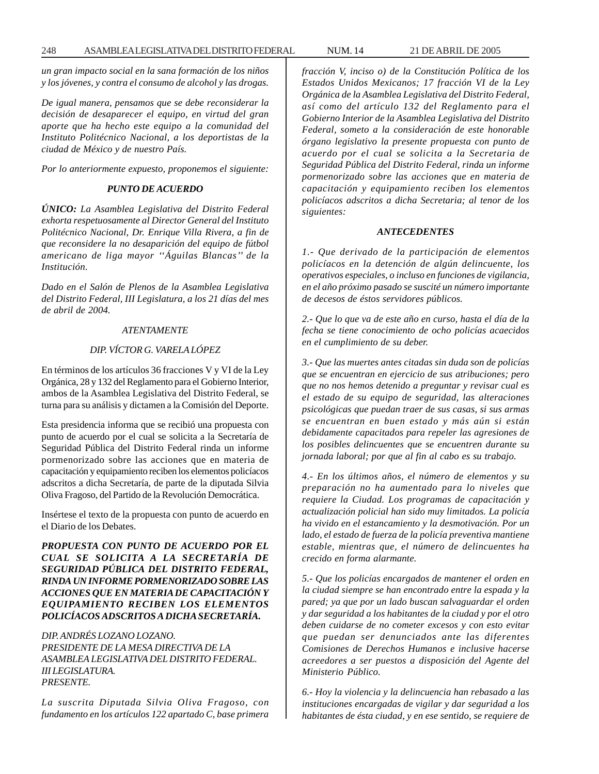*un gran impacto social en la sana formación de los niños y los jóvenes, y contra el consumo de alcohol y las drogas.*

*De igual manera, pensamos que se debe reconsiderar la decisión de desaparecer el equipo, en virtud del gran aporte que ha hecho este equipo a la comunidad del Instituto Politécnico Nacional, a los deportistas de la ciudad de México y de nuestro País.*

*Por lo anteriormente expuesto, proponemos el siguiente:*

## *PUNTO DE ACUERDO*

*ÚNICO: La Asamblea Legislativa del Distrito Federal exhorta respetuosamente al Director General del Instituto Politécnico Nacional, Dr. Enrique Villa Rivera, a fin de que reconsidere la no desaparición del equipo de fútbol americano de liga mayor ''Águilas Blancas'' de la Institución.*

*Dado en el Salón de Plenos de la Asamblea Legislativa del Distrito Federal, III Legislatura, a los 21 días del mes de abril de 2004.*

## *ATENTAMENTE*

## *DIP. VÍCTOR G. VARELA LÓPEZ*

En términos de los artículos 36 fracciones V y VI de la Ley Orgánica, 28 y 132 del Reglamento para el Gobierno Interior, ambos de la Asamblea Legislativa del Distrito Federal, se turna para su análisis y dictamen a la Comisión del Deporte.

Esta presidencia informa que se recibió una propuesta con punto de acuerdo por el cual se solicita a la Secretaría de Seguridad Pública del Distrito Federal rinda un informe pormenorizado sobre las acciones que en materia de capacitación y equipamiento reciben los elementos policíacos adscritos a dicha Secretaría, de parte de la diputada Silvia Oliva Fragoso, del Partido de la Revolución Democrática.

Insértese el texto de la propuesta con punto de acuerdo en el Diario de los Debates.

*PROPUESTA CON PUNTO DE ACUERDO POR EL CUAL SE SOLICITA A LA SECRETARÍA DE SEGURIDAD PÚBLICA DEL DISTRITO FEDERAL, RINDA UN INFORME PORMENORIZADO SOBRE LAS ACCIONES QUE EN MATERIA DE CAPACITACIÓN Y EQUIPAMIENTO RECIBEN LOS ELEMENTOS POLICÍACOS ADSCRITOS A DICHA SECRETARÍA.*

*DIP. ANDRÉS LOZANO LOZANO. PRESIDENTE DE LA MESA DIRECTIVA DE LA ASAMBLEA LEGISLATIVA DEL DISTRITO FEDERAL. III LEGISLATURA. PRESENTE.*

*La suscrita Diputada Silvia Oliva Fragoso, con fundamento en los artículos 122 apartado C, base primera* *fracción V, inciso o) de la Constitución Política de los Estados Unidos Mexicanos; 17 fracción VI de la Ley Orgánica de la Asamblea Legislativa del Distrito Federal, así como del artículo 132 del Reglamento para el Gobierno Interior de la Asamblea Legislativa del Distrito Federal, someto a la consideración de este honorable órgano legislativo la presente propuesta con punto de acuerdo por el cual se solicita a la Secretaria de Seguridad Pública del Distrito Federal, rinda un informe pormenorizado sobre las acciones que en materia de capacitación y equipamiento reciben los elementos policíacos adscritos a dicha Secretaria; al tenor de los siguientes:*

#### *ANTECEDENTES*

*1.- Que derivado de la participación de elementos policíacos en la detención de algún delincuente, los operativos especiales, o incluso en funciones de vigilancia, en el año próximo pasado se suscité un número importante de decesos de éstos servidores públicos.*

*2.- Que lo que va de este año en curso, hasta el día de la fecha se tiene conocimiento de ocho policías acaecidos en el cumplimiento de su deber.*

*3.- Que las muertes antes citadas sin duda son de policías que se encuentran en ejercicio de sus atribuciones; pero que no nos hemos detenido a preguntar y revisar cual es el estado de su equipo de seguridad, las alteraciones psicológicas que puedan traer de sus casas, si sus armas se encuentran en buen estado y más aún si están debidamente capacitados para repeler las agresiones de los posibles delincuentes que se encuentren durante su jornada laboral; por que al fin al cabo es su trabajo.*

*4.- En los últimos años, el número de elementos y su preparación no ha aumentado para lo niveles que requiere la Ciudad. Los programas de capacitación y actualización policial han sido muy limitados. La policía ha vivido en el estancamiento y la desmotivación. Por un lado, el estado de fuerza de la policía preventiva mantiene estable, mientras que, el número de delincuentes ha crecido en forma alarmante.*

*5.- Que los policías encargados de mantener el orden en la ciudad siempre se han encontrado entre la espada y la pared; ya que por un lado buscan salvaguardar el orden y dar seguridad a los habitantes de la ciudad y por el otro deben cuidarse de no cometer excesos y con esto evitar que puedan ser denunciados ante las diferentes Comisiones de Derechos Humanos e inclusive hacerse acreedores a ser puestos a disposición del Agente del Ministerio Público.*

*6.- Hoy la violencia y la delincuencia han rebasado a las instituciones encargadas de vigilar y dar seguridad a los habitantes de ésta ciudad, y en ese sentido, se requiere de*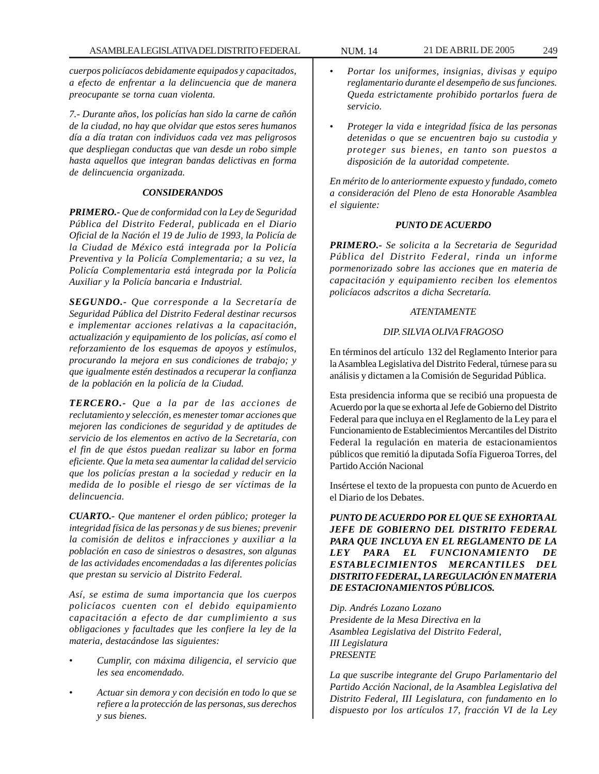*cuerpos policíacos debidamente equipados y capacitados, a efecto de enfrentar a la delincuencia que de manera preocupante se torna cuan violenta.*

*7.- Durante años, los policías han sido la carne de cañón de la ciudad, no hay que olvidar que estos seres humanos día a día tratan con individuos cada vez mas peligrosos que despliegan conductas que van desde un robo simple hasta aquellos que integran bandas delictivas en forma de delincuencia organizada.*

# *CONSIDERANDOS*

*PRIMERO.- Que de conformidad con la Ley de Seguridad Pública del Distrito Federal, publicada en el Diario Oficial de la Nación el 19 de Julio de 1993, la Policía de la Ciudad de México está integrada por la Policía Preventiva y la Policía Complementaria; a su vez, la Policía Complementaria está integrada por la Policía Auxiliar y la Policía bancaria e Industrial.*

*SEGUNDO.- Que corresponde a la Secretaría de Seguridad Pública del Distrito Federal destinar recursos e implementar acciones relativas a la capacitación, actualización y equipamiento de los policías, así como el reforzamiento de los esquemas de apoyos y estímulos, procurando la mejora en sus condiciones de trabajo; y que igualmente estén destinados a recuperar la confianza de la población en la policía de la Ciudad.*

*TERCERO.- Que a la par de las acciones de reclutamiento y selección, es menester tomar acciones que mejoren las condiciones de seguridad y de aptitudes de servicio de los elementos en activo de la Secretaría, con el fin de que éstos puedan realizar su labor en forma eficiente. Que la meta sea aumentar la calidad del servicio que los policías prestan a la sociedad y reducir en la medida de lo posible el riesgo de ser víctimas de la delincuencia.*

*CUARTO.- Que mantener el orden público; proteger la integridad física de las personas y de sus bienes; prevenir la comisión de delitos e infracciones y auxiliar a la población en caso de siniestros o desastres, son algunas de las actividades encomendadas a las diferentes policías que prestan su servicio al Distrito Federal.*

*Así, se estima de suma importancia que los cuerpos policíacos cuenten con el debido equipamiento capacitación a efecto de dar cumplimiento a sus obligaciones y facultades que les confiere la ley de la materia, destacándose las siguientes:*

- *Cumplir, con máxima diligencia, el servicio que les sea encomendado.*
- *Actuar sin demora y con decisión en todo lo que se refiere a la protección de las personas, sus derechos y sus bienes.*
- *Portar los uniformes, insignias, divisas y equipo reglamentario durante el desempeño de sus funciones. Queda estrictamente prohibido portarlos fuera de servicio.*
- *Proteger la vida e integridad física de las personas detenidas o que se encuentren bajo su custodia y proteger sus bienes, en tanto son puestos a disposición de la autoridad competente.*

*En mérito de lo anteriormente expuesto y fundado, cometo a consideración del Pleno de esta Honorable Asamblea el siguiente:*

# *PUNTO DE ACUERDO*

*PRIMERO.- Se solicita a la Secretaria de Seguridad Pública del Distrito Federal, rinda un informe pormenorizado sobre las acciones que en materia de capacitación y equipamiento reciben los elementos policíacos adscritos a dicha Secretaría.*

# *ATENTAMENTE*

# *DIP. SILVIA OLIVA FRAGOSO*

En términos del artículo 132 del Reglamento Interior para la Asamblea Legislativa del Distrito Federal, túrnese para su análisis y dictamen a la Comisión de Seguridad Pública.

Esta presidencia informa que se recibió una propuesta de Acuerdo por la que se exhorta al Jefe de Gobierno del Distrito Federal para que incluya en el Reglamento de la Ley para el Funcionamiento de Establecimientos Mercantiles del Distrito Federal la regulación en materia de estacionamientos públicos que remitió la diputada Sofía Figueroa Torres, del Partido Acción Nacional

Insértese el texto de la propuesta con punto de Acuerdo en el Diario de los Debates.

*PUNTO DE ACUERDO POR EL QUE SE EXHORTA AL JEFE DE GOBIERNO DEL DISTRITO FEDERAL PARA QUE INCLUYA EN EL REGLAMENTO DE LA LEY PARA EL FUNCIONAMIENTO DE ESTABLECIMIENTOS MERCANTILES DEL DISTRITO FEDERAL, LA REGULACIÓN EN MATERIA DE ESTACIONAMIENTOS PÚBLICOS.*

*Dip. Andrés Lozano Lozano Presidente de la Mesa Directiva en la Asamblea Legislativa del Distrito Federal, III Legislatura PRESENTE*

*La que suscribe integrante del Grupo Parlamentario del Partido Acción Nacional, de la Asamblea Legislativa del Distrito Federal, III Legislatura, con fundamento en lo dispuesto por los artículos 17, fracción VI de la Ley*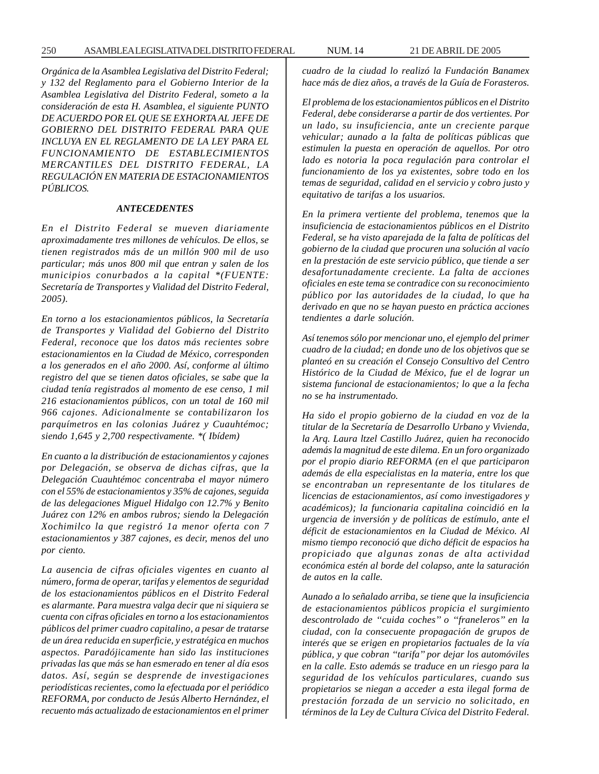250 ASAMBLEA LEGISLATIVA DEL DISTRITO FEDERAL NUM. 14 21 DE ABRIL DE 2005

*Orgánica de la Asamblea Legislativa del Distrito Federal; y 132 del Reglamento para el Gobierno Interior de la Asamblea Legislativa del Distrito Federal, someto a la consideración de esta H. Asamblea, el siguiente PUNTO DE ACUERDO POR EL QUE SE EXHORTA AL JEFE DE GOBIERNO DEL DISTRITO FEDERAL PARA QUE INCLUYA EN EL REGLAMENTO DE LA LEY PARA EL FUNCIONAMIENTO DE ESTABLECIMIENTOS MERCANTILES DEL DISTRITO FEDERAL, LA REGULACIÓN EN MATERIA DE ESTACIONAMIENTOS PÚBLICOS.*

#### *ANTECEDENTES*

*En el Distrito Federal se mueven diariamente aproximadamente tres millones de vehículos. De ellos, se tienen registrados más de un millón 900 mil de uso particular; más unos 800 mil que entran y salen de los municipios conurbados a la capital \*(FUENTE: Secretaría de Transportes y Vialidad del Distrito Federal, 2005).*

*En torno a los estacionamientos públicos, la Secretaría de Transportes y Vialidad del Gobierno del Distrito Federal, reconoce que los datos más recientes sobre estacionamientos en la Ciudad de México, corresponden a los generados en el año 2000. Así, conforme al último registro del que se tienen datos oficiales, se sabe que la ciudad tenía registrados al momento de ese censo, 1 mil 216 estacionamientos públicos, con un total de 160 mil 966 cajones. Adicionalmente se contabilizaron los parquímetros en las colonias Juárez y Cuauhtémoc; siendo 1,645 y 2,700 respectivamente. \*( Ibídem)*

*En cuanto a la distribución de estacionamientos y cajones por Delegación, se observa de dichas cifras, que la Delegación Cuauhtémoc concentraba el mayor número con el 55% de estacionamientos y 35% de cajones, seguida de las delegaciones Miguel Hidalgo con 12.7% y Benito Juárez con 12% en ambos rubros; siendo la Delegación Xochimilco la que registró 1a menor oferta con 7 estacionamientos y 387 cajones, es decir, menos del uno por ciento.*

*La ausencia de cifras oficiales vigentes en cuanto al número, forma de operar, tarifas y elementos de seguridad de los estacionamientos públicos en el Distrito Federal es alarmante. Para muestra valga decir que ni siquiera se cuenta con cifras oficiales en torno a los estacionamientos públicos del primer cuadro capitalino, a pesar de tratarse de un área reducida en superficie, y estratégica en muchos aspectos. Paradójicamente han sido las instituciones privadas las que más se han esmerado en tener al día esos datos. Así, según se desprende de investigaciones periodísticas recientes, como la efectuada por el periódico REFORMA, por conducto de Jesús Alberto Hernández, el recuento más actualizado de estacionamientos en el primer* *cuadro de la ciudad lo realizó la Fundación Banamex hace más de diez años, a través de la Guía de Forasteros.*

*El problema de los estacionamientos públicos en el Distrito Federal, debe considerarse a partir de dos vertientes. Por un lado, su insuficiencia, ante un creciente parque vehicular; aunado a la falta de políticas públicas que estimulen la puesta en operación de aquellos. Por otro lado es notoria la poca regulación para controlar el funcionamiento de los ya existentes, sobre todo en los temas de seguridad, calidad en el servicio y cobro justo y equitativo de tarifas a los usuarios.*

*En la primera vertiente del problema, tenemos que la insuficiencia de estacionamientos públicos en el Distrito Federal, se ha visto aparejada de la falta de políticas del gobierno de la ciudad que procuren una solución al vacío en la prestación de este servicio público, que tiende a ser desafortunadamente creciente. La falta de acciones oficiales en este tema se contradice con su reconocimiento público por las autoridades de la ciudad, lo que ha derivado en que no se hayan puesto en práctica acciones tendientes a darle solución.*

*Así tenemos sólo por mencionar uno, el ejemplo del primer cuadro de la ciudad; en donde uno de los objetivos que se planteó en su creación el Consejo Consultivo del Centro Histórico de la Ciudad de México, fue el de lograr un sistema funcional de estacionamientos; lo que a la fecha no se ha instrumentado.*

*Ha sido el propio gobierno de la ciudad en voz de la titular de la Secretaría de Desarrollo Urbano y Vivienda, la Arq. Laura ltzel Castillo Juárez, quien ha reconocido además la magnitud de este dilema. En un foro organizado por el propio diario REFORMA (en el que participaron además de ella especialistas en la materia, entre los que se encontraban un representante de los titulares de licencias de estacionamientos, así como investigadores y académicos); la funcionaria capitalina coincidió en la urgencia de inversión y de políticas de estímulo, ante el déficit de estacionamientos en la Ciudad de México. Al mismo tiempo reconoció que dicho déficit de espacios ha propiciado que algunas zonas de alta actividad económica estén al borde del colapso, ante la saturación de autos en la calle.*

*Aunado a lo señalado arriba, se tiene que la insuficiencia de estacionamientos públicos propicia el surgimiento descontrolado de ''cuida coches'' o ''franeleros'' en la ciudad, con la consecuente propagación de grupos de interés que se erigen en propietarios factuales de la vía pública, y que cobran ''tarifa'' por dejar los automóviles en la calle. Esto además se traduce en un riesgo para la seguridad de los vehículos particulares, cuando sus propietarios se niegan a acceder a esta ilegal forma de prestación forzada de un servicio no solicitado, en términos de la Ley de Cultura Cívica del Distrito Federal.*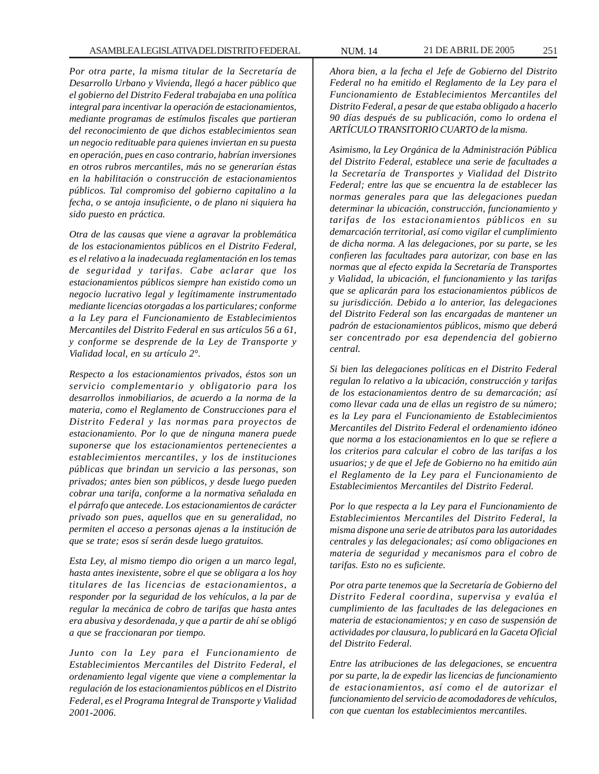*Por otra parte, la misma titular de la Secretaría de Desarrollo Urbano y Vivienda, llegó a hacer público que el gobierno del Distrito Federal trabajaba en una política integral para incentivar la operación de estacionamientos, mediante programas de estímulos fiscales que partieran del reconocimiento de que dichos establecimientos sean un negocio redituable para quienes inviertan en su puesta en operación, pues en caso contrario, habrían inversiones en otros rubros mercantiles, más no se generarían éstas en la habilitación o construcción de estacionamientos públicos. Tal compromiso del gobierno capitalino a la fecha, o se antoja insuficiente, o de plano ni siquiera ha sido puesto en práctica.*

*Otra de las causas que viene a agravar la problemática de los estacionamientos públicos en el Distrito Federal, es el relativo a la inadecuada reglamentación en los temas de seguridad y tarifas. Cabe aclarar que los estacionamientos públicos siempre han existido como un negocio lucrativo legal y legítimamente instrumentado mediante licencias otorgadas a los particulares; conforme a la Ley para el Funcionamiento de Establecimientos Mercantiles del Distrito Federal en sus artículos 56 a 61, y conforme se desprende de la Ley de Transporte y Vialidad local, en su artículo 2°.*

*Respecto a los estacionamientos privados, éstos son un servicio complementario y obligatorio para los desarrollos inmobiliarios, de acuerdo a la norma de la materia, como el Reglamento de Construcciones para el Distrito Federal y las normas para proyectos de estacionamiento. Por lo que de ninguna manera puede suponerse que los estacionamientos pertenecientes a establecimientos mercantiles, y los de instituciones públicas que brindan un servicio a las personas, son privados; antes bien son públicos, y desde luego pueden cobrar una tarifa, conforme a la normativa señalada en el párrafo que antecede. Los estacionamientos de carácter privado son pues, aquellos que en su generalidad, no permiten el acceso a personas ajenas a la institución de que se trate; esos sí serán desde luego gratuitos.*

*Esta Ley, al mismo tiempo dio origen a un marco legal, hasta antes inexistente, sobre el que se obligara a los hoy titulares de las licencias de estacionamientos, a responder por la seguridad de los vehículos, a la par de regular la mecánica de cobro de tarifas que hasta antes era abusiva y desordenada, y que a partir de ahí se obligó a que se fraccionaran por tiempo.*

*Junto con la Ley para el Funcionamiento de Establecimientos Mercantiles del Distrito Federal, el ordenamiento legal vigente que viene a complementar la regulación de los estacionamientos públicos en el Distrito Federal, es el Programa Integral de Transporte y Vialidad 2001-2006.*

*Ahora bien, a la fecha el Jefe de Gobierno del Distrito Federal no ha emitido el Reglamento de la Ley para el Funcionamiento de Establecimientos Mercantiles del Distrito Federal, a pesar de que estaba obligado a hacerlo 90 días después de su publicación, como lo ordena el ARTÍCULO TRANSITORIO CUARTO de la misma.*

*Asimismo, la Ley Orgánica de la Administración Pública del Distrito Federal, establece una serie de facultades a la Secretaría de Transportes y Vialidad del Distrito Federal; entre las que se encuentra la de establecer las normas generales para que las delegaciones puedan determinar la ubicación, construcción, funcionamiento y tarifas de los estacionamientos públicos en su demarcación territorial, así como vigilar el cumplimiento de dicha norma. A las delegaciones, por su parte, se les confieren las facultades para autorizar, con base en las normas que al efecto expida la Secretaría de Transportes y Vialidad, la ubicación, el funcionamiento y las tarifas que se aplicarán para los estacionamientos públicos de su jurisdicción. Debido a lo anterior, las delegaciones del Distrito Federal son las encargadas de mantener un padrón de estacionamientos públicos, mismo que deberá ser concentrado por esa dependencia del gobierno central.*

*Si bien las delegaciones políticas en el Distrito Federal regulan lo relativo a la ubicación, construcción y tarifas de los estacionamientos dentro de su demarcación; así como llevar cada una de ellas un registro de su número; es la Ley para el Funcionamiento de Establecimientos Mercantiles del Distrito Federal el ordenamiento idóneo que norma a los estacionamientos en lo que se refiere a los criterios para calcular el cobro de las tarifas a los usuarios; y de que el Jefe de Gobierno no ha emitido aún el Reglamento de la Ley para el Funcionamiento de Establecimientos Mercantiles del Distrito Federal.*

*Por lo que respecta a la Ley para el Funcionamiento de Establecimientos Mercantiles del Distrito Federal, la misma dispone una serie de atributos para las autoridades centrales y las delegacionales; así como obligaciones en materia de seguridad y mecanismos para el cobro de tarifas. Esto no es suficiente.*

*Por otra parte tenemos que la Secretaría de Gobierno del Distrito Federal coordina, supervisa y evalúa el cumplimiento de las facultades de las delegaciones en materia de estacionamientos; y en caso de suspensión de actividades por clausura, lo publicará en la Gaceta Oficial del Distrito Federal.*

*Entre las atribuciones de las delegaciones, se encuentra por su parte, la de expedir las licencias de funcionamiento de estacionamientos, así como el de autorizar el funcionamiento del servicio de acomodadores de vehículos, con que cuentan los establecimientos mercantiles.*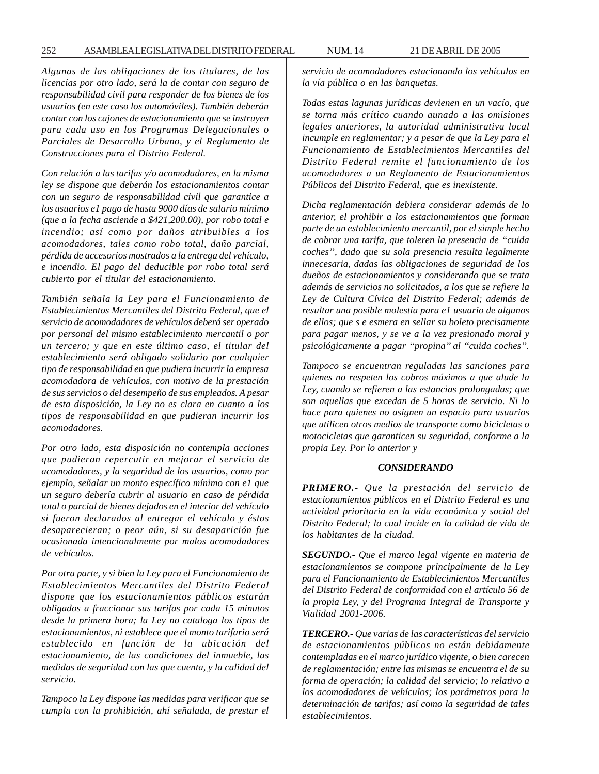*Algunas de las obligaciones de los titulares, de las licencias por otro lado, será la de contar con seguro de responsabilidad civil para responder de los bienes de los usuarios (en este caso los automóviles). También deberán contar con los cajones de estacionamiento que se instruyen para cada uso en los Programas Delegacionales o Parciales de Desarrollo Urbano, y el Reglamento de Construcciones para el Distrito Federal.*

*Con relación a las tarifas y/o acomodadores, en la misma ley se dispone que deberán los estacionamientos contar con un seguro de responsabilidad civil que garantice a los usuarios e1 pago de hasta 9000 días de salario mínimo (que a la fecha asciende a \$421,200.00), por robo total e incendio; así como por daños atribuibles a los acomodadores, tales como robo total, daño parcial, pérdida de accesorios mostrados a la entrega del vehículo, e incendio. El pago del deducible por robo total será cubierto por el titular del estacionamiento.*

*También señala la Ley para el Funcionamiento de Establecimientos Mercantiles del Distrito Federal, que el servicio de acomodadores de vehículos deberá ser operado por personal del mismo establecimiento mercantil o por un tercero; y que en este último caso, el titular del establecimiento será obligado solidario por cualquier tipo de responsabilidad en que pudiera incurrir la empresa acomodadora de vehículos, con motivo de la prestación de sus servicios o del desempeño de sus empleados. A pesar de esta disposición, la Ley no es clara en cuanto a los tipos de responsabilidad en que pudieran incurrir los acomodadores.*

*Por otro lado, esta disposición no contempla acciones que pudieran repercutir en mejorar el servicio de acomodadores, y la seguridad de los usuarios, como por ejemplo, señalar un monto específico mínimo con e1 que un seguro debería cubrir al usuario en caso de pérdida total o parcial de bienes dejados en el interior del vehículo si fueron declarados al entregar el vehículo y éstos desaparecieran; o peor aún, si su desaparición fue ocasionada intencionalmente por malos acomodadores de vehículos.*

*Por otra parte, y si bien la Ley para el Funcionamiento de Establecimientos Mercantiles del Distrito Federal dispone que los estacionamientos públicos estarán obligados a fraccionar sus tarifas por cada 15 minutos desde la primera hora; la Ley no cataloga los tipos de estacionamientos, ni establece que el monto tarifario será establecido en función de la ubicación del estacionamiento, de las condiciones del inmueble, las medidas de seguridad con las que cuenta, y la calidad del servicio.*

*Tampoco la Ley dispone las medidas para verificar que se cumpla con la prohibición, ahí señalada, de prestar el* *servicio de acomodadores estacionando los vehículos en la vía pública o en las banquetas.*

*Todas estas lagunas jurídicas devienen en un vacío, que se torna más crítico cuando aunado a las omisiones legales anteriores, la autoridad administrativa local incumple en reglamentar; y a pesar de que la Ley para el Funcionamiento de Establecimientos Mercantiles del Distrito Federal remite el funcionamiento de los acomodadores a un Reglamento de Estacionamientos Públicos del Distrito Federal, que es inexistente.*

*Dicha reglamentación debiera considerar además de lo anterior, el prohibir a los estacionamientos que forman parte de un establecimiento mercantil, por el simple hecho de cobrar una tarifa, que toleren la presencia de ''cuida coches'', dado que su sola presencia resulta legalmente innecesaria, dadas las obligaciones de seguridad de los dueños de estacionamientos y considerando que se trata además de servicios no solicitados, a los que se refiere la Ley de Cultura Cívica del Distrito Federal; además de resultar una posible molestia para e1 usuario de algunos de ellos; que s e esmera en sellar su boleto precisamente para pagar menos, y se ve a la vez presionado moral y psicológicamente a pagar ''propina'' al ''cuida coches''.*

*Tampoco se encuentran reguladas las sanciones para quienes no respeten los cobros máximos a que alude la Ley, cuando se refieren a las estancias prolongadas; que son aquellas que excedan de 5 horas de servicio. Ni lo hace para quienes no asignen un espacio para usuarios que utilicen otros medios de transporte como bicicletas o motocicletas que garanticen su seguridad, conforme a la propia Ley. Por lo anterior y*

### *CONSIDERANDO*

*PRIMERO.- Que la prestación del servicio de estacionamientos públicos en el Distrito Federal es una actividad prioritaria en la vida económica y social del Distrito Federal; la cual incide en la calidad de vida de los habitantes de la ciudad.*

*SEGUNDO.- Que el marco legal vigente en materia de estacionamientos se compone principalmente de la Ley para el Funcionamiento de Establecimientos Mercantiles del Distrito Federal de conformidad con el artículo 56 de la propia Ley, y del Programa Integral de Transporte y Vialidad 2001-2006.*

*TERCERO.- Que varias de las características del servicio de estacionamientos públicos no están debidamente contempladas en el marco jurídico vigente, o bien carecen de reglamentación; entre las mismas se encuentra el de su forma de operación; la calidad del servicio; lo relativo a los acomodadores de vehículos; los parámetros para la determinación de tarifas; así como la seguridad de tales establecimientos.*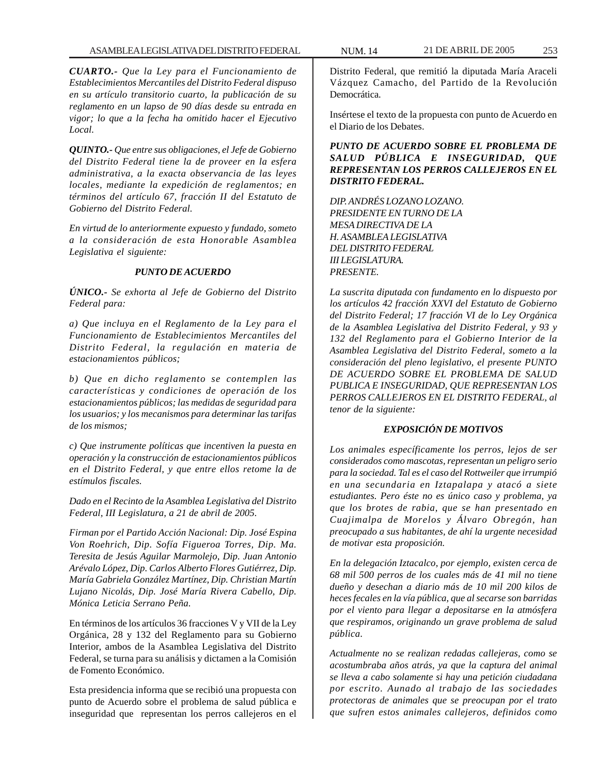*CUARTO.- Que la Ley para el Funcionamiento de Establecimientos Mercantiles del Distrito Federal dispuso en su artículo transitorio cuarto, la publicación de su reglamento en un lapso de 90 días desde su entrada en vigor; lo que a la fecha ha omitido hacer el Ejecutivo Local.*

*QUINTO.- Que entre sus obligaciones, el Jefe de Gobierno del Distrito Federal tiene la de proveer en la esfera administrativa, a la exacta observancia de las leyes locales, mediante la expedición de reglamentos; en términos del artículo 67, fracción II del Estatuto de Gobierno del Distrito Federal.*

*En virtud de lo anteriormente expuesto y fundado, someto a la consideración de esta Honorable Asamblea Legislativa el siguiente:*

# *PUNTO DE ACUERDO*

*ÚNICO.- Se exhorta al Jefe de Gobierno del Distrito Federal para:*

*a) Que incluya en el Reglamento de la Ley para el Funcionamiento de Establecimientos Mercantiles del Distrito Federal, la regulación en materia de estacionamientos públicos;*

*b) Que en dicho reglamento se contemplen las características y condiciones de operación de los estacionamientos públicos; las medidas de seguridad para los usuarios; y los mecanismos para determinar las tarifas de los mismos;*

*c) Que instrumente políticas que incentiven la puesta en operación y la construcción de estacionamientos públicos en el Distrito Federal, y que entre ellos retome la de estímulos fiscales.*

*Dado en el Recinto de la Asamblea Legislativa del Distrito Federal, III Legislatura, a 21 de abril de 2005.*

*Firman por el Partido Acción Nacional: Dip. José Espina Von Roehrich, Dip. Sofía Figueroa Torres, Dip. Ma. Teresita de Jesús Aguilar Marmolejo, Dip. Juan Antonio Arévalo López, Dip. Carlos Alberto Flores Gutiérrez, Dip. María Gabriela González Martínez, Dip. Christian Martín Lujano Nicolás, Dip. José María Rivera Cabello, Dip. Mónica Leticia Serrano Peña.*

En términos de los artículos 36 fracciones V y VII de la Ley Orgánica, 28 y 132 del Reglamento para su Gobierno Interior, ambos de la Asamblea Legislativa del Distrito Federal, se turna para su análisis y dictamen a la Comisión de Fomento Económico.

Esta presidencia informa que se recibió una propuesta con punto de Acuerdo sobre el problema de salud pública e inseguridad que representan los perros callejeros en el

Distrito Federal, que remitió la diputada María Araceli Vázquez Camacho, del Partido de la Revolución Democrática.

Insértese el texto de la propuesta con punto de Acuerdo en el Diario de los Debates.

*PUNTO DE ACUERDO SOBRE EL PROBLEMA DE SALUD PÚBLICA E INSEGURIDAD, QUE REPRESENTAN LOS PERROS CALLEJEROS EN EL DISTRITO FEDERAL.*

*DIP. ANDRÉS LOZANO LOZANO. PRESIDENTE EN TURNO DE LA MESA DIRECTIVA DE LA H. ASAMBLEA LEGISLATIVA DEL DISTRITO FEDERAL III LEGISLATURA. PRESENTE.*

*La suscrita diputada con fundamento en lo dispuesto por los artículos 42 fracción XXVI del Estatuto de Gobierno del Distrito Federal; 17 fracción VI de lo Ley Orgánica de la Asamblea Legislativa del Distrito Federal, y 93 y 132 del Reglamento para el Gobierno Interior de la Asamblea Legislativa del Distrito Federal, someto a la consideración del pleno legislativo, el presente PUNTO DE ACUERDO SOBRE EL PROBLEMA DE SALUD PUBLICA E INSEGURIDAD, QUE REPRESENTAN LOS PERROS CALLEJEROS EN EL DISTRITO FEDERAL, al tenor de la siguiente:*

## *EXPOSICIÓN DE MOTIVOS*

*Los animales específicamente los perros, lejos de ser considerados como mascotas, representan un peligro serio para la sociedad. Tal es el caso del Rottweiler que irrumpió en una secundaria en Iztapalapa y atacó a siete estudiantes. Pero éste no es único caso y problema, ya que los brotes de rabia, que se han presentado en Cuajimalpa de Morelos y Álvaro Obregón, han preocupado a sus habitantes, de ahí la urgente necesidad de motivar esta proposición.*

*En la delegación Iztacalco, por ejemplo, existen cerca de 68 mil 500 perros de los cuales más de 41 mil no tiene dueño y desechan a diario más de 10 mil 200 kilos de heces fecales en la vía pública, que al secarse son barridas por el viento para llegar a depositarse en la atmósfera que respiramos, originando un grave problema de salud pública.*

*Actualmente no se realizan redadas callejeras, como se acostumbraba años atrás, ya que la captura del animal se lleva a cabo solamente si hay una petición ciudadana por escrito. Aunado al trabajo de las sociedades protectoras de animales que se preocupan por el trato que sufren estos animales callejeros, definidos como*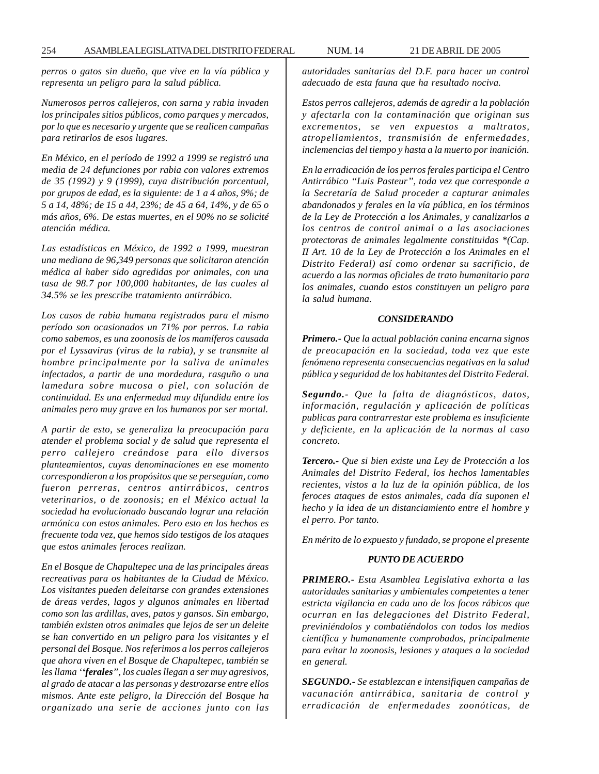*perros o gatos sin dueño, que vive en la vía pública y representa un peligro para la salud pública.*

*Numerosos perros callejeros, con sarna y rabia invaden los principales sitios públicos, como parques y mercados, por lo que es necesario y urgente que se realicen campañas para retirarlos de esos lugares.*

*En México, en el período de 1992 a 1999 se registró una media de 24 defunciones por rabia con valores extremos de 35 (1992) y 9 (1999), cuya distribución porcentual, por grupos de edad, es la siguiente: de 1 a 4 años, 9%; de 5 a 14, 48%; de 15 a 44, 23%; de 45 a 64, 14%, y de 65 o más años, 6%. De estas muertes, en el 90% no se solicité atención médica.*

*Las estadísticas en México, de 1992 a 1999, muestran una mediana de 96,349 personas que solicitaron atención médica al haber sido agredidas por animales, con una tasa de 98.7 por 100,000 habitantes, de las cuales al 34.5% se les prescribe tratamiento antirrábico.*

*Los casos de rabia humana registrados para el mismo período son ocasionados un 71% por perros. La rabia como sabemos, es una zoonosis de los mamíferos causada por el Lyssavirus (virus de la rabia), y se transmite al hombre principalmente por la saliva de animales infectados, a partir de una mordedura, rasguño o una lamedura sobre mucosa o piel, con solución de continuidad. Es una enfermedad muy difundida entre los animales pero muy grave en los humanos por ser mortal.*

*A partir de esto, se generaliza la preocupación para atender el problema social y de salud que representa el perro callejero creándose para ello diversos planteamientos, cuyas denominaciones en ese momento correspondieron a los propósitos que se perseguían, como fueron perreras, centros antirrábicos, centros veterinarios, o de zoonosis; en el México actual la sociedad ha evolucionado buscando lograr una relación armónica con estos animales. Pero esto en los hechos es frecuente toda vez, que hemos sido testigos de los ataques que estos animales feroces realizan.*

*En el Bosque de Chapultepec una de las principales áreas recreativas para os habitantes de la Ciudad de México. Los visitantes pueden deleitarse con grandes extensiones de áreas verdes, lagos y algunos animales en libertad como son las ardillas, aves, patos y gansos. Sin embargo, también existen otros animales que lejos de ser un deleite se han convertido en un peligro para los visitantes y el personal del Bosque. Nos referimos a los perros callejeros que ahora viven en el Bosque de Chapultepec, también se les llama ''ferales'', los cuales llegan a ser muy agresivos, al grado de atacar a las personas y destrozarse entre ellos mismos. Ante este peligro, la Dirección del Bosque ha organizado una serie de acciones junto con las* *autoridades sanitarias del D.F. para hacer un control adecuado de esta fauna que ha resultado nociva.*

*Estos perros callejeros, además de agredir a la población y afectarla con la contaminación que originan sus excrementos, se ven expuestos a maltratos, atropellamientos, transmisión de enfermedades, inclemencias del tiempo y hasta a la muerto por inanición.*

*En la erradicación de los perros ferales participa el Centro Antirrábico ''Luis Pasteur'', toda vez que corresponde a la Secretaría de Salud proceder a capturar animales abandonados y ferales en la vía pública, en los términos de la Ley de Protección a los Animales, y canalizarlos a los centros de control animal o a las asociaciones protectoras de animales legalmente constituidas \*(Cap. II Art. 10 de la Ley de Protección a los Animales en el Distrito Federal) así como ordenar su sacrificio, de acuerdo a las normas oficiales de trato humanitario para los animales, cuando estos constituyen un peligro para la salud humana.*

#### *CONSIDERANDO*

*Primero.- Que la actual población canina encarna signos de preocupación en la sociedad, toda vez que este fenómeno representa consecuencias negativas en la salud pública y seguridad de los habitantes del Distrito Federal.*

*Segundo.- Que la falta de diagnósticos, datos, información, regulación y aplicación de políticas publicas para contrarrestar este problema es insuficiente y deficiente, en la aplicación de la normas al caso concreto.*

*Tercero.- Que si bien existe una Ley de Protección a los Animales del Distrito Federal, los hechos lamentables recientes, vistos a la luz de la opinión pública, de los feroces ataques de estos animales, cada día suponen el hecho y la idea de un distanciamiento entre el hombre y el perro. Por tanto.*

*En mérito de lo expuesto y fundado, se propone el presente*

## *PUNTO DE ACUERDO*

*PRIMERO.- Esta Asamblea Legislativa exhorta a las autoridades sanitarias y ambientales competentes a tener estricta vigilancia en cada uno de los focos rábicos que ocurran en las delegaciones del Distrito Federal, previniéndolos y combatiéndolos con todos los medios científica y humanamente comprobados, principalmente para evitar la zoonosis, lesiones y ataques a la sociedad en general.*

*SEGUNDO.- Se establezcan e intensifiquen campañas de vacunación antirrábica, sanitaria de control y erradicación de enfermedades zoonóticas, de*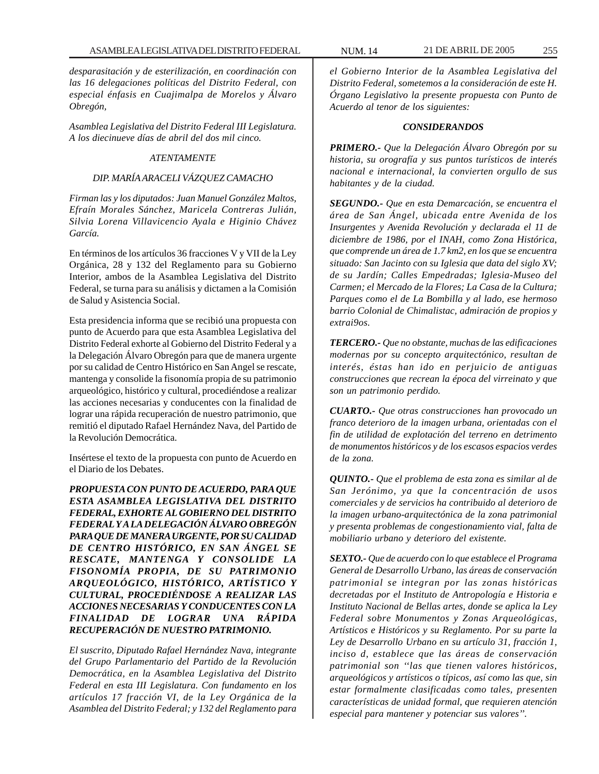*desparasitación y de esterilización, en coordinación con las 16 delegaciones políticas del Distrito Federal, con especial énfasis en Cuajimalpa de Morelos y Álvaro Obregón,*

*Asamblea Legislativa del Distrito Federal III Legislatura. A los diecinueve días de abril del dos mil cinco.*

## *ATENTAMENTE*

# *DIP. MARÍA ARACELI VÁZQUEZ CAMACHO*

*Firman las y los diputados: Juan Manuel González Maltos, Efraín Morales Sánchez, Maricela Contreras Julián, Silvia Lorena Villavicencio Ayala e Higinio Chávez García.*

En términos de los artículos 36 fracciones V y VII de la Ley Orgánica, 28 y 132 del Reglamento para su Gobierno Interior, ambos de la Asamblea Legislativa del Distrito Federal, se turna para su análisis y dictamen a la Comisión de Salud y Asistencia Social.

Esta presidencia informa que se recibió una propuesta con punto de Acuerdo para que esta Asamblea Legislativa del Distrito Federal exhorte al Gobierno del Distrito Federal y a la Delegación Álvaro Obregón para que de manera urgente por su calidad de Centro Histórico en San Angel se rescate, mantenga y consolide la fisonomía propia de su patrimonio arqueológico, histórico y cultural, procediéndose a realizar las acciones necesarias y conducentes con la finalidad de lograr una rápida recuperación de nuestro patrimonio, que remitió el diputado Rafael Hernández Nava, del Partido de la Revolución Democrática.

Insértese el texto de la propuesta con punto de Acuerdo en el Diario de los Debates.

*PROPUESTA CON PUNTO DE ACUERDO, PARA QUE ESTA ASAMBLEA LEGISLATIVA DEL DISTRITO FEDERAL, EXHORTE AL GOBIERNO DEL DISTRITO FEDERAL Y A LA DELEGACIÓN ÁLVARO OBREGÓN PARA QUE DE MANERA URGENTE, POR SU CALIDAD DE CENTRO HISTÓRICO, EN SAN ÁNGEL SE RESCATE, MANTENGA Y CONSOLIDE LA FISONOMÍA PROPIA, DE SU PATRIMONIO ARQUEOLÓGICO, HISTÓRICO, ARTÍSTICO Y CULTURAL, PROCEDIÉNDOSE A REALIZAR LAS ACCIONES NECESARIAS Y CONDUCENTES CON LA FINALIDAD DE LOGRAR UNA RÁPIDA RECUPERACIÓN DE NUESTRO PATRIMONIO.*

*El suscrito, Diputado Rafael Hernández Nava, integrante del Grupo Parlamentario del Partido de la Revolución Democrática, en la Asamblea Legislativa del Distrito Federal en esta III Legislatura. Con fundamento en los artículos 17 fracción VI, de la Ley Orgánica de la Asamblea del Distrito Federal; y 132 del Reglamento para*

*el Gobierno Interior de la Asamblea Legislativa del Distrito Federal, sometemos a la consideración de este H. Órgano Legislativo la presente propuesta con Punto de Acuerdo al tenor de los siguientes:*

#### *CONSIDERANDOS*

*PRIMERO.- Que la Delegación Álvaro Obregón por su historia, su orografía y sus puntos turísticos de interés nacional e internacional, la convierten orgullo de sus habitantes y de la ciudad.*

*SEGUNDO.- Que en esta Demarcación, se encuentra el área de San Ángel, ubicada entre Avenida de los Insurgentes y Avenida Revolución y declarada el 11 de diciembre de 1986, por el INAH, como Zona Histórica, que comprende un área de 1.7 km2, en los que se encuentra situado: San Jacinto con su Iglesia que data del siglo XV; de su Jardín; Calles Empedradas; Iglesia-Museo del Carmen; el Mercado de la Flores; La Casa de la Cultura; Parques como el de La Bombilla y al lado, ese hermoso barrio Colonial de Chimalistac, admiración de propios y extrai9os.*

*TERCERO.- Que no obstante, muchas de las edificaciones modernas por su concepto arquitectónico, resultan de interés, éstas han ido en perjuicio de antiguas construcciones que recrean la época del virreinato y que son un patrimonio perdido.*

*CUARTO.- Que otras construcciones han provocado un franco deterioro de la imagen urbana, orientadas con el fin de utilidad de explotación del terreno en detrimento de monumentos históricos y de los escasos espacios verdes de la zona.*

*QUINTO.- Que el problema de esta zona es similar al de San Jerónimo, ya que la concentración de usos comerciales y de servicios ha contribuido al deterioro de la imagen urbano-arquitectónica de la zona patrimonial y presenta problemas de congestionamiento vial, falta de mobiliario urbano y deterioro del existente.*

*SEXTO.- Que de acuerdo con lo que establece el Programa General de Desarrollo Urbano, las áreas de conservación patrimonial se integran por las zonas históricas decretadas por el Instituto de Antropología e Historia e Instituto Nacional de Bellas artes, donde se aplica la Ley Federal sobre Monumentos y Zonas Arqueológicas, Artísticos e Históricos y su Reglamento. Por su parte la Ley de Desarrollo Urbano en su artículo 31, fracción 1, inciso d, establece que las áreas de conservación patrimonial son ''las que tienen valores históricos, arqueológicos y artísticos o típicos, así como las que, sin estar formalmente clasificadas como tales, presenten características de unidad formal, que requieren atención especial para mantener y potenciar sus valores''.*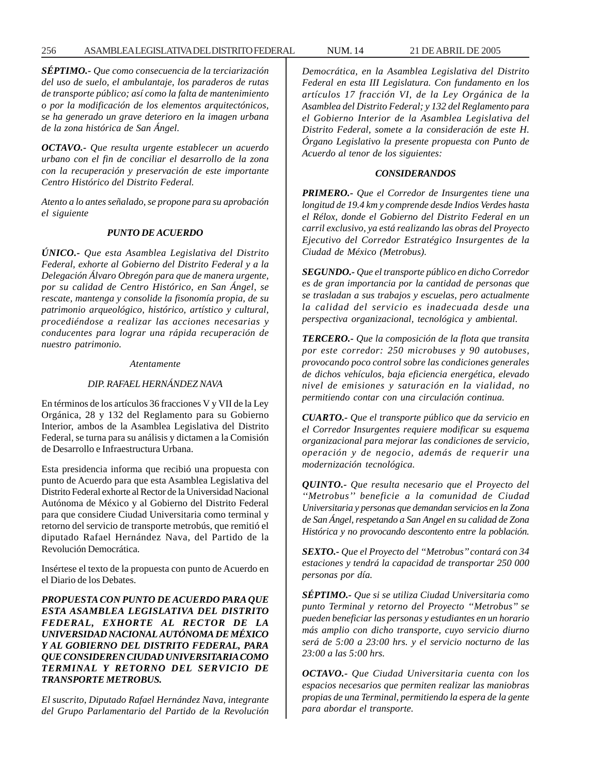## 256 ASAMBLEA LEGISLATIVA DEL DISTRITO FEDERAL NUM. 14 21 DE ABRIL DE 2005

*SÉPTIMO.- Que como consecuencia de la terciarización del uso de suelo, el ambulantaje, los paraderos de rutas de transporte público; así como la falta de mantenimiento o por la modificación de los elementos arquitectónicos, se ha generado un grave deterioro en la imagen urbana de la zona histórica de San Ángel.*

*OCTAVO.- Que resulta urgente establecer un acuerdo urbano con el fin de conciliar el desarrollo de la zona con la recuperación y preservación de este importante Centro Histórico del Distrito Federal.*

*Atento a lo antes señalado, se propone para su aprobación el siguiente*

# *PUNTO DE ACUERDO*

*ÚNICO.- Que esta Asamblea Legislativa del Distrito Federal, exhorte al Gobierno del Distrito Federal y a la Delegación Álvaro Obregón para que de manera urgente, por su calidad de Centro Histórico, en San Ángel, se rescate, mantenga y consolide la fisonomía propia, de su patrimonio arqueológico, histórico, artístico y cultural, procediéndose a realizar las acciones necesarias y conducentes para lograr una rápida recuperación de nuestro patrimonio.*

#### *Atentamente*

## *DIP. RAFAEL HERNÁNDEZ NAVA*

En términos de los artículos 36 fracciones V y VII de la Ley Orgánica, 28 y 132 del Reglamento para su Gobierno Interior, ambos de la Asamblea Legislativa del Distrito Federal, se turna para su análisis y dictamen a la Comisión de Desarrollo e Infraestructura Urbana.

Esta presidencia informa que recibió una propuesta con punto de Acuerdo para que esta Asamblea Legislativa del Distrito Federal exhorte al Rector de la Universidad Nacional Autónoma de México y al Gobierno del Distrito Federal para que considere Ciudad Universitaria como terminal y retorno del servicio de transporte metrobús, que remitió el diputado Rafael Hernández Nava, del Partido de la Revolución Democrática.

Insértese el texto de la propuesta con punto de Acuerdo en el Diario de los Debates.

*PROPUESTA CON PUNTO DE ACUERDO PARA QUE ESTA ASAMBLEA LEGISLATIVA DEL DISTRITO FEDERAL, EXHORTE AL RECTOR DE LA UNIVERSIDAD NACIONAL AUTÓNOMA DE MÉXICO Y AL GOBIERNO DEL DISTRITO FEDERAL, PARA QUE CONSIDEREN CIUDAD UNIVERSITARIA COMO TERMINAL Y RETORNO DEL SERVICIO DE TRANSPORTE METROBUS.*

*El suscrito, Diputado Rafael Hernández Nava, integrante del Grupo Parlamentario del Partido de la Revolución* *Democrática, en la Asamblea Legislativa del Distrito Federal en esta III Legislatura. Con fundamento en los artículos 17 fracción VI, de la Ley Orgánica de la Asamblea del Distrito Federal; y 132 del Reglamento para el Gobierno Interior de la Asamblea Legislativa del Distrito Federal, somete a la consideración de este H. Órgano Legislativo la presente propuesta con Punto de Acuerdo al tenor de los siguientes:*

## *CONSIDERANDOS*

*PRIMERO.- Que el Corredor de Insurgentes tiene una longitud de 19.4 km y comprende desde Indios Verdes hasta el Rélox, donde el Gobierno del Distrito Federal en un carril exclusivo, ya está realizando las obras del Proyecto Ejecutivo del Corredor Estratégico Insurgentes de la Ciudad de México (Metrobus).*

*SEGUNDO.- Que el transporte público en dicho Corredor es de gran importancia por la cantidad de personas que se trasladan a sus trabajos y escuelas, pero actualmente la calidad del servicio es inadecuada desde una perspectiva organizacional, tecnológica y ambiental.*

*TERCERO.- Que la composición de la flota que transita por este corredor: 250 microbuses y 90 autobuses, provocando poco control sobre las condiciones generales de dichos vehículos, baja eficiencia energética, elevado nivel de emisiones y saturación en la vialidad, no permitiendo contar con una circulación continua.*

*CUARTO.- Que el transporte público que da servicio en el Corredor Insurgentes requiere modificar su esquema organizacional para mejorar las condiciones de servicio, operación y de negocio, además de requerir una modernización tecnológica.*

*QUINTO.- Que resulta necesario que el Proyecto del ''Metrobus'' beneficie a la comunidad de Ciudad Universitaria y personas que demandan servicios en la Zona de San Ángel, respetando a San Angel en su calidad de Zona Histórica y no provocando descontento entre la población.*

*SEXTO.- Que el Proyecto del ''Metrobus'' contará con 34 estaciones y tendrá la capacidad de transportar 250 000 personas por día.*

*SÉPTIMO.- Que si se utiliza Ciudad Universitaria como punto Terminal y retorno del Proyecto ''Metrobus'' se pueden beneficiar las personas y estudiantes en un horario más amplio con dicho transporte, cuyo servicio diurno será de 5:00 a 23:00 hrs. y el servicio nocturno de las 23:00 a las 5:00 hrs.*

*OCTAVO.- Que Ciudad Universitaria cuenta con los espacios necesarios que permiten realizar las maniobras propias de una Terminal, permitiendo la espera de la gente para abordar el transporte.*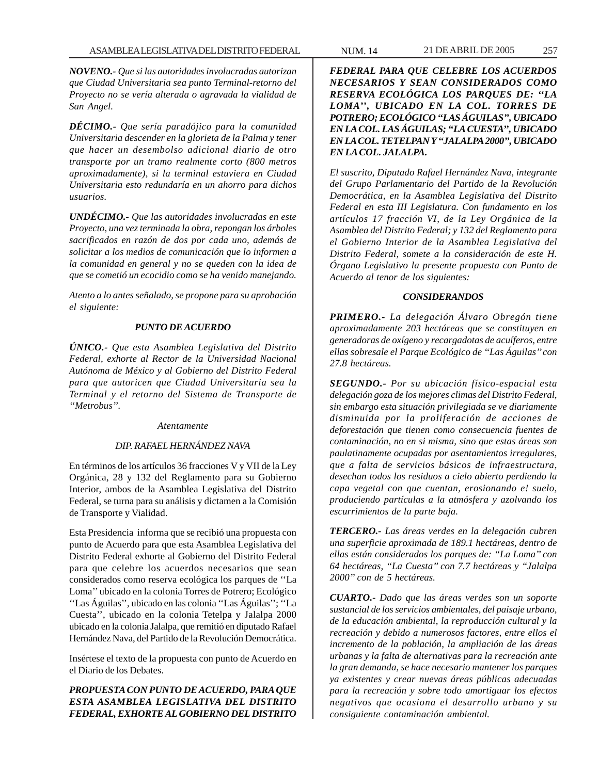*NOVENO.- Que si las autoridades involucradas autorizan que Ciudad Universitaria sea punto Terminal-retorno del Proyecto no se vería alterada o agravada la vialidad de San Angel.*

*DÉCIMO.- Que sería paradójico para la comunidad Universitaria descender en la glorieta de la Palma y tener que hacer un desembolso adicional diario de otro transporte por un tramo realmente corto (800 metros aproximadamente), si la terminal estuviera en Ciudad Universitaria esto redundaría en un ahorro para dichos usuarios.*

*UNDÉCIMO.- Que las autoridades involucradas en este Proyecto, una vez terminada la obra, repongan los árboles sacrificados en razón de dos por cada uno, además de solicitar a los medios de comunicación que lo informen a la comunidad en general y no se queden con la idea de que se cometió un ecocidio como se ha venido manejando.*

*Atento a lo antes señalado, se propone para su aprobación el siguiente:*

## *PUNTO DE ACUERDO*

*ÚNICO.- Que esta Asamblea Legislativa del Distrito Federal, exhorte al Rector de la Universidad Nacional Autónoma de México y al Gobierno del Distrito Federal para que autoricen que Ciudad Universitaria sea la Terminal y el retorno del Sistema de Transporte de ''Metrobus''.*

## *Atentamente*

## *DIP. RAFAEL HERNÁNDEZ NAVA*

En términos de los artículos 36 fracciones V y VII de la Ley Orgánica, 28 y 132 del Reglamento para su Gobierno Interior, ambos de la Asamblea Legislativa del Distrito Federal, se turna para su análisis y dictamen a la Comisión de Transporte y Vialidad.

Esta Presidencia informa que se recibió una propuesta con punto de Acuerdo para que esta Asamblea Legislativa del Distrito Federal exhorte al Gobierno del Distrito Federal para que celebre los acuerdos necesarios que sean considerados como reserva ecológica los parques de ''La Loma'' ubicado en la colonia Torres de Potrero; Ecológico ''Las Águilas'', ubicado en las colonia ''Las Águilas''; ''La Cuesta'', ubicado en la colonia Tetelpa y Jalalpa 2000 ubicado en la colonia Jalalpa, que remitió en diputado Rafael Hernández Nava, del Partido de la Revolución Democrática.

Insértese el texto de la propuesta con punto de Acuerdo en el Diario de los Debates.

# *PROPUESTA CON PUNTO DE ACUERDO, PARA QUE ESTA ASAMBLEA LEGISLATIVA DEL DISTRITO FEDERAL, EXHORTE AL GOBIERNO DEL DISTRITO*

*FEDERAL PARA QUE CELEBRE LOS ACUERDOS NECESARIOS Y SEAN CONSIDERADOS COMO RESERVA ECOLÓGICA LOS PARQUES DE: ''LA LOMA'', UBICADO EN LA COL. TORRES DE POTRERO; ECOLÓGICO ''LAS ÁGUILAS'', UBICADO EN LA COL. LAS ÁGUILAS; ''LA CUESTA'', UBICADO EN LA COL. TETELPAN Y ''JALALPA 2000'', UBICADO EN LA COL. JALALPA.*

*El suscrito, Diputado Rafael Hernández Nava, integrante del Grupo Parlamentario del Partido de la Revolución Democrática, en la Asamblea Legislativa del Distrito Federal en esta III Legislatura. Con fundamento en los artículos 17 fracción VI, de la Ley Orgánica de la Asamblea del Distrito Federal; y 132 del Reglamento para el Gobierno Interior de la Asamblea Legislativa del Distrito Federal, somete a la consideración de este H. Órgano Legislativo la presente propuesta con Punto de Acuerdo al tenor de los siguientes:*

## *CONSIDERANDOS*

*PRIMERO.- La delegación Álvaro Obregón tiene aproximadamente 203 hectáreas que se constituyen en generadoras de oxígeno y recargadotas de acuíferos, entre ellas sobresale el Parque Ecológico de ''Las Águilas'' con 27.8 hectáreas.*

*SEGUNDO.- Por su ubicación físico-espacial esta delegación goza de los mejores climas del Distrito Federal, sin embargo esta situación privilegiada se ve diariamente disminuida por la proliferación de acciones de deforestación que tienen como consecuencia fuentes de contaminación, no en si misma, sino que estas áreas son paulatinamente ocupadas por asentamientos irregulares, que a falta de servicios básicos de infraestructura, desechan todos los residuos a cielo abierto perdiendo la capa vegetal con que cuentan, erosionando e! suelo, produciendo partículas a la atmósfera y azolvando los escurrimientos de la parte baja.*

*TERCERO.- Las áreas verdes en la delegación cubren una superficie aproximada de 189.1 hectáreas, dentro de ellas están considerados los parques de: ''La Loma'' con 64 hectáreas, ''La Cuesta'' con 7.7 hectáreas y ''Jalalpa 2000'' con de 5 hectáreas.*

*CUARTO.- Dado que las áreas verdes son un soporte sustancial de los servicios ambientales, del paisaje urbano, de la educación ambiental, la reproducción cultural y la recreación y debido a numerosos factores, entre ellos el incremento de la población, la ampliación de las áreas urbanas y la falta de alternativas para la recreación ante la gran demanda, se hace necesario mantener los parques ya existentes y crear nuevas áreas públicas adecuadas para la recreación y sobre todo amortiguar los efectos negativos que ocasiona el desarrollo urbano y su consiguiente contaminación ambiental.*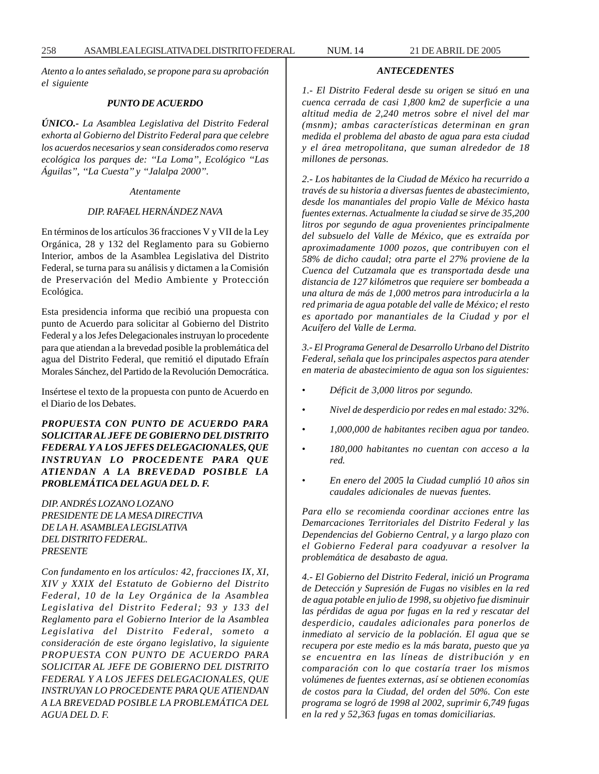*Atento a lo antes señalado, se propone para su aprobación el siguiente*

#### *PUNTO DE ACUERDO*

*ÚNICO.- La Asamblea Legislativa del Distrito Federal exhorta al Gobierno del Distrito Federal para que celebre los acuerdos necesarios y sean considerados como reserva ecológica los parques de: ''La Loma'', Ecológico ''Las Águilas'', ''La Cuesta'' y ''Jalalpa 2000''.*

*Atentamente*

#### *DIP. RAFAEL HERNÁNDEZ NAVA*

En términos de los artículos 36 fracciones V y VII de la Ley Orgánica, 28 y 132 del Reglamento para su Gobierno Interior, ambos de la Asamblea Legislativa del Distrito Federal, se turna para su análisis y dictamen a la Comisión de Preservación del Medio Ambiente y Protección Ecológica.

Esta presidencia informa que recibió una propuesta con punto de Acuerdo para solicitar al Gobierno del Distrito Federal y a los Jefes Delegacionales instruyan lo procedente para que atiendan a la brevedad posible la problemática del agua del Distrito Federal, que remitió el diputado Efraín Morales Sánchez, del Partido de la Revolución Democrática.

Insértese el texto de la propuesta con punto de Acuerdo en el Diario de los Debates.

*PROPUESTA CON PUNTO DE ACUERDO PARA SOLICITAR AL JEFE DE GOBIERNO DEL DISTRITO FEDERAL Y A LOS JEFES DELEGACIONALES, QUE INSTRUYAN LO PROCEDENTE PARA QUE ATIENDAN A LA BREVEDAD POSIBLE LA PROBLEMÁTICA DEL AGUA DEL D. F.*

*DIP. ANDRÉS LOZANO LOZANO PRESIDENTE DE LA MESA DIRECTIVA DE LA H. ASAMBLEA LEGISLATIVA DEL DISTRITO FEDERAL. PRESENTE*

*Con fundamento en los artículos: 42, fracciones IX, XI, XIV y XXIX del Estatuto de Gobierno del Distrito Federal, 10 de la Ley Orgánica de la Asamblea Legislativa del Distrito Federal; 93 y 133 del Reglamento para el Gobierno Interior de la Asamblea Legislativa del Distrito Federal, someto a consideración de este órgano legislativo, la siguiente PROPUESTA CON PUNTO DE ACUERDO PARA SOLICITAR AL JEFE DE GOBIERNO DEL DISTRITO FEDERAL Y A LOS JEFES DELEGACIONALES, QUE INSTRUYAN LO PROCEDENTE PARA QUE ATIENDAN A LA BREVEDAD POSIBLE LA PROBLEMÁTICA DEL AGUA DEL D. F.*

*ANTECEDENTES*

*1.- El Distrito Federal desde su origen se situó en una cuenca cerrada de casi 1,800 km2 de superficie a una altitud media de 2,240 metros sobre el nivel del mar (msnm); ambas características determinan en gran medida el problema del abasto de agua para esta ciudad y el área metropolitana, que suman alrededor de 18 millones de personas.*

*2.- Los habitantes de la Ciudad de México ha recurrido a través de su historia a diversas fuentes de abastecimiento, desde los manantiales del propio Valle de México hasta fuentes externas. Actualmente la ciudad se sirve de 35,200 litros por segundo de agua provenientes principalmente del subsuelo del Valle de México, que es extraída por aproximadamente 1000 pozos, que contribuyen con el 58% de dicho caudal; otra parte el 27% proviene de la Cuenca del Cutzamala que es transportada desde una distancia de 127 kilómetros que requiere ser bombeada a una altura de más de 1,000 metros para introducirla a la red primaria de agua potable del valle de México; el resto es aportado por manantiales de la Ciudad y por el Acuífero del Valle de Lerma.*

*3.- El Programa General de Desarrollo Urbano del Distrito Federal, señala que los principales aspectos para atender en materia de abastecimiento de agua son los siguientes:*

- *Déficit de 3,000 litros por segundo.*
- *Nivel de desperdicio por redes en mal estado: 32%.*
- *1,000,000 de habitantes reciben agua por tandeo.*
- *180,000 habitantes no cuentan con acceso a la red.*
- *En enero del 2005 la Ciudad cumplió 10 años sin caudales adicionales de nuevas fuentes.*

*Para ello se recomienda coordinar acciones entre las Demarcaciones Territoriales del Distrito Federal y las Dependencias del Gobierno Central, y a largo plazo con el Gobierno Federal para coadyuvar a resolver la problemática de desabasto de agua.*

*4.- El Gobierno del Distrito Federal, inició un Programa de Detección y Supresión de Fugas no visibles en la red de agua potable en julio de 1998, su objetivo fue disminuir las pérdidas de agua por fugas en la red y rescatar del desperdicio, caudales adicionales para ponerlos de inmediato al servicio de la población. El agua que se recupera por este medio es la más barata, puesto que ya se encuentra en las líneas de distribución y en comparación con lo que costaría traer los mismos volúmenes de fuentes externas, así se obtienen economías de costos para la Ciudad, del orden del 50%. Con este programa se logró de 1998 al 2002, suprimir 6,749 fugas en la red y 52,363 fugas en tomas domiciliarias.*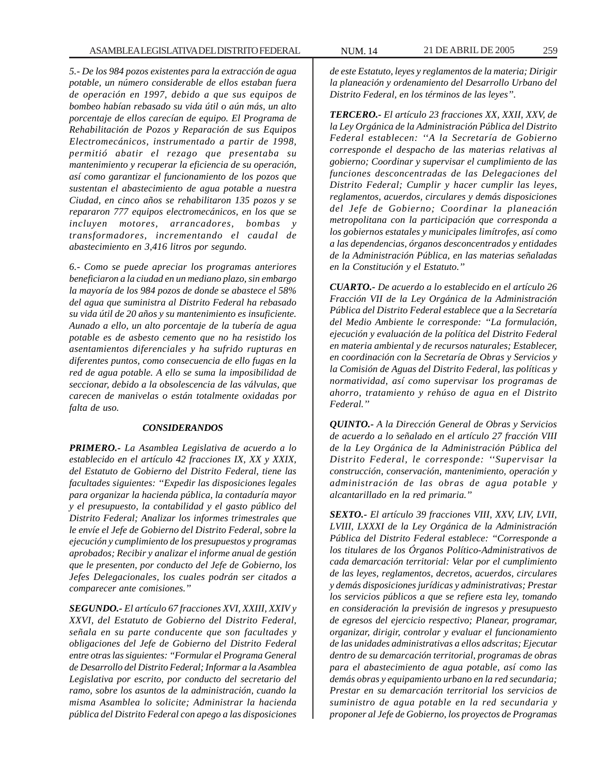*5.- De los 984 pozos existentes para la extracción de agua potable, un número considerable de ellos estaban fuera de operación en 1997, debido a que sus equipos de bombeo habían rebasado su vida útil o aún más, un alto porcentaje de ellos carecían de equipo. El Programa de Rehabilitación de Pozos y Reparación de sus Equipos Electromecánicos, instrumentado a partir de 1998, permitió abatir el rezago que presentaba su mantenimiento y recuperar la eficiencia de su operación, así como garantizar el funcionamiento de los pozos que sustentan el abastecimiento de agua potable a nuestra Ciudad, en cinco años se rehabilitaron 135 pozos y se repararon 777 equipos electromecánicos, en los que se incluyen motores, arrancadores, bombas y transformadores, incrementando el caudal de abastecimiento en 3,416 litros por segundo.*

*6.- Como se puede apreciar los programas anteriores beneficiaron a la ciudad en un mediano plazo, sin embargo la mayoría de los 984 pozos de donde se abastece el 58% del agua que suministra al Distrito Federal ha rebasado su vida útil de 20 años y su mantenimiento es insuficiente. Aunado a ello, un alto porcentaje de la tubería de agua potable es de asbesto cemento que no ha resistido los asentamientos diferenciales y ha sufrido rupturas en diferentes puntos, como consecuencia de ello fugas en la red de agua potable. A ello se suma la imposibilidad de seccionar, debido a la obsolescencia de las válvulas, que carecen de manivelas o están totalmente oxidadas por falta de uso.*

#### *CONSIDERANDOS*

*PRIMERO.- La Asamblea Legislativa de acuerdo a lo establecido en el artículo 42 fracciones IX, XX y XXIX, del Estatuto de Gobierno del Distrito Federal, tiene las facultades siguientes: ''Expedir las disposiciones legales para organizar la hacienda pública, la contaduría mayor y el presupuesto, la contabilidad y el gasto público del Distrito Federal; Analizar los informes trimestrales que le envíe el Jefe de Gobierno del Distrito Federal, sobre la ejecución y cumplimiento de los presupuestos y programas aprobados; Recibir y analizar el informe anual de gestión que le presenten, por conducto del Jefe de Gobierno, los Jefes Delegacionales, los cuales podrán ser citados a comparecer ante comisiones.''*

*SEGUNDO.- El artículo 67 fracciones XVI, XXIII, XXIV y XXVI, del Estatuto de Gobierno del Distrito Federal, señala en su parte conducente que son facultades y obligaciones del Jefe de Gobierno del Distrito Federal entre otras las siguientes: ''Formular el Programa General de Desarrollo del Distrito Federal; Informar a la Asamblea Legislativa por escrito, por conducto del secretario del ramo, sobre los asuntos de la administración, cuando la misma Asamblea lo solicite; Administrar la hacienda pública del Distrito Federal con apego a las disposiciones*

*de este Estatuto, leyes y reglamentos de la materia; Dirigir la planeación y ordenamiento del Desarrollo Urbano del Distrito Federal, en los términos de las leyes''.*

*TERCERO.- El artículo 23 fracciones XX, XXII, XXV, de la Ley Orgánica de la Administración Pública del Distrito Federal establecen: ''A la Secretaría de Gobierno corresponde el despacho de las materias relativas al gobierno; Coordinar y supervisar el cumplimiento de las funciones desconcentradas de las Delegaciones del Distrito Federal; Cumplir y hacer cumplir las leyes, reglamentos, acuerdos, circulares y demás disposiciones del Jefe de Gobierno; Coordinar la planeación metropolitana con la participación que corresponda a los gobiernos estatales y municipales limítrofes, así como a las dependencias, órganos desconcentrados y entidades de la Administración Pública, en las materias señaladas en la Constitución y el Estatuto.''*

*CUARTO.- De acuerdo a lo establecido en el artículo 26 Fracción VII de la Ley Orgánica de la Administración Pública del Distrito Federal establece que a la Secretaría del Medio Ambiente le corresponde: ''La formulación, ejecución y evaluación de la política del Distrito Federal en materia ambiental y de recursos naturales; Establecer, en coordinación con la Secretaría de Obras y Servicios y la Comisión de Aguas del Distrito Federal, las políticas y normatividad, así como supervisar los programas de ahorro, tratamiento y rehúso de agua en el Distrito Federal.''*

*QUINTO.- A la Dirección General de Obras y Servicios de acuerdo a lo señalado en el artículo 27 fracción VIII de la Ley Orgánica de la Administración Pública del Distrito Federal, le corresponde: ''Supervisar la construcción, conservación, mantenimiento, operación y administración de las obras de agua potable y alcantarillado en la red primaria.''*

*SEXTO.- El artículo 39 fracciones VIII, XXV, LIV, LVII, LVIII, LXXXI de la Ley Orgánica de la Administración Pública del Distrito Federal establece: ''Corresponde a los titulares de los Órganos Político-Administrativos de cada demarcación territorial: Velar por el cumplimiento de las leyes, reglamentos, decretos, acuerdos, circulares y demás disposiciones jurídicas y administrativas; Prestar los servicios públicos a que se refiere esta ley, tomando en consideración la previsión de ingresos y presupuesto de egresos del ejercicio respectivo; Planear, programar, organizar, dirigir, controlar y evaluar el funcionamiento de las unidades administrativas a ellos adscritas; Ejecutar dentro de su demarcación territorial, programas de obras para el abastecimiento de agua potable, así como las demás obras y equipamiento urbano en la red secundaria; Prestar en su demarcación territorial los servicios de suministro de agua potable en la red secundaria y proponer al Jefe de Gobierno, los proyectos de Programas*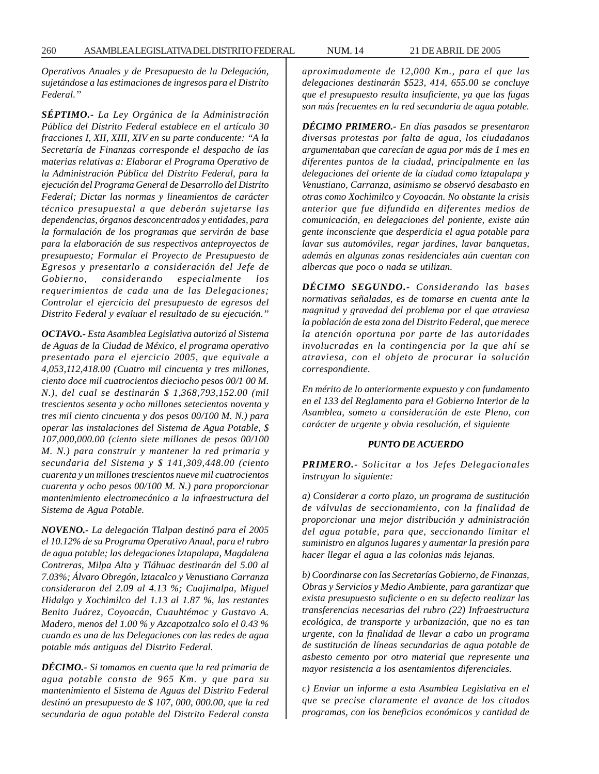*Operativos Anuales y de Presupuesto de la Delegación, sujetándose a las estimaciones de ingresos para el Distrito Federal.''*

*SÉPTIMO.- La Ley Orgánica de la Administración Pública del Distrito Federal establece en el artículo 30 fracciones I, XII, XIII, XIV en su parte conducente: ''A la Secretaría de Finanzas corresponde el despacho de las materias relativas a: Elaborar el Programa Operativo de la Administración Pública del Distrito Federal, para la ejecución del Programa General de Desarrollo del Distrito Federal; Dictar las normas y lineamientos de carácter técnico presupuestal a que deberán sujetarse las dependencias, órganos desconcentrados y entidades, para la formulación de los programas que servirán de base para la elaboración de sus respectivos anteproyectos de presupuesto; Formular el Proyecto de Presupuesto de Egresos y presentarlo a consideración del Jefe de Gobierno, considerando especialmente los requerimientos de cada una de las Delegaciones; Controlar el ejercicio del presupuesto de egresos del Distrito Federal y evaluar el resultado de su ejecución.''*

*OCTAVO.- Esta Asamblea Legislativa autorizó al Sistema de Aguas de la Ciudad de México, el programa operativo presentado para el ejercicio 2005, que equivale a 4,053,112,418.00 (Cuatro mil cincuenta y tres millones, ciento doce mil cuatrocientos dieciocho pesos 00/1 00 M. N.), del cual se destinarán \$ 1,368,793,152.00 (mil trescientos sesenta y ocho millones setecientos noventa y tres mil ciento cincuenta y dos pesos 00/100 M. N.) para operar las instalaciones del Sistema de Agua Potable, \$ 107,000,000.00 (ciento siete millones de pesos 00/100 M. N.) para construir y mantener la red primaria y secundaria del Sistema y \$ 141,309,448.00 (ciento cuarenta y un millones trescientos nueve mil cuatrocientos cuarenta y ocho pesos 00/100 M. N.) para proporcionar mantenimiento electromecánico a la infraestructura del Sistema de Agua Potable.*

*NOVENO.- La delegación Tlalpan destinó para el 2005 el 10.12% de su Programa Operativo Anual, para el rubro de agua potable; las delegaciones lztapalapa, Magdalena Contreras, Milpa Alta y Tláhuac destinarán del 5.00 al 7.03%; Álvaro Obregón, lztacalco y Venustiano Carranza consideraron del 2.09 al 4.13 %; Cuajimalpa, Miguel Hidalgo y Xochimilco del 1.13 al 1.87 %, las restantes Benito Juárez, Coyoacán, Cuauhtémoc y Gustavo A. Madero, menos del 1.00 % y Azcapotzalco solo el 0.43 % cuando es una de las Delegaciones con las redes de agua potable más antiguas del Distrito Federal.*

*DÉCIMO.- Si tomamos en cuenta que la red primaria de agua potable consta de 965 Km. y que para su mantenimiento el Sistema de Aguas del Distrito Federal destinó un presupuesto de \$ 107, 000, 000.00, que la red secundaria de agua potable del Distrito Federal consta* *aproximadamente de 12,000 Km., para el que las delegaciones destinarán \$523, 414, 655.00 se concluye que el presupuesto resulta insuficiente, ya que las fugas son más frecuentes en la red secundaria de agua potable.*

*DÉCIMO PRIMERO.- En días pasados se presentaron diversas protestas por falta de agua, los ciudadanos argumentaban que carecían de agua por más de 1 mes en diferentes puntos de la ciudad, principalmente en las delegaciones del oriente de la ciudad como lztapalapa y Venustiano, Carranza, asimismo se observó desabasto en otras como Xochimilco y Coyoacán. No obstante la crisis anterior que fue difundida en diferentes medios de comunicación, en delegaciones del poniente, existe aún gente inconsciente que desperdicia el agua potable para lavar sus automóviles, regar jardines, lavar banquetas, además en algunas zonas residenciales aún cuentan con albercas que poco o nada se utilizan.*

*DÉCIMO SEGUNDO.- Considerando las bases normativas señaladas, es de tomarse en cuenta ante la magnitud y gravedad del problema por el que atraviesa la población de esta zona del Distrito Federal, que merece la atención oportuna por parte de las autoridades involucradas en la contingencia por la que ahí se atraviesa, con el objeto de procurar la solución correspondiente.*

*En mérito de lo anteriormente expuesto y con fundamento en el 133 del Reglamento para el Gobierno Interior de la Asamblea, someto a consideración de este Pleno, con carácter de urgente y obvia resolución, el siguiente*

#### *PUNTO DE ACUERDO*

*PRIMERO.- Solicitar a los Jefes Delegacionales instruyan lo siguiente:*

*a) Considerar a corto plazo, un programa de sustitución de válvulas de seccionamiento, con la finalidad de proporcionar una mejor distribución y administración del agua potable, para que, seccionando limitar el suministro en algunos lugares y aumentar la presión para hacer llegar el agua a las colonias más lejanas.*

*b) Coordinarse con las Secretarías Gobierno, de Finanzas, Obras y Servicios y Medio Ambiente, para garantizar que exista presupuesto suficiente o en su defecto realizar las transferencias necesarias del rubro (22) Infraestructura ecológica, de transporte y urbanización, que no es tan urgente, con la finalidad de llevar a cabo un programa de sustitución de líneas secundarias de agua potable de asbesto cemento por otro material que represente una mayor resistencia a los asentamientos diferenciales.*

*c) Enviar un informe a esta Asamblea Legislativa en el que se precise claramente el avance de los citados programas, con los beneficios económicos y cantidad de*